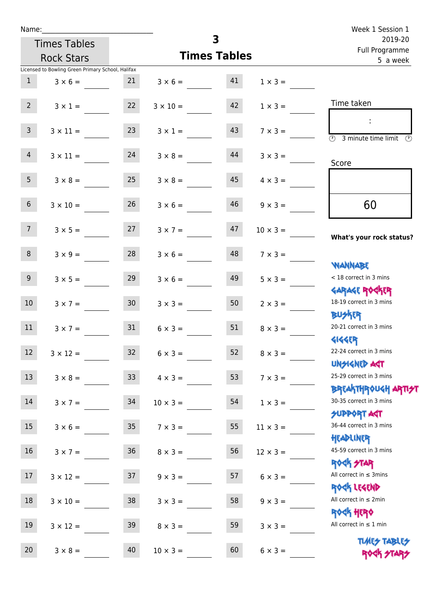| Name:           |                                                   |                  |                   |                     |                 | Week 1 Session 1                                                 |  |  |
|-----------------|---------------------------------------------------|------------------|-------------------|---------------------|-----------------|------------------------------------------------------------------|--|--|
|                 | <b>Times Tables</b>                               |                  |                   | 3                   |                 | 2019-20<br>Full Programme                                        |  |  |
|                 | <b>Rock Stars</b>                                 |                  |                   | <b>Times Tables</b> |                 | 5 a week                                                         |  |  |
|                 | Licensed to Bowling Green Primary School, Halifax |                  |                   |                     |                 |                                                                  |  |  |
| 1               | $3 \times 6 =$                                    |                  | $3 \times 6 = 41$ |                     | $1 \times 3 =$  |                                                                  |  |  |
| 2               | $3 \times 1 =$                                    | 22               | $3 \times 10 =$   | 42                  | $1 \times 3 =$  | Time taken                                                       |  |  |
| 3 <sup>7</sup>  | $3 \times 11 =$                                   | 23               | $3 \times 1 =$    | 43                  | $7 \times 3 =$  | $\sim 10$<br>3 minute time limit<br>$\mathcal{O}$                |  |  |
| 4               | $3 \times 11 = 24$                                |                  | $3 \times 8 =$    | 44                  | $3 \times 3 =$  | Score                                                            |  |  |
| 5 <sub>1</sub>  | $3 \times 8 =$                                    | 25               | $3 \times 8 =$    | 45                  | $4 \times 3 =$  |                                                                  |  |  |
| 6 <sup>1</sup>  | $3 \times 10 =$                                   | 26               | $3 \times 6 =$    | 46                  | $9 \times 3 =$  | 60                                                               |  |  |
| 7 <sup>7</sup>  | $3 \times 5 = 27$                                 |                  | $3 \times 7 = 47$ |                     | $10 \times 3 =$ | What's your rock status?                                         |  |  |
| 8               | $3 \times 9 =$                                    | 28               | $3 \times 6 =$    | 48                  | $7 \times 3 =$  | <b>WANNABE</b>                                                   |  |  |
| 9 <sub>o</sub>  | $3 \times 5 =$                                    | 29               | $3 \times 6 =$    | 49                  | $5 \times 3 =$  | < 18 correct in 3 mins<br><b>GARAGE ROGKER</b>                   |  |  |
| 10 <sup>°</sup> | $3 \times 7 = 30$                                 |                  | $3 \times 3 =$    | 50                  | $2 \times 3 =$  | 18-19 correct in 3 mins<br><b>BUSKER</b>                         |  |  |
| 11              | $3 \times 7 =$                                    | 31               | $6 \times 3 =$    | 51                  | $8 \times 3 =$  | 20-21 correct in 3 mins<br>414459                                |  |  |
| 12              | $3 \times 12 =$                                   | 32               | $6 \times 3 =$    | 52                  | $8 \times 3 =$  | 22-24 correct in 3 mins<br><b>UNSIGNED AGT</b>                   |  |  |
| 13              | $3 \times 8 =$                                    | 33 <sup>°</sup>  | $4 \times 3 =$    | 53                  | $7 \times 3 =$  | 25-29 correct in 3 mins<br><b>BREAKTHROUGH ARTI<del>S</del>T</b> |  |  |
| 14              | $3 \times 7 =$                                    | 34               | $10 \times 3 =$   | 54                  | $1 \times 3 =$  | 30-35 correct in 3 mins<br><b>SUPPORT AGT</b>                    |  |  |
| 15              | $3 \times 6 =$                                    | $35\phantom{.0}$ | $7 \times 3 =$    | 55                  | $11 \times 3 =$ | 36-44 correct in 3 mins<br>HEADLINER                             |  |  |
| 16              | $3 \times 7 =$                                    | $36\,$           | $8 \times 3 =$    | 56                  | $12 \times 3 =$ | 45-59 correct in 3 mins<br><b>ROCK STAR</b>                      |  |  |
| 17              | $3 \times 12 =$                                   | 37               | $9 \times 3 =$    | 57                  | $6 \times 3 =$  | All correct in $\leq$ 3mins<br>ROCK LEGEND                       |  |  |
| 18              | $3 \times 10 =$                                   | 38               | $3 \times 3 =$    | 58                  | $9 \times 3 =$  | All correct in $\leq 2$ min<br><b>ROGH HERO</b>                  |  |  |
| 19              | $3 \times 12 =$                                   | 39               | $8 \times 3 =$    | 59                  | $3 \times 3 =$  | All correct in $\leq 1$ min<br><b>TUARS TABLES</b>               |  |  |
| 20              | $3 \times 8 =$                                    | 40               | $10 \times 3 =$   | 60                  | $6 \times 3 =$  | ROCK STARS                                                       |  |  |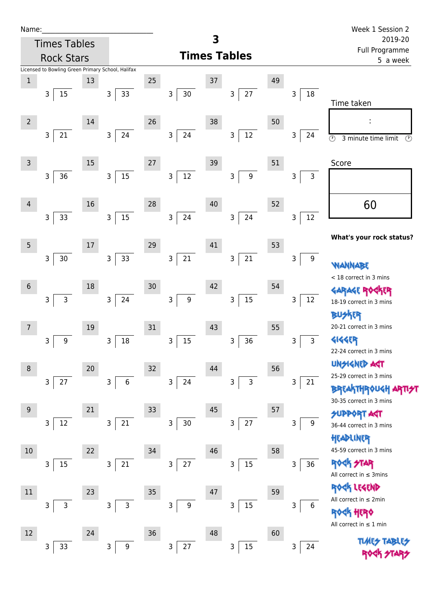| Name |  |  |  |
|------|--|--|--|
|      |  |  |  |

| Name:           |                                                   |      |                        |    |                        |    |                       |    |                       | Week 1 Session 2                                |  |  |
|-----------------|---------------------------------------------------|------|------------------------|----|------------------------|----|-----------------------|----|-----------------------|-------------------------------------------------|--|--|
|                 | <b>Times Tables</b>                               |      |                        |    |                        | 3  |                       |    |                       | 2019-20<br>Full Programme                       |  |  |
|                 | <b>Rock Stars</b>                                 |      |                        |    |                        |    | <b>Times Tables</b>   |    |                       | 5 a week                                        |  |  |
|                 | Licensed to Bowling Green Primary School, Halifax |      |                        |    |                        |    |                       |    |                       |                                                 |  |  |
| $1\,$           | 3                                                 | 13   |                        | 25 |                        | 37 |                       | 49 | 3                     |                                                 |  |  |
|                 | 15                                                |      | 33<br>$\mathsf{3}$     |    | $30\,$<br>3            |    | $27\,$<br>3           |    | $18\,$                | Time taken                                      |  |  |
| $\overline{2}$  |                                                   | 14   |                        | 26 |                        | 38 |                       | 50 |                       |                                                 |  |  |
|                 | 21<br>$\mathsf{3}$                                |      | $24\,$<br>$\mathsf 3$  |    | 3<br>24                |    | 12<br>3               |    | $\mathsf 3$<br>24     |                                                 |  |  |
|                 |                                                   |      |                        |    |                        |    |                       |    |                       | $\odot$<br>3 minute time limit<br>$\circled{r}$ |  |  |
| $\overline{3}$  |                                                   | 15   |                        | 27 |                        | 39 |                       | 51 |                       | Score                                           |  |  |
|                 | 36<br>3                                           |      | $15\,$<br>$\mathsf{3}$ |    | $12\,$<br>$\mathsf{3}$ |    | $\boldsymbol{9}$<br>3 |    | 3<br>3                |                                                 |  |  |
|                 |                                                   |      |                        |    |                        |    |                       |    |                       |                                                 |  |  |
| 4               |                                                   | 16   |                        | 28 |                        | 40 |                       | 52 |                       | 60                                              |  |  |
|                 | 33<br>3                                           |      | 15<br>$\mathsf{3}$     |    | 3<br>24                |    | 24<br>3               |    | $12\,$<br>$\mathsf 3$ |                                                 |  |  |
|                 |                                                   |      |                        |    |                        |    |                       |    |                       |                                                 |  |  |
| 5               |                                                   | $17$ |                        | 29 |                        | 41 |                       | 53 |                       | What's your rock status?                        |  |  |
|                 | 30<br>3                                           |      | 33<br>3                |    | 21<br>3                |    | 21<br>3               |    | $\boldsymbol{9}$<br>3 |                                                 |  |  |
|                 |                                                   |      |                        |    |                        |    |                       |    |                       | <b>MANNA</b><br>< 18 correct in 3 mins          |  |  |
| $6\phantom{1}6$ |                                                   | 18   |                        | 30 |                        | 42 |                       | 54 |                       |                                                 |  |  |
|                 | $\mathsf{3}$<br>3                                 |      | 24<br>3                |    | 3<br>$9\,$             |    | 15<br>3               |    | 3<br>12               | 18-19 correct in 3 mins                         |  |  |
|                 |                                                   |      |                        |    |                        |    |                       |    |                       | <b>BUSKER</b>                                   |  |  |
| $\overline{7}$  |                                                   | 19   |                        | 31 |                        | 43 |                       | 55 |                       | 20-21 correct in 3 mins                         |  |  |
|                 | 9<br>3                                            |      | $18\,$<br>3            |    | $15\,$<br>$\mathsf 3$  |    | 36<br>3               |    | $\mathbf{3}$<br>3     | <b>4144EP</b>                                   |  |  |
|                 |                                                   |      |                        |    |                        |    |                       |    |                       | 22-24 correct in 3 mins                         |  |  |
| 8               |                                                   | 20   |                        | 32 |                        | 44 |                       | 56 |                       | <b>UNGIGNED ART</b><br>25-29 correct in 3 mins  |  |  |
|                 | $27\,$<br>3                                       |      | $\,6$<br>3             |    | 3<br>24                |    | 3<br>3                |    | 3<br>21               | <b>BREAKTHROUGH</b>                             |  |  |
|                 |                                                   |      |                        |    |                        |    |                       |    |                       | 30-35 correct in 3 mins                         |  |  |
| $\overline{9}$  |                                                   | 21   |                        | 33 |                        | 45 |                       | 57 |                       | <b>SUPPORT AGT</b>                              |  |  |
|                 | $12\,$<br>3                                       |      | 21<br>3                |    | $\mathsf{3}$<br>30     |    | 27<br>3               |    | 3<br>9                | 36-44 correct in 3 mins                         |  |  |
|                 |                                                   |      |                        |    |                        |    |                       |    |                       | HEADLINER                                       |  |  |
| 10              |                                                   | 22   |                        | 34 |                        | 46 |                       | 58 |                       | 45-59 correct in 3 mins                         |  |  |
|                 | 15<br>3                                           |      | $21\,$<br>3            |    | 27<br>$\mathsf{3}$     |    | 15<br>3               |    | 3<br>36               | <b>ROCK STAR</b><br>All correct in $\leq$ 3mins |  |  |
|                 |                                                   |      |                        |    |                        |    |                       |    |                       | ROCK LEGEND                                     |  |  |
| $11\,$          |                                                   | 23   |                        | 35 |                        | 47 |                       | 59 |                       | All correct in $\leq 2$ min                     |  |  |
|                 | $\mathsf 3$<br>3                                  |      | $\mathsf{3}$<br>3      |    | $\mathsf 3$<br>9       |    | $15\,$<br>3           |    | 3<br>$\,6\,$          | ROCK HERO                                       |  |  |
|                 |                                                   |      |                        |    |                        |    |                       |    |                       | All correct in $\leq 1$ min                     |  |  |
| 12              |                                                   | 24   |                        | 36 |                        | 48 |                       | 60 |                       | <b>TLARS</b>                                    |  |  |
|                 | 33<br>3                                           |      | 3<br>9                 |    | 27<br>$\mathsf 3$      |    | $15\,$<br>3           |    | 3<br>24               |                                                 |  |  |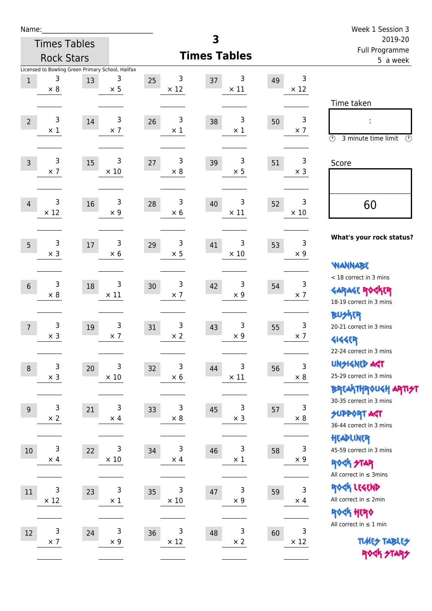| Name:            |                  |                     |                                                                      |    |                  |        |                           |    |                  | Week 1 Session 3<br>2019-20<br>Full Programme                                        |  |  |
|------------------|------------------|---------------------|----------------------------------------------------------------------|----|------------------|--------|---------------------------|----|------------------|--------------------------------------------------------------------------------------|--|--|
|                  |                  | <b>Times Tables</b> |                                                                      |    |                  | 3      |                           |    |                  |                                                                                      |  |  |
|                  |                  | <b>Rock Stars</b>   |                                                                      |    |                  |        | <b>Times Tables</b>       |    |                  | 5 a week                                                                             |  |  |
| $\,1$            | 3<br>$\times$ 8  | 13                  | Licensed to Bowling Green Primary School, Halifax<br>3<br>$\times$ 5 | 25 | 3<br>$\times$ 12 | 37     | 3<br>$\times$ 11          | 49 | 3<br>$\times$ 12 | Time taken                                                                           |  |  |
| $\overline{2}$   | 3<br>$\times 1$  | 14                  | 3<br>$\times$ 7                                                      | 26 | 3<br>$\times$ 1  | 38     | 3<br>$\times$ 1           | 50 | 3<br>$\times$ 7  | $\circled{r}$<br>3 minute time limit<br>$\mathcal{O}$                                |  |  |
| $\overline{3}$   | 3<br>$\times$ 7  | 15                  | 3<br>$\times$ 10                                                     | 27 | 3<br>$\times 8$  | 39     | 3<br>$\times$ 5           | 51 | 3<br>$\times$ 3  | Score                                                                                |  |  |
| $\overline{4}$   | 3<br>$\times$ 12 | 16                  | $\mathsf{3}$<br>$\times$ 9                                           | 28 | 3<br>$\times 6$  | 40     | 3<br>$\times$ 11          | 52 | 3<br>$\times$ 10 | 60                                                                                   |  |  |
| 5                | 3<br>$\times$ 3  | 17                  | 3<br>$\times$ 6                                                      | 29 | 3<br>$\times$ 5  | 41     | 3<br>$\times$ 10          | 53 | 3<br>$\times$ 9  | What's your rock status?<br><b>NANNABE</b>                                           |  |  |
| $6\phantom{1}$   | 3<br>$\times 8$  | 18                  | 3<br>$\times$ 11                                                     | 30 | 3<br>$\times$ 7  | 42     | 3<br>$\times$ 9           | 54 | 3<br>$\times$ 7  | < 18 correct in 3 mins<br><b>GARAGE ROCKER</b><br>18-19 correct in 3 mins            |  |  |
| $\overline{7}$   | 3<br>$\times$ 3  | 19                  | 3<br>$\times$ 7                                                      | 31 | 3<br>$\times 2$  | 43     | 3<br>$\times$ 9           | 55 | 3<br>$\times$ 7  | <b>BUSKER</b><br>20-21 correct in 3 mins<br><b>4144EP</b><br>22-24 correct in 3 mins |  |  |
| $\boldsymbol{8}$ | 3<br>$\times$ 3  | 20                  | 3<br>$\times$ 10                                                     | 32 | 3<br>$\times$ 6  | 44     | 3<br>$\times$ 11          | 56 | 3<br>$\times$ 8  | <b>UNSIGNED AGT</b><br>25-29 correct in 3 mins<br>BREAKTHRÓUGH ARTI <del>2</del> 1   |  |  |
| 9                | 3<br>$\times$ 2  | 21                  | 3<br>$\times$ 4                                                      | 33 | 3<br>$\times$ 8  | 45     | 3<br>$\times$ 3           | 57 | 3<br>$\times$ 8  | 30-35 correct in 3 mins<br><b>SUPPORT AGT</b><br>36-44 correct in 3 mins             |  |  |
| $10\,$           | 3<br>$\times$ 4  | 22                  | 3<br>$\times$ 10                                                     | 34 | 3<br>$\times$ 4  | 46     | 3<br>$\times$ 1           | 58 | 3<br>$\times$ 9  | HEADLINER<br>45-59 correct in 3 mins<br>ROCK STAR<br>All correct in $\leq$ 3mins     |  |  |
| $11\,$           | 3<br>$\times$ 12 | 23                  | 3<br>$\times$ 1                                                      | 35 | 3<br>$\times$ 10 | $47\,$ | $\mathsf 3$<br>$\times$ 9 | 59 | 3<br>$\times$ 4  | ROCK LEGEND<br>All correct in $\leq 2$ min<br>ROCK HERO                              |  |  |
| 12               | 3<br>$\times$ 7  | 24                  | 3<br>$\times$ 9                                                      | 36 | 3<br>$\times$ 12 | 48     | 3<br>$\times$ 2           | 60 | 3<br>$\times$ 12 | All correct in $\leq 1$ min<br><b>TUARS TABLES</b><br>ROCK STARS                     |  |  |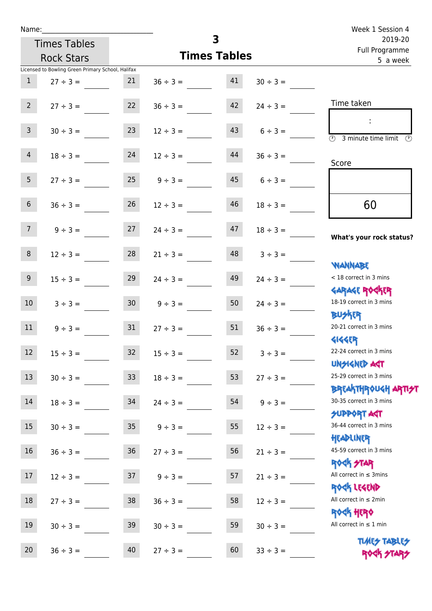| Name:           |                                                   |                 |                     |                         |               | Week 1 Session 4                           |  |  |  |
|-----------------|---------------------------------------------------|-----------------|---------------------|-------------------------|---------------|--------------------------------------------|--|--|--|
|                 | <b>Times Tables</b>                               |                 |                     | $\overline{\mathbf{3}}$ |               | 2019-20                                    |  |  |  |
|                 | <b>Rock Stars</b>                                 |                 | <b>Times Tables</b> |                         |               | Full Programme<br>5 a week                 |  |  |  |
|                 | Licensed to Bowling Green Primary School, Halifax |                 |                     |                         |               |                                            |  |  |  |
| $\mathbf{1}$    | $27 \div 3 =$                                     | 21              | $36 \div 3 =$       | 41                      | $30 \div 3 =$ |                                            |  |  |  |
|                 |                                                   |                 |                     |                         |               | Time taken                                 |  |  |  |
| $2^{\circ}$     | $27 \div 3 =$                                     | 22              | $36 \div 3 =$       | 42                      | $24 \div 3 =$ |                                            |  |  |  |
| $\mathbf{3}$    |                                                   |                 |                     |                         |               |                                            |  |  |  |
|                 | $30 \div 3 =$                                     | 23              | $12 \div 3 =$       | 43                      | $6 \div 3 =$  | 3 minute time limit<br>$\mathcal{O}$       |  |  |  |
| $\overline{4}$  | $18 \div 3 =$                                     | 24              | $12 \div 3 =$       | 44                      | $36 \div 3 =$ |                                            |  |  |  |
|                 |                                                   |                 |                     |                         |               | Score                                      |  |  |  |
| 5 <sub>1</sub>  | $27 \div 3 =$                                     | 25              | $9 \div 3 =$        | 45                      | $6 \div 3 =$  |                                            |  |  |  |
|                 |                                                   |                 |                     |                         |               |                                            |  |  |  |
| $6\phantom{.}6$ | $36 \div 3 =$                                     | 26              | $12 \div 3 =$       | 46                      | $18 \div 3 =$ | 60                                         |  |  |  |
|                 |                                                   |                 |                     |                         |               |                                            |  |  |  |
| 7 <sup>7</sup>  | $9 ÷ 3 =$                                         | 27              | $24 \div 3 =$       | 47                      | $18 \div 3 =$ |                                            |  |  |  |
|                 |                                                   |                 |                     |                         |               | What's your rock status?                   |  |  |  |
| 8 <sup>°</sup>  | $12 \div 3 =$                                     | 28              | $21 \div 3 =$       | 48                      | $3 ÷ 3 =$     |                                            |  |  |  |
|                 |                                                   |                 |                     |                         |               | <b>NANNABE</b>                             |  |  |  |
| 9 <sub>o</sub>  | $15 \div 3 =$                                     | 29              | $24 \div 3 =$       | 49                      | $24 \div 3 =$ | < 18 correct in 3 mins                     |  |  |  |
|                 |                                                   |                 |                     |                         |               | <b>GARAGE ROCKER</b>                       |  |  |  |
| 10 <sup>°</sup> | $3 \div 3 =$                                      | 30 <sup>°</sup> | $9 \div 3 =$        | 50                      | $24 \div 3 =$ | 18-19 correct in 3 mins                    |  |  |  |
| 11              |                                                   | 31              |                     | 51                      |               | <b>BUSKER</b><br>20-21 correct in 3 mins   |  |  |  |
|                 | $9 \div 3 =$                                      |                 | $27 \div 3 =$       |                         | $36 \div 3 =$ | <b>4144EP</b>                              |  |  |  |
| 12              | $15 \div 3 =$                                     | 32              | $15 \div 3 =$       | 52                      | $3 ÷ 3 =$     | 22-24 correct in 3 mins                    |  |  |  |
|                 |                                                   |                 |                     |                         |               | <b>UNSIGNED AST</b>                        |  |  |  |
| 13              | $30 \div 3 =$                                     | 33              | $18 \div 3 =$       | 53                      | $27 ÷ 3 =$    | 25-29 correct in 3 mins                    |  |  |  |
|                 |                                                   |                 |                     |                         |               | <b>BREAKTHROUGH ARTH</b>                   |  |  |  |
| $14\,$          | $18 \div 3 =$                                     | 34              | $24 \div 3 =$       | 54                      | $9 ÷ 3 =$     | 30-35 correct in 3 mins                    |  |  |  |
|                 |                                                   |                 |                     |                         |               | <b>SUPPORT AGT</b>                         |  |  |  |
| 15              | $30 \div 3 =$                                     | 35 <sub>2</sub> | $9 ÷ 3 =$           | 55                      | $12 \div 3 =$ | 36-44 correct in 3 mins                    |  |  |  |
|                 |                                                   |                 |                     |                         |               | HEADLINER                                  |  |  |  |
| 16              | $36 \div 3 =$                                     | 36              | $27 ÷ 3 =$          | 56                      | $21 \div 3 =$ | 45-59 correct in 3 mins                    |  |  |  |
|                 |                                                   |                 |                     |                         |               | <b>ROCK STAR</b>                           |  |  |  |
| 17              | $12 \div 3 =$                                     | 37              | $9 ÷ 3 =$           | 57                      | $21 \div 3 =$ | All correct in $\leq$ 3mins                |  |  |  |
|                 |                                                   |                 |                     |                         |               | ROCK LEGEND<br>All correct in $\leq 2$ min |  |  |  |
| $18\,$          | $27 ÷ 3 =$                                        | 38              | $36 \div 3 =$       | 58                      | $12 \div 3 =$ | <b>ROCK HERO</b>                           |  |  |  |
|                 |                                                   |                 |                     |                         |               |                                            |  |  |  |

19  $30 \div 3 =$  39  $30 \div 3 =$  59  $30 \div 3 =$ 

20  $36 \div 3 =$  40  $27 \div 3 =$  60  $33 \div 3 =$ 

All correct in  $\leq 1$  min

**TIMES TABLES** ROCK STARS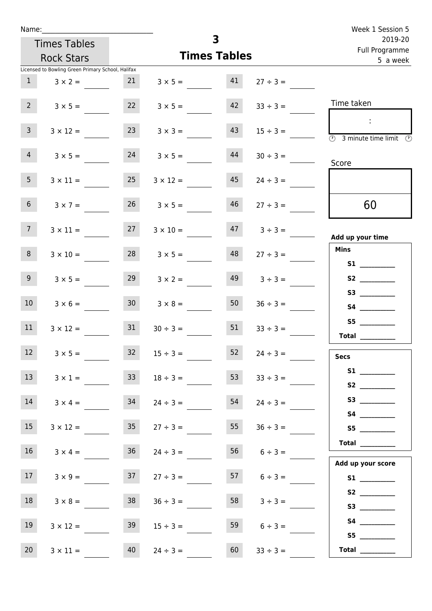| Name:           |                                                   |                 |                      |                     |                    | Week 1 Session 5                                                             |  |  |
|-----------------|---------------------------------------------------|-----------------|----------------------|---------------------|--------------------|------------------------------------------------------------------------------|--|--|
|                 | <b>Times Tables</b>                               |                 |                      | 3                   |                    | 2019-20<br>Full Programme                                                    |  |  |
|                 | <b>Rock Stars</b>                                 |                 |                      | <b>Times Tables</b> |                    | 5 a week                                                                     |  |  |
|                 | Licensed to Bowling Green Primary School, Halifax |                 |                      |                     |                    |                                                                              |  |  |
| 1               | $3 \times 2 =$                                    | 21              | $3 \times 5 =$       | 41                  | $27 \div 3 =$      |                                                                              |  |  |
| $2^{\circ}$     | $3 \times 5 =$                                    | 22              | $3 \times 5 =$       | 42                  | $33 \div 3 =$      | Time taken                                                                   |  |  |
| 3 <sup>7</sup>  | $3 \times 12 =$                                   | 23              | $3 \times 3 =$       | 43                  | $15 \div 3 =$      | $\sim$<br>$\overline{\textcircled{1}}$ 3 minute time limit $\textcircled{1}$ |  |  |
| $\overline{4}$  | $3 \times 5 =$                                    | 24              | $3 \times 5 =$       | 44                  | $30 \div 3 =$      | Score                                                                        |  |  |
| 5 <sub>1</sub>  | $3 \times 11 =$                                   | 25              | $3 \times 12 =$      | 45                  | $24 \div 3 =$      |                                                                              |  |  |
| 6 <sup>1</sup>  | $3 \times 7 =$                                    |                 | $26 \t 3 \times 5 =$ | 46                  | $27 \div 3 =$      | 60                                                                           |  |  |
| 7 <sup>7</sup>  | $3 \times 11 =$                                   | 27              | $3 \times 10 =$      |                     | $47 \t3 \div 3 =$  | Add up your time                                                             |  |  |
| 8               | $3 \times 10 =$                                   | 28              | $3 \times 5 =$       | 48                  | $27 \div 3 =$      | <b>Mins</b><br><b>S1</b>                                                     |  |  |
| 9               | $3 \times 5 =$                                    | 29              | $3 \times 2 =$       | 49                  | $3 \div 3 =$       | S2                                                                           |  |  |
| 10 <sup>°</sup> | $3 \times 6 =$                                    | 30 <sup>1</sup> | $3 \times 8 =$       | 50                  | $36 \div 3 =$      |                                                                              |  |  |
| 11              | $3 \times 12 =$                                   | 31              | $30 \div 3 =$        | 51                  | $33 \div 3 =$      | <b>Total</b>                                                                 |  |  |
| 12              | $3 \times 5 =$                                    | $32$            | $15 \div 3 =$        | 52                  | $24 \div 3 =$      | <b>Secs</b>                                                                  |  |  |
| 13              | $3 \times 1 =$                                    | 33 <sup>°</sup> | $18 \div 3 =$        | 53                  | $33 \div 3 =$      |                                                                              |  |  |
| 14              | $3 \times 4 =$                                    | 34              | $24 \div 3 =$        | 54                  | $24 \div 3 =$      |                                                                              |  |  |
| 15              | $3 \times 12 =$                                   | 35              | $27 \div 3 =$        | 55                  | $36 \div 3 =$      | S5                                                                           |  |  |
| 16              | $3 \times 4 =$                                    | 36              | $24 \div 3 =$        |                     | $56$ $6 \div 3 =$  | <b>Total</b><br>Add up your score                                            |  |  |
| 17              | $3 \times 9 =$                                    | 37              | $27 \div 3 =$        |                     | $57 \t 6 \div 3 =$ | S1                                                                           |  |  |
| 18              | $3 \times 8 =$                                    | 38              | $36 \div 3 =$        | 58                  | $3 ÷ 3 =$          |                                                                              |  |  |
| 19              | $3 \times 12 =$                                   | 39              | $15 \div 3 =$        | 59                  | $6 \div 3 =$       | S4                                                                           |  |  |
| 20 <sub>2</sub> | $3 \times 11 =$                                   | 40              | $24 \div 3 =$        | 60                  | $33 \div 3 =$      | Total $\_\_$                                                                 |  |  |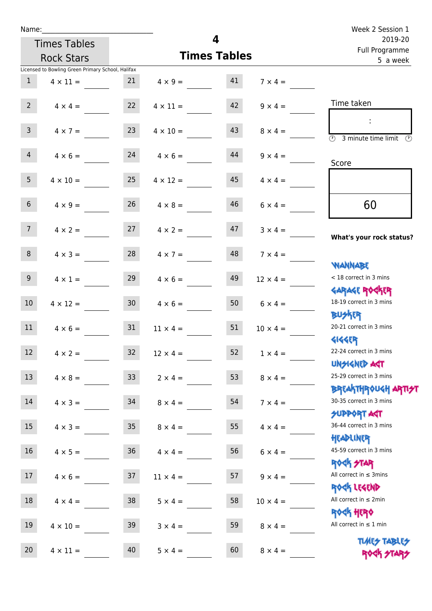| Name:           |                                                   |                 |                                  |                     |                 | Week 2 Session 1                                                 |  |  |
|-----------------|---------------------------------------------------|-----------------|----------------------------------|---------------------|-----------------|------------------------------------------------------------------|--|--|
|                 | <b>Times Tables</b>                               |                 |                                  | 4                   |                 | 2019-20<br>Full Programme                                        |  |  |
|                 | <b>Rock Stars</b>                                 |                 |                                  | <b>Times Tables</b> |                 | 5 a week                                                         |  |  |
|                 | Licensed to Bowling Green Primary School, Halifax |                 |                                  |                     |                 |                                                                  |  |  |
| 1               | $4 \times 11 =$                                   | 21              | $4 \times 9 = 41$                |                     | $7 \times 4 =$  |                                                                  |  |  |
| $2^{\circ}$     | $4 \times 4 =$                                    | 22              | $4 \times 11 =$                  | 42                  | $9 \times 4 =$  | Time taken                                                       |  |  |
| 3 <sup>7</sup>  | $4 \times 7 =$                                    | 23              | $4 \times 10 =$                  | 43                  | $8 \times 4 =$  | 3 minute time limit<br>O)                                        |  |  |
| 4               |                                                   |                 | $4 \times 6 = 24$ $4 \times 6 =$ | 44                  | $9 \times 4 =$  | Score                                                            |  |  |
| 5 <sub>1</sub>  | $4 \times 10 =$                                   | 25              | $4 \times 12 =$                  | 45                  | $4 \times 4 =$  |                                                                  |  |  |
| 6 <sup>1</sup>  | $4 \times 9 =$                                    | 26              | $4 \times 8 =$                   | 46                  | $6 \times 4 =$  | 60                                                               |  |  |
| 7 <sup>7</sup>  | $4 \times 2 =$                                    |                 | $27 \t 4 \times 2 =$             | 47                  | $3 \times 4 =$  | What's your rock status?                                         |  |  |
| 8               | $4 \times 3 =$                                    | 28              | $4 \times 7 =$                   | 48                  | $7 \times 4 =$  | <b>WANNABE</b>                                                   |  |  |
| 9 <sub>o</sub>  | $4 \times 1 =$                                    | 29              | $4 \times 6 =$                   | 49                  | $12 \times 4 =$ | < 18 correct in 3 mins<br><b>GARAGE ROCKER</b>                   |  |  |
| 10 <sup>°</sup> | $4 \times 12 =$                                   | 30 <sub>o</sub> | $4 \times 6 =$                   | 50                  | $6 \times 4 =$  | 18-19 correct in 3 mins<br><b>BUSKER</b>                         |  |  |
| 11              | $4 \times 6 =$                                    | 31              | $11 \times 4 =$                  | 51                  | $10 \times 4 =$ | 20-21 correct in 3 mins<br><b>4144EP</b>                         |  |  |
| 12              | $4 \times 2 =$                                    | 32              | $12 \times 4 =$                  | 52                  | $1 \times 4 =$  | 22-24 correct in 3 mins<br><b>UNSIGNED AGT</b>                   |  |  |
| 13              | $4 \times 8 =$                                    | 33 <sup>°</sup> | $2 \times 4 =$                   | 53                  | $8 \times 4 =$  | 25-29 correct in 3 mins                                          |  |  |
| 14              | $4 \times 3 =$                                    | 34              | $8 \times 4 =$                   | 54                  | $7 \times 4 =$  | <b>BREAKTHROUGH ARTI<del>S</del>T</b><br>30-35 correct in 3 mins |  |  |
| 15              | $4 \times 3 =$                                    | 35 <sub>o</sub> | $8 \times 4 =$                   | 55                  | $4 \times 4 =$  | <b>SUPPORT ART</b><br>36-44 correct in 3 mins                    |  |  |
| 16 <sup>1</sup> | $4 \times 5 =$                                    | 36              | $4 \times 4 =$                   | 56                  | $6 \times 4 =$  | HEADLINER<br>45-59 correct in 3 mins                             |  |  |
| 17              | $4 \times 6 =$                                    | 37              | $11 \times 4 =$                  | 57                  | $9 \times 4 =$  | ROCK STAR<br>All correct in $\leq$ 3mins                         |  |  |
| 18              | $4 \times 4 =$                                    | 38              | $5 \times 4 =$                   | 58                  | $10 \times 4 =$ | ROCK LEGEND<br>All correct in $\leq 2$ min                       |  |  |
| 19              | $4 \times 10 =$                                   | 39              | $3 \times 4 =$                   | 59                  | $8 \times 4 =$  | <b>ROCK HERO</b><br>All correct in $\leq 1$ min                  |  |  |
| 20              | $4 \times 11 =$                                   | 40              | $5 \times 4 =$                   | 60                  | $8 \times 4 =$  | <b>TUARS TABLES</b><br>ROCK STARS                                |  |  |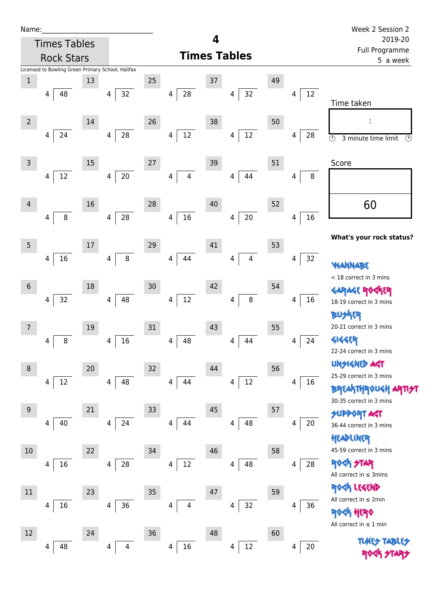| Name |  |  |  |
|------|--|--|--|
|      |  |  |  |

| <b>Rock Stars</b>               |                                                   |                                | <b>Times Tables</b>          | i uli rivyialillile<br>5 a week |                                                                           |  |  |
|---------------------------------|---------------------------------------------------|--------------------------------|------------------------------|---------------------------------|---------------------------------------------------------------------------|--|--|
|                                 | Licensed to Bowling Green Primary School, Halifax |                                |                              |                                 |                                                                           |  |  |
| $\mathbf 1$<br>48<br>4          | 13<br>32<br>4                                     | 25<br>${\bf 28}$<br>4          | 37<br>32<br>4                | 49<br>$12\,$<br>4               | Time taken                                                                |  |  |
| $\overline{2}$                  | 14                                                | 26                             | 38                           | 50                              |                                                                           |  |  |
| 24<br>4                         | 28<br>$\overline{4}$                              | $12\,$<br>$\overline{4}$       | 12<br>4                      | 28<br>4                         | $\odot$<br>3 minute time limit<br>$\circled{r}$                           |  |  |
| 3<br>$12\,$<br>4                | 15<br>$20\,$<br>4                                 | $27\,$<br>4<br>4               | 39<br>44<br>4                | 51<br>8<br>4                    | Score                                                                     |  |  |
|                                 |                                                   |                                |                              |                                 |                                                                           |  |  |
| 4<br>$\, 8$<br>4                | 16<br>28<br>4                                     | 28<br>$16\,$<br>4              | 40<br>$20\,$<br>4            | 52<br>16<br>4                   | 60                                                                        |  |  |
| $\overline{5}$                  | 17                                                | 29                             | 41                           | 53                              | What's your rock status?                                                  |  |  |
| 16<br>4                         | $\bf 8$<br>4                                      | 44<br>$\overline{4}$           | $\overline{\mathbf{4}}$<br>4 | 32<br>4                         | <b>WANNABE</b>                                                            |  |  |
| $\boldsymbol{6}$<br>$32\,$<br>4 | 18<br>48<br>4                                     | 30<br>$12\,$<br>$\overline{4}$ | 42<br>$\bf 8$<br>4           | 54<br>16<br>4                   | < 18 correct in 3 mins<br><b>GARAGE ROGKER</b><br>18-19 correct in 3 mins |  |  |
| 7                               | 19                                                | 31                             | 43                           | 55                              | <b>BUSKER</b><br>20-21 correct in 3 mins                                  |  |  |
| $\, 8$<br>4                     | 16<br>4                                           | 48<br>$\overline{4}$           | 44<br>4                      | 24<br>4                         | <b>4144EP</b><br>22-24 correct in 3 mins                                  |  |  |
| 8                               | 20                                                | 32                             | 44                           | 56                              | <b>UNSIGNED AGT</b><br>25-29 correct in 3 mins                            |  |  |
| 12<br>4                         | 4<br>48                                           | 4<br>44                        | 12<br>4                      | 4<br>16                         | <b>BREAKTHROUGH</b><br>30-35 correct in 3 mins                            |  |  |
| 9<br>40<br>4                    | 21<br>24<br>4                                     | 33<br>44<br>4                  | 45<br>48<br>4                | 57<br>$20\,$<br>4               | <b>SUPPORT AGT</b><br>36-44 correct in 3 mins                             |  |  |
| 10                              | 22                                                | 34                             | 46                           | 58                              | HEADLINER<br>45-59 correct in 3 mins                                      |  |  |
| 16<br>4                         | 28<br>4                                           | $12\,$<br>4                    | 48<br>4                      | $28\,$<br>4                     | <b>ROCK STAR</b><br>All correct in $\leq$ 3mins                           |  |  |
| 11                              | 23                                                | 35                             | 47                           | 59                              | ROCK LEGEND<br>All correct in $\leq 2$ min                                |  |  |
| 16<br>4                         | 36<br>$\overline{4}$                              | 4<br>4                         | 32<br>4                      | 36<br>4                         | <b>ROCK HERO</b><br>All correct in $\leq 1$ min                           |  |  |
| 12<br>48<br>4                   | 24<br>4<br>4                                      | $36\,$<br>16<br>4              | 48<br>12<br>4                | 60<br>$20\,$<br>4               | <b>TUARS TABARS</b>                                                       |  |  |
|                                 |                                                   |                                |                              |                                 |                                                                           |  |  |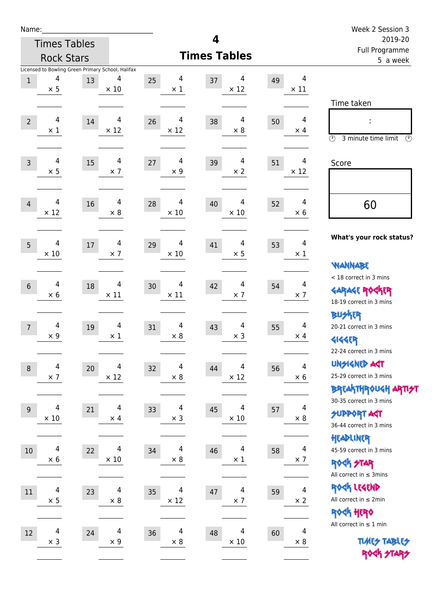| Name:                         |                                                   |                                        |    |                  |                               |    | Week 2 Session 3             |                                                                  |  |  |  |
|-------------------------------|---------------------------------------------------|----------------------------------------|----|------------------|-------------------------------|----|------------------------------|------------------------------------------------------------------|--|--|--|
|                               | <b>Times Tables</b>                               |                                        |    |                  | 4                             |    |                              | 2019-20                                                          |  |  |  |
|                               | <b>Rock Stars</b>                                 |                                        |    |                  | <b>Times Tables</b>           |    |                              | Full Programme<br>5 a week                                       |  |  |  |
|                               | Licensed to Bowling Green Primary School, Halifax |                                        |    |                  |                               |    |                              |                                                                  |  |  |  |
| $\,1$<br>$\times$ 5           | 4<br>13                                           | 4<br>$\times$ 10                       | 25 | 4<br>$\times$ 1  | 4<br>37<br>$\times$ 12        | 49 | 4<br>$\times$ 11             |                                                                  |  |  |  |
|                               |                                                   |                                        |    |                  |                               |    |                              | Time taken                                                       |  |  |  |
|                               |                                                   |                                        |    |                  |                               |    |                              |                                                                  |  |  |  |
| $\overline{2}$<br>$\times$ 1  | 4<br>14                                           | 4<br>$\times$ 12                       | 26 | 4<br>$\times$ 12 | 4<br>38<br>$\times$ 8         | 50 | 4<br>$\times$ 4              |                                                                  |  |  |  |
|                               |                                                   |                                        |    |                  |                               |    |                              | $\circled{r}$<br>3 minute time limit<br>$\circled{r}$            |  |  |  |
| $\overline{3}$                | 4<br>15                                           | 4                                      | 27 | 4                | 4<br>39                       | 51 | 4                            | Score                                                            |  |  |  |
| $\times$ 5                    |                                                   | $\times$ 7                             |    | $\times$ 9       | $\times 2$                    |    | $\times$ 12                  |                                                                  |  |  |  |
|                               |                                                   |                                        |    |                  |                               |    |                              |                                                                  |  |  |  |
| $\overline{4}$<br>$\times$ 12 | $\overline{4}$<br>16                              | $\overline{\mathcal{A}}$<br>$\times 8$ | 28 | 4<br>$\times$ 10 | 4<br>40<br>$\times$ 10        | 52 | $\overline{4}$<br>$\times 6$ | 60                                                               |  |  |  |
|                               |                                                   |                                        |    |                  |                               |    |                              |                                                                  |  |  |  |
| $5\overline{)}$               | 4<br>17                                           | 4                                      | 29 | 4                | 4<br>41                       | 53 | $\overline{4}$               | What's your rock status?                                         |  |  |  |
| $\times$ 10                   |                                                   | $\times$ 7                             |    | $\times$ 10      | $\times$ 5                    |    | $\times$ 1                   |                                                                  |  |  |  |
|                               |                                                   |                                        |    |                  |                               |    |                              | <b>WANNABE</b>                                                   |  |  |  |
| $6\phantom{1}$                | 4<br>18                                           | 4                                      | 30 | 4                | 4<br>42                       | 54 | 4                            | < 18 correct in 3 mins                                           |  |  |  |
| $\times$ 6                    |                                                   | $\times$ 11                            |    | $\times$ 11      | $\times$ 7                    |    | $\times$ 7                   | <b>GARAGE ROCKER</b><br>18-19 correct in 3 mins                  |  |  |  |
|                               |                                                   |                                        |    |                  |                               |    |                              | <b>BUSKER</b>                                                    |  |  |  |
| $\overline{7}$                | 4<br>19                                           | 4                                      | 31 | 4                | 4<br>43                       | 55 | 4                            | 20-21 correct in 3 mins                                          |  |  |  |
| $\times$ 9                    |                                                   | $\times$ 1                             |    | $\times 8$       | $\times$ 3                    |    | $\times$ 4                   | 外行                                                               |  |  |  |
|                               |                                                   |                                        |    |                  |                               |    |                              | 22-24 correct in 3 mins                                          |  |  |  |
| $\,8\,$                       | 4<br>20                                           | 4                                      | 32 | 4                | 4<br>44                       | 56 | 4                            | <b>UNGIGNED AST</b>                                              |  |  |  |
| $\times$ 7                    |                                                   | $\times$ 12                            |    | $\times 8$       | $\times$ 12                   |    | $\times$ 6                   | 25-29 correct in 3 mins                                          |  |  |  |
|                               |                                                   |                                        |    |                  |                               |    |                              | <b>BREAKTHROUGH ARTI<del>S</del>T</b><br>30-35 correct in 3 mins |  |  |  |
| 9                             | 4<br>21                                           | 4                                      | 33 | 4                | 4<br>45                       | 57 | 4                            | <b>SUPPORT ART</b>                                               |  |  |  |
| $\times$ 10                   |                                                   | $\times$ 4                             |    | $\times$ 3       | $\times$ 10                   |    | $\times$ 8                   | 36-44 correct in 3 mins                                          |  |  |  |
|                               |                                                   |                                        |    |                  |                               |    |                              | HEADLINER                                                        |  |  |  |
| 10                            | $\overline{4}$<br>22                              | 4                                      | 34 | $\overline{4}$   | 4<br>46                       | 58 | $\overline{\mathbf{4}}$      | 45-59 correct in 3 mins                                          |  |  |  |
| $\times$ 6                    |                                                   | $\times$ 10                            |    | $\times 8$       | $\times$ 1                    |    | $\times$ 7                   | <b>ROCK STAR</b>                                                 |  |  |  |
|                               |                                                   |                                        |    |                  |                               |    |                              | All correct in $\leq$ 3mins                                      |  |  |  |
| 11                            | $\overline{\mathbf{4}}$<br>23                     | 4                                      | 35 | $\overline{4}$   | $\overline{\mathbf{4}}$<br>47 | 59 | $\overline{\mathbf{4}}$      | ROCK LEGEND                                                      |  |  |  |
| $\times$ 5                    |                                                   | $\times 8$                             |    | $\times$ 12      | $\times$ 7                    |    | $\times 2$                   | All correct in $\leq 2$ min                                      |  |  |  |
|                               |                                                   |                                        |    |                  |                               |    |                              | ROCK HERO<br>All correct in $\leq 1$ min                         |  |  |  |
| 12                            | $\overline{4}$<br>24                              | $\overline{4}$                         | 36 | $\overline{4}$   | 4<br>48                       | 60 | 4                            |                                                                  |  |  |  |
| $\times$ 3                    |                                                   | $\times$ 9                             |    | $\times 8$       | $\times$ 10                   |    | $\times 8$                   | <b>TUARS TABLES</b>                                              |  |  |  |
|                               |                                                   |                                        |    |                  |                               |    |                              | ROCK STARS                                                       |  |  |  |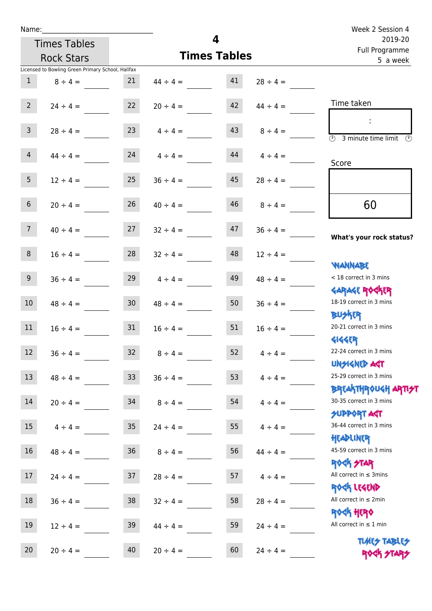r.

| Name:                                             |                 |               |                         |               | Week 2 Session 4                                                     |  |  |  |
|---------------------------------------------------|-----------------|---------------|-------------------------|---------------|----------------------------------------------------------------------|--|--|--|
| <b>Times Tables</b>                               |                 |               | $\overline{\mathbf{4}}$ |               | 2019-20                                                              |  |  |  |
| <b>Rock Stars</b>                                 |                 |               | <b>Times Tables</b>     |               | Full Programme<br>5 a week                                           |  |  |  |
| Licensed to Bowling Green Primary School, Halifax |                 |               |                         |               |                                                                      |  |  |  |
| $\mathbf{1}$<br>$8 \div 4 =$                      | 21              | $44 \div 4 =$ | 41                      | $28 \div 4 =$ |                                                                      |  |  |  |
| $2^{\circ}$<br>$24 \div 4 =$                      | 22              | $20 \div 4 =$ | 42                      | $44 \div 4 =$ | Time taken                                                           |  |  |  |
| $\mathsf{3}$<br>$28 \div 4 =$                     | 23              | $4 \div 4 =$  | 43                      | $8 \div 4 =$  | $\overline{(\mathcal{V})}$<br>3 minute time limit<br>$(\mathcal{F})$ |  |  |  |
| $\overline{4}$<br>$44 \div 4 =$                   | 24              | $4 \div 4 =$  | 44                      | $4 \div 4 =$  | Score                                                                |  |  |  |
| 5<br>$12 \div 4 =$                                | 25              | $36 \div 4 =$ | 45                      | $28 \div 4 =$ |                                                                      |  |  |  |
| $\sqrt{6}$<br>$20 \div 4 =$                       | 26              | $40 \div 4 =$ | 46                      | $8 \div 4 =$  | 60                                                                   |  |  |  |
| 7 <sup>7</sup><br>$40 \div 4 =$                   | 27              | $32 \div 4 =$ | 47                      | $36 \div 4 =$ | What's your rock status?                                             |  |  |  |
| 8<br>$16 \div 4 =$                                | 28              | $32 \div 4 =$ | 48                      | $12 \div 4 =$ | <b>NANNABE</b>                                                       |  |  |  |
| $9\,$<br>$36 \div 4 =$                            | 29              | $4 \div 4 =$  | 49                      | $48 \div 4 =$ | < 18 correct in 3 mins<br><b>GARAGE ROCKER</b>                       |  |  |  |
| 10<br>$48 \div 4 =$                               | 30 <sub>o</sub> | $48 \div 4 =$ | 50                      | $36 \div 4 =$ | 18-19 correct in 3 mins<br><b>BUSKER</b>                             |  |  |  |
| 11<br>$16 \div 4 =$                               | 31              | $16 \div 4 =$ | 51                      | $16 \div 4 =$ | 20-21 correct in 3 mins<br><b>4144ER</b>                             |  |  |  |
| 12<br>$36 \div 4 =$                               | 32 <sub>2</sub> | $8 \div 4 =$  | 52                      | $4 \div 4 =$  | 22-24 correct in 3 mins<br><b>UNSIGNED AGT</b>                       |  |  |  |
| 13<br>$48 \div 4 =$                               | 33 <sup>°</sup> | $36 \div 4 =$ | 53                      | $4 \div 4 =$  | 25-29 correct in 3 mins<br>ΒΡΓΑΚΤΗΡΟUGH ΑΡΤΙ <del>2</del> Τ          |  |  |  |
| $14\,$<br>$20 \div 4 =$                           | 34              | $8 \div 4 =$  | 54                      | $4 \div 4 =$  | 30-35 correct in 3 mins<br><b>SUPPORT AGT</b>                        |  |  |  |
| 15<br>$4 \div 4 =$                                | 35 <sub>2</sub> | $24 \div 4 =$ | 55                      | $4 \div 4 =$  | 36-44 correct in 3 mins<br>HEADLINER                                 |  |  |  |
| 16<br>$48 \div 4 =$                               | 36              | $8 \div 4 =$  | 56                      | $44 \div 4 =$ | 45-59 correct in 3 mins<br><b>ROCK STAR</b>                          |  |  |  |
| $17\,$<br>$24 \div 4 =$                           | 37              | $28 \div 4 =$ | 57                      | $4 \div 4 =$  | All correct in $\leq$ 3mins                                          |  |  |  |

18  $36 \div 4 = 38$   $32 \div 4 = 58$   $28 \div 4 =$ 

19  $12 \div 4 =$  39  $44 \div 4 =$  59  $24 \div 4 =$ 

20  $20 \div 4 =$   $40$   $20 \div 4 =$   $60$   $24 \div 4 =$ 

Rock Legend All correct in  $\leq 2$ min

Rock Hero All correct in  $\leq 1$  min

> TUMES TABLES ROCK STARS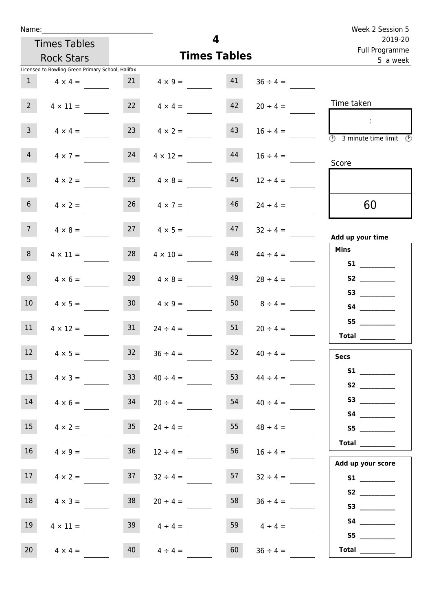| Week 2 Session 5                                                                        |               |                     |                      |                                                   |                     | Name:            |
|-----------------------------------------------------------------------------------------|---------------|---------------------|----------------------|---------------------------------------------------|---------------------|------------------|
| 2019-20<br>Full Programme                                                               |               | 4                   |                      |                                                   | <b>Times Tables</b> |                  |
| 5 a week                                                                                |               | <b>Times Tables</b> |                      |                                                   | <b>Rock Stars</b>   |                  |
|                                                                                         |               |                     |                      | Licensed to Bowling Green Primary School, Halifax |                     |                  |
| $36 \div 4 =$                                                                           |               | 41                  | $4 \times 9 =$       | 21<br>$4 \times 4 =$                              |                     | $\mathbf{1}$     |
| Time taken<br>$20 \div 4 =$                                                             |               | 42                  | $4 \times 4 =$       | 22                                                | $4 \times 11 =$     | $2^{\circ}$      |
| $\sim$<br>$16 \div 4 =$<br>$\overline{\circledcirc}$ 3 minute time limit $\circledcirc$ |               | 43                  | $4 \times 2 =$       | 23                                                | $4 \times 4 =$      | $\mathsf{3}$     |
| $16 \div 4 =$<br>Score                                                                  |               | 44                  | $4 \times 12 =$      | 24                                                | $4 \times 7 =$      | $\overline{4}$   |
| $12 \div 4 =$                                                                           |               | 45                  | $4 \times 8 =$       | 25                                                | $4 \times 2 =$      | 5 <sub>1</sub>   |
| 60<br>$24 \div 4 =$                                                                     |               | 46                  | $26 \t 4 \times 7 =$ |                                                   | $4 \times 2 =$      | 6 <sup>1</sup>   |
| $32 \div 4 =$<br>Add up your time                                                       |               | 47                  | $27 \t 4 \times 5 =$ | $4 \times 8 =$                                    |                     | 7 <sup>7</sup>   |
| <b>Mins</b><br>$44 \div 4 =$<br><b>S1 S1</b>                                            |               | 48                  | $4 \times 10 =$      | 28                                                | $4 \times 11 =$     | 8                |
| $28 \div 4 =$                                                                           |               | 49                  | $4 \times 8 =$       | 29                                                | $4 \times 6 =$      | 9                |
| S4                                                                                      | $8 \div 4 =$  | 50                  | $4 \times 9 =$       | 30 <sup>°</sup>                                   | $4 \times 5 =$      | 10 <sup>°</sup>  |
| S5<br>Total                                                                             | $20 \div 4 =$ | 51                  | $24 \div 4 =$        | 31                                                | $4 \times 12 =$     | 11               |
| $40 \div 4 =$<br><b>Secs</b>                                                            |               | 52                  | $36 \div 4 =$        | 32                                                | $4 \times 5 =$      | 12 <sup>12</sup> |
| $44 \div 4 =$<br>S2                                                                     |               | 53                  | $40 \div 4 =$        | 33                                                | $4 \times 3 =$      | 13               |
| S3<br>$40 \div 4 =$                                                                     |               | 54                  | $20 \div 4 =$        | 34                                                | $4 \times 6 =$      | 14               |
| $48 \div 4 =$<br>S5                                                                     |               | 55                  | $24 \div 4 =$        | 35                                                | $4 \times 2 =$      | 15               |
| $\begin{tabular}{c} Total \end{tabular}$                                                | $16 \div 4 =$ | 56                  | $12 \div 4 =$        | 36<br>$4 \times 9 =$                              |                     | 16               |
| Add up your score<br>$32 \div 4 =$                                                      |               | 57                  | $32 \div 4 =$        | 37                                                | $4 \times 2 =$      | 17               |
| S2<br>$36 \div 4 =$<br>S3                                                               |               | 58                  | $20 \div 4 =$        | 38                                                | $4 \times 3 =$      | 18               |
| $4 \div 4 =$<br>55                                                                      |               | 59                  | $4 \div 4 =$         | 39                                                | $4 \times 11 =$     | 19               |
| Total                                                                                   | $36 \div 4 =$ | 60                  | $4 \div 4 =$         | 40                                                | $4 \times 4 =$      | 20               |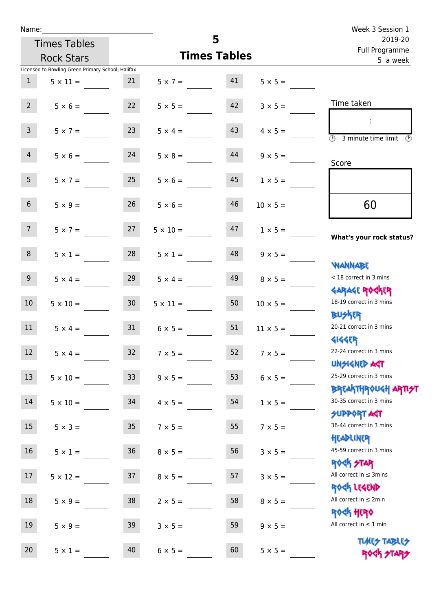| Name:           |                                                   |                 |                   |                     |                 | Week 3 Session 1                                                             |  |  |  |
|-----------------|---------------------------------------------------|-----------------|-------------------|---------------------|-----------------|------------------------------------------------------------------------------|--|--|--|
|                 | <b>Times Tables</b>                               |                 |                   | 5                   |                 | 2019-20<br>Full Programme                                                    |  |  |  |
|                 | <b>Rock Stars</b>                                 |                 |                   | <b>Times Tables</b> |                 | 5 a week                                                                     |  |  |  |
|                 | Licensed to Bowling Green Primary School, Halifax |                 |                   |                     |                 |                                                                              |  |  |  |
| 1               | $5 \times 11 =$                                   | 21              | $5 \times 7 = 41$ |                     | $5 \times 5 =$  |                                                                              |  |  |  |
| $2^{\circ}$     | $5 \times 6 =$                                    | 22              | $5 \times 5 =$    | 42                  | $3 \times 5 =$  | Time taken                                                                   |  |  |  |
| $\mathsf{3}$    | $5 \times 7 =$                                    | 23              | $5 \times 4 =$    | 43                  | $4 \times 5 =$  | $\sim$<br>$\overline{(\mathcal{V})}$<br>3 minute time limit<br>$\mathcal{O}$ |  |  |  |
| 4               | $5 \times 6 =$                                    | 24              | $5 \times 8 =$    | 44                  | $9 \times 5 =$  | Score                                                                        |  |  |  |
| 5 <sub>1</sub>  | $5 \times 7 =$                                    | 25              | $5 \times 6 =$    | 45                  | $1 \times 5 =$  |                                                                              |  |  |  |
| $6\overline{6}$ | $5 \times 9 =$                                    | 26              | $5 \times 6 =$    | 46                  | $10 \times 5 =$ | 60                                                                           |  |  |  |
| 7 <sup>7</sup>  | $5 \times 7 = 27$                                 |                 | $5 \times 10 =$   | 47                  | $1 \times 5 =$  | What's your rock status?                                                     |  |  |  |
| 8               | $5 \times 1 =$                                    | 28              | $5 \times 1 =$    | 48                  | $9 \times 5 =$  | <b>JARNARY</b>                                                               |  |  |  |
| 9 <sub>o</sub>  | $5 \times 4 =$                                    | 29              | $5 \times 4 =$    | 49                  | $8 \times 5 =$  | < 18 correct in 3 mins<br><b>GARAGE ROCKER</b>                               |  |  |  |
| 10 <sup>°</sup> | $5 \times 10 =$                                   | 30 <sup>2</sup> | $5 \times 11 =$   | 50                  | $10 \times 5 =$ | 18-19 correct in 3 mins<br><b>BU外国</b>                                       |  |  |  |
| 11              | $5 \times 4 =$                                    | 31              | $6 \times 5 =$    | 51                  | $11 \times 5 =$ | 20-21 correct in 3 mins<br><b>4144EP</b>                                     |  |  |  |
| 12 <sup>7</sup> | $5 \times 4 =$                                    | 32 <sup>°</sup> | $7 \times 5 =$    | 52                  | $7 \times 5 =$  | 22-24 correct in 3 mins<br><b>UNSIGNED AGT</b>                               |  |  |  |
| 13              | $5 \times 10 =$                                   | 33 <sup>°</sup> | $9 \times 5 =$    | 53                  | $6 \times 5 =$  | 25-29 correct in 3 mins<br><b>BREAKTHROUGH ARTI<del>S</del>T</b>             |  |  |  |
| 14              | $5 \times 10 =$                                   | 34              | $4 \times 5 =$    | 54                  | $1 \times 5 =$  | 30-35 correct in 3 mins<br>SUPPORT AGT                                       |  |  |  |
| 15              | $5 \times 3 =$                                    | 35 <sub>2</sub> | $7 \times 5 =$    | 55                  | $7 \times 5 =$  | 36-44 correct in 3 mins<br>HEADLINER                                         |  |  |  |
| 16              | $5 \times 1 =$                                    | $36\,$          | $8 \times 5 =$    | 56                  | $3 \times 5 =$  | 45-59 correct in 3 mins<br>ROCK STAR                                         |  |  |  |
| 17              | $5 \times 12 =$                                   | 37              | $8 \times 5 =$    | 57                  | $3 \times 5 =$  | All correct in $\leq$ 3mins<br>ROCK LEGEND                                   |  |  |  |
| 18              | $5 \times 9 =$                                    | 38              | $2 \times 5 =$    | 58                  | $8 \times 5 =$  | All correct in $\leq 2$ min<br><b>ROCK HERO</b>                              |  |  |  |
| 19              | $5 \times 9 =$                                    | 39              | $3 \times 5 =$    | 59                  | $9 \times 5 =$  | All correct in $\leq 1$ min                                                  |  |  |  |
| 20              | $5 \times 1 =$                                    | 40              | $6 \times 5 =$    | 60                  | $5 \times 5 =$  | <b>TUARS TABLES</b><br>ROCK STARS                                            |  |  |  |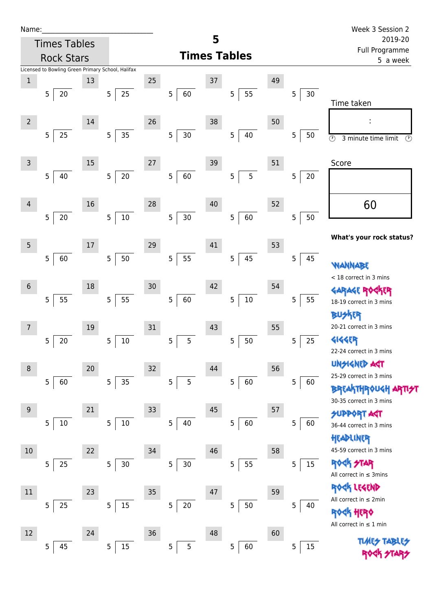| Name |  |  |  |
|------|--|--|--|
|      |  |  |  |

|                | <b>Rock Stars</b>                                 |    |                          |        |                      |    | <b>Times Tables</b> |    |                       | <u>, an i i ografilme</u><br>5 a week                                                       |
|----------------|---------------------------------------------------|----|--------------------------|--------|----------------------|----|---------------------|----|-----------------------|---------------------------------------------------------------------------------------------|
|                | Licensed to Bowling Green Primary School, Halifax |    |                          |        |                      |    |                     |    |                       |                                                                                             |
| $\mathbf 1$    | 5<br>20                                           | 13 | 25<br>5                  | 25     | 5 <sub>1</sub><br>60 | 37 | 55<br>5             | 49 | $\mathbf 5$<br>30     | Time taken                                                                                  |
| $\overline{2}$ | 25<br>5                                           | 14 | 5 <sub>1</sub><br>35     | 26     | 5 <br>$30\,$         | 38 | 5<br>40             | 50 | 5<br>$50\,$           | ÷<br>$\overline{\circlearrowright}$<br>3 minute time limit<br>$\odot$                       |
| 3              | $\overline{5}$<br>40                              | 15 | $20\,$<br>$\overline{5}$ | $27\,$ | 60<br>5              | 39 | 5<br>5              | 51 | 5<br>$20\,$           | Score                                                                                       |
| $\overline{4}$ | 5<br>$20\,$                                       | 16 | $10\,$<br>5 <sub>1</sub> | 28     | 30<br>5              | 40 | 60<br>5             | 52 | 50<br>5               | 60                                                                                          |
| 5              |                                                   | 17 |                          | 29     |                      | 41 |                     | 53 |                       | What's your rock status?                                                                    |
| $6\,$          | $\overline{5}$<br>60                              | 18 | $50\,$<br>5              | 30     | 55<br>5              | 42 | 45<br>5             | 54 | 5<br>45               | <b>WANNABE</b><br>< 18 correct in 3 mins                                                    |
| 7              | 55<br>5                                           | 19 | 55<br>5                  | 31     | 5<br>60              | 43 | $10\,$<br>5         | 55 | 5<br>55               | <b>GARAGE ROGKER</b><br>18-19 correct in 3 mins<br><b>BUSKER</b><br>20-21 correct in 3 mins |
|                | $\overline{5}$<br>$20\,$                          |    | $10\,$<br>5              |        | 5<br>$\overline{5}$  |    | 5<br>50             |    | 25<br>$\overline{5}$  | <b>4144EP</b><br>22-24 correct in 3 mins<br><b>UNSIGNED AGT</b>                             |
| $\bf 8$        | 5<br>60                                           | 20 | 5<br>35                  | 32     | 5<br>$\overline{5}$  | 44 | 5<br>60             | 56 | $\overline{5}$<br>60  | 25-29 correct in 3 mins<br>BREAKTHROUGH<br>30-35 correct in 3 mins                          |
| 9              | 5<br>$10\,$                                       | 21 | 5<br>10                  | 33     | 5<br>40              | 45 | 5<br>60             | 57 | 5<br>60               | <b>SUPPORT AGT</b><br>36-44 correct in 3 mins<br>HEADLINER                                  |
| 10             | 5<br>25                                           | 22 | 5<br>$30\,$              | 34     | 5<br>$30\,$          | 46 | 55<br>5             | 58 | 15<br>5               | 45-59 correct in 3 mins<br><b>ROCK STAR</b><br>All correct in $\leq$ 3mins                  |
| 11             | 25<br>5                                           | 23 | 5<br>$15\,$              | 35     | 5<br>$20\,$          | 47 | 5<br>50             | 59 | 5<br>40               | ROCK LEGEND<br>All correct in ≤ 2min<br><b>ROGK HERO</b>                                    |
| 12             | 45<br>5                                           | 24 | 15<br>5                  | $36\,$ | 5<br>5               | 48 | 5<br>60             | 60 | $15\,$<br>$\mathsf S$ | All correct in $\leq 1$ min<br><b>TUARS TABARS</b>                                          |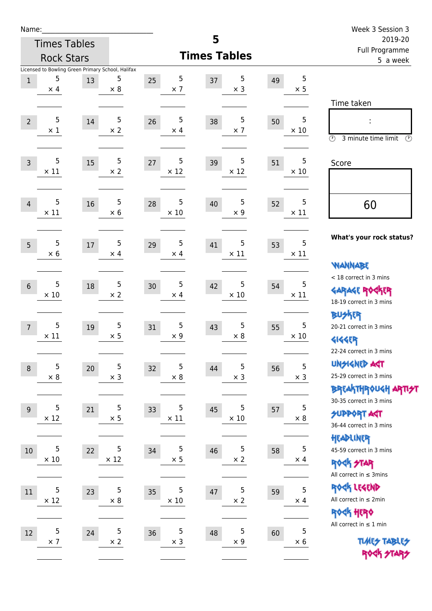| Name:            |                     |                                                         |                          |                        |                     |                        |                  | Week 3 Session 3                                                                     |
|------------------|---------------------|---------------------------------------------------------|--------------------------|------------------------|---------------------|------------------------|------------------|--------------------------------------------------------------------------------------|
|                  | <b>Times Tables</b> |                                                         |                          |                        | 5                   |                        |                  | 2019-20<br>Full Programme                                                            |
|                  | <b>Rock Stars</b>   |                                                         |                          |                        | <b>Times Tables</b> | 5 a week               |                  |                                                                                      |
| $1\,$            | 5<br>$\times$ 4     | Licensed to Bowling Green Primary School, Halifax<br>13 | 5<br>$\times$ 8          | 5<br>25<br>$\times$ 7  | 37                  | 5<br>49<br>$\times$ 3  | 5<br>$\times$ 5  | Time taken                                                                           |
| $\overline{2}$   | 5<br>$\times$ 1     | 14                                                      | $\sqrt{5}$<br>$\times$ 2 | 5<br>26<br>$\times$ 4  | 38                  | 5<br>50<br>$\times$ 7  | 5<br>$\times$ 10 | $\circled{r}$<br>3 minute time limit<br>$\circled{r}$                                |
| $\overline{3}$   | 5<br>$\times$ 11    | 15                                                      | 5<br>$\times$ 2          | 5<br>27<br>$\times$ 12 | 39                  | 5<br>51<br>$\times$ 12 | 5<br>$\times$ 10 | Score                                                                                |
| $\overline{4}$   | 5<br>$\times$ 11    | 16                                                      | 5<br>$\times$ 6          | 5<br>28<br>$\times$ 10 | 40                  | 5<br>52<br>$\times$ 9  | 5<br>$\times$ 11 | 60                                                                                   |
| 5                | 5<br>$\times$ 6     | 17                                                      | 5<br>$\times$ 4          | 5<br>29<br>$\times$ 4  | 41                  | 5<br>53<br>$\times$ 11 | 5<br>$\times$ 11 | What's your rock status?<br><b>NANNABE</b>                                           |
| $6\phantom{1}$   | 5<br>$\times 10$    | 18                                                      | 5<br>$\times 2$          | 5<br>30<br>$\times$ 4  | 42                  | 5<br>54<br>$\times$ 10 | 5<br>$\times$ 11 | < 18 correct in 3 mins<br><b>GARAGE ROCKER</b><br>18-19 correct in 3 mins            |
| $\overline{7}$   | 5<br>$\times$ 11    | 19                                                      | 5<br>$\times$ 5          | 5<br>31<br>$\times$ 9  | 43                  | 5<br>55<br>$\times$ 8  | 5<br>$\times 10$ | <b>BUSKER</b><br>20-21 correct in 3 mins<br><b>4144ER</b><br>22-24 correct in 3 mins |
| $\boldsymbol{8}$ | 5<br>$\times$ 8     | 20                                                      | 5<br>$\times$ 3          | 5<br>32<br>$\times$ 8  | 44                  | 5<br>56<br>$\times$ 3  | 5<br>$\times$ 3  | <b>UNGIGNED AST</b><br>25-29 correct in 3 mins<br>BREAKTHRÓUGH ARTI <del>2</del> 1   |
| 9                | 5<br>$\times$ 12    | 21                                                      | 5<br>$\times$ 5          | 5<br>33<br>$\times$ 11 | 45                  | 5<br>57<br>$\times$ 10 | 5<br>$\times$ 8  | 30-35 correct in 3 mins<br><b>SUPPORT ART</b><br>36-44 correct in 3 mins             |
| $10\,$           | 5<br>$\times$ 10    | 22                                                      | 5<br>$\times$ 12         | 5<br>34<br>$\times$ 5  | 46                  | 5<br>58<br>$\times$ 2  | 5<br>$\times$ 4  | HEADLINER<br>45-59 correct in 3 mins<br>ROCK STAR<br>All correct in $\leq$ 3mins     |
| 11               | 5<br>$\times$ 12    | 23                                                      | 5<br>$\times$ 8          | 5<br>35<br>$\times$ 10 | 47                  | 5<br>59<br>$\times$ 2  | 5<br>$\times$ 4  | ROCK LEGEND<br>All correct in $\leq 2$ min<br>ROCK HERO                              |
| 12               | 5<br>$\times$ 7     | 24                                                      | 5<br>$\times$ 2          | 5<br>36<br>$\times$ 3  | 48                  | 5<br>60<br>$\times$ 9  | 5<br>$\times 6$  | All correct in $\leq 1$ min<br><b>TUARS TABLES</b><br>ROCK STARS                     |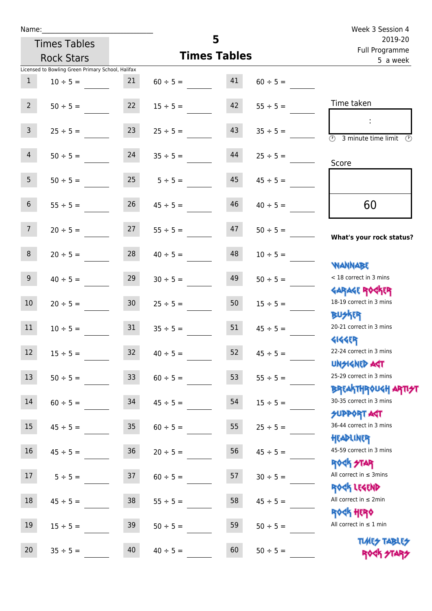| Name:           |                                                   |                 |                     |    |               | Week 3 Session 4                                                 |  |  |
|-----------------|---------------------------------------------------|-----------------|---------------------|----|---------------|------------------------------------------------------------------|--|--|
|                 | <b>Times Tables</b>                               |                 | 5                   |    |               | 2019-20<br>Full Programme                                        |  |  |
|                 | <b>Rock Stars</b>                                 |                 | <b>Times Tables</b> |    |               | 5 a week                                                         |  |  |
|                 | Licensed to Bowling Green Primary School, Halifax |                 |                     |    |               |                                                                  |  |  |
| 1               | $10 \div 5 =$                                     | 21              | $60 \div 5 =$       | 41 | $60 \div 5 =$ |                                                                  |  |  |
| $2^{\circ}$     | $50 \div 5 =$                                     | 22              | $15 \div 5 =$       | 42 | $55 \div 5 =$ | Time taken                                                       |  |  |
| 3 <sup>7</sup>  | $25 \div 5 =$                                     | 23              | $25 \div 5 =$       | 43 | $35 \div 5 =$ | $\overline{\mathcal{O}}$<br>3 minute time limit<br>$\mathcal{O}$ |  |  |
| $\overline{4}$  | $50 \div 5 =$                                     | 24              | $35 \div 5 =$       | 44 | $25 \div 5 =$ | Score                                                            |  |  |
| 5 <sup>5</sup>  | $50 \div 5 =$                                     | 25              | $5 \div 5 =$        | 45 | $45 \div 5 =$ |                                                                  |  |  |
| 6 <sup>1</sup>  | $55 \div 5 =$                                     | 26              | $45 \div 5 =$       | 46 | $40 \div 5 =$ | 60                                                               |  |  |
| 7 <sup>7</sup>  | $20 \div 5 =$                                     | 27              | $55 \div 5 =$       | 47 | $50 \div 5 =$ | What's your rock status?                                         |  |  |
| 8               | $20 \div 5 =$                                     | 28              | $40 \div 5 =$       | 48 | $10 \div 5 =$ | <b>NANNABE</b>                                                   |  |  |
| 9 <sub>o</sub>  | $40 \div 5 =$                                     | 29              | $30 \div 5 =$       | 49 | $50 \div 5 =$ | < 18 correct in 3 mins<br><b>GARAGE ROCKER</b>                   |  |  |
| 10 <sup>°</sup> | $20 \div 5 =$                                     | 30 <sub>2</sub> | $25 \div 5 =$       | 50 | $15 \div 5 =$ | 18-19 correct in 3 mins<br><b>BUSKER</b>                         |  |  |
| 11              | $10 \div 5 =$                                     | 31              | $35 \div 5 =$       | 51 | $45 \div 5 =$ | 20-21 correct in 3 mins<br><b>4144EP</b>                         |  |  |
| 12              | $15 ÷ 5 =$                                        | 32              | $40 \div 5 =$       | 52 | $45 \div 5 =$ | 22-24 correct in 3 mins<br><b>UNSIGNED AGT</b>                   |  |  |
| 13              | $50 \div 5 =$                                     | 33              | $60 \div 5 =$       | 53 | $55 \div 5 =$ | 25-29 correct in 3 mins<br><b>BREAKTHROUGH ARTI<del>S</del>T</b> |  |  |
| 14              | $60 \div 5 =$                                     | 34              | $45 \div 5 =$       | 54 | $15 ÷ 5 =$    | 30-35 correct in 3 mins<br><b>SUPPORT AGT</b>                    |  |  |
| 15              | $45 \div 5 =$                                     | 35              | $60 \div 5 =$       | 55 | $25 ÷ 5 =$    | 36-44 correct in 3 mins<br>HEADLINER                             |  |  |
| 16              | $45 \div 5 =$                                     | 36              | $20 \div 5 =$       | 56 | $45 \div 5 =$ | 45-59 correct in 3 mins<br><b>ROCK STAR</b>                      |  |  |
| 17              | $5 ÷ 5 =$                                         | 37              | $60 \div 5 =$       | 57 | $30 \div 5 =$ | All correct in $\leq$ 3mins<br>ROCK LEGEND                       |  |  |
| 18              | $45 \div 5 =$                                     | 38              | $55 \div 5 =$       | 58 | $45 \div 5 =$ | All correct in $\leq 2$ min<br><b>ROCK HERO</b>                  |  |  |
| 19              | $15 ÷ 5 =$                                        | 39              | $50 \div 5 =$       | 59 | $50 \div 5 =$ | All correct in $\leq 1$ min                                      |  |  |
| 20              | $35 ÷ 5 =$                                        | 40              | $40 \div 5 =$       | 60 | $50 \div 5 =$ | <b>TUARS TABLES</b><br>ROCK STARS                                |  |  |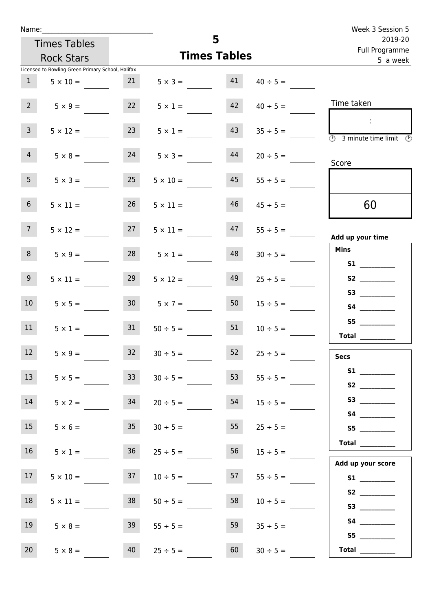| Name:           |                                                   |                 |                                |    |               | Week 3 Session 5                               |  |  |  |  |
|-----------------|---------------------------------------------------|-----------------|--------------------------------|----|---------------|------------------------------------------------|--|--|--|--|
|                 | <b>Times Tables</b>                               |                 | 5<br>2019-20<br>Full Programme |    |               |                                                |  |  |  |  |
|                 | <b>Rock Stars</b>                                 |                 | <b>Times Tables</b>            |    |               | 5 a week                                       |  |  |  |  |
|                 | Licensed to Bowling Green Primary School, Halifax |                 |                                |    |               |                                                |  |  |  |  |
| 1               | $5 \times 10 =$                                   | 21              | $5 \times 3 =$                 | 41 | $40 \div 5 =$ |                                                |  |  |  |  |
| $2^{\circ}$     | $5 \times 9 =$                                    | 22              | $5 \times 1 =$                 | 42 | $40 \div 5 =$ | Time taken                                     |  |  |  |  |
| 3 <sup>7</sup>  | $5 \times 12 =$                                   | 23              | $5 \times 1 =$                 | 43 | $35 \div 5 =$ | $\sim$<br>3 minute time limit<br>$\mathcal{O}$ |  |  |  |  |
| $\overline{4}$  | $5 \times 8 =$                                    | 24              | $5 \times 3 =$                 | 44 | $20 \div 5 =$ | Score                                          |  |  |  |  |
| 5 <sub>1</sub>  | $5 \times 3 =$                                    | 25              | $5 \times 10 =$                | 45 | $55 \div 5 =$ |                                                |  |  |  |  |
| 6 <sup>1</sup>  | $5 \times 11 =$                                   | 26              | $5 \times 11 =$                | 46 | $45 \div 5 =$ | 60                                             |  |  |  |  |
| 7 <sup>7</sup>  | $5 \times 12 =$                                   | 27              | $5 \times 11 =$                | 47 | $55 \div 5 =$ | Add up your time                               |  |  |  |  |
| 8               | $5 \times 9 =$                                    | 28              | $5 \times 1 =$                 | 48 | $30 \div 5 =$ | <b>Mins</b><br><b>S1 S1</b>                    |  |  |  |  |
| 9 <sub>o</sub>  | $5 \times 11 =$                                   | 29              | $5 \times 12 =$                | 49 | $25 \div 5 =$ |                                                |  |  |  |  |
| 10              | $5 \times 5 =$                                    | 30 <sup>1</sup> | $5 \times 7 =$                 | 50 | $15 \div 5 =$ | S3                                             |  |  |  |  |
| 11              | $5 \times 1 =$                                    | 31              | $50 \div 5 =$                  | 51 | $10 \div 5 =$ | S5<br><b>Total</b>                             |  |  |  |  |
| 12              | $5 \times 9 =$                                    | 32              | $30 \div 5 =$                  | 52 | $25 \div 5 =$ | <b>Secs</b>                                    |  |  |  |  |
| 13              | $5 \times 5 =$                                    | 33 <sup>7</sup> | $30 \div 5 =$                  | 53 | $55 \div 5 =$ | S2                                             |  |  |  |  |
| 14              | $5 \times 2 =$                                    | 34              | $20 \div 5 =$                  | 54 | $15 \div 5 =$ |                                                |  |  |  |  |
| 15              | $5 \times 6 =$                                    | 35 <sub>1</sub> | $30 \div 5 =$                  | 55 | $25 \div 5 =$ | S5                                             |  |  |  |  |
| 16              | $5 \times 1 =$                                    | 36              | $25 \div 5 =$                  | 56 | $15 \div 5 =$ | <b>Total</b><br>Add up your score              |  |  |  |  |
| 17 <sub>1</sub> | $5 \times 10 =$                                   | 37              | $10 \div 5 =$                  | 57 | $55 \div 5 =$ |                                                |  |  |  |  |
| 18              | $5 \times 11 =$                                   | 38              | $50 \div 5 =$                  | 58 | $10 \div 5 =$ |                                                |  |  |  |  |
| 19              | $5 \times 8 =$                                    | 39              | $55 \div 5 =$                  | 59 | $35 \div 5 =$ | S5                                             |  |  |  |  |
| 20 <sub>2</sub> | $5 \times 8 =$                                    | 40              | $25 \div 5 =$                  | 60 | $30 \div 5 =$ | Total $\frac{1}{1}$                            |  |  |  |  |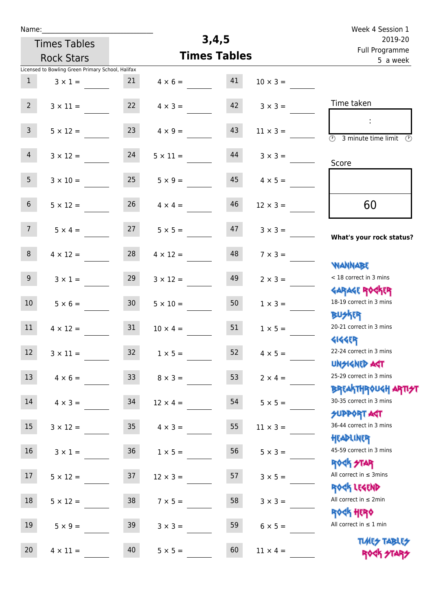| Name:           |                                                   |                 |                 |                     |                 | Week 4 Session 1                                           |  |  |  |
|-----------------|---------------------------------------------------|-----------------|-----------------|---------------------|-----------------|------------------------------------------------------------|--|--|--|
|                 | <b>Times Tables</b>                               |                 |                 | 3,4,5               |                 | 2019-20<br>Full Programme                                  |  |  |  |
|                 | <b>Rock Stars</b>                                 |                 |                 | <b>Times Tables</b> |                 | 5 a week                                                   |  |  |  |
|                 | Licensed to Bowling Green Primary School, Halifax |                 |                 |                     |                 |                                                            |  |  |  |
| $\mathbf{1}$    | $3 \times 1 =$                                    | 21              | $4 \times 6 =$  | 41                  | $10 \times 3 =$ |                                                            |  |  |  |
|                 |                                                   |                 |                 |                     |                 | Time taken                                                 |  |  |  |
| 2 <sup>7</sup>  | $3 \times 11 =$                                   | 22              | $4 \times 3 =$  | 42                  | $3 \times 3 =$  |                                                            |  |  |  |
| 3 <sup>7</sup>  | $5 \times 12 =$                                   | 23              | $4 \times 9 =$  | 43                  | $11 \times 3 =$ |                                                            |  |  |  |
|                 |                                                   |                 |                 |                     |                 | $\overline{\mathcal{O}}$<br>3 minute time limit<br>$\odot$ |  |  |  |
| $\overline{4}$  | $3 \times 12 =$                                   | 24              | $5 \times 11 =$ | 44                  | $3 \times 3 =$  |                                                            |  |  |  |
|                 |                                                   |                 |                 |                     |                 | Score                                                      |  |  |  |
| 5 <sub>1</sub>  | $3 \times 10 =$                                   | 25              | $5 \times 9 =$  | 45                  | $4 \times 5 =$  |                                                            |  |  |  |
|                 |                                                   |                 |                 |                     |                 |                                                            |  |  |  |
| 6 <sup>1</sup>  | $5 \times 12 =$                                   | 26              | $4 \times 4 =$  | 46                  | $12 \times 3 =$ | 60                                                         |  |  |  |
| 7 <sup>7</sup>  | $5 \times 4 =$                                    | 27              | $5 \times 5 =$  | 47                  | $3 \times 3 =$  |                                                            |  |  |  |
|                 |                                                   |                 |                 |                     |                 | What's your rock status?                                   |  |  |  |
| 8               | $4 \times 12 =$                                   | 28              | $4 \times 12 =$ | 48                  | $7 \times 3 =$  |                                                            |  |  |  |
|                 |                                                   |                 |                 |                     |                 | <b>NANNABE</b>                                             |  |  |  |
| 9 <sup>1</sup>  | $3 \times 1 =$                                    | 29              | $3 \times 12 =$ | 49                  | $2 \times 3 =$  | < 18 correct in 3 mins                                     |  |  |  |
|                 |                                                   |                 |                 |                     |                 | <b>GARAGE ROCKER</b>                                       |  |  |  |
| 10 <sup>°</sup> | $5 \times 6 =$                                    | 30 <sub>o</sub> | $5 \times 10 =$ | 50                  | $1 \times 3 =$  | 18-19 correct in 3 mins<br><b>BUSKER</b>                   |  |  |  |
| 11              | $4 \times 12 =$                                   | 31              | $10 \times 4 =$ | 51                  | $1 \times 5 =$  | 20-21 correct in 3 mins                                    |  |  |  |
|                 |                                                   |                 |                 |                     |                 | <b>4144EP</b>                                              |  |  |  |
| 12              | $3 \times 11 =$                                   | 32              | $1 \times 5 =$  | 52                  | $4 \times 5 =$  | 22-24 correct in 3 mins                                    |  |  |  |
|                 |                                                   |                 |                 |                     |                 | <b>UNSIGNED AST</b>                                        |  |  |  |
| 13              | $4 \times 6 =$                                    | 33              | $8 \times 3 =$  | 53                  | $2 \times 4 =$  | 25-29 correct in 3 mins                                    |  |  |  |
|                 |                                                   |                 |                 |                     |                 | <b>BREAKTHROUGH ARTI<del>S</del>T</b>                      |  |  |  |
| 14              | $4 \times 3 = 34$                                 |                 | $12 \times 4 =$ | 54                  | $5 \times 5 =$  | 30-35 correct in 3 mins                                    |  |  |  |
| $15\,$          |                                                   | 35 <sub>1</sub> |                 | 55                  |                 | <b>SUPPORT AGT</b><br>36-44 correct in 3 mins              |  |  |  |
|                 | $3 \times 12 =$                                   |                 | $4 \times 3 =$  |                     | $11 \times 3 =$ | HEADLINER                                                  |  |  |  |
| 16              | $3 \times 1 =$                                    | 36              | $1 \times 5 =$  | 56                  | $5 \times 3 =$  | 45-59 correct in 3 mins                                    |  |  |  |
|                 |                                                   |                 |                 |                     |                 | <b>ROCK STAR</b>                                           |  |  |  |
| 17 <sup>7</sup> | $5 \times 12 =$                                   | 37              | $12 \times 3 =$ | 57                  | $3 \times 5 =$  | All correct in $\leq$ 3mins                                |  |  |  |
|                 |                                                   |                 |                 |                     |                 | ROCK LEGEND                                                |  |  |  |
| 18              | $5 \times 12 =$                                   | 38              | $7 \times 5 =$  | 58                  | $3 \times 3 =$  | All correct in $\leq 2$ min                                |  |  |  |
|                 |                                                   |                 |                 |                     |                 | <b>ROGH HERO</b><br>All correct in $\leq 1$ min            |  |  |  |
| 19              | $5 \times 9 =$                                    | 39              | $3 \times 3 =$  | 59                  | $6 \times 5 =$  |                                                            |  |  |  |
| 20              | $4 \times 11 =$                                   | 40              | $5 \times 5 =$  | 60                  | $11 \times 4 =$ | <b>TUARS TABLES</b>                                        |  |  |  |
|                 |                                                   |                 |                 |                     |                 | ROCK STARS                                                 |  |  |  |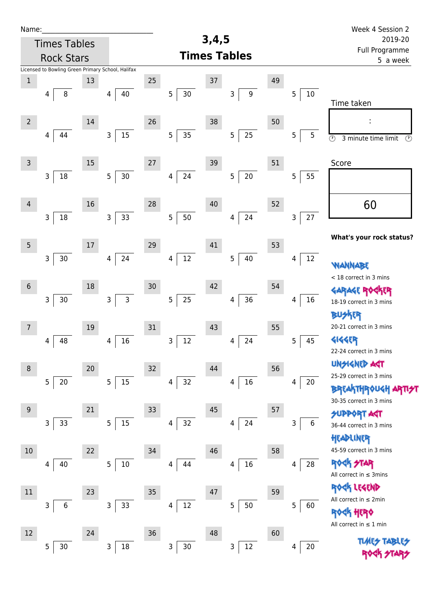| Name:           |                                                   |        |                          |    |             |       |                       |    |                        | Week 4 Session 2                                     |  |  |  |
|-----------------|---------------------------------------------------|--------|--------------------------|----|-------------|-------|-----------------------|----|------------------------|------------------------------------------------------|--|--|--|
|                 | <b>Times Tables</b>                               |        |                          |    |             | 3,4,5 |                       |    |                        | 2019-20<br>Full Programme<br>5 a week                |  |  |  |
|                 | <b>Rock Stars</b>                                 |        |                          |    |             |       | <b>Times Tables</b>   |    |                        |                                                      |  |  |  |
|                 | Licensed to Bowling Green Primary School, Halifax |        |                          |    |             |       |                       |    |                        |                                                      |  |  |  |
| $\mathbf 1$     |                                                   | 13     |                          | 25 |             | 37    |                       | 49 |                        |                                                      |  |  |  |
|                 | $\, 8$<br>4                                       |        | 40<br>4                  |    | 5<br>$30\,$ |       | $\boldsymbol{9}$<br>3 |    | 5<br>$10\,$            | Time taken                                           |  |  |  |
|                 |                                                   |        |                          |    |             |       |                       |    |                        |                                                      |  |  |  |
| $\overline{2}$  |                                                   | 14     |                          | 26 |             | 38    |                       | 50 |                        |                                                      |  |  |  |
|                 | 44<br>4                                           |        | 15<br>3                  |    | 35<br>5     |       | 25<br>$\overline{5}$  |    | 5<br>5                 | $\overline{\odot}$<br>$\odot$<br>3 minute time limit |  |  |  |
|                 |                                                   |        |                          |    |             |       |                       |    |                        |                                                      |  |  |  |
| $\mathsf{3}$    |                                                   | $15\,$ |                          | 27 |             | 39    |                       | 51 |                        | Score                                                |  |  |  |
|                 | $\mathsf{3}$<br>18                                |        | $30\,$<br>5 <sub>5</sub> |    | 24<br>4     |       | $20\,$<br>5           |    | 5<br>55                |                                                      |  |  |  |
|                 |                                                   |        |                          |    |             |       |                       |    |                        |                                                      |  |  |  |
| $\overline{4}$  |                                                   | 16     |                          | 28 |             | 40    |                       | 52 |                        | 60                                                   |  |  |  |
|                 | $\mathsf{3}$<br>18                                |        | 33<br>3                  |    | 5<br>50     |       | 24<br>4               |    | $27\,$<br>$\mathsf{3}$ |                                                      |  |  |  |
|                 |                                                   |        |                          |    |             |       |                       |    |                        | What's your rock status?                             |  |  |  |
| $5\phantom{.0}$ |                                                   | 17     |                          | 29 |             | 41    |                       | 53 |                        |                                                      |  |  |  |
|                 | $\mathsf{3}$<br>$30$                              |        | 24<br>4                  |    | 12<br>4     |       | 40<br>5               |    | $12\,$<br>4            | WANNABE                                              |  |  |  |
|                 |                                                   |        |                          |    |             |       |                       |    |                        | < 18 correct in 3 mins                               |  |  |  |
| $\sqrt{6}$      |                                                   | 18     |                          | 30 |             | 42    |                       | 54 |                        | <b>GARAGE RO</b><br><b>FR</b>                        |  |  |  |
|                 | $\mathsf 3$<br>$30\,$                             |        | $\mathsf{3}$<br>3        |    | 5<br>25     |       | 36<br>4               |    | 16<br>4                | 18-19 correct in 3 mins                              |  |  |  |
|                 |                                                   |        |                          |    |             |       |                       |    |                        | <b>BUSKER</b>                                        |  |  |  |
| $\overline{7}$  |                                                   | 19     |                          | 31 |             | 43    |                       | 55 |                        | 20-21 correct in 3 mins                              |  |  |  |
|                 | 48<br>4                                           |        | 16<br>4                  |    | $12\,$<br>3 |       | 24<br>4               |    | 45<br>5                | <b>4144ER</b>                                        |  |  |  |
|                 |                                                   |        |                          |    |             |       |                       |    |                        | 22-24 correct in 3 mins<br><b>UNSIGNED AGT</b>       |  |  |  |
| $\,8\,$         |                                                   | 20     |                          | 32 |             | 44    |                       | 56 |                        | 25-29 correct in 3 mins                              |  |  |  |
|                 | $\overline{5}$<br>$20\,$                          |        | 5 <sub>1</sub><br>15     |    | 32<br>4     |       | $16\,$<br>4           |    | 20<br>4                | <b>BREAKTHROUGH</b>                                  |  |  |  |
|                 |                                                   |        |                          |    |             |       |                       |    |                        | 30-35 correct in 3 mins                              |  |  |  |
| $9\,$           |                                                   | 21     |                          | 33 |             | 45    |                       | 57 |                        | <b>SUPPORT AGT</b>                                   |  |  |  |
|                 | 33<br>3                                           |        | 15<br>5                  |    | 32<br>4     |       | 24<br>4               |    | 6<br>3                 | 36-44 correct in 3 mins                              |  |  |  |
|                 |                                                   |        |                          |    |             |       |                       |    |                        | HEADLINER                                            |  |  |  |
| 10              |                                                   | 22     |                          | 34 |             | 46    |                       | 58 |                        | 45-59 correct in 3 mins                              |  |  |  |
|                 | 40<br>4                                           |        | 10<br>5 <sub>5</sub>     |    | 44<br>4     |       | $16\,$<br>4           |    | 28<br>4                | ROCK STAR                                            |  |  |  |
|                 |                                                   |        |                          |    |             |       |                       |    |                        | All correct in $\leq$ 3mins<br>ROCK LEGEND           |  |  |  |
| $11\,$          |                                                   | 23     |                          | 35 |             | 47    |                       | 59 |                        | All correct in $\leq 2$ min                          |  |  |  |
|                 | 3<br>6                                            |        | 33<br>3                  |    | $12\,$<br>4 |       | 50<br>5               |    | 5<br>60                | <b><htp: <="" b=""></htp:></b>                       |  |  |  |
|                 |                                                   |        |                          |    |             |       |                       |    |                        | All correct in $\leq 1$ min                          |  |  |  |
| 12              |                                                   | 24     |                          | 36 |             | 48    |                       | 60 |                        |                                                      |  |  |  |
|                 | 5<br>$30\,$                                       |        | $18\,$<br>3              |    | 3<br>$30\,$ |       | $12\,$<br>3           |    | 20<br>4                |                                                      |  |  |  |
|                 |                                                   |        |                          |    |             |       |                       |    |                        |                                                      |  |  |  |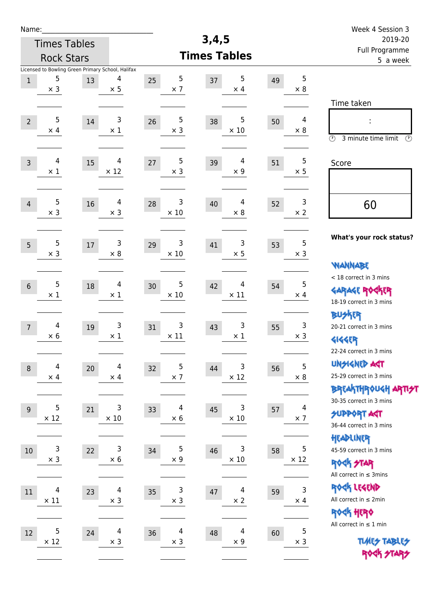| Name:                                                                                |                     |                                        |                        |                                    |    |                  | Week 4 Session 3                                                                       |  |  |
|--------------------------------------------------------------------------------------|---------------------|----------------------------------------|------------------------|------------------------------------|----|------------------|----------------------------------------------------------------------------------------|--|--|
|                                                                                      | <b>Times Tables</b> |                                        |                        | 3,4,5                              |    |                  | 2019-20                                                                                |  |  |
|                                                                                      | <b>Rock Stars</b>   |                                        |                        | <b>Times Tables</b>                |    |                  | Full Programme<br>5 a week                                                             |  |  |
| Licensed to Bowling Green Primary School, Halifax<br>5<br>$\mathbf{1}$<br>$\times$ 3 | 13                  | 4<br>$\times$ 5                        | 5<br>25<br>$\times$ 7  | 5<br>37<br>$\times$ 4              | 49 | 5<br>$\times 8$  |                                                                                        |  |  |
| 5<br>$\overline{2}$<br>$\times$ 4                                                    | 14                  | 3<br>$\times 1$                        | 5<br>26<br>$\times$ 3  | 5<br>38<br>$\times$ 10             | 50 | 4<br>$\times 8$  | Time taken<br>t,<br>$\circled{r}$<br>3 minute time limit<br>$\mathcal{O}$              |  |  |
| 4<br>$\overline{3}$<br>$\times$ 1                                                    | 15                  | 4<br>$\times$ 12                       | 5<br>27<br>$\times$ 3  | $\overline{4}$<br>39<br>$\times$ 9 | 51 | 5<br>$\times$ 5  | Score                                                                                  |  |  |
| 5<br>$\overline{4}$<br>$\times$ 3                                                    | 16                  | 4<br>$\times$ 3                        | 3<br>28<br>$\times$ 10 | 4<br>40<br>$\times 8$              | 52 | 3<br>$\times 2$  | 60                                                                                     |  |  |
| 5<br>5<br>$\times$ 3                                                                 | $17$                | 3<br>$\times 8$                        | 3<br>29<br>$\times$ 10 | 3<br>41<br>$\times$ 5              | 53 | 5<br>$\times$ 3  | What's your rock status?<br><b>WANNABE</b>                                             |  |  |
| 5<br>$6\phantom{1}$<br>$\times$ 1                                                    | 18                  | 4<br>$\times$ 1                        | 5<br>30<br>$\times$ 10 | 4<br>42<br>$\times$ 11             | 54 | 5<br>$\times$ 4  | < 18 correct in 3 mins<br><b>GARAGE ROGKER</b><br>18-19 correct in 3 mins              |  |  |
| 4<br>$\overline{7}$<br>$\times$ 6                                                    | 19                  | 3<br>$\times$ 1                        | 3<br>31<br>$\times$ 11 | 3<br>43<br>$\times$ 1              | 55 | 3<br>$\times$ 3  | <b>BUSKER</b><br>20-21 correct in 3 mins<br><b>4144EP</b><br>22-24 correct in 3 mins   |  |  |
| $\overline{\mathbf{4}}$<br>$\,8\,$<br>$\times$ 4                                     | 20                  | $\overline{\mathcal{A}}$<br>$\times$ 4 | 5<br>32<br>$\times$ 7  | 3<br>44<br>$\times$ 12             | 56 | 5<br>$\times$ 8  | <b>UNSIGNED AGT</b><br>25-29 correct in 3 mins<br>ΒΡΓΑΚΤΗΡΟUGH ΑΡΤΙ <del>2</del> Τ     |  |  |
| 5<br>$9$<br>$\times$ 12                                                              | 21                  | 3<br>$\times$ 10                       | 4<br>33<br>$\times$ 6  | 3<br>45<br>$\times$ 10             | 57 | 4<br>$\times$ 7  | 30-35 correct in 3 mins<br><b>SUPPORT ART</b><br>36-44 correct in 3 mins<br>HEADLINER  |  |  |
| 3<br>$10\,$<br>$\times$ 3                                                            | 22                  | $\mathsf 3$<br>$\times$ 6              | 5<br>34<br>$\times$ 9  | 3<br>46<br>$\times$ 10             | 58 | 5<br>$\times$ 12 | 45-59 correct in 3 mins<br><b>ROCK STAR</b><br>All correct in $\leq$ 3mins             |  |  |
| 4<br>11<br>$\times$ 11                                                               | 23                  | $\overline{4}$<br>$\times$ 3           | 3<br>35<br>$\times$ 3  | 4<br>$47\,$<br>$\times$ 2          | 59 | 3<br>$\times$ 4  | ROCK LEGEND<br>All correct in $\leq 2$ min<br>ROCK HERO<br>All correct in $\leq 1$ min |  |  |
| 5<br>12<br>$\times$ 12                                                               | 24                  | 4<br>$\times$ 3                        | 4<br>36<br>$\times$ 3  | 4<br>48<br>$\times$ 9              | 60 | 5<br>$\times$ 3  | <b>TUARS TABLES</b><br>ROCK STARS                                                      |  |  |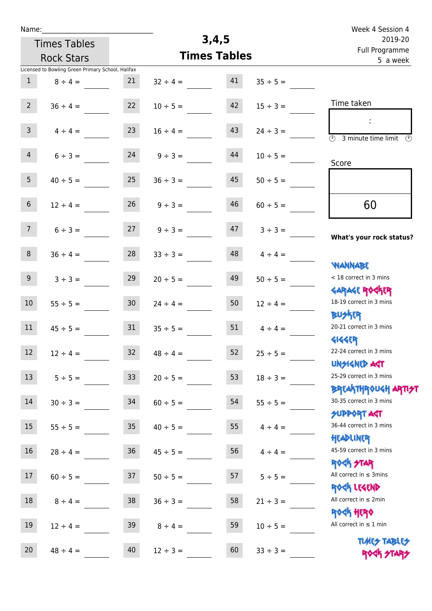| Name: |  |  |  |
|-------|--|--|--|
|       |  |  |  |

## **3,4,5**

|                 | <b>Times Tables</b>                               |                 | 3,4,5         |                     | 2019-20       |                                                                  |
|-----------------|---------------------------------------------------|-----------------|---------------|---------------------|---------------|------------------------------------------------------------------|
|                 | <b>Rock Stars</b>                                 |                 |               | <b>Times Tables</b> |               | Full Programme<br>5 a week                                       |
|                 | Licensed to Bowling Green Primary School, Halifax |                 |               |                     |               |                                                                  |
| $\mathbf{1}$    | $8 \div 4 =$                                      | 21              | $32 \div 4 =$ | 41                  | $35 \div 5 =$ |                                                                  |
| $2^{\circ}$     | $36 \div 4 =$                                     | 22              | $10 \div 5 =$ | 42                  | $15 \div 3 =$ | Time taken                                                       |
| 3 <sup>7</sup>  | $4 \div 4 =$                                      | 23              | $16 \div 4 =$ | 43                  | $24 \div 3 =$ | (1)<br>3 minute time limit<br>$\mathcal{O}$                      |
| $\overline{4}$  | $6 ÷ 3 =$                                         | 24              | $9 ÷ 3 =$     | 44                  | $10 \div 5 =$ | Score                                                            |
| 5 <sub>1</sub>  | $40 \div 5 =$                                     | 25              | $36 \div 3 =$ | 45                  | $50 \div 5 =$ |                                                                  |
| $6\,$           | $12 \div 4 =$                                     | 26              | $9 ÷ 3 =$     | 46                  | $60 \div 5 =$ | 60                                                               |
| $7\overline{ }$ | $6 ÷ 3 =$                                         | 27              | $9 ÷ 3 =$     | 47                  | $3 ÷ 3 =$     | What's your rock status?                                         |
| 8               | $36 \div 4 =$                                     | 28              | $33 \div 3 =$ | 48                  | $4 \div 4 =$  | <b>NANNABE</b>                                                   |
| 9 <sup>°</sup>  | $3 ÷ 3 =$                                         | 29              | $20 \div 5 =$ | 49                  | $50 \div 5 =$ | < 18 correct in 3 mins<br><b>GARAGE ROGKER</b>                   |
| $10\,$          | $55 \div 5 =$                                     | 30 <sub>o</sub> | $24 \div 4 =$ | 50                  | $12 \div 4 =$ | 18-19 correct in 3 mins<br><b>BUSKRR</b>                         |
| 11              | $45 \div 5 =$                                     | 31              | $35 \div 5 =$ | 51                  | $4 \div 4 =$  | 20-21 correct in 3 mins<br><b>4144EP</b>                         |
| 12              | $12 \div 4 =$                                     | 32              | $48 \div 4 =$ | 52                  | $25 \div 5 =$ | 22-24 correct in 3 mins<br><b>UNSIGNED AST</b>                   |
| 13              | $5 \div 5 =$                                      | 33              | $20 \div 5 =$ | 53                  | $18 \div 3 =$ | 25-29 correct in 3 mins<br><b>BREAKTHROUGH ARTI<del>S</del>T</b> |
| $14\,$          | $30 \div 3 =$                                     | 34              | $60 \div 5 =$ | 54                  | $55 \div 5 =$ | 30-35 correct in 3 mins<br><b>SUPPORT AGT</b>                    |
| 15              | $55 \div 5 =$                                     | 35 <sub>2</sub> | $40 \div 5 =$ | 55                  | $4 \div 4 =$  | 36-44 correct in 3 mins<br>HEADLINER                             |
| 16              | $28 \div 4 =$                                     | 36              | $45 \div 5 =$ | 56                  | $4 \div 4 =$  | 45-59 correct in 3 mins<br><b>ROCK STAR</b>                      |
| 17              | $60 \div 5 =$                                     | 37              | $50 \div 5 =$ | 57                  | $5 ÷ 5 =$     | All correct in $\leq$ 3mins<br>ROCK LEGEND                       |
| 18              | $8 \div 4 =$                                      | 38              | $36 \div 3 =$ | 58                  | $21 \div 3 =$ | All correct in $\leq 2$ min<br><b>ROGH HERO</b>                  |
| 19              | $12 \div 4 =$                                     | 39              | $8 \div 4 =$  | 59                  | $10 \div 5 =$ | All correct in $\leq 1$ min<br><b>TUARS TABLES</b>               |
| 20              | $48 \div 4 =$                                     | 40              | $12 \div 3 =$ | 60                  | $33 \div 3 =$ | ROCK STARS                                                       |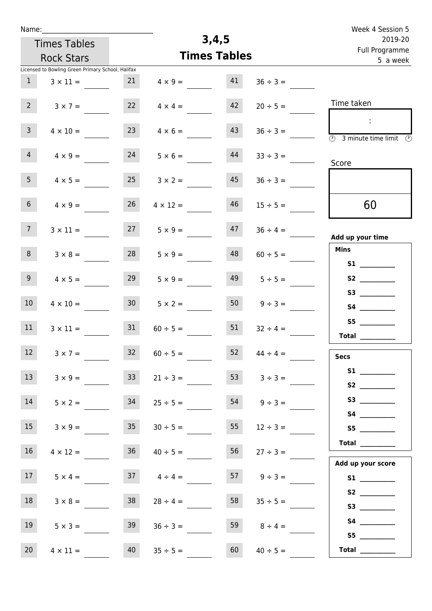| Week 4 Session 5                                                                     |                    |       |                     |                 |                                                   | Name:           |
|--------------------------------------------------------------------------------------|--------------------|-------|---------------------|-----------------|---------------------------------------------------|-----------------|
| 2019-20<br>Full Programme                                                            |                    | 3,4,5 |                     |                 | <b>Times Tables</b>                               |                 |
| 5 a week                                                                             |                    |       | <b>Times Tables</b> |                 | <b>Rock Stars</b>                                 |                 |
|                                                                                      |                    |       |                     |                 | Licensed to Bowling Green Primary School, Halifax |                 |
|                                                                                      | $36 \div 3 =$      | 41    | $4 \times 9 =$      | 21              | $3 \times 11 =$                                   | $\mathbf{1}$    |
| Time taken                                                                           | $20 \div 5 =$      | 42    | $4 \times 4 =$      | 22              | $3 \times 7 =$                                    | 2 <sup>7</sup>  |
| $\ddot{\phantom{a}}$<br>$\overline{\circledcirc}$ 3 minute time limit $\circledcirc$ | $36 \div 3 =$      | 43    | $4 \times 6 =$      | 23              | $4 \times 10 =$                                   | 3 <sup>7</sup>  |
| Score                                                                                | $33 \div 3 =$      | 44    | $5 \times 6 =$      | 24              | $4 \times 9 =$                                    | 4 <sup>1</sup>  |
|                                                                                      | $36 \div 3 =$      | 45    | $3 \times 2 =$      | 25              | $4 \times 5 =$                                    | 5 <sub>1</sub>  |
| 60                                                                                   | $15 \div 5 =$      | 46    | $4 \times 12 =$     | 26              | $4 \times 9 =$                                    | 6 <sup>1</sup>  |
| Add up your time                                                                     | $36 \div 4 =$      | 47    | $5 \times 9 =$      | 27              | $3 \times 11 =$                                   | 7 <sup>7</sup>  |
| <b>Mins</b>                                                                          | $60 \div 5 =$      | 48    | $5 \times 9 =$      | 28              | $3 \times 8 =$                                    | 8               |
| S2                                                                                   | $5 \div 5 =$       | 49    | $5 \times 9 =$      | 29              | $4 \times 5 =$                                    | 9               |
|                                                                                      | $9 \div 3 =$       | 50    | $5 \times 2 =$      | 30 <sub>2</sub> | $4 \times 10 =$                                   | 10 <sub>1</sub> |
| S5<br>Total $\qquad$                                                                 | $32 \div 4 =$      | 51    | $60 \div 5 =$       | 31              | $3 \times 11 =$                                   | 11              |
| <b>Secs</b>                                                                          | $44 \div 4 =$      | 52    | $60 \div 5 =$       | 32              | $3 \times 7 =$                                    | 12              |
| S1<br>S2                                                                             | $3 \div 3 =$       | 53    | $21 \div 3 =$       | 33 <sup>2</sup> | $3 \times 9 =$                                    | 13              |
|                                                                                      | $54 \t 9 \div 3 =$ |       | $25 \div 5 =$       | 34              | $5 \times 2 =$                                    | 14              |
| 55                                                                                   | $12 \div 3 =$      | 55    | $30 \div 5 =$       | 35              | $3 \times 9 =$                                    | 15              |
| Total<br>Add up your score                                                           | $27 \div 3 =$      | 56    | $40 \div 5 =$       | 36              | $4 \times 12 =$                                   | 16 <sup>1</sup> |
|                                                                                      | $9 \div 3 =$       |       | $37 \t 4 \div 4 =$  |                 | $5 \times 4 =$                                    | 17              |
|                                                                                      | $35 \div 5 =$      | 58    | $28 \div 4 =$       | 38              | $3 \times 8 =$                                    | 18              |
| S5                                                                                   | $8 \div 4 =$       | 59    | $36 \div 3 =$       | 39              | $5 \times 3 =$                                    | 19              |
| $\begin{tabular}{c} Total \end{tabular}$                                             | $40 \div 5 =$      | 60    | $35 \div 5 =$       | 40              | $4 \times 11 =$                                   | 20              |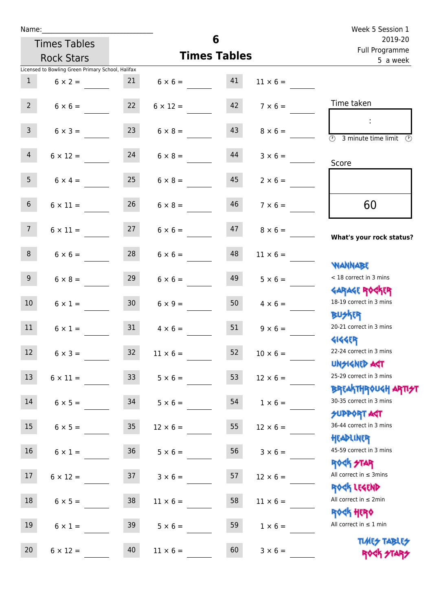| Name:           |                                                   |                 |                                   |                     |                 | Week 5 Session 1                                                 |  |  |
|-----------------|---------------------------------------------------|-----------------|-----------------------------------|---------------------|-----------------|------------------------------------------------------------------|--|--|
|                 | <b>Times Tables</b>                               |                 |                                   | 6                   |                 | 2019-20<br>Full Programme                                        |  |  |
|                 | <b>Rock Stars</b>                                 |                 |                                   | <b>Times Tables</b> |                 | 5 a week                                                         |  |  |
|                 | Licensed to Bowling Green Primary School, Halifax |                 |                                   |                     |                 |                                                                  |  |  |
| 1               | $6 \times 2 =$                                    | 21              | $6 \times 6 = 41$                 |                     | $11 \times 6 =$ |                                                                  |  |  |
| $2^{\circ}$     | $6 \times 6 = 22$                                 |                 | $6 \times 12 =$                   | 42                  | $7 \times 6 =$  | Time taken                                                       |  |  |
| 3 <sup>7</sup>  | $6 \times 3 =$                                    | 23              | $6 \times 8 =$                    | 43                  | $8 \times 6 =$  | $\overline{\bigcirc}$ 3 minute time limit                        |  |  |
| $\overline{4}$  | $6 \times 12 = 24$                                |                 | $6 \times 8 =$                    | 44                  | $3 \times 6 =$  | Score                                                            |  |  |
| 5 <sub>1</sub>  | $6 \times 4 =$                                    | 25              | $6 \times 8 =$                    | 45                  | $2 \times 6 =$  |                                                                  |  |  |
| 6 <sup>1</sup>  | $6 \times 11 =$                                   | 26              | $6 \times 8 =$                    | 46                  | $7 \times 6 =$  | 60                                                               |  |  |
| 7 <sup>7</sup>  |                                                   |                 | $6 \times 11 = 27$ $6 \times 6 =$ | 47                  | $8 \times 6 =$  | What's your rock status?                                         |  |  |
| 8               | $6 \times 6 =$                                    | 28              | $6 \times 6 =$                    | 48                  | $11 \times 6 =$ | <b>NANNABE</b>                                                   |  |  |
| 9 <sub>o</sub>  | $6 \times 8 =$                                    | 29              | $6 \times 6 =$                    | 49                  | $5 \times 6 =$  | < 18 correct in 3 mins<br><b>GARAGE ROCKER</b>                   |  |  |
| 10 <sup>°</sup> | $6 \times 1 =$                                    | 30 <sub>o</sub> | $6 \times 9 =$                    | 50                  | $4 \times 6 =$  | 18-19 correct in 3 mins<br><b>BUSKER</b>                         |  |  |
| 11              | $6 \times 1 =$                                    | 31              | $4 \times 6 =$                    | 51                  | $9 \times 6 =$  | 20-21 correct in 3 mins<br><b>4144ER</b>                         |  |  |
| 12              | $6 \times 3 =$                                    | 32              | $11 \times 6 =$                   | 52                  | $10 \times 6 =$ | 22-24 correct in 3 mins<br><b>UNSIGNED AST</b>                   |  |  |
| 13              | $6 \times 11 =$                                   | 33 <sup>°</sup> | $5 \times 6 =$                    | 53                  | $12 \times 6 =$ | 25-29 correct in 3 mins<br><b>BREAKTHROUGH ARTI<del>S</del>T</b> |  |  |
| 14              | $6 \times 5 =$                                    | 34              | $5 \times 6 =$                    | 54                  | $1 \times 6 =$  | 30-35 correct in 3 mins<br><b>SUPPORT AGT</b>                    |  |  |
| 15              | $6 \times 5 =$                                    | 35              | $12 \times 6 =$                   | 55                  | $12 \times 6 =$ | 36-44 correct in 3 mins<br>HEADLINER                             |  |  |
| 16 <sup>1</sup> | $6 \times 1 =$                                    | 36              | $5 \times 6 =$                    | 56                  | $3 \times 6 =$  | 45-59 correct in 3 mins<br><b>ROCK STAR</b>                      |  |  |
| 17              | $6 \times 12 =$                                   | 37              | $3 \times 6 =$                    | 57                  | $12 \times 6 =$ | All correct in $\leq$ 3mins<br>ROCK LEGEND                       |  |  |
| 18              | $6 \times 5 =$                                    | 38              | $11 \times 6 =$                   | 58                  | $11 \times 6 =$ | All correct in $\leq 2$ min<br><b>ROCK HERO</b>                  |  |  |
| 19              | $6 \times 1 =$                                    | 39              | $5 \times 6 =$                    | 59                  | $1 \times 6 =$  | All correct in $\leq 1$ min                                      |  |  |
| 20              | $6 \times 12 =$                                   | 40              | $11 \times 6 =$                   | 60                  | $3 \times 6 =$  | <b>TUARS TABLES</b><br>ROCK STARS                                |  |  |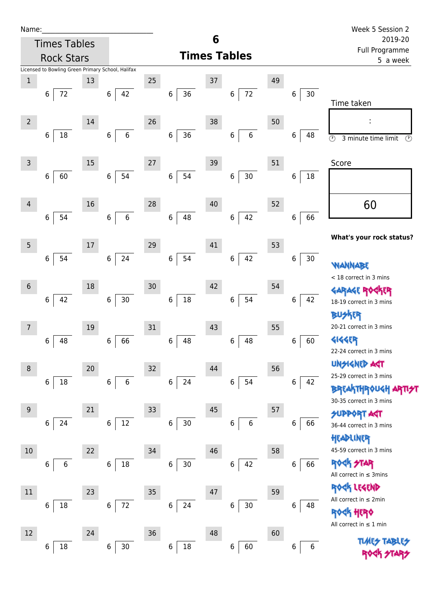| Name |  |  |  |
|------|--|--|--|
|      |  |  |  |

| Name:           |   |                     |                                                   |             |             |        |                  |        |                     |   |         |    |         |    | Week 5 Session 2                                |
|-----------------|---|---------------------|---------------------------------------------------|-------------|-------------|--------|------------------|--------|---------------------|---|---------|----|---------|----|-------------------------------------------------|
|                 |   | <b>Times Tables</b> |                                                   |             |             |        |                  |        | 6                   |   |         |    |         |    | 2019-20<br>Full Programme                       |
|                 |   | <b>Rock Stars</b>   |                                                   |             |             |        |                  |        | <b>Times Tables</b> |   |         |    |         |    | 5 a week                                        |
| $\mathbf 1$     |   |                     | Licensed to Bowling Green Primary School, Halifax |             |             | 25     |                  |        | 37                  |   |         | 49 |         |    |                                                 |
|                 | 6 | 72                  | 13                                                | $\,6\,$     | 42          |        | 6                | 36     |                     | 6 | 72      |    | 6       | 30 |                                                 |
|                 |   |                     |                                                   |             |             |        |                  |        |                     |   |         |    |         |    | Time taken                                      |
|                 |   |                     |                                                   |             |             |        |                  |        |                     |   |         |    |         |    |                                                 |
| $\overline{2}$  |   |                     | 14                                                |             |             | 26     |                  |        | 38                  |   |         | 50 |         |    |                                                 |
|                 | 6 | 18                  |                                                   | 6           | $\,6\,$     |        | 6                | $36\,$ |                     | 6 | $\,6\,$ |    | 6       | 48 | $\odot$<br>3 minute time limit<br>$\circled{r}$ |
|                 |   |                     |                                                   |             |             |        |                  |        |                     |   |         |    |         |    |                                                 |
| $\overline{3}$  |   |                     | 15                                                |             |             | $27\,$ |                  |        | 39                  |   |         | 51 |         |    | Score                                           |
|                 | 6 | 60                  |                                                   | $\,$ 6 $\,$ | 54          |        | $\,$ 6 $\,$      | 54     |                     | 6 | $30\,$  |    | 6       | 18 |                                                 |
|                 |   |                     |                                                   |             |             |        |                  |        |                     |   |         |    |         |    |                                                 |
| 4               |   |                     | 16                                                |             |             | 28     |                  |        | 40                  |   |         | 52 |         |    | 60                                              |
|                 | 6 | 54                  |                                                   | $\,6\,$     | $\,$ 6 $\,$ |        | $\,6\,$          | 48     |                     | 6 | 42      |    | $\bf 6$ | 66 |                                                 |
|                 |   |                     |                                                   |             |             |        |                  |        |                     |   |         |    |         |    | What's your rock status?                        |
| $5\phantom{.0}$ |   |                     | 17                                                |             |             | 29     |                  |        | 41                  |   |         | 53 |         |    |                                                 |
|                 | 6 | 54                  |                                                   | $\,$ 6 $\,$ | 24          |        | $\,$ 6 $\,$      | 54     |                     | 6 | 42      |    | $\,6$   | 30 | WANNABE                                         |
|                 |   |                     |                                                   |             |             |        |                  |        |                     |   |         |    |         |    | < 18 correct in 3 mins                          |
| $6\phantom{1}$  |   |                     | 18                                                |             |             | 30     |                  |        | 42                  |   |         | 54 |         |    | <b>GARAGE RO</b>                                |
|                 | 6 | 42                  |                                                   | $\,6\,$     | $30\,$      |        | 6                | $18\,$ |                     | 6 | 54      |    | 6       | 42 | 18-19 correct in 3 mins                         |
|                 |   |                     |                                                   |             |             |        |                  |        |                     |   |         |    |         |    | <b>BUSKER</b>                                   |
| 7               |   |                     | 19                                                |             |             | 31     |                  |        | 43                  |   |         | 55 |         |    | 20-21 correct in 3 mins                         |
|                 | 6 | 48                  |                                                   | $\,6$       | 66          |        | 6                | 48     |                     | 6 | 48      |    | 6       | 60 | <b>4144EP</b>                                   |
|                 |   |                     |                                                   |             |             |        |                  |        |                     |   |         |    |         |    | 22-24 correct in 3 mins                         |
| 8               |   |                     | 20                                                |             |             | 32     |                  |        | 44                  |   |         | 56 |         |    | <b>UNSIGNED ART</b>                             |
|                 | 6 | $18\,$              |                                                   | $\,6$       | $\,$ 6 $\,$ |        | $\boldsymbol{6}$ | 24     |                     | 6 | 54      |    | 6       | 42 | 25-29 correct in 3 mins                         |
|                 |   |                     |                                                   |             |             |        |                  |        |                     |   |         |    |         |    | <b>BREAKTHROUGH</b><br>30-35 correct in 3 mins  |
| 9               |   |                     | 21                                                |             |             | 33     |                  |        | 45                  |   |         | 57 |         |    | <b>SUPPORT AGT</b>                              |
|                 | 6 | 24                  |                                                   | $\,$ 6 $\,$ | $12\,$      |        | $\,6\,$          | $30$   |                     | 6 | 6       |    | 6       | 66 | 36-44 correct in 3 mins                         |
|                 |   |                     |                                                   |             |             |        |                  |        |                     |   |         |    |         |    | HEADLINER                                       |
| $10\,$          |   |                     | 22                                                |             |             | 34     |                  |        | 46                  |   |         | 58 |         |    | 45-59 correct in 3 mins                         |
|                 | 6 | 6                   |                                                   | 6           | 18          |        | 6                | $30\,$ |                     | 6 | 42      |    | 6       | 66 | ROCK STAR                                       |
|                 |   |                     |                                                   |             |             |        |                  |        |                     |   |         |    |         |    | All correct in $\leq$ 3mins                     |
| 11              |   |                     | 23                                                |             |             | 35     |                  |        | 47                  |   |         | 59 |         |    | ROCK LEGEND                                     |
|                 | 6 | $18\,$              |                                                   | $\,6\,$     | 72          |        | 6                | 24     |                     | 6 | $30\,$  |    | 6       | 48 | All correct in ≤ 2min                           |
|                 |   |                     |                                                   |             |             |        |                  |        |                     |   |         |    |         |    | 外 代內                                            |
| 12              |   |                     | 24                                                |             |             | 36     |                  |        | 48                  |   |         | 60 |         |    | All correct in $\leq 1$ min                     |
|                 | 6 | 18                  |                                                   | $\,$ 6 $\,$ | $30\,$      |        | 6                | $18\,$ |                     | 6 | 60      |    | 6       | 6  | <b>TLARS</b>                                    |
|                 |   |                     |                                                   |             |             |        |                  |        |                     |   |         |    |         |    |                                                 |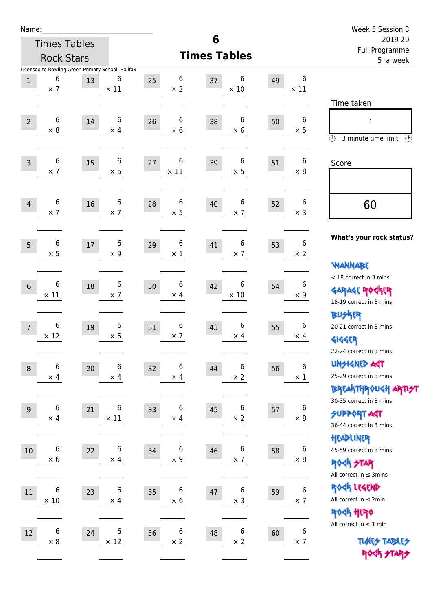| am<br>u |  |  |  |  |  |
|---------|--|--|--|--|--|
|---------|--|--|--|--|--|

|                  | <b>Times Tables</b>                               |        |                  |    |             | 6                   |                  |    |                  | 2019-20                                               |
|------------------|---------------------------------------------------|--------|------------------|----|-------------|---------------------|------------------|----|------------------|-------------------------------------------------------|
|                  | <b>Rock Stars</b>                                 |        |                  |    |             | <b>Times Tables</b> |                  |    |                  | Full Programme<br>5 a week                            |
|                  | Licensed to Bowling Green Primary School, Halifax |        |                  |    |             |                     |                  |    |                  |                                                       |
| $\,1$            | 6                                                 | 13     | 6<br>$\times$ 11 | 25 | 6           | 37                  | 6<br>$\times$ 10 | 49 | 6<br>$\times$ 11 |                                                       |
|                  | $\times$ 7                                        |        |                  |    | $\times 2$  |                     |                  |    |                  |                                                       |
|                  |                                                   |        |                  |    |             |                     |                  |    |                  | Time taken                                            |
| $\overline{2}$   | 6                                                 | 14     | 6                | 26 | 6           | 38                  | 6                | 50 | 6                |                                                       |
|                  | $\times$ 8                                        |        | $\times$ 4       |    | $\times$ 6  |                     | $\times 6$       |    | $\times$ 5       | $\circled{r}$<br>3 minute time limit<br>$\mathcal{O}$ |
|                  |                                                   |        |                  |    |             |                     |                  |    |                  |                                                       |
| $\overline{3}$   | 6                                                 | 15     | 6                | 27 | 6           | 39                  | 6                | 51 | 6                | Score                                                 |
|                  | $\times$ 7                                        |        | $\times$ 5       |    | $\times$ 11 |                     | $\times$ 5       |    | $\times 8$       |                                                       |
|                  |                                                   |        |                  |    |             |                     |                  |    |                  |                                                       |
| $\overline{4}$   | 6                                                 | 16     | 6                | 28 | 6           | 40                  | 6                | 52 | 6                | 60                                                    |
|                  | $\times$ 7                                        |        | $\times$ 7       |    | $\times$ 5  |                     | $\times$ 7       |    | $\times$ 3       |                                                       |
|                  |                                                   |        |                  |    |             |                     |                  |    |                  | What's your rock status?                              |
| 5                | 6                                                 | $17\,$ | 6                | 29 | 6           | 41                  | 6                | 53 | 6                |                                                       |
|                  | $\times$ 5                                        |        | $\times$ 9       |    | $\times$ 1  |                     | $\times$ 7       |    | $\times 2$       | <b>NANNABE</b>                                        |
|                  |                                                   |        |                  |    |             |                     |                  |    |                  | < 18 correct in 3 mins                                |
| $6\,$            | 6                                                 | 18     | 6                | 30 | 6           | 42                  | 6                | 54 | 6                | <b>GARAGE ROCKER</b>                                  |
|                  | $\times$ 11                                       |        | $\times$ 7       |    | $\times$ 4  |                     | $\times$ 10      |    | $\times 9$       | 18-19 correct in 3 mins                               |
|                  |                                                   |        |                  |    |             |                     |                  |    |                  | <b>BUSKER</b>                                         |
| $\overline{7}$   | 6                                                 | 19     | 6                | 31 | 6           | 43                  | 6                | 55 | 6                | 20-21 correct in 3 mins                               |
|                  | $\times$ 12                                       |        | $\times$ 5       |    | $\times$ 7  |                     | $\times$ 4       |    | $\times$ 4       | <b>4144EP</b>                                         |
|                  |                                                   |        |                  |    |             |                     |                  |    |                  | 22-24 correct in 3 mins                               |
| $\, 8$           | 6                                                 | 20     | 6                | 32 | 6           | 44                  | 6                | 56 | 6                | <b>UNGIGNED AST</b>                                   |
|                  | $\times$ 4                                        |        | $\times$ 4       |    | $\times$ 4  |                     | $\times$ 2       |    | $\times$ 1       | 25-29 correct in 3 mins                               |
|                  |                                                   |        |                  |    |             |                     |                  |    |                  | <b>BREAKTHROUGH ARTI<del>S</del>T</b>                 |
| $\boldsymbol{9}$ | 6                                                 | 21     | 6                | 33 | 6           | 45                  | 6                | 57 | 6                | 30-35 correct in 3 mins                               |
|                  | $\times$ 4                                        |        | $\times$ 11      |    | $\times$ 4  |                     | $\times$ 2       |    | $\times$ 8       | <b>SUPPORT ART</b><br>36-44 correct in 3 mins         |
|                  |                                                   |        |                  |    |             |                     |                  |    |                  | HEADLINER                                             |
| $10\,$           | 6                                                 | 22     | $\,6\,$          | 34 | 6           | 46                  | 6                | 58 | 6                | 45-59 correct in 3 mins                               |
|                  | $\times$ 6                                        |        | $\times$ 4       |    | $\times$ 9  |                     | $\times$ 7       |    | $\times 8$       | <b>ROCK STAR</b>                                      |
|                  |                                                   |        |                  |    |             |                     |                  |    |                  | All correct in $\leq$ 3mins                           |
| 11               | 6                                                 | 23     | 6                | 35 | 6           | 47                  | 6                | 59 | $\bf 6$          | ROCK LEGEND                                           |
|                  | $\times$ 10                                       |        | $\times$ 4       |    | $\times$ 6  |                     | $\times$ 3       |    | $\times$ 7       | All correct in $\leq 2$ min                           |
|                  |                                                   |        |                  |    |             |                     |                  |    |                  | ROCK HERO                                             |
|                  | 6                                                 |        | 6                |    | 6           |                     | 6                |    | 6                | All correct in $\leq 1$ min                           |
| 12               | $\times 8$                                        | 24     | $\times$ 12      | 36 | $\times$ 2  | 48                  | $\times$ 2       | 60 | $\times$ 7       | <b>TUARS TABLES</b>                                   |
|                  |                                                   |        |                  |    |             |                     |                  |    |                  | ROCK STARS                                            |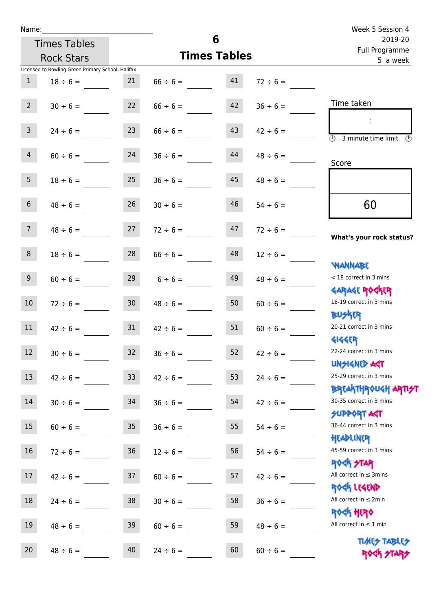| Name:           |                                                   |                 |                    |                     |               | Week 5 Session 4                               |  |  |
|-----------------|---------------------------------------------------|-----------------|--------------------|---------------------|---------------|------------------------------------------------|--|--|
|                 | <b>Times Tables</b>                               |                 |                    | 6                   |               | 2019-20<br>Full Programme                      |  |  |
|                 | <b>Rock Stars</b>                                 |                 |                    | <b>Times Tables</b> |               | 5 a week                                       |  |  |
|                 | Licensed to Bowling Green Primary School, Halifax |                 |                    |                     |               |                                                |  |  |
| $\mathbf{1}$    | $18 \div 6 =$                                     | 21              | $66 \div 6 =$      | 41                  | $72 \div 6 =$ |                                                |  |  |
| 2 <sup>1</sup>  | $30 \div 6 =$                                     | 22              | $66 \div 6 =$      | 42                  | $36 \div 6 =$ | Time taken                                     |  |  |
|                 |                                                   |                 |                    |                     |               |                                                |  |  |
| 3 <sup>7</sup>  | $24 \div 6 =$                                     | 23              | $66 \div 6 =$      | 43                  | $42 \div 6 =$ |                                                |  |  |
|                 |                                                   |                 |                    |                     |               | 3 minute time limit                            |  |  |
| $\overline{4}$  | $60 \div 6 =$                                     | 24              | $36 \div 6 =$      | 44                  | $48 \div 6 =$ |                                                |  |  |
|                 |                                                   |                 |                    |                     |               | Score                                          |  |  |
| 5 <sub>1</sub>  | $18 \div 6 =$                                     | 25              | $36 \div 6 =$      | 45                  | $48 \div 6 =$ |                                                |  |  |
|                 |                                                   |                 |                    |                     |               |                                                |  |  |
| 6 <sup>1</sup>  | $48 \div 6 =$                                     | 26              | $30 \div 6 =$      | 46                  | $54 \div 6 =$ | 60                                             |  |  |
| 7 <sup>7</sup>  | $48 \div 6 =$                                     | 27              | $72 \div 6 =$      | 47                  | $72 \div 6 =$ |                                                |  |  |
|                 |                                                   |                 |                    |                     |               | What's your rock status?                       |  |  |
| 8               | $18 \div 6 =$                                     | 28              | $66 \div 6 =$      | 48                  | $12 \div 6 =$ |                                                |  |  |
|                 |                                                   |                 |                    |                     |               | <b>NANNABE</b>                                 |  |  |
| 9 <sub>o</sub>  | $60 \div 6 =$                                     |                 | $29 \t 6 \div 6 =$ | 49                  | $48 \div 6 =$ | < 18 correct in 3 mins                         |  |  |
|                 |                                                   |                 |                    |                     |               | <b>GARAGE ROCKER</b>                           |  |  |
| 10 <sup>°</sup> | $72 \div 6 =$                                     | 30 <sup>°</sup> | $48 \div 6 =$      | 50                  | $60 \div 6 =$ | 18-19 correct in 3 mins                        |  |  |
|                 |                                                   |                 |                    |                     |               | <b>BUSKER</b>                                  |  |  |
| 11              | $42 \div 6 =$                                     | 31              | $42 \div 6 =$      | 51                  | $60 \div 6 =$ | 20-21 correct in 3 mins                        |  |  |
|                 |                                                   |                 |                    |                     |               | <b>4144EP</b>                                  |  |  |
| 12              | $30 \div 6 =$                                     | 32              | $36 \div 6 =$      | 52                  | $42 \div 6 =$ | 22-24 correct in 3 mins                        |  |  |
|                 |                                                   |                 |                    |                     |               | <b>UNSIGNED AGT</b><br>25-29 correct in 3 mins |  |  |
| 13              | $42 \div 6 =$                                     | 33 <sup>°</sup> | $42 \div 6 =$      | 53                  | $24 \div 6 =$ | <b>BREAKTHROUGH ARTH</b>                       |  |  |
| 14              | $30 \div 6 =$                                     | 34              | $36 \div 6 =$      | 54                  | $42 \div 6 =$ | 30-35 correct in 3 mins                        |  |  |
|                 |                                                   |                 |                    |                     |               | <b>SUPPORT AGT</b>                             |  |  |
| 15              | $60 \div 6 =$                                     | 35 <sub>o</sub> | $36 \div 6 =$      | 55                  | $54 \div 6 =$ | 36-44 correct in 3 mins                        |  |  |
|                 |                                                   |                 |                    |                     |               | HEADLINER                                      |  |  |
| 16              | $72 \div 6 =$                                     | 36              | $12 \div 6 =$      | 56                  | $54 \div 6 =$ | 45-59 correct in 3 mins                        |  |  |
|                 |                                                   |                 |                    |                     |               | <b>ROCK STAR</b>                               |  |  |
| 17              | $42 \div 6 =$                                     | 37              | $60 \div 6 =$      | 57                  | $42 \div 6 =$ | All correct in $\leq$ 3mins                    |  |  |
|                 |                                                   |                 |                    |                     |               | ROCK LEGEND                                    |  |  |
| 18              | $24 \div 6 =$                                     | 38              | $30 \div 6 =$      | 58                  | $36 \div 6 =$ | All correct in $\leq 2$ min                    |  |  |
|                 |                                                   |                 |                    |                     |               | ROCK HERO                                      |  |  |
| 19              | $48 \div 6 =$                                     | 39              | $60 \div 6 =$      | 59                  | $48 \div 6 =$ | All correct in $\leq 1$ min                    |  |  |

20  $48 \div 6 =$   $40 \overline{)24 \div 6} =$   $60 \overline{)60 \div 6} =$ 

**TIMES TABLES** ROCK STARS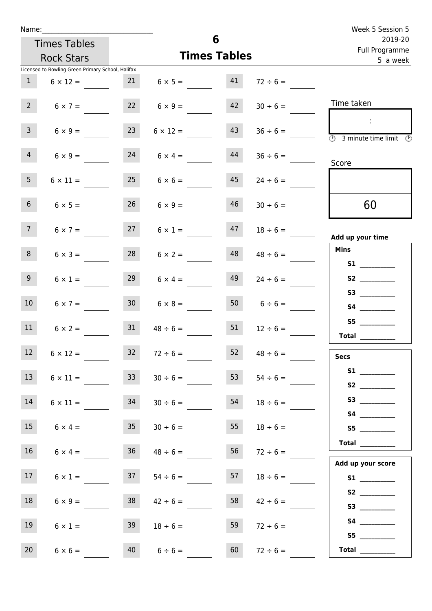| Name:           |                                                   |                 |                         | 6                         |                     | Week 5 Session 5                                                                        |
|-----------------|---------------------------------------------------|-----------------|-------------------------|---------------------------|---------------------|-----------------------------------------------------------------------------------------|
|                 | <b>Times Tables</b>                               |                 |                         | 2019-20<br>Full Programme |                     |                                                                                         |
|                 | <b>Rock Stars</b>                                 |                 |                         | <b>Times Tables</b>       |                     | 5 a week                                                                                |
|                 | Licensed to Bowling Green Primary School, Halifax |                 |                         |                           |                     |                                                                                         |
| $\mathbf{1}$    | $6 \times 12 =$                                   |                 | $21 \t 6 \times 5 = 41$ |                           | $72 \div 6 =$       |                                                                                         |
| $2^{\circ}$     | $6 \times 7 =$                                    |                 | $22 \t 6 \times 9 =$    | 42                        | $30 \div 6 =$       | Time taken                                                                              |
| 3 <sup>7</sup>  | $6 \times 9 =$                                    | 23              | $6 \times 12 =$         | 43                        | $36 \div 6 =$       | $\sim$<br>$\overline{\textcircled{1}}$ 3 minute time limit $\overline{\textcircled{1}}$ |
| $\overline{4}$  | $6 \times 9 =$                                    | 24              | $6 \times 4 =$          | 44                        | $36 \div 6 =$       | Score                                                                                   |
| 5 <sub>1</sub>  | $6 \times 11 =$                                   | 25              | $6 \times 6 =$          | 45                        | $24 \div 6 =$       |                                                                                         |
| 6 <sup>1</sup>  | $6 \times 5 =$                                    | 26              | $6 \times 9 =$          | 46                        | $30 \div 6 =$       | 60                                                                                      |
| 7 <sup>7</sup>  | $6 \times 7 =$                                    |                 | $27 \t 6 \times 1 =$    |                           | $47 \t 18 \div 6 =$ | Add up your time                                                                        |
| 8               | $6 \times 3 =$                                    | 28              | $6 \times 2 =$          | 48                        | $48 \div 6 =$       | <b>Mins</b><br><b>S1 S1</b>                                                             |
| 9 <sub>o</sub>  | $6 \times 1 =$                                    | 29              | $6 \times 4 =$          | 49                        | $24 \div 6 =$       |                                                                                         |
| 10 <sup>°</sup> | $6 \times 7 =$                                    | 30 <sup>°</sup> | $6 \times 8 =$          |                           | $6 \div 6 =$        |                                                                                         |
| 11              | $6 \times 2 =$                                    | 31              | $48 \div 6 =$           | 51                        | $12 \div 6 =$       | Total $\qquad$                                                                          |
| 12 <sup>2</sup> | $6 \times 12 =$                                   | 32 <sub>2</sub> | $72 \div 6 =$           | 52                        | $48 \div 6 =$       | <b>Secs</b>                                                                             |
| 13 <sup>7</sup> | $6 \times 11 =$                                   | 33              | $30 \div 6 =$           | 53                        | $54 \div 6 =$       |                                                                                         |
| 14              | $6 \times 11 =$                                   | 34              | $30 \div 6 =$           | 54                        | $18 \div 6 =$       |                                                                                         |
| 15              | $6 \times 4 =$                                    | 35 <sub>1</sub> | $30 \div 6 =$           | 55                        | $18 \div 6 =$       | S5                                                                                      |
| 16              | $6 \times 4 =$                                    | 36              | $48 \div 6 =$           | 56                        | $72 \div 6 =$       | $\begin{tabular}{c} Total \end{tabular}$<br>Add up your score                           |
| 17 <sub>1</sub> | $6 \times 1 =$                                    | 37              | $54 \div 6 =$           | 57                        | $18 \div 6 =$       | S1                                                                                      |
| 18              | $6 \times 9 =$                                    | 38              | $42 \div 6 =$           | 58                        | $42 \div 6 =$       | S2                                                                                      |
| 19              | $6 \times 1 =$                                    | 39              | $18 \div 6 =$           | 59                        | $72 \div 6 =$       | S5                                                                                      |
| 20              | $6 \times 6 =$                                    | 40              | $6 \div 6 =$            | 60                        | $72 \div 6 =$       | Total $\frac{1}{1}$                                                                     |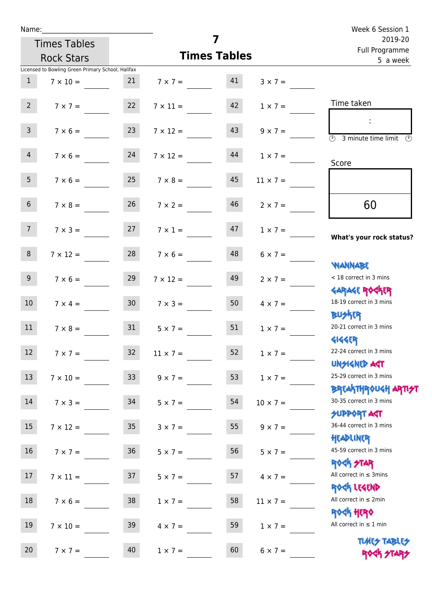| Name:           |                                                   |                 |                   |                     |                 | Week 6 Session 1                                                |  |  |
|-----------------|---------------------------------------------------|-----------------|-------------------|---------------------|-----------------|-----------------------------------------------------------------|--|--|
|                 | <b>Times Tables</b>                               |                 |                   | 7                   |                 | 2019-20<br>Full Programme                                       |  |  |
|                 | <b>Rock Stars</b>                                 |                 |                   | <b>Times Tables</b> |                 | 5 a week                                                        |  |  |
|                 | Licensed to Bowling Green Primary School, Halifax |                 |                   |                     |                 |                                                                 |  |  |
| $\mathbf{1}$    | $7 \times 10 =$                                   | 21              | $7 \times 7 = 41$ |                     | $3 \times 7 =$  |                                                                 |  |  |
| $2^{\circ}$     | $7 \times 7 = 22$                                 |                 | $7 \times 11 =$   | 42                  | $1 \times 7 =$  | Time taken                                                      |  |  |
| $\mathsf{3}$    | $7 \times 6 =$                                    | 23              | $7 \times 12 =$   | 43                  | $9 \times 7 =$  | (1)<br>3 minute time limit<br>$(\mathcal{F})$                   |  |  |
| 4               | $7 \times 6 = 24$                                 |                 | $7 \times 12 =$   | 44                  | $1 \times 7 =$  | Score                                                           |  |  |
| 5 <sub>1</sub>  | $7 \times 6 = 25$                                 |                 | $7 \times 8 =$    | 45                  | $11 \times 7 =$ |                                                                 |  |  |
| 6 <sup>1</sup>  | $7 \times 8 =$                                    | 26              | $7 \times 2 =$    | 46                  | $2 \times 7 =$  | 60                                                              |  |  |
| 7 <sup>7</sup>  | $7 \times 3 = 27$                                 |                 | $7 \times 1 =$    | 47                  | $1 \times 7 =$  | What's your rock status?                                        |  |  |
| 8               | $7 \times 12 =$                                   | 28              | $7 \times 6 =$    | 48                  | $6 \times 7 =$  | <b>WANNABE</b>                                                  |  |  |
| 9 <sub>o</sub>  | $7 \times 6 =$                                    | 29              | $7 \times 12 =$   | 49                  | $2 \times 7 =$  | < 18 correct in 3 mins<br><b>GARAGE ROCKER</b>                  |  |  |
| 10 <sup>°</sup> | $7 \times 4 =$                                    | 30 <sub>o</sub> | $7 \times 3 =$    | 50                  | $4 \times 7 =$  | 18-19 correct in 3 mins<br><b>BU外四</b>                          |  |  |
| 11              | $7 \times 8 = 31$                                 |                 | $5 \times 7 =$    | 51                  | $1 \times 7 =$  | 20-21 correct in 3 mins<br><b>4144ER</b>                        |  |  |
| 12              | $7 \times 7 =$                                    | 32              | $11 \times 7=$    | 52                  | $1 \times 7 =$  | 22-24 correct in 3 mins<br><b>UNSIGNED AGT</b>                  |  |  |
| 13              | $7 \times 10 =$                                   | 33 <sup>°</sup> | $9 \times 7 =$    | 53                  | $1 \times 7 =$  | 25-29 correct in 3 mins<br><b>BREAKTHROUGH ARTI<del>S</del></b> |  |  |
| 14              | $7 \times 3 =$                                    | 34              | $5 \times 7 =$    | 54                  | $10 \times 7 =$ | 30-35 correct in 3 mins<br><b>SUPPORT AGT</b>                   |  |  |
| 15              | $7 \times 12 =$                                   | 35 <sub>o</sub> | $3 \times 7 =$    | 55                  | $9 \times 7 =$  | 36-44 correct in 3 mins<br>HEADLINER                            |  |  |
| 16              | $7 \times 7 =$                                    | 36              | $5 \times 7 =$    | 56                  | $5 \times 7 =$  | 45-59 correct in 3 mins<br><b>ROCK STAR</b>                     |  |  |
| 17              | $7 \times 11 =$                                   | 37              | $5 \times 7 =$    | 57                  | $4 \times 7 =$  | All correct in $\leq$ 3mins<br>ROCK LEGEND                      |  |  |
| 18              | $7 \times 6 =$                                    | 38              | $1 \times 7 =$    | 58                  | $11 \times 7 =$ | All correct in $\leq 2$ min<br><b>ROCK HERO</b>                 |  |  |
| 19              | $7 \times 10 =$                                   | 39              | $4 \times 7 =$    | 59                  | $1 \times 7 =$  | All correct in $\leq 1$ min                                     |  |  |
| 20              | $7 \times 7 =$                                    | 40              | $1 \times 7 =$    | 60                  | $6 \times 7 =$  | <b>TUARS TABLES</b><br>ROCK STARS                               |  |  |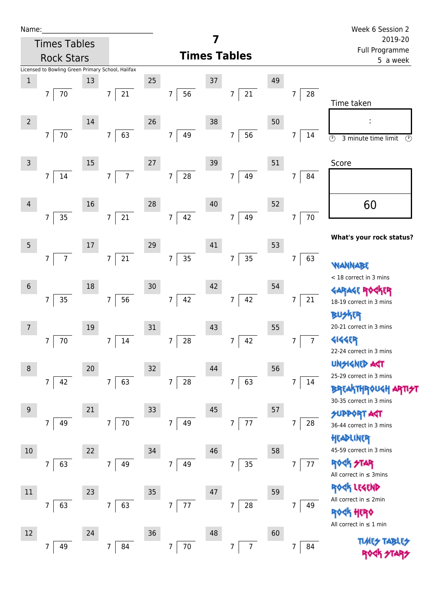| Name:           |                                                   |    |                                    |    |                              |        |                           |    |                      | Week 6 Session 2                                                       |
|-----------------|---------------------------------------------------|----|------------------------------------|----|------------------------------|--------|---------------------------|----|----------------------|------------------------------------------------------------------------|
|                 | <b>Times Tables</b>                               |    |                                    |    |                              |        |                           |    |                      | 2019-20<br>Full Programme                                              |
|                 | <b>Rock Stars</b>                                 |    |                                    |    |                              |        | <b>Times Tables</b>       |    |                      | 5 a week                                                               |
| $\,1$           | Licensed to Bowling Green Primary School, Halifax | 13 |                                    | 25 |                              | 37     |                           | 49 |                      |                                                                        |
|                 | 70<br>$\overline{7}$                              |    | 21<br>7                            |    | 56<br>$\overline{7}$         |        | 21<br>$\overline{7}$      |    | 28<br>7              | Time taken                                                             |
| $\overline{2}$  |                                                   | 14 |                                    | 26 |                              | 38     |                           | 50 |                      |                                                                        |
|                 | 70<br>$\overline{7}$                              |    | 63<br>$\overline{7}$               |    | $7\overline{ }$<br>49        |        | 56<br>$\overline{7}$      |    | 7<br>14              | $\overline{\circlearrowright}$<br>3 minute time limit<br>$\circled{r}$ |
| $\mathsf{3}$    |                                                   | 15 |                                    | 27 |                              | 39     |                           | 51 |                      | Score                                                                  |
|                 | 14<br>7                                           |    | $\overline{7}$<br>$\boldsymbol{7}$ |    | 28<br>$\overline{7}$         |        | 49<br>$\overline{7}$      |    | 7<br>84              |                                                                        |
| 4               |                                                   | 16 |                                    | 28 |                              | $40\,$ |                           | 52 |                      | 60                                                                     |
|                 | 35<br>7                                           |    | 21<br>$\overline{7}$               |    | 42<br>7 <sup>7</sup>         |        | 49<br>$\overline{7}$      |    | $70\,$<br>7          |                                                                        |
| 5               |                                                   | 17 |                                    | 29 |                              | 41     |                           | 53 |                      | What's your rock status?                                               |
|                 | $\overline{7}$<br>7                               |    | 21<br>$\overline{7}$               |    | 35<br>$\overline{7}$         |        | 35<br>$\overline{7}$      |    | 63<br>7              | NANNABE                                                                |
| $6\phantom{1}6$ |                                                   | 18 |                                    | 30 |                              | 42     |                           | 54 |                      | < 18 correct in 3 mins<br><b>GARAGE RO</b>                             |
|                 | $35\,$<br>$\overline{7}$                          |    | 56<br>$\overline{7}$               |    | 42<br>$\overline{7}$         |        | 42<br>$\overline{7}$      |    | 21<br>7              | 18-19 correct in 3 mins<br><b>BUSKER</b>                               |
| 7               |                                                   | 19 |                                    | 31 |                              | 43     |                           | 55 |                      | 20-21 correct in 3 mins                                                |
|                 | 70<br>7                                           |    | $14\,$<br>7                        |    | 7<br>28                      |        | 42<br>7                   |    | 7 <sup>1</sup><br>7  | <b>4144EP</b><br>22-24 correct in 3 mins                               |
| 8               |                                                   | 20 |                                    | 32 |                              | 44     |                           | 56 |                      | <b>UNSIGNED AGT</b>                                                    |
|                 | 42<br>$\overline{7}$                              |    | 63<br>$\overline{7}$               |    | $\overline{7}$<br>${\bf 28}$ |        | 63<br>$\overline{7}$      |    | $\overline{7}$<br>14 | 25-29 correct in 3 mins<br><b>BREAKTHROUGH</b>                         |
| 9               |                                                   | 21 |                                    | 33 |                              | 45     |                           | 57 |                      | 30-35 correct in 3 mins                                                |
|                 | 49<br>7                                           |    | 70<br>7                            |    | $\overline{7}$<br>49         |        | $77 \,$<br>$\overline{7}$ |    | 28<br>7              | <b>SUPPORT AGT</b><br>36-44 correct in 3 mins<br>HEADLINER             |
| 10              |                                                   | 22 |                                    | 34 |                              | 46     |                           | 58 |                      | 45-59 correct in 3 mins                                                |
|                 | 63<br>7                                           |    | 49<br>7                            |    | $\overline{7}$<br>49         |        | 35<br>7                   |    | $\overline{7}$<br>77 | <b>ROCK STAR</b><br>All correct in $\leq$ 3mins                        |
| $11\,$          |                                                   | 23 |                                    | 35 |                              | 47     |                           | 59 |                      | ROCK LEGEND                                                            |
|                 | 63<br>7                                           |    | 63<br>$\overline{7}$               |    | 77<br>$\overline{7}$         |        | 28<br>$\overline{7}$      |    | $\overline{7}$<br>49 | All correct in ≤ 2min                                                  |
|                 |                                                   |    |                                    |    |                              |        |                           |    |                      | $\,$ 40 $\,$<br>All correct in $\leq 1$ min                            |
| 12              | 49<br>7                                           | 24 | 7<br>84                            | 36 | $\overline{7}$<br>$70\,$     | 48     | $\overline{7}$<br>7       | 60 | 7<br>84              | <b>TLME<del>S</del></b>                                                |
|                 |                                                   |    |                                    |    |                              |        |                           |    |                      |                                                                        |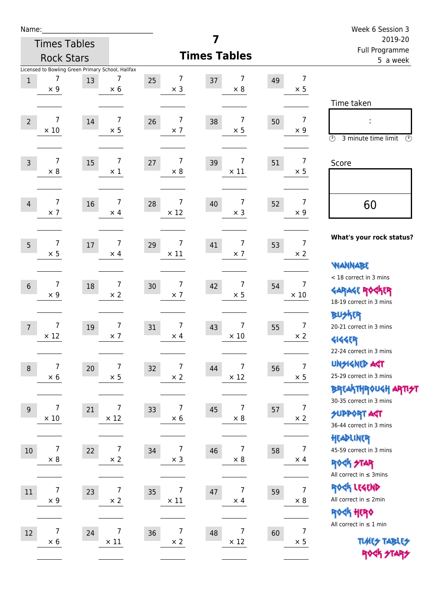| am<br>u |  |  |  |  |  |
|---------|--|--|--|--|--|
|---------|--|--|--|--|--|

|                 | <b>Rock Stars</b>             |        |                                                                      | <b>Times Tables</b>                  | i uli rivyialillile<br>5 a week    |    |                                                                                                                           |
|-----------------|-------------------------------|--------|----------------------------------------------------------------------|--------------------------------------|------------------------------------|----|---------------------------------------------------------------------------------------------------------------------------|
| $\mathbf{1}$    | 7<br>$\times$ 9               | 13     | Licensed to Bowling Green Primary School, Halifax<br>7<br>$\times$ 6 | 7<br>25<br>$\times$ 3                | 7<br>37<br>$\times$ 8              | 49 | 7<br>$\times$ 5                                                                                                           |
| $\overline{2}$  | $\overline{7}$<br>$\times$ 10 | $14\,$ | $\overline{7}$<br>$\times$ 5                                         | $\boldsymbol{7}$<br>26<br>$\times$ 7 | 7<br>38<br>$\times$ 5              | 50 | Time taken<br>$\overline{7}$<br>$\times$ 9<br>$\circled{r}$<br>3 minute time limit<br>⊙                                   |
| $\overline{3}$  | 7<br>$\times 8$               | 15     | $\overline{7}$<br>$\times$ 1                                         | 7<br>27<br>$\times 8$                | 7<br>39<br>$\times$ 11             | 51 | $\overline{7}$<br>Score<br>$\times$ 5                                                                                     |
| $\overline{4}$  | $\overline{7}$<br>$\times$ 7  | 16     | $\overline{7}$<br>$\times$ 4                                         | $\overline{7}$<br>28<br>$\times$ 12  | 7<br>40<br>$\times$ 3              | 52 | $\overline{7}$<br>60<br>$\times$ 9                                                                                        |
| 5               | 7<br>$\times$ 5               | $17\,$ | 7<br>$\times$ 4                                                      | 7<br>29<br>$\times$ 11               | 7<br>41<br>$\times$ 7              | 53 | What's your rock status?<br>$\overline{7}$<br>$\times 2$<br><b>NANNABE</b>                                                |
| $6\phantom{1}6$ | 7<br>$\times$ 9               | 18     | 7<br>$\times$ 2                                                      | $\overline{7}$<br>30<br>$\times$ 7   | 7<br>42<br>$\times$ 5              | 54 | < 18 correct in 3 mins<br>7<br><b>GARAGE ROCKER</b><br>$\times$ 10<br>18-19 correct in 3 mins                             |
| $\overline{7}$  | 7<br>$\times$ 12              | 19     | $\overline{7}$<br>$\times$ 7                                         | 7<br>31<br>$\times$ 4                | 7<br>43<br>$\times$ 10             | 55 | <b>BUSKER</b><br>$\overline{7}$<br>20-21 correct in 3 mins<br>$\times$ 2<br><b>4144EP</b><br>22-24 correct in 3 mins      |
| 8               | 7<br>$\times$ 6               | 20     | 7<br>$\times$ 5                                                      | 7<br>32<br>$\times$ 2                | 7<br>44<br>$\times$ 12             | 56 | <b>UNSIGNED AGT</b><br>$\overline{7}$<br>25-29 correct in 3 mins<br>$\times$ 5<br><b>ΒΡΓΑΛΤΗΡΟU&lt;Η ΑΡΠ<del>2</del>Τ</b> |
| 9               | 7<br>$\times$ 10              | 21     | 7<br>$\times$ 12                                                     | 7<br>33<br>$\times$ 6                | 7<br>45<br>$\times$ 8              | 57 | 30-35 correct in 3 mins<br>$\overline{7}$<br><b>SUPPORT ART</b><br>$\times$ 2<br>36-44 correct in 3 mins                  |
| $10\,$          | 7<br>$\times 8$               | 22     | $\overline{7}$<br>$\times$ 2                                         | $\overline{7}$<br>34<br>$\times$ 3   | 7<br>46<br>$\times$ 8              | 58 | HEADLINER<br>$\overline{7}$<br>45-59 correct in 3 mins<br>$\times$ 4<br><b>ROCK STAR</b><br>All correct in $\leq$ 3mins   |
| $11\,$          | 7<br>$\times$ 9               | 23     | $\overline{7}$<br>$\times 2$                                         | $\overline{7}$<br>35<br>$\times$ 11  | $\overline{7}$<br>47<br>$\times$ 4 | 59 | ROCK LEGEND<br>$\overline{7}$<br>All correct in $\leq 2$ min<br>$\times$ 8                                                |
| 12              | 7<br>$\times$ 6               | 24     | 7<br>$\times$ 11                                                     | 7<br>36<br>$\times$ 2                | 7<br>48<br>$\times$ 12             | 60 | ROCK HERO<br>All correct in $\leq 1$ min<br>$\overline{7}$<br><b>TUARS TABLES</b><br>$\times$ 5<br>ROCK STARS             |

**7**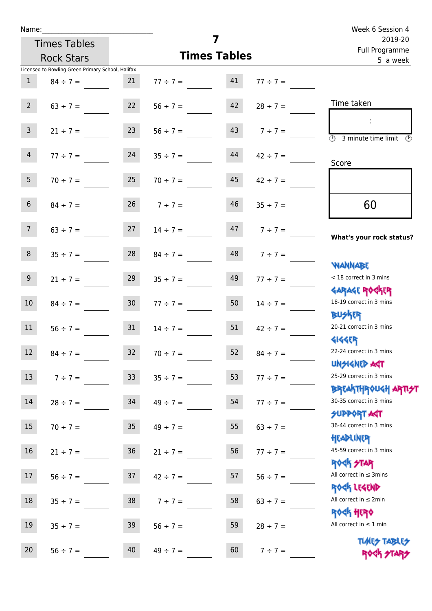| Name:           |                                                   |                 |                                   |    |                    | Week 6 Session 4                                                   |  |  |
|-----------------|---------------------------------------------------|-----------------|-----------------------------------|----|--------------------|--------------------------------------------------------------------|--|--|
|                 | <b>Times Tables</b>                               |                 |                                   | 7  |                    | 2019-20<br>Full Programme                                          |  |  |
|                 | <b>Rock Stars</b>                                 |                 | <b>Times Tables</b>               |    |                    | 5 a week                                                           |  |  |
|                 | Licensed to Bowling Green Primary School, Halifax |                 |                                   |    |                    |                                                                    |  |  |
| $\mathbf{1}$    | $84 \div 7 =$                                     | 21              | $77 \div 7 = 41$                  |    | $77 \div 7 =$      |                                                                    |  |  |
| $2^{\circ}$     |                                                   |                 | $63 \div 7 =$ 22 $56 \div 7 =$ 42 |    | $28 \div 7 =$      | Time taken                                                         |  |  |
| 3 <sup>7</sup>  | $21 \div 7 =$                                     | 23              | $56 \div 7 =$                     | 43 | $7 \div 7 =$       | $\overline{(\mathcal{V})}$<br>3 minute time limit<br>$\mathcal{O}$ |  |  |
| 4               | $77 \div 7 = 24$                                  |                 | $35 \div 7 =$                     | 44 | $42 \div 7 =$      | Score                                                              |  |  |
| 5 <sup>5</sup>  | $70 \div 7 = 25$                                  |                 | $70 \div 7 =$                     | 45 | $42 \div 7 =$      |                                                                    |  |  |
| 6 <sup>1</sup>  | $84 \div 7 =$                                     | 26              | $7 \div 7 =$                      | 46 | $35 \div 7 =$      | 60                                                                 |  |  |
| 7 <sup>7</sup>  |                                                   |                 | $63 \div 7 =$ 27 $14 \div 7 =$    |    | $17 + 7 =$         | What's your rock status?                                           |  |  |
| 8 <sup>1</sup>  | $35 \div 7 =$                                     | 28              | $84 \div 7 =$                     |    | $148$ $7 \div 7 =$ | <b>NANNABE</b>                                                     |  |  |
| 9 <sub>o</sub>  | $21 \div 7 =$                                     | 29              | $35 \div 7 =$                     | 49 | $77 \div 7 =$      | < 18 correct in 3 mins                                             |  |  |
| 10 <sup>°</sup> | $84 \div 7 =$                                     | 30              | $77 \div 7 =$                     | 50 | $14 \div 7 =$      | <b>GARAGE ROCKER</b><br>18-19 correct in 3 mins                    |  |  |
| 11              | $56 \div 7 = 31$                                  |                 | $14 \div 7 =$                     | 51 | $42 \div 7 =$      | <b>BUSKER</b><br>20-21 correct in 3 mins                           |  |  |
| 12              | $84 \div 7 =$                                     | 32              | $70 \div 7 =$                     | 52 | $84 \div 7 =$      | <b>4144EP</b><br>22-24 correct in 3 mins<br><b>UNSIGNED AST</b>    |  |  |
| 13              | $7 ÷ 7 =$                                         | 33 <sup>°</sup> | $35 \div 7 =$                     | 53 | $77 ÷ 7 =$         | 25-29 correct in 3 mins<br><b>BREAKTHROUGH ARTH</b>                |  |  |
| 14              | $28 \div 7 =$                                     | 34              | $49 \div 7 =$                     | 54 | $77 ÷ 7 =$         | 30-35 correct in 3 mins<br><b>SUPPORT AGT</b>                      |  |  |
| 15 <sub>1</sub> | $70 \div 7 =$                                     | 35 <sub>o</sub> | $49 \div 7 =$                     | 55 | $63 ÷ 7 =$         | 36-44 correct in 3 mins<br>HEADLINER                               |  |  |
| 16              | $21 \div 7 =$                                     | 36              | $21 \div 7 =$                     | 56 | $77 ÷ 7 =$         | 45-59 correct in 3 mins<br><b>ROCK STAR</b>                        |  |  |
| 17              | $56 \div 7 =$                                     | 37              | $42 \div 7 =$                     | 57 | $56 ÷ 7 =$         | All correct in $\leq$ 3mins<br>ROCK LEGEND                         |  |  |
| 18              | $35 \div 7 =$                                     | 38              | $7 ÷ 7 =$                         | 58 | $63 \div 7 =$      | All correct in $\leq 2$ min<br><b>ROCK HERO</b>                    |  |  |
| 19              | $35 ÷ 7 =$                                        | 39              | $56 \div 7 =$                     | 59 | $28 \div 7 =$      | All correct in $\leq 1$ min                                        |  |  |
| 20              | $56 ÷ 7 =$                                        | 40              | $49 \div 7 =$                     | 60 | $7 ÷ 7 =$          | <b>TUARS TABLES</b><br>ROCK STARS                                  |  |  |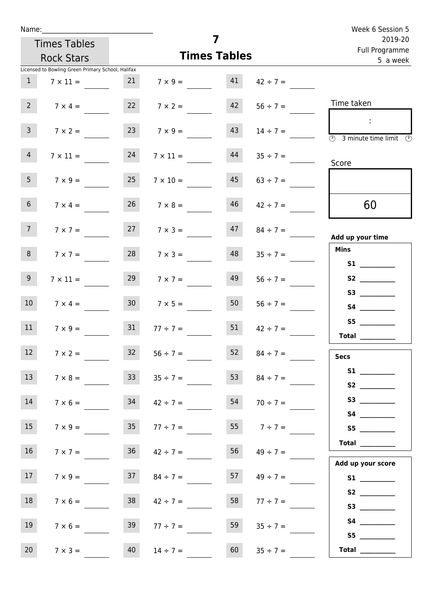| Name:                                             |                      |                       |                     | Week 6 Session 5                                                                           |
|---------------------------------------------------|----------------------|-----------------------|---------------------|--------------------------------------------------------------------------------------------|
| <b>Times Tables</b>                               |                      | 7                     |                     | 2019-20<br>Full Programme                                                                  |
| <b>Rock Stars</b>                                 |                      | <b>Times Tables</b>   |                     | 5 a week                                                                                   |
| Licensed to Bowling Green Primary School, Halifax |                      |                       |                     |                                                                                            |
| 1<br>$7 \times 11 =$                              |                      | $7 \times 9 = 41$     | $42 \div 7 =$       |                                                                                            |
| $2^{\circ}$<br>$7 \times 4 =$                     | 22 $7 \times 2 =$    | 42                    | $56 \div 7 =$       | Time taken                                                                                 |
| $\overline{3}$<br>$7 \times 2 =$                  | 23<br>$7 \times 9 =$ | 43                    | $14 \div 7 =$       | $\sim 10$<br>$\overline{\textcircled{2}}$ 3 minute time limit $\overline{\textcircled{2}}$ |
| $\overline{4}$<br>$7 \times 11 =$                 | 24                   | 44<br>$7 \times 11 =$ | $35 \div 7 =$       | Score                                                                                      |
| 5 <sub>1</sub><br>$7 \times 9 =$                  | 25                   | 45<br>$7 \times 10 =$ | $63 \div 7 =$       |                                                                                            |
| 6 <sup>1</sup><br>$7 \times 4 =$                  | $26 \t 7 \times 8 =$ | 46                    | $42 \div 7 =$       | 60                                                                                         |
| 7 <sup>7</sup><br>$7 \times 7 =$                  | $7 \times 3 =$       |                       | $47 \t 84 \div 7 =$ | Add up your time                                                                           |
| 8<br>$7 \times 7 =$                               | 28                   | 48<br>$7 \times 3 =$  | $35 \div 7 =$       | <b>Mins</b><br><b>S1 S1</b>                                                                |
| 9 <sub>o</sub><br>$7 \times 11 =$                 | 29                   | 49<br>$7 \times 7 =$  | $56 \div 7 =$       |                                                                                            |
| 10 <sup>°</sup><br>$7 \times 4 =$                 | 30 <sup>°</sup>      | 50<br>$7 \times 5 =$  | $56 \div 7 =$       | <b>S4 S4</b>                                                                               |
| 11<br>$7 \times 9 =$                              | $31 \t 77 \div 7 =$  | 51                    | $42 \div 7 =$       | S5<br><b>Total</b>                                                                         |
| 12 <sup>2</sup><br>$7 \times 2 =$                 | $56 \div 7 =$<br>32  | 52                    | $84 \div 7 =$       | <b>Secs</b>                                                                                |
| 13<br>$7 \times 8 =$                              | 33                   | 53<br>$35 \div 7 =$   | $84 \div 7 =$       | S <sub>2</sub>                                                                             |
| 14<br>$7 \times 6 =$                              | 34                   | 54<br>$42 \div 7 =$   | $70 \div 7 =$       | S3                                                                                         |
| 15<br>$7 \times 9 =$                              | 35 <sub>1</sub>      | 55<br>$77 \div 7 =$   | $7 ÷ 7 =$           | S5                                                                                         |
| 16<br>$7 \times 7 =$                              | $36 \t 42 \div 7 =$  | 56                    | $49 \div 7 =$       | <b>Total</b><br>Add up your score                                                          |
| 17<br>$7 \times 9 =$                              | 37                   | 57<br>$84 \div 7 =$   | $49 \div 7 =$       |                                                                                            |
| 18<br>$7 \times 6 =$                              | 38                   | 58<br>$42 \div 7 =$   | $77 \div 7 =$       | S2                                                                                         |
| 19<br>$7 \times 6 =$                              | 39                   | 59<br>$77 \div 7 =$   | $35 \div 7 =$       | S4<br>S5                                                                                   |
| 20<br>$7 \times 3 =$                              | 40<br>$14 \div 7 =$  | 60                    | $35 \div 7 =$       | Total                                                                                      |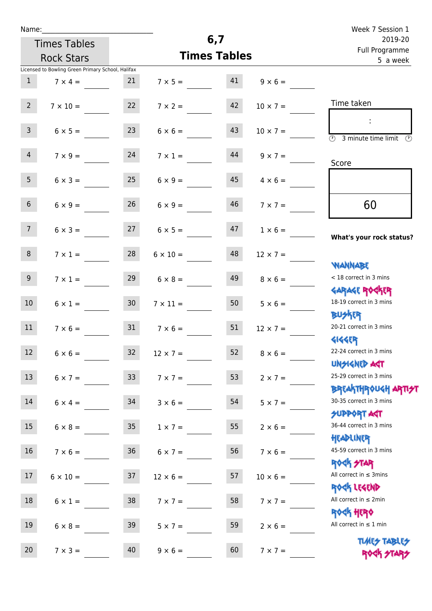|  | Name: |  |
|--|-------|--|
|  |       |  |

|                  | <b>Rock Stars</b>                                 |                 | <b>Times Tables</b> | i uli rivyialillile<br>5 a week |                   |                                                 |
|------------------|---------------------------------------------------|-----------------|---------------------|---------------------------------|-------------------|-------------------------------------------------|
|                  | Licensed to Bowling Green Primary School, Halifax |                 |                     |                                 |                   |                                                 |
| $\mathbf{1}$     | $7 \times 4 =$                                    | 21              | $7 \times 5 =$      | 41                              | $9 \times 6 =$    |                                                 |
| $2^{\circ}$      | $7 \times 10 =$                                   | 22              | $7 \times 2 =$      | 42                              | $10 \times 7 =$   | Time taken                                      |
|                  |                                                   |                 |                     |                                 |                   |                                                 |
| $\mathbf{3}$     | $6 \times 5 =$                                    | 23              | $6 \times 6 =$      | 43                              | $10 \times 7 =$   | (7)<br>3 minute time limit<br>$\odot$           |
| $\overline{4}$   | $7 \times 9 =$                                    | 24              | $7 \times 1 =$      | 44                              | $9 \times 7 =$    |                                                 |
|                  |                                                   |                 |                     |                                 |                   | Score                                           |
| 5 <sub>1</sub>   | $6 \times 3 =$                                    | 25              | $6 \times 9 =$      | 45                              | $4 \times 6 =$    |                                                 |
| 6 <sup>1</sup>   | $6 \times 9 =$                                    | 26              | $6 \times 9 =$      | 46                              | $7 \times 7 =$    | 60                                              |
| 7 <sup>7</sup>   | $6 \times 3 =$                                    | 27              | $6 \times 5 =$      | 47                              | $1 \times 6 =$    | What's your rock status?                        |
| 8                | $7 \times 1 =$                                    | 28              | $6 \times 10 =$     | 48                              | $12 \times 7 =$   |                                                 |
|                  |                                                   |                 |                     |                                 |                   | <b>NANNABE</b>                                  |
| 9 <sub>o</sub>   | $7 \times 1 =$                                    | 29              | $6 \times 8 =$      | 49                              | $8 \times 6 =$    | < 18 correct in 3 mins                          |
| 10 <sup>°</sup>  | $6 \times 1 =$                                    | 30 <sub>o</sub> | $7 \times 11 =$     | 50                              | $5 \times 6 =$    | <b>GARAGE ROCKER</b><br>18-19 correct in 3 mins |
|                  |                                                   |                 |                     |                                 |                   | <b>BUSKR</b>                                    |
| 11               | $7 \times 6 =$                                    | 31              | $7 \times 6 =$      | 51                              | $12 \times 7 =$   | 20-21 correct in 3 mins                         |
|                  |                                                   |                 |                     |                                 |                   | <b>4144EP</b>                                   |
| 12 <sup>12</sup> | $6 \times 6 =$                                    | 32              | $12 \times 7 =$     | 52                              | $8 \times 6 =$    | 22-24 correct in 3 mins<br><b>UNSIGNED AGT</b>  |
| 13               | $6 \times 7 =$                                    | 33 <sup>°</sup> | $7 \times 7 =$      |                                 | 53 $2 \times 7 =$ | 25-29 correct in 3 mins                         |
|                  |                                                   |                 |                     |                                 |                   | BREAKTHRÓUGH ARTI <del>S</del> T                |
| 14               | $6 \times 4 =$                                    | 34              | $3 \times 6 =$      | 54                              | $5 \times 7 =$    | 30-35 correct in 3 mins                         |
|                  |                                                   |                 |                     |                                 |                   | <b>SUPPORT AGT</b>                              |
| 15               | $6 \times 8 =$                                    | 35              | $1 \times 7 =$      | 55                              | $2 \times 6 =$    | 36-44 correct in 3 mins<br>HEADLINER            |
| 16               | $7 \times 6 =$                                    | 36              | $6 \times 7 =$      | 56                              | $7 \times 6 =$    | 45-59 correct in 3 mins                         |
|                  |                                                   |                 |                     |                                 |                   | <b>ROCK STAR</b>                                |
| $17\,$           | $6 \times 10 =$                                   | 37              | $12 \times 6 =$     | 57                              | $10 \times 6 =$   | All correct in $\leq$ 3mins                     |
| 18               |                                                   |                 |                     | 58                              |                   | ROCK LEGEND<br>All correct in $\leq 2$ min      |
|                  | $6 \times 1 =$                                    | 38              | $7 \times 7 =$      |                                 | $7 \times 7 =$    | <b>ROCK HERO</b>                                |
| 19               | $6 \times 8 =$                                    | 39              | $5 \times 7 =$      | 59                              | $2 \times 6 =$    | All correct in $\leq 1$ min                     |
| 20               |                                                   | 40              |                     | 60                              |                   | <b>TUARS TABLES</b>                             |
|                  | $7 \times 3 =$                                    |                 | $9 \times 6 =$      |                                 | $7 \times 7 =$    | ROCK STARS                                      |

**6,7**

**Times Tables**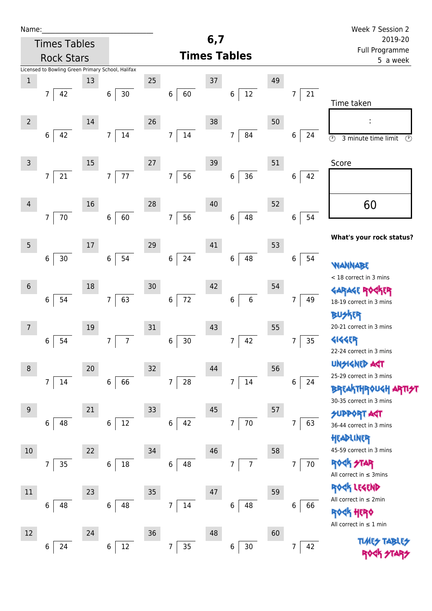| Name:               |                                                   |        |                      |    |                                    |        |                          |    |                      | Week 7 Session 2                                                      |
|---------------------|---------------------------------------------------|--------|----------------------|----|------------------------------------|--------|--------------------------|----|----------------------|-----------------------------------------------------------------------|
|                     | <b>Times Tables</b>                               |        |                      |    |                                    | 6,7    |                          |    |                      | 2019-20<br>Full Programme                                             |
|                     | <b>Rock Stars</b>                                 |        |                      |    | 5 a week                           |        |                          |    |                      |                                                                       |
|                     | Licensed to Bowling Green Primary School, Halifax |        |                      |    |                                    |        |                          |    |                      |                                                                       |
| $\,1$               |                                                   | 13     |                      | 25 |                                    | 37     |                          | 49 |                      |                                                                       |
|                     | 42<br>$\overline{7}$                              |        | $6\phantom{.}$<br>30 |    | $6\,$<br>60                        |        | $12\,$<br>$\,6\,$        |    | 21<br>7              | Time taken                                                            |
|                     |                                                   |        |                      |    |                                    |        |                          |    |                      |                                                                       |
| $2 \nightharpoonup$ |                                                   | 14     |                      | 26 |                                    | 38     |                          | 50 |                      |                                                                       |
|                     | 42<br>6                                           |        | $\overline{7}$<br>14 |    | $14\,$<br>$\overline{7}$           |        | $\overline{7}$<br>84     |    | 6<br>24              | $\overline{\odot}$<br>$\overline{\mathcal{O}}$<br>3 minute time limit |
|                     |                                                   |        |                      |    |                                    |        |                          |    |                      |                                                                       |
| $\overline{3}$      |                                                   | 15     |                      | 27 |                                    | 39     |                          | 51 |                      | Score                                                                 |
|                     | $\overline{7}$<br>$21\,$                          |        | 77<br>$\overline{7}$ |    | 56<br>$\boldsymbol{7}$             |        | 36<br>$\,6\,$            |    | 6 <br>42             |                                                                       |
|                     |                                                   |        |                      |    |                                    |        |                          |    |                      |                                                                       |
| 4                   |                                                   | 16     |                      | 28 |                                    | 40     |                          | 52 |                      | 60                                                                    |
|                     | $70\,$<br>$\overline{7}$                          |        | 60<br>$\,6\,$        |    | $\overline{7}$<br>56               |        | 48<br>$\,6\,$            |    | 54<br>$\bf 6$        |                                                                       |
|                     |                                                   |        |                      |    |                                    |        |                          |    |                      | What's your rock status?                                              |
| 5                   |                                                   | $17\,$ |                      | 29 |                                    | 41     |                          | 53 |                      |                                                                       |
|                     | 30<br>6                                           |        | 54<br>6              |    | $\bf 6$<br>24                      |        | 48<br>$\,6\,$            |    | 6<br>54              | WANNABE                                                               |
|                     |                                                   |        |                      |    |                                    |        |                          |    |                      | < 18 correct in 3 mins                                                |
| $\sqrt{6}$          |                                                   | 18     |                      | 30 |                                    | 42     |                          | 54 |                      | KER                                                                   |
|                     | 54<br>$\,6$                                       |        | 63<br>$\overline{7}$ |    | $\boldsymbol{6}$<br>72             |        | $\bf 6$<br>$\,$ 6 $\,$   |    | 49<br>7              | 18-19 correct in 3 mins                                               |
|                     |                                                   |        |                      |    |                                    |        |                          |    |                      | <b>BUSKER</b>                                                         |
| $\overline{7}$      |                                                   | 19     |                      | 31 |                                    | 43     |                          | 55 |                      | 20-21 correct in 3 mins                                               |
|                     | 54<br>6                                           |        | $\overline{7}$<br>7  |    | $30\,$<br>6                        |        | 42<br>7                  |    | 35<br>7              | <b>4144EP</b>                                                         |
|                     |                                                   |        |                      |    |                                    |        |                          |    |                      | 22-24 correct in 3 mins                                               |
| $\, 8$              |                                                   | 20     |                      | 32 |                                    | 44     |                          | 56 |                      | <b>UNGIGNED AST</b>                                                   |
|                     | $\overline{7}$<br>14                              |        | 66<br>6              |    | ${\bf 28}$<br>$\overline{7}$       |        | 14<br>$\overline{7}$     |    | 6<br>24              | 25-29 correct in 3 mins                                               |
|                     |                                                   |        |                      |    |                                    |        |                          |    |                      | <b>BREAKTHROUGH</b><br>30-35 correct in 3 mins                        |
| $\overline{9}$      |                                                   | 21     |                      | 33 |                                    | $45\,$ |                          | 57 |                      | <b>SUPPORT AGT</b>                                                    |
|                     | 48<br>6                                           |        | $12\,$<br>6          |    | 42<br>$\,6\,$                      |        | $70\,$<br>$\overline{7}$ |    | 63<br>7              | 36-44 correct in 3 mins                                               |
|                     |                                                   |        |                      |    |                                    |        |                          |    |                      | HEADLINER                                                             |
| 10                  |                                                   | 22     |                      | 34 |                                    | 46     |                          | 58 |                      | 45-59 correct in 3 mins                                               |
|                     | 35<br>7                                           |        | 18<br>6              |    | 6<br>48                            |        | $\overline{7}$<br>7      |    | 70<br>$\overline{7}$ | <b>ROCK STAR</b>                                                      |
|                     |                                                   |        |                      |    |                                    |        |                          |    |                      | All correct in $\leq$ 3mins                                           |
| $11\,$              |                                                   | 23     |                      | 35 |                                    | 47     |                          | 59 |                      | ROCK LEGEND                                                           |
|                     | 6<br>48                                           |        | 48<br>6              |    | $14\,$<br>$\overline{7}$           |        | 48<br>6                  |    | 66<br>6              | All correct in $\leq 2$ min                                           |
|                     |                                                   |        |                      |    |                                    |        |                          |    |                      | <b>ROCK HERO</b>                                                      |
| 12                  |                                                   | 24     |                      | 36 |                                    | 48     |                          | 60 |                      | All correct in $\leq 1$ min                                           |
|                     | 24<br>6                                           |        | 12<br>$\,6$          |    | $35\phantom{.0}$<br>$\overline{7}$ |        | $30\,$<br>6              |    | 42<br>7              | <b>TLARS</b>                                                          |
|                     |                                                   |        |                      |    |                                    |        |                          |    |                      |                                                                       |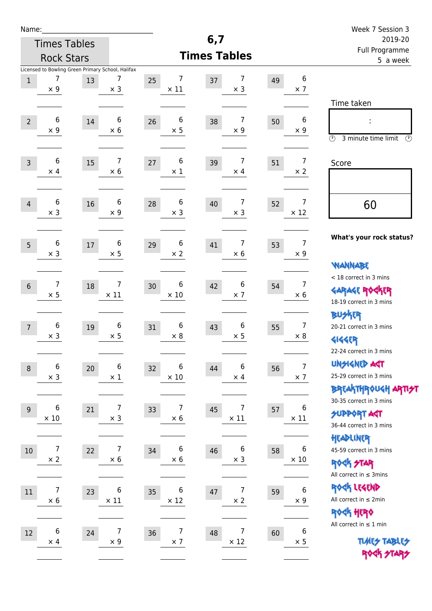| Name:          |                                                                      |        |                  |                        |                                        |                            |                              | Week 7 Session 3                                                                                |
|----------------|----------------------------------------------------------------------|--------|------------------|------------------------|----------------------------------------|----------------------------|------------------------------|-------------------------------------------------------------------------------------------------|
|                | <b>Times Tables</b>                                                  |        |                  |                        | 6,7                                    |                            |                              | 2019-20                                                                                         |
|                | <b>Rock Stars</b>                                                    |        |                  |                        | <b>Times Tables</b>                    | Full Programme<br>5 a week |                              |                                                                                                 |
| $\,1$          | Licensed to Bowling Green Primary School, Halifax<br>7<br>$\times$ 9 | 13     | 7<br>$\times$ 3  | 7<br>25<br>$\times$ 11 | 7<br>37<br>$\times$ 3                  | 49                         | 6<br>$\times$ 7              | Time taken                                                                                      |
| $\overline{2}$ | 6<br>$\times$ 9                                                      | 14     | 6<br>$\times$ 6  | 6<br>26<br>$\times$ 5  | 7<br>38<br>$\times$ 9                  | 50                         | 6<br>$\times$ 9              | t,<br>$\circledcirc$<br>3 minute time limit<br>$\mathcal{O}$                                    |
| $\overline{3}$ | 6<br>$\times$ 4                                                      | 15     | 7<br>$\times 6$  | 6<br>27<br>$\times$ 1  | $\overline{7}$<br>39<br>$\times$ 4     | 51                         | $\overline{7}$<br>$\times$ 2 | Score                                                                                           |
| $\overline{4}$ | 6<br>$\times$ 3                                                      | 16     | 6<br>$\times$ 9  | 6<br>28<br>$\times$ 3  | $\overline{7}$<br>40<br>$\times$ 3     | 52                         | 7<br>$\times$ 12             | 60                                                                                              |
| 5              | 6<br>$\times$ 3                                                      | $17\,$ | 6<br>$\times$ 5  | 6<br>29<br>$\times 2$  | $\overline{7}$<br>41<br>$\times 6$     | 53                         | 7<br>$\times$ 9              | What's your rock status?<br><b>WANNABE</b>                                                      |
| $6\,$          | $\overline{7}$<br>$\times$ 5                                         | 18     | 7<br>$\times$ 11 | 6<br>30<br>$\times$ 10 | 6<br>42<br>$\times$ 7                  | 54                         | 7<br>$\times 6$              | < 18 correct in 3 mins<br><b>GARAGE ROGKER</b><br>18-19 correct in 3 mins                       |
| $\overline{7}$ | 6<br>$\times$ 3                                                      | 19     | 6<br>$\times$ 5  | 6<br>31<br>$\times 8$  | 6<br>43<br>$\times$ 5                  | 55                         | $\overline{7}$<br>$\times 8$ | <b>BUSKER</b><br>20-21 correct in 3 mins<br><b>4144EP</b><br>22-24 correct in 3 mins            |
| $\,8\,$        | 6<br>$\times$ 3                                                      | 20     | 6<br>$\times$ 1  | 6<br>32<br>$\times$ 10 | 6<br>44<br>$\times$ 4                  | 56                         | $\overline{7}$<br>$\times$ 7 | <b>UNSIGNED AGT</b><br>25-29 correct in 3 mins<br>ΒΡΓΑ <sup>Κ</sup> ΤΗΡΟυΚΗ ΑΡΤΙ <del>2</del> Τ |
| $9\,$          | 6<br>$\times$ 10                                                     | 21     | 7<br>$\times$ 3  | 7<br>33<br>$\times$ 6  | $\overline{7}$<br>45<br>$\times$ 11    | 57                         | 6<br>$\times$ 11             | 30-35 correct in 3 mins<br><b>SUPPORT AGT</b><br>36-44 correct in 3 mins                        |
| $10\,$         | $\overline{7}$<br>$\times 2$                                         | 22     | 7<br>$\times 6$  | 6<br>34<br>$\times$ 6  | $\boldsymbol{6}$<br>46<br>$\times$ 3   | 58                         | 6<br>$\times$ 10             | HEADLINER<br>45-59 correct in 3 mins<br><b>ROCK STAR</b><br>All correct in $\leq$ 3mins         |
| 11             | $\overline{7}$<br>$\times$ 6                                         | 23     | 6<br>$\times$ 11 | 6<br>35<br>$\times$ 12 | $\overline{7}$<br>$47\,$<br>$\times 2$ | 59                         | 6<br>$\times$ 9              | ROCK LEGEND<br>All correct in $\leq 2$ min<br><b>ROCK HERO</b>                                  |
| 12             | 6<br>$\times$ 4                                                      | 24     | 7<br>$\times$ 9  | 7<br>36<br>$\times$ 7  | $\overline{7}$<br>48<br>$\times$ 12    | 60                         | 6<br>$\times$ 5              | All correct in $\leq 1$ min<br><b>TUARS TABLES</b><br>ROCK STARS                                |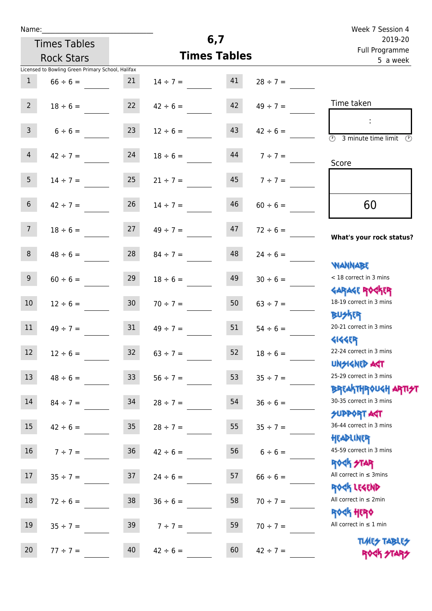| Name:           |                                                   |                 |                                |                            |                   | Week 7 Session 4                                                 |
|-----------------|---------------------------------------------------|-----------------|--------------------------------|----------------------------|-------------------|------------------------------------------------------------------|
|                 | <b>Times Tables</b>                               |                 | 6,7                            | 2019-20                    |                   |                                                                  |
|                 | <b>Rock Stars</b>                                 |                 | <b>Times Tables</b>            | Full Programme<br>5 a week |                   |                                                                  |
|                 | Licensed to Bowling Green Primary School, Halifax |                 |                                |                            |                   |                                                                  |
| $\mathbf{1}$    | $66 \div 6 =$                                     | 21              | $14 \div 7 = 41$               |                            | $28 \div 7 =$     |                                                                  |
| $2^{\circ}$     | $18 \div 6 =$                                     | 22              | $42 \div 6 =$                  | 42                         | $49 \div 7 =$     | Time taken                                                       |
| $\mathsf{3}$    | $6 \div 6 =$                                      | 23              | $12 \div 6 =$                  | 43                         | $42 \div 6 =$     | $\overline{(\mathcal{V})}$<br>3 minute time limit<br>O)          |
| 4               | $42 \div 7 = 24$                                  |                 | $18 \div 6 =$                  | 44                         | $7 ÷ 7 =$         | Score                                                            |
| 5 <sub>1</sub>  | $14 \div 7 =$                                     | 25              | $21 \div 7 =$                  |                            | $45$ $7 \div 7 =$ |                                                                  |
| 6 <sup>1</sup>  | $42 \div 7 =$                                     | 26              | $14 \div 7 =$                  | 46                         | $60 \div 6 =$     | 60                                                               |
| 7 <sup>7</sup>  |                                                   |                 | $18 \div 6 = 27$ $49 \div 7 =$ | 47                         | $72 \div 6 =$     | What's your rock status?                                         |
| 8               | $48 \div 6 =$                                     | 28              | $84 \div 7 =$                  | 48                         | $24 \div 6 =$     | <b>NANNABE</b>                                                   |
| 9 <sub>o</sub>  | $60 \div 6 =$                                     | 29              | $18 \div 6 =$                  | 49                         | $30 \div 6 =$     | < 18 correct in 3 mins<br><b>GARAGE ROCKER</b>                   |
| 10 <sup>°</sup> | $12 \div 6 =$                                     | 30              | $70 \div 7 =$                  | 50                         | $63 \div 7 =$     | 18-19 correct in 3 mins<br><b>BUSKER</b>                         |
| 11              | $49 \div 7 =$                                     | 31              | $49 \div 7 =$                  | 51                         | $54 \div 6 =$     | 20-21 correct in 3 mins<br><b>4144ER</b>                         |
| 12              | $12 \div 6 =$                                     | 32              | $63 \div 7 =$                  | 52                         | $18 \div 6 =$     | 22-24 correct in 3 mins<br><b>UNSIGNED AGT</b>                   |
| 13              | $48 \div 6 =$                                     | 33 <sup>°</sup> | $56 \div 7 =$                  | 53                         | $35 ÷ 7 =$        | 25-29 correct in 3 mins<br><b>BREAKTHROUGH ARTI<del>S</del>T</b> |
| 14              | $84 \div 7 =$                                     | 34              | $28 \div 7 =$                  | 54                         | $36 \div 6 =$     | 30-35 correct in 3 mins<br><b>SUPPORT AGT</b>                    |
| 15              | $42 \div 6 =$                                     | 35 <sub>1</sub> | $28 \div 7 =$                  | 55                         | $35 ÷ 7 =$        | 36-44 correct in 3 mins<br>HEADLINER                             |
| 16 <sup>1</sup> | $7 ÷ 7 =$                                         | 36 <sub>1</sub> | $42 \div 6 =$                  | 56                         | $6 \div 6 =$      | 45-59 correct in 3 mins<br><b>ROCK STAR</b>                      |
| 17              | $35 \div 7 =$                                     | 37              | $24 \div 6 =$                  | 57                         | $66 \div 6 =$     | All correct in $\leq$ 3mins<br>ROCK LEGEND                       |
| 18              | $72 \div 6 =$                                     | 38              | $36 \div 6 =$                  | 58                         | $70 \div 7 =$     | All correct in $\leq 2$ min<br>ROCK HERO                         |
| 19              | $35 \div 7 =$                                     | 39              | $7 ÷ 7 =$                      | 59                         | $70 \div 7 =$     | All correct in $\leq 1$ min                                      |
| 20              | $77 ÷ 7 =$                                        | 40              | $42 \div 6 =$                  | 60                         | $42 \div 7 =$     | <b>TUARS TABLES</b><br>ROCK STARS                                |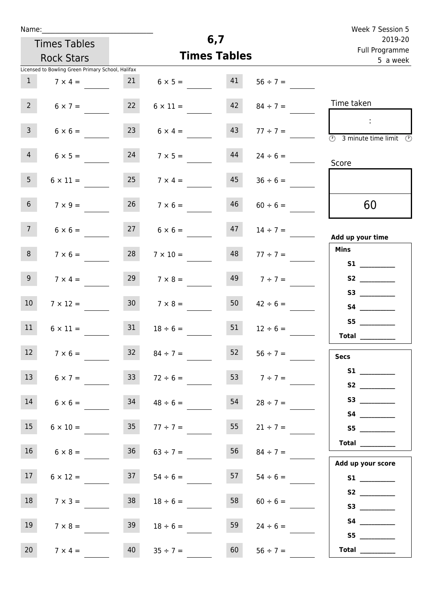|  | Name: |  |
|--|-------|--|
|  |       |  |

| Name:          |                                                   |    |                 |                     |                            | Week 7 Session 5                |
|----------------|---------------------------------------------------|----|-----------------|---------------------|----------------------------|---------------------------------|
|                | <b>Times Tables</b>                               |    |                 | 6,7                 |                            | 2019-20                         |
|                | <b>Rock Stars</b>                                 |    |                 | <b>Times Tables</b> | Full Programme<br>5 a week |                                 |
|                | Licensed to Bowling Green Primary School, Halifax |    |                 |                     |                            |                                 |
|                | $7 \times 4 =$                                    | 21 | $6 \times 5 =$  | 41                  | $56 ÷ 7 =$                 |                                 |
| $\overline{2}$ | $6 \times 7 =$                                    | 22 | $6 \times 11 =$ | 42                  | $84 \div 7 =$              | Time taken                      |
| 3              | $6 \times 6 =$                                    | 23 | $6 \times 4 =$  | 43                  | $77 ÷ 7 =$                 | O)<br>3 minute time limit<br>O) |
|                |                                                   |    |                 |                     |                            |                                 |

| $\overline{\textcircled{3}}$ 3 minute time limit                                                                                                                                                                                                                                                                                                                                                                                                                                                                                                                                                                    | $77 \div 7 =$ |                 | 43 | $6 \times 4 =$       | 23 | $6 \times 6 =$  | $\overline{3}$                                                  |
|---------------------------------------------------------------------------------------------------------------------------------------------------------------------------------------------------------------------------------------------------------------------------------------------------------------------------------------------------------------------------------------------------------------------------------------------------------------------------------------------------------------------------------------------------------------------------------------------------------------------|---------------|-----------------|----|----------------------|----|-----------------|-----------------------------------------------------------------|
| Score                                                                                                                                                                                                                                                                                                                                                                                                                                                                                                                                                                                                               | $24 \div 6 =$ |                 | 44 | $7 \times 5 =$       | 24 | $6 \times 5 =$  | $\overline{4}$                                                  |
|                                                                                                                                                                                                                                                                                                                                                                                                                                                                                                                                                                                                                     | $36 \div 6 =$ |                 | 45 | $25 \t 7 \times 4 =$ |    | $6 \times 11 =$ | 5 <sub>1</sub>                                                  |
| 60                                                                                                                                                                                                                                                                                                                                                                                                                                                                                                                                                                                                                  | $60 \div 6 =$ |                 | 46 | $26 \t 7 \times 6 =$ |    | $7 \times 9 =$  | 6 <sup>1</sup>                                                  |
| Add up your time                                                                                                                                                                                                                                                                                                                                                                                                                                                                                                                                                                                                    | $14 \div 7 =$ |                 | 47 | $27 \t 6 \times 6 =$ |    | $6 \times 6 =$  | 7 <sup>7</sup>                                                  |
| Mins                                                                                                                                                                                                                                                                                                                                                                                                                                                                                                                                                                                                                | $77 \div 7 =$ |                 | 48 | $7 \times 10 =$      | 28 | $7 \times 6 =$  | 8 <sup>1</sup>                                                  |
| S1                                                                                                                                                                                                                                                                                                                                                                                                                                                                                                                                                                                                                  |               |                 |    |                      |    |                 |                                                                 |
| S2                                                                                                                                                                                                                                                                                                                                                                                                                                                                                                                                                                                                                  | $7 ÷ 7 =$     |                 | 49 | $7 \times 8 =$       | 29 | $7 \times 4 =$  | 9 <sub>o</sub>                                                  |
| S3                                                                                                                                                                                                                                                                                                                                                                                                                                                                                                                                                                                                                  |               |                 |    |                      |    |                 |                                                                 |
| S4                                                                                                                                                                                                                                                                                                                                                                                                                                                                                                                                                                                                                  | $42 \div 6 =$ |                 | 50 | $7 \times 8 =$       | 30 | $7 \times 12 =$ | 10 <sup>°</sup>                                                 |
|                                                                                                                                                                                                                                                                                                                                                                                                                                                                                                                                                                                                                     |               |                 | 51 |                      | 31 | $6 \times 11 =$ | 11                                                              |
|                                                                                                                                                                                                                                                                                                                                                                                                                                                                                                                                                                                                                     | $12 \div 6 =$ |                 |    | $18 \div 6 =$        |    |                 |                                                                 |
| <b>Secs</b>                                                                                                                                                                                                                                                                                                                                                                                                                                                                                                                                                                                                         | $56 \div 7 =$ |                 | 52 | $32 \t 84 \div 7 =$  |    | $7 \times 6 =$  | 12                                                              |
| S1                                                                                                                                                                                                                                                                                                                                                                                                                                                                                                                                                                                                                  |               | 53 $7 \div 7 =$ |    | $72 \div 6 =$        | 33 | $6 \times 7 =$  | 13                                                              |
| <b>S2</b>                                                                                                                                                                                                                                                                                                                                                                                                                                                                                                                                                                                                           |               |                 |    |                      |    |                 |                                                                 |
|                                                                                                                                                                                                                                                                                                                                                                                                                                                                                                                                                                                                                     | $28 \div 7 =$ |                 | 54 | $48 \div 6 =$        | 34 | $6 \times 6 =$  | 14                                                              |
| <b>S4 S4</b>                                                                                                                                                                                                                                                                                                                                                                                                                                                                                                                                                                                                        |               |                 |    |                      |    |                 |                                                                 |
| S5                                                                                                                                                                                                                                                                                                                                                                                                                                                                                                                                                                                                                  | $21 \div 7 =$ |                 | 55 | $35 \t 77 \div 7 =$  |    | $6 \times 10 =$ | 15 <sub>1</sub>                                                 |
| <b>Total</b>                                                                                                                                                                                                                                                                                                                                                                                                                                                                                                                                                                                                        |               | $84 \div 7 =$   | 56 | $63 \div 7 =$        | 36 | $6 \times 8 =$  | $\mathcal{L}_{\text{max}}$ and $\mathcal{L}_{\text{max}}$<br>16 |
| Add up your score                                                                                                                                                                                                                                                                                                                                                                                                                                                                                                                                                                                                   |               |                 |    |                      |    |                 |                                                                 |
|                                                                                                                                                                                                                                                                                                                                                                                                                                                                                                                                                                                                                     | $54 \div 6 =$ |                 | 57 | $54 \div 6 =$        | 37 | $6 \times 12 =$ | 17                                                              |
|                                                                                                                                                                                                                                                                                                                                                                                                                                                                                                                                                                                                                     |               |                 |    |                      |    |                 |                                                                 |
|                                                                                                                                                                                                                                                                                                                                                                                                                                                                                                                                                                                                                     | $60 \div 6 =$ |                 | 58 | $18 \div 6 =$        | 38 | $7 \times 3 =$  | 18                                                              |
|                                                                                                                                                                                                                                                                                                                                                                                                                                                                                                                                                                                                                     |               |                 |    |                      |    |                 |                                                                 |
|                                                                                                                                                                                                                                                                                                                                                                                                                                                                                                                                                                                                                     | $24 \div 6 =$ |                 | 59 | $18 \div 6 =$        | 39 | $7 \times 8 =$  | 19                                                              |
| $\begin{tabular}{c} Total & \underline{\hspace{1cm}} & \underline{\hspace{1cm}} & \underline{\hspace{1cm}} & \underline{\hspace{1cm}} & \underline{\hspace{1cm}} & \underline{\hspace{1cm}} & \underline{\hspace{1cm}} & \underline{\hspace{1cm}} & \underline{\hspace{1cm}} & \underline{\hspace{1cm}} & \underline{\hspace{1cm}} & \underline{\hspace{1cm}} & \underline{\hspace{1cm}} & \underline{\hspace{1cm}} & \underline{\hspace{1cm}} & \underline{\hspace{1cm}} & \underline{\hspace{1cm}} & \underline{\hspace{1cm}} & \underline{\hspace{1cm}} & \underline{\hspace{1cm}} & \underline{\hspace{1cm}} &$ |               | $56 \div 7 =$   | 60 | $35 \div 7 =$        | 40 | $7 \times 4 =$  | 20 <sub>2</sub>                                                 |
|                                                                                                                                                                                                                                                                                                                                                                                                                                                                                                                                                                                                                     |               |                 |    |                      |    |                 |                                                                 |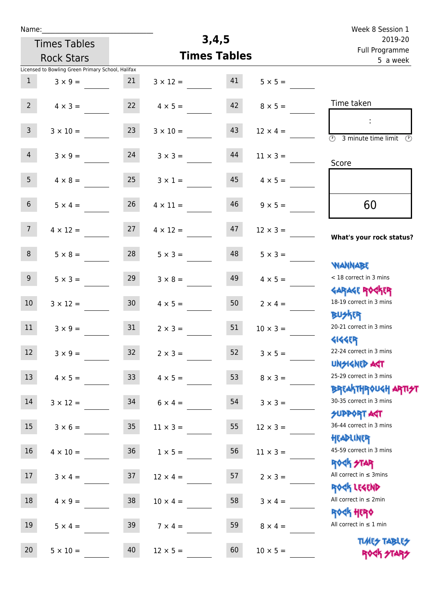| Name:           |                                                   |                 |                     |                            |                 | Week 8 Session 1                                           |
|-----------------|---------------------------------------------------|-----------------|---------------------|----------------------------|-----------------|------------------------------------------------------------|
|                 | <b>Times Tables</b>                               |                 | 3,4,5               | 2019-20                    |                 |                                                            |
|                 | <b>Rock Stars</b>                                 |                 | <b>Times Tables</b> | Full Programme<br>5 a week |                 |                                                            |
|                 | Licensed to Bowling Green Primary School, Halifax |                 |                     |                            |                 |                                                            |
| $\mathbf{1}$    | $3 \times 9 =$                                    | 21              | $3 \times 12 =$     | 41                         | $5 \times 5 =$  |                                                            |
|                 |                                                   |                 |                     |                            |                 |                                                            |
| $2^{\circ}$     | $4 \times 3 =$                                    | 22              | $4 \times 5 =$      | 42                         | $8 \times 5 =$  | Time taken                                                 |
|                 |                                                   |                 |                     |                            |                 | ÷                                                          |
| $\overline{3}$  | $3 \times 10 =$                                   | 23              | $3 \times 10 =$     | 43                         | $12 \times 4 =$ | $\overline{\odot}$<br>3 minute time limit<br>$\mathcal{O}$ |
| $\overline{4}$  | $3 \times 9 =$                                    | 24              | $3 \times 3 =$      | 44                         | $11 \times 3 =$ |                                                            |
|                 |                                                   |                 |                     |                            |                 | Score                                                      |
| 5 <sub>1</sub>  | $4 \times 8 =$                                    | 25              | $3 \times 1 =$      | 45                         | $4 \times 5 =$  |                                                            |
|                 |                                                   |                 |                     |                            |                 |                                                            |
| 6 <sup>1</sup>  | $5 \times 4 =$                                    | 26              | $4 \times 11 =$     | 46                         | $9 \times 5 =$  | 60                                                         |
|                 |                                                   |                 |                     |                            |                 |                                                            |
| 7 <sup>1</sup>  | $4 \times 12 =$                                   | 27              | $4 \times 12 =$     | 47                         | $12 \times 3 =$ |                                                            |
|                 |                                                   |                 |                     |                            |                 | What's your rock status?                                   |
| 8               | $5 \times 8 =$                                    | 28              | $5 \times 3 =$      | 48                         | $5 \times 3 =$  |                                                            |
|                 |                                                   |                 |                     |                            |                 | WANNABE                                                    |
| 9               | $5 \times 3 =$                                    | 29              | $3 \times 8 =$      | 49                         | $4 \times 5 =$  | < 18 correct in 3 mins                                     |
|                 |                                                   |                 |                     |                            |                 | <b>GARAGE ROCKER</b><br>18-19 correct in 3 mins            |
| 10 <sup>°</sup> | $3 \times 12 =$                                   | 30 <sub>o</sub> | $4 \times 5 =$      | 50                         | $2 \times 4 =$  | <b>BUSKER</b>                                              |
| 11              |                                                   | 31              |                     | 51                         |                 | 20-21 correct in 3 mins                                    |
|                 | $3 \times 9 =$                                    |                 | $2 \times 3 =$      |                            | $10 \times 3 =$ | <b>4144EPT</b>                                             |
| 12 <sub>2</sub> | $3 \times 9 =$                                    | 32              | $2 \times 3 =$      | 52                         | $3 \times 5 =$  | 22-24 correct in 3 mins                                    |
|                 |                                                   |                 |                     |                            |                 | <b>UNSIGNED AST</b>                                        |
| 13              | $4 \times 5 =$                                    | 33 <sup>°</sup> | $4 \times 5 =$      | 53                         | $8 \times 3 =$  | 25-29 correct in 3 mins                                    |
|                 |                                                   |                 |                     |                            |                 | ΒΡΓΑΚΤΗΡΟUGH ΑΡΤΙ <del>2</del> Τ                           |
| 14              | $3 \times 12 =$                                   | 34              | $6 \times 4 =$      | 54                         | $3 \times 3 =$  | 30-35 correct in 3 mins                                    |
|                 |                                                   |                 |                     |                            |                 | <b>SUPPORT AGT</b>                                         |
| 15              | $3 \times 6 =$                                    | 35 <sub>5</sub> | $11 \times 3 =$     | 55                         | $12 \times 3 =$ | 36-44 correct in 3 mins                                    |
|                 |                                                   |                 |                     |                            |                 | HEADLINER                                                  |
| 16              | $4 \times 10 =$                                   | 36 <sup>°</sup> | $1 \times 5 =$      | 56                         | $11 \times 3 =$ | 45-59 correct in 3 mins                                    |
|                 |                                                   |                 |                     |                            |                 | <b>ROCK STAR</b>                                           |
| 17              | $3 \times 4 =$                                    | 37              | $12 \times 4 =$     | 57                         | $2 \times 3 =$  | All correct in $\leq$ 3mins                                |
| 18              |                                                   | 38              |                     | 58                         |                 | ROCK LEGEND<br>All correct in $\leq 2$ min                 |
|                 | $4 \times 9 =$                                    |                 | $10 \times 4 =$     |                            | $3 \times 4 =$  | <b>ROGH HERO</b>                                           |
| 19              | $5 \times 4 =$                                    | 39              | $7 \times 4 =$      | 59                         | $8 \times 4 =$  | All correct in $\leq 1$ min                                |
|                 |                                                   |                 |                     |                            |                 |                                                            |
| 20              | $5 \times 10 =$                                   | 40              | $12 \times 5 =$     | 60                         | $10 \times 5 =$ | <b>TUARS TABLES</b><br>ROCK STARS                          |
|                 |                                                   |                 |                     |                            |                 |                                                            |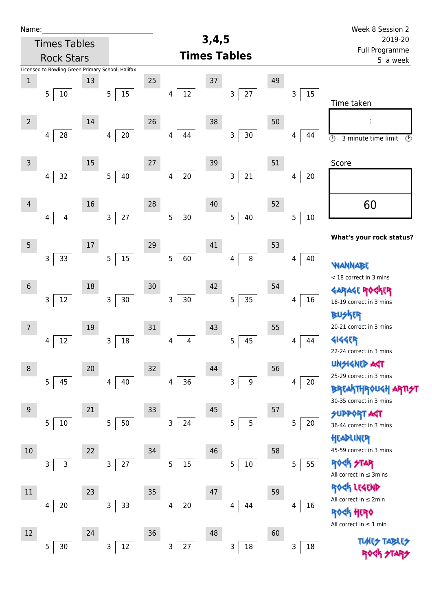| Name:           |                                                   |        |                      |    |                          |       |                       |    |             | Week 8 Session 2                                                      |
|-----------------|---------------------------------------------------|--------|----------------------|----|--------------------------|-------|-----------------------|----|-------------|-----------------------------------------------------------------------|
|                 | <b>Times Tables</b>                               |        |                      |    |                          | 3,4,5 |                       |    |             | 2019-20                                                               |
|                 | <b>Rock Stars</b>                                 |        |                      |    |                          |       | <b>Times Tables</b>   |    |             | Full Programme<br>5 a week                                            |
|                 | Licensed to Bowling Green Primary School, Halifax |        |                      |    |                          |       |                       |    |             |                                                                       |
| $\mathbf 1$     |                                                   | 13     |                      | 25 |                          | 37    |                       | 49 |             |                                                                       |
|                 | 5<br>10                                           |        | 5 <sup>1</sup><br>15 |    | $12\,$<br>$\overline{4}$ |       | 27<br>3               |    | 15<br>3     | Time taken                                                            |
|                 |                                                   |        |                      |    |                          |       |                       |    |             |                                                                       |
| $\overline{2}$  |                                                   | 14     |                      | 26 |                          | 38    |                       | 50 |             |                                                                       |
|                 | 28<br>4                                           |        | $20\,$<br>4          |    | 44<br>4                  |       | $30\,$<br>3           |    | 44<br>4     | $\overline{\odot}$<br>$\overline{\mathcal{O}}$<br>3 minute time limit |
|                 |                                                   |        |                      |    |                          |       |                       |    |             |                                                                       |
| $\mathsf{3}$    |                                                   | 15     |                      | 27 |                          | 39    |                       | 51 |             | Score                                                                 |
|                 | 32<br>$\overline{4}$                              |        | $40\,$<br>5          |    | $20\,$<br>4              |       | 21<br>3               |    | $20\,$<br>4 |                                                                       |
|                 |                                                   |        |                      |    |                          |       |                       |    |             |                                                                       |
| $\overline{4}$  |                                                   | 16     |                      | 28 |                          | 40    |                       | 52 |             | 60                                                                    |
|                 | 4<br>$\overline{4}$                               |        | 27<br>$\overline{3}$ |    | 5<br>30                  |       | 5<br>40               |    | 5<br>$10\,$ |                                                                       |
|                 |                                                   |        |                      |    |                          |       |                       |    |             | What's your rock status?                                              |
| $5\phantom{.0}$ |                                                   | $17\,$ |                      | 29 |                          | 41    |                       | 53 |             |                                                                       |
|                 | 33<br>$\mathsf{3}$                                |        | 15<br>5 <sub>1</sub> |    | 5<br>60                  |       | $\,8\,$<br>4          |    | 40<br>4     |                                                                       |
|                 |                                                   |        |                      |    |                          |       |                       |    |             | <b>WANNABE</b><br>< 18 correct in 3 mins                              |
| $\sqrt{6}$      |                                                   | 18     |                      | 30 |                          | 42    |                       | 54 |             | KER                                                                   |
|                 | $\mathsf 3$<br>12                                 |        | 3<br>$30\,$          |    | 3<br>$30\,$              |       | 35<br>$\overline{5}$  |    | 16<br>4     | 18-19 correct in 3 mins                                               |
|                 |                                                   |        |                      |    |                          |       |                       |    |             | <b>BUSKER</b>                                                         |
| $\overline{7}$  |                                                   | 19     |                      | 31 |                          | 43    |                       | 55 |             | 20-21 correct in 3 mins                                               |
|                 | 12<br>4                                           |        | $18\,$<br>3          |    | 4<br>4                   |       | 45<br>5               |    | 44<br>4     | <b>4144ER</b>                                                         |
|                 |                                                   |        |                      |    |                          |       |                       |    |             | 22-24 correct in 3 mins                                               |
| $\,8\,$         |                                                   | 20     |                      | 32 |                          | 44    |                       | 56 |             | <b>UNSIGNED AGT</b>                                                   |
|                 | $\overline{5}$<br>45                              |        | 40<br>4              |    | $36\,$<br>4              |       | $\boldsymbol{9}$<br>3 |    | 20<br>4     | 25-29 correct in 3 mins                                               |
|                 |                                                   |        |                      |    |                          |       |                       |    |             | <b>BREAKTHROUGH</b>                                                   |
| $9\,$           |                                                   | 21     |                      | 33 |                          | 45    |                       | 57 |             | 30-35 correct in 3 mins                                               |
|                 | 5<br>10                                           |        | 50<br>5              |    | $\mathsf 3$<br>24        |       | 5<br>5                |    | 5<br>20     | <b>SUPPORT AGT</b><br>36-44 correct in 3 mins                         |
|                 |                                                   |        |                      |    |                          |       |                       |    |             | HEADLINER                                                             |
| 10              |                                                   | 22     |                      | 34 |                          | 46    |                       | 58 |             | 45-59 correct in 3 mins                                               |
|                 | 3<br>3                                            |        | 27<br>$\mathsf{3}$   |    | 15<br>5                  |       | $10\,$<br>5           |    | 55<br>5     | ROCK STAR                                                             |
|                 |                                                   |        |                      |    |                          |       |                       |    |             | All correct in $\leq$ 3mins                                           |
| $11\,$          |                                                   | 23     |                      | 35 |                          | 47    |                       | 59 |             | ROCK LEGEND                                                           |
|                 | $20\,$<br>4                                       |        | 33<br>3              |    | $20\,$<br>4              |       | 44<br>4               |    | 16<br>4     | All correct in $\leq 2$ min                                           |
|                 |                                                   |        |                      |    |                          |       |                       |    |             | <b>ROGH HERO</b>                                                      |
| 12              |                                                   | 24     |                      | 36 |                          | 48    |                       | 60 |             | All correct in $\leq 1$ min                                           |
|                 | $30$<br>5                                         |        | $12\,$<br>3          |    | 27<br>3                  |       | $18\,$<br>3           |    | 18<br>3     | <b>TIMES TABLES</b>                                                   |
|                 |                                                   |        |                      |    |                          |       |                       |    |             |                                                                       |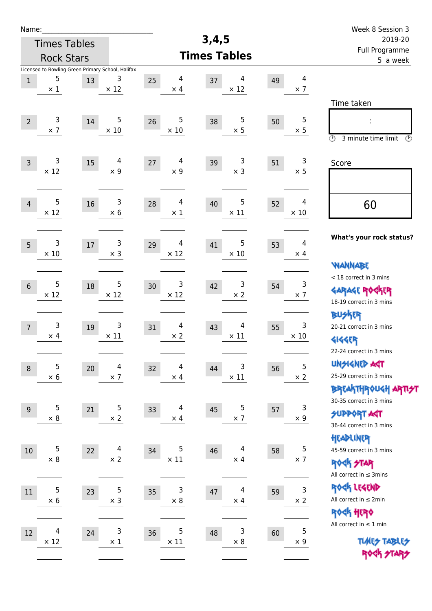| Name:                                                                                                          |                                                                                                | Week 8 Session 3                                                                                |
|----------------------------------------------------------------------------------------------------------------|------------------------------------------------------------------------------------------------|-------------------------------------------------------------------------------------------------|
| <b>Times Tables</b>                                                                                            | 3,4,5                                                                                          | 2019-20                                                                                         |
| <b>Rock Stars</b>                                                                                              | <b>Times Tables</b>                                                                            | Full Programme<br>5 a week                                                                      |
| Licensed to Bowling Green Primary School, Halifax<br>5<br>3<br>13<br>$\mathbf{1}$<br>$\times$ 12<br>$\times$ 1 | $\overline{\mathbf{4}}$<br>4<br>4<br>25<br>37<br>49<br>$\times$ 12<br>$\times$ 7<br>$\times$ 4 |                                                                                                 |
| 5<br>3<br>$\overline{2}$<br>14<br>$\times$ 7<br>$\times$ 10                                                    | 5<br>5<br>5<br>26<br>38<br>50<br>$\times$ 5<br>$\times 10$<br>$\times$ 5                       | Time taken<br>$\circled{r}$<br>3 minute time limit<br>$\odot$                                   |
| 3<br>$\overline{4}$<br>15<br>$\overline{3}$<br>$\times$ 12<br>$\times$ 9                                       | $\overline{4}$<br>3<br>3<br>27<br>39<br>51<br>$\times$ 3<br>$\times$ 9<br>$\times$ 5           | Score                                                                                           |
| 5<br>3<br>16<br>$\overline{4}$<br>$\times$ 12<br>$\times 6$                                                    | 5<br>4<br>4<br>40<br>28<br>52<br>$\times$ 11<br>$\times$ 10<br>$\times$ 1                      | 60                                                                                              |
| 3<br>3<br>5<br>17<br>$\times$ 3<br>$\times 10$                                                                 | 5<br>4<br>4<br>41<br>29<br>53<br>$\times$ 10<br>$\times$ 12<br>$\times$ 4                      | What's your rock status?<br><b>WANNABE</b>                                                      |
| 5<br>5<br>18<br>$6\,$<br>$\times$ 12<br>$\times$ 12                                                            | 3<br>3<br>3<br>42<br>30<br>54<br>$\times$ 7<br>$\times$ 12<br>$\times$ 2                       | < 18 correct in 3 mins<br><b>GARAGE ROCKER</b><br>18-19 correct in 3 mins                       |
| 3<br>3<br>19<br>$\overline{7}$<br>$\times$ 11<br>$\times$ 4                                                    | 3<br>$\overline{4}$<br>4<br>31<br>43<br>55<br>$\times$ 10<br>$\times 2$<br>$\times$ 11         | <b>BUSKRR</b><br>20-21 correct in 3 mins<br><b>4144EP</b><br>22-24 correct in 3 mins            |
| 5<br>4<br>20<br>$\boldsymbol{8}$<br>$\times$ 7<br>$\times$ 6                                                   | 5<br>3<br>4<br>32<br>44<br>56<br>$\times$ 2<br>$\times$ 11<br>$\times$ 4                       | <b>UNSIGNED AGT</b><br>25-29 correct in 3 mins<br>ΒΡΓΑ <sup>Κ</sup> ΤΗΡΟυΚΗ ΑΡΤΙ <del>2</del> Τ |
| 5<br>5<br>21<br>$9$<br>$\times 2$<br>$\times 8$                                                                | 5<br>3<br>4<br>33<br>45<br>57<br>$\times$ 4<br>$\times$ 7<br>$\times$ 9                        | 30-35 correct in 3 mins<br><b>SUPPORT AGT</b><br>36-44 correct in 3 mins                        |
| 5<br>$\overline{4}$<br>22<br>10<br>$\times$ 2<br>$\times 8$                                                    | $\mathsf S$<br>5<br>4<br>34<br>46<br>58<br>$\times$ 11<br>$\times$ 7<br>$\times$ 4             | HEADLINER<br>45-59 correct in 3 mins<br><b>ROCK STAR</b><br>All correct in $\leq$ 3mins         |
| 5<br>5<br>$11\,$<br>23<br>$\times$ 3<br>$\times$ 6                                                             | 3<br>3<br>4<br>35<br>47<br>59<br>$\times 2$<br>$\times$ 8<br>$\times$ 4                        | ROCK LEGEND<br>All correct in $\leq 2$ min<br><b>ROCK HERO</b>                                  |
| 3<br>$\overline{4}$<br>24<br>12<br>$\times$ 12<br>$\times$ 1                                                   | $\sqrt{5}$<br>5<br>3<br>36<br>48<br>60<br>$\times$ 8<br>$\times$ 11<br>$\times$ 9              | All correct in $\leq 1$ min<br><b>TUARS TABLES</b><br>ROCK STARS                                |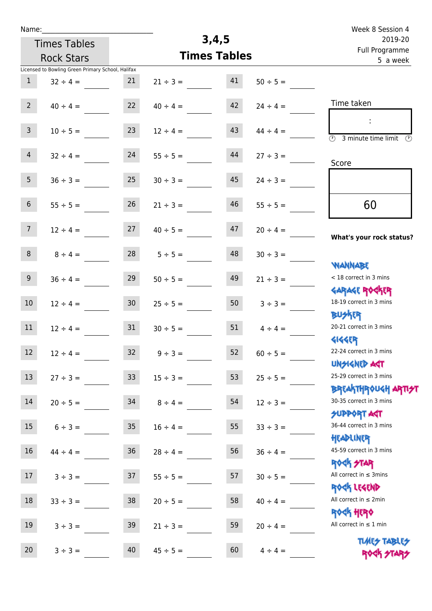| Name: |  |  |  |
|-------|--|--|--|
|       |  |  |  |

## **3,4,5**

|                  | <b>Times Tables</b>                               |                 | 3,4,5         | 2019-20             |               |                                                                  |
|------------------|---------------------------------------------------|-----------------|---------------|---------------------|---------------|------------------------------------------------------------------|
|                  | <b>Rock Stars</b>                                 |                 |               | <b>Times Tables</b> |               | Full Programme<br>5 a week                                       |
|                  | Licensed to Bowling Green Primary School, Halifax |                 |               |                     |               |                                                                  |
| $\mathbf{1}$     | $32 \div 4 =$                                     | 21              | $21 \div 3 =$ | 41                  | $50 \div 5 =$ |                                                                  |
| $2^{\circ}$      | $40 \div 4 =$                                     | 22              | $40 \div 4 =$ | 42                  | $24 \div 4 =$ | Time taken                                                       |
| 3 <sup>7</sup>   | $10 \div 5 =$                                     | 23              | $12 \div 4 =$ | 43                  | $44 \div 4 =$ | (1)<br>3 minute time limit<br>$\mathcal{O}$                      |
| $\overline{4}$   | $32 \div 4 =$                                     | 24              | $55 \div 5 =$ | 44                  | $27 \div 3 =$ | Score                                                            |
| 5 <sub>1</sub>   | $36 \div 3 =$                                     | 25              | $30 \div 3 =$ | 45                  | $24 \div 3 =$ |                                                                  |
| $6\phantom{.}$   | $55 \div 5 =$                                     | 26              | $21 \div 3 =$ | 46                  | $55 \div 5 =$ | 60                                                               |
| 7 <sup>7</sup>   | $12 \div 4 =$                                     | 27              | $40 \div 5 =$ | 47                  | $20 \div 4 =$ | What's your rock status?                                         |
| 8                | $8 \div 4 =$                                      | 28              | $5 \div 5 =$  | 48                  | $30 \div 3 =$ | <b>NANNABE</b>                                                   |
| 9 <sup>°</sup>   | $36 \div 4 =$                                     | 29              | $50 \div 5 =$ | 49                  | $21 \div 3 =$ | < 18 correct in 3 mins<br><b>GARAGE ROGKER</b>                   |
| $10\,$           | $12 \div 4 =$                                     | 30 <sub>o</sub> | $25 \div 5 =$ | 50                  | $3 ÷ 3 =$     | 18-19 correct in 3 mins<br><b>BUSKER</b>                         |
| 11               | $12 \div 4 =$                                     | 31              | $30 \div 5 =$ | 51                  | $4 \div 4 =$  | 20-21 correct in 3 mins<br><b>4144EP</b>                         |
| 12               | $12 \div 4 =$                                     | 32              | $9 \div 3 =$  | 52                  | $60 \div 5 =$ | 22-24 correct in 3 mins<br>UNSIGNED ACT                          |
| 13               | $27 \div 3 =$                                     | 33              | $15 \div 3 =$ | 53                  | $25 \div 5 =$ | 25-29 correct in 3 mins<br><b>BREAKTHROUGH ARTI<del>S</del>T</b> |
| $14\,$           | $20 \div 5 =$                                     | 34              | $8 \div 4 =$  | 54                  | $12 \div 3 =$ | 30-35 correct in 3 mins<br><b>SUPPORT AGT</b>                    |
| $15\phantom{.0}$ | $6 \div 3 =$                                      | 35 <sub>2</sub> | $16 \div 4 =$ | 55                  | $33 ÷ 3 =$    | 36-44 correct in 3 mins<br>HEADLINER                             |
| 16               | $44 \div 4 =$                                     | 36              | $28 \div 4 =$ | 56                  | $36 \div 4 =$ | 45-59 correct in 3 mins<br><b>ROCK STAR</b>                      |
| 17               | $3 ÷ 3 =$                                         | 37              | $55 \div 5 =$ | 57                  | $30 \div 5 =$ | All correct in $\leq$ 3mins<br>ROCK LEGEND                       |
| 18               | $33 \div 3 =$                                     | 38              | $20 \div 5 =$ | 58                  | $40 \div 4 =$ | All correct in $\leq 2$ min<br><b>ROGH HERO</b>                  |
| 19               | $3 ÷ 3 =$                                         | 39              | $21 \div 3 =$ | 59                  | $20 \div 4 =$ | All correct in $\leq 1$ min<br><b>TUARS TABLES</b>               |
| 20               | $3 ÷ 3 =$                                         | 40              | $45 \div 5 =$ | 60                  | $4 \div 4 =$  | ROCK STARS                                                       |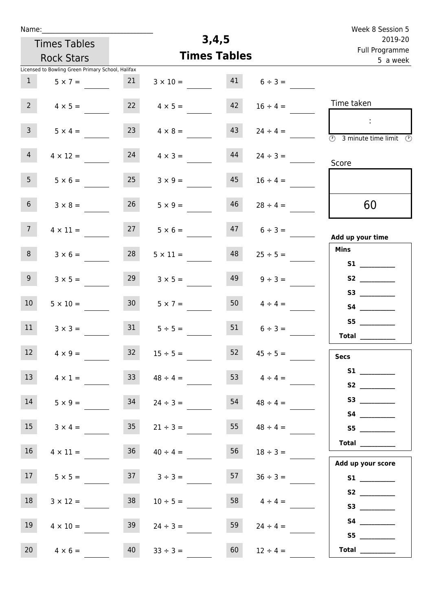| Week 8 Session 5                                                        |                     |       |                     |                 |                                                   | Name:           |
|-------------------------------------------------------------------------|---------------------|-------|---------------------|-----------------|---------------------------------------------------|-----------------|
| 2019-20                                                                 |                     | 3,4,5 |                     |                 | <b>Times Tables</b>                               |                 |
| Full Programme<br>5 a week                                              |                     |       | <b>Times Tables</b> |                 | <b>Rock Stars</b>                                 |                 |
|                                                                         |                     |       |                     |                 | Licensed to Bowling Green Primary School, Halifax |                 |
|                                                                         | $6 \div 3 =$        | 41    | $3 \times 10 =$     | 21              | $5 \times 7 =$                                    | 1               |
| Time taken                                                              | $16 \div 4 =$       | 42    | $4 \times 5 =$      | 22              | $4 \times 5 =$                                    | 2 <sup>7</sup>  |
| ÷<br>$\overline{\textcircled{2}}$ 3 minute time limit $\textcircled{2}$ | $24 \div 4 =$       | 43    | $4 \times 8 =$      | 23              | $5 \times 4 =$                                    | $\overline{3}$  |
| Score                                                                   | $24 \div 3 =$       | 44    | $4 \times 3 =$      | 24              | $4 \times 12 =$                                   | 4               |
|                                                                         | $16 \div 4 =$       | 45    | $3 \times 9 =$      | 25              | $5 \times 6 =$                                    | 5 <sub>1</sub>  |
| 60                                                                      | $28 \div 4 =$       | 46    | $5 \times 9 =$      | 26              | $3 \times 8 =$                                    | 6 <sup>1</sup>  |
| Add up your time                                                        | $6 \div 3 =$        | 47    | $5 \times 6 =$      | 27              | $4 \times 11 =$                                   | 7 <sup>7</sup>  |
| <b>Mins</b>                                                             | $25 \div 5 =$       | 48    | $5 \times 11 =$     | 28              | $3 \times 6 =$                                    | 8               |
|                                                                         | $9 \div 3 =$        | 49    | $3 \times 5 =$      | 29              | $3 \times 5 =$                                    | 9 <sub>o</sub>  |
|                                                                         | $4 \div 4 =$        | 50    | $5 \times 7 =$      | 30 <sub>o</sub> | $5 \times 10 =$                                   | 10 <sup>°</sup> |
| S5<br>$\begin{tabular}{c} Total \end{tabular}$                          | $6 \div 3 =$        | 51    | $5 \div 5 =$        | 31              | $3 \times 3 =$                                    | 11              |
| <b>Secs</b>                                                             | $45 \div 5 =$       | 52    | $15 \div 5 =$       | 32              | $4 \times 9 =$                                    | 12              |
| S1<br>S2                                                                | 53 $4 \div 4 =$     |       | $48 \div 4 =$       | 33 <sup>°</sup> | $4 \times 1 =$                                    | 13              |
| S3                                                                      | $54 \t 48 \div 4 =$ |       | $24 \div 3 =$       | 34              | $5 \times 9 =$                                    | 14              |
|                                                                         | $48 \div 4 =$       | 55    | $21 \div 3 =$       | 35              | $3 \times 4 =$                                    | 15              |
|                                                                         | $18 \div 3 =$       | 56    | $40 \div 4 =$       | 36              | $4 \times 11 =$                                   | 16              |
| Add up your score                                                       | $36 \div 3 =$       | 57    | $3 \div 3 =$        | 37              | $5 \times 5 =$                                    | 17 <sup>7</sup> |
|                                                                         | $4 \div 4 =$        | 58    | $10 \div 5 =$       | 38              | $3 \times 12 =$                                   | 18              |
|                                                                         | $24 \div 4 =$       | 59    | $24 \div 3 =$       | 39              | $4 \times 10 =$                                   | 19              |
| S5<br><b>Total</b> _________                                            | $12 \div 4 =$       | 60    | $33 \div 3 =$       | 40              | $4 \times 6 =$                                    | 20              |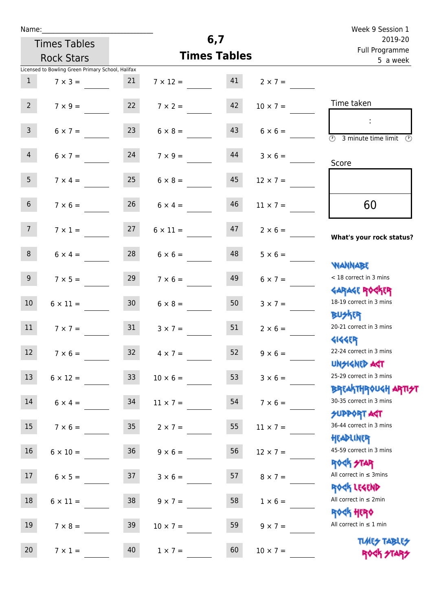| Name:            |                                                   |                 |                                   |                     |                                     | Week 9 Session 1                                                 |  |
|------------------|---------------------------------------------------|-----------------|-----------------------------------|---------------------|-------------------------------------|------------------------------------------------------------------|--|
|                  | <b>Times Tables</b>                               |                 |                                   | 6,7                 |                                     | 2019-20                                                          |  |
|                  | <b>Rock Stars</b>                                 |                 |                                   | <b>Times Tables</b> |                                     | Full Programme<br>5 a week                                       |  |
|                  | Licensed to Bowling Green Primary School, Halifax |                 |                                   |                     |                                     |                                                                  |  |
| 1                | $7 \times 3 =$                                    | 21              |                                   |                     | $7 \times 12 = 41$ $2 \times 7 = 7$ |                                                                  |  |
| $2^{\circ}$      | $7 \times 9 =$                                    | 22              | $7 \times 2 =$                    | 42                  | $10 \times 7 =$                     | Time taken                                                       |  |
| $\mathbf{3}$     | $6 \times 7 =$                                    | 23              | $6 \times 8 =$                    | 43                  | $6 \times 6 =$                      | <b>3</b> minute time limit<br>$\mathcal{O}$                      |  |
| $\overline{4}$   | $6 \times 7 = 24$                                 |                 | $7 \times 9 =$                    |                     | $44$ $3 \times 6 =$                 | Score                                                            |  |
| 5 <sup>5</sup>   | $7 \times 4 =$                                    | 25              | $6 \times 8 =$                    | 45                  | $12 \times 7 =$                     |                                                                  |  |
| 6 <sup>1</sup>   | $7 \times 6 =$                                    | 26              | $6 \times 4 =$                    | 46                  | $11 \times 7 =$                     | 60                                                               |  |
| 7 <sup>7</sup>   |                                                   |                 | $7 \times 1 = 27$ $6 \times 11 =$ | 47                  | $2 \times 6 =$                      | What's your rock status?                                         |  |
| 8                | $6 \times 4 =$                                    | 28              | $6 \times 6 =$                    | 48                  | $5 \times 6 =$                      | <b>NANNABE</b>                                                   |  |
| 9 <sub>o</sub>   | $7 \times 5 =$                                    | 29              | $7 \times 6 =$                    | 49                  | $6 \times 7 =$                      | < 18 correct in 3 mins<br><b>GARAGE ROCKER</b>                   |  |
| 10 <sup>°</sup>  | $6 \times 11 =$                                   | 30              | $6 \times 8 =$                    | 50                  | $3 \times 7 =$                      | 18-19 correct in 3 mins<br><b>BUSKER</b>                         |  |
| 11               | $7 \times 7 =$                                    | 31              | $3 \times 7 =$                    | 51                  | $2 \times 6 =$                      | 20-21 correct in 3 mins<br><b>4144EP</b>                         |  |
| 12               | $7 \times 6 =$                                    | 32              | $4 \times 7 =$                    | 52                  | $9 \times 6 =$                      | 22-24 correct in 3 mins<br><b>UNSIGNED AGT</b>                   |  |
| 13               | $6 \times 12 =$                                   | 33              | $10 \times 6 =$                   | 53                  | $3 \times 6 =$                      | 25-29 correct in 3 mins<br><b>BREAKTHROUGH ARTI<del>S</del>T</b> |  |
| 14               | $6 \times 4 =$                                    | 34              | $11 \times 7 =$                   | 54                  | $7 \times 6 =$                      | 30-35 correct in 3 mins<br><b>SUPPORT AGT</b>                    |  |
| 15               | $7 \times 6 =$                                    | 35 <sub>1</sub> | $2 \times 7 =$                    | 55                  | $11 \times 7 =$                     | 36-44 correct in 3 mins<br>HEADLINER                             |  |
| 16               | $6 \times 10 =$                                   | 36              | $9 \times 6 =$                    | 56                  | $12 \times 7 =$                     | 45-59 correct in 3 mins<br>ROCK STAR                             |  |
| 17 <sup>17</sup> | $6 \times 5 =$                                    | 37              | $3 \times 6 =$                    | 57                  | $8 \times 7 =$                      | All correct in $\leq$ 3mins<br>ROCK LEGEND                       |  |
| 18               | $6 \times 11 =$                                   | 38              | $9 \times 7 =$                    | 58                  | $1 \times 6 =$                      | All correct in $\leq 2$ min<br><b>ROCK HERO</b>                  |  |
| 19               | $7 \times 8 =$                                    | 39              | $10 \times 7 =$                   | 59                  | $9 \times 7 =$                      | All correct in $\leq 1$ min                                      |  |
| 20               | $7 \times 1 =$                                    | 40              | $1 \times 7 =$                    | 60                  | $10 \times 7 =$                     | <b>TUARS TABLES</b><br>ROCK STARS                                |  |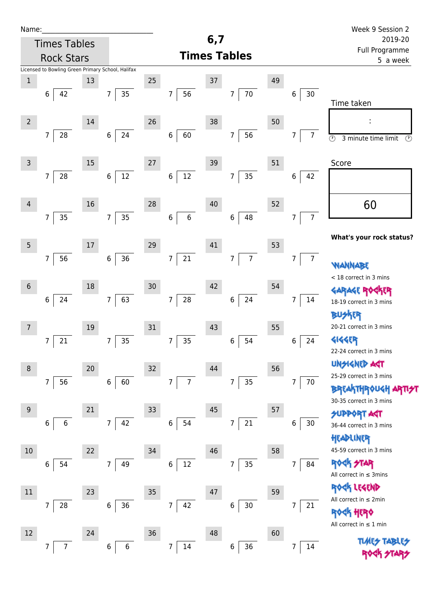| Name:               |                                                   |        |                      |    |                                   |     |                          |    |                      | Week 9 Session 2                                                      |
|---------------------|---------------------------------------------------|--------|----------------------|----|-----------------------------------|-----|--------------------------|----|----------------------|-----------------------------------------------------------------------|
|                     | <b>Times Tables</b>                               |        |                      |    |                                   | 6,7 |                          |    |                      | 2019-20<br>Full Programme                                             |
|                     | <b>Rock Stars</b>                                 |        |                      |    |                                   |     | <b>Times Tables</b>      |    |                      | 5 a week                                                              |
|                     | Licensed to Bowling Green Primary School, Halifax |        |                      |    |                                   |     |                          |    |                      |                                                                       |
| $\mathbf 1$         | 42<br>6                                           | 13     | 35<br>$\overline{7}$ | 25 | 56<br>$\overline{7}$              | 37  | $70\,$<br>$\overline{7}$ | 49 | $30\,$               |                                                                       |
|                     |                                                   |        |                      |    |                                   |     |                          |    | 6                    | Time taken                                                            |
| $2 \nightharpoonup$ |                                                   | 14     |                      | 26 |                                   | 38  |                          | 50 |                      |                                                                       |
|                     | $\overline{7}$<br>28                              |        | 24<br>$\,6\,$        |    | 60<br>6                           |     | 56<br>7                  |    | $\overline{7}$<br>7  | $\overline{\circ}$<br>$\overline{\mathcal{O}}$<br>3 minute time limit |
|                     |                                                   |        |                      |    |                                   |     |                          |    |                      |                                                                       |
| $\mathsf{3}$        |                                                   | 15     |                      | 27 |                                   | 39  |                          | 51 |                      | Score                                                                 |
|                     | 28<br>$\overline{7}$                              |        | $12\,$<br>$\,6\,$    |    | $12\,$<br>6                       |     | 35<br>7                  |    | 6<br>42              |                                                                       |
|                     |                                                   |        |                      |    |                                   |     |                          |    |                      |                                                                       |
| $\overline{4}$      |                                                   | 16     |                      | 28 |                                   | 40  |                          | 52 |                      | 60                                                                    |
|                     | 35<br>$7\overline{ }$                             |        | 35<br>$\overline{7}$ |    | $\,$ 6 $\,$<br>$\,$ 6 $\,$        |     | 48<br>$\,6$              |    | $\overline{7}$<br>7  |                                                                       |
|                     |                                                   |        |                      |    |                                   |     |                          |    |                      | What's your rock status?                                              |
| 5                   | $\overline{7}$<br>56                              | $17\,$ | 36<br>$\,6\,$        | 29 | $\overline{7}$<br>21              | 41  | $\overline{7}$<br>7      | 53 | 7 <sup>1</sup><br>7  |                                                                       |
|                     |                                                   |        |                      |    |                                   |     |                          |    |                      | WANNABE                                                               |
| $6\,$               |                                                   | 18     |                      | 30 |                                   | 42  |                          | 54 |                      | < 18 correct in 3 mins                                                |
|                     | 24<br>$6\phantom{.0}$                             |        | 63<br>$\overline{7}$ |    | 28<br>$\boldsymbol{7}$            |     | 24<br>$\,6\,$            |    | 7<br>14              | <b>GARAGE RO</b><br>18-19 correct in 3 mins                           |
|                     |                                                   |        |                      |    |                                   |     |                          |    |                      | <b>BUSKER</b>                                                         |
| $\overline{7}$      |                                                   | 19     |                      | 31 |                                   | 43  |                          | 55 |                      | 20-21 correct in 3 mins                                               |
|                     | 21<br>7                                           |        | 35<br>7              |    | 35<br>$\overline{7}$              |     | 6<br>54                  |    | 6<br>24              | <b>4144EP</b>                                                         |
|                     |                                                   |        |                      |    |                                   |     |                          |    |                      | 22-24 correct in 3 mins<br><b>UNSIGNED AGT</b>                        |
| $\, 8$              |                                                   | 20     |                      | 32 |                                   | 44  |                          | 56 |                      | 25-29 correct in 3 mins                                               |
|                     | 56<br>$\overline{7}$                              |        | $\,6\,$<br>60        |    | $\overline{7}$<br>$7\overline{ }$ |     | 35<br>7                  |    | 7<br>70              | <b>BREAKTHROUGH</b>                                                   |
| $\boldsymbol{9}$    |                                                   | 21     |                      | 33 |                                   | 45  |                          | 57 |                      | 30-35 correct in 3 mins                                               |
|                     | $\,6\,$<br>6                                      |        | 42<br>$\overline{7}$ |    | 54<br>$\,6\,$                     |     | 21<br>$\overline{7}$     |    | 30<br>6              | <b>SUPPORT AGT</b>                                                    |
|                     |                                                   |        |                      |    |                                   |     |                          |    |                      | 36-44 correct in 3 mins<br>HEADLINER                                  |
| 10                  |                                                   | 22     |                      | 34 |                                   | 46  |                          | 58 |                      | 45-59 correct in 3 mins                                               |
|                     | 54<br>6                                           |        | 49<br>7              |    | 12<br>$\,6$                       |     | 35<br>7                  |    | 84<br>$\overline{7}$ | <b>ROCK STAR</b>                                                      |
|                     |                                                   |        |                      |    |                                   |     |                          |    |                      | All correct in $\leq$ 3mins                                           |
| 11                  |                                                   | 23     |                      | 35 |                                   | 47  |                          | 59 |                      | ROCK LEGEND<br>All correct in $\leq 2$ min                            |
|                     | 7<br>28                                           |        | 36<br>$\,6\,$        |    | 42<br>$\boldsymbol{7}$            |     | $30\,$<br>6              |    | 21<br>$\overline{7}$ | <b><htp: <="" b=""></htp:></b>                                        |
|                     |                                                   |        |                      |    |                                   |     |                          |    |                      | All correct in $\leq 1$ min                                           |
| 12                  |                                                   | 24     |                      | 36 |                                   | 48  |                          | 60 |                      | <b>TUARS TABI</b>                                                     |
|                     | 7                                                 |        | 6<br>6               |    | $14\,$<br>7                       |     | 36<br>6                  |    | 14<br>7              |                                                                       |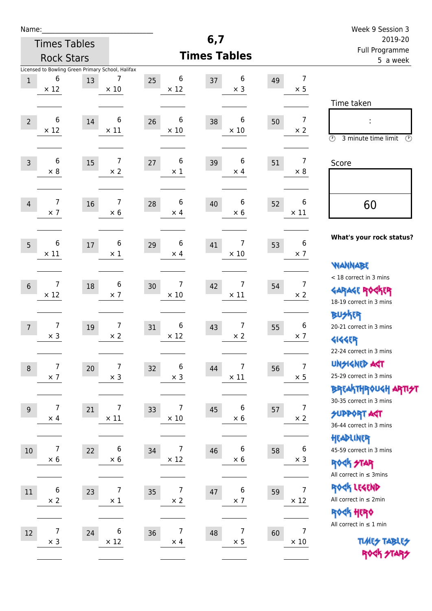| Name:                                              |                                                         |                                        |                                       |                                 |    |                               | Week 9 Session 3                                                                        |
|----------------------------------------------------|---------------------------------------------------------|----------------------------------------|---------------------------------------|---------------------------------|----|-------------------------------|-----------------------------------------------------------------------------------------|
|                                                    | <b>Times Tables</b>                                     |                                        |                                       | 6,7                             |    |                               | 2019-20                                                                                 |
|                                                    | <b>Rock Stars</b>                                       |                                        |                                       | <b>Times Tables</b>             |    |                               | Full Programme<br>5 a week                                                              |
| 6<br>$\mathbf{1}$<br>$\times$ 12                   | Licensed to Bowling Green Primary School, Halifax<br>13 | 7<br>25<br>$\times$ 10                 | 6<br>$\times$ 12                      | 6<br>37<br>$\times$ 3           | 49 | 7<br>$\times$ 5               | Time taken                                                                              |
| 6<br>$\overline{2}$<br>$\times$ 12                 | 14                                                      | 6<br>26<br>$\times$ 11                 | 6<br>$\times$ 10                      | 6<br>38<br>$\times$ 10          | 50 | $\overline{7}$<br>$\times$ 2  | ÷<br>$\circled{r}$<br>3 minute time limit<br>$\mathcal{O}$                              |
| 6<br>$\overline{3}$<br>$\times 8$                  | $15\,$                                                  | 7<br>27<br>$\times 2$                  | $\boldsymbol{6}$<br>39<br>$\times$ 1  | 6<br>$\times$ 4                 | 51 | 7<br>$\times 8$               | Score                                                                                   |
| 7<br>$\overline{4}$<br>$\times$ 7                  | 16                                                      | 7<br>28<br>$\times 6$                  | 6<br>40<br>$\times$ 4                 | 6<br>$\times$ 6                 | 52 | 6<br>$\times$ 11              | 60                                                                                      |
| 6<br>$5\overline{)}$<br>$\times$ 11                | $17\,$                                                  | 6<br>29<br>$\times$ 1                  | 6<br>41<br>$\times$ 4                 | 7<br>$\times$ 10                | 53 | 6<br>$\times$ 7               | What's your rock status?<br><b>WANNABE</b>                                              |
| 7<br>$6\phantom{1}6$<br>$\times$ 12                | 18                                                      | 6<br>30<br>$\times$ 7                  | 7<br>$\times$ 10                      | 7<br>42<br>$\times$ 11          | 54 | $\overline{7}$<br>$\times$ 2  | < 18 correct in 3 mins<br><b>GARAGE ROGKER</b><br>18-19 correct in 3 mins               |
| 7<br>$\overline{7}$<br>$\times$ 3                  | 19                                                      | 7<br>31<br>$\times$ 2                  | $\boldsymbol{6}$<br>43<br>$\times$ 12 | 7<br>$\times$ 2                 | 55 | 6<br>$\times$ 7               | <b>BU外隅</b><br>20-21 correct in 3 mins<br><b>4144EP</b><br>22-24 correct in 3 mins      |
| $\boldsymbol{7}$<br>$\boldsymbol{8}$<br>$\times$ 7 | 20 <sub>2</sub>                                         | 7<br>32<br>$\times$ 3                  | 6<br>44<br>$\times$ 3                 | $\boldsymbol{7}$<br>$\times$ 11 | 56 | $\overline{7}$<br>$\times$ 5  | <b>UNSIGNED AGT</b><br>25-29 correct in 3 mins<br><b>BREAKTHROUGH ARTI<del>S</del>T</b> |
| $\overline{7}$<br>$\overline{9}$<br>$\times$ 4     | 21                                                      | 7<br>33<br>$\times$ 11                 | 7<br>$\times$ 10                      | 6<br>45<br>$\times$ 6           | 57 | $\overline{7}$<br>$\times$ 2  | 30-35 correct in 3 mins<br><b>SUPPORT AGT</b><br>36-44 correct in 3 mins                |
| 7<br>10<br>$\times$ 6                              | 22                                                      | 6<br>34<br>$\times$ 6                  | 7<br>$\times$ 12                      | 6<br>46<br>$\times$ 6           | 58 | 6<br>$\times$ 3               | HEADLINER<br>45-59 correct in 3 mins<br><b>ROCK STAR</b><br>All correct in $\leq$ 3mins |
| $\boldsymbol{6}$<br>$11\,$<br>$\times$ 2           | 23                                                      | $\overline{7}$<br>$35\,$<br>$\times$ 1 | $\overline{7}$<br>47<br>$\times$ 2    | 6<br>$\times$ 7                 | 59 | $\overline{7}$<br>$\times$ 12 | ROCK LEGEND<br>All correct in $\leq 2$ min<br><b>ROCK HERO</b>                          |
| $\overline{7}$<br>12<br>$\times$ 3                 | 24                                                      | 6<br>36<br>$\times$ 12                 | $\overline{7}$<br>48<br>$\times$ 4    | $\overline{7}$<br>$\times$ 5    | 60 | $\overline{7}$<br>$\times$ 10 | All correct in $\leq 1$ min<br><b>TUARS TABLES</b><br>ROCK STARS                        |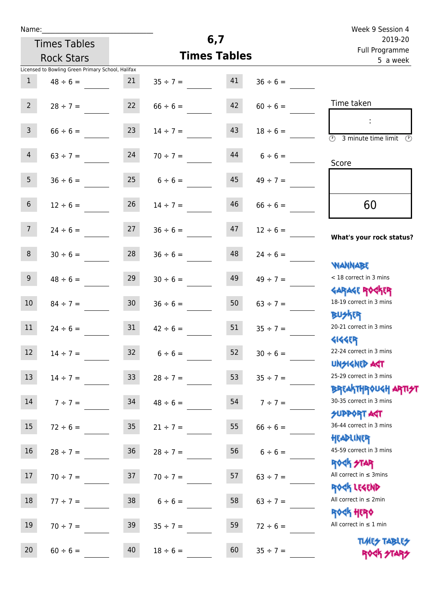| Name:           |                                                   |                 |                                |                     |               | Week 9 Session 4                                                 |  |
|-----------------|---------------------------------------------------|-----------------|--------------------------------|---------------------|---------------|------------------------------------------------------------------|--|
|                 | <b>Times Tables</b>                               |                 |                                | 6,7                 |               | 2019-20<br>Full Programme                                        |  |
|                 | <b>Rock Stars</b>                                 |                 |                                | <b>Times Tables</b> |               | 5 a week                                                         |  |
|                 | Licensed to Bowling Green Primary School, Halifax |                 |                                |                     |               |                                                                  |  |
| 1               | $48 \div 6 =$                                     | 21              | $35 \div 7 = 41$               |                     | $36 \div 6 =$ |                                                                  |  |
| $2^{\circ}$     | $28 \div 7 =$                                     | 22              | $66 \div 6 =$                  | 42                  | $60 \div 6 =$ | Time taken                                                       |  |
| $\mathsf{3}$    | $66 \div 6 =$                                     | 23              | $14 \div 7 =$                  | 43                  | $18 \div 6 =$ | 3 minute time limit<br>$\mathcal{O}$                             |  |
| $\overline{4}$  | $63 \div 7 = 24$                                  |                 | $70 \div 7 =$                  | 44                  | $6 \div 6 =$  | Score                                                            |  |
| 5 <sub>1</sub>  | $36 \div 6 =$                                     |                 | $25 \t 6 \div 6 =$             | 45                  | $49 \div 7 =$ |                                                                  |  |
| 6 <sup>1</sup>  | $12 \div 6 =$                                     | 26              | $14 \div 7 =$                  | 46                  | $66 \div 6 =$ | 60                                                               |  |
| 7 <sup>7</sup>  |                                                   |                 | $24 \div 6 = 27$ $36 \div 6 =$ | 47                  | $12 \div 6 =$ | What's your rock status?                                         |  |
| 8               | $30 \div 6 =$                                     | 28              | $36 \div 6 =$                  | 48                  | $24 \div 6 =$ | <b>NANNABE</b>                                                   |  |
| 9 <sub>o</sub>  | $48 \div 6 =$                                     | 29              | $30 \div 6 =$                  | 49                  | $49 \div 7 =$ | < 18 correct in 3 mins                                           |  |
| 10 <sup>°</sup> | $84 \div 7 = 30$                                  |                 | $36 \div 6 =$                  | 50                  | $63 \div 7 =$ | <b>GARAGE ROGKER</b><br>18-19 correct in 3 mins<br><b>BUSKRY</b> |  |
| 11              | $24 \div 6 =$                                     | 31              | $42 \div 6 =$                  | 51                  | $35 \div 7 =$ | 20-21 correct in 3 mins                                          |  |
| 12              | $14 \div 7 =$                                     | 32              | $6 \div 6 =$                   | 52                  | $30 \div 6 =$ | <b>4144EP</b><br>22-24 correct in 3 mins<br><b>UNSIGNED AGT</b>  |  |
| 13              | $14 \div 7 =$                                     | 33 <sup>°</sup> | $28 \div 7 =$                  | 53                  | $35 ÷ 7 =$    | 25-29 correct in 3 mins<br><b>BREAKTHROUGH ARTI<del>S</del>T</b> |  |
| 14              | $7 ÷ 7 =$                                         | 34              | $48 \div 6 =$                  | 54                  | $7 ÷ 7 =$     | 30-35 correct in 3 mins<br><b>SUPPORT AGT</b>                    |  |
| 15              | $72 \div 6 =$                                     | 35 <sub>1</sub> | $21 \div 7 =$                  | 55                  | $66 \div 6 =$ | 36-44 correct in 3 mins<br>HEADLINER                             |  |
| 16 <sup>1</sup> | $28 \div 7 =$                                     | 36 <sub>1</sub> | $28 \div 7 =$                  | 56                  | $6 \div 6 =$  | 45-59 correct in 3 mins<br><b>ROCK STAR</b>                      |  |
| 17              | $70 \div 7 =$                                     | 37              | $70 \div 7 =$                  | 57                  | $63 \div 7 =$ | All correct in $\leq$ 3mins<br>ROCK LEGEND                       |  |
| 18              | $77 \div 7 =$                                     | 38              | $6 \div 6 =$                   | 58                  | $63 \div 7 =$ | All correct in $\leq 2$ min<br>ROCK HERO                         |  |
| 19              | $70 \div 7 =$                                     | 39              | $35 \div 7 =$                  | 59                  | $72 \div 6 =$ | All correct in $\leq 1$ min                                      |  |
| 20              | $60 \div 6 =$                                     | 40              | $18 \div 6 =$                  | 60                  | $35 \div 7 =$ | <b>TUARS TABLES</b><br>ROCK STARS                                |  |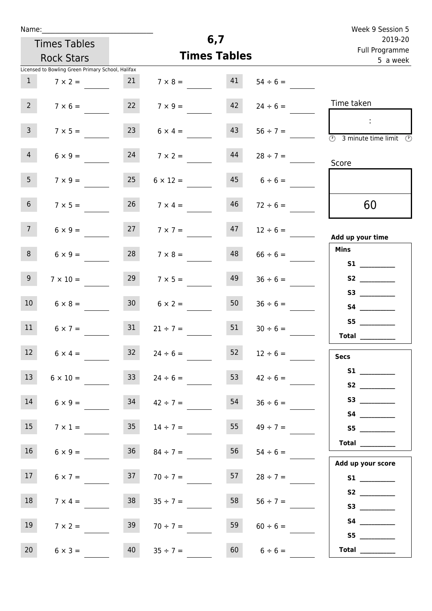|  | Name: |  |
|--|-------|--|
|  |       |  |

Times Tables

| Full Programme<br><b>Times Tables</b><br><b>Rock Stars</b><br>5 a week |               |                     |    |                      |                 |                                                   |                 |  |  |  |
|------------------------------------------------------------------------|---------------|---------------------|----|----------------------|-----------------|---------------------------------------------------|-----------------|--|--|--|
|                                                                        |               |                     |    |                      |                 | Licensed to Bowling Green Primary School, Halifax |                 |  |  |  |
|                                                                        | $54 \div 6 =$ |                     | 41 | $7 \times 8 =$       |                 | $7 \times 2 =$                                    | $\mathbf{1}$    |  |  |  |
| Time taken                                                             | $24 \div 6 =$ | 42                  |    | $7 \times 9 =$       |                 | $7 \times 6 =$                                    | $2^{\circ}$     |  |  |  |
| $\sim 1$<br><b>3</b> minute time limit <b>3</b>                        | $56 \div 7 =$ | 43                  |    | $6 \times 4 =$       | 23              | $7 \times 5 =$                                    | 3 <sup>7</sup>  |  |  |  |
| Score                                                                  | $28 \div 7 =$ |                     | 44 | $7 \times 2 =$       | 24              | $6 \times 9 =$                                    | $\overline{4}$  |  |  |  |
|                                                                        |               | $45 \t 6 \div 6 =$  |    | $6 \times 12 =$      | 25              | $7 \times 9 =$                                    | 5 <sub>1</sub>  |  |  |  |
| 60                                                                     | $72 \div 6 =$ | 46                  |    | $7 \times 4 =$       | 26              | $7 \times 5 =$                                    | 6 <sup>1</sup>  |  |  |  |
| Add up your time                                                       | $12 \div 6 =$ |                     | 47 | $7 \times 7 =$       |                 | $6 \times 9 =$                                    | 7 <sup>7</sup>  |  |  |  |
| <b>Mins</b><br><b>S1 S1</b>                                            | $66 \div 6 =$ |                     | 48 | $28 \t 7 \times 8 =$ |                 | $6 \times 9 =$                                    | 8 <sup>1</sup>  |  |  |  |
|                                                                        | $36 \div 6 =$ | 49                  |    | $7 \times 5 =$       | 29              | $7 \times 10 =$                                   | 9 <sub>o</sub>  |  |  |  |
| S4                                                                     | $36 \div 6 =$ | 50                  |    | $6 \times 2 =$       | 30 <sub>o</sub> | $6 \times 8 =$                                    | 10 <sup>°</sup> |  |  |  |
| S5<br>Total                                                            | $30 \div 6 =$ | 51                  |    | $21 \div 7 =$        | 31              | $6 \times 7 =$                                    | 11              |  |  |  |
| <b>Secs</b>                                                            | $12 \div 6 =$ | 52                  |    | $24 \div 6 =$        | 32              | $6 \times 4 =$                                    | 12              |  |  |  |
| S1                                                                     |               | 53<br>$42 \div 6 =$ |    | $24 \div 6 =$        | 33              | $6 \times 10 =$                                   | 13 <sup>7</sup> |  |  |  |
| S3                                                                     | $36 \div 6 =$ | 54                  |    | $42 \div 7 =$        | 34              | $6 \times 9 =$                                    | 14              |  |  |  |
| S4                                                                     | $49 \div 7 =$ | 55                  |    | $14 \div 7 =$        | 35 <sub>1</sub> | $7 \times 1 =$                                    | 15              |  |  |  |
| Total $\frac{1}{\sqrt{1-\frac{1}{2}}\cdot\frac{1}{2}}$                 | $54 \div 6 =$ | 56                  |    | $84 \div 7 =$        | 36              | $6 \times 9 =$                                    | 16              |  |  |  |
| Add up your score<br>S1                                                | $28 \div 7 =$ | 57                  |    | $70 \div 7 =$        | 37              | $6 \times 7 =$                                    | 17              |  |  |  |
| S2                                                                     | $56 \div 7 =$ | 58                  |    | $35 \div 7 =$        | 38              | $7 \times 4 =$                                    | 18              |  |  |  |
| <b>S4 S4</b>                                                           |               |                     |    |                      |                 |                                                   |                 |  |  |  |
|                                                                        | $60 \div 6 =$ | 59                  |    | $70 \div 7 =$        | 39              | $7 \times 2 =$                                    | 19              |  |  |  |
| <b>Total</b> _________                                                 | $6 \div 6 =$  | 60                  |    | $35 ÷ 7 =$           | 40              | $6 \times 3 =$                                    | 20              |  |  |  |

**6,7**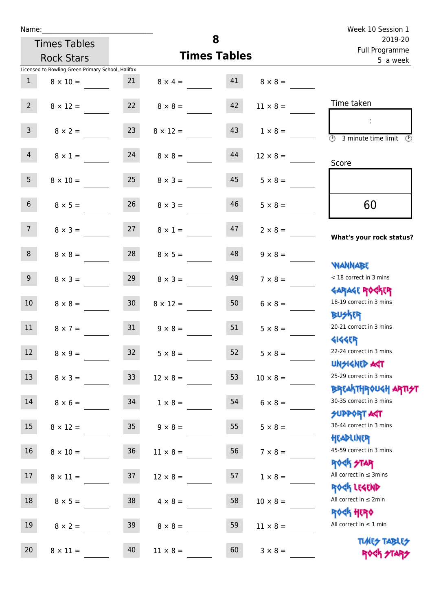| Name:           |                                                   |    |                   |                     |                 | Week 10 Session 1                                                |
|-----------------|---------------------------------------------------|----|-------------------|---------------------|-----------------|------------------------------------------------------------------|
|                 | <b>Times Tables</b>                               |    |                   | 8                   |                 | 2019-20<br>Full Programme                                        |
|                 | <b>Rock Stars</b>                                 |    |                   | <b>Times Tables</b> |                 | 5 a week                                                         |
|                 | Licensed to Bowling Green Primary School, Halifax |    |                   |                     |                 |                                                                  |
| $\mathbf{1}$    | $8 \times 10 =$                                   | 21 | $8 \times 4 = 41$ |                     | $8 \times 8 =$  |                                                                  |
| $2^{\circ}$     | $8 \times 12 =$                                   | 22 | $8 \times 8 =$    | 42                  | $11 \times 8 =$ | Time taken                                                       |
| 3 <sup>7</sup>  | $8 \times 2 = 23$                                 |    | $8 \times 12 =$   | 43                  | $1 \times 8 =$  | $\overline{(\mathcal{V})}$<br>3 minute time limit                |
| $\overline{4}$  | $8 \times 1 =$                                    | 24 | $8 \times 8 =$    | 44                  | $12 \times 8 =$ | Score                                                            |
| 5 <sub>1</sub>  | $8 \times 10 =$                                   | 25 | $8 \times 3 =$    | 45                  | $5 \times 8 =$  |                                                                  |
| 6 <sup>1</sup>  | $8 \times 5 =$                                    | 26 | $8 \times 3 =$    | 46                  | $5 \times 8 =$  | 60                                                               |
| 7 <sup>7</sup>  | $8 \times 3 =$                                    | 27 | $8 \times 1 =$    | 47                  | $2 \times 8 =$  | What's your rock status?                                         |
| 8               | $8 \times 8 =$                                    | 28 | $8 \times 5 =$    | 48                  | $9 \times 8 =$  | <b>NANNABE</b>                                                   |
| 9 <sub>o</sub>  | $8 \times 3 =$                                    | 29 | $8 \times 3 =$    | 49                  | $7 \times 8 =$  | < 18 correct in 3 mins                                           |
| 10              | $8 \times 8 =$                                    | 30 | $8 \times 12 =$   | 50                  | $6 \times 8 =$  | <b>GARAGE ROCKER</b><br>18-19 correct in 3 mins                  |
| 11              | $8 \times 7 =$                                    | 31 | $9 \times 8 =$    | 51                  | $5 \times 8 =$  | <b>BUSKER</b><br>20-21 correct in 3 mins                         |
| 12              | $8 \times 9 =$                                    | 32 | $5 \times 8 =$    | 52                  | $5 \times 8 =$  | <b>4144ER</b><br>22-24 correct in 3 mins<br><b>UNSIGNED AST</b>  |
| 13 <sup>°</sup> | $8 \times 3 =$                                    | 33 | $12 \times 8 =$   | 53                  | $10 \times 8 =$ | 25-29 correct in 3 mins                                          |
| 14              | $8 \times 6 =$                                    | 34 | $1 \times 8 =$    | 54                  | $6 \times 8 =$  | <b>BREAKTHROUGH ARTI<del>S</del>T</b><br>30-35 correct in 3 mins |
| 15              | $8 \times 12 = 35$                                |    | $9 \times 8 =$    | 55                  | $5 \times 8 =$  | <b>SUPPORT ART</b><br>36-44 correct in 3 mins                    |
| 16 <sup>1</sup> | $8 \times 10 = 36$                                |    | $11 \times 8 =$   | 56                  | $7 \times 8 =$  | HEADLINER<br>45-59 correct in 3 mins<br>ROCK STAR                |
| 17              | $8 \times 11 =$                                   | 37 | $12 \times 8 =$   | 57                  | $1 \times 8 =$  | All correct in $\leq$ 3mins                                      |
| 18              | $8 \times 5 =$                                    | 38 | $4 \times 8 =$    | 58                  | $10 \times 8 =$ | ROCK LEGEND<br>All correct in $\leq 2$ min                       |
| 19              | $8 \times 2 =$                                    | 39 | $8 \times 8 =$    | 59                  | $11 \times 8 =$ | <b>ROCK HERO</b><br>All correct in $\leq 1$ min                  |
| 20              | $8 \times 11 =$                                   | 40 | $11 \times 8 =$   | 60                  | $3 \times 8 =$  | <b>TUARS TABLES</b><br>ROCK STARS                                |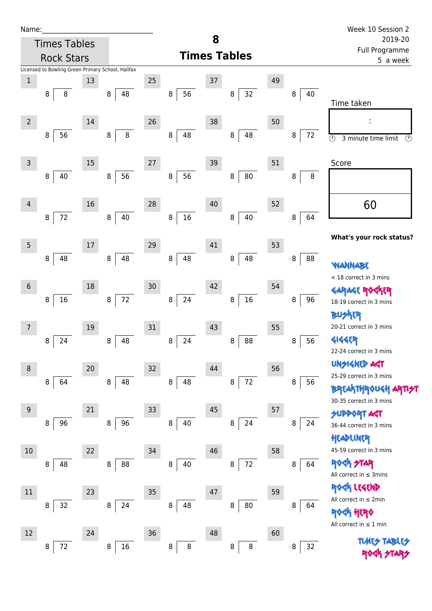| Name |  |  |  |
|------|--|--|--|
|      |  |  |  |

| Name:          |                                                   |    |              |        |                    |    |                     |    |                            | Week 10 Session 2                               |  |
|----------------|---------------------------------------------------|----|--------------|--------|--------------------|----|---------------------|----|----------------------------|-------------------------------------------------|--|
|                | <b>Times Tables</b>                               |    |              |        |                    | 8  |                     |    |                            | 2019-20                                         |  |
|                | <b>Rock Stars</b>                                 |    |              |        |                    |    | <b>Times Tables</b> |    | Full Programme<br>5 a week |                                                 |  |
|                | Licensed to Bowling Green Primary School, Halifax |    |              |        |                    |    |                     |    |                            |                                                 |  |
| $\mathbf{1}$   |                                                   | 13 |              | 25     |                    | 37 |                     | 49 |                            |                                                 |  |
|                | 8<br>8                                            |    | 48<br>8      |        | 56<br>8            |    | 32<br>8             |    | 40<br>8                    | Time taken                                      |  |
|                |                                                   |    |              |        |                    |    |                     |    |                            |                                                 |  |
| $\overline{2}$ |                                                   | 14 |              | 26     |                    | 38 |                     | 50 |                            | ÷                                               |  |
|                | 56<br>8                                           |    | $\bf 8$<br>8 |        | 48<br>8            |    | 48<br>8             |    | 8<br>72                    | $\odot$<br>3 minute time limit<br>$\circled{r}$ |  |
|                |                                                   |    |              |        |                    |    |                     |    |                            |                                                 |  |
| 3              |                                                   | 15 |              | 27     |                    | 39 |                     | 51 |                            | Score                                           |  |
|                | 40<br>8                                           |    | 56<br>8      |        | 56<br>8            |    | 80<br>8             |    | $\, 8$<br>8                |                                                 |  |
|                |                                                   |    |              |        |                    |    |                     |    |                            |                                                 |  |
| 4              |                                                   | 16 |              | 28     |                    | 40 |                     | 52 |                            | 60                                              |  |
|                | 72<br>8                                           |    | 40<br>8      |        | 16<br>8            |    | 40<br>8             |    | 64<br>8                    |                                                 |  |
|                |                                                   |    |              |        |                    |    |                     |    |                            | What's your rock status?                        |  |
| 5              |                                                   | 17 |              | 29     |                    | 41 |                     | 53 |                            |                                                 |  |
|                | 48<br>8                                           |    | 48<br>8      |        | 48<br>8            |    | 48<br>8             |    | 88<br>8                    | <b>WANNABE</b>                                  |  |
|                |                                                   |    |              |        |                    |    |                     |    |                            | < 18 correct in 3 mins                          |  |
| $\sqrt{6}$     |                                                   | 18 |              | $30\,$ |                    | 42 |                     | 54 |                            | GARAGE ROGKER                                   |  |
|                | 16<br>8                                           |    | $72\,$<br>8  |        | 8<br>24            |    | $16\,$<br>8         |    | 8<br>96                    | 18-19 correct in 3 mins                         |  |
|                |                                                   |    |              |        |                    |    |                     |    |                            | 怀明                                              |  |
| 7              |                                                   | 19 |              | $31\,$ |                    | 43 |                     | 55 |                            | 20-21 correct in 3 mins                         |  |
|                | 24<br>8                                           |    | 48<br>8      |        | 24<br>8            |    | 88<br>8             |    | 56<br>8                    | <b>4144EP</b>                                   |  |
|                |                                                   |    |              |        |                    |    |                     |    |                            | 22-24 correct in 3 mins                         |  |
| 8              |                                                   | 20 |              | 32     |                    | 44 |                     | 56 |                            | <b>UNSIGNED AST</b>                             |  |
|                | 64<br>8                                           |    | 48<br>8      |        | $\bf 8$<br>48      |    | $72\,$<br>8         |    | 56<br>8                    | 25-29 correct in 3 mins                         |  |
|                |                                                   |    |              |        |                    |    |                     |    |                            | <b>BREAKTHROUGH</b><br>30-35 correct in 3 mins  |  |
| $9$            |                                                   | 21 |              | 33     |                    | 45 |                     | 57 |                            | <b>SUPPORT AGT</b>                              |  |
|                | 96<br>8                                           |    | 96<br>8      |        | 40<br>8            |    | 24<br>8             |    | 8<br>24                    | 36-44 correct in 3 mins                         |  |
|                |                                                   |    |              |        |                    |    |                     |    |                            | HEADLINER                                       |  |
| 10             |                                                   | 22 |              | 34     |                    | 46 |                     | 58 |                            | 45-59 correct in 3 mins                         |  |
|                | 8<br>48                                           |    | 88<br>8      |        | 40<br>8            |    | $72\,$<br>8         |    | 64<br>8                    | <b>ROCK STAR</b>                                |  |
|                |                                                   |    |              |        |                    |    |                     |    |                            | All correct in $\leq$ 3mins                     |  |
| 11             |                                                   | 23 |              | 35     |                    | 47 |                     | 59 |                            | ROCK LEGEND                                     |  |
|                | 32<br>8                                           |    | 24<br>8      |        | 48<br>8            |    | ${\bf 80}$<br>8     |    | 8<br>64                    | All correct in $\leq 2$ min                     |  |
|                |                                                   |    |              |        |                    |    |                     |    |                            | <b><htp: <="" b=""></htp:></b>                  |  |
| 12             |                                                   | 24 |              | 36     |                    | 48 |                     | 60 |                            | All correct in $\leq 1$ min                     |  |
|                | $72\,$<br>8                                       |    | $16\,$<br>8  |        | $\bf 8$<br>$\bf 8$ |    | $\bf 8$<br>8        |    | 32<br>8                    | <b>TLALES</b>                                   |  |
|                |                                                   |    |              |        |                    |    |                     |    |                            |                                                 |  |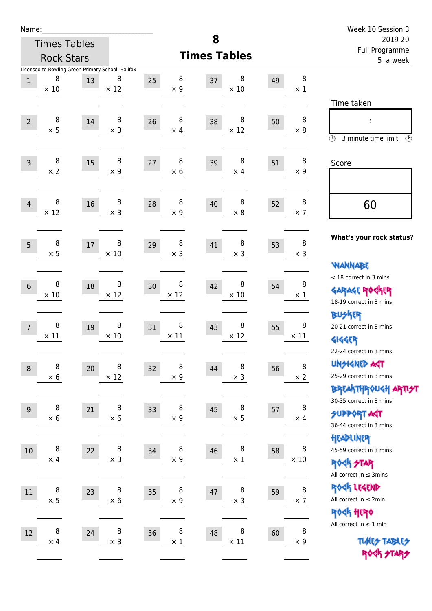| am<br>u |  |  |  |  |  |
|---------|--|--|--|--|--|
|---------|--|--|--|--|--|

Times Tables

|                                                   | <b>Rock Stars</b> |                      |                        | <b>Times Tables</b>    | , an Frogramme<br>5 a week |                                                                                                                          |
|---------------------------------------------------|-------------------|----------------------|------------------------|------------------------|----------------------------|--------------------------------------------------------------------------------------------------------------------------|
| Licensed to Bowling Green Primary School, Halifax |                   |                      |                        |                        |                            |                                                                                                                          |
| 8<br>$\mathbf{1}$<br>$\times$ 10                  | 13                | 8<br>$\times$ 12     | 8<br>25<br>$\times$ 9  | 8<br>37<br>$\times$ 10 | 8<br>49<br>$\times$ 1      |                                                                                                                          |
|                                                   |                   |                      |                        |                        |                            | Time taken                                                                                                               |
| 8<br>$\overline{2}$<br>$\times$ 5                 | 14                | 8<br>$\times$ 3      | 8<br>26<br>$\times$ 4  | 8<br>38<br>$\times$ 12 | 8<br>50<br>$\times 8$      | ÷<br>$\circled{r}$<br>3 minute time limit<br>⊙                                                                           |
| 8<br>$\overline{3}$<br>$\times$ 2                 | 15                | 8<br>$\times 9$      | 8<br>27<br>$\times$ 6  | 8<br>39<br>$\times$ 4  | 8<br>51<br>$\times 9$      | Score                                                                                                                    |
| 8<br>$\overline{4}$<br>$\times$ 12                | 16                | 8<br>$\times$ 3      | 8<br>28<br>$\times$ 9  | 8<br>40<br>$\times$ 8  | 8<br>52<br>$\times$ 7      | 60                                                                                                                       |
| 8<br>5<br>$\times$ 5                              | 17                | 8<br>$\times$ 10     | 8<br>29<br>$\times$ 3  | 8<br>41<br>$\times$ 3  | 8<br>53<br>$\times$ 3      | What's your rock status?                                                                                                 |
| 8<br>$6\,$<br>$\times$ 10                         | 18                | 8<br>$\times$ 12     | 8<br>30<br>$\times$ 12 | 8<br>42<br>$\times$ 10 | 8<br>54<br>$\times$ 1      | <b>WANNABE</b><br>< 18 correct in 3 mins<br><b>GARAGE ROGKER</b><br>18-19 correct in 3 mins                              |
| 8<br>$\overline{7}$<br>$\times$ 11                | 19                | 8<br>$\times$ 10     | 8<br>31<br>$\times$ 11 | 8<br>43<br>$\times$ 12 | 8<br>55<br>$\times$ 11     | <b>BUSKER</b><br>20-21 correct in 3 mins<br><b>4144EP</b>                                                                |
| 8<br>$\,8\,$<br>$\times$ 6                        | 20                | 8<br>$\times$ 12     | 8<br>32<br>$\times$ 9  | 8<br>44<br>$\times$ 3  | $\, 8$<br>56<br>$\times$ 2 | 22-24 correct in 3 mins<br><b>UNGIGNED AGT</b><br>25-29 correct in 3 mins<br>BREAKTHROUGH <mark>ARTI<del>S</del>T</mark> |
| 8<br>$9$<br>$\times$ 6                            | 21                | $\, 8$<br>$\times 6$ | 8<br>33<br>$\times$ 9  | 8<br>45<br>$\times$ 5  | 8<br>57<br>$\times$ 4      | 30-35 correct in 3 mins<br><b>SUPPORT ART</b><br>36-44 correct in 3 mins                                                 |
| 8<br>$10\,$<br>$\times$ 4                         | 22                | 8<br>$\times$ 3      | 8<br>34<br>$\times$ 9  | 8<br>46<br>$\times$ 1  | 8<br>58<br>$\times$ 10     | HEADLINER<br>45-59 correct in 3 mins<br><b>ROCK STAR</b><br>All correct in $\leq$ 3mins                                  |
| $\,8\,$<br>$11\,$<br>$\times$ 5                   | 23                | 8<br>$\times 6$      | 8<br>35<br>$\times$ 9  | 8<br>47<br>$\times$ 3  | $\, 8$<br>59<br>$\times$ 7 | ROCK LEGEND<br>All correct in $\leq 2$ min<br>ROCK HERO                                                                  |
| 8<br>12<br>$\times$ 4                             | 24                | 8<br>$\times$ 3      | 8<br>36<br>$\times$ 1  | 8<br>48<br>$\times$ 11 | 8<br>60<br>$\times$ 9      | All correct in $\leq 1$ min<br><b>TUARS TABLES</b>                                                                       |
|                                                   |                   |                      |                        |                        |                            | ROCK STARS                                                                                                               |

**8**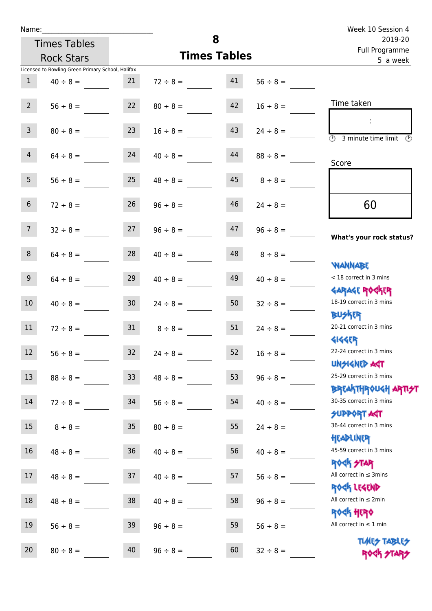|                 | <b>Times Tables</b>                               |                 |                     | 8  |               | Week 10 Session 4<br>2019-20                                                            |
|-----------------|---------------------------------------------------|-----------------|---------------------|----|---------------|-----------------------------------------------------------------------------------------|
|                 | <b>Rock Stars</b>                                 |                 | <b>Times Tables</b> |    |               | Full Programme<br>5 a week                                                              |
|                 | Licensed to Bowling Green Primary School, Halifax |                 |                     |    |               |                                                                                         |
| 1               | $40 \div 8 =$                                     | 21              | $72 \div 8 =$       | 41 | $56 \div 8 =$ |                                                                                         |
| $2^{\circ}$     | $56 \div 8 =$                                     | 22              | $80 \div 8 =$       | 42 | $16 \div 8 =$ | Time taken                                                                              |
| $\mathsf{3}$    | $80 \div 8 =$                                     | 23              | $16 \div 8 =$       | 43 | $24 \div 8 =$ | $\mathcal{L}_{\mathcal{C}}$<br>$\overline{(\mathcal{V})}$<br>3 minute time limit<br>(V) |
| 4               | $64 \div 8 =$                                     | 24              | $40 \div 8 =$       | 44 | $88 \div 8 =$ | Score                                                                                   |
| 5 <sub>1</sub>  | $56 \div 8 =$                                     | 25              | $48 \div 8 =$       | 45 | $8 \div 8 =$  |                                                                                         |
| 6 <sup>1</sup>  | $72 \div 8 =$                                     | 26              | $96 \div 8 =$       | 46 | $24 \div 8 =$ | 60                                                                                      |
| 7 <sup>7</sup>  | $32 \div 8 =$                                     | 27              | $96 \div 8 =$       | 47 | $96 \div 8 =$ | What's your rock status?                                                                |
| 8               | $64 \div 8 =$                                     | 28              | $40 \div 8 =$       | 48 | $8 \div 8 =$  |                                                                                         |
| 9               | $64 \div 8 =$                                     | 29              | $40 \div 8 =$       | 49 | $40 \div 8 =$ | <b>NANNABE</b><br>< 18 correct in 3 mins                                                |
| 10 <sup>°</sup> | $40 \div 8 =$                                     | 30 <sub>o</sub> | $24 \div 8 =$       | 50 | $32 \div 8 =$ | <b>GARAGE ROGKER</b><br>18-19 correct in 3 mins                                         |
| 11              | $72 \div 8 =$                                     | 31              | $8 \div 8 =$        | 51 | $24 \div 8 =$ | <b>BUSKRR</b><br>20-21 correct in 3 mins                                                |
| 12              | $56 \div 8 =$                                     | 32              | $24 \div 8 =$       | 52 | $16 \div 8 =$ | 41445P<br>22-24 correct in 3 mins                                                       |
| 13              | $88 \div 8 =$                                     | 33 <sup>2</sup> | $48 \div 8 =$       | 53 | $96 \div 8 =$ | <b>UNSIGNED AGT</b><br>25-29 correct in 3 mins                                          |
| 14              | $72 \div 8 =$                                     | 34              | $56 \div 8 =$       | 54 | $40 \div 8 =$ | <b>BREAKTHROUGH ARTI<del>S</del>T</b><br>30-35 correct in 3 mins                        |
| 15              | $8 \div 8 =$                                      | 35              | $80 \div 8 =$       | 55 | $24 \div 8 =$ | <b>SUPPORT ART</b><br>36-44 correct in 3 mins                                           |

16  $48 \div 8 =$  36  $40 \div 8 =$  56  $40 \div 8 =$ 

17  $48 \div 8 =$  37  $40 \div 8 =$  57  $56 \div 8 =$ 

18  $48 \div 8 = 38$   $40 \div 8 = 58$   $96 \div 8 =$ 

19  $56 \div 8 = 39$   $96 \div 8 = 59$   $56 \div 8 =$ 

20  $80 \div 8 =$  40  $96 \div 8 =$  60  $32 \div 8 =$ 

Headliner 36-44 correct in 3 mins

45-59 correct in 3 mins

Rock STAR All correct in  $\leq$  3mins

Rock Legend

All correct in ≤ 2min

Rock Hero

All correct in ≤ 1 min

TIMES TABLES ROCK STARS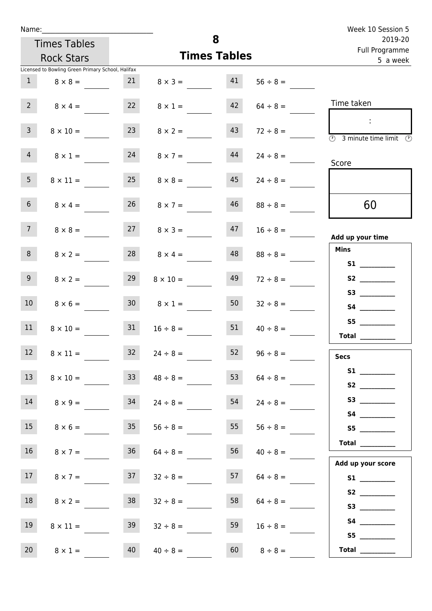| Week 10 Session 5                                                        |               |                     |                      |                 | Name:                                             |                 |  |  |  |  |  |
|--------------------------------------------------------------------------|---------------|---------------------|----------------------|-----------------|---------------------------------------------------|-----------------|--|--|--|--|--|
| 2019-20                                                                  |               | 8                   |                      |                 | <b>Times Tables</b>                               |                 |  |  |  |  |  |
| Full Programme<br>5 a week                                               |               | <b>Times Tables</b> |                      |                 | <b>Rock Stars</b>                                 |                 |  |  |  |  |  |
|                                                                          |               |                     |                      |                 | Licensed to Bowling Green Primary School, Halifax |                 |  |  |  |  |  |
|                                                                          | $56 \div 8 =$ | 41                  | $8 \times 3 =$       | 21              | $8 \times 8 =$                                    | $\mathbf{1}$    |  |  |  |  |  |
| Time taken                                                               | $64 \div 8 =$ | 42                  | $8 \times 1 =$       | 22              | $8 \times 4 =$                                    | $2^{\circ}$     |  |  |  |  |  |
| $\mathcal{L}_{\mathcal{A}}$<br>(1)<br>3 minute time limit $\circledcirc$ | $72 \div 8 =$ | 43                  | $8 \times 2 =$       | 23              | $8 \times 10 =$                                   | $\overline{3}$  |  |  |  |  |  |
| Score                                                                    | $24 \div 8 =$ | 44                  | $8 \times 7 =$       | 24              | $8 \times 1 =$                                    | $\overline{4}$  |  |  |  |  |  |
|                                                                          | $24 \div 8 =$ | 45                  | $8 \times 8 =$       | 25              | $8 \times 11 =$                                   | 5 <sub>1</sub>  |  |  |  |  |  |
| 60                                                                       | $88 \div 8 =$ | 46                  | $26 \t 8 \times 7 =$ |                 | $8 \times 4 =$                                    | 6 <sup>1</sup>  |  |  |  |  |  |
| Add up your time                                                         | $16 \div 8 =$ | 47                  | $8 \times 3 =$       | 27              | $8 \times 8 =$                                    | 7 <sup>7</sup>  |  |  |  |  |  |
| <b>Mins</b>                                                              | $88 \div 8 =$ | 48                  | $8 \times 4 =$       | 28              | $8 \times 2 =$                                    | 8               |  |  |  |  |  |
|                                                                          | $72 \div 8 =$ | 49                  | $8 \times 10 =$      | 29              | $8 \times 2 =$                                    | 9 <sub>o</sub>  |  |  |  |  |  |
|                                                                          | $32 \div 8 =$ | 50                  | $8 \times 1 =$       | 30 <sub>o</sub> | $8 \times 6 =$                                    | 10 <sup>°</sup> |  |  |  |  |  |
| S5<br>Total $\_\_$                                                       | $40 \div 8 =$ | 51                  | $16 \div 8 =$        | 31              | $8 \times 10 =$                                   | 11              |  |  |  |  |  |
| <b>Secs</b>                                                              | $96 \div 8 =$ | 52                  | $24 \div 8 =$        | 32              | $8 \times 11 =$                                   | 12              |  |  |  |  |  |
| S2                                                                       | $64 \div 8 =$ | 53                  | $48 \div 8 =$        | 33 <sup>7</sup> | $8 \times 10 =$                                   | 13              |  |  |  |  |  |
|                                                                          | $24 \div 8 =$ | 54                  | $24 \div 8 =$        | 34              | $8 \times 9 =$                                    | 14              |  |  |  |  |  |
| S5                                                                       | $56 \div 8 =$ | 55                  | $56 \div 8 =$        | 35              | $8 \times 6 =$                                    | 15              |  |  |  |  |  |
| Total $\_\_$<br>Add up your score                                        | $40 \div 8 =$ | 56                  | $64 \div 8 =$        | 36              | $8 \times 7 =$                                    | 16              |  |  |  |  |  |
|                                                                          | $64 \div 8 =$ | 57                  | $32 \div 8 =$        | 37              | $8 \times 7 =$                                    | 17              |  |  |  |  |  |
|                                                                          | $64 \div 8 =$ | 58                  | $32 \div 8 =$        | 38              | $8 \times 2 =$                                    | 18              |  |  |  |  |  |
|                                                                          | $16 \div 8 =$ | 59                  | $32 \div 8 =$        | 39              | $8 \times 11 =$                                   | 19              |  |  |  |  |  |
| Total $\_\_$                                                             | $8 \div 8 =$  | 60                  | $40 \div 8 =$        | 40              | $8 \times 1 =$                                    | 20 <sub>2</sub> |  |  |  |  |  |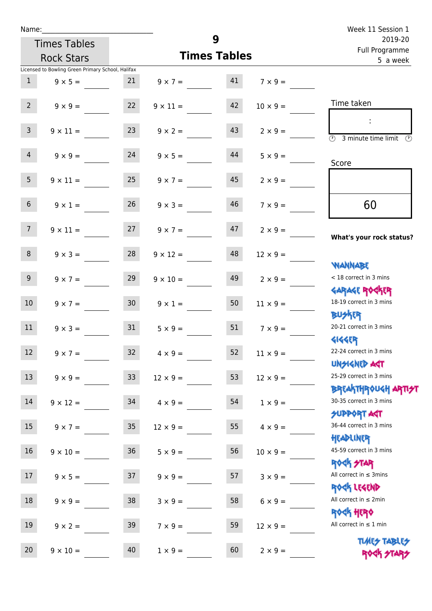| Name:           |                                                   |        |                      | Week 11 Session 1   |                 |                                                                  |  |  |
|-----------------|---------------------------------------------------|--------|----------------------|---------------------|-----------------|------------------------------------------------------------------|--|--|
|                 | <b>Times Tables</b>                               |        |                      | 9                   |                 | 2019-20<br>Full Programme                                        |  |  |
|                 | <b>Rock Stars</b>                                 |        |                      | <b>Times Tables</b> |                 | 5 a week                                                         |  |  |
|                 | Licensed to Bowling Green Primary School, Halifax |        |                      |                     |                 |                                                                  |  |  |
| 1               | $9 \times 5 =$                                    | 21     | $9 \times 7 = 41$    |                     | $7 \times 9 =$  |                                                                  |  |  |
| $2^{\circ}$     | $9 \times 9 =$                                    | 22     | $9 \times 11 =$      | 42                  | $10 \times 9 =$ | Time taken                                                       |  |  |
| $\overline{3}$  | $9 \times 11 =$                                   | 23     | $9 \times 2 =$       | 43                  | $2 \times 9 =$  | 3 minute time limit<br>O)                                        |  |  |
| $\overline{4}$  | $9 \times 9 = 24$                                 |        | $9 \times 5 =$       | 44                  | $5 \times 9 =$  | Score                                                            |  |  |
| 5 <sub>1</sub>  | $9 \times 11 =$                                   | 25     | $9 \times 7 =$       | 45                  | $2 \times 9 =$  |                                                                  |  |  |
| 6 <sup>1</sup>  | $9 \times 1 =$                                    | 26     | $9 \times 3 =$       | 46                  | $7 \times 9 =$  | 60                                                               |  |  |
| 7 <sup>7</sup>  | $9 \times 11 =$                                   |        | $27 \t 9 \times 7 =$ | 47                  | $2 \times 9 =$  | What's your rock status?                                         |  |  |
| 8               | $9 \times 3 =$                                    | 28     | $9 \times 12 =$      | 48                  | $12 \times 9 =$ | <b>NANNABE</b>                                                   |  |  |
| 9 <sub>o</sub>  | $9 \times 7 =$                                    | 29     | $9 \times 10 =$      | 49                  | $2 \times 9 =$  | < 18 correct in 3 mins<br><b>GARAGE ROCKER</b>                   |  |  |
| 10 <sup>°</sup> | $9 \times 7 =$                                    | 30     | $9 \times 1 =$       | 50                  | $11 \times 9 =$ | 18-19 correct in 3 mins<br><b>BUSKER</b>                         |  |  |
| 11              | $9 \times 3 =$                                    | 31     | $5 \times 9 =$       | 51                  | $7 \times 9 =$  | 20-21 correct in 3 mins<br><b>4144EP</b>                         |  |  |
| 12              | $9 \times 7 =$                                    | 32     | $4 \times 9 =$       | 52                  | $11 \times 9 =$ | 22-24 correct in 3 mins<br><b>UNSIGNED AGT</b>                   |  |  |
| 13              | $9 \times 9 =$                                    | 33     | $12 \times 9 =$      | 53                  | $12 \times 9 =$ | 25-29 correct in 3 mins<br><b>BREAKTHROUGH ARTI<del>S</del>T</b> |  |  |
| 14              | $9 \times 12 =$                                   | 34     | $4 \times 9 =$       | 54                  | $1 \times 9 =$  | 30-35 correct in 3 mins<br><b>SUPPORT AGT</b>                    |  |  |
| 15              | $9 \times 7 =$                                    | $35\,$ | $12 \times 9 =$      | 55                  | $4 \times 9 =$  | 36-44 correct in 3 mins<br>HEADLINER                             |  |  |
| 16              | $9 \times 10 =$                                   | $36\,$ | $5 \times 9 =$       | 56                  | $10 \times 9 =$ | 45-59 correct in 3 mins<br><b>ROCK STAR</b>                      |  |  |
| 17              | $9 \times 5 =$                                    | 37     | $9 \times 9 =$       | 57                  | $3 \times 9 =$  | All correct in $\leq$ 3mins<br>ROCK LEGEND                       |  |  |
| $18\,$          | $9 \times 9 =$                                    | 38     | $3 \times 9 =$       | 58                  | $6 \times 9 =$  | All correct in $\leq 2$ min                                      |  |  |
| 19              | $9 \times 2 =$                                    | 39     | $7 \times 9 =$       | 59                  | $12 \times 9 =$ | <b>ROCK HERO</b><br>All correct in $\leq 1$ min                  |  |  |
| 20              | $9 \times 10 =$                                   | 40     | $1 \times 9 =$       | 60                  | $2 \times 9 =$  | <b>TUARS TABLES</b><br>ROCK STARS                                |  |  |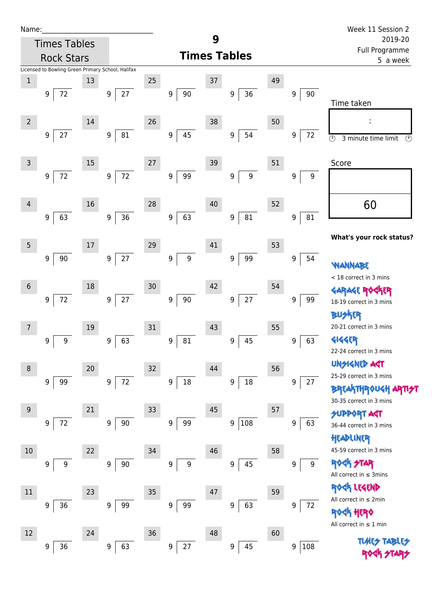| Name |  |  |  |
|------|--|--|--|
|      |  |  |  |

| Name:          |                                                   |    |                            |        |                        |        |                                      |    |                       | Week 11 Session 2                                      |  |  |
|----------------|---------------------------------------------------|----|----------------------------|--------|------------------------|--------|--------------------------------------|----|-----------------------|--------------------------------------------------------|--|--|
|                | <b>Times Tables</b>                               |    |                            |        |                        | 9      |                                      |    |                       | 2019-20                                                |  |  |
|                | <b>Rock Stars</b>                                 |    |                            |        |                        |        | <b>Times Tables</b>                  |    |                       | Full Programme<br>5 a week                             |  |  |
|                | Licensed to Bowling Green Primary School, Halifax |    |                            |        |                        |        |                                      |    |                       |                                                        |  |  |
| $\,1\,$        |                                                   | 13 |                            | 25     |                        | 37     |                                      | 49 |                       |                                                        |  |  |
|                | $72\,$<br>9                                       |    | 27<br>9                    |        | 90<br>9                |        | $36\,$<br>9                          |    | 9<br>90               | Time taken                                             |  |  |
|                |                                                   |    |                            |        |                        |        |                                      |    |                       |                                                        |  |  |
| $\overline{2}$ |                                                   | 14 |                            | 26     |                        | 38     |                                      | 50 |                       | ÷                                                      |  |  |
|                | $27\,$<br>9                                       |    | ${\bf 81}$<br>9            |        | 45<br>9                |        | 54<br>9                              |    | 72<br>9               | $\circledcirc$<br>3 minute time limit<br>$\circled{r}$ |  |  |
|                |                                                   |    |                            |        |                        |        |                                      |    |                       |                                                        |  |  |
| 3              |                                                   | 15 |                            | 27     |                        | 39     |                                      | 51 |                       | Score                                                  |  |  |
|                | $72\,$<br>9                                       |    | $72\,$<br>$\boldsymbol{9}$ |        | 99<br>$\boldsymbol{9}$ |        | $\boldsymbol{9}$<br>$\boldsymbol{9}$ |    | $\boldsymbol{9}$<br>9 |                                                        |  |  |
|                |                                                   |    |                            |        |                        |        |                                      |    |                       |                                                        |  |  |
| $\overline{4}$ |                                                   | 16 |                            | 28     |                        | 40     |                                      | 52 |                       | 60                                                     |  |  |
|                | 63<br>9                                           |    | 36<br>9                    |        | 63<br>9                |        | 81<br>$\boldsymbol{9}$               |    | 81<br>9               |                                                        |  |  |
|                |                                                   |    |                            |        |                        |        |                                      |    |                       |                                                        |  |  |
| 5              |                                                   | 17 |                            | 29     |                        | 41     |                                      | 53 |                       | What's your rock status?                               |  |  |
|                | 90<br>9                                           |    | $27$<br>9                  |        | 9<br>9                 |        | 99<br>$\boldsymbol{9}$               |    | 54<br>9               |                                                        |  |  |
|                |                                                   |    |                            |        |                        |        |                                      |    |                       | <b><i>NANNABE</i></b>                                  |  |  |
| $6\phantom{1}$ |                                                   | 18 |                            | 30     |                        | 42     |                                      | 54 |                       | < 18 correct in 3 mins                                 |  |  |
|                | $72\,$<br>9                                       |    | $27\,$<br>9                |        | $90\,$<br>9            |        | $27\,$<br>9                          |    | 9<br>99               | GARAGE ROGKER<br>18-19 correct in 3 mins               |  |  |
|                |                                                   |    |                            |        |                        |        |                                      |    |                       | 化                                                      |  |  |
| 7              |                                                   | 19 |                            | 31     |                        | 43     |                                      | 55 |                       | 20-21 correct in 3 mins                                |  |  |
|                | $\boldsymbol{9}$<br>9                             |    | 63<br>9                    |        | 81<br>9                |        | 45<br>9                              |    | 63<br>9               | <b>4144EP</b>                                          |  |  |
|                |                                                   |    |                            |        |                        |        |                                      |    |                       | 22-24 correct in 3 mins                                |  |  |
| 8              |                                                   | 20 |                            | 32     |                        | 44     |                                      | 56 |                       | <b>UNSIGNED ART</b>                                    |  |  |
|                | 99<br>9                                           |    | $72\,$<br>$\boldsymbol{9}$ |        | 18<br>9                |        | $18\,$<br>9                          |    | 27<br>9               | 25-29 correct in 3 mins                                |  |  |
|                |                                                   |    |                            |        |                        |        |                                      |    |                       | <b>BREAKTHROUGH ARTI<del>S</del>T</b>                  |  |  |
| 9              |                                                   | 21 |                            | 33     |                        | 45     |                                      | 57 |                       | 30-35 correct in 3 mins                                |  |  |
|                | $72\,$<br>9                                       |    | $90\,$<br>9                |        | 99<br>$\boldsymbol{9}$ |        | 108<br>$\boldsymbol{9}$              |    | 9<br>63               | <b>SUPPORT AGT</b>                                     |  |  |
|                |                                                   |    |                            |        |                        |        |                                      |    |                       | 36-44 correct in 3 mins                                |  |  |
|                |                                                   |    |                            |        |                        |        |                                      |    |                       | HEADLINER<br>45-59 correct in 3 mins                   |  |  |
| 10             |                                                   | 22 |                            | 34     |                        | 46     |                                      | 58 |                       | <b>ROCK STAR</b>                                       |  |  |
|                | 9<br>9                                            |    | $90\,$<br>9                |        | $\boldsymbol{9}$<br>9  |        | 45<br>9                              |    | 9<br>9                | All correct in $\leq$ 3mins                            |  |  |
|                |                                                   |    |                            |        |                        |        |                                      |    |                       | ROCK LEGEND                                            |  |  |
| $11\,$         |                                                   | 23 |                            | $35\,$ |                        | $47\,$ |                                      | 59 |                       | All correct in ≤ 2min                                  |  |  |
|                | $36$<br>9                                         |    | 99<br>9                    |        | 99<br>9                |        | 63<br>9                              |    | 9<br>72               | HERQ                                                   |  |  |
|                |                                                   |    |                            |        |                        |        |                                      |    |                       | All correct in $\leq 1$ min                            |  |  |
| 12             |                                                   | 24 |                            | 36     |                        | 48     |                                      | 60 |                       | <b>TUARS TABLES</b>                                    |  |  |
|                | 36<br>9                                           |    | 63<br>9                    |        | 27<br>$\boldsymbol{9}$ |        | 45<br>$\boldsymbol{9}$               |    | 108<br>9              | ROCK STARS                                             |  |  |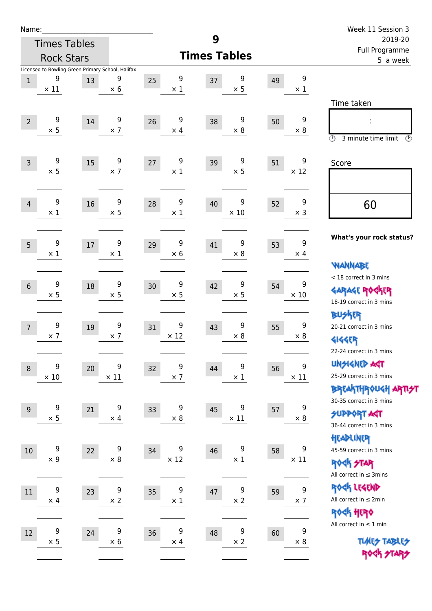| Name:          |                 |                                                         |                 |                       |                       |    |                                | Week 11 Session 3                         |  |
|----------------|-----------------|---------------------------------------------------------|-----------------|-----------------------|-----------------------|----|--------------------------------|-------------------------------------------|--|
|                |                 | <b>Times Tables</b>                                     |                 |                       | 9                     |    |                                | 2019-20                                   |  |
|                |                 | <b>Rock Stars</b>                                       |                 |                       | <b>Times Tables</b>   |    |                                | Full Programme<br>5 a week                |  |
| $\mathbf{1}$   | 9               | Licensed to Bowling Green Primary School, Halifax<br>13 | 9               | 9<br>25               | 9<br>37               | 49 | 9                              |                                           |  |
|                | $\times$ 11     |                                                         | $\times$ 6      | $\times$ 1            | $\times$ 5            |    | $\times$ 1                     |                                           |  |
|                |                 |                                                         |                 |                       |                       |    |                                | Time taken                                |  |
| $\overline{2}$ | 9               | 14                                                      | 9               | 9<br>26               | 9<br>38               | 50 | 9                              | ÷                                         |  |
|                | $\times$ 5      |                                                         | $\times$ 7      | $\times$ 4            | $\times$ 8            |    | $\times 8$                     | $\circled{r}$<br>3 minute time limit<br>⊕ |  |
| $\overline{3}$ | 9               | 15                                                      | 9               | 9<br>27               | 9<br>39               | 51 | 9                              | Score                                     |  |
|                | $\times$ 5      |                                                         | $\times$ 7      | $\times$ 1            | $\times$ 5            |    | $\times$ 12                    |                                           |  |
| $\overline{4}$ | 9               | 16                                                      | 9               | 9<br>28               | 9<br>40               | 52 | 9                              | 60                                        |  |
|                | $\times$ 1      |                                                         | $\times$ 5      | $\times$ 1            | $\times$ 10           |    | $\times$ 3                     |                                           |  |
| 5              | 9               | 17                                                      | 9               | 9<br>29               | 9<br>41               | 53 | 9                              | What's your rock status?                  |  |
|                | $\times$ 1      |                                                         | $\times$ 1      | $\times 6$            | $\times$ 8            |    | $\times$ 4                     |                                           |  |
|                |                 |                                                         |                 |                       |                       |    |                                | <b>WANNABE</b><br>< 18 correct in 3 mins  |  |
| $6\phantom{1}$ | 9               | 18                                                      | 9               | 9<br>30               | 9<br>42               | 54 | 9                              | <b>GARAGE ROCKER</b>                      |  |
|                | $\times$ 5      |                                                         | $\times$ 5      | $\times$ 5            | $\times$ 5            |    | $\times$ 10                    | 18-19 correct in 3 mins                   |  |
|                |                 |                                                         |                 |                       |                       |    |                                | <b>BUSKER</b>                             |  |
| $\overline{7}$ | 9               | 19                                                      | 9               | 9<br>31               | 9<br>43               | 55 | 9                              | 20-21 correct in 3 mins                   |  |
|                | $\times$ 7      |                                                         | $\times$ 7      | $\times$ 12           | $\times$ 8            |    | $\times 8$                     | <b>4144EP</b>                             |  |
|                |                 |                                                         |                 |                       |                       |    |                                | 22-24 correct in 3 mins                   |  |
| $\,8\,$        | 9               | 20                                                      | 9               | 9<br>32               | 9<br>44               | 56 | 9                              | <b>UNSIGNED AGT</b>                       |  |
|                | $\times$ 10     |                                                         | $\times$ 11     | $\times$ 7            | $\times$ 1            |    | $\times$ 11                    | 25-29 correct in 3 mins                   |  |
|                |                 |                                                         |                 |                       |                       |    |                                | ΒΡ(Α THP)0U <h apti<del="">2T</h>         |  |
| 9              | 9               | 21                                                      | 9               | 9<br>33               | 9<br>45               | 57 | $\boldsymbol{9}$               | 30-35 correct in 3 mins                   |  |
|                | $\times$ 5      |                                                         | $\times$ 4      | $\times$ 8            | $\times$ 11           |    | $\times$ 8                     | <b>SUPPORT AGT</b>                        |  |
|                |                 |                                                         |                 |                       |                       |    |                                | 36-44 correct in 3 mins                   |  |
|                | 9               |                                                         | 9               | 9                     | 9                     |    | 9                              | HEADLINER<br>45-59 correct in 3 mins      |  |
| $10\,$         | $\times$ 9      | 22                                                      | $\times$ 8      | 34<br>$\times$ 12     | 46<br>$\times$ 1      | 58 | $\times$ 11                    | ROCK STAR                                 |  |
|                |                 |                                                         |                 |                       |                       |    |                                | All correct in $\leq$ 3mins               |  |
|                |                 |                                                         |                 |                       |                       |    |                                | ROCK LEGEND                               |  |
| $11\,$         | 9<br>$\times$ 4 | 23                                                      | 9<br>$\times$ 2 | 9<br>35<br>$\times$ 1 | 9<br>47<br>$\times$ 2 | 59 | $\boldsymbol{9}$<br>$\times$ 7 | All correct in $\leq 2$ min               |  |
|                |                 |                                                         |                 |                       |                       |    |                                | ROCK HERO                                 |  |
|                |                 |                                                         |                 |                       |                       |    |                                | All correct in $\leq 1$ min               |  |
| 12             | 9               | 24                                                      | 9               | 9<br>36               | 9<br>48               | 60 | 9                              |                                           |  |
|                | $\times$ 5      |                                                         | $\times$ 6      | $\times$ 4            | $\times$ 2            |    | $\times 8$                     | <b>TUARS TABLES</b><br>ROCK STARS         |  |
|                |                 |                                                         |                 |                       |                       |    |                                |                                           |  |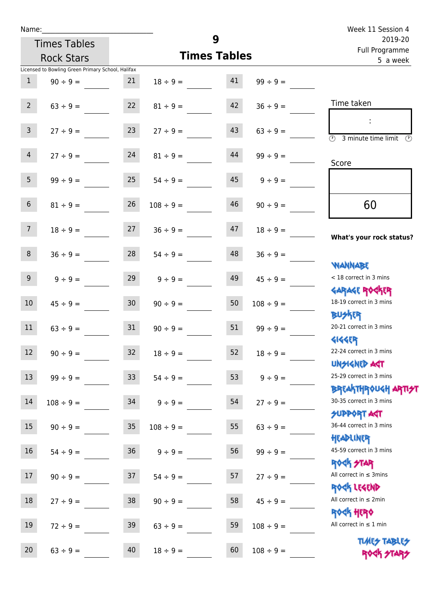| Name:          |                                                   |    |                     |    |                | Week 11 Session 4                                                |
|----------------|---------------------------------------------------|----|---------------------|----|----------------|------------------------------------------------------------------|
|                | <b>Times Tables</b>                               |    | 9                   |    |                | 2019-20                                                          |
|                | <b>Rock Stars</b>                                 |    | <b>Times Tables</b> |    |                | Full Programme<br>5 a week                                       |
|                | Licensed to Bowling Green Primary School, Halifax |    |                     |    |                |                                                                  |
| $\mathbf{1}$   | $90 \div 9 =$                                     | 21 | $18 \div 9 =$       | 41 | $99 \div 9 =$  |                                                                  |
| 2 <sup>7</sup> | $63 ÷ 9 =$                                        | 22 | $81 \div 9 =$       | 42 | $36 \div 9 =$  | Time taken                                                       |
| $\mathsf{3}$   | $27 ÷ 9 =$                                        | 23 | $27 \div 9 =$       | 43 | $63 \div 9 =$  | $\overline{\odot}$<br>3 minute time limit<br>$(\Gamma)$          |
| $\overline{4}$ | $27 ÷ 9 =$                                        | 24 | $81 \div 9 =$       | 44 | $99 \div 9 =$  | Score                                                            |
| 5              | $99 ÷ 9 =$                                        | 25 | $54 \div 9 =$       | 45 | $9 \div 9 =$   |                                                                  |
| $6\phantom{.}$ | $81 \div 9 =$                                     | 26 | $108 \div 9 =$      | 46 | $90 \div 9 =$  | 60                                                               |
| 7 <sup>7</sup> | $18 \div 9 =$                                     | 27 | $36 ÷ 9 =$          | 47 | $18 \div 9 =$  | What's your rock status?                                         |
| $\,8\,$        | $36 ÷ 9 =$                                        | 28 | $54 \div 9 =$       | 48 | $36 ÷ 9 =$     | <b>NANNABE</b>                                                   |
| 9              | $9 ÷ 9 =$                                         | 29 | $9 ÷ 9 =$           | 49 | $45 \div 9 =$  | < 18 correct in 3 mins<br><b>GARAGE ROGKER</b>                   |
| $10\,$         | $45 \div 9 =$                                     | 30 | $90 \div 9 =$       | 50 | $108 \div 9 =$ | 18-19 correct in 3 mins<br><b>BUSKER</b>                         |
| 11             | $63 ÷ 9 =$                                        | 31 | $90 \div 9 =$       | 51 | $99 \div 9 =$  | 20-21 correct in 3 mins<br><b>4144ER</b>                         |
| 12             | $90 \div 9 =$                                     | 32 | $18 \div 9 =$       | 52 | $18 \div 9 =$  | 22-24 correct in 3 mins<br><b>UNSIGNED AGT</b>                   |
| 13             | $99 ÷ 9 =$                                        | 33 | $54 \div 9 =$       | 53 | $9 ÷ 9 =$      | 25-29 correct in 3 mins<br><b>BREAKTHROUGH ARTI<del>S</del>T</b> |
| 14             | $108 \div 9 =$                                    | 34 | $9 ÷ 9 =$           | 54 | $27 ÷ 9 =$     | 30-35 correct in 3 mins<br><b>SUPPORT ART</b>                    |
| 15             | $90 \div 9 =$                                     | 35 | $108 \div 9 =$      | 55 | $63 ÷ 9 =$     | 36-44 correct in 3 mins<br>HEADLINER                             |
| 16             | $54 \div 9 =$                                     | 36 | $9 ÷ 9 =$           | 56 | $99 ÷ 9 =$     | 45-59 correct in 3 mins<br><b>ROCK STAR</b>                      |
| 17             | $90 \div 9 =$                                     | 37 | $54 \div 9 =$       | 57 | $27 ÷ 9 =$     | All correct in $\leq$ 3mins                                      |

18  $27 \div 9 =$  38  $90 \div 9 =$  58  $45 \div 9 =$ 

19  $72 \div 9 =$  39  $63 \div 9 =$  59  $108 \div 9 =$ 

20  $63 \div 9 =$  40  $18 \div 9 =$  60  $108 \div 9 =$ 

Rock Legend All correct in  $\leq 2$ min

Rock Hero All correct in  $\leq 1$  min

> **TIMES TABLES** ROCK STARS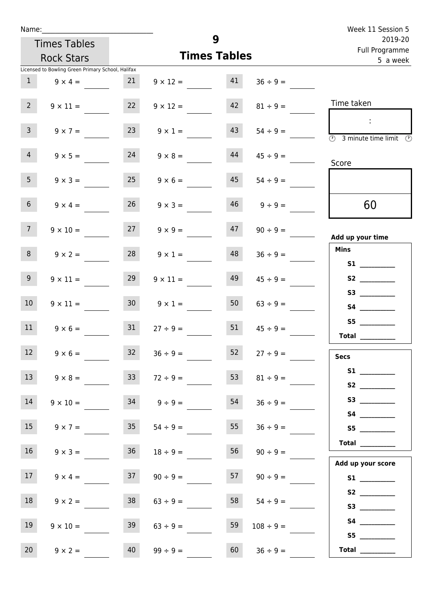|                          | Name: __________                                  |                 |                 |                     |               | Week 11 Session 5                                      |  |  |
|--------------------------|---------------------------------------------------|-----------------|-----------------|---------------------|---------------|--------------------------------------------------------|--|--|
|                          | <b>Times Tables</b>                               |                 |                 | 9                   |               | 2019-20                                                |  |  |
|                          | <b>Rock Stars</b>                                 |                 |                 | <b>Times Tables</b> |               | Full Programme<br>5 a week                             |  |  |
|                          | Licensed to Bowling Green Primary School, Halifax |                 |                 |                     |               |                                                        |  |  |
| $\mathbf{1}$             | $9 \times 4 =$                                    | 21              | $9 \times 12 =$ | 41                  | $36 \div 9 =$ |                                                        |  |  |
|                          |                                                   |                 |                 |                     |               |                                                        |  |  |
| $2^{\circ}$              | $9 \times 11 =$                                   | 22              | $9 \times 12 =$ | 42                  | $81 \div 9 =$ | Time taken                                             |  |  |
|                          |                                                   |                 |                 |                     |               | ÷                                                      |  |  |
| $\overline{3}$           | $9 \times 7 =$                                    | 23              | $9 \times 1 =$  | 43                  | $54 \div 9 =$ | $\overline{O}$<br>3 minute time limit<br>$\mathcal{O}$ |  |  |
|                          |                                                   |                 |                 |                     |               |                                                        |  |  |
| $\overline{4}$           | $9 \times 5 =$                                    | 24              | $9 \times 8 =$  | 44                  | $45 \div 9 =$ | Score                                                  |  |  |
| 5 <sub>1</sub>           | $9 \times 3 =$                                    | 25              | $9 \times 6 =$  | 45                  |               |                                                        |  |  |
|                          |                                                   |                 |                 |                     | $54 \div 9 =$ |                                                        |  |  |
| 6 <sup>1</sup>           | $9 \times 4 =$                                    | 26              | $9 \times 3 =$  | 46                  | $9 \div 9 =$  | 60                                                     |  |  |
|                          |                                                   |                 |                 |                     |               |                                                        |  |  |
| 7 <sup>7</sup>           | $9 \times 10 =$                                   | 27              | $9 \times 9 =$  | 47                  | $90 \div 9 =$ |                                                        |  |  |
|                          |                                                   |                 |                 |                     |               | Add up your time                                       |  |  |
| 8                        | $9 \times 2 =$                                    | 28              | $9 \times 1 =$  | 48                  | $36 \div 9 =$ | <b>Mins</b>                                            |  |  |
|                          |                                                   |                 |                 |                     |               | S1                                                     |  |  |
| 9 <sub>o</sub>           | $9 \times 11 =$                                   | 29              | $9 \times 11 =$ | 49                  | $45 \div 9 =$ | S2                                                     |  |  |
|                          |                                                   |                 |                 |                     |               |                                                        |  |  |
| 10 <sup>°</sup>          | $9 \times 11 =$                                   | 30 <sub>o</sub> | $9 \times 1 =$  | 50                  | $63 \div 9 =$ |                                                        |  |  |
|                          |                                                   |                 |                 |                     |               |                                                        |  |  |
| 11                       | $9 \times 6 = 31$                                 |                 | $27 \div 9 =$   | 51                  | $45 \div 9 =$ | Total $\_\_$                                           |  |  |
| <b>Contract Contract</b> |                                                   |                 |                 |                     |               |                                                        |  |  |
| 12                       | $9 \times 6 =$                                    | 32              | $36 \div 9 =$   | 52                  | $27 \div 9 =$ | <b>Secs</b>                                            |  |  |
| 13                       | $9 \times 8 =$                                    | 33              |                 | 53                  |               |                                                        |  |  |
|                          |                                                   |                 | $72 \div 9 =$   |                     | $81 \div 9 =$ |                                                        |  |  |
| 14                       | $9 \times 10 =$                                   | 34              | $9 \div 9 =$    | 54                  | $36 \div 9 =$ |                                                        |  |  |
|                          |                                                   |                 |                 |                     |               |                                                        |  |  |
| 15                       | $9 \times 7 =$                                    | 35 <sub>1</sub> | $54 \div 9 =$   | 55                  | $36 \div 9 =$ |                                                        |  |  |
|                          |                                                   |                 |                 |                     |               |                                                        |  |  |
| 16 <sup>1</sup>          | $9 \times 3 =$                                    | 36              | $18 \div 9 =$   | 56                  | $90 \div 9 =$ |                                                        |  |  |
|                          |                                                   |                 |                 |                     |               | Add up your score                                      |  |  |
| 17 <sup>7</sup>          | $9 \times 4 =$                                    | 37              | $90 \div 9 =$   | 57                  | $90 \div 9 =$ |                                                        |  |  |
|                          |                                                   |                 |                 |                     |               |                                                        |  |  |
| 18                       | $9 \times 2 =$                                    | 38              | $63 \div 9 =$   | 58                  | $54 \div 9 =$ |                                                        |  |  |
|                          |                                                   |                 |                 |                     |               |                                                        |  |  |

19  $9 \times 10 =$  39  $63 \div 9 =$ 

20  $9 \times 2 =$  40  $99 \div 9 =$ 

 **S4 \_\_\_\_\_\_\_\_\_\_\_\_ S5 \_\_\_\_\_\_\_\_\_\_\_\_ Total \_\_\_\_\_\_\_\_\_\_\_\_**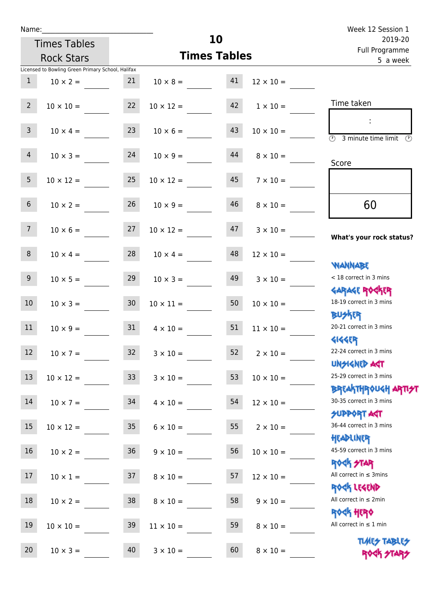| Week 12 Session 1                                               |                  |    |                     |                 |                                                   | Name:          |
|-----------------------------------------------------------------|------------------|----|---------------------|-----------------|---------------------------------------------------|----------------|
| 2019-20<br>Full Programme                                       |                  |    | 10                  |                 | <b>Times Tables</b>                               |                |
| 5 a week                                                        |                  |    | <b>Times Tables</b> |                 | <b>Rock Stars</b>                                 |                |
|                                                                 |                  |    |                     |                 | Licensed to Bowling Green Primary School, Halifax |                |
|                                                                 | $12 \times 10 =$ | 41 | $10 \times 8 =$     | 21              | $10 \times 2 =$                                   | $\mathbf{1}$   |
| Time taken                                                      | $1 \times 10 =$  | 42 | $10 \times 12 =$    | 22              | $10 \times 10 =$                                  | $2^{\circ}$    |
| $\overline{\textcircled{3}}$ 3 minute time limit                | $10 \times 10 =$ | 43 | $10 \times 6 =$     |                 | $10 \times 4 = 23$                                | $\overline{3}$ |
| Score                                                           | $8 \times 10 =$  | 44 | $10 \times 9 =$     | 24              | $10 \times 3 =$                                   | $\overline{4}$ |
|                                                                 | $7 \times 10 =$  | 45 | $10 \times 12 =$    | 25              | $10 \times 12 =$                                  | 5 <sub>1</sub> |
| 60                                                              | $8 \times 10 =$  | 46 | $10 \times 9 =$     | 26              | $10 \times 2 =$                                   | 6 <sup>1</sup> |
| What's your rock status?                                        | $3 \times 10 =$  | 47 | $10 \times 12 =$    | 27              | $10 \times 6 =$                                   | 7 <sup>7</sup> |
|                                                                 | $12 \times 10 =$ | 48 | $10 \times 4 =$     | 28              | $10 \times 4 =$                                   | 8 <sup>°</sup> |
| <b>NANNABE</b><br>< 18 correct in 3 mins                        | $3 \times 10 =$  | 49 | $10 \times 3 =$     | 29              | $10 \times 5 =$                                   | 9 <sub>o</sub> |
| <b>GARAGE ROGKER</b><br>18-19 correct in 3 mins                 | $10 \times 10 =$ | 50 | $10 \times 11 =$    | 30 <sub>o</sub> | $10 \times 3 =$                                   | 10             |
| <b>BUSKER</b><br>20-21 correct in 3 mins                        | $11 \times 10 =$ | 51 | $4 \times 10 =$     | 31              | $10 \times 9 =$                                   | 11             |
| <b>4144EP</b><br>22-24 correct in 3 mins<br><b>UNSIGNED AGT</b> | $2 \times 10 =$  | 52 | $3 \times 10 =$     | 32              | $10 \times 7 =$                                   | $12$           |
| 25-29 correct in 3 mins                                         | $10 \times 10 =$ | 53 | $3 \times 10 =$     | 33              | $10 \times 12 =$                                  | 13             |
| BREAKTHROUGH ARTI <del>S</del> T<br>30-35 correct in 3 mins     | $12 \times 10 =$ | 54 | $4 \times 10 =$     | 34              | $10 \times 7 =$                                   | 14             |
| <b>SUPPORT AGT</b><br>36-44 correct in 3 mins                   | $2 \times 10 =$  | 55 | $6 \times 10 =$     | 35              | $10 \times 12 =$                                  | 15             |
| HEADLINER<br>45-59 correct in 3 mins                            | $10 \times 10 =$ | 56 | $9 \times 10 =$     | 36              | $10 \times 2 =$                                   | 16             |
| ROCK STAR<br>All correct in $\leq$ 3mins                        | $12 \times 10 =$ | 57 | $8 \times 10 =$     | 37              | $10 \times 1 =$                                   | $17$           |
| ROCK LEGEND<br>All correct in $\leq 2$ min                      | $9 \times 10 =$  | 58 | $8 \times 10 =$     | 38              | $10 \times 2 =$                                   | 18             |
| ROCK HERO<br>All correct in $\leq 1$ min                        | $8 \times 10 =$  | 59 | $11 \times 10 =$    | 39              | $10 \times 10 =$                                  | 19             |
| <b>TUARS TABLES</b><br>ROCK STARS                               | $8 \times 10 =$  | 60 | $3 \times 10 =$     | 40              | $10 \times 3 =$                                   | 20             |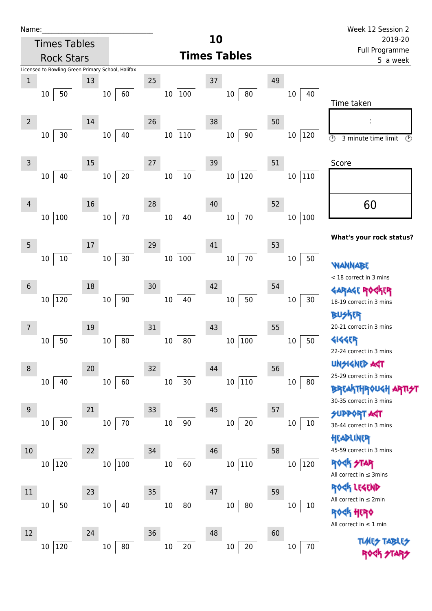| Name |  |  |  |
|------|--|--|--|
|      |  |  |  |

|                | <b>Times Tables</b> |                                                   |                        | 10                      |                               | 2019-20                                                                    |
|----------------|---------------------|---------------------------------------------------|------------------------|-------------------------|-------------------------------|----------------------------------------------------------------------------|
|                | <b>Rock Stars</b>   |                                                   |                        | <b>Times Tables</b>     |                               | Full Programme<br>5 a week                                                 |
|                |                     | Licensed to Bowling Green Primary School, Halifax |                        |                         |                               |                                                                            |
| $\mathbf 1$    |                     | 13                                                | 25                     | 37                      | 49                            |                                                                            |
|                | 50<br>10            | 60<br>$10\,$                                      | 10 100                 | 80<br>$10\,$            | 40<br>10                      | Time taken                                                                 |
| $\overline{2}$ | 30<br>$10\,$        | 14<br>40<br>$10\,$                                | 26<br> 110<br>$10\,$   | 38<br>90<br>$10\,$      | 50<br>120<br>$10\,$           | $\circled{r}$<br>3 minute time limit<br>P)                                 |
| 3              |                     | 15                                                | $27$                   | 39                      | 51                            | Score                                                                      |
|                | 40<br>10            | $20\,$<br>$10\,$                                  | $10\,$<br>$10\,$       | 120<br>$10\,$           | $110\,$<br>10                 |                                                                            |
| 4              | 100<br>$10\,$       | 16<br>$70\,$<br>$10\,$                            | 28<br>40<br>$10\,$     | 40<br>$70\,$<br>$10\,$  | 52<br>100<br>$10\,$           | 60                                                                         |
| 5              |                     | 17                                                | 29                     | 41                      | 53                            | What's your rock status?                                                   |
|                | $10\,$<br>$10\,$    | $30\,$<br>$10\,$                                  | 10 100                 | $70\,$<br>$10\,$        | $10\,$<br>50                  | WANNABE<br>< 18 correct in 3 mins                                          |
| 6              | 120<br>$10\,$       | 18<br>$90\,$<br>$10\,$                            | 30<br>$10\,$<br>40     | 42<br>50<br>$10\,$      | 54<br>$30\,$<br>10            | (R<br>GARAGE RO<br>18-19 correct in 3 mins                                 |
| 7              | 50<br>$10\,$        | 19<br>80<br>$10\,$                                | 31<br>80<br>$10\,$     | 43<br>100<br>$10\,$     | 55<br>50<br>$10\,$            | 20-21 correct in 3 mins<br><b>4144ER</b>                                   |
| 8              |                     | 20                                                | 32                     | 44                      | 56                            | 22-24 correct in 3 mins<br>UNSIGNED AGT                                    |
|                | 40<br>$10\,$        | 60<br>10                                          | 30<br>$10\,$           | $ 110\rangle$<br>$10\,$ | 80<br>$10\,$                  | 25-29 correct in 3 mins<br><b>BREAKTHROUGH</b><br>30-35 correct in 3 mins  |
| 9              | $30$<br>$10\,$      | 21<br>$70\,$<br>$10\,$                            | 33<br>$90\,$<br>$10\,$ | 45<br>$20\,$<br>$10\,$  | 57<br>10<br>10                | <b>SUPPORT AGT</b><br>36-44 correct in 3 mins<br>HEADLINER                 |
| 10             | 120<br>10           | 22<br>10 100                                      | 34<br>60<br>$10\,$     | 46<br> 110<br>$10\,$    | 58<br>$ 120\rangle$<br>$10\,$ | 45-59 correct in 3 mins<br><b>ROGK STAR</b><br>All correct in $\leq$ 3mins |
| 11             | 50<br>$10\,$        | 23<br>40<br>$10\,$                                | 35<br>$10\,$<br>80     | 47<br>$10\,$<br>80      | 59<br>10<br>10                | <b><h b="" lesend<=""><br/>All correct in <math>\leq 2</math>min</h></b>   |
| 12             |                     | 24                                                | 36                     | 48                      | 60                            | <b>HERO</b><br>All correct in $\leq 1$ min                                 |
|                | 120<br>10           | $80\,$<br>$10\,$                                  | $20\,$<br>$10\,$       | $20\,$<br>$10\,$        | 70<br>$10\,$                  | <b>TLMES</b>                                                               |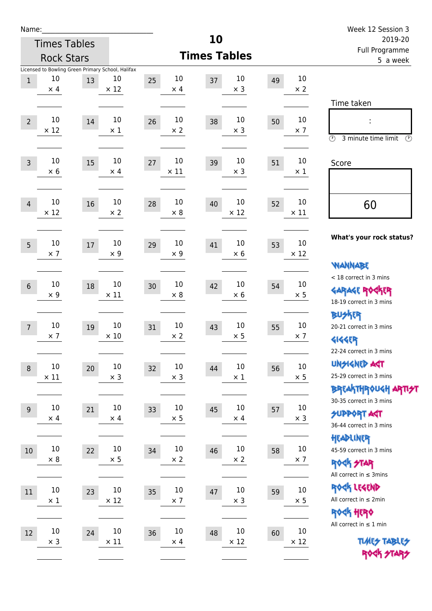| Name:          |                   |                           |                                                   |    |                   |                     |                   |    |                   | Week 12 Session 3                                                        |
|----------------|-------------------|---------------------------|---------------------------------------------------|----|-------------------|---------------------|-------------------|----|-------------------|--------------------------------------------------------------------------|
|                |                   | 10<br><b>Times Tables</b> |                                                   |    |                   |                     |                   |    |                   | 2019-20                                                                  |
|                |                   | <b>Rock Stars</b>         |                                                   |    |                   | <b>Times Tables</b> |                   |    |                   | Full Programme<br>5 a week                                               |
|                |                   |                           | Licensed to Bowling Green Primary School, Halifax |    |                   |                     |                   |    | 10                |                                                                          |
| $\mathbf{1}$   | 10<br>$\times$ 4  | 13                        | 10<br>$\times$ 12                                 | 25 | 10<br>$\times$ 4  | 37                  | 10<br>$\times$ 3  | 49 | $\times$ 2        |                                                                          |
|                |                   |                           |                                                   |    |                   |                     |                   |    |                   | Time taken                                                               |
|                |                   |                           |                                                   |    |                   |                     |                   |    |                   |                                                                          |
| $\overline{2}$ | 10<br>$\times$ 12 | 14                        | 10<br>$\times$ 1                                  | 26 | 10<br>$\times 2$  | 38                  | 10<br>$\times$ 3  | 50 | 10<br>$\times$ 7  |                                                                          |
|                |                   |                           |                                                   |    |                   |                     |                   |    |                   | $\circled{r}$<br>3 minute time limit<br>$\circled{r}$                    |
|                |                   |                           |                                                   |    |                   |                     |                   |    |                   |                                                                          |
| $\overline{3}$ | 10<br>$\times$ 6  | 15                        | 10<br>$\times$ 4                                  | 27 | 10<br>$\times$ 11 | 39                  | 10<br>$\times$ 3  | 51 | 10<br>$\times 1$  | Score                                                                    |
|                |                   |                           |                                                   |    |                   |                     |                   |    |                   |                                                                          |
|                |                   |                           |                                                   |    |                   |                     |                   |    |                   |                                                                          |
| $\overline{4}$ | 10<br>$\times$ 12 | 16                        | 10<br>$\times 2$                                  | 28 | 10<br>$\times 8$  | 40                  | 10<br>$\times$ 12 | 52 | 10<br>$\times$ 11 | 60                                                                       |
|                |                   |                           |                                                   |    |                   |                     |                   |    |                   |                                                                          |
|                |                   |                           |                                                   |    |                   |                     |                   |    |                   | What's your rock status?                                                 |
| 5              | $10\,$            | 17                        | 10                                                | 29 | 10                | 41                  | 10                | 53 | 10<br>$\times$ 12 |                                                                          |
|                | $\times$ 7        |                           | $\times 9$                                        |    | $\times$ 9        |                     | $\times 6$        |    |                   | <b>NANNABE</b>                                                           |
|                |                   |                           |                                                   |    |                   |                     |                   |    |                   | < 18 correct in 3 mins                                                   |
| $6\,$          | 10                | 18                        | $10\,$                                            | 30 | 10                | 42                  | 10                | 54 | 10                | <b>GARAGE ROCKER</b>                                                     |
|                | $\times$ 9        |                           | $\times$ 11                                       |    | $\times 8$        |                     | $\times 6$        |    | $\times$ 5        | 18-19 correct in 3 mins                                                  |
|                |                   |                           |                                                   |    |                   |                     |                   |    |                   | <b>BUSKER</b>                                                            |
| $\overline{7}$ | 10                | 19                        | 10                                                | 31 | 10                | 43                  | 10                | 55 | 10                | 20-21 correct in 3 mins                                                  |
|                | $\times$ 7        |                           | $\times$ 10                                       |    | $\times$ 2        |                     | $\times$ 5        |    | $\times$ 7        | <b>4144EP</b>                                                            |
|                |                   |                           |                                                   |    |                   |                     |                   |    |                   | 22-24 correct in 3 mins                                                  |
| $\,8\,$        | $10\,$            | $20\,$                    | $10\,$                                            | 32 | $10\,$            | 44                  | $10\,$            | 56 | $10\,$            | <b>UNSIGNED AGT</b>                                                      |
|                | $\times$ 11       |                           | $\times$ 3                                        |    | $\times$ 3        |                     | $\times$ 1        |    | $\times$ 5        | 25-29 correct in 3 mins                                                  |
|                |                   |                           |                                                   |    |                   |                     |                   |    |                   | ΒΡΓΑ <sup>Κ</sup> ΤΗΡΟυΚΗ ΑΡΤΙ <del>2</del> Τ<br>30-35 correct in 3 mins |
| $9\,$          | 10                | 21                        | $10\,$                                            | 33 | $10\,$            | 45                  | 10                | 57 | $10\,$            | <b>SUPPORT AGT</b>                                                       |
|                | $\times$ 4        |                           | $\times$ 4                                        |    | $\times$ 5        |                     | $\times$ 4        |    | $\times$ 3        | 36-44 correct in 3 mins                                                  |
|                |                   |                           |                                                   |    |                   |                     |                   |    |                   | HEADLINER                                                                |
| $10\,$         | $10$              | 22                        | $10\,$                                            | 34 | $10\,$            | 46                  | $10\,$            | 58 | $10\,$            | 45-59 correct in 3 mins                                                  |
|                | $\times 8$        |                           | $\times$ 5                                        |    | $\times$ 2        |                     | $\times$ 2        |    | $\times$ 7        | <b>ROCK STAR</b>                                                         |
|                |                   |                           |                                                   |    |                   |                     |                   |    |                   | All correct in $\leq$ 3mins                                              |
| $11\,$         | $10\,$            | 23                        | $10\,$                                            | 35 | $10\,$            | 47                  | $10\,$            | 59 | $10\,$            | ROCK LEGEND                                                              |
|                | $\times$ 1        |                           | $\times$ 12                                       |    | $\times$ 7        |                     | $\times$ 3        |    | $\times$ 5        | All correct in $\leq 2$ min                                              |
|                |                   |                           |                                                   |    |                   |                     |                   |    |                   | <b>ROCK HERO</b>                                                         |
| 12             | 10                | 24                        | $10\,$                                            | 36 | $10\,$            | 48                  | 10                | 60 | 10                | All correct in $\leq 1$ min                                              |
|                | $\times$ 3        |                           | $\times$ 11                                       |    | $\times$ 4        |                     | $\times$ 12       |    | $\times$ 12       | <b>TUARS TABLES</b>                                                      |
|                |                   |                           |                                                   |    |                   |                     |                   |    |                   | ROCK STARS                                                               |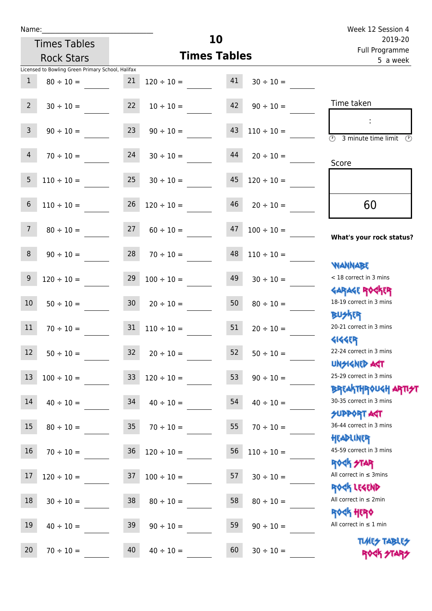Name:

| ame:         |                                                 |    |                     |                            |                 | Week 12 Session 4               |  |
|--------------|-------------------------------------------------|----|---------------------|----------------------------|-----------------|---------------------------------|--|
|              | <b>Times Tables</b>                             |    |                     | <b>10</b>                  |                 | 2019-20                         |  |
|              | <b>Rock Stars</b>                               |    | <b>Times Tables</b> | Full Programme<br>5 a week |                 |                                 |  |
|              | censed to Bowling Green Primary School, Halifax |    |                     |                            |                 |                                 |  |
| $\mathbf{1}$ | $80 \div 10 =$                                  | 21 | $120 \div 10 =$     | 41                         | $30 \div 10 =$  |                                 |  |
| $2^{\circ}$  | $30 \div 10 =$                                  | 22 | $10 \div 10 =$      | 42                         | $90 \div 10 =$  | Time taken                      |  |
| 3            | $90 \div 10 =$                                  | 23 | $90 \div 10 =$      | 43                         | $110 \div 10 =$ | 3 minute time limit<br>M<br>FP. |  |

 $\overline{\textcircled{3}}$  3 minute time limit  $\overline{\textcircled{5}}$ 

| $\overline{4}$  | $70 \div 10 =$  | 24              | $30 \div 10 =$  | 44 | $20 \div 10 =$  | Score                                              |
|-----------------|-----------------|-----------------|-----------------|----|-----------------|----------------------------------------------------|
| 5               | $110 \div 10 =$ | 25              | $30 \div 10 =$  | 45 | $120 \div 10 =$ |                                                    |
| 6               | $110 \div 10 =$ | 26              | $120 \div 10 =$ | 46 | $20 \div 10 =$  | 60                                                 |
| 7 <sup>7</sup>  | $80 \div 10 =$  | 27              | $60 \div 10 =$  | 47 | $100 \div 10 =$ | What's your rock status?                           |
| 8               | $90 \div 10 =$  | 28              | $70 \div 10 =$  | 48 | $110 \div 10 =$ |                                                    |
| 9               | $120 \div 10 =$ | 29              | $100 \div 10 =$ | 49 | $30 \div 10 =$  | <b>WANNABE</b><br>< 18 correct in 3 mins           |
| 10 <sup>°</sup> | $50 \div 10 =$  | 30 <sup>°</sup> | $20 \div 10 =$  | 50 | $80 \div 10 =$  | <b>GARAGE ROCKER</b><br>18-19 correct in 3 mins    |
| 11              | $70 \div 10 =$  | 31              | $110 \div 10 =$ | 51 | $20 \div 10 =$  | <b>BUSKR</b><br>20-21 correct in 3 mins            |
| 12 <sup>2</sup> | $50 \div 10 =$  | 32              | $20 \div 10 =$  | 52 | $50 \div 10 =$  | 41445<br>22-24 correct in 3 mins                   |
| 13              | $100 \div 10 =$ | 33 <sup>°</sup> | $120 \div 10 =$ | 53 | $90 \div 10 =$  | <b>TPA GJIAPICIU</b><br>25-29 correct in 3 mins    |
| 14              | $40 \div 10 =$  | 34              | $40 \div 10 =$  | 54 | $40 \div 10 =$  | <b>BREAKTHROUGH ART</b><br>30-35 correct in 3 mins |
| 15              | $80 \div 10 =$  | 35              | $70 \div 10 =$  | 55 | $70 \div 10 =$  | <b>SUPPORT AGT</b><br>36-44 correct in 3 mins      |
| 16              | $70 \div 10 =$  | 36              | $120 \div 10 =$ | 56 | $110 \div 10 =$ | HEADLINER<br>45-59 correct in 3 mins               |
| 17              | $120 \div 10 =$ | 37              | $100 \div 10 =$ | 57 | $30 \div 10 =$  | <b>ROCK STAR</b><br>All correct in $\leq$ 3mins    |
| 18              | $30 \div 10 =$  | 38              | $80 \div 10 =$  | 58 | $80 \div 10 =$  | ROCK LEGEND<br>All correct in $\leq 2$ min         |
| 19              | $40 \div 10 =$  | 39              | $90 \div 10 =$  | 59 | $90 \div 10 =$  | <b>ROCK HERO</b><br>All correct in $\leq 1$ min    |

20  $70 \div 10 =$  40  $40 \div 10 =$  60  $30 \div 10 =$ 

Times Tables ROCK STARS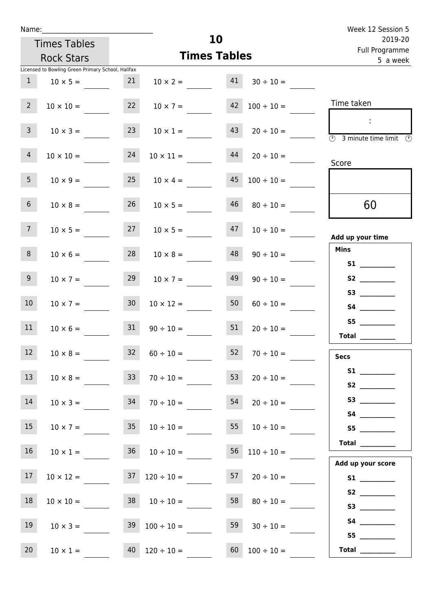| Name:           | <b>Times Tables</b>                                                  |                 |                  | 10                  |                 | Week 12 Session 5<br>2019-20<br>Full Programme                |
|-----------------|----------------------------------------------------------------------|-----------------|------------------|---------------------|-----------------|---------------------------------------------------------------|
|                 | <b>Rock Stars</b>                                                    |                 |                  | <b>Times Tables</b> |                 | 5 a week                                                      |
| $\mathbf{1}$    | Licensed to Bowling Green Primary School, Halifax<br>$10 \times 5 =$ | 21              | $10 \times 2 =$  | 41                  | $30 \div 10 =$  |                                                               |
| $2^{\circ}$     | $10 \times 10 =$                                                     | 22              | $10 \times 7 =$  | 42                  | $100 \div 10 =$ | Time taken                                                    |
| $\mathbf{3}$    | $10 \times 3 =$                                                      | 23              | $10 \times 1 =$  | 43                  | $20 \div 10 =$  | $\sim 10$<br>$\overline{\textcircled{2}}$ 3 minute time limit |
| $\overline{4}$  | $10 \times 10 =$                                                     | 24              | $10 \times 11 =$ | 44                  | $20 \div 10 =$  | Score                                                         |
| 5 <sub>5</sub>  | $10 \times 9 =$                                                      | 25              | $10 \times 4 =$  | 45                  | $100 \div 10 =$ |                                                               |
| 6 <sup>1</sup>  | $10 \times 8 =$                                                      | 26              | $10 \times 5 =$  | 46                  | $80 \div 10 =$  | 60                                                            |
| 7 <sup>7</sup>  | $10 \times 5 =$                                                      | 27              | $10 \times 5 =$  | 47                  | $10 \div 10 =$  | Add up your time                                              |
| 8               | $10 \times 6 =$                                                      | 28              | $10 \times 8 =$  | 48                  | $90 \div 10 =$  | <b>Mins</b>                                                   |
| 9 <sup>°</sup>  | $10 \times 7 =$                                                      | 29              | $10 \times 7 =$  | 49                  | $90 \div 10 =$  |                                                               |
| 10 <sup>°</sup> | $10 \times 7 =$                                                      | 30 <sub>o</sub> | $10 \times 12 =$ | 50                  | $60 \div 10 =$  |                                                               |
| 11              | $10 \times 6 =$                                                      | 31              | $90 \div 10 =$   | 51                  | $20 \div 10 =$  | Total __________                                              |
| 12              | $10 \times 8 =$                                                      | 32              | $60 \div 10 =$   | 52                  | $70 \div 10 =$  | <b>Secs</b>                                                   |
| 13              | $10 \times 8 =$                                                      | 33 <sup>°</sup> | $70 \div 10 =$   | 53                  | $20 \div 10 =$  | S1<br>$\mathbf{c}_2$                                          |

| S <sub>2</sub> and the set of the set of the set of the set of the set of the set of the set of the set of the set of the set of the set of the set of the set of the set of the set of the set of the set of the set of the set of the |                 |    |                 |                 |                  |    |
|-----------------------------------------------------------------------------------------------------------------------------------------------------------------------------------------------------------------------------------------|-----------------|----|-----------------|-----------------|------------------|----|
|                                                                                                                                                                                                                                         | $20 \div 10 =$  | 54 | $70 \div 10 =$  | 34              | $10 \times 3 =$  | 14 |
| <b>S4</b>                                                                                                                                                                                                                               |                 |    |                 |                 |                  |    |
| S <sub>5</sub>                                                                                                                                                                                                                          | $10 \div 10 =$  | 55 | $10 \div 10 =$  | 35 <sup>5</sup> | $10 \times 7 =$  | 15 |
| <b>Total</b>                                                                                                                                                                                                                            |                 |    |                 |                 |                  |    |
|                                                                                                                                                                                                                                         | $110 \div 10 =$ | 56 | $10 \div 10 =$  | 36              | $10 \times 1 =$  | 16 |
| Add up your score                                                                                                                                                                                                                       |                 |    |                 |                 |                  |    |
| <b>S1 S1</b>                                                                                                                                                                                                                            | $20 \div 10 =$  | 57 | $120 \div 10 =$ | 37              | $10 \times 12 =$ | 17 |
| S <sub>2</sub>                                                                                                                                                                                                                          |                 |    |                 |                 |                  |    |
|                                                                                                                                                                                                                                         | $80 \div 10 =$  | 58 | $10 \div 10 =$  | 38              | $10 \times 10 =$ | 18 |
| <b>S4 S4</b>                                                                                                                                                                                                                            |                 |    |                 |                 |                  |    |
|                                                                                                                                                                                                                                         | $30 \div 10 =$  | 59 | $100 \div 10 =$ | 39              | $10 \times 3 =$  | 19 |
| S <sub>5</sub>                                                                                                                                                                                                                          |                 |    |                 |                 |                  |    |
| <b>Total</b>                                                                                                                                                                                                                            | $100 \div 10 =$ | 60 | $120 \div 10 =$ | 40              | $10 \times 1 =$  | 20 |
|                                                                                                                                                                                                                                         |                 |    |                 |                 |                  |    |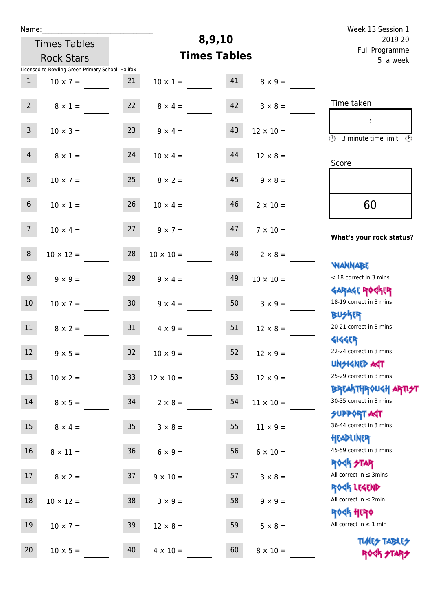| Name:           |                                                   |                 |                     | 8,9,10                     |                  | Week 13 Session 1                                                                                   |
|-----------------|---------------------------------------------------|-----------------|---------------------|----------------------------|------------------|-----------------------------------------------------------------------------------------------------|
|                 | <b>Times Tables</b>                               |                 |                     |                            | 2019-20          |                                                                                                     |
|                 | <b>Rock Stars</b>                                 |                 | <b>Times Tables</b> | Full Programme<br>5 a week |                  |                                                                                                     |
|                 | Licensed to Bowling Green Primary School, Halifax |                 |                     |                            |                  |                                                                                                     |
| $\mathbf{1}$    | $10 \times 7 =$                                   | 21              | $10 \times 1 =$     | 41                         | $8 \times 9 =$   |                                                                                                     |
| 2 <sup>7</sup>  | $8 \times 1 =$                                    | 22              | $8 \times 4 =$      | 42                         | $3 \times 8 =$   | Time taken                                                                                          |
| 3 <sup>7</sup>  | $10 \times 3 =$                                   | 23              | $9 \times 4 =$      | 43                         | $12 \times 10 =$ | ÷<br>$\overline{(\mathcal{V})}$<br>3 minute time limit $\circled{0}$                                |
| $\overline{4}$  | $8 \times 1 =$                                    | 24              | $10 \times 4 =$     | 44                         | $12 \times 8 =$  | Score                                                                                               |
| 5 <sub>1</sub>  | $10 \times 7 =$                                   | 25              | $8 \times 2 =$      | 45                         | $9 \times 8 =$   |                                                                                                     |
| $6\overline{6}$ | $10 \times 1 =$                                   | 26              | $10 \times 4 =$     | 46                         | $2 \times 10 =$  | 60                                                                                                  |
| 7 <sup>7</sup>  | $10 \times 4 =$                                   | 27              | $9 \times 7 =$      | 47                         | $7 \times 10 =$  | What's your rock status?                                                                            |
| $8\phantom{1}$  | $10 \times 12 =$                                  | 28              | $10 \times 10 =$    | 48                         | $2 \times 8 =$   | <b>NANNABE</b>                                                                                      |
| 9 <sub>o</sub>  | $9 \times 9 =$                                    | 29              | $9 \times 4 =$      | 49                         | $10 \times 10 =$ | < 18 correct in 3 mins<br><b>GARAGE ROCKER</b>                                                      |
| 10 <sup>°</sup> | $10 \times 7 =$                                   | 30 <sup>1</sup> | $9 \times 4 =$      | 50                         | $3 \times 9 =$   | 18-19 correct in 3 mins<br><b>BUSKRR</b>                                                            |
| 11              | $8 \times 2 =$                                    | 31              | $4 \times 9 =$      | 51                         | $12 \times 8 =$  | 20-21 correct in 3 mins<br><b>4144EP</b>                                                            |
| 12 <sup>7</sup> | $9 \times 5 =$                                    | 32              | $10 \times 9 =$     | 52                         | $12 \times 9 =$  | 22-24 correct in 3 mins<br><b>UNSIGNED AGT</b>                                                      |
| 13              | $10 \times 2 =$                                   | 33 <sup>°</sup> | $12 \times 10 =$    | 53                         | $12 \times 9 =$  | 25-29 correct in 3 mins                                                                             |
| 14              | $8 \times 5 =$                                    | 34              | $2 \times 8 =$      | 54                         | $11 \times 10 =$ | <mark>ΒΡ</mark> ξΑ <mark>\ΤΗΡ</mark> ΦUGH <mark>ΑΡΤΙ<del>2</del>Τ</mark><br>30-35 correct in 3 mins |
| 15              | $8 \times 4 =$                                    | 35 <sub>1</sub> | $3 \times 8 =$      | 55                         | $11 \times 9 =$  | <b>SUPPORT AGT</b><br>36-44 correct in 3 mins<br>HEADLINER                                          |
| 16              | $8 \times 11 =$                                   | 36 <sup>°</sup> | $6 \times 9 =$      | 56                         | $6 \times 10 =$  | 45-59 correct in 3 mins<br>ROCK STAR                                                                |
| 17              | $8 \times 2 =$                                    | 37              | $9 \times 10 =$     | 57                         | $3 \times 8 =$   | All correct in $\leq$ 3mins<br>ROCK LEGEND                                                          |
| 18              | $10 \times 12 =$                                  | 38              | $3 \times 9 =$      | 58                         | $9 \times 9 =$   | All correct in $\leq 2$ min<br><b>ROCK HERO</b>                                                     |
| 19              | $10 \times 7 =$                                   | 39              | $12 \times 8 =$     | 59                         | $5 \times 8 =$   | All correct in $\leq 1$ min                                                                         |
| 20              | $10 \times 5 =$                                   | 40              | $4 \times 10 =$     | 60                         | $8 \times 10 =$  | <b>TUARS TABLES</b><br>ROCK STARS                                                                   |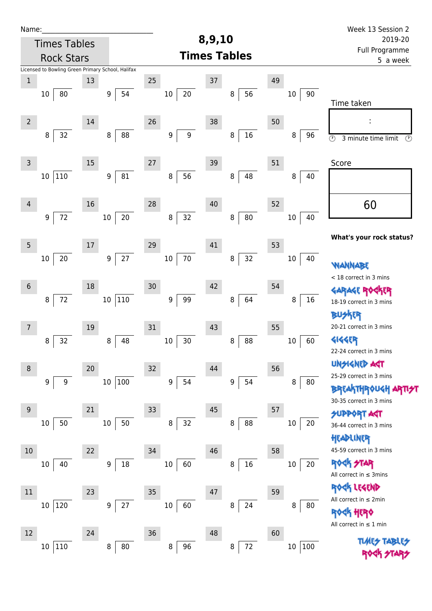| Name:          |                     |        |                                                   |                  |                     |                       |    |               | Week 13 Session 2                                                       |  |
|----------------|---------------------|--------|---------------------------------------------------|------------------|---------------------|-----------------------|----|---------------|-------------------------------------------------------------------------|--|
|                | <b>Times Tables</b> |        |                                                   |                  | 8,9,10              |                       |    |               | 2019-20                                                                 |  |
|                | <b>Rock Stars</b>   |        |                                                   |                  | <b>Times Tables</b> |                       |    |               | Full Programme<br>5 a week                                              |  |
|                |                     |        | Licensed to Bowling Green Primary School, Halifax |                  |                     |                       |    |               |                                                                         |  |
| $\mathbf 1$    |                     | 13     |                                                   | 25               | 37                  |                       | 49 |               |                                                                         |  |
| 10             | 80                  |        | 54<br>9                                           | $10\,$           | 20                  | 56<br>8               |    | 10<br>90      | Time taken                                                              |  |
| $\overline{2}$ |                     | $14\,$ |                                                   | 26               | 38                  |                       | 50 |               |                                                                         |  |
|                | 32<br>8             |        | 88<br>$\, 8$                                      | 9                | 9                   | $16\,$<br>8           |    | 8<br>96       | $\circledcirc$<br>3 minute time limit<br>$\circled{r}$                  |  |
| 3              |                     | $15\,$ |                                                   | 27               | 39                  |                       | 51 |               | Score                                                                   |  |
| 10             | 110                 |        | 81<br>$\boldsymbol{9}$                            | 8                | 56                  | 48<br>8               |    | 8<br>40       |                                                                         |  |
| 4              |                     | 16     |                                                   | 28               | 40                  |                       | 52 |               | 60                                                                      |  |
|                | 72<br>$9\,$         |        | $20\,$<br>$10\,$                                  | 8                | 32                  | ${\bf 80}$<br>$\bf 8$ |    | 40<br>$10\,$  | What's your rock status?                                                |  |
| 5              |                     | 17     |                                                   | 29               | 41                  |                       | 53 |               |                                                                         |  |
| 10             | 20                  |        | $27$<br>$\boldsymbol{9}$                          | $10\,$           | $70\,$              | 32<br>8               |    | $10\,$<br>40  | <b>WANNABE</b>                                                          |  |
| $6\phantom{.}$ |                     | 18     |                                                   | 30               | 42                  |                       | 54 |               | < 18 correct in 3 mins                                                  |  |
|                | 72<br>8             |        | 110<br>$10\,$                                     | 9                | 99                  | 64<br>8               |    | $16\,$<br>8   | GARAGE RO<br>18-19 correct in 3 mins                                    |  |
|                |                     |        |                                                   |                  |                     |                       |    |               | BUSKER<br>20-21 correct in 3 mins                                       |  |
| 7              |                     | 19     |                                                   | 31               | 43                  |                       | 55 |               | <b>4144EP</b>                                                           |  |
|                | 32<br>8             |        | 48<br>8                                           | $10\,$           | 30                  | 88<br>8               |    | 60<br>$10\,$  | 22-24 correct in 3 mins                                                 |  |
| $\, 8$         |                     | 20     |                                                   | 32               | 44                  |                       | 56 |               | <b>UNSIGNED AGT</b>                                                     |  |
|                | 9<br>9              |        | 100<br>10                                         | $\boldsymbol{9}$ | 54                  | 54<br>9               |    | 8<br>80       | 25-29 correct in 3 mins<br><b>BREAKTHROUGH</b>                          |  |
| 9              |                     | 21     |                                                   | 33               | 45                  |                       | 57 |               | 30-35 correct in 3 mins                                                 |  |
| 10             | 50                  |        | 50<br>$10\,$                                      | 8                | 32                  | 88<br>8               |    | 20<br>$10\,$  | <b>SUPPORT AGT</b><br>36-44 correct in 3 mins                           |  |
|                |                     |        |                                                   |                  |                     |                       |    |               | HEADLINER                                                               |  |
| 10             |                     | 22     |                                                   | 34               | 46                  |                       | 58 |               | 45-59 correct in 3 mins                                                 |  |
| $10\,$         | 40                  |        | 18<br>9                                           | 10               | 60                  | 16<br>8               |    | 20<br>$10\,$  | <b>ROCK STAR</b><br>All correct in $\leq$ 3mins                         |  |
| 11             |                     | 23     |                                                   | 35               | 47                  |                       | 59 |               | ROGK LEGEND                                                             |  |
|                | 120<br>10           |        | 27<br>9                                           | $10\,$           | 60                  | 8<br>24               |    | 8<br>80       | All correct in $\leq 2$ min                                             |  |
|                |                     |        |                                                   |                  |                     |                       |    |               | <b><h b="" her0<=""><br/>All correct in <math>\leq 1</math> min</h></b> |  |
| 12             |                     | 24     |                                                   | 36               | 48                  |                       | 60 |               |                                                                         |  |
|                | 110<br>10           |        | 80<br>8                                           | 8                | 96                  | $72\,$<br>8           |    | 100<br>$10\,$ | <b>TUARS TABLES</b>                                                     |  |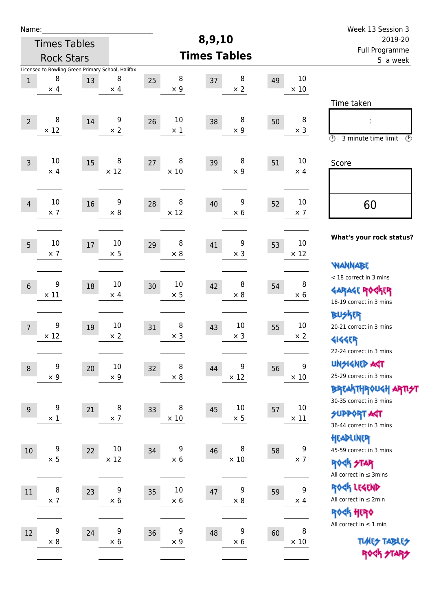| Name:          |                  |                                                         |                       |                            |                     |                  |    |                                | Week 13 Session 3                                                                               |  |
|----------------|------------------|---------------------------------------------------------|-----------------------|----------------------------|---------------------|------------------|----|--------------------------------|-------------------------------------------------------------------------------------------------|--|
|                |                  | <b>Times Tables</b>                                     |                       |                            | 8,9,10              |                  |    |                                | 2019-20                                                                                         |  |
|                |                  | <b>Rock Stars</b>                                       |                       |                            | <b>Times Tables</b> |                  |    |                                | Full Programme<br>5 a week                                                                      |  |
| $\mathbf{1}$   | 8<br>$\times$ 4  | Licensed to Bowling Green Primary School, Halifax<br>13 | 8<br>$\times$ 4       | 8<br>25<br>$\times$ 9      | 37                  | 8<br>$\times 2$  | 49 | 10<br>$\times$ 10              |                                                                                                 |  |
| $\overline{2}$ | 8<br>$\times$ 12 | 14                                                      | 9<br>$\times 2$       | 10<br>26<br>$\times$ 1     | 38                  | 8<br>$\times$ 9  | 50 | 8<br>$\times$ 3                | Time taken<br>İ,<br>$\circled{r}$<br>3 minute time limit<br>$\odot$                             |  |
| $\mathsf{3}$   | 10<br>$\times$ 4 | 15                                                      | 8<br>$\times$ 12      | 8<br>27<br>$\times$ 10     | 39                  | 8<br>$\times$ 9  | 51 | 10<br>$\times$ 4               | Score                                                                                           |  |
| $\overline{4}$ | 10<br>$\times$ 7 | 16                                                      | 9<br>$\times 8$       | 8<br>28<br>$\times$ 12     | 40                  | 9<br>$\times 6$  | 52 | 10<br>$\times$ 7               | 60                                                                                              |  |
| 5              | 10<br>$\times$ 7 | 17                                                      | $10\,$<br>$\times$ 5  | 8<br>29<br>$\times 8$      | 41                  | 9<br>$\times$ 3  | 53 | 10<br>$\times$ 12              | What's your rock status?<br><b>WANNABE</b>                                                      |  |
| $6\,$          | 9<br>$\times$ 11 | 18                                                      | 10<br>$\times$ 4      | 10<br>30<br>$\times$ 5     | 42                  | 8<br>$\times 8$  | 54 | 8<br>$\times 6$                | < 18 correct in 3 mins<br><b>GARAGE ROCKER</b><br>18-19 correct in 3 mins                       |  |
| $\overline{7}$ | 9<br>$\times$ 12 | 19                                                      | $10\,$<br>$\times$ 2  | 8<br>31<br>$\times$ 3      | 43                  | 10<br>$\times$ 3 | 55 | 10<br>$\times 2$               | <b>BUSKER</b><br>20-21 correct in 3 mins<br><b>4144EP</b><br>22-24 correct in 3 mins            |  |
| $\,8\,$        | 9<br>$\times$ 9  | 20                                                      | $10\,$<br>$\times$ 9  | 8<br>32<br>$\times$ 8      | 44                  | 9<br>$\times$ 12 | 56 | 9<br>$\times$ 10               | <b>UNSIGNED AGT</b><br>25-29 correct in 3 mins<br>ΒΡΓΑ <sup>Κ</sup> ΤΗΡΟυΚΗ ΑΡΤΙ <del>2</del> Τ |  |
| $9\,$          | 9<br>$\times$ 1  | 21                                                      | 8<br>$\times$ 7       | 8<br>33<br>$\times$ 10     | 45                  | 10<br>$\times$ 5 | 57 | $10\,$<br>$\times$ 11          | 30-35 correct in 3 mins<br><b>SUPPORT ART</b><br>36-44 correct in 3 mins                        |  |
| $10\,$         | 9<br>$\times$ 5  | 22                                                      | $10\,$<br>$\times$ 12 | 9<br>34<br>$\times$ 6      | 46                  | 8<br>$\times$ 10 | 58 | $\boldsymbol{9}$<br>$\times$ 7 | HEADLINER<br>45-59 correct in 3 mins<br><b>ROCK STAR</b><br>All correct in $\leq$ 3mins         |  |
| $11\,$         | 8<br>$\times$ 7  | 23                                                      | 9<br>$\times$ 6       | $10\,$<br>35<br>$\times$ 6 | 47                  | 9<br>$\times$ 8  | 59 | $\boldsymbol{9}$<br>$\times$ 4 | ROCK LEGEND<br>All correct in $\leq 2$ min<br><b>ROCK HERO</b>                                  |  |
| 12             | 9<br>$\times$ 8  | 24                                                      | 9<br>$\times$ 6       | 9<br>36<br>$\times$ 9      | 48                  | 9<br>$\times$ 6  | 60 | 8<br>$\times$ 10               | All correct in $\leq 1$ min<br><b>TUARS TABLES</b><br>ROCK STARS                                |  |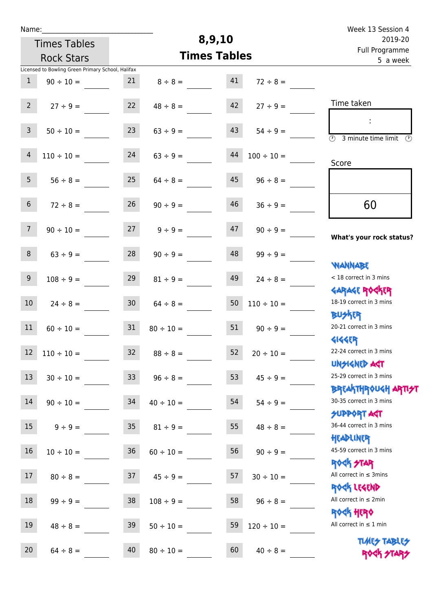| Name:          |                                                   |                 |                     |                            |                 | Week 13 Session 4                                                     |
|----------------|---------------------------------------------------|-----------------|---------------------|----------------------------|-----------------|-----------------------------------------------------------------------|
|                | <b>Times Tables</b>                               |                 |                     | 8,9,10                     |                 | 2019-20                                                               |
|                | <b>Rock Stars</b>                                 |                 | <b>Times Tables</b> | Full Programme<br>5 a week |                 |                                                                       |
|                | Licensed to Bowling Green Primary School, Halifax |                 |                     |                            |                 |                                                                       |
| $\mathbf{1}$   | $90 \div 10 =$                                    | 21              | $8 \div 8 =$        | 41                         | $72 \div 8 =$   |                                                                       |
| $2^{\circ}$    | $27 \div 9 =$                                     | 22              | $48 \div 8 =$       | 42                         | $27 \div 9 =$   | Time taken                                                            |
| $\overline{3}$ | $50 \div 10 =$                                    | 23              | $63 ÷ 9 =$          | 43                         | $54 \div 9 =$   | ÷<br>$\overline{\mathcal{O}}$<br>3 minute time limit<br>$\mathcal{O}$ |
| $\overline{4}$ | $110 \div 10 =$                                   | 24              | $63 \div 9 =$       | 44                         | $100 \div 10 =$ | Score                                                                 |
| 5 <sup>1</sup> | $56 \div 8 =$                                     | 25              | $64 \div 8 =$       | 45                         | $96 \div 8 =$   |                                                                       |
| 6              | $72 \div 8 =$                                     | 26              | $90 \div 9 =$       | 46                         | $36 \div 9 =$   | 60                                                                    |
| 7 <sup>1</sup> | $90 \div 10 =$                                    | 27              | $9 \div 9 =$        | 47                         | $90 \div 9 =$   | What's your rock status?                                              |
| 8              | $63 \div 9 =$                                     | 28              | $90 \div 9 =$       | 48                         | $99 \div 9 =$   |                                                                       |
| 9              | $108 \div 9 =$                                    | 29              | $81 \div 9 =$       | 49                         | $24 \div 8 =$   | <b>NANNABE</b><br>< 18 correct in 3 mins                              |
| 10             | $24 \div 8 =$                                     | 30 <sub>o</sub> | $64 \div 8 =$       | 50                         | $110 \div 10 =$ | <b>GARAGE ROCKER</b><br>18-19 correct in 3 mins                       |
| 11             | $60 \div 10 =$                                    | 31              | $80 \div 10 =$      | 51                         | $90 \div 9 =$   | <b>BUSKER</b><br>20-21 correct in 3 mins                              |
|                | $12 \quad 110 \div 10 =$                          | 32              | $88 \div 8 =$       | 52                         | $20 \div 10 =$  | <b>4144EP</b><br>22-24 correct in 3 mins<br><b>UNSIGNED AST</b>       |
| 13             | $30 \div 10 =$                                    | 33 <sup>°</sup> | $96 \div 8 =$       | 53                         | $45 \div 9 =$   | 25-29 correct in 3 mins                                               |
| 14             | $90 \div 10 =$                                    | 34              | $40 \div 10 =$      | 54                         | $54 \div 9 =$   | ΒΡΓΑΚΤΗΡΟUGH ΑΡΤΙ <del>2</del> Τ<br>30-35 correct in 3 mins           |
| 15             | $9 \div 9 =$                                      | 35 <sub>o</sub> | $81 \div 9 =$       | 55                         | $48 \div 8 =$   | <b>SUPPORT AGT</b><br>36-44 correct in 3 mins                         |
| 16             | $10 \div 10 =$                                    | 36              | $60 \div 10 =$      | 56                         | $90 \div 9 =$   | HEADLINER<br>45-59 correct in 3 mins                                  |
| 17             | $80 \div 8 =$                                     | 37              | $45 \div 9 =$       | 57                         | $30 \div 10 =$  | <b>ROCK STAR</b><br>All correct in $\leq$ 3mins                       |
| 18             | $99 \div 9 =$                                     | 38              | $108 \div 9 =$      | 58                         | $96 \div 8 =$   | ROCK LEGEND<br>All correct in $\leq 2$ min                            |
| 19             | $48 \div 8 =$                                     | 39              | $50 \div 10 =$      | 59                         | $120 \div 10 =$ | <b>ROCK HERO</b><br>All correct in $\leq 1$ min                       |
| 20             | $64 \div 8 =$                                     | 40              | $80 \div 10 =$      | 60                         | $40 \div 8 =$   | <b>TUARS TABLES</b><br>ROCK STARS                                     |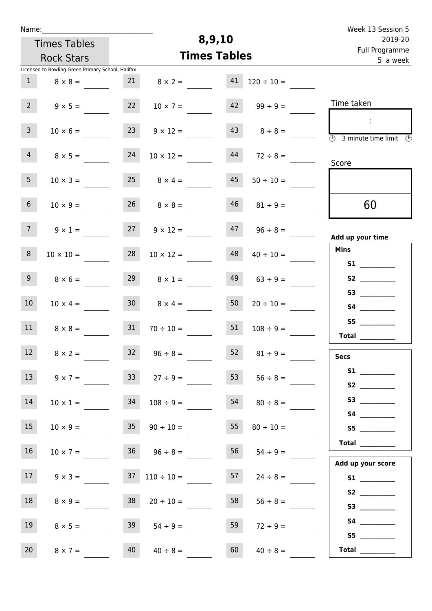| Week 13 Session 5                                                                          |                     | 8,9,10 |                                          |                 |                                                   | Name:           |  |  |
|--------------------------------------------------------------------------------------------|---------------------|--------|------------------------------------------|-----------------|---------------------------------------------------|-----------------|--|--|
| 2019-20                                                                                    |                     |        | <b>Times Tables</b><br><b>Rock Stars</b> |                 |                                                   |                 |  |  |
| Full Programme<br>5 a week                                                                 | <b>Times Tables</b> |        |                                          |                 |                                                   |                 |  |  |
|                                                                                            |                     |        |                                          |                 | Licensed to Bowling Green Primary School, Halifax |                 |  |  |
|                                                                                            | $120 \div 10 =$     | 41     | $8 \times 2 =$                           | 21              | $8 \times 8 =$                                    | 1               |  |  |
| Time taken                                                                                 | $42 \t 99 \div 9 =$ |        | $10 \times 7 =$                          | 22              | $9 \times 5 =$                                    | $2^{\circ}$     |  |  |
| $\sim 10$<br>$\overline{\textcircled{1}}$ 3 minute time limit $\overline{\textcircled{1}}$ | $8 \div 8 =$        |        | $9 \times 12 =$                          | 23              | $10 \times 6 =$                                   | 3 <sup>7</sup>  |  |  |
| Score                                                                                      | $72 \div 8 =$       | 44     | $10 \times 12 =$                         | 24              | $8 \times 5 =$                                    | 4               |  |  |
|                                                                                            | $50 \div 10 =$      | 45     | $25 \t 8 \times 4 =$                     |                 | $10 \times 3 =$                                   | 5 <sub>1</sub>  |  |  |
| 60                                                                                         | $46$ $81 \div 9 =$  |        | $26 \t 8 \times 8 =$                     |                 | $10 \times 9 =$                                   | 6 <sup>1</sup>  |  |  |
| Add up your time                                                                           | $96 \div 8 =$       | 47     | $9 \times 12 =$                          | 27              | $9 \times 1 =$                                    | 7 <sup>7</sup>  |  |  |
| <b>Mins</b><br>S1                                                                          | $40 \div 10 =$      | 48     | $10 \times 12 =$                         | 28              | $10 \times 10 =$                                  | 8 <sup>°</sup>  |  |  |
|                                                                                            | $63 \div 9 =$       | 49     | $8 \times 1 =$                           | 29              | $8 \times 6 =$                                    | 9               |  |  |
| S4                                                                                         | $20 \div 10 =$      | 50     | $8 \times 4 =$                           | 30 <sup>1</sup> | $10 \times 4 =$                                   | 10 <sup>°</sup> |  |  |
| S5<br>Total _________                                                                      | $108 \div 9 =$      | 51     | $70 \div 10 =$                           | 31              | $8 \times 8 =$                                    | 11              |  |  |
| <b>Secs</b>                                                                                | $81 \div 9 =$       | 52     | $32 \t 96 \div 8 =$                      |                 | $8 \times 2 =$                                    | 12              |  |  |
|                                                                                            | $56 \div 8 =$       | 53     | $27 \div 9 =$                            | 33 <sup>°</sup> | $9 \times 7 =$                                    | 13              |  |  |
| S4                                                                                         | $80 \div 8 =$       | 54     | $108 \div 9 =$                           | 34              | $10 \times 1 =$                                   | 14              |  |  |
| S5                                                                                         | $80 \div 10 =$      | 55     | $90 \div 10 =$                           | 35              | $10 \times 9 =$                                   | 15              |  |  |
| Add up your score                                                                          | $54 \div 9 =$       | 56     | $36 \t 96 \div 8 =$                      |                 | $10 \times 7 =$                                   | 16              |  |  |
|                                                                                            | $24 \div 8 =$       | 57     | $37 \quad 110 \div 10 =$                 |                 | $9 \times 3 =$                                    | 17              |  |  |
| S2<br>S3                                                                                   | $56 \div 8 =$       | 58     | $20 \div 10 =$                           | 38              | $8 \times 9 =$                                    | 18              |  |  |
| S5                                                                                         | $72 \div 9 =$       | 59     | $54 \div 9 =$                            | 39              | $8 \times 5 =$                                    | 19              |  |  |
| Total $\frac{1}{2}$                                                                        | $40 \div 8 =$       | 60     | $40 \div 8 =$                            | 40              | $8 \times 7 =$                                    | 20              |  |  |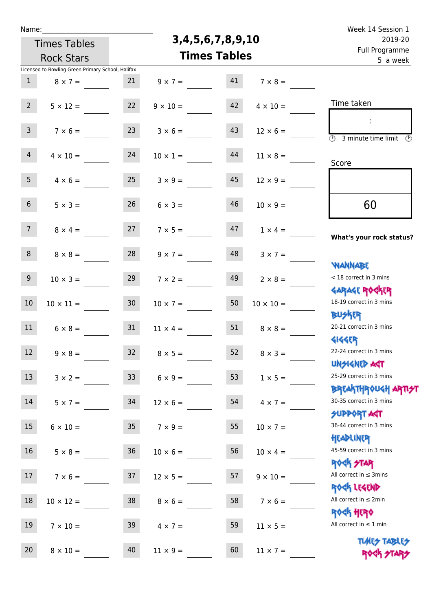| Name: |
|-------|
|-------|

## **3,4,5,6,7,8,9,10**

| 2019-20                                                            |                  | 3, 4, 5, 6, 7, 8, 9, 10 |                 | <b>Times Tables</b> |                                                   |                 |  |  |  |  |
|--------------------------------------------------------------------|------------------|-------------------------|-----------------|---------------------|---------------------------------------------------|-----------------|--|--|--|--|
| Full Programme<br>5 a week                                         |                  | <b>Times Tables</b>     |                 | <b>Rock Stars</b>   |                                                   |                 |  |  |  |  |
|                                                                    |                  |                         |                 |                     | Licensed to Bowling Green Primary School, Halifax |                 |  |  |  |  |
|                                                                    | $7 \times 8 =$   | 41                      | $9 \times 7 =$  | 21                  | $8 \times 7 =$                                    | $\mathbf{1}$    |  |  |  |  |
| Time taken                                                         | $4 \times 10 =$  | 42                      | $9 \times 10 =$ | 22                  | $5 \times 12 =$                                   | 2 <sup>2</sup>  |  |  |  |  |
|                                                                    | $12 \times 6 =$  | 43                      | $3 \times 6 =$  | 23                  | $7 \times 6 =$                                    | $\mathbf{3}$    |  |  |  |  |
| $\overline{(\mathcal{V})}$<br>3 minute time limit<br>$\mathcal{O}$ | $11 \times 8 =$  | 44                      | $10 \times 1 =$ | 24                  | $4 \times 10 =$                                   | $\overline{4}$  |  |  |  |  |
| Score                                                              | $12 \times 9 =$  | 45                      | $3 \times 9 =$  | 25                  | $4 \times 6 =$                                    | 5 <sub>5</sub>  |  |  |  |  |
| 60                                                                 | $10 \times 9 =$  | 46                      | $6 \times 3 =$  | 26                  | $5 \times 3 =$                                    | 6 <sup>1</sup>  |  |  |  |  |
| What's your rock status?                                           | $1 \times 4 =$   | 47                      | $7 \times 5 =$  | 27                  | $8 \times 4 =$                                    | 7 <sup>7</sup>  |  |  |  |  |
|                                                                    | $3 \times 7 =$   | 48                      | $9 \times 7 =$  | 28                  | $8 \times 8 =$                                    | 8               |  |  |  |  |
| <b>WANNABE</b><br>< 18 correct in 3 mins                           | $2 \times 8 =$   | 49                      | $7 \times 2 =$  | 29                  | $10 \times 3 =$                                   | 9 <sup>°</sup>  |  |  |  |  |
| <b>GARAGE ROCKER</b><br>18-19 correct in 3 mins<br><b>BUSKER</b>   | $10 \times 10 =$ | 50                      | $10 \times 7 =$ | 30 <sub>o</sub>     | $10 \times 11 =$                                  | 10              |  |  |  |  |
| 20-21 correct in 3 mins<br><b>4144ER</b>                           | $8 \times 8 =$   | 51                      | $11 \times 4 =$ | 31                  | $6 \times 8 =$                                    | 11              |  |  |  |  |
| 22-24 correct in 3 mins<br>UNSIGNED ACT                            | $8 \times 3 =$   | 52                      | $8 \times 5 =$  | 32                  | $9 \times 8 =$                                    | 12              |  |  |  |  |
| 25-29 correct in 3 mins<br>ΒΡΓΑΚΤΗΡΟUGH ΑΡΤΙ <del>2</del> Τ        | $1 \times 5 =$   | 53                      | $6 \times 9 =$  | 33 <sup>°</sup>     | $3 \times 2 =$                                    | 13              |  |  |  |  |
| 30-35 correct in 3 mins<br><b>SUPPORT AGT</b>                      | $4 \times 7 =$   | 54                      | $12 \times 6 =$ | 34                  | $5 \times 7 =$                                    | 14              |  |  |  |  |
| 36-44 correct in 3 mins<br>HEADLINER                               | $10 \times 7 =$  | 55                      | $7 \times 9 =$  | 35                  | $6 \times 10 =$                                   | 15 <sub>1</sub> |  |  |  |  |
| 45-59 correct in 3 mins<br><b>ROCK STAR</b>                        | $10 \times 4 =$  | 56                      | $10 \times 6 =$ | 36                  | $5 \times 8 =$                                    | 16              |  |  |  |  |
| All correct in $\leq$ 3mins<br>ROCK LEGEND                         | $9 \times 10 =$  | 57                      | $12 \times 5 =$ | 37                  | $7 \times 6 =$                                    | 17              |  |  |  |  |
| All correct in $\leq 2$ min<br><b>ROGH HERO</b>                    | $7 \times 6 =$   | 58                      | $8 \times 6 =$  | 38                  | $10 \times 12 =$                                  | 18              |  |  |  |  |
| All correct in $\leq 1$ min<br><b>TUARS TABLES</b>                 | $11 \times 5 =$  | 59                      | $4 \times 7 =$  | 39                  | $7 \times 10 =$                                   | 19              |  |  |  |  |
| ROCK STARS                                                         | $11 \times 7 =$  | 60                      | $11 \times 9 =$ | 40                  | $8 \times 10 =$                                   | 20              |  |  |  |  |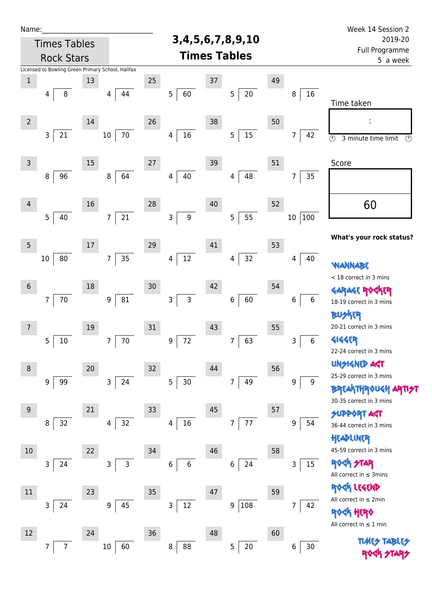| Name:               |                                                   |    |                                                |    |                          |        |                          |                                              |                       | Week 14 Session 2                                                       |
|---------------------|---------------------------------------------------|----|------------------------------------------------|----|--------------------------|--------|--------------------------|----------------------------------------------|-----------------------|-------------------------------------------------------------------------|
| <b>Times Tables</b> |                                                   |    | 3, 4, 5, 6, 7, 8, 9, 10<br><b>Times Tables</b> |    |                          |        |                          | 2019-20<br><b>Full Programme</b><br>5 a week |                       |                                                                         |
| <b>Rock Stars</b>   |                                                   |    |                                                |    |                          |        |                          |                                              |                       |                                                                         |
|                     | Licensed to Bowling Green Primary School, Halifax |    |                                                |    |                          |        |                          |                                              |                       |                                                                         |
| $\mathbf 1$         |                                                   | 13 |                                                | 25 |                          | $37\,$ |                          | 49                                           |                       |                                                                         |
|                     | 8<br>4                                            |    | 44<br>4                                        |    | 5<br>60                  |        | $20\,$<br>$\mathsf S$    |                                              | 16<br>8               | Time taken                                                              |
| $\overline{2}$      |                                                   | 14 |                                                | 26 |                          | 38     |                          | 50                                           |                       |                                                                         |
|                     | 3<br>21                                           |    | $70\,$<br>$10\,$                               |    | $16\,$<br>4              |        | $15\,$<br>$\overline{5}$ |                                              | 7<br>42               | $\overline{\circlearrowright}$<br>3 minute time limit<br>$\circledcirc$ |
| $\mathsf{3}$        |                                                   | 15 |                                                | 27 |                          | 39     |                          | 51                                           |                       | Score                                                                   |
|                     | 96<br>8                                           |    | 64<br>$\,8\,$                                  |    | 40<br>4                  |        | 48<br>4                  |                                              | 35<br>7               |                                                                         |
| $\overline{4}$      | 5<br>40                                           | 16 | 21<br>7 <sup>1</sup>                           | 28 | 9<br>3                   | 40     | 55<br>5                  | 52                                           | 100<br>$10\,$         | 60                                                                      |
|                     |                                                   |    |                                                |    |                          |        |                          |                                              |                       | What's your rock status?                                                |
| 5                   |                                                   | 17 |                                                | 29 |                          | 41     |                          | 53                                           |                       |                                                                         |
|                     | 80<br>10                                          |    | 35<br>$\overline{7}$                           |    | $12\,$<br>4              |        | 32<br>4                  |                                              | 40<br>4               | <b><i>MANNABE</i></b>                                                   |
| $\boldsymbol{6}$    |                                                   | 18 |                                                | 30 |                          | 42     |                          | 54                                           |                       | < 18 correct in 3 mins<br><b>GARAGE ROG</b>                             |
|                     | $70\,$<br>$\overline{7}$                          |    | ${\bf 81}$<br>$9\,$                            |    | 3<br>3                   |        | 60<br>6                  |                                              | $\boldsymbol{6}$<br>6 | <b>FR</b><br>18-19 correct in 3 mins<br><b>BUSKER</b>                   |
| 7                   |                                                   | 19 |                                                | 31 |                          | 43     |                          | 55                                           |                       | 20-21 correct in 3 mins                                                 |
|                     | 5<br>$10\,$                                       |    | $70\,$<br>7                                    |    | 72<br>9                  |        | 63<br>7                  |                                              | 6<br>3                | <b>4144EP</b><br>22-24 correct in 3 mins                                |
| 8                   |                                                   | 20 |                                                | 32 |                          | 44     |                          | 56                                           |                       | <b>UNGIGNED AST</b>                                                     |
|                     | 9<br>99                                           |    | 24<br>$\mathbf{3}$                             |    | 5<br>$30$                |        | 49<br>7                  |                                              | 9<br>9                | 25-29 correct in 3 mins                                                 |
|                     |                                                   |    |                                                |    |                          |        |                          |                                              |                       | <b>BREAKTHROUGH ARTI<del>S</del>T</b><br>30-35 correct in 3 mins        |
| 9                   |                                                   | 21 |                                                | 33 |                          | 45     |                          | 57                                           |                       | <b>SUPPORT AGT</b>                                                      |
|                     | 32<br>8                                           |    | 32<br>4                                        |    | $16\,$<br>$\overline{4}$ |        | 77<br>$\overline{7}$     |                                              | 54<br>9               | 36-44 correct in 3 mins<br>HEADLINER                                    |
| 10                  |                                                   | 22 |                                                | 34 |                          | 46     |                          | 58                                           |                       | 45-59 correct in 3 mins                                                 |
|                     | 3<br>24                                           |    | $\mathsf{3}$<br>3                              |    | 6<br>6                   |        | 24<br>6                  |                                              | 15<br>3               | <b>ROCK STAR</b><br>All correct in $\leq$ 3mins                         |
| 11                  |                                                   | 23 |                                                | 35 |                          | 47     |                          | 59                                           |                       | ROCK LEGEND                                                             |
|                     | 3<br>24                                           |    | 45<br>9                                        |    | 3<br>12                  |        | 108<br>9                 |                                              | 7<br>42               | All correct in $\leq 2$ min<br>HERQ                                     |
| 12                  |                                                   | 24 |                                                | 36 |                          | 48     |                          | 60                                           |                       | All correct in $\leq 1$ min                                             |
|                     | $\overline{7}$<br>7                               |    | $10\,$<br>60                                   |    | 88<br>8                  |        | 20<br>5                  |                                              | $30$<br>6             | <b>TUARS TABARS</b>                                                     |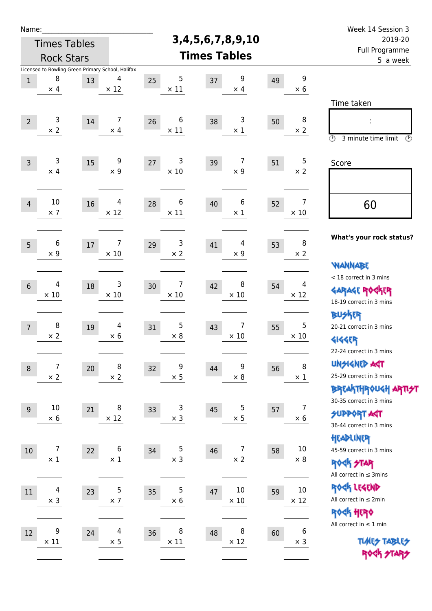| Name:            |                                 |                     |                                                   |                        |                         |                            |                              | Week 14 Session 3                                                |
|------------------|---------------------------------|---------------------|---------------------------------------------------|------------------------|-------------------------|----------------------------|------------------------------|------------------------------------------------------------------|
|                  |                                 | <b>Times Tables</b> |                                                   |                        | 3, 4, 5, 6, 7, 8, 9, 10 | 2019-20                    |                              |                                                                  |
|                  |                                 | <b>Rock Stars</b>   |                                                   |                        | <b>Times Tables</b>     | Full Programme<br>5 a week |                              |                                                                  |
|                  |                                 |                     | Licensed to Bowling Green Primary School, Halifax |                        |                         |                            |                              |                                                                  |
| $1\,$            | 8<br>$\times$ 4                 | 13                  | 4<br>$\times$ 12                                  | 5<br>25<br>$\times$ 11 | 9<br>37<br>$\times$ 4   | 49                         | 9<br>$\times 6$              |                                                                  |
|                  |                                 |                     |                                                   |                        |                         |                            |                              | Time taken                                                       |
| $\overline{2}$   | 3                               | 14                  | $\overline{7}$                                    | 6<br>26                | 3<br>38                 | 50                         | 8                            |                                                                  |
|                  | $\times 2$                      |                     | $\times$ 4                                        | $\times$ 11            | $\times$ 1              |                            | $\times 2$                   | $\circled{r}$<br>3 minute time limit<br>$\circled{r}$            |
| $\overline{3}$   | 3                               | 15                  | 9                                                 | 3<br>27                | 7<br>39                 | 51                         | 5                            | Score                                                            |
|                  | $\times$ 4                      |                     | $\times$ 9                                        | $\times$ 10            | $\times$ 9              |                            | $\times 2$                   |                                                                  |
| $\overline{4}$   | $10\,$                          | 16                  | 4                                                 | 6<br>28                | 6<br>40                 | 52                         | 7                            | 60                                                               |
|                  | $\times$ 7                      |                     | $\times$ 12                                       | $\times$ 11            | $\times$ 1              |                            | $\times$ 10                  |                                                                  |
| 5                | 6                               | 17                  | 7                                                 | 3<br>29                | 4<br>41                 | 53                         | 8                            | What's your rock status?                                         |
|                  | $\times$ 9                      |                     | $\times$ 10                                       | $\times$ 2             | $\times$ 9              |                            | $\times 2$                   |                                                                  |
|                  |                                 |                     |                                                   |                        |                         |                            |                              | <b>WANNABE</b><br>< 18 correct in 3 mins                         |
| $6\phantom{1}$   | 4                               | 18                  | 3                                                 | 7<br>30<br>$\times$ 10 | 8<br>42<br>$\times$ 10  | 54                         | 4<br>$\times$ 12             | <b>GARAGE ROCKER</b>                                             |
|                  | $\times 10$                     |                     | $\times 10$                                       |                        |                         |                            |                              | 18-19 correct in 3 mins                                          |
|                  | 8                               |                     | 4                                                 | 5                      | 7<br>43                 |                            | 5                            | <b>BUSKER</b><br>20-21 correct in 3 mins                         |
| $\overline{7}$   | $\times 2$                      | 19                  | $\times$ 6                                        | 31<br>$\times 8$       | $\times$ 10             | 55                         | $\times$ 10                  | <b>4144EP</b>                                                    |
|                  |                                 |                     |                                                   |                        |                         |                            |                              | 22-24 correct in 3 mins                                          |
| $\boldsymbol{8}$ | $\boldsymbol{7}$                | 20                  | 8                                                 | 9<br>32                | 9<br>44                 | 56                         | 8                            | <b>UNGIGNED AST</b>                                              |
|                  | $\times$ 2                      |                     | $\times$ 2                                        | $\times$ 5             | $\times$ 8              |                            | $\times$ 1                   | 25-29 correct in 3 mins<br><b>BREAKTHR0UGH ARTI<del>S</del>T</b> |
|                  |                                 |                     |                                                   |                        |                         |                            |                              | 30-35 correct in 3 mins                                          |
| 9                | $10\,$<br>$\times$ 6            | 21                  | 8<br>$\times$ 12                                  | 3<br>33<br>$\times$ 3  | 5<br>45<br>$\times$ 5   | 57                         | $\overline{7}$<br>$\times$ 6 | <b>SUPPORT ART</b>                                               |
|                  |                                 |                     |                                                   |                        |                         |                            |                              | 36-44 correct in 3 mins                                          |
| 10               | $\overline{7}$                  | 22                  | 6                                                 | 5<br>34                | 7<br>46                 | 58                         | $10\,$                       | HEADLINER<br>45-59 correct in 3 mins                             |
|                  | $\times$ 1                      |                     | $\times$ 1                                        | $\times$ 3             | $\times$ 2              |                            | $\times$ 8                   | <b>ROCK STAR</b>                                                 |
|                  |                                 |                     |                                                   |                        |                         |                            |                              | All correct in $\leq$ 3mins                                      |
| 11               | $\overline{\mathcal{A}}$        | 23                  | $\mathsf 5$                                       | 5<br>35                | $10\,$<br>47            | 59                         | $10\,$                       | ROCK LEGEND                                                      |
|                  | $\times$ 3                      |                     | $\times$ 7                                        | $\times 6$             | $\times$ 10             |                            | $\times$ 12                  | All correct in $\leq 2$ min<br>ROCK HERO                         |
|                  |                                 |                     |                                                   |                        |                         |                            |                              | All correct in $\leq 1$ min                                      |
| 12               | $\boldsymbol{9}$<br>$\times$ 11 | 24                  | $\overline{4}$<br>$\times$ 5                      | 8<br>36<br>$\times$ 11 | 8<br>48<br>$\times$ 12  | 60                         | 6<br>$\times$ 3              | <b>TUARS TABLES</b>                                              |
|                  |                                 |                     |                                                   |                        |                         |                            |                              | ROCK STARS                                                       |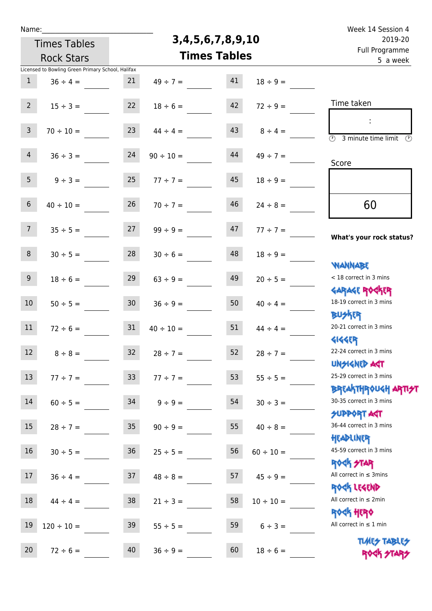Times Tables

## **3,4,5,6,7,8,9,10**

Name: Week 14 Session 4 Full Programme 2019-20

|                 | <b>Rock Stars</b>                                                  |                 | <b>Times Tables</b> | Full Programme<br>5 a week |                |                                                              |
|-----------------|--------------------------------------------------------------------|-----------------|---------------------|----------------------------|----------------|--------------------------------------------------------------|
| $\mathbf{1}$    | Licensed to Bowling Green Primary School, Halifax<br>$36 \div 4 =$ | 21              | $49 \div 7 =$       | 41                         | $18 \div 9 =$  |                                                              |
| $2^{\circ}$     | $15 \div 3 =$                                                      | 22              | $18 \div 6 =$       | 42                         | $72 \div 9 =$  | Time taken                                                   |
| $\mathbf{3}$    | $70 \div 10 =$                                                     | 23              | $44 \div 4 =$       | 43                         | $8 \div 4 =$   | $\overline{(\mathcal{V})}$<br>3 minute time limit<br>$\odot$ |
| $\overline{4}$  | $36 \div 3 =$                                                      | 24              | $90 \div 10 =$      | 44                         | $49 \div 7 =$  | Score                                                        |
| 5 <sub>1</sub>  | $9 \div 3 =$                                                       | 25              | $77 ÷ 7 =$          | 45                         | $18 \div 9 =$  |                                                              |
| 6               | $40 \div 10 =$                                                     | 26              | $70 \div 7 =$       | 46                         | $24 \div 8 =$  | 60                                                           |
| 7 <sup>7</sup>  | $35 \div 5 =$                                                      | 27              | $99 \div 9 =$       | 47                         | $77 \div 7 =$  | What's your rock status?                                     |
| 8               | $30 \div 5 =$                                                      | 28              | $30 \div 6 =$       | 48                         | $18 \div 9 =$  | <b>NANNABE</b>                                               |
| 9 <sub>o</sub>  | $18 \div 6 =$                                                      | 29              | $63 \div 9 =$       | 49                         | $20 \div 5 =$  | < 18 correct in 3 mins<br><b>GARAGE ROCKER</b>               |
| 10 <sup>°</sup> | $50 \div 5 =$                                                      | 30 <sup>°</sup> | $36 \div 9 =$       | 50                         | $40 \div 4 =$  | 18-19 correct in 3 mins<br><b>BUSKER</b>                     |
| 11              | $72 \div 6 =$                                                      | 31              | $40 \div 10 =$      | 51                         | $44 \div 4 =$  | 20-21 correct in 3 mins<br><b>4144EP</b>                     |
| 12 <sup>7</sup> | $8 \div 8 =$                                                       | 32              | $28 \div 7 =$       | 52                         | $28 \div 7 =$  | 22-24 correct in 3 mins<br>UNSIGNED AGT                      |
| 13 <sup>°</sup> | $77 ÷ 7 =$                                                         | 33              | $77 ÷ 7 =$          | 53                         | $55 \div 5 =$  | 25-29 correct in 3 mins<br>BREAKTHROUGH ARTI <del>S</del> T  |
| 14              | $60 \div 5 =$                                                      | 34              | $9 \div 9 =$        | 54                         | $30 \div 3 =$  | 30-35 correct in 3 mins<br><b>SUPPORT ART</b>                |
| 15              | $28 \div 7 =$                                                      | 35 <sub>1</sub> | $90 \div 9 =$       | 55                         | $40 \div 8 =$  | 36-44 correct in 3 mins<br>HEADLINER                         |
| 16              | $30 \div 5 =$                                                      | 36              | $25 \div 5 =$       | 56                         | $60 \div 10 =$ | 45-59 correct in 3 mins<br><b>ROCK STAR</b>                  |
| 17 <sub>1</sub> | $36 \div 4 =$                                                      | 37              | $48 \div 8 =$       | 57                         | $45 \div 9 =$  | All correct in $\leq$ 3mins<br>ROCK LEGEND                   |
| 18              | $44 \div 4 =$                                                      | 38              | $21 \div 3 =$       | 58                         | $10 \div 10 =$ | All correct in $\leq 2$ min<br><b>ROCK HERO</b>              |
| 19              | $120 \div 10 =$                                                    | 39              | $55 \div 5 =$       | 59                         | $6 \div 3 =$   | All correct in $\leq 1$ min                                  |
| 20              | $72 \div 6 =$                                                      | 40              | $36 \div 9 =$       | 60                         | $18 \div 6 =$  | <b>TUARS TABLES</b><br>ROCK STARS                            |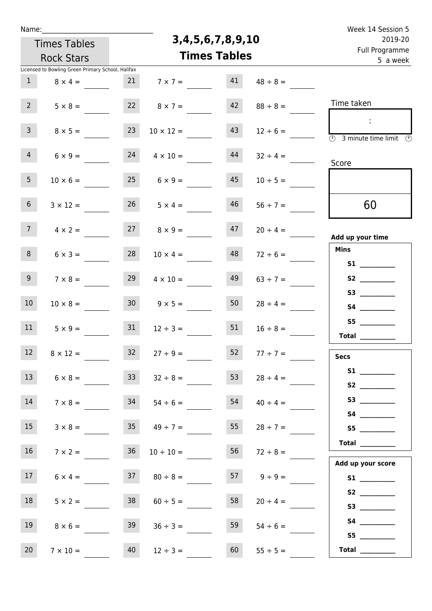| Week 14 Session 5                                                                                                                                                                                                                       |                    | Name:                   |                      |                   |                                                   |                   |  |  |  |
|-----------------------------------------------------------------------------------------------------------------------------------------------------------------------------------------------------------------------------------------|--------------------|-------------------------|----------------------|-------------------|---------------------------------------------------|-------------------|--|--|--|
| 2019-20<br>Full Programme                                                                                                                                                                                                               |                    | 3, 4, 5, 6, 7, 8, 9, 10 | <b>Times Tables</b>  |                   |                                                   |                   |  |  |  |
| 5 a week                                                                                                                                                                                                                                |                    | <b>Times Tables</b>     |                      | <b>Rock Stars</b> |                                                   |                   |  |  |  |
|                                                                                                                                                                                                                                         |                    |                         |                      |                   | Licensed to Bowling Green Primary School, Halifax |                   |  |  |  |
|                                                                                                                                                                                                                                         | $48 \div 8 =$      | 41                      | 21 $7 \times 7 =$    |                   | $8 \times 4 =$                                    | 1                 |  |  |  |
| Time taken                                                                                                                                                                                                                              | $88 \div 8 =$      | 42                      | 22 $8 \times 7 =$    |                   | $5 \times 8 =$                                    | $2^{\circ}$       |  |  |  |
| $\sim$<br>$\overline{\textcircled{1}}$ 3 minute time limit $\overline{\textcircled{1}}$                                                                                                                                                 | $12 \div 6 =$      | 43                      | $10 \times 12 =$     | 23                | $8 \times 5 =$                                    | $\mathsf{3}$      |  |  |  |
| Score                                                                                                                                                                                                                                   | $32 \div 4 =$      | 44                      | $4 \times 10 =$      | 24                | $6 \times 9 =$                                    | $\overline{4}$    |  |  |  |
|                                                                                                                                                                                                                                         | $10 \div 5 =$      | 45                      | $6 \times 9 =$       | 25                | $10 \times 6 =$                                   | 5 <sub>1</sub>    |  |  |  |
| 60                                                                                                                                                                                                                                      | $56 \div 7 =$      | 46                      | $26 \t 5 \times 4 =$ |                   | $3 \times 12 =$                                   | 6 <sup>1</sup>    |  |  |  |
| Add up your time                                                                                                                                                                                                                        | $20 \div 4 =$      | 47                      | $27 \t 8 \times 9 =$ |                   | $4 \times 2 =$                                    | 7 <sup>7</sup>    |  |  |  |
| <b>Mins</b><br><b>S1 S1</b>                                                                                                                                                                                                             | $72 \div 6 =$      | 48                      | $10 \times 4 =$      | 28                | $6 \times 3 =$                                    | 8                 |  |  |  |
| S3                                                                                                                                                                                                                                      | $63 \div 7 =$      | 49                      | $4 \times 10 =$      | 29                | $7 \times 8 =$                                    | 9 <sup>°</sup>    |  |  |  |
|                                                                                                                                                                                                                                         | $28 \div 4 =$      | 50                      | $9 \times 5 =$       | 30 <sup>1</sup>   | $10 \times 8 =$                                   | 10 <sup>°</sup>   |  |  |  |
| S5<br>Total $\qquad$                                                                                                                                                                                                                    | $16 \div 8 =$      | 51                      | $12 \div 3 =$        | 31                | $5 \times 9 =$                                    | 11                |  |  |  |
| <b>Secs</b>                                                                                                                                                                                                                             | $77 \div 7 =$      | 52                      | $27 ÷ 9 =$           | 32 <sub>2</sub>   | $8 \times 12 =$                                   | $12 \overline{ }$ |  |  |  |
| S <sub>2</sub> and the set of the set of the set of the set of the set of the set of the set of the set of the set of the set of the set of the set of the set of the set of the set of the set of the set of the set of the set of the | $28 \div 4 =$      | 53                      | $32 \div 8 =$        | 33                | $6 \times 8 =$                                    | 13                |  |  |  |
| S3                                                                                                                                                                                                                                      | $40 \div 4 =$      | 54                      | $54 \div 6 =$        | 34                | $7 \times 8 =$                                    | 14                |  |  |  |
| S5                                                                                                                                                                                                                                      | $28 \div 7 =$      | 55                      | $49 \div 7 =$        | 35                | $3 \times 8 =$                                    | 15                |  |  |  |
| $\begin{tabular}{c} Total \end{tabular}$<br>Add up your score                                                                                                                                                                           | $72 \div 8 =$      | 56                      | $10 \div 10 =$       | 36                | $7 \times 2 =$                                    | 16                |  |  |  |
|                                                                                                                                                                                                                                         | $57 \t 9 \div 9 =$ |                         | $80 \div 8 =$        | 37                | $6 \times 4 =$                                    | 17 <sub>1</sub>   |  |  |  |
|                                                                                                                                                                                                                                         | $20 \div 4 =$      | 58                      | $60 \div 5 =$        | 38                | $5 \times 2 =$                                    | 18                |  |  |  |
| S5                                                                                                                                                                                                                                      | $54 \div 6 =$      | 59                      | $36 \div 3 =$        | 39                | $8 \times 6 =$                                    | 19                |  |  |  |
| Total $\frac{1}{2}$                                                                                                                                                                                                                     | $55 \div 5 =$      | 60                      | $12 \div 3 =$        | 40                | $7 \times 10 =$                                   | 20                |  |  |  |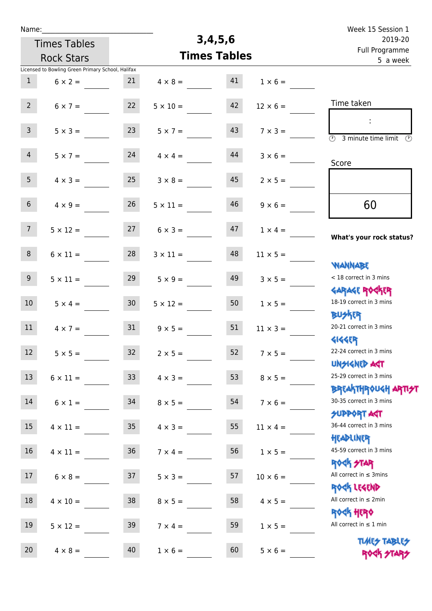| Name:            |                                                   |                 |                     |                            |                 | Week 15 Session 1                                                                      |
|------------------|---------------------------------------------------|-----------------|---------------------|----------------------------|-----------------|----------------------------------------------------------------------------------------|
|                  | <b>Times Tables</b>                               |                 | 3,4,5,6             | 2019-20                    |                 |                                                                                        |
|                  | <b>Rock Stars</b>                                 |                 | <b>Times Tables</b> | Full Programme<br>5 a week |                 |                                                                                        |
|                  | Licensed to Bowling Green Primary School, Halifax |                 |                     |                            |                 |                                                                                        |
| $\mathbf{1}$     | $6 \times 2 =$                                    | 21              | $4 \times 8 =$      | 41                         | $1 \times 6 =$  |                                                                                        |
| $2^{\circ}$      | $6 \times 7 =$                                    | 22              | $5 \times 10 =$     | 42                         | $12 \times 6 =$ | Time taken                                                                             |
| $\mathbf{3}$     | $5 \times 3 =$                                    | 23              | $5 \times 7 =$      | 43                         | $7 \times 3 =$  | $\mathcal{L}$<br>$\overline{(\Omega)}$<br>3 minute time limit<br>- O                   |
| $\overline{4}$   | $5 \times 7 =$                                    | 24              | $4 \times 4 =$      | 44                         | $3 \times 6 =$  | Score                                                                                  |
| 5 <sub>1</sub>   | $4 \times 3 =$                                    | 25              | $3 \times 8 =$      | 45                         | $2 \times 5 =$  |                                                                                        |
| 6 <sup>1</sup>   | $4 \times 9 =$                                    | 26              | $5 \times 11 =$     | 46                         | $9 \times 6 =$  | 60                                                                                     |
| 7 <sup>7</sup>   | $5 \times 12 =$                                   | 27              | $6 \times 3 =$      | 47                         | $1 \times 4 =$  | What's your rock status?                                                               |
| 8                | $6 \times 11 =$                                   | 28              | $3 \times 11 =$     | 48                         | $11 \times 5 =$ | <b>NANNABE</b>                                                                         |
| 9 <sub>o</sub>   | $5 \times 11 =$                                   | 29              | $5 \times 9 =$      | 49                         | $3 \times 5 =$  | < 18 correct in 3 mins<br><b>GARAGE ROGKER</b>                                         |
| 10 <sup>°</sup>  | $5 \times 4 =$                                    | 30 <sup>1</sup> | $5 \times 12 =$     | 50                         | $1 \times 5 =$  | 18-19 correct in 3 mins<br><b>BUSKRR</b>                                               |
| 11               | $4 \times 7 =$                                    | 31              | $9 \times 5 =$      | 51                         | $11 \times 3 =$ | 20-21 correct in 3 mins<br><b>4144EP</b>                                               |
| 12 <sup>12</sup> | $5 \times 5 =$                                    | 32              | $2 \times 5 =$      | 52                         | $7 \times 5 =$  | 22-24 correct in 3 mins<br><b>UNSIGNED AST</b>                                         |
| 13               | $6 \times 11 =$                                   | 33              | $4 \times 3 =$      | 53                         | $8 \times 5 =$  | 25-29 correct in 3 mins                                                                |
| 14               | $6 \times 1 =$                                    | 34              | $8 \times 5 =$      | 54                         | $7 \times 6 =$  | <b>BREAKTHROUGH ARTI<del>S</del>T</b><br>30-35 correct in 3 mins<br><b>SUPPORT AGT</b> |
| 15               | $4 \times 11 =$                                   | 35 <sub>1</sub> | $4 \times 3 =$      | 55                         | $11 \times 4 =$ | 36-44 correct in 3 mins<br>HEADLINER                                                   |
| 16               | $4 \times 11 =$                                   | 36              | $7 \times 4 =$      | 56                         | $1 \times 5 =$  | 45-59 correct in 3 mins<br><b>ROCK STAR</b>                                            |
| 17               | $6 \times 8 =$                                    | 37              | $5 \times 3 =$      | 57                         | $10 \times 6 =$ | All correct in $\leq$ 3mins<br>ROCK LEGEND                                             |
| 18               | $4 \times 10 =$                                   | 38              | $8 \times 5 =$      | 58                         | $4 \times 5 =$  | All correct in $\leq 2$ min<br><b>ROCK HERO</b>                                        |
| 19               | $5 \times 12 =$                                   | 39              | $7 \times 4 =$      | 59                         | $1 \times 5 =$  | All correct in $\leq 1$ min                                                            |
| 20               | $4 \times 8 =$                                    | 40              | $1 \times 6 =$      | 60                         | $5 \times 6 =$  | <b>TUARS TABLES</b><br>ROCK STARS                                                      |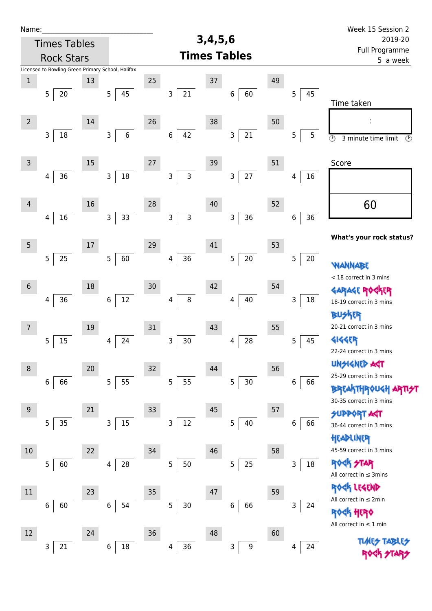| Name:          |                                                   |        |                         |    |                            |         |                        |    |         | Week 15 Session 2                                          |
|----------------|---------------------------------------------------|--------|-------------------------|----|----------------------------|---------|------------------------|----|---------|------------------------------------------------------------|
|                | <b>Times Tables</b>                               |        |                         |    |                            | 3,4,5,6 |                        |    |         | 2019-20                                                    |
|                | <b>Rock Stars</b>                                 |        |                         |    | Full Programme<br>5 a week |         |                        |    |         |                                                            |
|                | Licensed to Bowling Green Primary School, Halifax |        |                         |    |                            |         |                        |    |         |                                                            |
| $\,1$          |                                                   | 13     |                         | 25 |                            | $37\,$  |                        | 49 |         |                                                            |
|                | 5<br>20                                           |        | 5<br>45                 |    | 21<br>3                    |         | 60<br>6                |    | 5<br>45 |                                                            |
|                |                                                   |        |                         |    |                            |         |                        |    |         | Time taken                                                 |
| $\overline{2}$ |                                                   | 14     |                         | 26 |                            | 38      |                        | 50 |         |                                                            |
|                | 3<br>18                                           |        | $\,6\,$<br>$\mathsf{3}$ |    | $\,$ 6 $\,$<br>42          |         | 21<br>3                |    | 5<br>5  | $\overline{\circ}$<br>3 minute time limit<br>$\circled{r}$ |
|                |                                                   |        |                         |    |                            |         |                        |    |         |                                                            |
| $\mathsf 3$    |                                                   | 15     |                         | 27 |                            | 39      |                        | 51 |         | Score                                                      |
|                | 36<br>4                                           |        | $18\,$<br>$\mathsf{3}$  |    | $\mathsf{3}$<br>3          |         | $27\,$<br>$\mathsf{3}$ |    | 16<br>4 |                                                            |
|                |                                                   |        |                         |    |                            |         |                        |    |         |                                                            |
| $\overline{4}$ |                                                   | 16     |                         | 28 |                            | 40      |                        | 52 |         | 60                                                         |
|                | 16<br>4                                           |        | 33<br>3                 |    | $\mathsf{3}$<br>3          |         | 36<br>$\mathsf{3}$     |    | 36<br>6 |                                                            |
|                |                                                   |        |                         |    |                            |         |                        |    |         |                                                            |
| $\overline{5}$ |                                                   | $17\,$ |                         | 29 |                            | 41      |                        | 53 |         | What's your rock status?                                   |
|                | 5<br>25                                           |        | 60<br>5                 |    | 36<br>4                    |         | $20\,$<br>5            |    | 5<br>20 |                                                            |
|                |                                                   |        |                         |    |                            |         |                        |    |         | WANNABE<br>< 18 correct in 3 mins                          |
| $6\,$          |                                                   | 18     |                         | 30 |                            | 42      |                        | 54 |         | <b>GARAGE RO</b>                                           |
|                | 36<br>4                                           |        | 12<br>6                 |    | 8<br>4                     |         | $40\,$<br>4            |    | 18<br>3 | 18-19 correct in 3 mins                                    |
|                |                                                   |        |                         |    |                            |         |                        |    |         | BUSKER                                                     |
| 7              |                                                   | 19     |                         | 31 |                            | 43      |                        | 55 |         | 20-21 correct in 3 mins                                    |
|                | 15<br>5                                           |        | 24<br>4                 |    | 30<br>3                    |         | 28<br>4                |    | 45<br>5 | <b>4144EP</b>                                              |
|                |                                                   |        |                         |    |                            |         |                        |    |         | 22-24 correct in 3 mins                                    |
| $\, 8$         |                                                   | 20     |                         | 32 |                            | 44      |                        | 56 |         | <b>UNSIGNED AGT</b>                                        |
|                | 66<br>$6\,$                                       |        | 55<br>$\overline{5}$    |    | 5<br>55                    |         | $30\,$<br>5            |    | 6<br>66 | 25-29 correct in 3 mins                                    |
|                |                                                   |        |                         |    |                            |         |                        |    |         | <b>BREAKTHROUGH</b>                                        |
| $9\,$          |                                                   | 21     |                         | 33 |                            | 45      |                        | 57 |         | 30-35 correct in 3 mins                                    |
|                | 35<br>5                                           |        | 15<br>$\mathsf{3}$      |    | $12\,$<br>3                |         | 5<br>40                |    | 66<br>6 | <b>SUPPORT AGT</b><br>36-44 correct in 3 mins              |
|                |                                                   |        |                         |    |                            |         |                        |    |         | HEADLINER                                                  |
| $10\,$         |                                                   | 22     |                         | 34 |                            | 46      |                        | 58 |         | 45-59 correct in 3 mins                                    |
|                | 5<br>60                                           |        | 28<br>4                 |    | 5<br>50                    |         | 25<br>5                |    | 18<br>3 | <b>ROCK STAR</b>                                           |
|                |                                                   |        |                         |    |                            |         |                        |    |         | All correct in $\leq$ 3mins                                |
| $11\,$         |                                                   | 23     |                         | 35 |                            | 47      |                        | 59 |         | ROCK LEGEND                                                |
|                | 60<br>6                                           |        | 54<br>$\,6$             |    | 5<br>30 <sub>o</sub>       |         | 66<br>6                |    | 3<br>24 | All correct in $\leq 2$ min                                |
|                |                                                   |        |                         |    |                            |         |                        |    |         | HERQ                                                       |
| $12\,$         |                                                   | 24     |                         | 36 |                            | 48      |                        | 60 |         | All correct in $\leq 1$ min                                |
|                | 21<br>3                                           |        | 18<br>6                 |    | 36<br>4                    |         | 9<br>3                 |    | 24<br>4 | <b>TLARS</b>                                               |
|                |                                                   |        |                         |    |                            |         |                        |    |         |                                                            |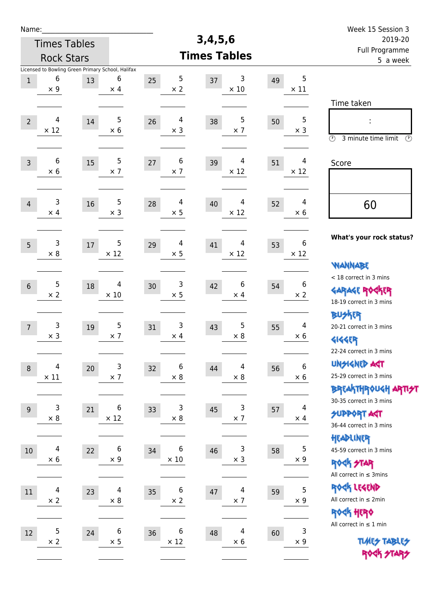| Name:            |                                                                      |      |                            |                         |                        |    |                                | Week 15 Session 3                                                                       |
|------------------|----------------------------------------------------------------------|------|----------------------------|-------------------------|------------------------|----|--------------------------------|-----------------------------------------------------------------------------------------|
|                  | <b>Times Tables</b>                                                  |      |                            |                         | 3,4,5,6                |    |                                | 2019-20                                                                                 |
|                  | <b>Rock Stars</b>                                                    |      |                            |                         | <b>Times Tables</b>    |    |                                | Full Programme<br>5 a week                                                              |
| $\mathbf{1}$     | Licensed to Bowling Green Primary School, Halifax<br>6<br>$\times$ 9 | 13   | 6<br>$\times$ 4            | 5<br>25<br>$\times 2$   | 3<br>37<br>$\times$ 10 | 49 | 5<br>$\times$ 11               |                                                                                         |
| $\overline{2}$   | 4<br>$\times$ 12                                                     | 14   | 5<br>$\times$ 6            | 4<br>26<br>$\times$ 3   | 5<br>38<br>$\times$ 7  | 50 | 5<br>$\times$ 3                | Time taken<br>Ì,<br>$\circled{r}$<br>3 minute time limit<br>⊕                           |
| $\overline{3}$   | 6<br>$\times$ 6                                                      | 15   | 5<br>$\times$ 7            | 6<br>$27$<br>$\times$ 7 | 4<br>39<br>$\times$ 12 | 51 | 4<br>$\times$ 12               | Score                                                                                   |
| $\overline{4}$   | 3<br>$\times$ 4                                                      | 16   | 5<br>$\times$ 3            | 4<br>28<br>$\times$ 5   | 4<br>40<br>$\times$ 12 | 52 | 4<br>$\times 6$                | 60                                                                                      |
| 5                | 3<br>$\times 8$                                                      | $17$ | 5<br>$\times$ 12           | 4<br>29<br>$\times$ 5   | 4<br>41<br>$\times$ 12 | 53 | 6<br>$\times$ 12               | What's your rock status?<br><b>WANNABE</b>                                              |
| $6\phantom{1}6$  | 5<br>$\times$ 2                                                      | 18   | 4<br>$\times$ 10           | 3<br>30<br>$\times$ 5   | 6<br>42<br>$\times$ 4  | 54 | 6<br>$\times 2$                | < 18 correct in 3 mins<br><b>GARAGE ROGKER</b><br>18-19 correct in 3 mins               |
| $\overline{7}$   | 3<br>$\times$ 3                                                      | 19   | 5<br>$\times$ 7            | 3<br>31<br>$\times$ 4   | 5<br>43<br>$\times$ 8  | 55 | 4<br>$\times 6$                | <b>BUSKER</b><br>20-21 correct in 3 mins<br><b>4144EP</b><br>22-24 correct in 3 mins    |
| $\boldsymbol{8}$ | 4<br>$\times$ 11                                                     | 20   | $\mathsf{3}$<br>$\times$ 7 | 6<br>32<br>$\times 8$   | 4<br>44<br>$\times$ 8  | 56 | $\boldsymbol{6}$<br>$\times 6$ | <b>UNSIGNED AGT</b><br>25-29 correct in 3 mins<br>ΒΡΓΑΚΤΗΡΟUGH ΑΡΤΙ <del>2</del> Τ      |
| 9                | 3<br>$\times$ 8                                                      | 21   | 6<br>$\times$ 12           | 3<br>33<br>$\times 8$   | 3<br>45<br>$\times$ 7  | 57 | 4<br>$\times$ 4                | 30-35 correct in 3 mins<br><b>SUPPORT AGT</b><br>36-44 correct in 3 mins                |
| $10\,$           | 4<br>$\times$ 6                                                      | 22   | 6<br>$\times$ 9            | 6<br>34<br>$\times$ 10  | 3<br>46<br>$\times$ 3  | 58 | 5<br>$\times$ 9                | HEADLINER<br>45-59 correct in 3 mins<br><b>ROCK STAR</b><br>All correct in $\leq$ 3mins |
| 11               | $\overline{\mathcal{A}}$<br>$\times$ 2                               | 23   | 4<br>$\times$ 8            | 6<br>35<br>$\times$ 2   | 4<br>47<br>$\times$ 7  | 59 | 5<br>$\times$ 9                | ROCK LEGEND<br>All correct in $\leq 2$ min<br>ROCK HERO                                 |
| 12               | 5<br>$\times 2$                                                      | 24   | 6<br>$\times$ 5            | 6<br>36<br>$\times$ 12  | 4<br>48<br>$\times$ 6  | 60 | 3<br>$\times 9$                | All correct in $\leq 1$ min<br><b>TUARS TABLES</b><br>ROCK STARS                        |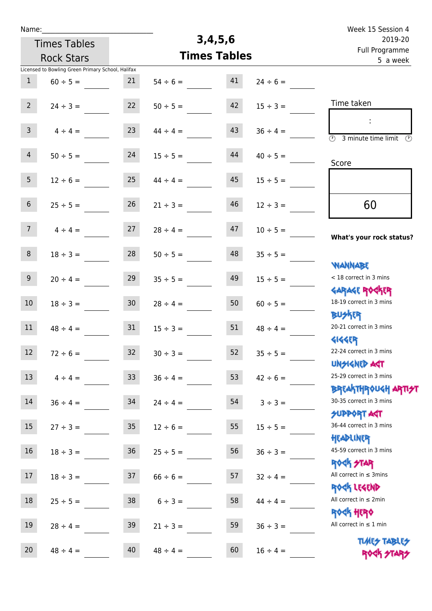| Name:            |                                                   |                 |               |                     | Week 15 Session 4 |                                                                                 |
|------------------|---------------------------------------------------|-----------------|---------------|---------------------|-------------------|---------------------------------------------------------------------------------|
|                  | <b>Times Tables</b>                               |                 |               | 3,4,5,6             |                   | 2019-20                                                                         |
|                  | <b>Rock Stars</b>                                 |                 |               | <b>Times Tables</b> |                   | Full Programme<br>5 a week                                                      |
|                  | Licensed to Bowling Green Primary School, Halifax |                 |               |                     |                   |                                                                                 |
| $\mathbf{1}$     | $60 \div 5 =$                                     | 21              | $54 \div 6 =$ | 41                  | $24 \div 6 =$     |                                                                                 |
| $2^{\circ}$      | $24 \div 3 =$                                     | 22              | $50 \div 5 =$ | 42                  | $15 \div 3 =$     | Time taken                                                                      |
| $\mathsf{3}$     | $4 \div 4 =$                                      | 23              | $44 \div 4 =$ | 43                  | $36 \div 4 =$     | $\overline{(\mathcal{V})}$<br>3 minute time limit<br>$\odot$                    |
| $\overline{4}$   | $50 \div 5 =$                                     | 24              | $15 \div 5 =$ | 44                  | $40 \div 5 =$     | Score                                                                           |
| 5 <sub>1</sub>   | $12 \div 6 =$                                     | 25              | $44 \div 4 =$ | 45                  | $15 \div 5 =$     |                                                                                 |
| 6 <sup>1</sup>   | $25 \div 5 =$                                     | 26              | $21 \div 3 =$ | 46                  | $12 \div 3 =$     | 60                                                                              |
| 7 <sup>1</sup>   | $4 \div 4 =$                                      | 27              | $28 \div 4 =$ | 47                  | $10 \div 5 =$     | What's your rock status?                                                        |
| 8                | $18 \div 3 =$                                     | 28              | $50 \div 5 =$ | 48                  | $35 \div 5 =$     |                                                                                 |
| 9 <sub>o</sub>   | $20 \div 4 =$                                     | 29              | $35 \div 5 =$ | 49                  | $15 \div 5 =$     | <b>NANNABE</b><br>< 18 correct in 3 mins                                        |
| 10 <sup>°</sup>  | $18 \div 3 =$                                     | 30              | $28 \div 4 =$ | 50                  | $60 \div 5 =$     | <b>GARAGE ROCKER</b><br>18-19 correct in 3 mins                                 |
| 11               | $48 \div 4 =$                                     | 31              | $15 \div 3 =$ | 51                  | $48 \div 4 =$     | <b>BUSKRR</b><br>20-21 correct in 3 mins                                        |
| 12 <sup>12</sup> | $72 \div 6 =$                                     | 32              | $30 \div 3 =$ | 52                  | $35 \div 5 =$     | <b>4144EP</b><br>22-24 correct in 3 mins<br><b>UNSIGNED AGT</b>                 |
| 13               | $4 \div 4 =$                                      | 33              | $36 \div 4 =$ | 53                  | $42 \div 6 =$     | 25-29 correct in 3 mins                                                         |
| 14               | $36 \div 4 =$                                     | 34              | $24 \div 4 =$ | 54                  | $3 \div 3 =$      | <b>BREAKTHROUGH ARTI<del>S</del>T</b><br>30-35 correct in 3 mins<br>SUPPORT ART |
| 15 <sub>1</sub>  | $27 \div 3 =$                                     | 35 <sub>1</sub> | $12 \div 6 =$ | 55                  | $15 \div 5 =$     | 36-44 correct in 3 mins                                                         |
| 16               | $18 \div 3 =$                                     | 36 <sup>°</sup> | $25 \div 5 =$ | 56                  | $36 \div 3 =$     | HEADLINER<br>45-59 correct in 3 mins                                            |
| 17               | $18 \div 3 =$                                     | 37              | $66 \div 6 =$ | 57                  | $32 \div 4 =$     | <b>ROCK STAR</b><br>All correct in $\leq$ 3mins<br>ROCK LEGEND                  |
| 18               | $25 \div 5 =$                                     | 38              | $6 \div 3 =$  | 58                  | $44 \div 4 =$     | All correct in $\leq 2$ min                                                     |
| 19               | $28 \div 4 =$                                     | 39              | $21 \div 3 =$ | 59                  | $36 \div 3 =$     | <b>ROCK HERO</b><br>All correct in $\leq 1$ min                                 |
| 20               | $48 \div 4 =$                                     | 40              | $48 \div 4 =$ | 60                  | $16 \div 4 =$     | <b>TUARS TABLES</b><br>ROCK STARS                                               |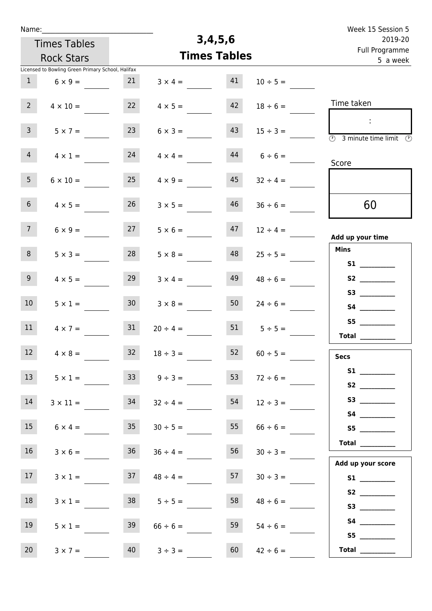| Week 15 Session 5                                         |               |                     |                |                     |                 |                                                   | Name:           |
|-----------------------------------------------------------|---------------|---------------------|----------------|---------------------|-----------------|---------------------------------------------------|-----------------|
| 2019-20                                                   |               | 3,4,5,6             |                | <b>Times Tables</b> |                 |                                                   |                 |
| Full Programme<br>5 a week                                |               | <b>Times Tables</b> |                | <b>Rock Stars</b>   |                 |                                                   |                 |
|                                                           |               |                     |                |                     |                 | Licensed to Bowling Green Primary School, Halifax |                 |
|                                                           | $10 \div 5 =$ | 41                  | $3 \times 4 =$ |                     | 21              | $6 \times 9 =$                                    | 1               |
| Time taken                                                | $18 \div 6 =$ | 42                  | $4 \times 5 =$ |                     | 22              | $4 \times 10 =$                                   | 2 <sup>7</sup>  |
| $\mathcal{L}_{\mathcal{A}}$<br>(1)<br>3 minute time limit | $15 \div 3 =$ | 43                  | $6 \times 3 =$ |                     | 23              | $5 \times 7 =$                                    | 3 <sup>7</sup>  |
| Score                                                     | $6 \div 6 =$  | 44                  | $4 \times 4 =$ |                     | 24              | $4 \times 1 =$                                    | $\overline{4}$  |
|                                                           | $32 \div 4 =$ | 45                  | $4 \times 9 =$ |                     | 25              | $6 \times 10 =$                                   | 5 <sub>1</sub>  |
| 60                                                        | $36 \div 6 =$ | 46                  | $3 \times 5 =$ |                     | 26              | $4 \times 5 =$                                    | 6 <sup>1</sup>  |
| Add up your time                                          | $12 \div 4 =$ | 47                  | $5 \times 6 =$ |                     | 27              | $6 \times 9 =$                                    | 7 <sup>7</sup>  |
| <b>Mins</b>                                               | $25 \div 5 =$ | 48                  | $5 \times 8 =$ |                     | 28              | $5 \times 3 =$                                    | 8               |
|                                                           | $48 \div 6 =$ | 49                  | $3 \times 4 =$ |                     | 29              | $4 \times 5 =$                                    | 9 <sub>o</sub>  |
|                                                           | $24 \div 6 =$ | 50                  | $3 \times 8 =$ |                     | 30 <sup>°</sup> | $5 \times 1 =$                                    | 10 <sup>°</sup> |
| S5<br>Total $\qquad$                                      | $5 \div 5 =$  | 51                  |                | $20 \div 4 =$       | 31              | $4 \times 7 =$                                    | 11              |
| <b>Secs</b>                                               | $60 \div 5 =$ | 52                  |                | $18 \div 3 =$       | 32              | $4 \times 8 =$                                    | $12$            |
| S2                                                        | $72 \div 6 =$ | 53                  |                | $9 \div 3 =$        | 33              | $5 \times 1 =$                                    | 13 <sup>7</sup> |
|                                                           | $12 \div 3 =$ | 54                  |                | $32 \div 4 =$       | 34              | $3 \times 11 =$                                   | 14              |
| S5                                                        | $66 \div 6 =$ | 55                  |                | $30 \div 5 =$       | 35              | $6 \times 4 =$                                    | 15              |
| Total $\_\_$                                              | $30 \div 3 =$ | 56                  |                | $36 \div 4 =$       | 36              | $3 \times 6 =$                                    | 16 <sup>1</sup> |
| Add up your score                                         | $30 \div 3 =$ | 57                  |                | $48 \div 4 =$       | 37              | $3 \times 1 =$                                    | 17              |
|                                                           | $48 \div 6 =$ | 58                  |                | $5 \div 5 =$        | 38              | $3 \times 1 =$                                    | 18              |
|                                                           | $54 \div 6 =$ | 59                  |                | $66 \div 6 =$       | 39              | $5 \times 1 =$                                    | 19              |
| Total $\_\_$                                              | $42 \div 6 =$ | 60                  |                | $3 ÷ 3 =$           | 40              | $3 \times 7 =$                                    | 20              |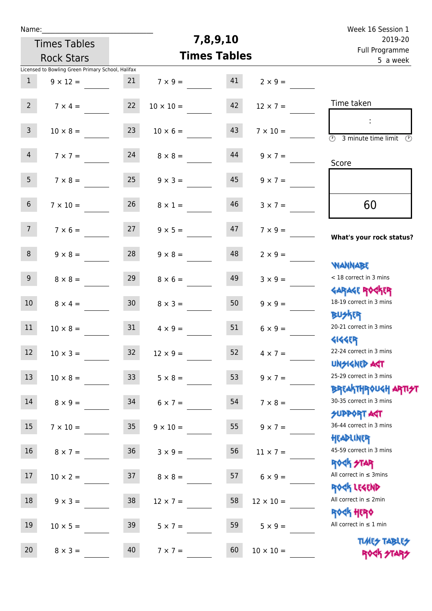| Name:            |                                                   |                 |                  |                     | Week 16 Session 1 |                                                                  |
|------------------|---------------------------------------------------|-----------------|------------------|---------------------|-------------------|------------------------------------------------------------------|
|                  | <b>Times Tables</b>                               |                 |                  | 7,8,9,10            |                   | 2019-20                                                          |
|                  | <b>Rock Stars</b>                                 |                 |                  | <b>Times Tables</b> |                   | Full Programme<br>5 a week                                       |
|                  | Licensed to Bowling Green Primary School, Halifax |                 |                  |                     |                   |                                                                  |
| $\mathbf{1}$     | $9 \times 12 =$                                   | 21              | $7 \times 9 =$   | 41                  | $2 \times 9 =$    |                                                                  |
| 2 <sup>7</sup>   | $7 \times 4 =$                                    | 22              | $10 \times 10 =$ | 42                  | $12 \times 7 =$   | Time taken                                                       |
| $\mathsf{3}$     | $10 \times 8 =$                                   | 23              | $10 \times 6 =$  | 43                  | $7 \times 10 =$   | $\overline{(\mathcal{V})}$<br>3 minute time limit $\circled{b}$  |
| $\overline{4}$   | $7 \times 7 =$                                    | 24              | $8 \times 8 =$   | 44                  | $9 \times 7 =$    | Score                                                            |
| 5 <sup>1</sup>   | $7 \times 8 =$                                    | 25              | $9 \times 3 =$   | 45                  | $9 \times 7 =$    |                                                                  |
| 6 <sup>1</sup>   | $7 \times 10 =$                                   | 26              | $8 \times 1 =$   | 46                  | $3 \times 7 =$    | 60                                                               |
| 7 <sup>7</sup>   | $7 \times 6 =$                                    | 27              | $9 \times 5 =$   | 47                  | $7 \times 9 =$    | What's your rock status?                                         |
| 8                | $9 \times 8 =$                                    | 28              | $9 \times 8 =$   | 48                  | $2 \times 9 =$    | <b>NANNABE</b>                                                   |
| 9 <sup>1</sup>   | $8 \times 8 =$                                    | 29              | $8 \times 6 =$   | 49                  | $3 \times 9 =$    | < 18 correct in 3 mins<br><b>GARAGE ROCKER</b>                   |
| 10 <sup>°</sup>  | $8 \times 4 =$                                    | 30 <sub>o</sub> | $8 \times 3 =$   | 50                  | $9 \times 9 =$    | 18-19 correct in 3 mins<br><b>BUSKRR</b>                         |
| 11               | $10 \times 8 =$                                   | 31              | $4 \times 9 =$   | 51                  | $6 \times 9 =$    | 20-21 correct in 3 mins<br><b>4144ER</b>                         |
| 12 <sup>12</sup> | $10 \times 3 =$                                   | 32 <sup>°</sup> | $12 \times 9 =$  | 52                  | $4 \times 7 =$    | 22-24 correct in 3 mins<br><b>UNSIGNED AST</b>                   |
| 13               | $10 \times 8 =$                                   | 33              | $5 \times 8 =$   | 53                  | $9 \times 7 =$    | 25-29 correct in 3 mins                                          |
| 14               | $8 \times 9 =$                                    | 34              | $6 \times 7 =$   | 54                  | $7 \times 8 =$    | <b>BREAKTHROUGH ARTI<del>S</del>T</b><br>30-35 correct in 3 mins |
| 15 <sub>1</sub>  | $7 \times 10 =$                                   | 35 <sub>1</sub> | $9 \times 10 =$  | 55                  | $9 \times 7 =$    | SUPPORT ART<br>36-44 correct in 3 mins                           |
| 16               | $8 \times 7 =$                                    | 36              | $3 \times 9 =$   | 56                  | $11 \times 7 =$   | HEADLINER<br>45-59 correct in 3 mins                             |
| 17               | $10 \times 2 =$                                   | 37              | $8 \times 8 =$   | 57                  | $6 \times 9 =$    | <b>ROCK STAR</b><br>All correct in $\leq$ 3mins<br>ROCK LEGEND   |
| 18               | $9 \times 3 =$                                    | 38              | $12 \times 7 =$  | 58                  | $12 \times 10 =$  | All correct in $\leq 2$ min                                      |
| 19               | $10 \times 5 =$                                   | 39              | $5 \times 7 =$   | 59                  | $5 \times 9 =$    | <b>ROCK HERO</b><br>All correct in $\leq 1$ min                  |
| 20               | $8 \times 3 =$                                    | 40              | $7 \times 7 =$   | 60                  | $10 \times 10 =$  | <b>TUARS TABLES</b><br>ROCK STARS                                |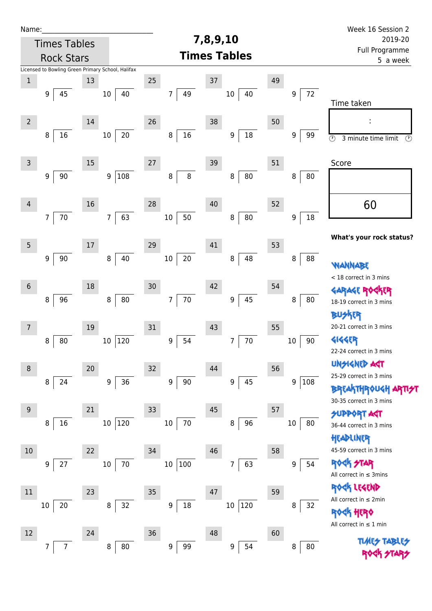| Name:           |                                                   |        |                         |                            |                      |               | Week 16 Session 2                                                         |  |
|-----------------|---------------------------------------------------|--------|-------------------------|----------------------------|----------------------|---------------|---------------------------------------------------------------------------|--|
|                 | <b>Times Tables</b>                               |        |                         |                            | 7,8,9,10             |               | 2019-20                                                                   |  |
|                 | <b>Rock Stars</b>                                 |        |                         |                            | <b>Times Tables</b>  |               | Full Programme<br>5 a week                                                |  |
|                 | Licensed to Bowling Green Primary School, Halifax |        |                         |                            |                      |               |                                                                           |  |
| $\mathbf 1$     |                                                   | 13     |                         | 25                         | 37                   | 49            |                                                                           |  |
|                 | 9<br>45                                           |        | 40<br>10                | 49<br>7                    | $10\,$<br>40         | $72\,$<br>9   | Time taken                                                                |  |
| $\overline{2}$  |                                                   | $14\,$ |                         | 26                         | 38                   | 50            |                                                                           |  |
|                 | 16<br>8                                           |        | $20\,$<br>$10\,$        | $16\,$<br>8                | $18\,$<br>9          | 9<br>99       | $\circledcirc$<br>3 minute time limit<br>$\circledcirc$                   |  |
| $\mathsf{3}$    |                                                   | $15\,$ |                         | 27                         | 39                   | 51            | Score                                                                     |  |
|                 | 90<br>9                                           |        | 108<br>$\boldsymbol{9}$ | $\bf 8$<br>8               | ${\bf 80}$<br>8      | 8<br>80       |                                                                           |  |
| $\overline{4}$  |                                                   | 16     |                         | 28                         | 40                   | 52            | 60                                                                        |  |
|                 | 70<br>$\overline{7}$                              |        | 63<br>$\overline{7}$    | 50<br>$10\,$               | ${\bf 80}$<br>$\, 8$ | 18<br>9       |                                                                           |  |
| $5\phantom{.0}$ |                                                   | $17\,$ |                         | 29                         | 41                   | 53            | What's your rock status?                                                  |  |
|                 | 9<br>90                                           |        | 40<br>8                 | $20\,$<br>$10\,$           | 48<br>8              | 8<br>88       | WANNABE                                                                   |  |
| $6\,$           |                                                   | 18     |                         | 30                         | 42                   | 54            | < 18 correct in 3 mins                                                    |  |
|                 | 8<br>96                                           |        | ${\bf 80}$<br>8         | $70\,$<br>7                | 45<br>9              | 8<br>80       | GARAGE ROG                                                                |  |
|                 |                                                   |        |                         |                            |                      |               | 18-19 correct in 3 mins<br><b>BUSKER</b>                                  |  |
| 7               |                                                   | 19     |                         | 31                         | 43                   | 55            | 20-21 correct in 3 mins                                                   |  |
|                 | 80<br>8                                           |        | 120<br>$10\,$           | 54<br>9                    | $70\,$<br>7          | 90<br>$10\,$  | <b>4144EP</b><br>22-24 correct in 3 mins                                  |  |
| 8               |                                                   | 20     |                         | 32                         | 44                   | 56            | <b>UNSIGNED AGT</b>                                                       |  |
|                 | 24<br>8                                           |        | 36<br>$\boldsymbol{9}$  | $\boldsymbol{9}$<br>$90\,$ | 45<br>9              | 9<br>108      | 25-29 correct in 3 mins<br><b>BREAKTHROUGH</b><br>30-35 correct in 3 mins |  |
| 9               |                                                   | 21     |                         | 33                         | 45                   | 57            | <b>SUPPORT AST</b>                                                        |  |
|                 | 16<br>8                                           |        | 120<br>$10\,$           | 70<br>10                   | 96<br>8              | 80<br>$10\,$  | 36-44 correct in 3 mins<br>HEADLINER                                      |  |
| 10              |                                                   | 22     |                         | 34                         | 46                   | 58            | 45-59 correct in 3 mins                                                   |  |
|                 | 27<br>9                                           |        | 70<br>10                | $10\,$<br> 100             | 63<br>7              | 54<br>9       | <b>ROCK STAR</b><br>All correct in $\leq$ 3mins                           |  |
|                 |                                                   |        |                         |                            |                      |               | ROCK LEGEND                                                               |  |
| 11              | 20<br>10                                          | 23     | 32<br>8                 | 35<br>$18\,$<br>9          | 47<br>10 120         | 59<br>8<br>32 | All correct in $\leq 2$ min<br><b><k b="" her0<=""></k></b>               |  |
|                 |                                                   |        |                         |                            |                      |               | All correct in $\leq 1$ min                                               |  |
| 12              | 7<br>7                                            | 24     | 80<br>8                 | 36<br>99<br>9              | 48<br>54<br>9        | 60<br>80<br>8 | <b>TLARS</b><br><b>TABLE7</b>                                             |  |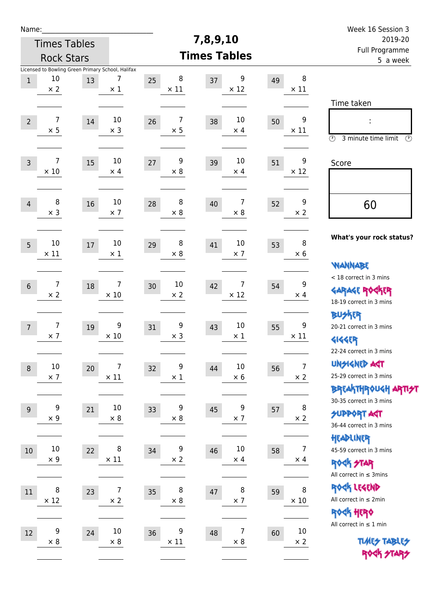| Name:            |                                                                       |    |                               |    |                  |          |                      |    |                              | Week 16 Session 3                                                                               |
|------------------|-----------------------------------------------------------------------|----|-------------------------------|----|------------------|----------|----------------------|----|------------------------------|-------------------------------------------------------------------------------------------------|
|                  | <b>Times Tables</b>                                                   |    |                               |    |                  | 7,8,9,10 |                      |    |                              | 2019-20                                                                                         |
|                  | <b>Rock Stars</b>                                                     |    |                               |    |                  |          | <b>Times Tables</b>  |    |                              | Full Programme<br>5 a week                                                                      |
| $1\,$            | Licensed to Bowling Green Primary School, Halifax<br>10<br>$\times 2$ | 13 | 7<br>$\times$ 1               | 25 | 8<br>$\times$ 11 | 37       | 9<br>$\times$ 12     | 49 | 8<br>$\times$ 11             |                                                                                                 |
| $\overline{2}$   | 7<br>$\times$ 5                                                       | 14 | $10\,$<br>$\times$ 3          | 26 | 7<br>$\times$ 5  | 38       | 10<br>$\times$ 4     | 50 | 9<br>$\times$ 11             | Time taken<br>$\circled{r}$<br>3 minute time limit<br>$\circled{r}$                             |
| $\overline{3}$   | $\overline{7}$<br>$\times$ 10                                         | 15 | $10\,$<br>$\times$ 4          | 27 | 9<br>$\times 8$  | 39       | 10<br>$\times$ 4     | 51 | 9<br>$\times$ 12             | Score                                                                                           |
| $\overline{4}$   | 8<br>$\times$ 3                                                       | 16 | 10<br>$\times$ 7              | 28 | 8<br>$\times$ 8  | 40       | 7<br>$\times 8$      | 52 | 9<br>$\times 2$              | 60                                                                                              |
| 5                | 10<br>$\times$ 11                                                     | 17 | $10\,$<br>$\times 1$          | 29 | 8<br>$\times 8$  | 41       | 10<br>$\times$ 7     | 53 | 8<br>$\times 6$              | What's your rock status?<br><b>WANNABE</b>                                                      |
| $6\,$            | 7<br>$\times 2$                                                       | 18 | 7<br>$\times$ 10              | 30 | 10<br>$\times 2$ | 42       | 7<br>$\times$ 12     | 54 | 9<br>$\times$ 4              | < 18 correct in 3 mins<br><b>GARAGE ROCKER</b><br>18-19 correct in 3 mins                       |
| $\overline{7}$   | 7<br>$\times$ 7                                                       | 19 | 9<br>$\times 10$              | 31 | 9<br>$\times$ 3  | 43       | 10<br>$\times$ 1     | 55 | 9<br>$\times$ 11             | <b>BU外界</b><br>20-21 correct in 3 mins<br><b>4144EP</b><br>22-24 correct in 3 mins              |
| $\boldsymbol{8}$ | $10\,$<br>$\times$ 7                                                  | 20 | $\overline{7}$<br>$\times$ 11 | 32 | 9<br>$\times$ 1  | 44       | $10\,$<br>$\times$ 6 | 56 | $\overline{7}$<br>$\times$ 2 | <b>UNSIGNED AGT</b><br>25-29 correct in 3 mins<br>ΒΡΓΑ <sup>Κ</sup> ΤΗΡΟυΚΗ ΑΡΤΙ <del>2</del> Τ |
| $9\,$            | 9<br>$\times 9$                                                       | 21 | $10\,$<br>$\times$ 8          | 33 | 9<br>$\times 8$  | 45       | 9<br>$\times$ 7      | 57 | 8<br>$\times 2$              | 30-35 correct in 3 mins<br><b>SUPPORT AGT</b><br>36-44 correct in 3 mins                        |
| 10               | $10\,$<br>$\times$ 9                                                  | 22 | 8<br>$\times$ 11              | 34 | 9<br>$\times$ 2  | 46       | $10\,$<br>$\times$ 4 | 58 | 7<br>$\times$ 4              | HEADLINER<br>45-59 correct in 3 mins<br><b>ROCK STAR</b><br>All correct in $\leq$ 3mins         |
| $11\,$           | 8<br>$\times$ 12                                                      | 23 | $\overline{7}$<br>$\times$ 2  | 35 | 8<br>$\times$ 8  | 47       | 8<br>$\times$ 7      | 59 | 8<br>$\times$ 10             | ROCK LEGEND<br>All correct in $\leq 2$ min<br>ROCK HERO                                         |
| $12\,$           | 9<br>$\times$ 8                                                       | 24 | $10\,$<br>$\times$ 8          | 36 | 9<br>$\times$ 11 | 48       | 7<br>$\times$ 8      | 60 | $10\,$<br>$\times$ 2         | All correct in $\leq 1$ min<br><b>TUARS TABLES</b><br>ROCK STARS                                |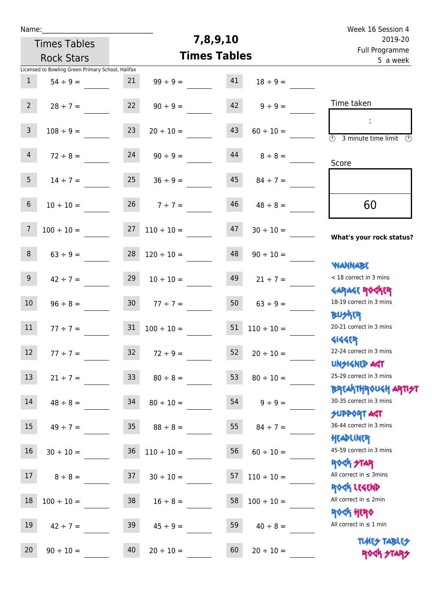| Week 16 Session 4                                                                      |                    | 7,8,9,10 |                                     |                 |                                                   | Name:           |
|----------------------------------------------------------------------------------------|--------------------|----------|-------------------------------------|-----------------|---------------------------------------------------|-----------------|
| 2019-20<br>Full Programme                                                              |                    |          | <b>Times Tables</b>                 |                 |                                                   |                 |
| 5 a week                                                                               |                    |          | <b>Times Tables</b>                 |                 | <b>Rock Stars</b>                                 |                 |
|                                                                                        |                    |          |                                     |                 | Licensed to Bowling Green Primary School, Halifax |                 |
|                                                                                        | $18 \div 9 =$      | 41       | $99 \div 9 =$                       | 21              | $54 \div 9 =$                                     | $\mathbf{1}$    |
| Time taken                                                                             | $9 ÷ 9 =$          | 42       | $90 \div 9 =$                       | 22              | $28 \div 7 =$                                     | $2^{\circ}$     |
| ÷<br>$\overline{(\mathcal{V})}$<br>3 minute time limit<br>$\mathcal{O}$                | $60 \div 10 =$     | 43       | $20 \div 10 =$                      | 23              | $108 \div 9 =$                                    | $\mathbf{3}$    |
| Score                                                                                  | $8 \div 8 =$       | 44       | $90 \div 9 =$                       | 24              | $72 \div 8 =$                                     | $\overline{4}$  |
|                                                                                        | $84 \div 7 =$      | 45       | $36 \div 9 =$                       | 25              | $14 \div 7 =$                                     | 5 <sub>1</sub>  |
| 60                                                                                     | $48 \div 8 =$      | 46       | $7 ÷ 7 =$                           | 26              | $10 \div 10 =$                                    | $6\phantom{.}6$ |
| What's your rock status?                                                               | $30 \div 10 =$     | 47       | $110 \div 10 =$                     | 27              | $100 \div 10 =$                                   | $7\overline{ }$ |
|                                                                                        | $90 \div 10 =$     | 48       | $120 \div 10 =$                     | 28              | $63 ÷ 9 =$                                        | 8               |
| <b>YIANNABE</b><br>< 18 correct in 3 mins                                              | $21 \div 7 =$      | 49       | $10 \div 10 =$                      | 29              | $42 \div 7 =$                                     | 9 <sup>1</sup>  |
| <b>GARAGE ROCKER</b><br>18-19 correct in 3 mins                                        | $63 \div 9 =$      | 50       | $77 ÷ 7 =$                          | 30 <sub>o</sub> | $96 \div 8 =$                                     | 10 <sup>°</sup> |
| <b>BUSKER</b><br>20-21 correct in 3 mins                                               | $110 \div 10 =$    | 51       | $100 \div 10 =$                     | 31              | $77 \div 7 =$                                     | 11              |
| <b>4144EP</b><br>22-24 correct in 3 mins<br><b>UNSIGNED AST</b>                        | $20 \div 10 =$     | 52       | $72 \div 9 =$                       | 32              | $77 \div 7 =$                                     | 12              |
| 25-29 correct in 3 mins                                                                | $80 \div 10 =$     | 53       | $80 \div 8 =$                       |                 | $21 \div 7 = 33$                                  | 13              |
| <b>BREAKTHROUGH ARTI<del>S</del>T</b><br>30-35 correct in 3 mins<br><b>SUPPORT AGT</b> | $54 \t 9 \div 9 =$ |          | $80 \div 10 =$                      |                 | $48 \div 8 = 34$                                  | 14              |
| 36-44 correct in 3 mins                                                                | $84 \div 7 =$      | 55       | $35 \t 88 \div 8 =$                 |                 | $49 \div 7 =$                                     | 15              |
| HEADLINER<br>45-59 correct in 3 mins                                                   | $60 \div 10 =$     | 56       | $30 \div 10 =$ $36$ $110 \div 10 =$ |                 |                                                   | 16              |
| <b>ROCK STAR</b><br>All correct in $\leq$ 3mins                                        | $110 \div 10 =$    | 57       | $30 \div 10 =$                      | 37              | $8 \div 8 =$                                      | 17 <sup>7</sup> |
| ROCK LEGEND<br>All correct in $\leq 2$ min                                             | $100 \div 10 =$    | 58       | $16 \div 8 =$                       | 38              | $100 \div 10 =$                                   | $18\,$          |
| <b>ROCK HERO</b><br>All correct in $\leq 1$ min                                        | $40 \div 8 =$      | 59       | $45 \div 9 =$                       | 39              | $42 \div 7 =$                                     | 19              |
| <b>TUARS TABLES</b><br>ROCK STARS                                                      | $20 \div 10 =$     | 60       | $20 \div 10 =$                      | 40              | $90 \div 10 =$                                    | 20              |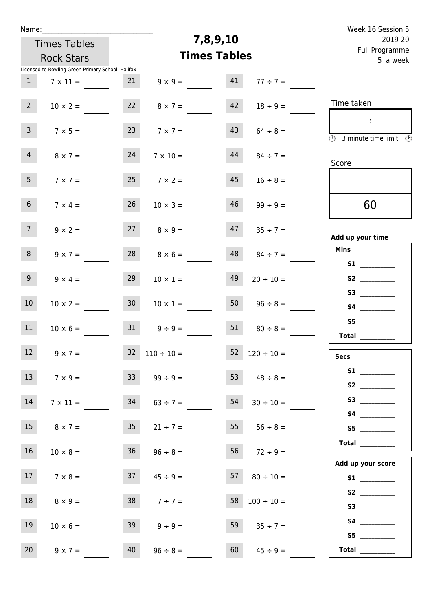| Week 16 Session 5                                                                               |                          |                     |                          |                 |                                                   | Name:           |
|-------------------------------------------------------------------------------------------------|--------------------------|---------------------|--------------------------|-----------------|---------------------------------------------------|-----------------|
| 2019-20                                                                                         |                          | 7,8,9,10            |                          |                 | <b>Times Tables</b>                               |                 |
| Full Programme<br>5 a week                                                                      |                          | <b>Times Tables</b> |                          |                 | <b>Rock Stars</b>                                 |                 |
|                                                                                                 |                          |                     |                          |                 | Licensed to Bowling Green Primary School, Halifax |                 |
|                                                                                                 | $77 ÷ 7 =$               | 41                  | $9 \times 9 =$           | 21              | $7 \times 11 =$                                   | 1               |
| Time taken                                                                                      | $18 \div 9 =$            | 42                  | $8 \times 7 =$           | 22              | $10 \times 2 =$                                   | 2 <sup>7</sup>  |
| $\mathbb{Z}^n$<br>$\overline{\textcircled{2}}$ 3 minute time limit $\overline{\textcircled{2}}$ | $64 \div 8 =$            | 43                  | $7 \times 7 =$           | 23              | $7 \times 5 =$                                    | $\mathbf{3}$    |
| Score                                                                                           | $84 \div 7 =$            | 44                  | $7 \times 10 =$          | 24              | $8 \times 7 =$                                    | $\overline{4}$  |
|                                                                                                 | $16 \div 8 =$            | 45                  | $7 \times 2 =$           | 25              | $7 \times 7 =$                                    | 5 <sub>1</sub>  |
| 60                                                                                              | $99 \div 9 =$            | 46                  | $10 \times 3 =$          | 26              | $7 \times 4 =$                                    | 6 <sup>1</sup>  |
| Add up your time                                                                                | $35 \div 7 =$            | 47                  | $8 \times 9 =$           | 27              | $9 \times 2 =$                                    | $7\overline{ }$ |
| <b>Mins</b><br>S1                                                                               | $84 \div 7 =$            | 48                  | $8 \times 6 =$           | 28              | $9 \times 7 =$                                    | 8               |
| S2                                                                                              | $20 \div 10 =$           | 49                  | $10 \times 1 =$          | 29              | $9 \times 4 =$                                    | 9 <sub>o</sub>  |
|                                                                                                 | $96 \div 8 =$            | 50                  | $10 \times 1 =$          | 30 <sup>1</sup> | $10 \times 2 =$                                   | 10 <sup>°</sup> |
| S5<br><b>Total</b>                                                                              | $80 \div 8 =$            | 51                  | $9 \div 9 =$             | 31              | $10 \times 6 =$                                   | 11              |
| <b>Secs</b>                                                                                     | $52 \t 120 \div 10 =$    |                     | $32 \quad 110 \div 10 =$ |                 | $9 \times 7 =$                                    | 12              |
| S2                                                                                              | 53 $48 \div 8 =$         |                     | $99 \div 9 =$            | 33              | $7 \times 9 =$                                    | 13              |
|                                                                                                 | $30 \div 10 =$           | 54                  | $63 \div 7 =$            | 34              | $7 \times 11 =$                                   | 14              |
| S5                                                                                              | $55 \t 56 \div 8 =$      |                     | $21 \div 7 =$            | 35              | $8 \times 7 =$                                    | 15              |
| $\begin{tabular}{c} Total \end{tabular}$<br>Add up your score                                   | 56 $72 \div 9 =$         |                     | $96 \div 8 =$            | 36              | $10 \times 8 =$                                   | 16 <sup>1</sup> |
| S1                                                                                              | $57 \t 80 \div 10 =$     |                     | $45 \div 9 =$            | 37              | $7 \times 8 =$                                    | 17              |
| S3                                                                                              | $58 \quad 100 \div 10 =$ |                     | $38 \t 7 \div 7 =$       |                 | $8 \times 9 =$                                    | 18              |
| S5                                                                                              | $35 \div 7 =$            | 59                  | $9 \div 9 =$             | 39              | $10 \times 6 =$                                   | 19              |
| Total $\_\_$                                                                                    | $45 \div 9 =$            | 60                  | $96 \div 8 =$            | 40              | $9 \times 7 =$                                    | 20              |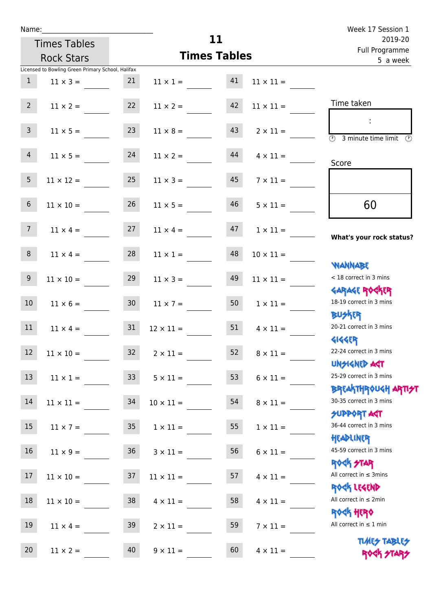| Name: |  |  |  |
|-------|--|--|--|
|       |  |  |  |

| Name:           |                                                   |                 |                     |                           |                  | Week 17 Session 1                                                |
|-----------------|---------------------------------------------------|-----------------|---------------------|---------------------------|------------------|------------------------------------------------------------------|
|                 | <b>Times Tables</b>                               |                 | 11                  | 2019-20<br>Full Programme |                  |                                                                  |
|                 | <b>Rock Stars</b>                                 |                 | <b>Times Tables</b> |                           |                  | 5 a week                                                         |
|                 | Licensed to Bowling Green Primary School, Halifax |                 |                     |                           |                  |                                                                  |
| $\mathbf{1}$    | $11 \times 3 =$                                   | 21              | $11 \times 1 =$     | 41                        | $11 \times 11 =$ |                                                                  |
| 2 <sup>7</sup>  | $11 \times 2 =$                                   | 22              | $11 \times 2 =$     | 42                        | $11 \times 11 =$ | Time taken                                                       |
| $\mathbf{3}$    | $11 \times 5 =$                                   | 23              | $11 \times 8 =$     | 43                        | $2 \times 11 =$  | $\overline{\mathcal{O}}$<br>3 minute time limit<br>$\mathcal{O}$ |
| $\overline{4}$  | $11 \times 5 =$                                   | 24              | $11 \times 2 =$     | 44                        | $4 \times 11 =$  | Score                                                            |
| 5               | $11 \times 12 =$                                  | 25              | $11 \times 3 =$     | 45                        | $7 \times 11 =$  |                                                                  |
| $6\phantom{.}$  | $11 \times 10 =$                                  | 26              | $11 \times 5 =$     | 46                        | $5 \times 11 =$  | 60                                                               |
| 7 <sup>7</sup>  | $11 \times 4 =$                                   | 27              | $11 \times 4 =$     | 47                        | $1 \times 11 =$  | What's your rock status?                                         |
| 8               | $11 \times 4 =$                                   | 28              | $11 \times 1 =$     | 48                        | $10 \times 11 =$ | <b>NANNABE</b>                                                   |
| 9               | $11 \times 10 =$                                  | 29              | $11 \times 3 =$     | 49                        | $11 \times 11 =$ | < 18 correct in 3 mins<br><b>GARAGE ROCKER</b>                   |
| 10 <sup>°</sup> | $11 \times 6 =$                                   | 30 <sub>o</sub> | $11 \times 7 =$     | 50                        | $1 \times 11 =$  | 18-19 correct in 3 mins<br><b>BUSKER</b>                         |
| 11              | $11 \times 4 =$                                   | 31              | $12 \times 11 =$    | 51                        | $4 \times 11 =$  | 20-21 correct in 3 mins<br><b>4144EP</b>                         |
| $12$            | $11 \times 10 =$                                  | 32              | $2 \times 11 =$     | 52                        | $8 \times 11 =$  | 22-24 correct in 3 mins<br><b>UNSIGNED AGT</b>                   |
| 13              | $11 \times 1 =$                                   | 33 <sup>°</sup> | $5 \times 11 =$     | 53                        | $6 \times 11 =$  | 25-29 correct in 3 mins<br>BREAKTHROUGH ARTI <del>S</del> T      |
| 14              | $11 \times 11 =$                                  | 34              | $10 \times 11 =$    | 54                        | $8 \times 11 =$  | 30-35 correct in 3 mins<br><b>SUPPORT AGT</b>                    |
| 15              | $11 \times 7 =$                                   | 35              | $1 \times 11 =$     | 55                        | $1 \times 11 =$  | 36-44 correct in 3 mins<br>HEADLINER                             |
| 16              | $11 \times 9 =$                                   | 36              | $3 \times 11 =$     | 56                        | $6 \times 11 =$  | 45-59 correct in 3 mins<br>ROCK STAR                             |
| 17              | $11 \times 10 =$                                  | 37              | $11 \times 11 =$    | 57                        | $4 \times 11 =$  | All correct in $\leq$ 3mins                                      |
| 18              | $11 \times 10 =$                                  | 38              | $4 \times 11 =$     | 58                        | $4 \times 11 =$  | ROCK LEGEND<br>All correct in $\leq 2$ min                       |
| 19              | $11 \times 4 =$                                   | 39              | $2 \times 11 =$     | 59                        | $7 \times 11 =$  | ROCK HERO<br>All correct in $\leq 1$ min                         |
|                 |                                                   |                 |                     |                           |                  | デレイロス デスライ ロ                                                     |

**TIMES TABLES** 20  $11 \times 2 =$  40  $9 \times 11 =$  60  $4 \times 11 =$  ROCK FIAR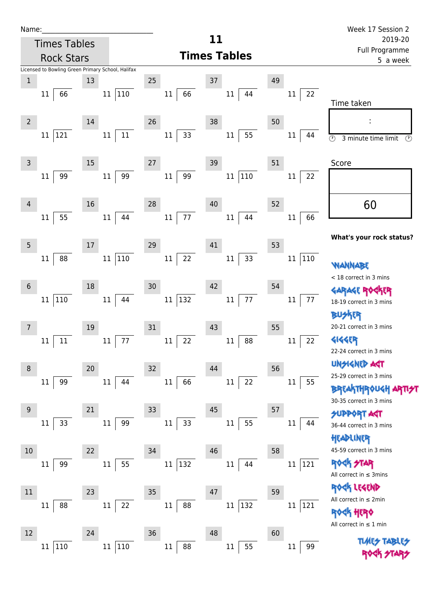| Name:           |                                                   |          |     |        |                         |    |                     |    |                   | Week 17 Session 2                                                      |
|-----------------|---------------------------------------------------|----------|-----|--------|-------------------------|----|---------------------|----|-------------------|------------------------------------------------------------------------|
|                 | <b>Times Tables</b>                               |          |     |        |                         | 11 |                     |    |                   | 2019-20<br>Full Programme                                              |
|                 | <b>Rock Stars</b>                                 |          |     |        |                         |    | <b>Times Tables</b> |    |                   | 5 a week                                                               |
|                 | Licensed to Bowling Green Primary School, Halifax |          |     | 25     |                         | 37 |                     | 49 |                   |                                                                        |
| $\,1$           | 66<br>11                                          | 13<br>11 | 110 |        | 66<br>$11\,$            |    | $11\,$<br>44        |    | 22<br>11          |                                                                        |
|                 |                                                   |          |     |        |                         |    |                     |    |                   | Time taken                                                             |
| $\overline{2}$  |                                                   | 14       |     | 26     |                         | 38 |                     | 50 |                   |                                                                        |
|                 | 121<br>11                                         | 11       | 11  |        | 33<br>$11\,$            |    | 55<br>11            |    | 44<br>11          |                                                                        |
|                 |                                                   |          |     |        |                         |    |                     |    |                   | $\overline{\circlearrowright}$<br>3 minute time limit<br>$\circled{r}$ |
| 3               |                                                   | 15       |     | $27\,$ |                         | 39 |                     | 51 |                   | Score                                                                  |
|                 | 99<br>11                                          | $11\,$   | 99  |        | 99<br>$11\,$            |    | 110<br>11           |    | 22<br>11          |                                                                        |
|                 |                                                   |          |     |        |                         |    |                     |    |                   |                                                                        |
| 4               |                                                   | 16       |     | 28     |                         | 40 |                     | 52 |                   | 60                                                                     |
|                 | 55<br>11                                          | 11       | 44  |        | 77<br>$11\,$            |    | 11<br>44            |    | 66<br>11          |                                                                        |
|                 |                                                   |          |     |        |                         |    |                     |    |                   | What's your rock status?                                               |
| 5               |                                                   | 17       |     | 29     |                         | 41 |                     | 53 |                   |                                                                        |
|                 | 88<br>11                                          | 11       | 110 |        | 22<br>$11\,$            |    | 33<br>$11\,$        |    | 110<br>11         | WANNABE                                                                |
|                 |                                                   |          |     |        |                         |    |                     |    |                   | < 18 correct in 3 mins                                                 |
| $6\phantom{1}6$ |                                                   | 18       |     | 30     |                         | 42 |                     | 54 |                   | <b>GARAGE RO</b>                                                       |
|                 | 110<br>11                                         | $11\,$   | 44  |        | $ 132\rangle$<br>11     |    | 77<br>11            |    | $77 \,$<br>$11\,$ | 18-19 correct in 3 mins                                                |
|                 |                                                   |          |     |        |                         |    |                     |    |                   | <b>BUSKER</b>                                                          |
| 7               |                                                   | 19       |     | 31     |                         | 43 |                     | 55 |                   | 20-21 correct in 3 mins                                                |
|                 | 11<br>11                                          | $11\,$   | 77  |        | 22<br>$11\,$            |    | 88<br>$11\,$        |    | 22<br>11          | <b>4144EP</b>                                                          |
|                 |                                                   |          |     |        |                         |    |                     |    |                   | 22-24 correct in 3 mins                                                |
| 8               |                                                   | 20       |     | 32     |                         | 44 |                     | 56 |                   | <b>UNSIGNED AST</b><br>25-29 correct in 3 mins                         |
|                 | 99<br>11                                          | 11       | 44  |        | 66<br>$11\,$            |    | 22<br>11            |    | 55<br>$11\,$      | <b>BREAKTHROUGH</b>                                                    |
|                 |                                                   |          |     |        |                         |    |                     |    |                   | 30-35 correct in 3 mins                                                |
| 9               |                                                   | 21       |     | 33     |                         | 45 |                     | 57 |                   | <b>FOR TROPPUS</b>                                                     |
|                 | 33<br>11                                          | 11       | 99  |        | 33<br>$11\,$            |    | 55<br>$11\,$        |    | 11<br>44          | 36-44 correct in 3 mins                                                |
|                 |                                                   |          |     |        |                         |    |                     |    |                   | HEADLINER                                                              |
| $10\,$          |                                                   | 22       |     | 34     |                         | 46 |                     | 58 |                   | 45-59 correct in 3 mins                                                |
|                 | 99<br>11                                          | 11       | 55  |        | $ 132\rangle$<br>$11\,$ |    | 44<br>$11\,$        |    | 121<br>11         | ROCK STAR<br>All correct in $\leq$ 3mins                               |
|                 |                                                   |          |     |        |                         |    |                     |    |                   | ROCK LEGEND                                                            |
| $11\,$          |                                                   | 23       |     | 35     |                         | 47 |                     | 59 |                   | All correct in $\leq 2$ min                                            |
|                 | 88<br>11                                          | 11       | 22  |        | 88<br>$11\,$            |    | 11 132              |    | 121<br>11         | ROCK HERO                                                              |
|                 |                                                   |          |     |        |                         |    |                     |    |                   | All correct in $\leq 1$ min                                            |
| 12              |                                                   | 24       |     | 36     |                         | 48 |                     | 60 |                   |                                                                        |
|                 | 110<br>11                                         | $11\,$   | 110 |        | 88<br>$11\,$            |    | 55<br>$11\,$        |    | 99<br>11          |                                                                        |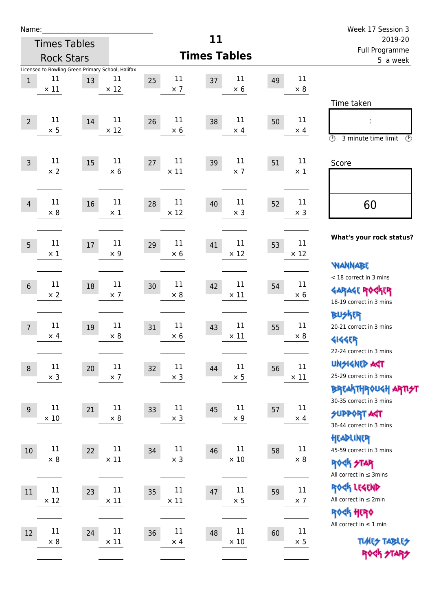| Name:          |                                                                        |    |                       |                             |                             |    |                   | Week 17 Session 3                                                                               |
|----------------|------------------------------------------------------------------------|----|-----------------------|-----------------------------|-----------------------------|----|-------------------|-------------------------------------------------------------------------------------------------|
|                | <b>Times Tables</b>                                                    |    |                       |                             | 11                          |    |                   | 2019-20                                                                                         |
|                | <b>Rock Stars</b>                                                      |    |                       |                             | <b>Times Tables</b>         |    |                   | Full Programme<br>5 a week                                                                      |
| $1\,$          | Licensed to Bowling Green Primary School, Halifax<br>11<br>$\times$ 11 | 13 | 11<br>$\times$ 12     | 11<br>25<br>$\times$ 7      | 11<br>37<br>$\times$ 6      | 49 | 11<br>$\times 8$  |                                                                                                 |
| $\overline{2}$ | 11<br>$\times$ 5                                                       | 14 | 11<br>$\times$ 12     | 11<br>26<br>$\times$ 6      | 11<br>38<br>$\times$ 4      | 50 | 11<br>$\times$ 4  | Time taken<br>t,<br>$\circled{r}$<br>3 minute time limit<br>$\mathcal{O}$                       |
| $\overline{3}$ | 11<br>$\times$ 2                                                       | 15 | $11\,$<br>$\times 6$  | 11<br>27<br>$\times$ 11     | $11\,$<br>39<br>$\times$ 7  | 51 | 11<br>$\times 1$  | Score                                                                                           |
| $\overline{4}$ | 11<br>$\times 8$                                                       | 16 | $11\,$<br>$\times$ 1  | 11<br>28<br>$\times$ 12     | $11\,$<br>40<br>$\times$ 3  | 52 | 11<br>$\times$ 3  | 60                                                                                              |
| 5              | 11<br>$\times$ 1                                                       | 17 | 11<br>$\times$ 9      | 11<br>29<br>$\times 6$      | 11<br>41<br>$\times$ 12     | 53 | 11<br>$\times$ 12 | What's your rock status?<br><b>WANNABE</b>                                                      |
| $\sqrt{6}$     | 11<br>$\times 2$                                                       | 18 | 11<br>$\times$ 7      | 11<br>30<br>$\times 8$      | 11<br>42<br>$\times$ 11     | 54 | 11<br>$\times 6$  | < 18 correct in 3 mins<br><b>GARAGE ROGKER</b><br>18-19 correct in 3 mins                       |
| $\overline{7}$ | 11<br>$\times$ 4                                                       | 19 | 11<br>$\times$ 8      | 11<br>31<br>$\times$ 6      | $11\,$<br>43<br>$\times$ 11 | 55 | 11<br>$\times 8$  | <b>BUSKER</b><br>20-21 correct in 3 mins<br><b>4144EP</b><br>22-24 correct in 3 mins            |
| $\,8\,$        | $11\,$<br>$\times$ 3                                                   | 20 | 11<br>$\times$ 7      | $11\,$<br>32<br>$\times$ 3  | $11\,$<br>44<br>$\times$ 5  | 56 | 11<br>$\times$ 11 | <b>UNSIGNED AGT</b><br>25-29 correct in 3 mins<br>ΒΡΓΑ <sup>Κ</sup> ΤΗΡΟυΚΗ ΑΡΤΙ <del>2</del> Τ |
| $9\,$          | 11<br>$\times$ 10                                                      | 21 | 11<br>$\times 8$      | 11<br>33<br>$\times$ 3      | $11\,$<br>45<br>$\times$ 9  | 57 | 11<br>$\times$ 4  | 30-35 correct in 3 mins<br><b>SUPPORT AST</b><br>36-44 correct in 3 mins                        |
| 10             | $11\,$<br>$\times$ 8                                                   | 22 | 11<br>$\times$ 11     | $11\,$<br>34<br>$\times$ 3  | $11\,$<br>46<br>$\times$ 10 | 58 | 11<br>$\times$ 8  | HEADLINER<br>45-59 correct in 3 mins<br><b>ROCK STAR</b><br>All correct in $\leq$ 3mins         |
| 11             | $11\,$<br>$\times$ 12                                                  | 23 | 11<br>$\times$ 11     | $11\,$<br>35<br>$\times$ 11 | 11<br>47<br>$\times$ 5      | 59 | 11<br>$\times$ 7  | ROCK LEGEND<br>All correct in $\leq 2$ min<br><b>ROCK HERO</b>                                  |
| 12             | 11<br>$\times$ 8                                                       | 24 | $11\,$<br>$\times$ 11 | 11<br>36<br>$\times$ 4      | $11\,$<br>48<br>$\times$ 10 | 60 | 11<br>$\times$ 5  | All correct in $\leq 1$ min<br><b>TUARS TABLES</b><br>ROCK STARS                                |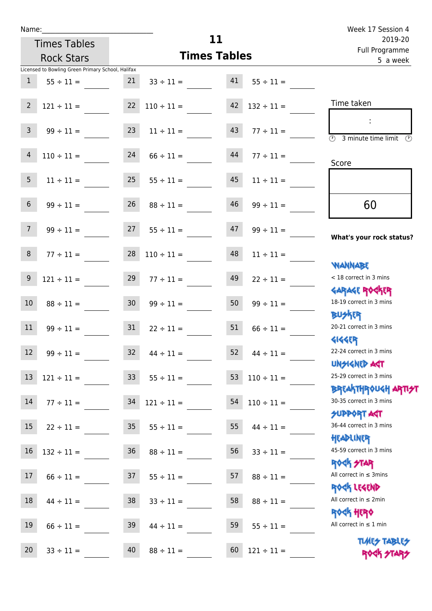|                 | <b>Rock Stars</b>                                 |                 | <b>Times Tables</b>  |    |                 | <u>run rivyrunning</u><br>5 a week                                                     |
|-----------------|---------------------------------------------------|-----------------|----------------------|----|-----------------|----------------------------------------------------------------------------------------|
|                 | Licensed to Bowling Green Primary School, Halifax |                 |                      |    |                 |                                                                                        |
| $\mathbf{1}$    | $55 \div 11 =$                                    | 21              | $33 \div 11 =$       | 41 | $55 \div 11 =$  |                                                                                        |
| $\overline{2}$  | $121 \div 11 =$                                   | 22              | $110 \div 11 =$      | 42 | $132 \div 11 =$ | Time taken                                                                             |
|                 |                                                   |                 |                      |    |                 |                                                                                        |
| $\mathsf{3}$    | $99 \div 11 =$                                    | 23              | $11 \div 11 =$       | 43 | $77 \div 11 =$  | $\overline{\odot}$<br>3 minute time limit<br>⊙                                         |
| $\overline{4}$  | $110 \div 11 =$                                   | 24              | $66 \div 11 =$       | 44 | $77 \div 11 =$  | Score                                                                                  |
| 5 <sub>1</sub>  | $11 \div 11 =$                                    | 25              | $55 \div 11 =$       | 45 | $11 \div 11 =$  |                                                                                        |
| $6\overline{6}$ | $99 \div 11 =$                                    | 26              | $88 \div 11 =$       | 46 | $99 \div 11 =$  | 60                                                                                     |
| 7 <sup>7</sup>  | $99 \div 11 =$                                    | 27              | $55 \div 11 =$       | 47 | $99 \div 11 =$  | What's your rock status?                                                               |
| 8               | $77 \div 11 =$                                    | 28              | $110 \div 11 =$      | 48 | $11 \div 11 =$  | <b>NANNABE</b>                                                                         |
| 9               | $121 \div 11 =$                                   | 29              | $77 \div 11 =$       | 49 | $22 \div 11 =$  | < 18 correct in 3 mins                                                                 |
| $10\,$          | $88 \div 11 =$                                    | 30 <sub>o</sub> | $99 \div 11 =$       | 50 | $99 \div 11 =$  | <b>GARAGE ROCKER</b><br>18-19 correct in 3 mins                                        |
| 11              | $99 \div 11 =$                                    | 31              | $22 \div 11 =$       | 51 | $66 \div 11 =$  | <b>BUSKRR</b><br>20-21 correct in 3 mins                                               |
| 12              | $99 \div 11 =$                                    | 32              | $44 \div 11 =$       | 52 | $44 \div 11 =$  | <b>4144EP</b><br>22-24 correct in 3 mins                                               |
|                 | $13 \quad 121 \div 11 =$                          |                 | $33 \t 55 \div 11 =$ |    | $110 \div 11 =$ | <b>UNSIGNED AGT</b><br>25-29 correct in 3 mins                                         |
| 14              | $77 \div 11 =$                                    | 34              | $121 \div 11 =$      | 54 | $110 \div 11 =$ | <b>BREAKTHROUGH ARTI<del>S</del>T</b><br>30-35 correct in 3 mins<br><b>SUPPORT AGT</b> |
| 15              | $22 \div 11 =$                                    | 35 <sub>1</sub> | $55 \div 11 =$       | 55 | $44 \div 11 =$  | 36-44 correct in 3 mins                                                                |
| 16              | $132 \div 11 =$                                   | 36              | $88 \div 11 =$       | 56 | $33 \div 11 =$  | HEADLINER<br>45-59 correct in 3 mins                                                   |
| 17              | $66 \div 11 =$                                    | 37              | $55 \div 11 =$       | 57 | $88 \div 11 =$  | <b>ROCK STAR</b><br>All correct in $\leq$ 3mins                                        |
| 18              | $44 \div 11 =$                                    | 38              | $33 \div 11 =$       | 58 | $88 \div 11 =$  | ROCK LEGEND<br>All correct in $\leq 2$ min                                             |
| 19              | $66 \div 11 =$                                    | 39              | $44 \div 11 =$       | 59 | $55 \div 11 =$  | <b>ROCK HERO</b><br>All correct in $\leq 1$ min                                        |
| 20              | $33 \div 11 =$                                    | 40              | $88 \div 11 =$       | 60 | $121 \div 11 =$ | <b>TUARS TABLES</b><br>ROCK STAP                                                       |

**11**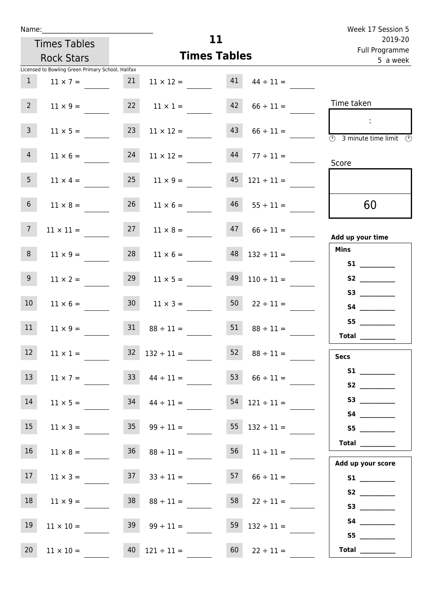|                 | Name:                                             |                 |                                  |                     |                            | Week 17 Session 5                                                  |
|-----------------|---------------------------------------------------|-----------------|----------------------------------|---------------------|----------------------------|--------------------------------------------------------------------|
|                 | <b>Times Tables</b>                               |                 |                                  | 11                  |                            | 2019-20                                                            |
|                 | <b>Rock Stars</b>                                 |                 |                                  | <b>Times Tables</b> | Full Programme<br>5 a week |                                                                    |
|                 | Licensed to Bowling Green Primary School, Halifax |                 |                                  |                     |                            |                                                                    |
| $\mathbf{1}$    | $11 \times 7 =$                                   | 21              | $11 \times 12 =$                 | 41                  | $44 \div 11 =$             |                                                                    |
| $2^{\circ}$     | $11 \times 9 =$                                   |                 | $22 \t 11 \times 1 =$            | 42                  | $66 \div 11 =$             | Time taken                                                         |
| $\mathbf{3}$    | $11 \times 5 =$                                   | 23              | $11 \times 12 =$                 | 43                  | $66 \div 11 =$             | $\overline{\textcircled{2}}$ 3 minute time limit $\textcircled{2}$ |
| $\overline{4}$  | $11 \times 6 =$                                   | 24              | $11 \times 12 =$                 | 44                  | $77 \div 11 =$             | Score                                                              |
| 5 <sub>1</sub>  | $11 \times 4 =$                                   |                 | $25 \t 11 \times 9 =$            | 45                  | $121 \div 11 =$            |                                                                    |
| $6\overline{6}$ | $11 \times 8 =$                                   | 26              | $11 \times 6 =$                  | 46                  | $55 \div 11 =$             | 60                                                                 |
| $7\overline{ }$ | $11 \times 11 =$                                  | 27              | $11 \times 8 =$                  | 47                  | $66 \div 11 =$             | Add up your time                                                   |
| 8               | $11 \times 9 =$                                   | 28              | $11 \times 6 =$                  | 48                  | $132 \div 11 =$            | <b>Mins</b><br><b>S1 S1</b>                                        |
| 9 <sub>o</sub>  | $11 \times 2 =$                                   | 29              | $11 \times 5 =$                  | 49                  | $110 \div 11 =$            | <b>S2</b>                                                          |
| 10 <sup>°</sup> | $11 \times 6 =$                                   | 30 <sup>°</sup> | $11 \times 3 =$                  | 50                  | $22 \div 11 =$             | S3                                                                 |
| 11              | $11 \times 9 =$                                   | 31              | $88 \div 11 =$                   | 51                  | $88 \div 11 =$             | S5<br>Total                                                        |
| 12              | $11 \times 1 =$                                   |                 | $32 \quad 132 \div 11 =$         | 52                  | $88 \div 11 =$             | <b>Secs</b>                                                        |
| 13              | $11 \times 7 =$                                   |                 | $33 \t 44 \div 11 =$             | 53                  | $66 \div 11 =$             |                                                                    |
| 14              |                                                   |                 | $11 \times 5 =$ $34 \times 11 =$ | 54                  | $121 \div 11 =$            |                                                                    |
| 15              | $11 \times 3 =$                                   |                 | $35 \t 99 \div 11 =$             | 55                  | $132 \div 11 =$            | S5                                                                 |
| 16              | $11 \times 8 =$                                   |                 | $36 \t 88 \div 11 =$             | 56                  | $11 \div 11 =$             | Total $\_\_$                                                       |
| 17 <sup>7</sup> | $11 \times 3 =$                                   |                 | $37 \t 33 \div 11 =$             |                     | $57 \t 66 \div 11 =$       | Add up your score<br>S1                                            |
| 18              | $11 \times 9 =$                                   |                 | $38$ $88 \div 11 =$              |                     | $58$ $22 \div 11 =$        |                                                                    |
| 19              | $11 \times 10 -$                                  |                 | $39 \qquad 99 + 11 -$            |                     | $59$ $132 \div 11$ –       |                                                                    |

19  $11 \times 10 =$  39  $99 \div 11 =$  59  $132 \div 11 =$ 

20  $11 \times 10 =$   $40 \times 121 \div 11 =$   $60 \times 22 \div 11 =$ 

 **S5 \_\_\_\_\_\_\_\_\_\_\_\_**

 **Total \_\_\_\_\_\_\_\_\_\_\_\_**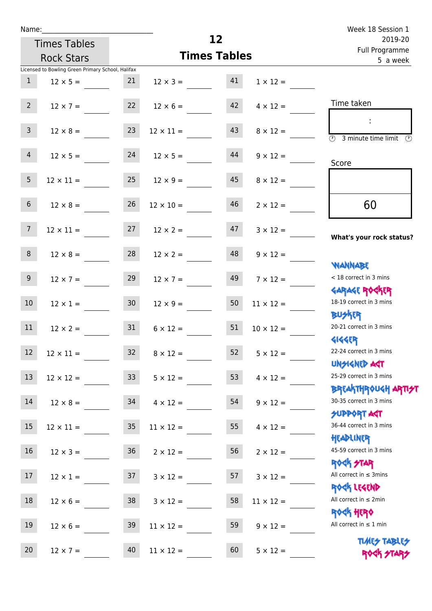| Name:           |                                                   |                 |                     |                 |                  | Week 18 Session 1                                                        |
|-----------------|---------------------------------------------------|-----------------|---------------------|-----------------|------------------|--------------------------------------------------------------------------|
|                 | <b>Times Tables</b>                               |                 |                     | 12 <sub>2</sub> |                  | 2019-20<br>Full Programme                                                |
|                 | <b>Rock Stars</b>                                 |                 | <b>Times Tables</b> |                 |                  | 5 a week                                                                 |
|                 | Licensed to Bowling Green Primary School, Halifax |                 |                     |                 |                  |                                                                          |
| $\mathbf{1}$    | $12 \times 5 =$                                   | 21              | $12 \times 3 =$     | 41              | $1 \times 12 =$  |                                                                          |
| 2 <sup>7</sup>  | $12 \times 7 =$                                   | 22              | $12 \times 6 =$     | 42              | $4 \times 12 =$  | Time taken                                                               |
| $\overline{3}$  | $12 \times 8 =$                                   | 23              | $12 \times 11 =$    | 43              | $8 \times 12 =$  | $\overline{\mathcal{O}}$<br>3 minute time limit<br>$\mathcal{O}$         |
| $\overline{4}$  | $12 \times 5 =$                                   | 24              | $12 \times 5 =$     | 44              | $9 \times 12 =$  | Score                                                                    |
| 5               | $12 \times 11 =$                                  | 25              | $12 \times 9 =$     | 45              | $8 \times 12 =$  |                                                                          |
| $6\overline{6}$ | $12 \times 8 =$                                   | 26              | $12 \times 10 =$    | 46              | $2 \times 12 =$  | 60                                                                       |
| 7 <sup>7</sup>  | $12 \times 11 =$                                  | 27              | $12 \times 2 =$     | 47              | $3 \times 12 =$  | What's your rock status?                                                 |
| 8               | $12 \times 8 =$                                   | 28              | $12 \times 2 =$     | 48              | $9 \times 12 =$  | <b>NANNABE</b>                                                           |
| 9 <sub>o</sub>  | $12 \times 7 =$                                   | 29              | $12 \times 7 =$     | 49              | $7 \times 12 =$  | < 18 correct in 3 mins<br><b>GARAGE ROCKER</b>                           |
| 10              | $12 \times 1 =$                                   | 30 <sup>°</sup> | $12 \times 9 =$     | 50              | $11 \times 12 =$ | 18-19 correct in 3 mins<br><b>BUSKRR</b>                                 |
| 11              | $12 \times 2 =$                                   | 31              | $6 \times 12 =$     | 51              | $10 \times 12 =$ | 20-21 correct in 3 mins<br><b>4144EP</b>                                 |
| $12$            | $12 \times 11 =$                                  | 32              | $8 \times 12 =$     | 52              | $5 \times 12 =$  | 22-24 correct in 3 mins<br><b>UNSIGNED AGT</b>                           |
| 13              | $12 \times 12 =$                                  | 33              | $5 \times 12 =$     | 53              | $4 \times 12 =$  | 25-29 correct in 3 mins                                                  |
| 14              | $12 \times 8 =$                                   | 34              | $4 \times 12 =$     | 54              | $9 \times 12 =$  | ΒΡΓΑ <sup>Κ</sup> ΤΗΡΟυΚΗ ΑΡΤΙ <del>2</del> Τ<br>30-35 correct in 3 mins |
| 15              | $12 \times 11 =$                                  | $35\phantom{a}$ | $11 \times 12 =$    | 55              | $4 \times 12 =$  | <b>SUPPORT AGT</b><br>36-44 correct in 3 mins<br>HEADLINER               |
| 16              | $12 \times 3 =$                                   | 36              | $2 \times 12 =$     | 56              | $2 \times 12 =$  | 45-59 correct in 3 mins<br>ROCK STAR                                     |
| 17              | $12 \times 1 =$                                   | 37              | $3 \times 12 =$     | 57              | $3 \times 12 =$  | All correct in $\leq$ 3mins                                              |
| 18              | $12 \times 6 =$                                   | 38              | $3 \times 12 =$     | 58              | $11 \times 12 =$ | ROCK LEGEND<br>All correct in $\leq 2$ min                               |
| 19              | $12 \times 6 =$                                   | 39              | $11 \times 12 =$    | 59              | $9 \times 12 =$  | <b>ROCK HERO</b><br>All correct in $\leq 1$ min                          |
| 20              | $12 \times 7 =$                                   | 40              | $11 \times 12 =$    | 60              | $5 \times 12 =$  | <b>TUARS TABLES</b><br>ROCK STARS                                        |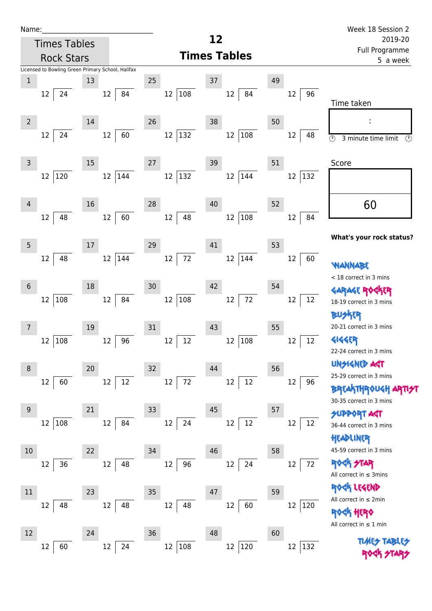| Name:            |                                                                              |    |              |    |                   |                           |    |                             | Week 18 Session 2                                                                     |
|------------------|------------------------------------------------------------------------------|----|--------------|----|-------------------|---------------------------|----|-----------------------------|---------------------------------------------------------------------------------------|
|                  | <b>Times Tables</b>                                                          |    |              |    |                   | 12                        |    |                             | 2019-20                                                                               |
|                  | <b>Rock Stars</b>                                                            |    |              |    |                   | <b>Times Tables</b>       |    |                             | Full Programme<br>5 a week                                                            |
| $\mathbf{1}$     | Licensed to Bowling Green Primary School, Halifax<br>24<br>$12 \overline{ }$ | 13 | 12<br>84     | 25 | 12 108            | 37<br>12<br>84            | 49 | $12 \overline{ }$<br>96     |                                                                                       |
| $2\overline{ }$  | 24<br>12                                                                     | 14 | 60<br>12     | 26 | 12 132            | 38<br>$12 \,$<br>108      | 50 | 12<br>48                    | Time taken<br>$\overline{\circlearrowright}$<br>3 minute time limit<br>$\circled{r}$  |
| $\mathsf{3}$     | 12 120                                                                       | 15 | 12 144       | 27 | 12 132            | 39<br>12<br>$ 144\rangle$ | 51 | 12 132                      | Score                                                                                 |
| 4                | 48<br>$12 \overline{ }$                                                      | 16 | 12<br>60     | 28 | 12<br>48          | 40<br>108<br>12           | 52 | 12<br>84                    | 60                                                                                    |
| $\overline{5}$   | 48<br>$12 \overline{ }$                                                      | 17 | 12 144       | 29 | $12\,$<br>72      | 41<br>12<br> 144          | 53 | 12<br>60                    | What's your rock status?<br>WANNABE                                                   |
| $\sqrt{6}$       | 12 108                                                                       | 18 | 12<br>84     | 30 | 12 108            | 42<br>72<br>$12\,$        | 54 | 12<br>12                    | < 18 correct in 3 mins<br><b>GARAGE RO</b><br>18-19 correct in 3 mins                 |
| 7                | 108<br>12                                                                    | 19 | 96<br>$12\,$ | 31 | 12<br>12          | 43<br>108<br>12           | 55 | $12 \overline{ }$<br>$12\,$ | <b>BUSKER</b><br>20-21 correct in 3 mins<br><b>4144ER</b><br>22-24 correct in 3 mins  |
| 8                | 60<br>12                                                                     | 20 | $12\,$<br>12 | 32 | $12\,$<br>72      | 44<br>$12\,$<br>12        | 56 | 12<br>96                    | <b>UNSIGNED AST</b><br>25-29 correct in 3 mins<br><b>BREAKTHROUGH</b>                 |
| $\boldsymbol{9}$ | 12 108                                                                       | 21 | 84<br>12     | 33 | $12 \overline{ }$ | 45<br>12<br>12            | 57 | 12<br>12                    | 30-35 correct in 3 mins<br><b>SUPPORT AST</b><br>36-44 correct in 3 mins<br>HEADLINER |
| 10               | 36<br>12                                                                     | 22 | 48<br>12     | 34 | $12\,$<br>96      | 46<br>24<br>12            | 58 | 12<br>72                    | 45-59 correct in 3 mins<br>TAR<br>All correct in $\leq$ 3mins                         |
| $11\,$           | 48<br>12                                                                     | 23 | 12<br>48     | 35 | 12<br>48          | 47<br>60<br>12            | 59 | 12<br> 120                  | <b>ER LEGEND</b><br>All correct in $\leq 2$ min<br>ROCK HERO                          |

 $12 \overline{60}$ 

24

 $12 \overline{)108}$ 

 $12 \overline{)120}$ 

 $12 \overline{)132}$ 

<mark>Rock Hero</mark> All correct in ≤ 1 min

> **TIMES TABLES** ROCK STARS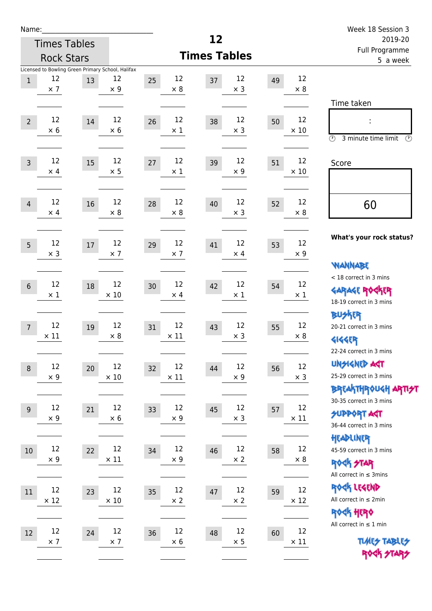| Name:          |                                                                       |    |                   |                         |                        |    |                   | Week 18 Session 3                                                                                                          |
|----------------|-----------------------------------------------------------------------|----|-------------------|-------------------------|------------------------|----|-------------------|----------------------------------------------------------------------------------------------------------------------------|
|                | <b>Times Tables</b>                                                   |    |                   |                         | 12                     |    |                   | 2019-20                                                                                                                    |
|                | <b>Rock Stars</b>                                                     |    |                   |                         | <b>Times Tables</b>    |    |                   | Full Programme<br>5 a week                                                                                                 |
| $1\,$          | Licensed to Bowling Green Primary School, Halifax<br>12<br>$\times$ 7 | 13 | 12<br>$\times$ 9  | 12<br>25<br>$\times 8$  | 12<br>37<br>$\times$ 3 | 49 | 12<br>$\times 8$  |                                                                                                                            |
| $\overline{2}$ | 12<br>$\times$ 6                                                      | 14 | 12<br>$\times$ 6  | 12<br>26<br>$\times$ 1  | 12<br>38<br>$\times$ 3 | 50 | 12<br>$\times$ 10 | Time taken<br>÷<br>$\circled{r}$<br>3 minute time limit<br>$\mathcal{O}$                                                   |
| $\overline{3}$ | 12<br>$\times$ 4                                                      | 15 | 12<br>$\times$ 5  | 12<br>27<br>$\times$ 1  | 12<br>39<br>$\times$ 9 | 51 | 12<br>$\times$ 10 | Score                                                                                                                      |
| $\overline{4}$ | 12<br>$\times$ 4                                                      | 16 | 12<br>$\times 8$  | 12<br>28<br>$\times 8$  | 12<br>40<br>$\times$ 3 | 52 | 12<br>$\times 8$  | 60                                                                                                                         |
| 5              | 12<br>$\times$ 3                                                      | 17 | 12<br>$\times$ 7  | 12<br>29<br>$\times$ 7  | 12<br>41<br>$\times$ 4 | 53 | 12<br>$\times$ 9  | What's your rock status?<br><b>WANNABE</b>                                                                                 |
| $\sqrt{6}$     | 12<br>$\times$ 1                                                      | 18 | 12<br>$\times$ 10 | 12<br>30<br>$\times$ 4  | 12<br>42<br>$\times$ 1 | 54 | 12<br>$\times$ 1  | < 18 correct in 3 mins<br><b>GARAGE ROGKER</b><br>18-19 correct in 3 mins                                                  |
| $\overline{7}$ | 12<br>$\times$ 11                                                     | 19 | 12<br>$\times 8$  | 12<br>31<br>$\times$ 11 | 12<br>43<br>$\times$ 3 | 55 | 12<br>$\times 8$  | <b>BUSKER</b><br>20-21 correct in 3 mins<br><b>4144EP</b>                                                                  |
| $\,8\,$        | 12<br>$\times$ 9                                                      | 20 | 12<br>$\times$ 10 | 12<br>32<br>$\times$ 11 | 12<br>44<br>$\times$ 9 | 56 | 12<br>$\times$ 3  | 22-24 correct in 3 mins<br><b>UNSIGNED AGT</b><br>25-29 correct in 3 mins<br>ΒΡΓΑ <sup>Κ</sup> ΤΗΡΟυΚΗ ΑΡΤΙ <del>2</del> Τ |
| $\overline{9}$ | 12<br>$\times$ 9                                                      | 21 | 12<br>$\times 6$  | 12<br>33<br>$\times$ 9  | 12<br>45<br>$\times$ 3 | 57 | 12<br>$\times$ 11 | 30-35 correct in 3 mins<br><b>SUPPORT AST</b><br>36-44 correct in 3 mins                                                   |
| 10             | 12<br>$\times$ 9                                                      | 22 | 12<br>$\times$ 11 | 12<br>34<br>$\times$ 9  | 12<br>46<br>$\times 2$ | 58 | 12<br>$\times$ 8  | HEADLINER<br>45-59 correct in 3 mins<br><b>ROCK STAR</b><br>All correct in $\leq$ 3mins                                    |
| 11             | 12<br>$\times$ 12                                                     | 23 | 12<br>$\times$ 10 | 12<br>35<br>$\times$ 2  | 12<br>47<br>$\times$ 2 | 59 | 12<br>$\times$ 12 | ROCK LEGEND<br>All correct in $\leq 2$ min<br><b>ROCK HERO</b>                                                             |
| 12             | 12<br>$\times$ 7                                                      | 24 | 12<br>$\times$ 7  | 12<br>36<br>$\times 6$  | 12<br>48<br>$\times$ 5 | 60 | 12<br>$\times$ 11 | All correct in $\leq 1$ min<br><b>TUARS TABLES</b><br>ROCK STARS                                                           |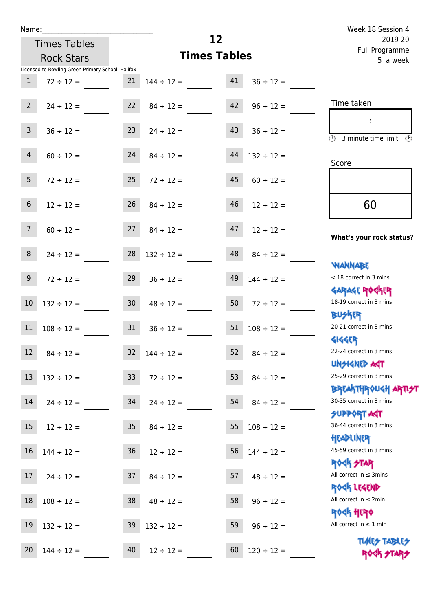| Name:                          |                                                   |                 |                          |    |                 | Week 18 Session 4                                                |
|--------------------------------|---------------------------------------------------|-----------------|--------------------------|----|-----------------|------------------------------------------------------------------|
|                                | <b>Times Tables</b>                               |                 | 12                       |    |                 | 2019-20<br>Full Programme                                        |
|                                | <b>Rock Stars</b>                                 |                 | <b>Times Tables</b>      |    |                 | 5 a week                                                         |
|                                | Licensed to Bowling Green Primary School, Halifax |                 |                          |    |                 |                                                                  |
| $\mathbf{1}$                   | $72 \div 12 =$                                    | 21              | $144 \div 12 =$          | 41 | $36 \div 12 =$  |                                                                  |
| $2^{\circ}$                    | $24 \div 12 =$                                    |                 | $22 \t 84 \div 12 =$     | 42 | $96 \div 12 =$  | Time taken                                                       |
| 3 <sup>7</sup>                 | $36 \div 12 =$                                    | 23              | $24 \div 12 =$           | 43 | $36 \div 12 =$  | $\overline{\textcircled{2}}$ 3 minute time limit<br>O)           |
| $\overline{4}$                 | $60 \div 12 =$                                    | 24              | $84 \div 12 =$           | 44 | $132 \div 12 =$ | Score                                                            |
| 5 <sup>5</sup>                 | $72 \div 12 =$                                    | 25              | $72 \div 12 =$           | 45 | $60 \div 12 =$  |                                                                  |
| $6\,$                          | $12 \div 12 =$                                    | 26              | $84 \div 12 =$           | 46 | $12 \div 12 =$  | 60                                                               |
| $7\overline{ }$                | $60 \div 12 =$                                    | 27              | $84 \div 12 =$           | 47 | $12 \div 12 =$  | What's your rock status?                                         |
| 8                              | $24 \div 12 =$                                    |                 | $28 \quad 132 \div 12 =$ | 48 | $84 \div 12 =$  | <b>NANNABE</b>                                                   |
| 9 <sub>o</sub>                 | $72 \div 12 =$                                    | 29              | $36 \div 12 =$           | 49 | $144 \div 12 =$ | < 18 correct in 3 mins<br><b>GARAGE ROGKER</b>                   |
| 10                             | $132 \div 12 =$                                   | 30 <sub>o</sub> | $48 \div 12 =$           | 50 | $72 \div 12 =$  | 18-19 correct in 3 mins<br><b>BUSKER</b>                         |
| 11                             | $108 \div 12 =$                                   | 31              | $36 \div 12 =$           | 51 | $108 \div 12 =$ | 20-21 correct in 3 mins<br><b>4144EP</b>                         |
| <b>Contract Contract</b><br>12 | $84 \div 12 =$                                    | 32              | $144 \div 12 =$          | 52 | $84 \div 12 =$  | 22-24 correct in 3 mins<br><b>UNSIGNED AGT</b>                   |
| 13                             | $132 \div 12 =$                                   | 33 <sup>°</sup> | $72 \div 12 =$           | 53 | $84 \div 12 =$  | 25-29 correct in 3 mins<br><b>BREAKTHROUGH ARTI<del>S</del>T</b> |
| 14                             | $24 \div 12 =$                                    | 34              | $24 \div 12 =$           | 54 | $84 \div 12 =$  | 30-35 correct in 3 mins<br><b>SUPPORT AGT</b>                    |
| 15                             | $12 \div 12 =$                                    | 35              | $84 \div 12 =$           | 55 | $108 \div 12 =$ | 36-44 correct in 3 mins<br>HEADLINER                             |
| 16                             | $144 \div 12 =$                                   | 36              | $12 \div 12 =$           | 56 | $144 \div 12 =$ | 45-59 correct in 3 mins<br><b>ROCK STAR</b>                      |
| 17                             | $24 \div 12 =$                                    | 37              | $84 \div 12 =$           | 57 | $48 \div 12 =$  | All correct in $\leq$ 3mins<br>ROCK LEGEND                       |
| 18                             | $108 \div 12 =$                                   | 38              | $48 \div 12 =$           | 58 | $96 \div 12 =$  | All correct in $\leq 2$ min<br><b>ROCK HERO</b>                  |
| 19                             | $132 \div 12 =$                                   | 39              | $132 \div 12 =$          | 59 | $96 \div 12 =$  | All correct in $\leq 1$ min                                      |

**TIMES TABLES** 20  $144 \div 12 =$  40  $12 \div 12 =$  60  $120 \div 12 =$  ROCK FIAR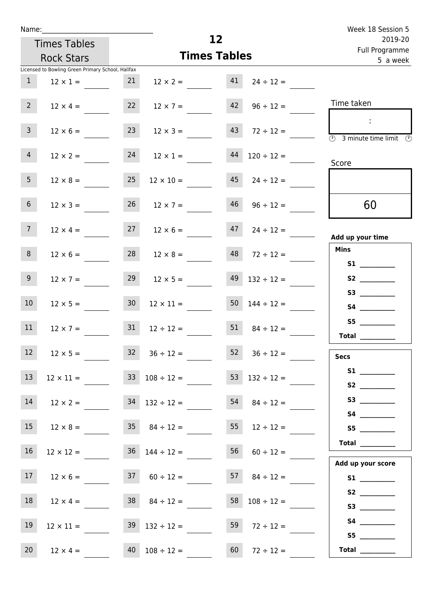| Week 18 Session 5                                                             |                       |    |                                     |                 |                                                   | Name:           |  |  |  |  |
|-------------------------------------------------------------------------------|-----------------------|----|-------------------------------------|-----------------|---------------------------------------------------|-----------------|--|--|--|--|
| 2019-20                                                                       |                       | 12 |                                     |                 | <b>Times Tables</b>                               |                 |  |  |  |  |
| Full Programme<br>5 a week                                                    |                       |    | <b>Times Tables</b>                 |                 | <b>Rock Stars</b>                                 |                 |  |  |  |  |
|                                                                               |                       |    |                                     |                 | Licensed to Bowling Green Primary School, Halifax |                 |  |  |  |  |
|                                                                               | $24 \div 12 =$        | 41 | $12 \times 2 =$                     | 21              | $12 \times 1 =$                                   | $\mathbf{1}$    |  |  |  |  |
| Time taken                                                                    | $96 \div 12 =$        | 42 | $12 \times 7 =$                     | 22              | $12 \times 4 =$                                   | $2^{\circ}$     |  |  |  |  |
| $\overline{\textcircled{1}}$ 3 minute time limit $\overline{\textcircled{1}}$ | $72 \div 12 =$        | 43 | $12 \times 3 =$                     | 23              | $12 \times 6 =$                                   | $\overline{3}$  |  |  |  |  |
| Score                                                                         | $120 \div 12 =$       | 44 | $12 \times 1 =$                     | 24              | $12 \times 2 =$                                   | $\overline{4}$  |  |  |  |  |
|                                                                               | $24 \div 12 =$        | 45 | $12 \times 10 =$                    | 25              | $12 \times 8 =$                                   | 5 <sub>1</sub>  |  |  |  |  |
| 60                                                                            | $96 \div 12 =$        | 46 | $26 \t 12 \times 7 =$               |                 | $12 \times 3 =$                                   | 6 <sup>1</sup>  |  |  |  |  |
| Add up your time                                                              | $24 \div 12 =$        | 47 | $12 \times 6 =$                     | 27              | $12 \times 4 =$                                   | 7 <sup>7</sup>  |  |  |  |  |
| <b>Mins</b><br><b>S1 S1</b>                                                   | $72 \div 12 =$        | 48 | $12 \times 8 =$                     | 28              | $12 \times 6 =$                                   | 8               |  |  |  |  |
|                                                                               | $132 \div 12 =$       | 49 | $12 \times 5 =$                     | 29              | $12 \times 7 =$                                   | 9 <sup>°</sup>  |  |  |  |  |
|                                                                               | $50 \t 144 \div 12 =$ |    | $12 \times 11 =$                    | 30 <sub>o</sub> | $12 \times 5 =$                                   | 10 <sup>°</sup> |  |  |  |  |
| S5<br><b>Total</b>                                                            | $84 \div 12 =$        | 51 | $12 \div 12 =$                      | 31              | $12 \times 7 =$                                   | 11              |  |  |  |  |
| <b>Secs</b>                                                                   | $36 \div 12 =$        | 52 | $32 \t36 \div 12 =$                 |                 | $12 \times 5 =$                                   | 12              |  |  |  |  |
|                                                                               | 53 $132 \div 12 =$    |    | $33 \t108 \div 12 =$                |                 | $12 \times 11 =$                                  | 13              |  |  |  |  |
|                                                                               | $54 \t 84 \div 12 =$  |    | $34$ $132 \div 12 =$                |                 | $12 \times 2 =$                                   | 14              |  |  |  |  |
| S5                                                                            | $55 \t 12 \div 12 =$  |    | $12 \times 8 = 35$ $84 \div 12 =$   |                 |                                                   | 15              |  |  |  |  |
| $\begin{array}{c}\n\text{Total} \\ \end{array}$<br>Add up your score          | $56$ $60 \div 12 =$   |    | $12 \times 12 = 36$ $144 \div 12 =$ |                 |                                                   | 16              |  |  |  |  |
|                                                                               | $57 \t 84 \div 12 =$  |    | $37 \t 60 \div 12 =$                |                 | $12 \times 6 =$                                   | 17              |  |  |  |  |
| S2                                                                            | 58 $108 \div 12 =$    |    | $38 \t 84 \div 12 =$                |                 | $12 \times 4 =$                                   | 18              |  |  |  |  |
| S5                                                                            | 59 $72 \div 12 =$     |    | $39 \quad 132 \div 12 =$            |                 | $12 \times 11 =$                                  | 19              |  |  |  |  |
| Total $\qquad$                                                                | $60 \t 72 \div 12 =$  |    | $40 \quad 108 \div 12 =$            |                 | $12 \times 4 =$                                   | 20 <sub>2</sub> |  |  |  |  |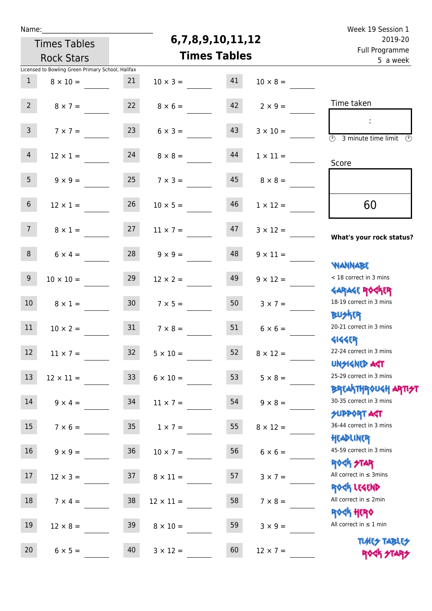| Name |  |  |  |
|------|--|--|--|
|      |  |  |  |

## **6,7,8,9,10,11,12**

| 2019-20                                                             |                 |    | 6,7,8,9,10,11,12    |                |                 | <b>Times Tables</b>                               |                 |
|---------------------------------------------------------------------|-----------------|----|---------------------|----------------|-----------------|---------------------------------------------------|-----------------|
| Full Programme<br>5 a week                                          |                 |    | <b>Times Tables</b> |                |                 | <b>Rock Stars</b>                                 |                 |
|                                                                     |                 |    |                     |                |                 | Licensed to Bowling Green Primary School, Halifax |                 |
|                                                                     | $10 \times 8 =$ | 41 | $10 \times 3 =$     |                | 21              | $8 \times 10 =$                                   | $\mathbf{1}$    |
| Time taken                                                          | $2 \times 9 =$  | 42 | $8 \times 6 =$      |                | 22              | $8 \times 7 =$                                    | 2 <sup>7</sup>  |
| $\overline{(\mathfrak{h})}$<br>3 minute time limit<br>$\mathcal{O}$ | $3 \times 10 =$ | 43 | $6 \times 3 =$      |                | 23              | $7 \times 7 =$                                    | $\mathbf{3}$    |
| Score                                                               | $1 \times 11 =$ | 44 |                     | $8 \times 8 =$ | 24              | $12 \times 1 =$                                   | 4               |
|                                                                     | $8 \times 8 =$  | 45 | $7 \times 3 =$      |                | 25              | $9 \times 9 =$                                    | 5 <sub>1</sub>  |
| 60                                                                  | $1 \times 12 =$ | 46 | $10 \times 5 =$     |                | 26              | $12 \times 1 =$                                   | 6 <sup>1</sup>  |
| What's your rock status?                                            | $3 \times 12 =$ | 47 | $11 \times 7 =$     |                | 27              | $8 \times 1 =$                                    | 7 <sup>7</sup>  |
| <b>NANNABE</b>                                                      | $9 \times 11 =$ | 48 | $9 \times 9 =$      |                | 28              | $6 \times 4 =$                                    | 8               |
| < 18 correct in 3 mins<br><b>GARAGE ROGKER</b>                      | $9 \times 12 =$ | 49 | $12 \times 2 =$     |                | 29              | $10 \times 10 =$                                  | 9 <sub>o</sub>  |
| 18-19 correct in 3 mins<br><b>BUSKER</b>                            | $3 \times 7 =$  | 50 |                     | $7 \times 5 =$ | 30 <sub>o</sub> | $8 \times 1 =$                                    | 10 <sup>°</sup> |
| 20-21 correct in 3 mins<br><b>4144ER</b>                            | $6 \times 6 =$  | 51 | $7 \times 8 =$      |                | 31              | $10 \times 2 =$                                   | 11              |
| 22-24 correct in 3 mins<br>UNSIGNED AGT                             | $8 \times 12 =$ | 52 | $5 \times 10 =$     |                | 32 <sup>2</sup> | $11 \times 7 =$                                   | 12 <sup>°</sup> |
| 25-29 correct in 3 mins<br><b>BREAKTHROUGH ARTI<del>S</del>T</b>    | $5 \times 8 =$  | 53 | $6 \times 10 =$     |                | 33 <sup>°</sup> | $12 \times 11 =$                                  | 13              |
| 30-35 correct in 3 mins<br>SUPPORT ART                              | $9 \times 8 =$  | 54 | $11 \times 7 =$     |                | 34              | $9 \times 4 =$                                    | 14              |
| 36-44 correct in 3 mins<br>HEADLINER                                | $8 \times 12 =$ | 55 |                     | $1 \times 7 =$ | 35              | $7 \times 6 =$                                    | 15              |
| 45-59 correct in 3 mins<br><b>ROCK STAR</b>                         | $6 \times 6 =$  | 56 | $10 \times 7 =$     |                | 36              | $9 \times 9 =$                                    | 16 <sup>1</sup> |
| All correct in $\leq$ 3mins<br>ROCK LEGEND                          | $3 \times 7 =$  | 57 | $8 \times 11 =$     |                | 37              | $12 \times 3 =$                                   | 17 <sub>2</sub> |
| All correct in $\leq 2$ min<br><b>ROCK HERO</b>                     | $7 \times 8 =$  | 58 | $12 \times 11 =$    |                | 38              | $7 \times 4 =$                                    | 18              |
| All correct in $\leq 1$ min<br><b>TUARS TABLES</b>                  | $3 \times 9 =$  | 59 | $8 \times 10 =$     |                | 39              | $12 \times 8 =$                                   | 19              |
| ROCK STARS                                                          | $12 \times 7 =$ | 60 | $3 \times 12 =$     |                | 40              | $6 \times 5 =$                                    | 20              |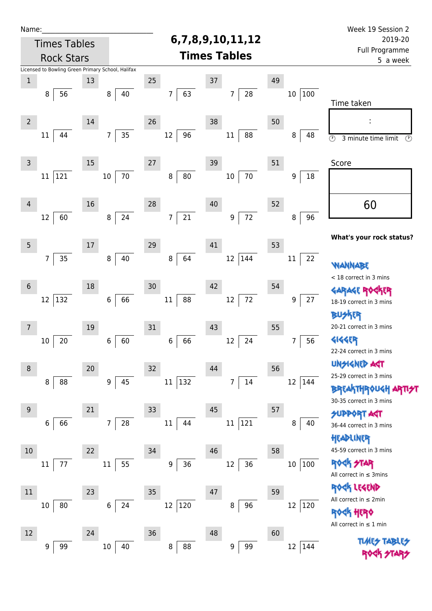| Name:          |                                                   |    |                        |                              |                            |    |                        | Week 19 Session 2                                |
|----------------|---------------------------------------------------|----|------------------------|------------------------------|----------------------------|----|------------------------|--------------------------------------------------|
|                | <b>Times Tables</b>                               |    |                        |                              | 6,7,8,9,10,11,12           |    |                        | 2019-20                                          |
|                | <b>Rock Stars</b>                                 |    |                        |                              | <b>Times Tables</b>        |    |                        | Full Programme<br>5 a week                       |
|                | Licensed to Bowling Green Primary School, Halifax |    |                        |                              |                            |    |                        |                                                  |
| $\mathbf 1$    |                                                   | 13 |                        | 25                           | 37                         | 49 |                        |                                                  |
|                | 56<br>8                                           |    | 40<br>8                | 63<br>$\overline{7}$         | 28<br>7                    |    | 100<br>$10\,$          |                                                  |
|                |                                                   |    |                        |                              |                            |    |                        | Time taken                                       |
| $\overline{2}$ |                                                   | 14 |                        | 26                           | 38                         | 50 |                        | ÷                                                |
|                | 44<br>11                                          |    | 35<br>$\overline{7}$   | 96<br>12                     | 88<br>$11\,$               |    | 8<br>48                | $\circledcirc$<br>$\odot$<br>3 minute time limit |
|                |                                                   |    |                        |                              |                            |    |                        |                                                  |
| 3              |                                                   | 15 |                        | 27                           | 39                         | 51 |                        | Score                                            |
|                | 121<br>$11\,$                                     |    | 70<br>$10\,$           | 80<br>$\bf 8$                | 70<br>$10\,$               |    | 18<br>$\boldsymbol{9}$ |                                                  |
|                |                                                   |    |                        |                              |                            |    |                        |                                                  |
| $\overline{4}$ |                                                   | 16 |                        | 28                           | 40                         | 52 |                        | 60                                               |
|                | 12<br>60                                          |    | 24<br>$\,8\,$          | 21<br>7                      | $72\,$<br>$\boldsymbol{9}$ |    | 96<br>8                |                                                  |
|                |                                                   |    |                        |                              |                            |    |                        |                                                  |
| 5              |                                                   | 17 |                        | 29                           | 41                         | 53 |                        | What's your rock status?                         |
|                | $\overline{7}$<br>35                              |    | $40\,$<br>$\,8\,$      | 64<br>8                      | $12\,$<br>144              |    | 22<br>$11\,$           |                                                  |
|                |                                                   |    |                        |                              |                            |    |                        | <b>WANNABE</b>                                   |
| $\sqrt{6}$     |                                                   | 18 |                        | 30                           | 42                         | 54 |                        | < 18 correct in 3 mins                           |
|                | 132<br>12                                         |    | 66<br>$\boldsymbol{6}$ | 88<br>11                     | $72\,$<br>12               |    | 27<br>9                | GARAGE ROGKER<br>18-19 correct in 3 mins         |
|                |                                                   |    |                        |                              |                            |    |                        | kER<br>BW                                        |
| 7              |                                                   | 19 |                        | 31                           | 43                         | 55 |                        | 20-21 correct in 3 mins                          |
|                | 20<br>10                                          |    | 60<br>6                | 66<br>6                      | 12<br>24                   |    | 56<br>7                | 4144ER                                           |
|                |                                                   |    |                        |                              |                            |    |                        | 22-24 correct in 3 mins                          |
| 8              |                                                   | 20 |                        | 32                           | 44                         | 56 |                        | <b>UNGIGNED ART</b>                              |
|                | 88<br>8                                           |    | 45<br>9                | 132<br>11                    | 14<br>7                    |    | $12\,$<br> 144         | 25-29 correct in 3 mins                          |
|                |                                                   |    |                        |                              |                            |    |                        | <b>BREAKTHROUGH ARTI<del>S</del>T</b>            |
| 9              |                                                   | 21 |                        | 33                           | 45                         | 57 |                        | 30-35 correct in 3 mins                          |
|                | 66<br>6                                           |    | 28<br>$\overline{7}$   | $11\,$<br>44                 | 121<br>$11\,$              |    | 8<br>40                | <b>SUPPORT AGT</b>                               |
|                |                                                   |    |                        |                              |                            |    |                        | 36-44 correct in 3 mins                          |
| 10             |                                                   |    |                        |                              | 46                         |    |                        | HEADLINER<br>45-59 correct in 3 mins             |
|                | 77                                                | 22 | 55                     | 34<br>36<br>$\boldsymbol{9}$ | 36<br>12                   | 58 |                        | <b>ROCK STAR</b>                                 |
|                | 11                                                |    | $11\,$                 |                              |                            |    | 100<br>$10\,$          | All correct in $\leq$ 3mins                      |
|                |                                                   |    |                        |                              |                            |    |                        | ROCK LEGEND                                      |
| 11             |                                                   | 23 |                        | 35                           | 47                         | 59 |                        | All correct in ≤ 2min                            |
|                | 80<br>10                                          |    | 24<br>6                | 12<br>120                    | 96<br>8                    |    | 120<br>12              | ROGK HERO                                        |
|                |                                                   |    |                        |                              |                            |    |                        | All correct in $\leq 1$ min                      |
| 12             |                                                   | 24 |                        | 36                           | 48                         | 60 |                        |                                                  |
|                | 99<br>9                                           |    | $10\,$<br>40           | 8<br>88                      | 99<br>9                    |    | 12 144                 |                                                  |
|                |                                                   |    |                        |                              |                            |    |                        |                                                  |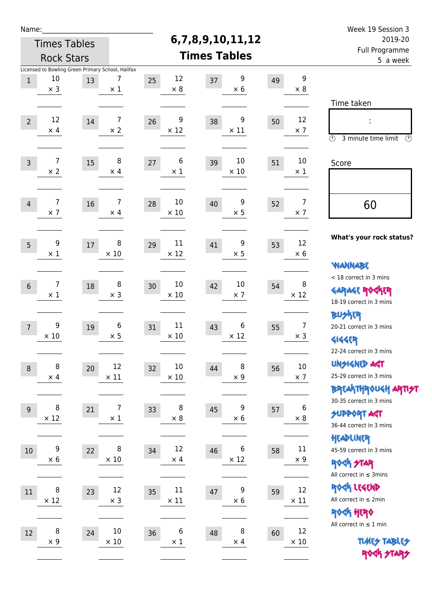| Name:          |                                                   |      |                  |    |                   |                        |    |                      | Week 19 Session 3                                     |
|----------------|---------------------------------------------------|------|------------------|----|-------------------|------------------------|----|----------------------|-------------------------------------------------------|
|                | <b>Times Tables</b>                               |      |                  |    | 6,7,8,9,10,11,12  |                        |    |                      | 2019-20                                               |
|                | <b>Rock Stars</b>                                 |      |                  |    |                   | <b>Times Tables</b>    |    |                      | Full Programme<br>5 a week                            |
|                | Licensed to Bowling Green Primary School, Halifax |      |                  |    |                   |                        |    |                      |                                                       |
| $\mathbf{1}$   | 10                                                | 13   | 7                | 25 | 12                | 9<br>37                | 49 | 9                    |                                                       |
|                | $\times$ 3                                        |      | $\times$ 1       |    | $\times 8$        | $\times$ 6             |    | $\times 8$           |                                                       |
|                |                                                   |      |                  |    |                   |                        |    |                      | Time taken                                            |
| $\overline{2}$ | 12                                                | 14   | 7                | 26 | 9                 | 9<br>38                | 50 | 12                   | t,                                                    |
|                | $\times$ 4                                        |      | $\times 2$       |    | $\times$ 12       | $\times$ 11            |    | $\times$ 7           | $\circled{r}$<br>3 minute time limit<br>$\mathcal{O}$ |
|                |                                                   |      |                  |    |                   |                        |    |                      |                                                       |
| $\overline{3}$ | $\overline{7}$                                    | 15   | 8                | 27 | 6                 | 10<br>39               | 51 | 10                   | Score                                                 |
|                | $\times$ 2                                        |      | $\times$ 4       |    | $\times$ 1        | $\times$ 10            |    | $\times 1$           |                                                       |
|                |                                                   |      |                  |    |                   |                        |    |                      |                                                       |
| $\overline{4}$ | 7                                                 | 16   | 7                | 28 | 10                | 9<br>40                | 52 | $\overline{7}$       |                                                       |
|                | $\times$ 7                                        |      | $\times$ 4       |    | $\times$ 10       | $\times$ 5             |    | $\times$ 7           | 60                                                    |
|                |                                                   |      |                  |    |                   |                        |    |                      |                                                       |
|                |                                                   |      |                  |    |                   |                        |    |                      | What's your rock status?                              |
| 5              | 9<br>$\times 1$                                   | $17$ | 8<br>$\times$ 10 | 29 | 11<br>$\times$ 12 | 9<br>41<br>$\times$ 5  | 53 | 12<br>$\times 6$     |                                                       |
|                |                                                   |      |                  |    |                   |                        |    |                      | <b>WANNABE</b>                                        |
|                |                                                   |      |                  |    |                   |                        |    |                      | < 18 correct in 3 mins                                |
| 6              | 7                                                 | 18   | 8                | 30 | 10                | 10<br>42               | 54 | 8                    | <b>GARAGE ROGKER</b>                                  |
|                | $\times$ 1                                        |      | $\times$ 3       |    | $\times$ 10       | $\times$ 7             |    | $\times$ 12          | 18-19 correct in 3 mins                               |
|                |                                                   |      |                  |    |                   |                        |    |                      | <b>BUSKER</b>                                         |
| $\overline{7}$ | 9                                                 | 19   | 6                | 31 | 11                | 6<br>43                | 55 | $\overline{7}$       | 20-21 correct in 3 mins                               |
|                | $\times 10$                                       |      | $\times$ 5       |    | $\times$ 10       | $\times$ 12            |    | $\times$ 3           | <b>4144EP</b>                                         |
|                |                                                   |      |                  |    |                   |                        |    |                      | 22-24 correct in 3 mins                               |
| $\,8\,$        | 8                                                 | 20   | 12               | 32 | 10                | $\, 8$<br>44           | 56 | $10\,$               | <b>UNSIGNED AGT</b>                                   |
|                | $\times$ 4                                        |      | $\times$ 11      |    | $\times$ 10       | $\times$ 9             |    | $\times$ 7           | 25-29 correct in 3 mins                               |
|                |                                                   |      |                  |    |                   |                        |    |                      | ΒΡΓΑ <sup>Κ</sup> ΤΗΡΟυΚΗ ΑΡΤΙ <del>2</del> Τ         |
|                | 8                                                 |      | 7                |    | 8                 | 9                      |    | 6                    | 30-35 correct in 3 mins                               |
| $9$            | $\times$ 12                                       | 21   | $\times$ 1       | 33 | $\times$ 8        | 45<br>$\times$ 6       | 57 | $\times$ 8           | <b>SUPPORT AGT</b>                                    |
|                |                                                   |      |                  |    |                   |                        |    |                      | 36-44 correct in 3 mins                               |
|                |                                                   |      |                  |    |                   |                        |    |                      | HEADLINER                                             |
| $10\,$         | 9<br>$\times 6$                                   | 22   | 8<br>$\times$ 10 | 34 | 12<br>$\times$ 4  | 6<br>46<br>$\times$ 12 | 58 | $11\,$<br>$\times$ 9 | 45-59 correct in 3 mins                               |
|                |                                                   |      |                  |    |                   |                        |    |                      | <b>ROCK STAR</b>                                      |
|                |                                                   |      |                  |    |                   |                        |    |                      | All correct in $\leq$ 3mins                           |
| 11             | 8                                                 | 23   | 12               | 35 | 11                | 9<br>47                | 59 | 12                   | ROCK LEGEND                                           |
|                | $\times$ 12                                       |      | $\times$ 3       |    | $\times$ 11       | $\times$ 6             |    | $\times$ 11          | All correct in $\leq 2$ min                           |
|                |                                                   |      |                  |    |                   |                        |    |                      | <b>ROCK HERO</b><br>All correct in $\leq 1$ min       |
| 12             | 8                                                 | 24   | 10               | 36 | 6                 | 8<br>48                | 60 | 12                   |                                                       |
|                | $\times$ 9                                        |      | $\times$ 10      |    | $\times$ 1        | $\times$ 4             |    | $\times$ 10          | <b>TUARS TABLES</b>                                   |
|                |                                                   |      |                  |    |                   |                        |    |                      | ROCK STARS                                            |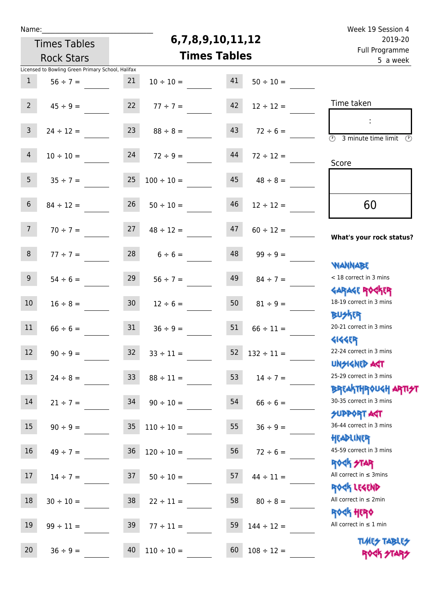| u | am |  |  |
|---|----|--|--|
|   |    |  |  |

## **6,7,8,9,10,11,12**

| 2019-20                                                            | 6,7,8,9,10,11,12 | <b>Times Tables</b> |                                |                 |                                                   |                 |
|--------------------------------------------------------------------|------------------|---------------------|--------------------------------|-----------------|---------------------------------------------------|-----------------|
| Full Programme<br>5 a week                                         |                  |                     | <b>Times Tables</b>            |                 | <b>Rock Stars</b>                                 |                 |
|                                                                    |                  |                     |                                |                 | Licensed to Bowling Green Primary School, Halifax |                 |
|                                                                    | $50 \div 10 =$   | 41                  | $10 \div 10 =$                 | 21              | $56 \div 7 =$                                     | $\mathbf{1}$    |
|                                                                    |                  |                     |                                |                 |                                                   |                 |
| Time taken                                                         | $12 \div 12 =$   | 42                  | $77 ÷ 7 =$                     | 22              | $45 \div 9 =$                                     | 2 <sup>7</sup>  |
|                                                                    |                  |                     |                                |                 |                                                   |                 |
| $\overline{(\mathcal{V})}$<br>3 minute time limit<br>$\mathcal{O}$ | $72 \div 6 =$    | 43                  | $88 \div 8 =$                  | 23              | $24 \div 12 =$                                    | $\mathsf{3}$    |
|                                                                    |                  |                     |                                |                 |                                                   |                 |
| Score                                                              | $72 \div 12 =$   | 44                  | $72 \div 9 =$                  | 24              | $10 \div 10 =$                                    | $\overline{4}$  |
|                                                                    |                  |                     |                                |                 |                                                   |                 |
|                                                                    | $48 \div 8 =$    | 45                  | $100 \div 10 =$                | 25              | $35 \div 7 =$                                     | 5 <sub>1</sub>  |
|                                                                    |                  | 46                  |                                | 26              |                                                   | $6\overline{6}$ |
| 60                                                                 | $12 \div 12 =$   |                     | $50 \div 10 =$                 |                 | $84 \div 12 =$                                    |                 |
|                                                                    | $60 \div 12 =$   | 47                  | $48 \div 12 =$                 | 27              | $70 \div 7 =$                                     | 7 <sup>7</sup>  |
| What's your rock status?                                           |                  |                     |                                |                 |                                                   |                 |
|                                                                    | $99 \div 9 =$    | 48                  | $6 \div 6 =$                   | 28              | $77 \div 7 =$                                     | 8               |
| <b>NANNABE</b>                                                     |                  |                     |                                |                 |                                                   |                 |
| < 18 correct in 3 mins                                             | $84 \div 7 =$    | 49                  | $56 \div 7 =$                  | 29              | $54 \div 6 =$                                     | 9 <sup>1</sup>  |
| <b>GARAGE ROCKER</b>                                               |                  |                     |                                |                 |                                                   |                 |
| 18-19 correct in 3 mins                                            | $81 \div 9 =$    | 50                  | $12 \div 6 =$                  | 30 <sub>o</sub> | $16 \div 8 =$                                     | 10 <sup>°</sup> |
| <b>BUSKER</b>                                                      |                  |                     |                                |                 |                                                   |                 |
| 20-21 correct in 3 mins                                            | $66 \div 11 =$   | 51                  | $36 \div 9 =$                  | 31              | $66 \div 6 =$                                     | 11              |
| <b>4144ER</b>                                                      |                  |                     |                                |                 |                                                   |                 |
| 22-24 correct in 3 mins                                            | $132 \div 11 =$  | 52                  | $33 \div 11 =$                 | 32              | $90 \div 9 =$                                     | 12              |
| <b>UNSIGNED AGT</b>                                                |                  |                     |                                |                 |                                                   |                 |
| 25-29 correct in 3 mins                                            | $14 \div 7 =$    | 53                  | $88 \div 11 =$                 | 33              | $24 \div 8 =$                                     | 13              |
| ΒΡΓΑΚΤΗΡΟUGH ΑΡΤΙ <del>2</del> Τ                                   |                  |                     |                                |                 |                                                   |                 |
| 30-35 correct in 3 mins                                            | $66 \div 6 =$    | 54                  | $90 \div 10 =$                 | 34              | $21 \div 7 =$                                     | 14              |
| <b>SUPPORT AGT</b>                                                 |                  |                     |                                |                 |                                                   |                 |
| 36-44 correct in 3 mins                                            | $36 \div 9 =$    | 55                  | $110 \div 10 =$                | 35              | $90 \div 9 =$                                     | 15              |
| HEADLINER<br>45-59 correct in 3 mins                               |                  |                     |                                |                 |                                                   |                 |
| <b>ROCK STAR</b>                                                   | $72 \div 6 =$    | 56                  | $36 \overline{)120 \div 10} =$ |                 | $49 \div 7 =$                                     | 16 <sup>1</sup> |
| All correct in $\leq$ 3mins                                        | $44 \div 11 =$   | 57                  | $50 \div 10 =$                 | 37              | $14 \div 7 =$                                     | 17 <sub>2</sub> |
| ROCK LEGEND                                                        |                  |                     |                                |                 |                                                   |                 |
| All correct in $\leq 2$ min                                        | $80 \div 8 =$    | 58                  | $22 \div 11 =$                 | 38              | $30 \div 10 =$                                    | 18              |
| <b>ROCK HERO</b>                                                   |                  |                     |                                |                 |                                                   |                 |
| All correct in $\leq 1$ min                                        | $144 \div 12 =$  | 59                  | $77 \div 11 =$                 | 39              | $99 \div 11 =$                                    | 19              |
| <b>TUARS TABLES</b>                                                |                  |                     |                                |                 |                                                   |                 |
| ROCK STARS                                                         | $108 \div 12 =$  | 60                  | $110 \div 10 =$                | 40              | $36 \div 9 =$                                     | 20 <sub>2</sub> |
|                                                                    |                  |                     |                                |                 |                                                   |                 |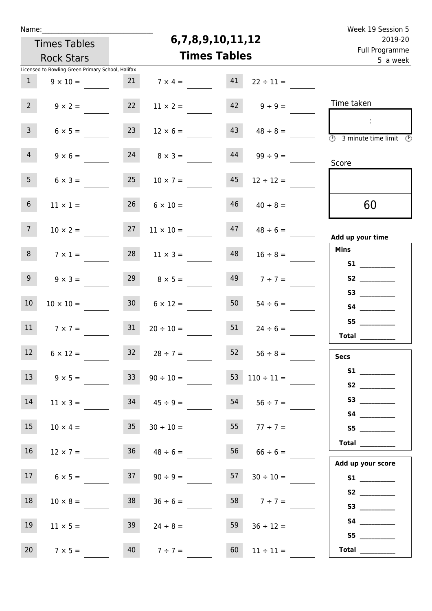| Week 19 Session 5                                            |                          |                     |                     |                 |                                                   | Name:           |
|--------------------------------------------------------------|--------------------------|---------------------|---------------------|-----------------|---------------------------------------------------|-----------------|
| 2019-20                                                      |                          | 6,7,8,9,10,11,12    |                     |                 | <b>Times Tables</b>                               |                 |
| Full Programme<br>5 a week                                   |                          | <b>Times Tables</b> |                     |                 | <b>Rock Stars</b>                                 |                 |
|                                                              |                          |                     |                     |                 | Licensed to Bowling Green Primary School, Halifax |                 |
|                                                              | $22 \div 11 =$           | 41                  | $7 \times 4 =$      | 21              | $9 \times 10 =$                                   | $\mathbf{1}$    |
| Time taken                                                   | $9 \div 9 =$             | 42                  | $11 \times 2 =$     | 22              | $9 \times 2 =$                                    | 2 <sup>7</sup>  |
| $\overline{\circledcirc}$ 3 minute time limit $\circledcirc$ | $48 \div 8 =$            | 43                  | $12 \times 6 =$     | 23              | $6 \times 5 =$                                    | 3 <sup>7</sup>  |
| Score                                                        | $99 \div 9 =$            | 44                  | $8 \times 3 =$      | 24              | $9 \times 6 =$                                    | $\overline{4}$  |
|                                                              | $12 \div 12 =$           | 45                  | $10 \times 7 =$     | 25              | $6 \times 3 =$                                    | 5 <sub>1</sub>  |
| 60                                                           | $40 \div 8 =$            | 46                  | $6 \times 10 =$     | 26              | $11 \times 1 =$                                   | $6\overline{6}$ |
| Add up your time                                             | $48 \div 6 =$            | 47                  | $11 \times 10 =$    | 27              | $10 \times 2 =$                                   | 7 <sup>7</sup>  |
| <b>Mins</b>                                                  | $16 \div 8 =$            | 48                  | $11 \times 3 =$     | 28              | $7 \times 1 =$                                    | 8               |
|                                                              | $7 ÷ 7 =$                | 49                  | $8 \times 5 =$      | 29              | $9 \times 3 =$                                    | 9               |
|                                                              | $54 \div 6 =$            | 50                  | $6 \times 12 =$     | 30 <sub>2</sub> | $10 \times 10 =$                                  | 10              |
| S5<br>$\begin{tabular}{c} Total \end{tabular}$               | $24 \div 6 =$            | 51                  | $20 \div 10 =$      | 31              | $7 \times 7 =$                                    | 11              |
| Secs                                                         | $56 \div 8 =$            | 52                  | $32 \t 28 \div 7 =$ |                 | $6 \times 12 =$                                   | 12              |
| S1                                                           | $53 \quad 110 \div 11 =$ |                     | $90 \div 10 =$      | 33 <sup>°</sup> | $9 \times 5 =$                                    | 13              |
|                                                              | $54$ $56 \div 7 =$       |                     | $34 \t 45 \div 9 =$ |                 | $11 \times 3 =$                                   | 14              |
| S5                                                           | 55 $77 \div 7 =$         |                     | $30 \div 10 =$      | 35              | $10 \times 4 =$                                   | 15              |
| Total                                                        | $66 \div 6 =$            | 56                  | $48 \div 6 =$       | 36              | $12 \times 7 =$                                   | 16              |
| Add up your score                                            | $30 \div 10 =$           | 57                  | $90 \div 9 =$       | 37              | $6 \times 5 =$                                    | 17              |
| S3                                                           | 58 $7 \div 7 =$          |                     | $36 \div 6 =$       | 38              | $10 \times 8 =$                                   | 18              |
|                                                              | $36 \div 12 =$           | 59                  | $24 \div 8 =$       | 39              | $11 \times 5 =$                                   | 19              |
| S5<br>Total $\_\_$                                           | $11 \div 11 =$           | 60                  | $40 \t 7 \div 7 =$  |                 | $7 \times 5 =$                                    | 20 <sub>2</sub> |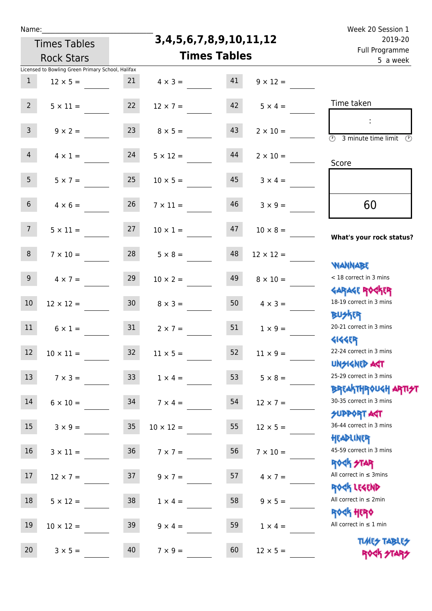|  | Name |  |
|--|------|--|
|  |      |  |
|  |      |  |

**3,4,5,6,7,8,9,10,11,12**

|                  | <b>Times Tables</b>                               |                 | 3, 4, 5, 6, 7, 8, 9, 10, 11, 12 | 2019-20             |                  |                                                             |
|------------------|---------------------------------------------------|-----------------|---------------------------------|---------------------|------------------|-------------------------------------------------------------|
|                  | <b>Rock Stars</b>                                 |                 |                                 | <b>Times Tables</b> |                  | Full Programme<br>5 a week                                  |
|                  | Licensed to Bowling Green Primary School, Halifax |                 |                                 |                     |                  |                                                             |
| $\mathbf{1}$     | $12 \times 5 =$                                   | 21              | $4 \times 3 =$                  | 41                  | $9 \times 12 =$  |                                                             |
| $2^{\circ}$      | $5 \times 11 =$                                   | 22              | $12 \times 7 =$                 | 42                  | $5 \times 4 =$   | Time taken                                                  |
| $\mathsf{3}$     | $9 \times 2 =$                                    | 23              | $8 \times 5 =$                  | 43                  | $2 \times 10 =$  | $\overline{\mathcal{D}}$<br>3 minute time limit<br>$\odot$  |
| $\overline{4}$   | $4 \times 1 =$                                    | 24              | $5 \times 12 =$                 | 44                  | $2 \times 10 =$  | Score                                                       |
| 5 <sup>1</sup>   | $5 \times 7 =$                                    | 25              | $10 \times 5 =$                 | 45                  | $3 \times 4 =$   |                                                             |
| 6 <sup>1</sup>   | $4 \times 6 =$                                    | 26              | $7 \times 11 =$                 | 46                  | $3 \times 9 =$   | 60                                                          |
| 7 <sup>7</sup>   | $5 \times 11 =$                                   | 27              | $10 \times 1 =$                 | 47                  | $10 \times 8 =$  | What's your rock status?                                    |
| 8                | $7 \times 10 =$                                   | 28              | $5 \times 8 =$                  | 48                  | $12 \times 12 =$ | <b>JARNARY</b>                                              |
| 9                | $4 \times 7 =$                                    | 29              | $10 \times 2 =$                 | 49                  | $8 \times 10 =$  | < 18 correct in 3 mins<br><b>GARAGE ROCKER</b>              |
| $10\,$           | $12 \times 12 =$                                  | 30 <sub>o</sub> | $8 \times 3 =$                  | 50                  | $4 \times 3 =$   | 18-19 correct in 3 mins<br><b>BUSKRA</b>                    |
| 11               | $6 \times 1 =$                                    | 31              | $2 \times 7 =$                  | 51                  | $1 \times 9 =$   | 20-21 correct in 3 mins<br><b>4144ER</b>                    |
| 12               | $10 \times 11 =$                                  | 32              | $11 \times 5 =$                 | 52                  | $11 \times 9 =$  | 22-24 correct in 3 mins<br>UNSIGNED ACT                     |
| 13               | $7 \times 3 =$                                    | 33 <sup>°</sup> | $1 \times 4 =$                  | 53                  | $5 \times 8 =$   | 25-29 correct in 3 mins<br>ΒΡΓΑΚΤΗΡΟUGH ΑΡΤΙ <del>2</del> Τ |
| 14               | $6 \times 10 =$                                   | 34              | $7 \times 4 =$                  | 54                  | $12 \times 7 =$  | 30-35 correct in 3 mins<br><b>SUPPORT AGT</b>               |
| 15               | $3 \times 9 =$                                    | $35\,$          | $10 \times 12 =$                | 55                  | $12 \times 5 =$  | 36-44 correct in 3 mins<br>HEADLINER                        |
| 16               | $3 \times 11 =$                                   | 36              | $7 \times 7 =$                  | 56                  | $7 \times 10 =$  | 45-59 correct in 3 mins<br><b>ROCK STAR</b>                 |
| 17 <sup>17</sup> | $12 \times 7 =$                                   | 37              | $9 \times 7 =$                  | 57                  | $4 \times 7 =$   | All correct in $\leq$ 3mins<br>ROCK LEGEND                  |
| 18               | $5 \times 12 =$                                   | 38              | $1 \times 4 =$                  | 58                  | $9 \times 5 =$   | All correct in $\leq 2$ min<br>ROCK HERO                    |
| 19               | $10 \times 12 =$                                  | 39              | $9 \times 4 =$                  | 59                  | $1 \times 4 =$   | All correct in $\leq 1$ min                                 |
| 20               | $3 \times 5 =$                                    | 40              | $7 \times 9 =$                  | 60                  | $12 \times 5 =$  | <b>TUARY TABLEY</b><br>ROCK STAP                            |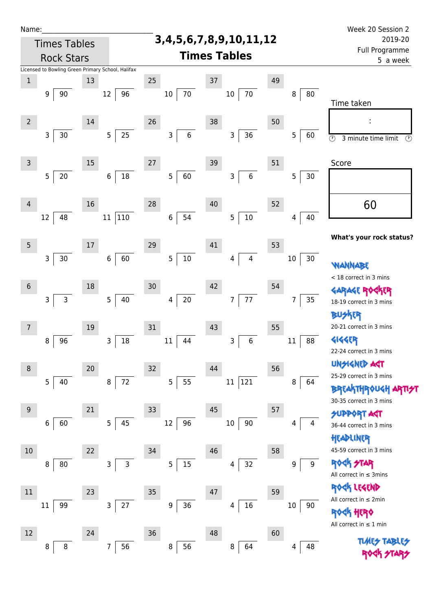| Name:           |                                                   |        |                          |                        |                                 |        |        | Week 20 Session 2                                                     |
|-----------------|---------------------------------------------------|--------|--------------------------|------------------------|---------------------------------|--------|--------|-----------------------------------------------------------------------|
|                 | <b>Times Tables</b>                               |        |                          |                        | 3, 4, 5, 6, 7, 8, 9, 10, 11, 12 |        |        | 2019-20                                                               |
|                 | <b>Rock Stars</b>                                 |        |                          |                        | <b>Times Tables</b>             |        |        | Full Programme<br>5 a week                                            |
|                 | Licensed to Bowling Green Primary School, Halifax |        |                          |                        |                                 |        |        |                                                                       |
| $\mathbf{1}$    |                                                   | 13     |                          | 25                     | 37                              | 49     |        |                                                                       |
|                 | 90<br>9                                           |        | 96<br>$12 \overline{ }$  | 70<br>10               | $70\,$<br>$10\,$                | 8      | 80     | Time taken                                                            |
| $\overline{2}$  |                                                   | 14     |                          | 26                     | 38                              | 50     |        |                                                                       |
|                 | 3<br>30                                           |        | $25\,$<br>$\overline{5}$ | 6<br>3                 | 36<br>3                         | 5      | 60     | $\overline{\odot}$<br>$\overline{\mathcal{O}}$<br>3 minute time limit |
| $\mathsf{3}$    |                                                   | 15     |                          | 27                     | 39                              | 51     |        | Score                                                                 |
|                 | 5<br>$20\,$                                       |        | 18<br>$\,6\,$            | 60<br>5                | $\boldsymbol{6}$<br>3           | 5      | 30     |                                                                       |
| 4               |                                                   | 16     |                          | 28                     | 40                              | 52     |        | 60                                                                    |
|                 | 48<br>12                                          |        | 110<br>11                | 54<br>$\boldsymbol{6}$ | $10\,$<br>5                     | 4      | 40     |                                                                       |
| 5               |                                                   | $17\,$ |                          | 29                     | 41                              | 53     |        | What's your rock status?                                              |
|                 | $30\,$<br>3                                       |        | 60<br>$6\,$              | 5<br>$10\,$            | $\overline{4}$<br>4             | $10\,$ | 30     | <b><i>NANNABE</i></b>                                                 |
|                 |                                                   |        |                          |                        |                                 |        |        | < 18 correct in 3 mins                                                |
| $6\phantom{1}6$ |                                                   | 18     |                          | 30                     | 42                              | 54     |        | <b>FR</b>                                                             |
|                 | 3<br>$\mathsf{3}$                                 |        | 5<br>40                  | $20\,$<br>4            | 77<br>$\overline{7}$            | 7      | 35     | 18-19 correct in 3 mins                                               |
|                 |                                                   |        |                          |                        |                                 |        |        | <b>BUSKER</b>                                                         |
| 7               |                                                   | 19     |                          | 31                     | 43                              | 55     |        | 20-21 correct in 3 mins                                               |
|                 | 96<br>8                                           |        | 18<br>3                  | 11<br>44               | $\,6$<br>3                      | $11\,$ | 88     | <b>4144ER</b>                                                         |
|                 |                                                   |        |                          |                        |                                 |        |        | 22-24 correct in 3 mins                                               |
| $\, 8$          |                                                   | $20\,$ |                          | 32                     | 44                              | 56     |        | <b>UNGIGNED AST</b>                                                   |
|                 | 5<br>40                                           |        | $72\,$<br>8              | 55<br>5                | 121<br>$11\,$                   | 8      | 64     | 25-29 correct in 3 mins                                               |
|                 |                                                   |        |                          |                        |                                 |        |        | <b>BREAKTHROUGH</b><br>30-35 correct in 3 mins                        |
| 9               |                                                   | 21     |                          | 33                     | 45                              | 57     |        | <b>SUPPORT AGT</b>                                                    |
|                 | 60<br>6                                           |        | 45<br>5                  | 96<br>12               | 90<br>$10\,$                    | 4      | 4      | 36-44 correct in 3 mins                                               |
|                 |                                                   |        |                          |                        |                                 |        |        | HEADLINER                                                             |
| $10$            |                                                   | 22     |                          | 34                     | 46                              | 58     |        | 45-59 correct in 3 mins                                               |
|                 | 80<br>8                                           |        | $\mathsf{3}$<br>3        | $15\,$<br>5            | 32<br>4                         |        | 9<br>9 | ROCK STAR                                                             |
|                 |                                                   |        |                          |                        |                                 |        |        | All correct in $\leq$ 3mins                                           |
| $11\,$          |                                                   | 23     |                          | 35                     | 47                              | 59     |        | ROCK LEGEND                                                           |
|                 | 99<br>11                                          |        | $27\,$<br>3              | $36\,$<br>9            | 16<br>4                         | $10\,$ | 90     | All correct in $\leq 2$ min                                           |
|                 |                                                   |        |                          |                        |                                 |        |        | ROCK HERO                                                             |
| 12              |                                                   | 24     |                          | 36                     | 48                              | 60     |        | All correct in $\leq 1$ min                                           |
|                 | 8<br>8                                            |        | 56<br>7                  | 56<br>8                | 64<br>8                         | 4      | 48     | <b>TLARES TABI</b>                                                    |
|                 |                                                   |        |                          |                        |                                 |        |        |                                                                       |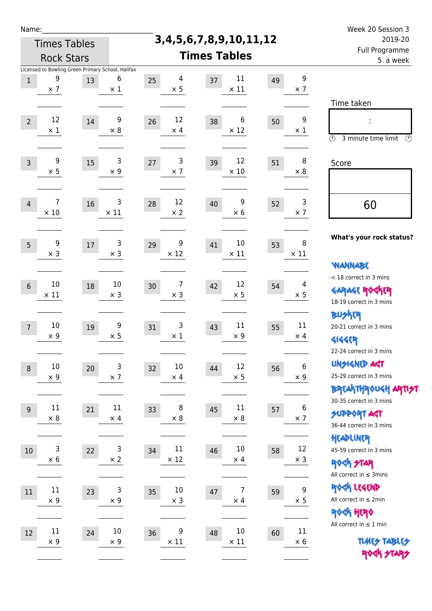| Name:          |                                                                      |    |                      |                         |                                    |    |                                | Week 20 Session 3                                                                        |
|----------------|----------------------------------------------------------------------|----|----------------------|-------------------------|------------------------------------|----|--------------------------------|------------------------------------------------------------------------------------------|
|                | <b>Times Tables</b>                                                  |    |                      |                         | 3, 4, 5, 6, 7, 8, 9, 10, 11, 12    |    |                                | 2019-20                                                                                  |
|                | <b>Rock Stars</b>                                                    |    |                      |                         | <b>Times Tables</b>                |    |                                | Full Programme<br>5 a week                                                               |
| $1\,$          | Licensed to Bowling Green Primary School, Halifax<br>9<br>$\times$ 7 | 13 | 6<br>$\times$ 1      | 4<br>25<br>$\times$ 5   | 11<br>37<br>$\times$ 11            | 49 | 9<br>$\times$ 7                |                                                                                          |
| $\overline{2}$ | 12<br>$\times$ 1                                                     | 14 | 9<br>$\times 8$      | 12<br>26<br>$\times$ 4  | 6<br>38<br>$\times$ 12             | 50 | 9<br>$\times$ 1                | Time taken<br>Ì,<br>$\circledcirc$<br>3 minute time limit<br>$\mathcal{O}$               |
| $\overline{3}$ | 9<br>$\times$ 5                                                      | 15 | 3<br>$\times$ 9      | 3<br>27<br>$\times$ 7   | 12<br>39<br>$\times$ 10            | 51 | 8<br>$\times 8$                | Score                                                                                    |
| $\overline{4}$ | 7<br>$\times$ 10                                                     | 16 | 3<br>$\times$ 11     | 12<br>28<br>$\times 2$  | 9<br>40<br>$\times$ 6              | 52 | 3<br>$\times$ 7                | 60                                                                                       |
| 5              | 9<br>$\times$ 3                                                      | 17 | 3<br>$\times$ 3      | 9<br>29<br>$\times$ 12  | 10<br>41<br>$\times$ 11            | 53 | 8<br>$\times$ 11               | What's your rock status?<br><b>WANNABE</b>                                               |
| $6\phantom{1}$ | 10<br>$\times$ 11                                                    | 18 | 10<br>$\times$ 3     | 7<br>30<br>$\times$ 3   | 12<br>42<br>$\times$ 5             | 54 | 4<br>$\times$ 5                | < 18 correct in 3 mins<br><b>GARAGE ROGKER</b><br>18-19 correct in 3 mins                |
| $\overline{7}$ | 10<br>$\times$ 9                                                     | 19 | 9<br>$\times$ 5      | 3<br>31<br>$\times$ 1   | 11<br>43<br>$\times 9$             | 55 | 11<br>$\times$ 4               | <b>BUSKER</b><br>20-21 correct in 3 mins<br><b>4144EP</b><br>22-24 correct in 3 mins     |
| $\,8\,$        | $10\,$<br>$\times$ 9                                                 | 20 | 3<br>$\times$ 7      | 10<br>32<br>$\times$ 4  | 12<br>44<br>$\times$ 5             | 56 | $\boldsymbol{6}$<br>$\times$ 9 | UNSIGNED AGT<br>25-29 correct in 3 mins<br>ΒΡΓΑ <sup>Κ</sup> ΤΗΡΟυΚΗ ΑΡΤΙ <del>2</del> Τ |
| $\overline{9}$ | 11<br>$\times 8$                                                     | 21 | 11<br>$\times$ 4     | 8<br>33<br>$\times$ 8   | $11\,$<br>45<br>$\times$ 8         | 57 | 6<br>$\times$ 7                | 30-35 correct in 3 mins<br><b>SUPPORT AGT</b><br>36-44 correct in 3 mins                 |
| 10             | 3<br>$\times$ 6                                                      | 22 | 3<br>$\times 2$      | 11<br>34<br>$\times$ 12 | $10\,$<br>46<br>$\times$ 4         | 58 | 12<br>$\times$ 3               | HEADLINER<br>45-59 correct in 3 mins<br><b>ROCK STAR</b><br>All correct in $\leq$ 3mins  |
| 11             | $11\,$<br>$\times$ 9                                                 | 23 | 3<br>$\times$ 9      | 10<br>35<br>$\times$ 3  | $\overline{7}$<br>47<br>$\times$ 4 | 59 | 9<br>$\times$ 5                | ROCK LEGEND<br>All correct in $\leq 2$ min<br>ROCK HERO                                  |
| 12             | $11\,$<br>$\times$ 9                                                 | 24 | $10\,$<br>$\times 9$ | 9<br>36<br>$\times$ 11  | $10\,$<br>48<br>$\times$ 11        | 60 | 11<br>$\times$ 6               | All correct in $\leq 1$ min<br><b>TUARS TABLES</b><br>ROCK STARS                         |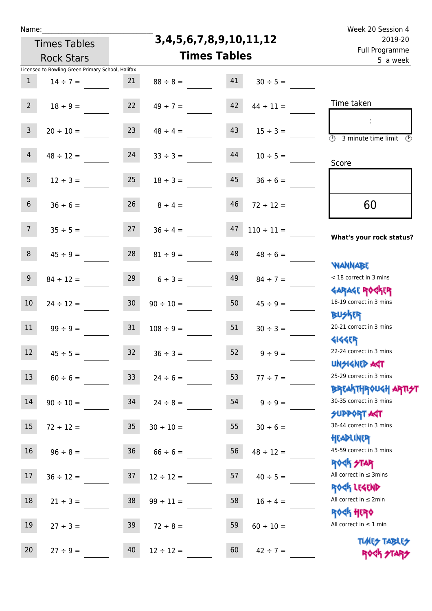**3,4,5,6,7,8,9,10,11,12**

Name: Week 20 Session 4 Full Programme 2019-20

|                | <b>Rock Stars</b>                                 | <b>Times Tables</b> | <u>. un rivyrunnic</u><br>5 a week |    |                        |                                                                  |
|----------------|---------------------------------------------------|---------------------|------------------------------------|----|------------------------|------------------------------------------------------------------|
|                | Licensed to Bowling Green Primary School, Halifax |                     |                                    |    |                        |                                                                  |
| $\mathbf{1}$   | $14 \div 7 =$                                     | 21                  | $88 \div 8 =$                      | 41 | $30 \div 5 =$          |                                                                  |
| $2^{\circ}$    | $18 \div 9 =$                                     | 22                  | $49 \div 7 =$                      | 42 | $44 \div 11 =$         | Time taken                                                       |
| $\overline{3}$ | $20 \div 10 =$                                    | 23                  | $48 \div 4 =$                      | 43 | $15 \div 3 =$          | ÷<br>$\overline{\odot}$<br>3 minute time limit<br>$\odot$        |
| $\overline{4}$ | $48 \div 12 =$                                    | 24                  | $33 \div 3 =$                      | 44 | $10 \div 5 =$          | Score                                                            |
| 5 <sub>1</sub> | $12 \div 3 =$                                     | 25                  | $18 \div 3 =$                      | 45 | $36 \div 6 =$          |                                                                  |
| 6 <sup>1</sup> | $36 \div 6 =$                                     | 26                  | $8 \div 4 =$                       | 46 | $72 \div 12 =$         | 60                                                               |
| 7 <sup>7</sup> | $35 \div 5 =$                                     | 27                  | $36 \div 4 =$                      | 47 | $110 \div 11 =$        | What's your rock status?                                         |
| 8              | $45 \div 9 =$                                     | 28                  | $81 \div 9 =$                      | 48 | $48 \div 6 =$          | <b>NANNABE</b>                                                   |
| 9              | $84 \div 12 =$                                    | 29                  | $6 \div 3 =$                       | 49 | $84 \div 7 =$          | < 18 correct in 3 mins                                           |
| $10\,$         | $24 \div 12 =$                                    | 30 <sub>o</sub>     | $90 \div 10 =$                     | 50 | $45 \div 9 =$          | <b>GARAGE ROCKER</b><br>18-19 correct in 3 mins                  |
| 11             | $99 \div 9 =$                                     | 31                  | $108 \div 9 =$                     | 51 | $30 \div 3 =$          | <b>BUSKER</b><br>20-21 correct in 3 mins                         |
| 12             | $45 \div 5 =$                                     | 32                  | $36 \div 3 =$                      | 52 | $9 \div 9 =$           | <b>4144EP</b><br>22-24 correct in 3 mins                         |
| 13             | $60 \div 6 =$                                     | 33 <sup>°</sup>     | $24 \div 6 =$                      | 53 | $77 \div 7 =$          | <b>UNSIGNED AGT</b><br>25-29 correct in 3 mins                   |
| 14             | $90 \div 10 =$                                    | 34                  | $24 \div 8 =$                      |    | $54 \qquad 9 \div 9 =$ | <b>BREAKTHROUGH ARTI<del>S</del>T</b><br>30-35 correct in 3 mins |
| 15             | $72 \div 12 =$ 35                                 |                     | $30 \div 10 =$                     | 55 | $30 \div 6 =$          | <b>SUPPORT AGT</b><br>36-44 correct in 3 mins                    |
| 16             | $96 \div 8 =$                                     | 36                  | $66 \div 6 =$                      | 56 | $48 \div 12 =$         | HEADLINER<br>45-59 correct in 3 mins                             |
| 17             | $36 \div 12 =$                                    | 37                  | $12 \div 12 =$                     | 57 | $40 \div 5 =$          | <b>ROCK STAR</b><br>All correct in $\leq$ 3mins                  |
| 18             | $21 \div 3 =$                                     | 38                  | $99 \div 11 =$                     | 58 | $16 \div 4 =$          | ROCK LEGEND<br>All correct in $\leq 2$ min                       |
| 19             | $27 \div 3 =$                                     | 39                  | $72 \div 8 =$                      | 59 | $60 \div 10 =$         | ROCK HERO<br>All correct in $\leq 1$ min                         |
| 20             | $27 \div 9 =$                                     | 40                  | $12 \div 12 =$                     | 60 | $42 \div 7 =$          | <b>TUARS TABLES</b><br>ROCK STARS                                |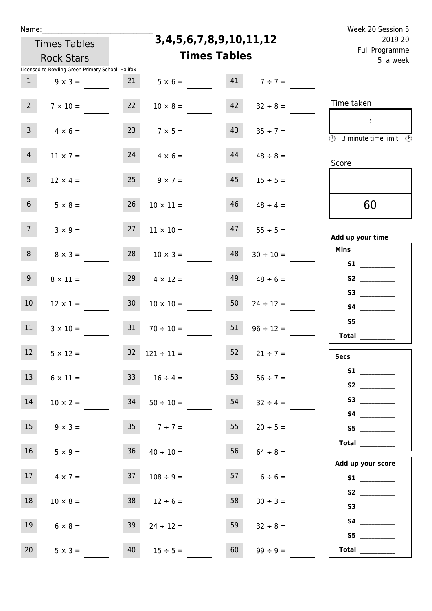| Name |  |  |  |
|------|--|--|--|
|      |  |  |  |

**3,4,5,6,7,8,9,10,11,12**

| Fuil Programme<br>5 a week                                                                      |               | <b>Times Tables</b> |    | <b>Rock Stars</b>                 |                 |                                                                     |                 |
|-------------------------------------------------------------------------------------------------|---------------|---------------------|----|-----------------------------------|-----------------|---------------------------------------------------------------------|-----------------|
|                                                                                                 |               |                     |    | 21 $5 \times 6 =$ 41 $7 \div 7 =$ |                 | Licensed to Bowling Green Primary School, Halifax<br>$9 \times 3 =$ | 1               |
| Time taken                                                                                      | $32 \div 8 =$ |                     | 42 | $10 \times 8 =$                   | 22              | $7 \times 10 =$                                                     | $2^{\circ}$     |
| $\sim$ 10 $\,$<br>$\overline{\textcircled{2}}$ 3 minute time limit $\overline{\textcircled{2}}$ |               | $35 \div 7 =$       | 43 | $7 \times 5 =$                    | 23              | $4 \times 6 =$                                                      | 3 <sup>7</sup>  |
| Score                                                                                           |               | $48 \div 8 =$       | 44 | 24<br>$4 \times 6 =$              |                 | $11 \times 7 =$                                                     | 4               |
|                                                                                                 | $15 \div 5 =$ |                     | 45 | $9 \times 7 =$                    | 25              | $12 \times 4 =$                                                     | 5 <sub>1</sub>  |
| 60                                                                                              |               | $48 \div 4 =$       | 46 | $10 \times 11 =$                  | 26              | $5 \times 8 =$                                                      | 6 <sup>1</sup>  |
| Add up your time                                                                                |               | $47 \t 55 \div 5 =$ |    | $11 \times 10 =$                  | 27              | $3 \times 9 =$                                                      | 7 <sup>7</sup>  |
| <b>Mins</b>                                                                                     |               | $30 \div 10 =$      | 48 | $10 \times 3 =$                   | 28              | $8 \times 3 =$                                                      | 8 <sup>1</sup>  |
| <b>S1 S1</b>                                                                                    |               | $48 \div 6 =$       | 49 | $4 \times 12 =$                   | 29              | $8 \times 11 =$                                                     | 9 <sub>o</sub>  |
| S3                                                                                              |               | $24 \div 12 =$      | 50 | $10 \times 10 =$                  | 30 <sup>°</sup> | $12 \times 1 =$                                                     | 10 <sup>°</sup> |
| S5                                                                                              |               | $96 \div 12 =$      | 51 | $70 \div 10 =$                    | 31              | $3 \times 10 =$                                                     | 11              |
| Total $\qquad$<br><b>Secs</b>                                                                   |               | $21 \div 7 =$       | 52 | $32 \quad 121 \div 11 =$          |                 | $5 \times 12 =$                                                     | 12              |
| S1                                                                                              |               | $56 \div 7 =$       | 53 | $33 \t 16 \div 4 =$               |                 | $6 \times 11 =$                                                     | 13              |
| S3                                                                                              |               | $32 \div 4 =$       | 54 | $50 \div 10 =$                    | 34              | $10 \times 2 =$                                                     | 14              |
| S5                                                                                              |               | $20 \div 5 =$       | 55 | $35 \t 7 \div 7 =$                |                 | $9 \times 3 =$                                                      | 15              |
| <b>Total</b>                                                                                    |               | $64 \div 8 =$       | 56 | $36 \t 40 \div 10 =$              |                 | $5 \times 9 =$                                                      | 16              |
| Add up your score<br>S1                                                                         |               | 57 $6 \div 6 =$     |    | $108 \div 9 =$                    | 37              | $4 \times 7 =$                                                      | 17              |
|                                                                                                 |               | $30 \div 3 =$       | 58 | $38 \t 12 \div 6 =$               |                 | $10 \times 8 =$                                                     | 18              |
|                                                                                                 |               | $32 \div 8 =$       | 59 | $24 \div 12 =$                    | 39              | $6 \times 8 =$                                                      | 19              |
| S5<br>Total $\qquad$                                                                            |               | $99 \div 9 =$       | 60 | $40 \t 15 \div 5 =$               |                 | $5 \times 3 =$                                                      | 20              |
|                                                                                                 |               |                     |    |                                   |                 |                                                                     |                 |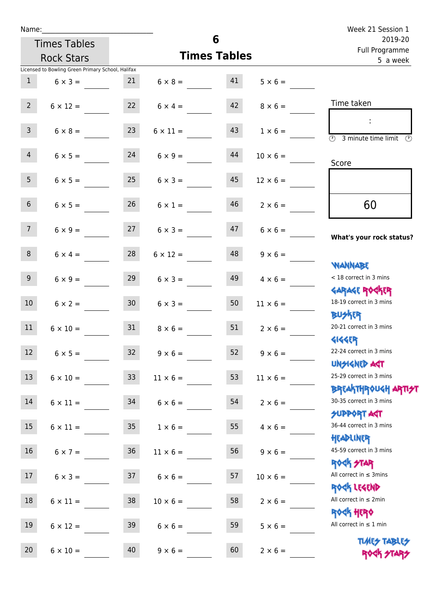|                  |                                                   |                 |                      |                     |                 | Week 21 Session 1                                                |
|------------------|---------------------------------------------------|-----------------|----------------------|---------------------|-----------------|------------------------------------------------------------------|
|                  | <b>Times Tables</b>                               |                 |                      | 6                   |                 | 2019-20<br>Full Programme                                        |
|                  | <b>Rock Stars</b>                                 |                 |                      | <b>Times Tables</b> |                 | 5 a week                                                         |
|                  | Licensed to Bowling Green Primary School, Halifax |                 |                      |                     |                 |                                                                  |
| 1                | $6 \times 3 =$                                    | 21              | $6 \times 8 = 41$    |                     | $5 \times 6 =$  |                                                                  |
| $2^{\circ}$      | $6 \times 12 =$                                   |                 | 22 $6 \times 4 =$    | 42                  | $8 \times 6 =$  | Time taken                                                       |
| $\mathsf{3}$     | $6 \times 8 =$                                    | 23              | $6 \times 11 =$      | 43                  | $1 \times 6 =$  | $\sim$<br>(1)<br>3 minute time limit<br>$\mathcal{O}$            |
| $\overline{4}$   | $6 \times 5 =$                                    | 24              | $6 \times 9 =$       | 44                  | $10 \times 6 =$ | Score                                                            |
| 5 <sub>1</sub>   | $6 \times 5 =$                                    | 25              | $6 \times 3 =$       | 45                  | $12 \times 6 =$ |                                                                  |
| 6 <sup>1</sup>   | $6 \times 5 =$                                    | 26              | $6 \times 1 =$       | 46                  | $2 \times 6 =$  | 60                                                               |
| 7 <sup>7</sup>   | $6 \times 9 =$                                    |                 | $27 \t 6 \times 3 =$ | 47                  | $6 \times 6 =$  | What's your rock status?                                         |
| 8                | $6 \times 4 =$                                    | 28              | $6 \times 12 =$      | 48                  | $9 \times 6 =$  | <b>NANNABE</b>                                                   |
| 9 <sub>o</sub>   | $6 \times 9 =$                                    | 29              | $6 \times 3 =$       | 49                  | $4 \times 6 =$  | < 18 correct in 3 mins<br><b>GARAGE ROGKER</b>                   |
| 10 <sup>°</sup>  | $6 \times 2 =$                                    | 30 <sup>°</sup> | $6 \times 3 =$       | 50                  | $11 \times 6 =$ | 18-19 correct in 3 mins<br><b>BUSKER</b>                         |
| 11               | $6 \times 10 =$                                   | 31              | $8 \times 6 =$       | 51                  | $2 \times 6 =$  | 20-21 correct in 3 mins<br><b>4144EP</b>                         |
| 12 <sup>12</sup> | $6 \times 5 =$                                    | 32 <sup>°</sup> | $9 \times 6 =$       | 52                  | $9 \times 6 =$  | 22-24 correct in 3 mins<br><b>UNSIGNED AST</b>                   |
| 13               | $6 \times 10 =$                                   | 33              | $11 \times 6 =$      | 53                  | $11 \times 6 =$ | 25-29 correct in 3 mins<br><b>BREAKTHROUGH ARTI<del>S</del>T</b> |
| 14               | $6 \times 11 =$                                   | 34              | $6 \times 6 =$       | 54                  | $2 \times 6 =$  | 30-35 correct in 3 mins<br><b>SUPPORT AGT</b>                    |
| 15               | $6 \times 11 =$                                   | 35 <sub>1</sub> | $1 \times 6 =$       | 55                  | $4 \times 6 =$  | 36-44 correct in 3 mins<br>HEADLINER                             |
| 16               | $6 \times 7 =$                                    | 36              | $11 \times 6 =$      | 56                  | $9 \times 6 =$  | 45-59 correct in 3 mins<br>ROGK STAR                             |
| 17 <sub>1</sub>  | $6 \times 3 =$                                    | 37              | $6 \times 6 =$       | 57                  | $10 \times 6 =$ | All correct in $\leq$ 3mins<br>ROCK LEGEND                       |
| 18               | $6 \times 11 =$                                   | 38              | $10 \times 6 =$      | 58                  | $2 \times 6 =$  | All correct in $\leq 2$ min<br><b>ROCK HERO</b>                  |
| 19               | $6 \times 12 =$                                   | 39              | $6 \times 6 =$       | 59                  | $5 \times 6 =$  | All correct in $\leq 1$ min                                      |
| 20               | $6 \times 10 =$                                   | 40              | $9 \times 6 =$       | 60                  | $2 \times 6 =$  | <b>TUARS TABLES</b><br>ROCK STARS                                |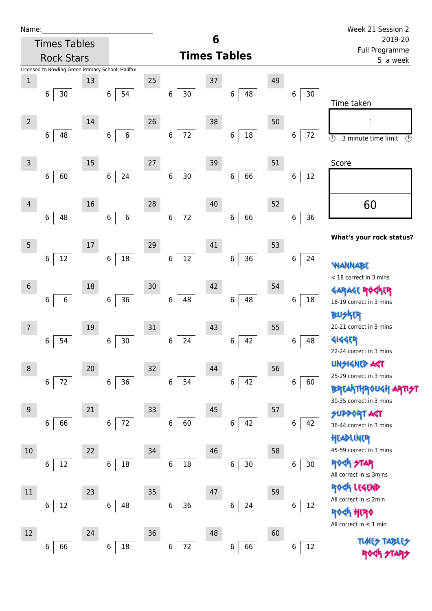| Name |  |  |  |
|------|--|--|--|
|      |  |  |  |

|                | <b>Times Tables</b>                               |    |                       |      |                       | 6      |                     |    |               | 2019-20                                                                               |
|----------------|---------------------------------------------------|----|-----------------------|------|-----------------------|--------|---------------------|----|---------------|---------------------------------------------------------------------------------------|
|                | <b>Rock Stars</b>                                 |    |                       |      |                       |        | <b>Times Tables</b> |    |               | Full Programme<br>5 a week                                                            |
|                | Licensed to Bowling Green Primary School, Halifax |    |                       |      |                       |        |                     |    |               |                                                                                       |
| $\mathbf{1}$   | 30<br>6                                           | 13 | 54<br>6               | 25   | 30<br>6               | 37     | 48<br>6             | 49 | 30<br>6       | Time taken                                                                            |
| $\overline{2}$ | 48<br>6                                           | 14 | $\,$ 6 $\,$<br>6      | 26   | 72<br>6               | 38     | $18\,$<br>6         | 50 | 72<br>6       | $\odot$<br>3 minute time limit<br>$\circled{r}$                                       |
| $\mathsf{3}$   | 60<br>$\,$ 6 $\,$                                 | 15 | 24<br>6               | 27   | $30\,$<br>6           | 39     | 66<br>6             | 51 | 6<br>12       | Score                                                                                 |
| 4              | 48<br>6                                           | 16 | $\,$ 6 $\,$<br>6      | 28   | $72\,$<br>$\,$ 6 $\,$ | 40     | 66<br>$\,6\,$       | 52 | 36<br>$\bf 6$ | 60                                                                                    |
| 5              | $12\,$<br>6                                       | 17 | 18<br>$\,6\,$         | 29   | $12\,$<br>6           | 41     | 36<br>$\,$ 6 $\,$   | 53 | $\,6$<br>24   | What's your rock status?<br>WANNABE                                                   |
| $\sqrt{6}$     | 6<br>$\,$ 6 $\,$                                  | 18 | $36\,$<br>6           | 30   | 48<br>6               | 42     | 48<br>6             | 54 | 18<br>6       | < 18 correct in 3 mins<br><b>GARAGE RO</b><br><b>TER</b><br>18-19 correct in 3 mins   |
| $\overline{7}$ | 6<br>54                                           | 19 | $30\,$<br>6           | 31   | 24<br>6               | 43     | 42<br>6             | 55 | 6<br>48       | <b>BUSKER</b><br>20-21 correct in 3 mins<br><b>4144ER</b><br>22-24 correct in 3 mins  |
| 8              | $\,$ 6 $\,$<br>72                                 | 20 | 36<br>6               | 32   | 54<br>6               | 44     | 42<br>6             | 56 | 6<br>60       | <b>UNSIGNED AST</b><br>25-29 correct in 3 mins<br><b>BREAKTHROUGH</b>                 |
| $9\,$          | 66<br>6                                           | 21 | $72\,$<br>$\,6\,$     | $33$ | 60<br>6               | $45\,$ | 42<br>6             | 57 | 42<br>6       | 30-35 correct in 3 mins<br><b>SUPPORT AGT</b><br>36-44 correct in 3 mins<br>HEADLINER |
| $10\,$         | $12\,$<br>6                                       | 22 | 18<br>6               | 34   | $18\,$<br>6           | 46     | $30\,$<br>6         | 58 | 30<br>$\bf 6$ | 45-59 correct in 3 mins<br><b>ROCK STAR</b><br>All correct in $\leq$ 3mins            |
| $11\,$         | 12<br>6                                           | 23 | 48<br>6               | 35   | $36\,$<br>6           | 47     | 24<br>6             | 59 | 12<br>6       | ROCK LEGEND<br>All correct in $\leq 2$ min<br><b>ROCK HERO</b>                        |
| 12             | 66<br>6                                           | 24 | $18\,$<br>$\,$ 6 $\,$ | 36   | $72\,$<br>6           | 48     | 66<br>6             | 60 | $12\,$<br>6   | All correct in $\leq 1$ min<br><b>TLARS</b>                                           |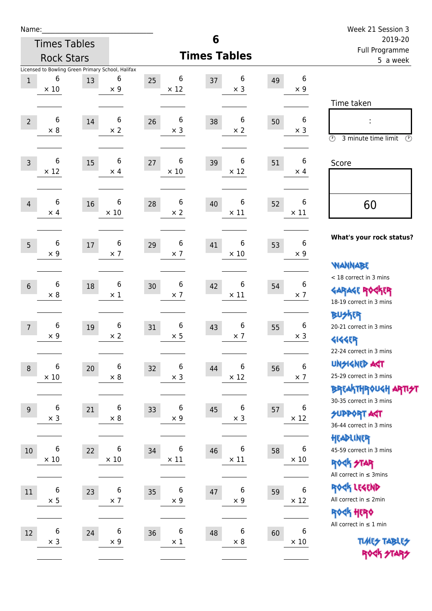| Name:             |                                |                     |                                                                      |                        |                                      |                            |                                 | Week 21 Session 3                                                                    |
|-------------------|--------------------------------|---------------------|----------------------------------------------------------------------|------------------------|--------------------------------------|----------------------------|---------------------------------|--------------------------------------------------------------------------------------|
|                   |                                | <b>Times Tables</b> |                                                                      |                        | 6                                    |                            |                                 | 2019-20                                                                              |
| <b>Rock Stars</b> |                                |                     |                                                                      |                        | <b>Times Tables</b>                  | Full Programme<br>5 a week |                                 |                                                                                      |
| $\mathbf{1}$      | 6<br>$\times$ 10               | 13                  | Licensed to Bowling Green Primary School, Halifax<br>6<br>$\times$ 9 | 6<br>25<br>$\times$ 12 | 6<br>37<br>$\times$ 3                | 49                         | $\boldsymbol{6}$<br>$\times$ 9  | Time taken                                                                           |
| $\overline{2}$    | 6<br>$\times 8$                | 14                  | 6<br>$\times 2$                                                      | 6<br>26<br>$\times$ 3  | 6<br>38<br>$\times 2$                | 50                         | $\boldsymbol{6}$<br>$\times$ 3  | $\circled{r}$<br>3 minute time limit<br>⊙                                            |
| $\overline{3}$    | $\,6$<br>$\times$ 12           | 15                  | 6<br>$\times$ 4                                                      | 6<br>27<br>$\times$ 10 | 6<br>39<br>$\times$ 12               | 51                         | 6<br>$\times$ 4                 | Score                                                                                |
| $\overline{4}$    | 6<br>$\times$ 4                | 16                  | 6<br>$\times$ 10                                                     | 6<br>28<br>$\times 2$  | 6<br>40<br>$\times$ 11               | 52                         | 6<br>$\times$ 11                | 60                                                                                   |
| 5                 | 6<br>$\times$ 9                | $17\,$              | 6<br>$\times$ 7                                                      | 6<br>29<br>$\times$ 7  | 6<br>41<br>$\times$ 10               | 53                         | 6<br>$\times$ 9                 | What's your rock status?<br><b>WANNABE</b>                                           |
| $6\phantom{1}$    | 6<br>$\times 8$                | 18                  | 6<br>$\times$ 1                                                      | 6<br>30<br>$\times$ 7  | 6<br>42<br>$\times$ 11               | 54                         | 6<br>$\times$ 7                 | < 18 correct in 3 mins<br><b>GARAGE ROCKER</b><br>18-19 correct in 3 mins            |
| $\overline{7}$    | 6<br>$\times$ 9                | 19                  | 6<br>$\times 2$                                                      | 6<br>31<br>$\times$ 5  | 6<br>43<br>$\times$ 7                | 55                         | 6<br>$\times$ 3                 | <b>BUSKER</b><br>20-21 correct in 3 mins<br><b>4144EP</b><br>22-24 correct in 3 mins |
| $\,8\,$           | 6<br>$\times$ 10               | 20                  | 6<br>$\times$ 8                                                      | 6<br>32<br>$\times$ 3  | 6<br>44<br>$\times$ 12               | 56                         | 6<br>$\times$ 7                 | <b>UNSIGNED AGT</b><br>25-29 correct in 3 mins<br>ΒΡ(AhTHP) UGH APTI <del>3</del> 7  |
| 9                 | $\boldsymbol{6}$<br>$\times$ 3 | 21                  | 6<br>$\times$ 8                                                      | 6<br>33<br>$\times$ 9  | 6<br>45<br>$\times$ 3                | 57                         | 6<br>$\times$ 12                | 30-35 correct in 3 mins<br><b>SUPPORT AGT</b><br>36-44 correct in 3 mins             |
| 10                | 6<br>$\times$ 10               | 22                  | 6<br>$\times$ 10                                                     | 6<br>34<br>$\times$ 11 | 6<br>46<br>$\times$ 11               | 58                         | 6<br>$\times$ 10                | HEADLINER<br>45-59 correct in 3 mins<br>ROCK STAR<br>All correct in $\leq$ 3mins     |
| 11                | $\,6\,$<br>$\times$ 5          | 23                  | $\boldsymbol{6}$<br>$\times$ 7                                       | 6<br>35<br>$\times$ 9  | $\boldsymbol{6}$<br>47<br>$\times$ 9 | 59                         | $\boldsymbol{6}$<br>$\times$ 12 | ROCK LEGEND<br>All correct in $\leq 2$ min<br>ROCK HERO                              |
| 12                | $\boldsymbol{6}$<br>$\times$ 3 | 24                  | 6<br>$\times$ 9                                                      | 6<br>36<br>$\times$ 1  | 6<br>48<br>$\times$ 8                | 60                         | 6<br>$\times$ 10                | All correct in $\leq 1$ min<br><b>TUARS TABLES</b><br>ROCK STARS                     |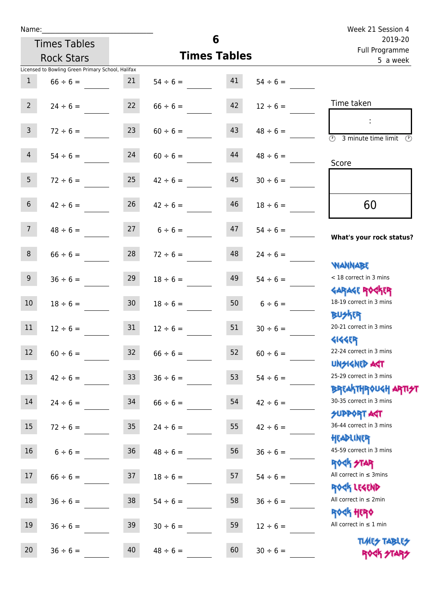| Name:           |                                                   |                 |                     | 6                         |               | Week 21 Session 4                                                             |
|-----------------|---------------------------------------------------|-----------------|---------------------|---------------------------|---------------|-------------------------------------------------------------------------------|
|                 | <b>Times Tables</b>                               |                 |                     | 2019-20<br>Full Programme |               |                                                                               |
|                 | <b>Rock Stars</b>                                 |                 | <b>Times Tables</b> | 5 a week                  |               |                                                                               |
|                 | Licensed to Bowling Green Primary School, Halifax |                 |                     |                           |               |                                                                               |
| $\mathbf{1}$    | $66 \div 6 =$                                     | 21              | $54 \div 6 =$       | 41                        | $54 \div 6 =$ |                                                                               |
| 2 <sup>1</sup>  | $24 \div 6 =$                                     |                 | $22 \t 66 \div 6 =$ | 42                        | $12 \div 6 =$ | Time taken                                                                    |
| $\mathbf{3}$    | $72 \div 6 =$                                     | 23              | $60 \div 6 =$       | 43                        | $48 \div 6 =$ | $\overline{\textcircled{1}}$ 3 minute time limit $\overline{\textcircled{1}}$ |
| $\overline{4}$  | $54 \div 6 =$                                     | 24              | $60 \div 6 =$       | 44                        | $48 \div 6 =$ | Score                                                                         |
| 5 <sub>1</sub>  | $72 \div 6 =$                                     | 25              | $42 \div 6 =$       | 45                        | $30 \div 6 =$ |                                                                               |
| 6 <sup>1</sup>  | $42 \div 6 =$                                     | 26              | $42 \div 6 =$       | 46                        | $18 \div 6 =$ | 60                                                                            |
| 7 <sup>7</sup>  | $48 \div 6 =$                                     |                 | $27 \t 6 \div 6 =$  | 47                        | $54 \div 6 =$ | What's your rock status?                                                      |
| 8               | $66 \div 6 =$                                     | 28              | $72 \div 6 =$       | 48                        | $24 \div 6 =$ | <b>NANNABE</b>                                                                |
| 9 <sub>o</sub>  | $36 \div 6 =$                                     | 29              | $18 \div 6 =$       | 49                        | $54 \div 6 =$ | < 18 correct in 3 mins<br><b>GARAGE ROCKER</b>                                |
| 10 <sup>°</sup> | $18 \div 6 =$                                     | 30 <sup>°</sup> | $18 \div 6 =$       | 50                        | $6 \div 6 =$  | 18-19 correct in 3 mins<br><b>BUSKER</b>                                      |
| 11              | $12 \div 6 =$                                     | 31              | $12 \div 6 =$       | 51                        | $30 \div 6 =$ | 20-21 correct in 3 mins<br>41445P                                             |
| 12              | $60 \div 6 =$                                     | 32              | $66 \div 6 =$       | 52                        | $60 \div 6 =$ | 22-24 correct in 3 mins<br><b>UNSIGNED AST</b>                                |
| 13              | $42 \div 6 =$                                     | 33 <sup>°</sup> | $36 \div 6 =$       | 53                        | $54 \div 6 =$ | 25-29 correct in 3 mins<br>ΒΡΓΑΚΤΗΡΟUGH ΑΡΤΙ <del>2</del> Τ                   |
| 14              | $24 \div 6 =$                                     | 34              | $66 \div 6 =$       | 54                        | $42 \div 6 =$ | 30-35 correct in 3 mins<br><b>SUPPORT AGT</b>                                 |
| 15              | $72 \div 6 =$                                     | 35 <sub>o</sub> | $24 \div 6 =$       | 55                        | $42 \div 6 =$ | 36-44 correct in 3 mins<br>HEADLINER                                          |
| 16              | $6 \div 6 =$                                      | 36              | $48 \div 6 =$       | 56                        | $36 \div 6 =$ | 45-59 correct in 3 mins<br><b>ROCK STAR</b>                                   |
| 17              | $66 \div 6 =$                                     | 37              | $18 \div 6 =$       | 57                        | $54 \div 6 =$ | All correct in $\leq$ 3mins<br>ROCK LEGEND                                    |
| 18              | $36 \div 6 =$                                     | 38              | $54 \div 6 =$       | 58                        | $36 \div 6 =$ | All correct in $\leq 2$ min                                                   |
| 19              | $36 \div 6 =$                                     | 39              | $30 \div 6 =$       | 59                        | $12 \div 6 =$ | <b>ROCK HERO</b><br>All correct in $\leq 1$ min                               |

20  $36 \div 6 =$  40  $48 \div 6 =$  60  $30 \div 6 =$ 

All correct in  $\leq 1$  min

**TIMES TABLES** ROCK STARS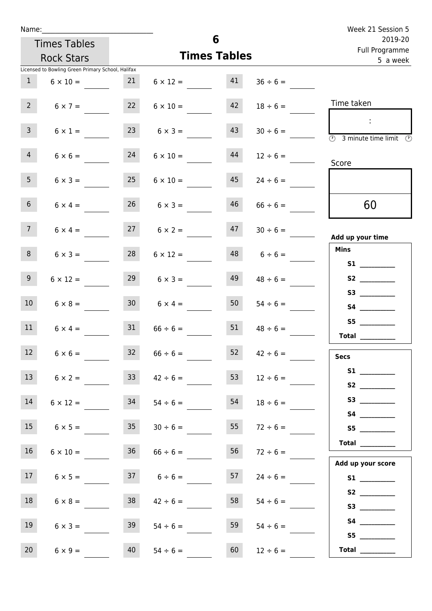| Week 21 Session 5                                                                 |               |                     |                      |                     |                                                   | Name:           |  |  |
|-----------------------------------------------------------------------------------|---------------|---------------------|----------------------|---------------------|---------------------------------------------------|-----------------|--|--|
| 2019-20<br>Full Programme                                                         |               | 6                   |                      | <b>Times Tables</b> |                                                   |                 |  |  |
| 5 a week                                                                          |               | <b>Times Tables</b> |                      | <b>Rock Stars</b>   |                                                   |                 |  |  |
|                                                                                   |               |                     |                      |                     | Licensed to Bowling Green Primary School, Halifax |                 |  |  |
|                                                                                   | $36 \div 6 =$ | 41                  | $6 \times 12 =$      | 21                  | $6 \times 10 =$                                   | $\mathbf{1}$    |  |  |
| Time taken                                                                        | $18 \div 6 =$ | 42                  | $6 \times 10 =$      | 22                  | $6 \times 7 =$                                    | $2^{\circ}$     |  |  |
| $\mathbb{R}^n$<br>$\overline{(\mathcal{V})}$<br>3 minute time limit $\circled{0}$ | $30 \div 6 =$ | 43                  | $6 \times 3 =$       | 23                  | $6 \times 1 =$                                    | $\mathbf{3}$    |  |  |
| Score                                                                             | $12 \div 6 =$ | 44                  | $6 \times 10 =$      | 24                  | $6 \times 6 =$                                    | $\overline{4}$  |  |  |
|                                                                                   | $24 \div 6 =$ | 45                  | $6 \times 10 =$      | 25                  | $6 \times 3 =$                                    | 5 <sub>1</sub>  |  |  |
| 60                                                                                | $66 \div 6 =$ | 46                  | $26 \t 6 \times 3 =$ |                     | $6 \times 4 =$                                    | 6 <sup>1</sup>  |  |  |
| Add up your time                                                                  | $30 \div 6 =$ | 47                  | $27 \t 6 \times 2 =$ |                     | $6 \times 4 =$                                    | 7 <sup>7</sup>  |  |  |
| <b>Mins</b><br><b>S1 S1</b>                                                       | $6 \div 6 =$  | 48                  | $6 \times 12 =$      | 28                  | $6 \times 3 =$                                    | 8               |  |  |
|                                                                                   | $48 \div 6 =$ | 49                  | $6 \times 3 =$       | 29                  | $6 \times 12 =$                                   | 9               |  |  |
| S3                                                                                | $54 \div 6 =$ | 50                  | $6 \times 4 =$       | 30 <sub>o</sub>     | $6 \times 8 =$                                    | 10 <sup>°</sup> |  |  |
| <b>Total</b>                                                                      | $48 \div 6 =$ | 51                  | $66 \div 6 =$        | 31                  | $6 \times 4 =$                                    | 11              |  |  |
| <b>Secs</b>                                                                       | $42 \div 6 =$ | 52                  | $66 \div 6 =$        | 32                  | $6 \times 6 =$                                    | 12              |  |  |
|                                                                                   | $12 \div 6 =$ | 53                  | $42 \div 6 =$        | 33 <sup>2</sup>     | $6 \times 2 =$                                    | 13              |  |  |
| S3                                                                                | $18 \div 6 =$ | 54                  | $54 \div 6 =$        | 34                  | $6 \times 12 =$                                   | 14              |  |  |
| S5                                                                                | $72 \div 6 =$ | 55                  | $30 \div 6 =$        | 35                  | $6 \times 5 =$                                    | 15              |  |  |
| <b>Total</b>                                                                      | $72 \div 6 =$ | 56                  | $66 \div 6 =$        | 36                  | $6 \times 10 =$                                   | 16              |  |  |
| Add up your score<br>S1                                                           | $24 \div 6 =$ | 57                  | $37 \t 6 \div 6 =$   |                     | $6 \times 5 =$                                    | 17 <sup>7</sup> |  |  |
|                                                                                   | $54 \div 6 =$ | 58                  | $42 \div 6 =$        | 38                  | $6 \times 8 =$                                    | 18              |  |  |
| S4                                                                                | $54 \div 6 =$ | 59                  | $54 \div 6 =$        | 39                  | $6 \times 3 =$                                    | 19              |  |  |
| Total $\qquad$                                                                    | $12 \div 6 =$ | 60                  | $54 \div 6 =$        | 40                  | $6 \times 9 =$                                    | 20              |  |  |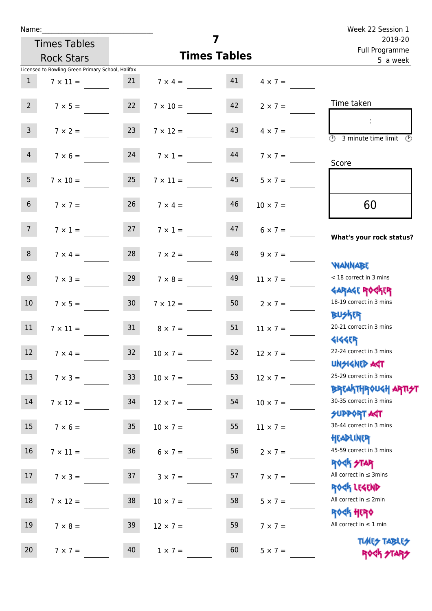| Name:           |                                                   |                 |                    |                     |                 | Week 22 Session 1                                                |
|-----------------|---------------------------------------------------|-----------------|--------------------|---------------------|-----------------|------------------------------------------------------------------|
|                 | <b>Times Tables</b>                               |                 |                    | 7                   |                 | 2019-20<br>Full Programme                                        |
|                 | <b>Rock Stars</b>                                 |                 |                    | <b>Times Tables</b> |                 | 5 a week                                                         |
|                 | Licensed to Bowling Green Primary School, Halifax |                 |                    |                     |                 |                                                                  |
| 1               | $7 \times 11 =$                                   | 21              | $7 \times 4 = 41$  |                     | $4 \times 7 =$  |                                                                  |
| $2^{\circ}$     | $7 \times 5 =$                                    | 22              | $7 \times 10 =$    | 42                  | $2 \times 7 =$  | Time taken                                                       |
| $\mathsf{3}$    | $7 \times 2 = 23$                                 |                 | $7 \times 12 =$    | 43                  | $4 \times 7 =$  | 3 minute time limit                                              |
| $\overline{4}$  | $7 \times 6 = 24$                                 |                 | $7 \times 1 =$     | 44                  | $7 \times 7 =$  | Score                                                            |
| 5 <sub>1</sub>  | $7 \times 10 =$                                   | 25              | $7 \times 11 =$    | 45                  | $5 \times 7 =$  |                                                                  |
| $6\overline{6}$ | $7 \times 7 =$                                    | 26              | $7 \times 4 =$     | 46                  | $10 \times 7 =$ | 60                                                               |
| 7 <sup>7</sup>  | $7 \times 1 = 27$                                 |                 | $7 \times 1 =$     | 47                  | $6 \times 7 =$  | What's your rock status?                                         |
| 8               | $7 \times 4 =$                                    | 28              | $7 \times 2 =$     | 48                  | $9 \times 7 =$  | <b>NANNABE</b>                                                   |
| 9 <sub>o</sub>  | $7 \times 3 =$                                    | 29              | $7 \times 8 =$     | 49                  | $11 \times 7 =$ | < 18 correct in 3 mins<br><b>GARAGE ROGKER</b>                   |
| 10 <sup>°</sup> | $7 \times 5 = 30$                                 |                 | $7 \times 12 = 50$ |                     | $2 \times 7 =$  | 18-19 correct in 3 mins<br><b>BUSKER</b>                         |
| 11              | $7 \times 11 =$                                   | 31              | $8 \times 7 =$     | 51                  | $11 \times 7 =$ | 20-21 correct in 3 mins<br><b>4144ER</b>                         |
| 12              | $7 \times 4 =$                                    | 32 <sup>°</sup> | $10 \times 7 =$    | 52                  | $12 \times 7 =$ | 22-24 correct in 3 mins<br><b>UNSIGNED AGT</b>                   |
| 13              | $7 \times 3 =$                                    | 33              | $10 \times 7 =$    | 53                  | $12 \times 7 =$ | 25-29 correct in 3 mins<br><b>BREAKTHROUGH ARTI<del>S</del>T</b> |
| 14              | $7 \times 12 =$                                   | 34              | $12 \times 7 =$    | 54                  | $10 \times 7 =$ | 30-35 correct in 3 mins<br><b>SUPPORT AGT</b>                    |
| 15              | $7 \times 6 =$                                    | 35              | $10 \times 7 =$    | 55                  | $11 \times 7 =$ | 36-44 correct in 3 mins<br>HEADLINER                             |
| 16 <sup>1</sup> | $7 \times 11 = 36$                                |                 | $6 \times 7 =$     | 56                  | $2 \times 7 =$  | 45-59 correct in 3 mins<br><b>ROCK STAR</b>                      |
| 17              | $7 \times 3 =$                                    | 37              | $3 \times 7 =$     | 57                  | $7 \times 7 =$  | All correct in $\leq$ 3mins<br>ROCK LEGEND                       |
| 18              | $7 \times 12 =$                                   | 38              | $10 \times 7 =$    | 58                  | $5 \times 7 =$  | All correct in $\leq 2$ min<br><b>ROCK HERO</b>                  |
| 19              | $7 \times 8 =$                                    | 39              | $12 \times 7 =$    | 59                  | $7 \times 7 =$  | All correct in $\leq 1$ min<br><b>TUARS TABLES</b>               |
| 20              | $7 \times 7 =$                                    | 40              | $1 \times 7 =$     | 60                  | $5 \times 7 =$  | ROCK STARS                                                       |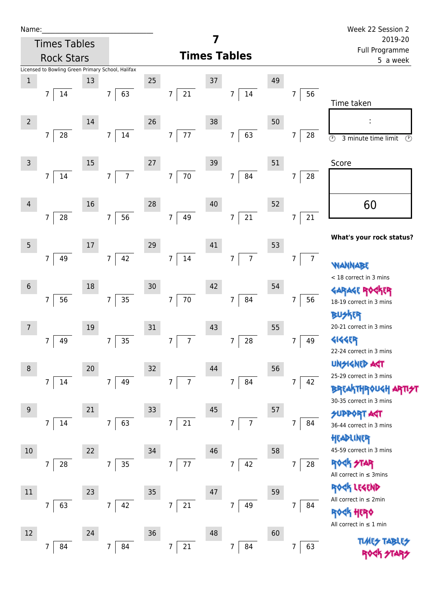| Name:           |                                                   |      |                                  |                     |                                  |        |                                  |    |                      | Week 22 Session 2                                                      |
|-----------------|---------------------------------------------------|------|----------------------------------|---------------------|----------------------------------|--------|----------------------------------|----|----------------------|------------------------------------------------------------------------|
|                 | <b>Times Tables</b>                               |      |                                  |                     |                                  | 7      |                                  |    |                      | 2019-20<br>Full Programme                                              |
|                 | <b>Rock Stars</b>                                 |      |                                  | <b>Times Tables</b> |                                  |        |                                  |    |                      | 5 a week                                                               |
|                 | Licensed to Bowling Green Primary School, Halifax |      |                                  |                     |                                  |        |                                  |    |                      |                                                                        |
| $1\,$           |                                                   | 13   |                                  | 25                  |                                  | 37     |                                  | 49 |                      |                                                                        |
|                 | 14<br>7                                           |      | 63<br>$\overline{7}$             |                     | 21<br>$\overline{7}$             |        | 14<br>$7\overline{ }$            |    | 56<br>$\overline{7}$ | Time taken                                                             |
| $\overline{2}$  |                                                   | 14   |                                  | 26                  |                                  | 38     |                                  | 50 |                      |                                                                        |
|                 | 28<br>7                                           |      | $14\,$<br>$\overline{7}$         |                     | 77<br>$\overline{7}$             |        | 63<br>$\overline{7}$             |    | $\overline{7}$<br>28 | $\overline{\circlearrowright}$<br>3 minute time limit<br>$\circled{r}$ |
| $\overline{3}$  |                                                   | 15   |                                  | 27                  |                                  | 39     |                                  | 51 |                      | Score                                                                  |
|                 | 14<br>7                                           |      | $\overline{7}$<br>$\overline{7}$ |                     | $70\,$<br>$\overline{7}$         |        | 84<br>$\overline{7}$             |    | $\overline{7}$<br>28 |                                                                        |
| 4               |                                                   | 16   |                                  | 28                  |                                  | $40\,$ |                                  | 52 |                      | 60                                                                     |
|                 | 28<br>$\overline{7}$                              |      | 56<br>$\overline{7}$             |                     | 7 <sup>1</sup><br>49             |        | 21<br>$\overline{7}$             |    | $21\,$<br>7          |                                                                        |
| 5               |                                                   | $17$ |                                  | 29                  |                                  | 41     |                                  | 53 |                      | What's your rock status?                                               |
|                 | 49<br>7                                           |      | 42<br>$\overline{7}$             |                     | $14\,$<br>$\overline{7}$         |        | $\overline{7}$<br>$\overline{7}$ |    | $\overline{7}$<br>7  | <b>WANN</b>                                                            |
|                 |                                                   |      |                                  |                     |                                  |        |                                  |    |                      | < 18 correct in 3 mins                                                 |
| $6\phantom{1}6$ |                                                   | 18   |                                  | 30                  |                                  | 42     |                                  | 54 |                      | R                                                                      |
|                 | 56<br>$\overline{7}$                              |      | 35<br>$\overline{7}$             |                     | $70\,$<br>$7\overline{ }$        |        | 84<br>$\overline{7}$             |    | $\overline{7}$<br>56 | 18-19 correct in 3 mins                                                |
|                 |                                                   |      |                                  |                     |                                  |        |                                  |    |                      | <b>BUSKER</b>                                                          |
| $\overline{7}$  |                                                   | 19   |                                  | 31                  |                                  | 43     |                                  | 55 |                      | 20-21 correct in 3 mins                                                |
|                 | 49<br>7                                           |      | 35<br>7                          |                     | $\overline{7}$<br>$\overline{7}$ |        | ${\bf 28}$<br>7                  |    | 7<br>49              | <b>4144EP</b>                                                          |
|                 |                                                   |      |                                  |                     |                                  |        |                                  |    |                      | 22-24 correct in 3 mins                                                |
| 8               |                                                   | 20   |                                  | 32                  |                                  | 44     |                                  | 56 |                      | <b>UNGIGNED ART</b>                                                    |
|                 | $\overline{7}$<br>14                              |      | 49<br>$\overline{7}$             |                     | $\overline{7}$<br>$\overline{7}$ |        | 84<br>$\overline{7}$             |    | $\overline{7}$<br>42 | 25-29 correct in 3 mins                                                |
|                 |                                                   |      |                                  |                     |                                  |        |                                  |    |                      | <b>BREAKTHROUGH</b><br>30-35 correct in 3 mins                         |
| 9               |                                                   | 21   |                                  | 33                  |                                  | $45\,$ |                                  | 57 |                      | <b>SUPPORT AGT</b>                                                     |
|                 | 14<br>7                                           |      | 63<br>$\overline{7}$             |                     | $\overline{7}$<br>21             |        | $\overline{7}$<br>7              |    | 7<br>84              | 36-44 correct in 3 mins                                                |
|                 |                                                   |      |                                  |                     |                                  |        |                                  |    |                      | HEADLINER                                                              |
| 10              |                                                   | 22   |                                  | 34                  |                                  | 46     |                                  | 58 |                      | 45-59 correct in 3 mins                                                |
|                 | 28<br>7                                           |      | 35<br>$\overline{7}$             |                     | 77<br>$\overline{7}$             |        | 42<br>$\overline{7}$             |    | 28<br>$\overline{7}$ | <b>ROCK STAR</b><br>All correct in $\leq$ 3mins                        |
| $11\,$          |                                                   | 23   |                                  | 35                  |                                  | 47     |                                  | 59 |                      | ROCK LEGEND                                                            |
|                 | 63<br>7                                           |      | 42<br>7                          |                     | $\boldsymbol{7}$<br>21           |        | 49<br>7                          |    | $\overline{7}$<br>84 | All correct in $\leq 2$ min                                            |
|                 |                                                   |      |                                  |                     |                                  |        |                                  |    |                      | <b>ROCK HERO</b>                                                       |
| 12              |                                                   | 24   |                                  | 36                  |                                  | 48     |                                  | 60 |                      | All correct in $\leq 1$ min                                            |
|                 | 84<br>7                                           |      | $\overline{7}$<br>84             |                     | 21<br>$\overline{7}$             |        | $\overline{7}$<br>84             |    | 63<br>7              | <b>TLARS</b>                                                           |
|                 |                                                   |      |                                  |                     |                                  |        |                                  |    |                      |                                                                        |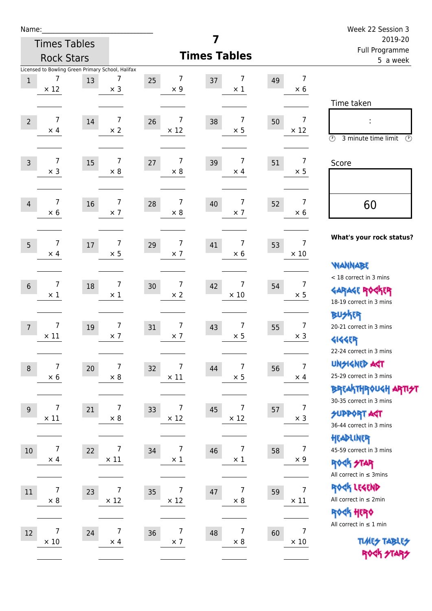| am<br>u |  |
|---------|--|
|---------|--|

|                                                 | <b>Rock Stars</b>                                                          |                                                 | <b>Times Tables</b>                | , an i rugramme<br>5 a week           |                                                                                                                          |
|-------------------------------------------------|----------------------------------------------------------------------------|-------------------------------------------------|------------------------------------|---------------------------------------|--------------------------------------------------------------------------------------------------------------------------|
| 7<br>$\mathbf{1}$<br>$\times$ 12                | Licensed to Bowling Green Primary School, Halifax<br>7<br>13<br>$\times$ 3 | 7<br>25<br>$\times$ 9                           | 7<br>37<br>$\times$ 1              | $\overline{7}$<br>49<br>$\times$ 6    |                                                                                                                          |
| $\overline{7}$<br>$\overline{2}$<br>$\times$ 4  | $\overline{7}$<br>14<br>$\times 2$                                         | 7<br>26<br>$\times$ 12                          | $\overline{7}$<br>38<br>$\times$ 5 | $\overline{7}$<br>50<br>$\times$ 12   | Time taken<br>Ĩ.<br>3 minute time limit<br>$\circled{r}$<br>⊙                                                            |
| $\overline{7}$<br>$\overline{3}$<br>$\times$ 3  | 7<br>15<br>$\times 8$                                                      | 7<br>27<br>$\times 8$                           | 7<br>39<br>$\times$ 4              | $\overline{7}$<br>51<br>$\times$ 5    | Score                                                                                                                    |
| 7<br>$\overline{4}$<br>$\times$ 6               | 7<br>16<br>$\times$ 7                                                      | 7<br>28<br>$\times$ 8                           | 7<br>40<br>$\times$ 7              | $\overline{7}$<br>52<br>$\times$ 6    | 60                                                                                                                       |
| 7<br>5<br>$\times$ 4                            | $\overline{7}$<br>17<br>$\times$ 5                                         | $\overline{7}$<br>29<br>$\times$ 7              | $\overline{7}$<br>41<br>$\times$ 6 | $\overline{7}$<br>53<br>$\times$ 10   | What's your rock status?<br><b>WANNABE</b>                                                                               |
| 7<br>$6\,$<br>$\times$ 1                        | $\overline{7}$<br>18<br>$\times$ 1                                         | $\overline{7}$<br>30 <sup>°</sup><br>$\times 2$ | 7<br>42<br>$\times$ 10             | $\overline{7}$<br>54<br>$\times$ 5    | < 18 correct in 3 mins<br><b>GARAGE ROCKER</b><br>18-19 correct in 3 mins                                                |
| $\overline{7}$<br>$\overline{7}$<br>$\times$ 11 | $\overline{7}$<br>$19\,$<br>$\times$ 7                                     | $\overline{7}$<br>31<br>$\times$ 7              | $\overline{7}$<br>43<br>$\times$ 5 | $\overline{7}$<br>55<br>$\times$ 3    | <b>BUSKER</b><br>20-21 correct in 3 mins<br><b>4144EP</b>                                                                |
| 7<br>8<br>$\times$ 6                            | 7<br>20<br>$\times$ 8                                                      | 7<br>32<br>$\times$ 11                          | 7<br>44<br>$\times$ 5              | $\overline{7}$<br>56<br>$\times$ 4    | 22-24 correct in 3 mins<br><b>UNSIGNED AGT</b><br>25-29 correct in 3 mins<br>BREAKTHROUGH <mark>ARTI<del>S</del>T</mark> |
| $\overline{7}$<br>$9$<br>$\times$ 11            | $\overline{7}$<br>21<br>$\times 8$                                         | 7<br>33<br>$\times$ 12                          | 7<br>45<br>$\times$ 12             | $\overline{7}$<br>57<br>$\times$ 3    | 30-35 correct in 3 mins<br><b>SUPPORT ART</b><br>36-44 correct in 3 mins                                                 |
| 7<br>$10\,$<br>$\times$ 4                       | $\overline{7}$<br>22<br>$\times$ 11                                        | $\overline{7}$<br>34<br>$\times$ 1              | $\overline{7}$<br>46<br>$\times$ 1 | $\overline{7}$<br>58<br>$\times$ 9    | HEADLINER<br>45-59 correct in 3 mins<br><b>ROCK STAR</b><br>All correct in $\leq$ 3mins                                  |
| $\overline{7}$<br>$11\,$<br>$\times 8$          | 7<br>23<br>$\times$ 12                                                     | 7<br>35<br>$\times$ 12                          | $\overline{7}$<br>47<br>$\times$ 8 | $\overline{7}$<br>59<br>$\times$ 11   | ROCK LEGEND<br>All correct in $\leq 2$ min<br>ROCK HERO                                                                  |
| 7<br>$12\,$<br>$\times$ 10                      | 7<br>24<br>$\times$ 4                                                      | 7<br>36<br>$\times$ 7                           | 7<br>48<br>$\times$ 8              | $\boldsymbol{7}$<br>60<br>$\times$ 10 | All correct in $\leq 1$ min<br><b>TUARS TABLES</b>                                                                       |
|                                                 |                                                                            |                                                 |                                    |                                       | ROCK STARS                                                                                                               |

**7**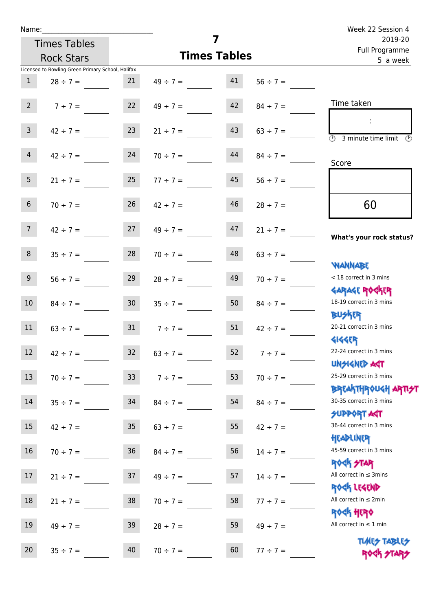| Name:           |                                                   |                 |                     |                           |               | Week 22 Session 4                                                |
|-----------------|---------------------------------------------------|-----------------|---------------------|---------------------------|---------------|------------------------------------------------------------------|
|                 | <b>Times Tables</b>                               |                 | 7                   | 2019-20<br>Full Programme |               |                                                                  |
|                 | <b>Rock Stars</b>                                 |                 | <b>Times Tables</b> | 5 a week                  |               |                                                                  |
|                 | Licensed to Bowling Green Primary School, Halifax |                 |                     |                           |               |                                                                  |
| $\mathbf{1}$    | $28 \div 7 =$                                     | 21              | $49 \div 7 = 41$    |                           | $56 \div 7 =$ |                                                                  |
| $2^{\circ}$     | $7 ÷ 7 =$                                         | 22              | $49 \div 7 =$       | 42                        | $84 \div 7 =$ | Time taken                                                       |
| 3 <sup>7</sup>  | $42 \div 7 =$                                     | 23              | $21 \div 7 =$       | 43                        | $63 \div 7 =$ | $\overline{\mathcal{O}}$<br>3 minute time limit<br>$\mathcal{O}$ |
| 4               | $42 \div 7 = 24$                                  |                 | $70 \div 7 =$       | 44                        | $84 \div 7 =$ | Score                                                            |
| 5 <sub>1</sub>  | $21 \div 7 =$                                     | 25              | $77 \div 7 =$       | 45                        | $56 \div 7 =$ |                                                                  |
| 6 <sup>1</sup>  | $70 \div 7 =$                                     | 26              | $42 \div 7 =$       | 46                        | $28 \div 7 =$ | 60                                                               |
| 7 <sup>7</sup>  | $42 \div 7 = 27$                                  |                 | $49 \div 7 =$       | 47                        | $21 \div 7 =$ | What's your rock status?                                         |
| 8               | $35 \div 7 =$                                     | 28              | $70 \div 7 =$       | 48                        | $63 \div 7 =$ | <b>NANNABE</b>                                                   |
| 9 <sub>o</sub>  | $56 \div 7 =$                                     | 29              | $28 \div 7 =$       | 49                        | $70 \div 7 =$ | < 18 correct in 3 mins<br><b>GARAGE ROCKER</b>                   |
| 10 <sup>°</sup> | $84 \div 7 =$                                     | 30 <sup>7</sup> | $35 \div 7 =$       | 50                        | $84 \div 7 =$ | 18-19 correct in 3 mins<br><b>BUSKER</b>                         |
| 11              | $63 \div 7 = 31$                                  |                 | $7 \div 7 =$        | 51                        | $42 \div 7 =$ | 20-21 correct in 3 mins<br><b>4144ER</b>                         |
| 12              | $42 \div 7 =$                                     | 32              | $63 \div 7 =$       | 52                        | $7 ÷ 7 =$     | 22-24 correct in 3 mins<br><b>UNSIGNED AGT</b>                   |
| 13              | $70 \div 7 =$                                     | 33 <sup>°</sup> | $7 ÷ 7 =$           | 53                        | $70 \div 7 =$ | 25-29 correct in 3 mins<br><b>BREAKTHROUGH ARTI<del>S</del>T</b> |
| 14              | $35 \div 7 =$                                     | 34              | $84 \div 7 =$       | 54                        | $84 \div 7 =$ | 30-35 correct in 3 mins<br><b>SUPPORT AGT</b>                    |
| 15              | $42 \div 7 =$                                     | 35              | $63 \div 7 =$       | 55                        | $42 \div 7 =$ | 36-44 correct in 3 mins<br>HEADLINER                             |
| 16              | $70 \div 7 =$                                     | 36              | $84 \div 7 =$       | 56                        | $14 \div 7 =$ | 45-59 correct in 3 mins<br><b>ROCK STAR</b>                      |
| 17              | $21 \div 7 =$                                     | 37              | $49 \div 7 =$       | 57                        | $14 \div 7 =$ | All correct in $\leq$ 3mins<br>ROCK LEGEND                       |
| 18              | $21 \div 7 =$                                     | 38              | $70 \div 7 =$       | 58                        | $77 \div 7 =$ | All correct in $\leq 2$ min<br><b>ROCK HERO</b>                  |
| 19              | $49 \div 7 =$                                     | 39              | $28 \div 7 =$       | 59                        | $49 \div 7 =$ | All correct in $\leq 1$ min                                      |
| 20              | $35 ÷ 7 =$                                        | 40              | $70 \div 7 =$       | 60                        | $77 ÷ 7 =$    | <b>TUARS TABLES</b><br>ROCK STARS                                |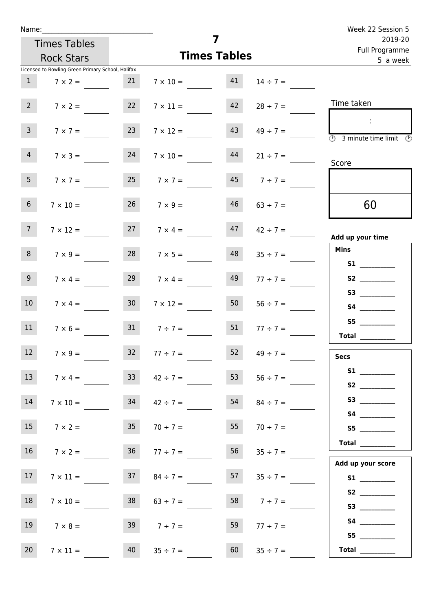| Name:           |                                                   |                 |                     | 7                         |               | Week 22 Session 5                                                                               |
|-----------------|---------------------------------------------------|-----------------|---------------------|---------------------------|---------------|-------------------------------------------------------------------------------------------------|
|                 | <b>Times Tables</b>                               |                 |                     | 2019-20<br>Full Programme |               |                                                                                                 |
|                 | <b>Rock Stars</b>                                 |                 |                     | <b>Times Tables</b>       |               | 5 a week                                                                                        |
|                 | Licensed to Bowling Green Primary School, Halifax |                 |                     |                           |               |                                                                                                 |
| 1               | $7 \times 2 =$                                    | 21              | $7 \times 10 =$     | 41                        | $14 \div 7 =$ |                                                                                                 |
| 2 <sup>7</sup>  | $7 \times 2 =$                                    | 22              | $7 \times 11 =$     | 42                        | $28 \div 7 =$ | Time taken                                                                                      |
| 3 <sup>7</sup>  | $7 \times 7 =$                                    | 23              | $7 \times 12 =$     | 43                        | $49 \div 7 =$ | $\mathbb{R}^n$<br>$\overline{\textcircled{2}}$ 3 minute time limit $\overline{\textcircled{2}}$ |
| $\overline{4}$  | $7 \times 3 =$                                    | 24              | $7 \times 10 =$     | 44                        | $21 \div 7 =$ | Score                                                                                           |
| 5 <sub>1</sub>  | $7 \times 7 =$                                    | 25              | $7 \times 7 =$      | 45                        | $7 ÷ 7 =$     |                                                                                                 |
| 6 <sup>1</sup>  | $7 \times 10 =$                                   | 26              | $7 \times 9 =$      | 46                        | $63 \div 7 =$ | 60                                                                                              |
| 7 <sup>7</sup>  | $7 \times 12 =$                                   | 27              | $7 \times 4 =$      | 47                        | $42 \div 7 =$ | Add up your time                                                                                |
| 8               | $7 \times 9 =$                                    | 28              | $7 \times 5 =$      | 48                        | $35 \div 7 =$ | <b>Mins</b><br><b>S1 S1</b>                                                                     |
| 9 <sub>o</sub>  | $7 \times 4 =$                                    | 29              | $7 \times 4 =$      | 49                        | $77 \div 7 =$ |                                                                                                 |
| 10              | $7 \times 4 =$                                    | 30 <sup>°</sup> | $7 \times 12 =$     | 50                        | $56 \div 7 =$ |                                                                                                 |
| 11              | $7 \times 6 =$                                    |                 | $31 \t 7 \div 7 =$  | 51                        | $77 \div 7 =$ | S5<br>Total                                                                                     |
| 12              | $7 \times 9 =$                                    | 32              | $77 ÷ 7 =$          | 52                        | $49 \div 7 =$ | <b>Secs</b>                                                                                     |
| 13              | $7 \times 4 =$                                    | 33 <sup>2</sup> | $42 \div 7 =$       | 53                        | $56 \div 7 =$ | S2                                                                                              |
| 14              | $7 \times 10 =$                                   | 34              | $42 \div 7 =$       | 54                        | $84 \div 7 =$ | S3                                                                                              |
| 15              | $7 \times 2 =$                                    | 35              | $70 \div 7 =$       | 55                        | $70 \div 7 =$ | S5                                                                                              |
| 16              | $7 \times 2 =$                                    |                 | $36 \t 77 \div 7 =$ | 56                        | $35 \div 7 =$ | <b>Total</b><br>Add up your score                                                               |
| 17 <sub>1</sub> | $7 \times 11 =$                                   | 37              | $84 \div 7 =$       | 57                        | $35 \div 7 =$ | <b>S1 S1</b>                                                                                    |
| 18              | $7 \times 10 =$                                   | 38              | $63 \div 7 =$       | 58                        | $7 \div 7 =$  |                                                                                                 |
| 19              | $7 \times 8 =$                                    | 39              | $7 ÷ 7 =$           | 59                        | $77 \div 7 =$ | S5                                                                                              |
| 20              | $7 \times 11 =$                                   | 40              | $35 \div 7 =$       | 60                        | $35 \div 7 =$ | Total $\qquad$                                                                                  |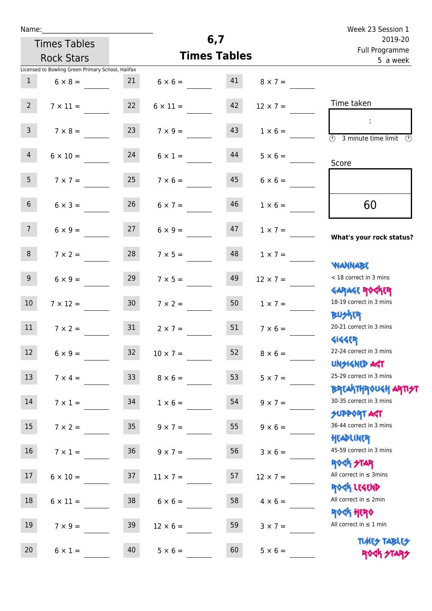|  | Name: |  |
|--|-------|--|
|  |       |  |

Times Tables

|                 | <b>Times Tables</b><br><b>Rock Stars</b>          |                 |                      |    |                   | i uli rivyialillile<br>5 a week                 |  |  |
|-----------------|---------------------------------------------------|-----------------|----------------------|----|-------------------|-------------------------------------------------|--|--|
|                 | Licensed to Bowling Green Primary School, Halifax |                 |                      |    |                   |                                                 |  |  |
| $\mathbf{1}$    | $6 \times 8 =$                                    | 21              | $6 \times 6 =$       | 41 | $8 \times 7 =$    |                                                 |  |  |
| 2 <sup>7</sup>  | $7 \times 11 =$                                   | 22              | $6 \times 11 =$      | 42 | $12 \times 7 =$   | Time taken                                      |  |  |
|                 |                                                   |                 |                      |    |                   |                                                 |  |  |
| $\mathbf{3}$    | $7 \times 8 = 23$                                 |                 | $7 \times 9 =$       | 43 | $1 \times 6 =$    | $\circled{r}$<br>3 minute time limit<br>$\odot$ |  |  |
| $\overline{4}$  | $6 \times 10 =$                                   | 24              | $6 \times 1 =$       | 44 | $5 \times 6 =$    |                                                 |  |  |
|                 |                                                   |                 |                      |    |                   | Score                                           |  |  |
| 5 <sub>1</sub>  | $7 \times 7 =$                                    | 25              | $7 \times 6 =$       | 45 | $6 \times 6 =$    |                                                 |  |  |
| 6 <sup>1</sup>  | $6 \times 3 =$                                    | 26              | $6 \times 7 =$       | 46 | $1 \times 6 =$    | 60                                              |  |  |
|                 |                                                   |                 |                      |    |                   |                                                 |  |  |
| 7 <sup>7</sup>  | $6 \times 9 =$                                    | 27              | $6 \times 9 =$       | 47 | $1 \times 7 =$    | What's your rock status?                        |  |  |
| 8               | $7 \times 2 =$                                    | 28              | $7 \times 5 =$       | 48 |                   |                                                 |  |  |
|                 |                                                   |                 |                      |    | $1 \times 7 =$    | <b>NANNABE</b>                                  |  |  |
| 9 <sub>o</sub>  | $6 \times 9 =$                                    | 29              | $7 \times 5 =$       | 49 | $12 \times 7 =$   | < 18 correct in 3 mins                          |  |  |
|                 |                                                   |                 |                      |    |                   | <b>GARAGE ROCKER</b>                            |  |  |
| 10 <sup>°</sup> | $7 \times 12 =$                                   | 30 <sub>o</sub> | $7 \times 2 =$       | 50 | $1 \times 7 =$    | 18-19 correct in 3 mins                         |  |  |
|                 |                                                   |                 |                      |    |                   | <b>BUSKER</b>                                   |  |  |
| 11              | $7 \times 2 =$                                    | 31              | $2 \times 7 =$       | 51 | $7 \times 6 =$    | 20-21 correct in 3 mins                         |  |  |
| 12              | $6 \times 9 =$                                    | 32              | $10 \times 7 =$      | 52 | $8 \times 6 =$    | <b>4144EP</b><br>22-24 correct in 3 mins        |  |  |
|                 |                                                   |                 |                      |    |                   | <b>UNSIGNED AGT</b>                             |  |  |
| 13              | $7 \times 4 =$                                    |                 | $33 \t 8 \times 6 =$ |    | 53 $5 \times 7 =$ | 25-29 correct in 3 mins                         |  |  |
|                 |                                                   |                 |                      |    |                   | <b>BREAKTHROUGH ARTI<del>S</del>T</b>           |  |  |
| 14              | $7 \times 1 =$                                    | 34              | $1 \times 6 =$       | 54 | $9 \times 7 =$    | 30-35 correct in 3 mins                         |  |  |
|                 |                                                   |                 |                      |    |                   | <b>SUPPORT AGT</b>                              |  |  |
| 15              | $7 \times 2 =$                                    | 35 <sub>1</sub> | $9 \times 7 =$       | 55 | $9 \times 6 =$    | 36-44 correct in 3 mins<br>HEADLINER            |  |  |
| 16 <sup>1</sup> | $7 \times 1 =$                                    | 36 <sup>°</sup> | $9 \times 7 =$       | 56 | $3 \times 6 =$    | 45-59 correct in 3 mins                         |  |  |
|                 |                                                   |                 |                      |    |                   | <b>ROCK STAR</b>                                |  |  |
| 17              | $6 \times 10 =$                                   | 37              | $11 \times 7 =$      | 57 | $12 \times 7 =$   | All correct in $\leq$ 3mins                     |  |  |
|                 |                                                   |                 |                      |    |                   | ROCK LEGEND                                     |  |  |
| 18              | $6 \times 11 =$                                   | 38              | $6 \times 6 =$       | 58 | $4 \times 6 =$    | All correct in $\leq 2$ min                     |  |  |
|                 |                                                   |                 |                      |    |                   | ROCK HERO<br>All correct in $\leq 1$ min        |  |  |
| 19              | $7 \times 9 =$                                    | 39              | $12 \times 6 =$      | 59 | $3 \times 7 =$    |                                                 |  |  |
| 20              | $6 \times 1 =$                                    | 40              | $5 \times 6 =$       | 60 | $5 \times 6 =$    | <b>TUARS TABLES</b><br>ROCK STAP                |  |  |
|                 |                                                   |                 |                      |    |                   |                                                 |  |  |

**6,7**

**Times Tables**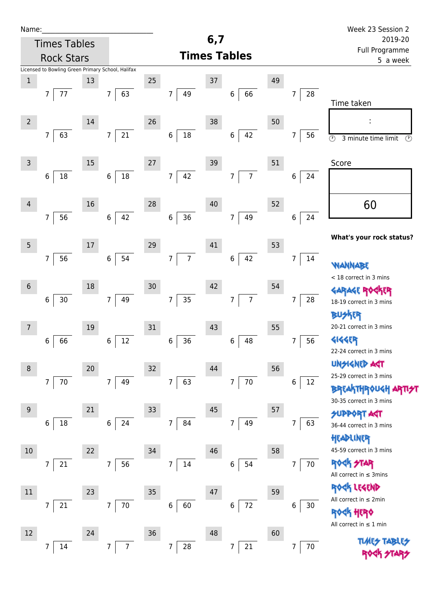| Name:            |                                                   |    |                          |    |                                  |     |                                  |    |                      | Week 23 Session 2                                                     |
|------------------|---------------------------------------------------|----|--------------------------|----|----------------------------------|-----|----------------------------------|----|----------------------|-----------------------------------------------------------------------|
|                  | <b>Times Tables</b>                               |    |                          |    |                                  | 6,7 |                                  |    |                      | 2019-20                                                               |
|                  | <b>Rock Stars</b>                                 |    |                          |    |                                  |     | <b>Times Tables</b>              |    |                      | Full Programme<br>5 a week                                            |
|                  | Licensed to Bowling Green Primary School, Halifax |    |                          |    |                                  |     |                                  |    |                      |                                                                       |
| $\,1$            |                                                   | 13 |                          | 25 |                                  | 37  |                                  | 49 |                      |                                                                       |
|                  | 77<br>7                                           |    | 63<br>$\overline{7}$     |    | $\overline{7}$<br>49             |     | 66<br>$\boldsymbol{6}$           |    | 28<br>7              | Time taken                                                            |
|                  |                                                   |    |                          |    |                                  |     |                                  |    |                      |                                                                       |
| $\overline{2}$   |                                                   | 14 |                          | 26 |                                  | 38  |                                  | 50 |                      |                                                                       |
|                  | 63<br>$\overline{7}$                              |    | $21\,$<br>$\overline{7}$ |    | $18\,$<br>$\bf 6$                |     | 42<br>$\boldsymbol{6}$           |    | 56<br>7              | $\overline{\odot}$<br>$\overline{\mathcal{O}}$<br>3 minute time limit |
|                  |                                                   |    |                          |    |                                  |     |                                  |    |                      |                                                                       |
| $\overline{3}$   |                                                   | 15 |                          | 27 |                                  | 39  |                                  | 51 |                      | Score                                                                 |
|                  | 18<br>$\,6\,$                                     |    | $18\,$<br>6              |    | $\overline{7}$<br>42             |     | $\overline{7}$<br>$\overline{7}$ |    | 6<br>24              |                                                                       |
|                  |                                                   |    |                          |    |                                  |     |                                  |    |                      |                                                                       |
| $\overline{4}$   |                                                   | 16 |                          | 28 |                                  | 40  |                                  | 52 |                      | 60                                                                    |
|                  | 56<br>$\overline{7}$                              |    | 42<br>$\,6$              |    | $\bf 6$<br>36                    |     | $\overline{7}$<br>49             |    | $\,$ 6 $\,$<br>24    |                                                                       |
|                  |                                                   |    |                          |    |                                  |     |                                  |    |                      | What's your rock status?                                              |
| $\overline{5}$   |                                                   | 17 |                          | 29 |                                  | 41  |                                  | 53 |                      |                                                                       |
|                  | $\overline{7}$<br>56                              |    | 54<br>6                  |    | $\overline{7}$<br>$\overline{7}$ |     | 42<br>$\,6$                      |    | 14<br>7              | NANNABE                                                               |
|                  |                                                   |    |                          |    |                                  |     |                                  |    |                      | < 18 correct in 3 mins                                                |
| $6\,$            |                                                   | 18 |                          | 30 |                                  | 42  |                                  | 54 |                      | <b>FR</b>                                                             |
|                  | $30$<br>6                                         |    | 49<br>$\overline{7}$     |    | $\overline{7}$<br>35             |     | $\overline{7}$<br>$\overline{7}$ |    | 28<br>7              | 18-19 correct in 3 mins                                               |
|                  |                                                   |    |                          |    |                                  |     |                                  |    |                      | <b>BUSKER</b>                                                         |
| 7                |                                                   | 19 |                          | 31 |                                  | 43  |                                  | 55 |                      | 20-21 correct in 3 mins                                               |
|                  | 66<br>6                                           |    | $12\,$<br>6              |    | 36<br>6                          |     | 48<br>6                          |    | 56<br>7              | <b>4144ER</b>                                                         |
|                  |                                                   |    |                          |    |                                  |     |                                  |    |                      | 22-24 correct in 3 mins                                               |
| $\, 8$           |                                                   | 20 |                          | 32 |                                  | 44  |                                  | 56 |                      | <b>UNSIGNED AST</b>                                                   |
|                  | $\overline{7}$<br>$70\,$                          |    | $\overline{7}$<br>49     |    | $\overline{7}$<br>63             |     | $70\,$<br>$\overline{7}$         |    | 6<br>12              | 25-29 correct in 3 mins<br><b>BREAKTHROUGH</b>                        |
|                  |                                                   |    |                          |    |                                  |     |                                  |    |                      | 30-35 correct in 3 mins                                               |
| $\boldsymbol{9}$ |                                                   | 21 |                          | 33 |                                  | 45  |                                  | 57 |                      | <b>SUPPORT AGT</b>                                                    |
|                  | 18<br>6                                           |    | 24<br>6                  |    | $\overline{7}$<br>84             |     | $\overline{7}$<br>49             |    | 63<br>7              | 36-44 correct in 3 mins                                               |
|                  |                                                   |    |                          |    |                                  |     |                                  |    |                      | HEADLINER                                                             |
| $10\,$           |                                                   | 22 |                          | 34 |                                  | 46  |                                  | 58 |                      | 45-59 correct in 3 mins                                               |
|                  | 21<br>7                                           |    | 56<br>$\overline{7}$     |    | $\overline{7}$<br>14             |     | 54<br>6                          |    | 70<br>$\overline{7}$ | <b>ROCK STAR</b>                                                      |
|                  |                                                   |    |                          |    |                                  |     |                                  |    |                      | All correct in $\leq$ 3mins                                           |
| 11               |                                                   | 23 |                          | 35 |                                  | 47  |                                  | 59 |                      | ROCK LEGEND                                                           |
|                  | 7<br>21                                           |    | 70<br>$\overline{7}$     |    | 60<br>6                          |     | $72\,$<br>6                      |    | 30<br>6              | All correct in $\leq 2$ min                                           |
|                  |                                                   |    |                          |    |                                  |     |                                  |    |                      | <b>ROCK HERO</b><br>All correct in $\leq 1$ min                       |
| 12               |                                                   | 24 |                          | 36 |                                  | 48  |                                  | 60 |                      |                                                                       |
|                  | 14<br>7                                           |    | $\overline{7}$<br>7      |    | ${\bf 28}$<br>7                  |     | $21\,$<br>7                      |    | 70<br>7              | <b>TUARS TABLES</b>                                                   |
|                  |                                                   |    |                          |    |                                  |     |                                  |    |                      |                                                                       |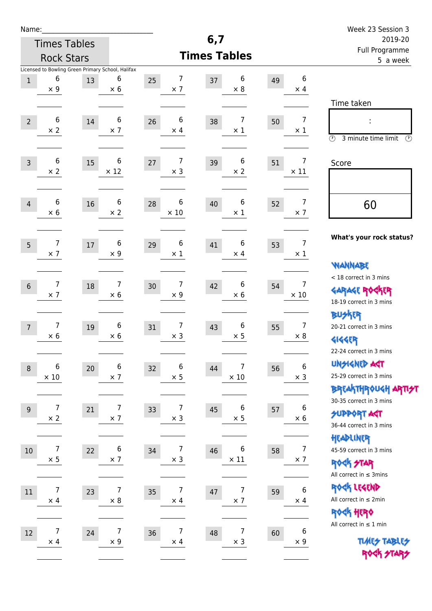| Name:                                                      |                                                                   | Week 23 Session 3                                                |
|------------------------------------------------------------|-------------------------------------------------------------------|------------------------------------------------------------------|
| <b>Times Tables</b>                                        | 6,7                                                               | 2019-20<br>Full Programme                                        |
| <b>Rock Stars</b>                                          | <b>Times Tables</b>                                               | 5 a week                                                         |
| Licensed to Bowling Green Primary School, Halifax          |                                                                   |                                                                  |
| 6<br>6<br>$\,1$<br>13<br>$\times$ 9<br>$\times$ 6          | 7<br>6<br>25<br>37<br>49<br>$\times$ 7<br>$\times 8$              | 6<br>$\times$ 4                                                  |
|                                                            |                                                                   | Time taken                                                       |
| 6<br>6                                                     | $6\phantom{1}6$<br>7                                              | $\boldsymbol{7}$                                                 |
| 14<br>$\overline{2}$<br>$\times$ 2<br>$\times$ 7           | 38<br>26<br>50<br>$\times$ 4<br>$\times$ 1                        | $\times$ 1                                                       |
|                                                            |                                                                   | $\circled{r}$<br>3 minute time limit<br>$\mathcal{O}$            |
| 6<br>6<br>15<br>$\overline{3}$                             | 7<br>6<br>27<br>39<br>51                                          | $\overline{7}$<br>Score                                          |
| $\times 2$<br>$\times$ 12                                  | $\times$ 3<br>$\times$ 2                                          | $\times$ 11                                                      |
|                                                            |                                                                   |                                                                  |
| 6<br>6<br>16<br>$\overline{4}$                             | 6<br>6<br>28<br>40<br>52                                          | $\overline{7}$<br>60                                             |
| $\times$ 6<br>$\times 2$                                   | $\times$ 10<br>$\times$ 1                                         | $\times$ 7                                                       |
|                                                            |                                                                   |                                                                  |
| $\overline{7}$<br>6<br>5<br>$17\,$                         | 6<br>6<br>41<br>29<br>53                                          | What's your rock status?<br>$\overline{7}$                       |
| $\times$ 7<br>$\times$ 9                                   | $\times$ 1<br>$\times$ 4                                          | $\times$ 1                                                       |
|                                                            |                                                                   | <b>NANNABE</b>                                                   |
| 7<br>7<br>$6\,$<br>18                                      | 7<br>6<br>42<br>30<br>54                                          | < 18 correct in 3 mins<br>7                                      |
| $\times$ 7<br>$\times$ 6                                   | $\times 6$<br>$\times$ 9                                          | <b>GARAGE ROCKER</b><br>$\times$ 10<br>18-19 correct in 3 mins   |
|                                                            |                                                                   | <b>BUSKER</b>                                                    |
| $\overline{7}$<br>6<br>19<br>$\overline{7}$                | 7<br>6<br>43<br>31<br>55                                          | $\overline{7}$<br>20-21 correct in 3 mins                        |
| $\times$ 6<br>$\times$ 6                                   | $\times$ 3<br>$\times$ 5                                          | $\times 8$<br><b>4144EP</b>                                      |
|                                                            |                                                                   | 22-24 correct in 3 mins                                          |
| 6<br>$\,6$<br>$20\,$<br>$\, 8$                             | 6<br>7<br>44<br>32<br>56                                          | <b>UNSIGNED AGT</b><br>$\bf 6$                                   |
| $\times$ 10<br>$\times$ 7                                  | $\times$ 10<br>$\times$ 5                                         | 25-29 correct in 3 mins<br>$\times$ 3                            |
|                                                            |                                                                   | <b>BREAKTHROUGH ARTI<del>S</del>T</b><br>30-35 correct in 3 mins |
| $\overline{7}$<br>$\overline{7}$<br>21<br>$\boldsymbol{9}$ | 7<br>6<br>45<br>$33$<br>57                                        | 6<br><b>SUPPORT ART</b>                                          |
| $\times$ 2<br>$\times$ 7                                   | $\times$ 3<br>$\times$ 5                                          | $\times$ 6<br>36-44 correct in 3 mins                            |
|                                                            |                                                                   | HEADLINER                                                        |
| 7<br>6<br>22<br>$10\,$                                     | 7<br>6<br>34<br>46<br>58                                          | $\overline{7}$<br>45-59 correct in 3 mins                        |
| $\times$ 5<br>$\times$ 7                                   | $\times$ 11<br>$\times$ 3                                         | $\times$ 7<br><b>ROCK STAR</b>                                   |
|                                                            |                                                                   | All correct in $\leq$ 3mins                                      |
| 7<br>$\overline{7}$<br>$11\,$<br>23                        | $\overline{7}$<br>7<br>35<br>47<br>59                             | ROCK LEGEND<br>$\bf 6$<br>All correct in $\leq 2$ min            |
| $\times$ 8<br>$\times$ 4                                   | $\times$ 7<br>$\times$ 4                                          | $\times$ 4<br>ROCK HERO                                          |
|                                                            |                                                                   | All correct in $\leq 1$ min                                      |
| 7<br>$\overline{7}$<br>12<br>24<br>$\times$ 9              | $\overline{7}$<br>7<br>36<br>48<br>60<br>$\times$ 3<br>$\times$ 4 | $\boldsymbol{6}$<br><b>TUARS TABLES</b><br>$\times$ 9            |
| $\times$ 4                                                 |                                                                   | ROCK STARS                                                       |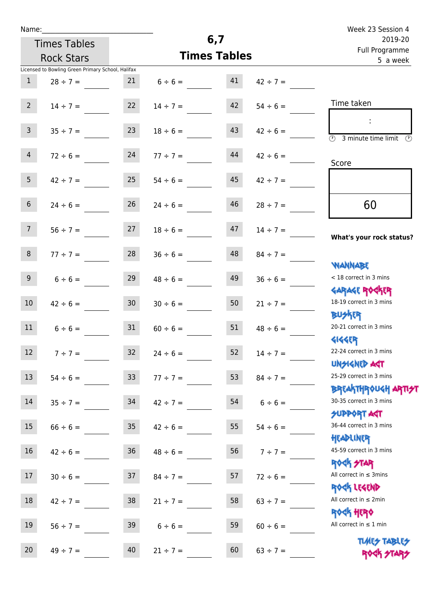| Name:           |                                                   |                 |                     |                           |               | Week 23 Session 4                                                |
|-----------------|---------------------------------------------------|-----------------|---------------------|---------------------------|---------------|------------------------------------------------------------------|
|                 | <b>Times Tables</b>                               |                 | 6,7                 | 2019-20<br>Full Programme |               |                                                                  |
|                 | <b>Rock Stars</b>                                 |                 | <b>Times Tables</b> |                           |               | 5 a week                                                         |
|                 | Licensed to Bowling Green Primary School, Halifax |                 |                     |                           |               |                                                                  |
| $\mathbf{1}$    | $28 \div 7 =$                                     | 21              | $6 \div 6 =$        | 41                        | $42 \div 7 =$ |                                                                  |
| $2^{\circ}$     | $14 \div 7 =$                                     | 22              | $14 \div 7 =$       | 42                        | $54 \div 6 =$ | Time taken                                                       |
| 3 <sup>7</sup>  | $35 \div 7 =$                                     | 23              | $18 \div 6 =$       | 43                        | $42 \div 6 =$ | $\circled{r}$<br>3 minute time limit                             |
| $\overline{4}$  | $72 \div 6 =$                                     | 24              | $77 \div 7 =$       | 44                        | $42 \div 6 =$ | Score                                                            |
| 5 <sub>1</sub>  | $42 \div 7 =$                                     | 25              | $54 \div 6 =$       | 45                        | $42 \div 7 =$ |                                                                  |
| $6\overline{6}$ | $24 \div 6 =$                                     | 26              | $24 \div 6 =$       | 46                        | $28 \div 7 =$ | 60                                                               |
| 7 <sup>7</sup>  | $56 \div 7 =$                                     | 27              | $18 \div 6 =$       | 47                        | $14 \div 7 =$ | What's your rock status?                                         |
| 8               | $77 \div 7 =$                                     | 28              | $36 \div 6 =$       | 48                        | $84 \div 7 =$ | <b>NANNABE</b>                                                   |
| 9 <sub>o</sub>  | $6 \div 6 =$                                      | 29              | $48 \div 6 =$       | 49                        | $36 \div 6 =$ | < 18 correct in 3 mins<br><b>GARAGE ROGKER</b>                   |
| 10              | $42 \div 6 =$                                     | 30 <sup>°</sup> | $30 \div 6 =$       | 50                        | $21 \div 7 =$ | 18-19 correct in 3 mins<br><b>BUSKER</b>                         |
| 11              | $6 \div 6 =$                                      | 31              | $60 \div 6 =$       | 51                        | $48 \div 6 =$ | 20-21 correct in 3 mins<br>41445                                 |
| $12\,$          | $7 ÷ 7 =$                                         | 32              | $24 \div 6 =$       | 52                        | $14 \div 7 =$ | 22-24 correct in 3 mins<br><b>UNSIGNED AGT</b>                   |
| 13              | $54 \div 6 =$                                     | 33 <sup>°</sup> | $77 \div 7 =$       | 53                        | $84 \div 7 =$ | 25-29 correct in 3 mins<br><b>BREAKTHROUGH ARTI<del>S</del>T</b> |
| 14              | $35 \div 7 =$                                     | 34              | $42 \div 7 =$       | 54                        | $6 \div 6 =$  | 30-35 correct in 3 mins<br><b>SUPPORT AGT</b>                    |
| 15              | $66 \div 6 =$                                     | 35 <sub>o</sub> | $42 \div 6 =$       | 55                        | $54 \div 6 =$ | 36-44 correct in 3 mins<br>HEADLINER                             |
| 16              | $42 \div 6 =$                                     | 36              | $48 \div 6 =$       | 56                        | $7 ÷ 7 =$     | 45-59 correct in 3 mins<br><b>ROCK STAR</b>                      |
| 17              | $30 \div 6 =$                                     | 37              | $84 \div 7 =$       | 57                        | $72 \div 6 =$ | All correct in $\leq$ 3mins<br>ROCK LEGEND                       |
| 18              | $42 \div 7 =$                                     | 38              | $21 \div 7 =$       | 58                        | $63 \div 7 =$ | All correct in $\leq 2$ min                                      |
| 19              | $56 \div 7 =$                                     | 39              | $6 \div 6 =$        | 59                        | $60 \div 6 =$ | ROCK HERO<br>All correct in $\leq 1$ min                         |

**TIMES TABLES** 20  $49 \div 7 =$  40  $21 \div 7 =$  60  $63 \div 7 =$  ROCK FIAR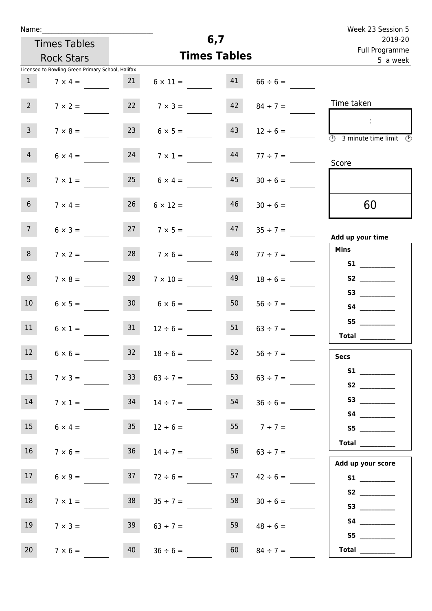|  | Name: |  |
|--|-------|--|
|  |       |  |

| Name:           |                                                   |                 |                 |                     |                            | Week 23 Session 5                                                                                                                                                                                                                       |
|-----------------|---------------------------------------------------|-----------------|-----------------|---------------------|----------------------------|-----------------------------------------------------------------------------------------------------------------------------------------------------------------------------------------------------------------------------------------|
|                 | <b>Times Tables</b>                               |                 |                 | 6,7                 | 2019-20                    |                                                                                                                                                                                                                                         |
|                 | <b>Rock Stars</b>                                 |                 |                 | <b>Times Tables</b> | Full Programme<br>5 a week |                                                                                                                                                                                                                                         |
|                 | Licensed to Bowling Green Primary School, Halifax |                 |                 |                     |                            |                                                                                                                                                                                                                                         |
| $\mathbf{1}$    | $7 \times 4 =$                                    | 21              | $6 \times 11 =$ | 41                  | $66 \div 6 =$              |                                                                                                                                                                                                                                         |
| $2^{\circ}$     | $7 \times 2 =$                                    | 22              | $7 \times 3 =$  | 42                  | $84 \div 7 =$              | Time taken                                                                                                                                                                                                                              |
| $\overline{3}$  | $7 \times 8 =$                                    | 23              | $6 \times 5 =$  | 43                  | $12 \div 6 =$              | ÷.<br>$\circled{r}$<br>3 minute time limit<br>$\circled{r}$                                                                                                                                                                             |
| $\overline{4}$  | $6 \times 4 =$                                    | 24              | $7 \times 1 =$  | 44                  | $77 \div 7 =$              | Score                                                                                                                                                                                                                                   |
| 5 <sub>1</sub>  | $7 \times 1 =$                                    | 25              | $6 \times 4 =$  | 45                  | $30 \div 6 =$              |                                                                                                                                                                                                                                         |
| 6 <sup>1</sup>  | $7 \times 4 =$                                    | 26              | $6 \times 12 =$ | 46                  | $30 \div 6 =$              | 60                                                                                                                                                                                                                                      |
| 7 <sup>7</sup>  | $6 \times 3 =$                                    | 27              | $7 \times 5 =$  | 47                  | $35 \div 7 =$              | Add up your time                                                                                                                                                                                                                        |
| 8               | $7 \times 2 =$                                    | 28              | $7 \times 6 =$  | 48                  | $77 \div 7 =$              | <b>Mins</b>                                                                                                                                                                                                                             |
| 9 <sub>o</sub>  | $7 \times 8 =$                                    | 29              | $7 \times 10 =$ | 49                  | $18 \div 6 =$              | S <sub>2</sub> and the set of the set of the set of the set of the set of the set of the set of the set of the set of the set of the set of the set of the set of the set of the set of the set of the set of the set of the set of the |
| 10 <sup>°</sup> | $6 \times 5 =$                                    | 30 <sub>o</sub> | $6 \times 6 =$  | 50                  | $56 \div 7 =$              | S3                                                                                                                                                                                                                                      |
| 11              |                                                   | 21              |                 | ma <sub>r</sub>     |                            |                                                                                                                                                                                                                                         |

| 55.                                                                                                                                                                                                                                     | $63 \div 7 =$ | 51 | $12 \div 6 =$ | 31 | $6 \times 1 =$ | 11               |
|-----------------------------------------------------------------------------------------------------------------------------------------------------------------------------------------------------------------------------------------|---------------|----|---------------|----|----------------|------------------|
| <b>Total</b>                                                                                                                                                                                                                            |               |    |               |    |                |                  |
| <b>Secs</b>                                                                                                                                                                                                                             | $56 \div 7 =$ | 52 | $18 \div 6 =$ | 32 | $6 \times 6 =$ | 12               |
| <b>S1</b>                                                                                                                                                                                                                               | $63 \div 7 =$ | 53 | $63 \div 7 =$ | 33 | $7 \times 3 =$ | 13 <sup>°</sup>  |
| S <sub>2</sub> and the set of the set of the set of the set of the set of the set of the set of the set of the set of the set of the set of the set of the set of the set of the set of the set of the set of the set of the set of the |               |    |               |    |                |                  |
| <b>S3</b>                                                                                                                                                                                                                               | $36 \div 6 =$ | 54 | $14 \div 7 =$ | 34 | $7 \times 1 =$ | 14               |
| <b>S4</b>                                                                                                                                                                                                                               |               |    |               |    |                |                  |
| S <sub>5</sub>                                                                                                                                                                                                                          | $7 ÷ 7 =$     | 55 | $12 \div 6 =$ | 35 | $6 \times 4 =$ | 15 <sup>15</sup> |
| <b>Total</b>                                                                                                                                                                                                                            | $63 \div 7 =$ | 56 | $14 \div 7 =$ | 36 | $7 \times 6 =$ | 16 <sup>1</sup>  |
| Add up your score                                                                                                                                                                                                                       |               |    |               |    |                |                  |
| <b>S1</b>                                                                                                                                                                                                                               | $42 \div 6 =$ | 57 | $72 \div 6 =$ | 37 | $6 \times 9 =$ | 17 <sup>1</sup>  |
| <b>S2</b>                                                                                                                                                                                                                               |               |    |               |    |                |                  |
| <b>S3</b>                                                                                                                                                                                                                               | $30 \div 6 =$ | 58 | $35 ÷ 7 =$    | 38 | $7 \times 1 =$ | 18               |

|                   |               | 56 |               |    |                | 16              |
|-------------------|---------------|----|---------------|----|----------------|-----------------|
|                   | $63 \div 7 =$ |    | $14 \div 7 =$ | 36 | $7 \times 6 =$ |                 |
| Add up your score |               |    |               |    |                |                 |
| S1                | $42 \div 6 =$ | 57 | $72 \div 6 =$ | 37 | $6 \times 9 =$ | 17 <sup>1</sup> |
| S <sub>2</sub>    | $30 \div 6 =$ | 58 | $35 ÷ 7 =$    | 38 | $7 \times 1 =$ | 18              |
| S3                |               |    |               |    |                |                 |
| <b>S4</b>         | $48 \div 6 =$ | 59 | $63 \div 7 =$ | 39 | $7 \times 3 =$ | 19              |
| S <sub>5</sub>    |               |    |               |    |                |                 |
| <b>Total</b>      | $84 \div 7 =$ | 60 | $36 \div 6 =$ | 40 | $7 \times 6 =$ | 20              |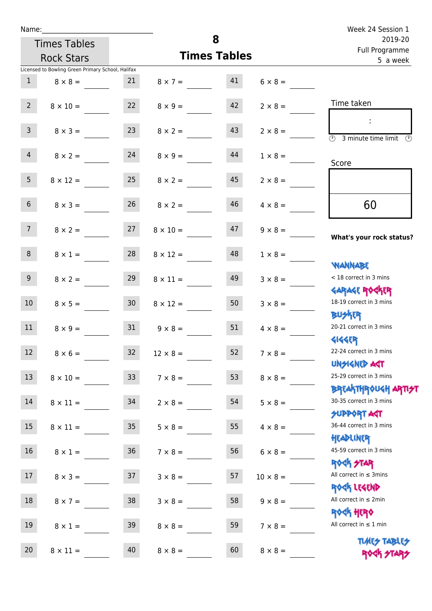| Name:           |                                                   |                 |                     |          |                           | Week 24 Session 1                                                |
|-----------------|---------------------------------------------------|-----------------|---------------------|----------|---------------------------|------------------------------------------------------------------|
|                 | <b>Times Tables</b>                               |                 |                     | 8        | 2019-20<br>Full Programme |                                                                  |
|                 | <b>Rock Stars</b>                                 |                 | <b>Times Tables</b> | 5 a week |                           |                                                                  |
|                 | Licensed to Bowling Green Primary School, Halifax |                 |                     |          |                           |                                                                  |
| $\mathbf{1}$    | $8 \times 8 =$                                    | 21              | $8 \times 7 = 41$   |          | $6 \times 8 =$            |                                                                  |
| 2 <sup>7</sup>  | $8 \times 10 =$                                   | 22              | $8 \times 9 =$      | 42       | $2 \times 8 =$            | Time taken                                                       |
| 3 <sup>7</sup>  |                                                   | 23              |                     | 43       |                           |                                                                  |
|                 | $8 \times 3 =$                                    |                 | $8 \times 2 =$      |          | $2 \times 8 =$            | $\overline{(\mathcal{V})}$<br>3 minute time limit                |
| $\overline{4}$  | $8 \times 2 =$                                    | 24              | $8 \times 9 =$      | 44       | $1 \times 8 =$            | Score                                                            |
| 5 <sup>5</sup>  | $8 \times 12 =$                                   | 25              | $8 \times 2 =$      | 45       | $2 \times 8 =$            |                                                                  |
| $6\overline{6}$ | $8 \times 3 =$                                    | 26              | $8 \times 2 =$      | 46       | $4 \times 8 =$            | 60                                                               |
| 7 <sup>7</sup>  | $8 \times 2 =$                                    | 27              | $8 \times 10 =$     | 47       | $9 \times 8 =$            | What's your rock status?                                         |
| 8               | $8 \times 1 =$                                    | 28              | $8 \times 12 =$     | 48       | $1 \times 8 =$            |                                                                  |
| 9 <sub>o</sub>  | $8 \times 2 =$                                    | 29              | $8 \times 11 =$     | 49       | $3 \times 8 =$            | <b>NANNABE</b><br>< 18 correct in 3 mins                         |
| 10 <sup>°</sup> | $8 \times 5 =$                                    | 30              | $8 \times 12 =$     | 50       | $3 \times 8 =$            | <b>GARAGE ROGKER</b><br>18-19 correct in 3 mins                  |
| 11              | $8 \times 9 =$                                    | 31              | $9 \times 8 =$      | 51       | $4 \times 8 =$            | <b>BUSKRA</b><br>20-21 correct in 3 mins                         |
| 12 <sup>7</sup> | $8 \times 6 =$                                    | 32 <sup>°</sup> | $12 \times 8 =$     | 52       | $7 \times 8 =$            | <b>4144EP</b><br>22-24 correct in 3 mins                         |
| 13              | $8 \times 10 =$                                   | 33 <sup>°</sup> | $7 \times 8 =$      | 53       | $8 \times 8 =$            | <b>UNSIGNED AGT</b><br>25-29 correct in 3 mins                   |
| 14              | $8 \times 11 =$                                   | 34              | $2 \times 8 =$      | 54       | $5 \times 8 =$            | <b>BREAKTHROUGH ARTI<del>S</del>T</b><br>30-35 correct in 3 mins |
| 15              | $8 \times 11 =$                                   | 35 <sub>o</sub> | $5 \times 8 =$      | 55       | $4 \times 8 =$            | <b>SUPPORT AGT</b><br>36-44 correct in 3 mins                    |
| 16              | $8 \times 1 =$                                    | 36              | $7 \times 8 =$      | 56       | $6 \times 8 =$            | HEADLINER<br>45-59 correct in 3 mins                             |
| 17              | $8 \times 3 =$                                    | 37              | $3 \times 8 =$      | 57       | $10 \times 8 =$           | <b>ROGIS STAR</b><br>All correct in $\leq$ 3mins                 |
| 18              | $8 \times 7 =$                                    | 38              | $3 \times 8 =$      | 58       | $9 \times 8 =$            | ROCK LEGEND<br>All correct in $\leq 2$ min                       |
| 19              | $8\times1=$                                       | 39              | $8 \times 8 =$      | 59       | $7 \times 8 =$            | <b>ROCK HERO</b><br>All correct in $\leq 1$ min                  |

20  $8 \times 11 =$  40  $8 \times 8 =$  60  $8 \times 8 =$  40

**TIMES TABLES** ROCK STARS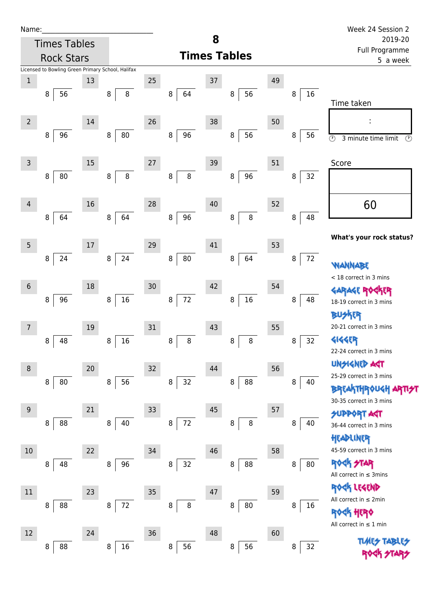| Name:          |                                                   |    |                 |    |              |    |                     |    |         | Week 24 Session 2                                 |
|----------------|---------------------------------------------------|----|-----------------|----|--------------|----|---------------------|----|---------|---------------------------------------------------|
|                | <b>Times Tables</b>                               |    |                 |    |              | 8  |                     |    |         | 2019-20<br>Full Programme                         |
|                | <b>Rock Stars</b>                                 |    |                 |    |              |    | <b>Times Tables</b> |    |         | 5 a week                                          |
|                | Licensed to Bowling Green Primary School, Halifax |    |                 |    |              |    |                     |    |         |                                                   |
| $\,1\,$        |                                                   | 13 |                 | 25 |              | 37 |                     | 49 |         |                                                   |
|                | 56<br>8                                           |    | $\bf 8$<br>8    |    | 64<br>8      |    | 56<br>8             |    | 16<br>8 | Time taken                                        |
| $\overline{2}$ |                                                   | 14 |                 | 26 |              | 38 |                     | 50 |         |                                                   |
|                | 96<br>8                                           |    | ${\bf 80}$<br>8 |    | 96<br>8      |    | 56<br>$\, 8$        |    | 56<br>8 | $\odot$<br>$\circled{r}$<br>3 minute time limit   |
| $\mathsf{3}$   |                                                   | 15 |                 | 27 |              | 39 |                     | 51 |         | Score                                             |
|                | 80<br>8                                           |    | 8<br>8          |    | $\bf 8$<br>8 |    | 96<br>8             |    | 32<br>8 |                                                   |
| 4              |                                                   | 16 |                 | 28 |              | 40 |                     | 52 |         | 60                                                |
|                | 64<br>8                                           |    | 64<br>8         |    | 96<br>8      |    | $\,8\,$<br>8        |    | 48<br>8 |                                                   |
| $\overline{5}$ |                                                   | 17 |                 | 29 |              | 41 |                     | 53 |         | What's your rock status?                          |
|                | 24<br>8                                           |    | 24<br>8         |    | 80<br>8      |    | 64<br>8             |    | 72<br>8 | NANNABE                                           |
| $6\,$          |                                                   | 18 |                 | 30 |              | 42 |                     | 54 |         | < 18 correct in 3 mins                            |
|                | 96<br>8                                           |    | $16\,$<br>8     |    | 72<br>8      |    | 16<br>$\, 8$        |    | 8<br>48 | <b>GARAGE RO</b><br>ίR<br>18-19 correct in 3 mins |
| 7              |                                                   | 19 |                 | 31 |              | 43 |                     | 55 |         | <b>BUSKER</b><br>20-21 correct in 3 mins          |
|                | 48<br>8                                           |    | 16<br>8         |    | 8<br>8       |    | 8<br>8              |    | 32<br>8 | <b>4144ER</b>                                     |
|                |                                                   |    |                 |    |              |    |                     |    |         | 22-24 correct in 3 mins                           |
| 8              |                                                   | 20 |                 | 32 |              | 44 |                     | 56 |         | UNSIGNED AST<br>25-29 correct in 3 mins           |
|                | ${\bf 80}$<br>8                                   |    | 56<br>8         |    | 32<br>8      |    | 88<br>8             |    | 8<br>40 | <b>BREAKTHROUGH</b><br>30-35 correct in 3 mins    |
| 9              |                                                   | 21 |                 | 33 |              | 45 |                     | 57 |         | <b>DATPO</b>                                      |
|                | 88<br>8                                           |    | 40<br>8         |    | 72<br>8      |    | $\, 8$<br>8         |    | 8<br>40 | 36-44 correct in 3 mins<br>HEADLINER              |
| 10             |                                                   | 22 |                 | 34 |              | 46 |                     | 58 |         | 45-59 correct in 3 mins                           |
|                | 48<br>8                                           |    | 96<br>8         |    | 32<br>8      |    | 88<br>8             |    | 80<br>8 | <b>ROCK STAR</b><br>All correct in $\leq$ 3mins   |
| 11             |                                                   | 23 |                 | 35 |              | 47 |                     | 59 |         | ROCK LEGEND                                       |
|                | 88<br>8                                           |    | $72\,$<br>8     |    | $\bf 8$<br>8 |    | 80<br>8             |    | 16<br>8 | All correct in $\leq 2$ min                       |
|                |                                                   |    |                 |    |              |    |                     |    |         | ROCK HERO<br>All correct in $\leq 1$ min          |
| 12             | 88<br>8                                           | 24 | $16\,$<br>8     | 36 | 56<br>8      | 48 | 56<br>8             | 60 | 32<br>8 | <b>TIME<del>S</del> TABI</b>                      |

1999 ZIA57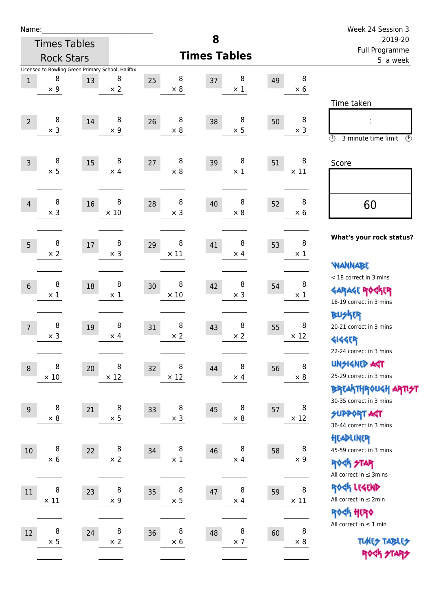| Name:           |             |                     |                                                   |                       |                       |    |             | Week 24 Session 3                         |
|-----------------|-------------|---------------------|---------------------------------------------------|-----------------------|-----------------------|----|-------------|-------------------------------------------|
|                 |             | <b>Times Tables</b> |                                                   |                       | 8                     |    |             | 2019-20                                   |
|                 |             | <b>Rock Stars</b>   |                                                   |                       | <b>Times Tables</b>   |    |             | Full Programme<br>5 a week                |
|                 | 8           |                     | Licensed to Bowling Green Primary School, Halifax |                       |                       |    | $\bf 8$     |                                           |
| $\mathbf{1}$    | $\times$ 9  | 13                  | 8<br>$\times$ 2                                   | 8<br>25<br>$\times$ 8 | 8<br>37<br>$\times$ 1 | 49 | $\times$ 6  |                                           |
|                 |             |                     |                                                   |                       |                       |    |             | Time taken                                |
|                 | 8           |                     | 8                                                 | 8                     | 8                     |    | 8           |                                           |
| $\overline{2}$  | $\times$ 3  | 14                  | $\times$ 9                                        | 26<br>$\times 8$      | 38<br>$\times$ 5      | 50 | $\times$ 3  | ÷                                         |
|                 |             |                     |                                                   |                       |                       |    |             | $\circled{r}$<br>3 minute time limit<br>⊕ |
|                 | 8           |                     | 8                                                 | 8                     | 8                     |    | 8           |                                           |
| $\overline{3}$  | $\times$ 5  | 15                  | $\times$ 4                                        | 27<br>$\times 8$      | 39<br>$\times$ 1      | 51 | $\times$ 11 | Score                                     |
|                 |             |                     |                                                   |                       |                       |    |             |                                           |
| $\overline{4}$  | 8           | 16                  | 8                                                 | 8<br>28               | 8<br>40               |    | 8           |                                           |
|                 | $\times$ 3  |                     | $\times$ 10                                       | $\times$ 3            | $\times$ 8            | 52 | $\times$ 6  | 60                                        |
|                 |             |                     |                                                   |                       |                       |    |             |                                           |
| 5               | 8           | 17                  | 8                                                 | 8<br>29               | 8<br>41               | 53 | $\bf 8$     | What's your rock status?                  |
|                 | $\times 2$  |                     | $\times$ 3                                        | $\times$ 11           | $\times$ 4            |    | $\times$ 1  |                                           |
|                 |             |                     |                                                   |                       |                       |    |             | <b>WANNABE</b>                            |
| $6\phantom{1}$  | 8           | 18                  | 8                                                 | 8<br>30               | 8<br>42               | 54 | 8           | < 18 correct in 3 mins                    |
|                 | $\times$ 1  |                     | $\times$ 1                                        | $\times 10$           | $\times$ 3            |    | $\times$ 1  | <b>GARAGE ROCKER</b>                      |
|                 |             |                     |                                                   |                       |                       |    |             | 18-19 correct in 3 mins                   |
| $7\overline{ }$ | 8           | 19                  | 8                                                 | 8<br>31               | 8<br>43               | 55 | 8           | <b>BUSKER</b><br>20-21 correct in 3 mins  |
|                 | $\times$ 3  |                     | $\times$ 4                                        | $\times$ 2            | $\times 2$            |    | $\times$ 12 | <b>4144EP</b>                             |
|                 |             |                     |                                                   |                       |                       |    |             | 22-24 correct in 3 mins                   |
| $\,8\,$         | 8           | 20                  | 8                                                 | 8<br>32               | 8<br>44               | 56 | 8           | <b>UNSIGNED AGT</b>                       |
|                 | $\times$ 10 |                     | $\times$ 12                                       | $\times$ 12           | $\times$ 4            |    | $\times$ 8  | 25-29 correct in 3 mins                   |
|                 |             |                     |                                                   |                       |                       |    |             | ΒΡ(Α THP)0U <h apti<del="">2T</h>         |
| $9$             | 8           | 21                  | 8                                                 | 8<br>33               | 8<br>45               | 57 | 8           | 30-35 correct in 3 mins                   |
|                 | $\times$ 8  |                     | $\times$ 5                                        | $\times$ 3            | $\times$ 8            |    | $\times$ 12 | <b>SUPPORT AGT</b>                        |
|                 |             |                     |                                                   |                       |                       |    |             | 36-44 correct in 3 mins                   |
| $10\,$          | 8           | 22                  | 8                                                 | 8<br>34               | 8<br>46               | 58 | 8           | HEADLINER<br>45-59 correct in 3 mins      |
|                 | $\times$ 6  |                     | $\times$ 2                                        | $\times$ 1            | $\times$ 4            |    | $\times$ 9  | <b>ROCK STAR</b>                          |
|                 |             |                     |                                                   |                       |                       |    |             | All correct in $\leq$ 3mins               |
| 11              | 8           | 23                  | 8                                                 | 8<br>35               | 8<br>47               | 59 | 8           | ROCK LEGEND                               |
|                 | $\times$ 11 |                     | $\times$ 9                                        | $\times$ 5            | $\times$ 4            |    | $\times$ 11 | All correct in $\leq 2$ min               |
|                 |             |                     |                                                   |                       |                       |    |             | ROCK HERO                                 |
| $12\,$          | 8           | 24                  | 8                                                 | 8<br>36               | 8<br>48               | 60 | 8           | All correct in $\leq 1$ min               |
|                 | $\times$ 5  |                     | $\times$ 2                                        | $\times$ 6            | $\times$ 7            |    | $\times 8$  | <b>TUARS TABLES</b>                       |
|                 |             |                     |                                                   |                       |                       |    |             | ROCK STARS                                |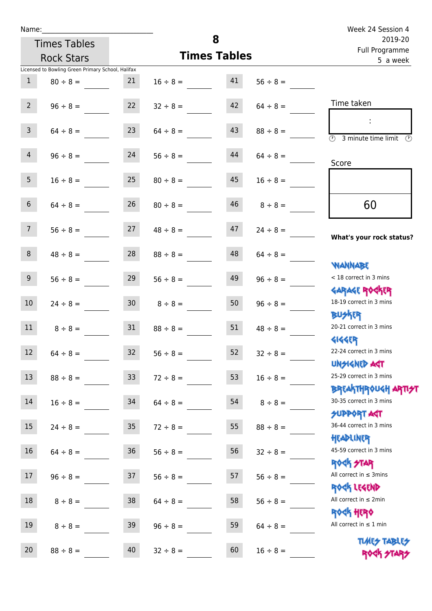| Name:<br><b>Times Tables</b>                                             |                     | 8                          |               | Week 24 Session 4<br>2019-20                                                    |  |  |
|--------------------------------------------------------------------------|---------------------|----------------------------|---------------|---------------------------------------------------------------------------------|--|--|
| <b>Rock Stars</b>                                                        | <b>Times Tables</b> | Full Programme<br>5 a week |               |                                                                                 |  |  |
| Licensed to Bowling Green Primary School, Halifax<br>21<br>$80 \div 8 =$ | $16 \div 8 =$       | 41                         | $56 \div 8 =$ |                                                                                 |  |  |
| 22<br>$96 \div 8 =$                                                      | $32 \div 8 =$       | 42                         | $64 \div 8 =$ | Time taken                                                                      |  |  |
| 23<br>$64 \div 8 =$                                                      | $64 \div 8 =$       | 43                         | $88 \div 8 =$ | $\sim 10$<br>$\overline{(\mathcal{V})}$<br>3 minute time limit<br>$\circled{r}$ |  |  |
| 24<br>$96 \div 8 =$                                                      | $56 \div 8 =$       | 44                         | $64 \div 8 =$ | Score                                                                           |  |  |
| 25<br>$16 \div 8 =$                                                      | $80 \div 8 =$       | 45                         | $16 \div 8 =$ |                                                                                 |  |  |
| 26<br>$64 \div 8 =$                                                      | $80 \div 8 =$       | 46                         | $8 \div 8 =$  | 60                                                                              |  |  |
| 27<br>$56 \div 8 =$                                                      | $48 \div 8 =$       | 47                         | $24 \div 8 =$ | What's your rock status?                                                        |  |  |
| 28<br>$48 \div 8 =$                                                      | $88 \div 8 =$       | 48                         | $64 \div 8 =$ | <b>WANNABE</b>                                                                  |  |  |
| 29<br>$56 \div 8 =$                                                      | $56 \div 8 =$       | 49                         | $96 \div 8 =$ | < 18 correct in 3 mins                                                          |  |  |
| 30 <sub>o</sub><br>$24 \div 8 =$                                         | $8 \div 8 =$        | 50                         | $96 \div 8 =$ | <b>GARAGE ROGKER</b><br>18-19 correct in 3 mins                                 |  |  |
| 31<br>$8 \div 8 =$                                                       | $88 \div 8 =$       | 51                         | $48 \div 8 =$ | <b>BUSKER</b><br>20-21 correct in 3 mins                                        |  |  |
| 32<br>$64 \div 8 =$                                                      | $56 \div 8 =$       | 52                         | $32 \div 8 =$ | <b>4144EP</b><br>22-24 correct in 3 mins<br><b>UNSIGNED AGT</b>                 |  |  |

13  $88 \div 8 =$  33  $72 \div 8 =$  53  $16 \div 8 =$ 

14  $16 \div 8 =$  34  $64 \div 8 =$  54  $8 \div 8 =$ 

15  $24 \div 8 = 35$   $72 \div 8 = 55$   $88 \div 8 = 55$ 

16  $64 \div 8 = 36$   $56 \div 8 = 56$   $32 \div 8 =$ 

17  $96 \div 8 =$  37  $56 \div 8 =$  57  $56 \div 8 =$ 

18  $8 \div 8 = 38$   $64 \div 8 = 58$   $56 \div 8 =$ 

19  $8 \div 8 = 39$   $96 \div 8 = 59$   $64 \div 8 =$ 

20  $88 \div 8 = 40$   $32 \div 8 = 60$   $16 \div 8 =$ 

25-29 correct in 3 mins

Breakthrough artist

30-35 correct in 3 mins

SUPPORT AGT 36-44 correct in 3 mins

Headliner 45-59 correct in 3 mins

Rock STAR All correct in ≤ 3mins

Rock Legend

All correct in ≤ 2min

Rock Hero

All correct in  $\leq 1$  min

**TIMES TABLES** ROCK STARS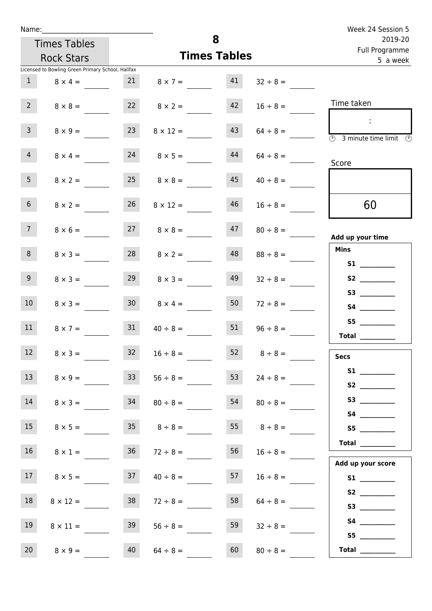| Week 24 Session 5                                                        |                    |                     |                                                   | Name:                                    |                 |                 |  |  |  |
|--------------------------------------------------------------------------|--------------------|---------------------|---------------------------------------------------|------------------------------------------|-----------------|-----------------|--|--|--|
| 2019-20<br>Full Programme                                                |                    | 8                   |                                                   | <b>Times Tables</b><br><b>Rock Stars</b> |                 |                 |  |  |  |
| 5 a week                                                                 |                    | <b>Times Tables</b> |                                                   |                                          |                 |                 |  |  |  |
|                                                                          |                    |                     | Licensed to Bowling Green Primary School, Halifax |                                          |                 |                 |  |  |  |
|                                                                          | $32 \div 8 =$      | 41                  | $8 \times 7 =$                                    | 21                                       | $8 \times 4 =$  | $\mathbf{1}$    |  |  |  |
| Time taken                                                               | $16 \div 8 =$      | 42                  | $8 \times 2 =$                                    | 22                                       | $8 \times 8 =$  | $2^{\circ}$     |  |  |  |
| $\mathcal{L}_{\mathcal{A}}$<br>$\circled{r}$<br>3 minute time limit<br>⊕ | $64 \div 8 =$      | 43                  | $8 \times 12 =$                                   | 23                                       | $8 \times 9 =$  | $\mathbf{3}$    |  |  |  |
| Score                                                                    | $64 \div 8 =$      | 44                  | $8 \times 5 =$                                    | 24                                       | $8 \times 4 =$  | $\overline{4}$  |  |  |  |
|                                                                          | $40 \div 8 =$      | 45                  | $8 \times 8 =$                                    | 25                                       | $8 \times 2 =$  | 5 <sub>1</sub>  |  |  |  |
| 60                                                                       | $16 \div 8 =$      | 46                  | $8 \times 12 =$                                   | 26                                       | $8 \times 2 =$  | 6 <sup>1</sup>  |  |  |  |
| Add up your time                                                         | $80 \div 8 =$      | 47                  | $27 \t 8 \times 8 =$                              |                                          | $8 \times 6 =$  | 7 <sup>7</sup>  |  |  |  |
| <b>Mins</b><br>S1                                                        | $88 \div 8 =$      | 48                  | $8 \times 2 =$                                    | 28                                       | $8 \times 3 =$  | 8               |  |  |  |
|                                                                          | $32 \div 8 =$      | 49                  | $8 \times 3 =$                                    | 29                                       | $8 \times 3 =$  | 9 <sup>°</sup>  |  |  |  |
|                                                                          | $72 \div 8 =$      | 50                  | $8 \times 4 =$                                    | 30 <sup>1</sup>                          | $8 \times 3 =$  | 10 <sup>°</sup> |  |  |  |
| S5<br>Total                                                              | $96 \div 8 =$      | 51                  | $40 \div 8 =$                                     | 31                                       | $8 \times 7 =$  | 11              |  |  |  |
| <b>Secs</b>                                                              | $8 \div 8 =$       | 52                  | $16 \div 8 =$                                     | 32                                       | $8 \times 3 =$  | 12              |  |  |  |
|                                                                          | $24 \div 8 =$      | 53                  | $56 \div 8 =$                                     | 33                                       | $8 \times 9 =$  | 13              |  |  |  |
|                                                                          | $80 \div 8 =$      | 54                  | $80 \div 8 =$                                     | 34                                       | $8 \times 3 =$  | 14              |  |  |  |
| S5                                                                       | $55 \t 8 \div 8 =$ |                     | $35 \t 8 \div 8 =$                                |                                          | $8 \times 5 =$  | 15              |  |  |  |
| Total $\_\_$<br>Add up your score                                        | $16 \div 8 =$      | 56                  | $72 \div 8 =$                                     | 36                                       | $8 \times 1 =$  | 16              |  |  |  |
| S1                                                                       | $16 \div 8 =$      | 57                  | $40 \div 8 =$                                     | 37                                       | $8 \times 5 =$  | 17              |  |  |  |
| S2                                                                       | $64 \div 8 =$      | 58                  | $72 \div 8 =$                                     | 38                                       | $8 \times 12 =$ | 18              |  |  |  |
|                                                                          | $32 \div 8 =$      | 59                  | $56 \div 8 =$                                     | 39                                       | $8 \times 11 =$ | 19              |  |  |  |
| <b>Total</b>                                                             | $80 \div 8 =$      | 60                  | $64 \div 8 =$                                     | 40                                       | $8 \times 9 =$  | 20 <sub>2</sub> |  |  |  |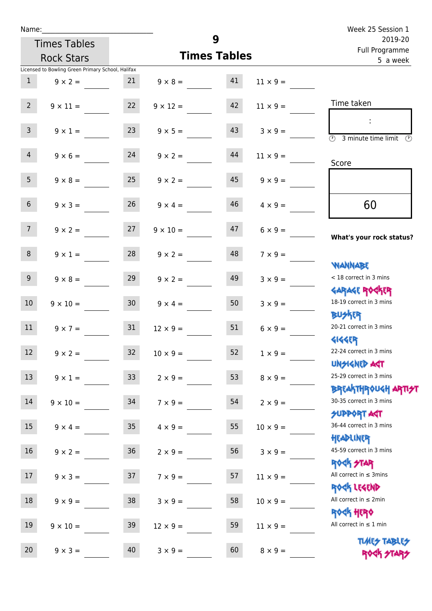| Name:           |                                                   |                 |                     | 9                         |                 | Week 25 Session 1                                                |
|-----------------|---------------------------------------------------|-----------------|---------------------|---------------------------|-----------------|------------------------------------------------------------------|
|                 | <b>Times Tables</b>                               |                 |                     | 2019-20<br>Full Programme |                 |                                                                  |
|                 | <b>Rock Stars</b>                                 |                 | <b>Times Tables</b> | 5 a week                  |                 |                                                                  |
|                 | Licensed to Bowling Green Primary School, Halifax |                 |                     |                           |                 |                                                                  |
| 1               | $9 \times 2 =$                                    | 21              | $9 \times 8 = 41$   |                           | $11 \times 9 =$ |                                                                  |
| $2^{\circ}$     | $9 \times 11 =$                                   | 22              | $9 \times 12 =$     | 42                        | $11 \times 9 =$ | Time taken                                                       |
| $\overline{3}$  | $9 \times 1 =$                                    | 23              | $9 \times 5 =$      | 43                        | $3 \times 9 =$  | - 11<br>3 minute time limit<br>$\mathcal{O}$                     |
| $\overline{4}$  | $9 \times 6 = 24$                                 |                 | $9 \times 2 =$      | 44                        | $11 \times 9 =$ | Score                                                            |
| 5 <sub>1</sub>  | $9 \times 8 =$                                    | 25              | $9 \times 2 =$      | 45                        | $9 \times 9 =$  |                                                                  |
| 6 <sup>1</sup>  | $9 \times 3 =$                                    | 26              | $9 \times 4 =$      | 46                        | $4 \times 9 =$  | 60                                                               |
| 7 <sup>7</sup>  | $9 \times 2 = 27$                                 |                 | $9 \times 10 =$     | 47                        | $6 \times 9 =$  | What's your rock status?                                         |
| 8               | $9 \times 1 =$                                    | 28              | $9 \times 2 =$      | 48                        | $7 \times 9 =$  | <b>NANNABE</b>                                                   |
| 9 <sub>o</sub>  | $9 \times 8 =$                                    | 29              | $9 \times 2 =$      | 49                        | $3 \times 9 =$  | < 18 correct in 3 mins<br><b>GARAGE ROCKER</b>                   |
| 10 <sup>°</sup> | $9 \times 10 =$                                   | 30              | $9 \times 4 =$      | 50                        | $3 \times 9 =$  | 18-19 correct in 3 mins<br><b>BU外四</b>                           |
| 11              | $9 \times 7 =$                                    | 31              | $12 \times 9 =$     | 51                        | $6 \times 9 =$  | 20-21 correct in 3 mins<br><b>4144ER</b>                         |
| 12              | $9 \times 2 =$                                    | 32              | $10 \times 9 =$     | 52                        | $1 \times 9 =$  | 22-24 correct in 3 mins<br><b>UNSIGNED AGT</b>                   |
| 13              | $9 \times 1 =$                                    | 33              | $2 \times 9 =$      | 53                        | $8 \times 9 =$  | 25-29 correct in 3 mins<br><b>BREAKTHROUGH ARTI<del>S</del>T</b> |
| 14              | $9 \times 10 =$                                   | 34              | $7 \times 9 =$      | 54                        | $2 \times 9 =$  | 30-35 correct in 3 mins<br><b>SUPPORT AGT</b>                    |
| 15              | $9 \times 4 =$                                    | 35 <sub>2</sub> | $4 \times 9 =$      | 55                        | $10 \times 9 =$ | 36-44 correct in 3 mins<br>HEADLINER                             |
| 16              | $9 \times 2 =$                                    | $36\,$          | $2 \times 9 =$      | 56                        | $3 \times 9 =$  | 45-59 correct in 3 mins<br><b>ROCK STAR</b>                      |
| 17              | $9 \times 3 =$                                    | 37              | $7 \times 9 =$      | 57                        | $11 \times 9 =$ | All correct in $\leq$ 3mins<br>ROCK LEGEND                       |
| 18              | $9 \times 9 =$                                    | 38              | $3 \times 9 =$      | 58                        | $10 \times 9 =$ | All correct in $\leq 2$ min<br><b>ROCK HERO</b>                  |
| 19              | $9 \times 10 =$                                   | 39              | $12 \times 9 =$     | 59                        | $11 \times 9 =$ | All correct in $\leq 1$ min                                      |
| 20              | $9 \times 3 =$                                    | 40              | $3 \times 9 =$      | 60                        | $8 \times 9 =$  | <b>TUARS TABLES</b><br>ROCK STARS                                |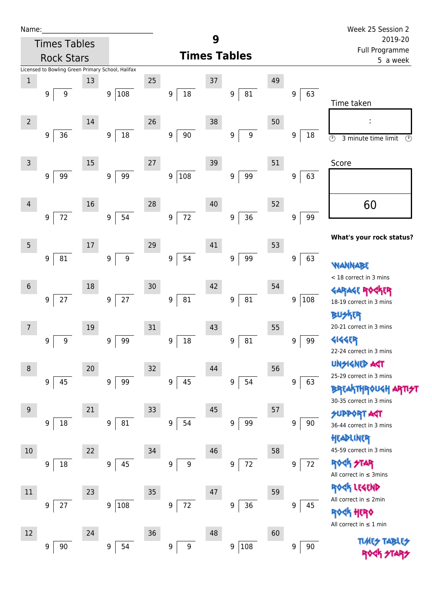| Name |  |  |  |
|------|--|--|--|
|      |  |  |  |

| Name:          |   |                     |        |                                                   |    |                            | 9                         |                        |    |          | Week 25 Session 2                                      |  |
|----------------|---|---------------------|--------|---------------------------------------------------|----|----------------------------|---------------------------|------------------------|----|----------|--------------------------------------------------------|--|
|                |   | <b>Times Tables</b> |        |                                                   |    |                            | 2019-20<br>Full Programme |                        |    |          |                                                        |  |
|                |   | <b>Rock Stars</b>   |        |                                                   |    |                            |                           | <b>Times Tables</b>    |    | 5 a week |                                                        |  |
|                |   |                     |        | Licensed to Bowling Green Primary School, Halifax |    |                            |                           |                        |    |          |                                                        |  |
| $\mathbf 1$    | 9 | 9                   | 13     |                                                   | 25 | 9                          | 37                        | 81<br>9                | 49 | 9<br>63  |                                                        |  |
|                |   |                     |        | 108<br>9                                          |    | $18\,$                     |                           |                        |    |          | Time taken                                             |  |
|                |   |                     |        |                                                   |    |                            |                           |                        |    |          |                                                        |  |
| $\overline{2}$ |   |                     | 14     |                                                   | 26 |                            | 38                        |                        | 50 |          |                                                        |  |
|                | 9 | 36                  |        | $18\,$<br>9                                       |    | $90\,$<br>9                |                           | $\boldsymbol{9}$<br>9  |    | 9<br>18  | $\circledcirc$<br>3 minute time limit<br>$\circled{r}$ |  |
|                |   |                     |        |                                                   |    |                            |                           |                        |    |          |                                                        |  |
| 3              |   |                     | $15\,$ |                                                   | 27 |                            | 39                        |                        | 51 |          | Score                                                  |  |
|                | 9 | 99                  |        | 99<br>9                                           |    | 108<br>9                   |                           | 99<br>$\boldsymbol{9}$ |    | 9<br>63  |                                                        |  |
|                |   |                     |        |                                                   |    |                            |                           |                        |    |          |                                                        |  |
| 4              |   |                     | 16     |                                                   | 28 |                            | 40                        |                        | 52 |          | 60                                                     |  |
|                | 9 | $72\,$              |        | 54<br>$\boldsymbol{9}$                            |    | $72\,$<br>$\boldsymbol{9}$ |                           | 36<br>$\boldsymbol{9}$ |    | 99<br>9  |                                                        |  |
|                |   |                     |        |                                                   |    |                            |                           |                        |    |          | What's your rock status?                               |  |
| $\overline{5}$ |   |                     | 17     |                                                   | 29 |                            | 41                        |                        | 53 |          |                                                        |  |
|                | 9 | 81                  |        | 9<br>9                                            |    | $\boldsymbol{9}$<br>54     |                           | 99<br>$\boldsymbol{9}$ |    | 63<br>9  | WANNABE                                                |  |
|                |   |                     |        |                                                   |    |                            |                           |                        |    |          | < 18 correct in 3 mins                                 |  |
| 6              |   |                     | 18     |                                                   | 30 |                            | 42                        |                        | 54 |          | <b>GARAGE RO</b>                                       |  |
|                | 9 | $27\,$              |        | $27\,$<br>9                                       |    | 81<br>$\boldsymbol{9}$     |                           | ${\bf 81}$<br>9        |    | 108<br>9 | 18-19 correct in 3 mins                                |  |
|                |   |                     |        |                                                   |    |                            |                           |                        |    |          | <b>BUSKER</b>                                          |  |
| 7              |   |                     | 19     |                                                   | 31 |                            | 43                        |                        | 55 |          | 20-21 correct in 3 mins                                |  |
|                | 9 | 9                   |        | 99<br>9                                           |    | 18<br>9                    |                           | 81<br>9                |    | 99<br>9  | <b>4144EP</b><br>22-24 correct in 3 mins               |  |
|                |   |                     |        |                                                   |    |                            |                           |                        |    |          | <b>UNSIGNED AGT</b>                                    |  |
| 8              |   |                     | 20     |                                                   | 32 |                            | 44                        |                        | 56 |          | 25-29 correct in 3 mins                                |  |
|                | 9 | 45                  |        | 99<br>9                                           |    | 45<br>9                    |                           | 54<br>9                |    | 9<br>63  | <b>BREAKTHROUGH ARTI<del>S</del>T</b>                  |  |
|                |   |                     |        |                                                   |    |                            |                           |                        |    |          | 30-35 correct in 3 mins                                |  |
| 9              |   |                     | 21     |                                                   | 33 |                            | 45                        |                        | 57 |          | <b>SUPPORT AGT</b>                                     |  |
|                | 9 | 18                  |        | 81<br>$\boldsymbol{9}$                            |    | 54<br>$\boldsymbol{9}$     |                           | 99<br>$\boldsymbol{9}$ |    | 9<br>90  | 36-44 correct in 3 mins                                |  |
|                |   |                     |        |                                                   |    |                            |                           |                        |    |          | HEADLINER                                              |  |
| $10\,$         |   |                     | 22     |                                                   | 34 |                            | 46                        |                        | 58 |          | 45-59 correct in 3 mins                                |  |
|                | 9 | 18                  |        | 45<br>9                                           |    | 9<br>9                     |                           | 72<br>9                |    | 72<br>9  | ROCK STAR<br>All correct in $\leq$ 3mins               |  |
|                |   |                     |        |                                                   |    |                            |                           |                        |    |          | ROCK LEGEND                                            |  |
| 11             |   |                     | 23     |                                                   | 35 |                            | 47                        |                        | 59 |          | All correct in ≤ 2min                                  |  |
|                | 9 | 27                  |        | 108<br>9                                          |    | 72<br>$\boldsymbol{9}$     |                           | 36<br>9                |    | 9<br>45  | ≮ӄ ӈहा२♦                                               |  |
|                |   |                     |        |                                                   |    |                            |                           |                        |    |          | All correct in $\leq 1$ min                            |  |
| 12             |   |                     | 24     |                                                   | 36 |                            | 48                        |                        | 60 |          | <b>TLARS</b>                                           |  |
|                | 9 | 90                  |        | $\boldsymbol{9}$<br>54                            |    | 9<br>9                     |                           | 108<br>9               |    | 9<br>90  |                                                        |  |
|                |   |                     |        |                                                   |    |                            |                           |                        |    |          |                                                        |  |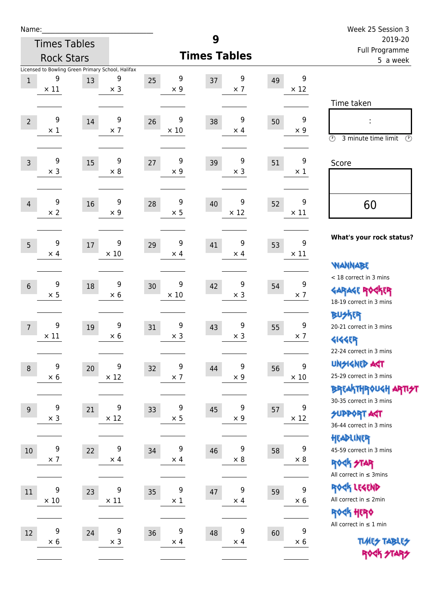| Name:          |                  |                     |                                                                      |    |                           |                  |    |                  | Week 25 Session 3                                                                    |
|----------------|------------------|---------------------|----------------------------------------------------------------------|----|---------------------------|------------------|----|------------------|--------------------------------------------------------------------------------------|
|                |                  | <b>Times Tables</b> |                                                                      |    | 9                         |                  |    |                  | 2019-20                                                                              |
|                |                  | <b>Rock Stars</b>   |                                                                      |    | <b>Times Tables</b>       |                  |    |                  | Full Programme<br>5 a week                                                           |
| $\mathbf{1}$   | 9<br>$\times$ 11 | 13                  | Licensed to Bowling Green Primary School, Halifax<br>9<br>$\times$ 3 | 25 | 9<br>37<br>$\times$ 9     | 9<br>$\times$ 7  | 49 | 9<br>$\times$ 12 |                                                                                      |
| $\overline{2}$ | 9<br>$\times$ 1  | 14                  | 9<br>$\times$ 7                                                      | 26 | 9<br>38<br>$\times 10$    | 9<br>$\times$ 4  | 50 | 9<br>$\times$ 9  | Time taken<br>÷<br>$\circled{r}$<br>3 minute time limit<br>⊙                         |
| $\overline{3}$ | 9<br>$\times$ 3  | 15                  | 9<br>$\times 8$                                                      | 27 | 9<br>39<br>$\times$ 9     | 9<br>$\times$ 3  | 51 | 9<br>$\times$ 1  | Score                                                                                |
| $\overline{4}$ | 9<br>$\times$ 2  | 16                  | 9<br>$\times 9$                                                      | 28 | 9<br>40<br>$\times$ 5     | 9<br>$\times$ 12 | 52 | 9<br>$\times$ 11 | 60                                                                                   |
| 5              | 9<br>$\times$ 4  | 17                  | 9<br>$\times$ 10                                                     | 29 | 9<br>41<br>$\times$ 4     | 9<br>$\times$ 4  | 53 | 9<br>$\times$ 11 | What's your rock status?<br><b>WANNABE</b>                                           |
| $6\phantom{1}$ | 9<br>$\times$ 5  | 18                  | 9<br>$\times 6$                                                      | 30 | 9<br>42<br>$\times 10$    | 9<br>$\times$ 3  | 54 | 9<br>$\times$ 7  | < 18 correct in 3 mins<br><b>GARAGE ROCKER</b><br>18-19 correct in 3 mins            |
| $\overline{7}$ | 9<br>$\times$ 11 | 19                  | 9<br>$\times 6$                                                      | 31 | 9<br>43<br>$\times$ 3     | 9<br>$\times$ 3  | 55 | 9<br>$\times$ 7  | <b>BUSKER</b><br>20-21 correct in 3 mins<br><b>4144EP</b><br>22-24 correct in 3 mins |
| $\,8\,$        | 9<br>$\times$ 6  | 20                  | 9<br>$\times$ 12                                                     | 32 | 9<br>44<br>$\times$ 7     | 9<br>$\times$ 9  | 56 | 9<br>$\times$ 10 | <b>UNSIGNED AGT</b><br>25-29 correct in 3 mins<br>ΒΡ(Α THP)0U <h apti<del="">2T</h>  |
| $9$            | 9<br>$\times$ 3  | 21                  | 9<br>$\times$ 12                                                     | 33 | 9<br>45<br>$\times$ 5     | 9<br>$\times$ 9  | 57 | 9<br>$\times$ 12 | 30-35 correct in 3 mins<br><b>SUPPORT AGT</b><br>36-44 correct in 3 mins             |
| 10             | 9<br>$\times$ 7  | 22                  | 9<br>$\times$ 4                                                      | 34 | 9<br>46<br>$\times$ 4     | 9<br>$\times$ 8  | 58 | 9<br>$\times$ 8  | HEADLINER<br>45-59 correct in 3 mins<br>ROCK STAR<br>All correct in $\leq$ 3mins     |
| 11             | 9<br>$\times$ 10 | 23                  | 9<br>$\times$ 11                                                     | 35 | 9<br>$47\,$<br>$\times$ 1 | 9<br>$\times$ 4  | 59 | 9<br>$\times 6$  | ROCK LEGEND<br>All correct in $\leq 2$ min<br>ROCK HERO                              |
| $12\,$         | 9<br>$\times$ 6  | 24                  | 9<br>$\times$ 3                                                      | 36 | 9<br>48<br>$\times$ 4     | 9<br>$\times$ 4  | 60 | 9<br>$\times$ 6  | All correct in $\leq 1$ min<br><b>TUARS TABLES</b><br>ROCK STARS                     |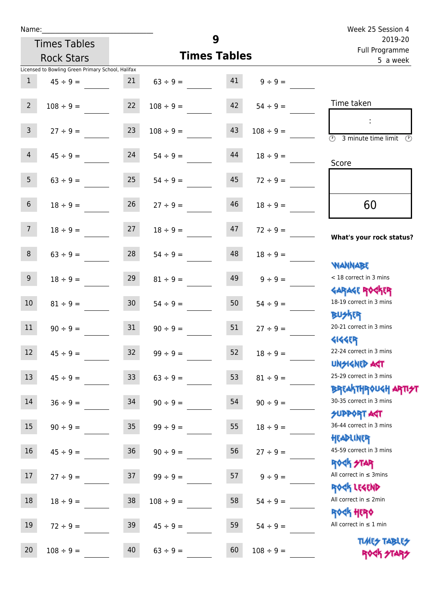| Week 25 Session 4<br>2019-20                                     |                | 9                   |                |                   | <b>Times Tables</b>                               | Name:           |
|------------------------------------------------------------------|----------------|---------------------|----------------|-------------------|---------------------------------------------------|-----------------|
| Full Programme<br>5 a week                                       |                | <b>Times Tables</b> |                | <b>Rock Stars</b> |                                                   |                 |
|                                                                  |                |                     |                |                   | Licensed to Bowling Green Primary School, Halifax |                 |
|                                                                  | $9 \div 9 =$   | 41                  | $63 \div 9 =$  | 21                | $45 \div 9 =$                                     | $\mathbf{1}$    |
| Time taken                                                       | $54 \div 9 =$  | 42                  | $108 \div 9 =$ | 22                | $108 \div 9 =$                                    | $2^{\circ}$     |
| $\overline{(\mathcal{V})}$<br>3 minute time limit<br>(V)         | $108 \div 9 =$ | 43                  | $108 \div 9 =$ | 23                | $27 \div 9 =$                                     | 3 <sup>7</sup>  |
| Score                                                            | $18 \div 9 =$  | 44                  | $54 \div 9 =$  | 24                | $45 \div 9 =$                                     | $\overline{4}$  |
|                                                                  | $72 \div 9 =$  | 45                  | $54 \div 9 =$  | 25                | $63 \div 9 =$                                     | 5 <sup>1</sup>  |
| 60                                                               | $18 \div 9 =$  | 46                  | $27 ÷ 9 =$     | 26                | $18 \div 9 =$                                     | 6 <sup>1</sup>  |
| What's your rock status?                                         | $72 \div 9 =$  | 47                  | $18 \div 9 =$  | 27                | $18 \div 9 =$                                     | $7\overline{ }$ |
|                                                                  | $18 \div 9 =$  | 48                  | $54 \div 9 =$  | 28                | $63 \div 9 =$                                     | 8               |
| <b>WANNABE</b><br>< 18 correct in 3 mins                         | $9 \div 9 =$   | 49                  | $81 \div 9 =$  | 29                | $18 \div 9 =$                                     | 9 <sub>o</sub>  |
| <b>GARAGE ROCKER</b><br>18-19 correct in 3 mins                  | $54 \div 9 =$  | 50                  | $54 \div 9 =$  | 30 <sub>2</sub>   | $81 \div 9 =$                                     | 10 <sup>°</sup> |
| <b>BUSKER</b><br>20-21 correct in 3 mins                         | $27 \div 9 =$  | 51                  | $90 \div 9 =$  | 31                | $90 \div 9 =$                                     | 11              |
| <b>4144EP</b><br>22-24 correct in 3 mins                         | $18 \div 9 =$  | 52                  | $99 ÷ 9 =$     | 32                | $45 \div 9 =$                                     | 12              |
| <b>UNGIGNED AST</b><br>25-29 correct in 3 mins                   | $81 \div 9 =$  | 53                  | $63 ÷ 9 =$     | 33                | $45 \div 9 =$                                     | 13              |
| <b>BREAKTHROUGH ARTI<del>S</del>T</b><br>30-35 correct in 3 mins | $90 \div 9 =$  | 54                  | $90 \div 9 =$  | 34                | $36 ÷ 9 =$                                        | 14              |

15  $90 \div 9 = 35$   $99 \div 9 = 55$   $18 \div 9 =$ 

 $16$   $45 \div 9 =$   $36$   $90 \div 9 =$   $56$   $27 \div 9 =$ 

17  $27 \div 9 = 37$   $99 \div 9 = 57$   $9 \div 9 =$ 

18  $18 \div 9 = 38$   $108 \div 9 = 58$   $54 \div 9 =$ 

19  $72 \div 9 = 39$   $45 \div 9 = 59$   $54 \div 9 =$ 

20  $108 \div 9 =$   $40 \qquad 63 \div 9 =$   $60 \qquad 108 \div 9 =$ 

SUPPORT AGT 36-44 correct in 3 mins

Headliner 45-59 correct in 3 mins

Rock STAR All correct in  $\leq$  3mins

Rock Legend

All correct in ≤ 2min

Rock Hero

All correct in ≤ 1 min

Times Tables ROCK STA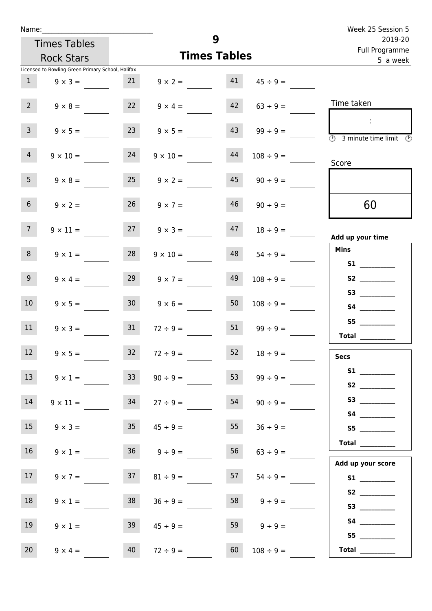| Name:               |                                                   |                      |                      |                           | Week 25 Session 5                                                           |
|---------------------|---------------------------------------------------|----------------------|----------------------|---------------------------|-----------------------------------------------------------------------------|
| <b>Times Tables</b> |                                                   |                      | 9                    | 2019-20<br>Full Programme |                                                                             |
| <b>Rock Stars</b>   |                                                   |                      | <b>Times Tables</b>  | 5 a week                  |                                                                             |
|                     | Licensed to Bowling Green Primary School, Halifax |                      |                      |                           |                                                                             |
| 1                   | 21<br>$9 \times 3 =$                              |                      | 41<br>$9 \times 2 =$ | $45 \div 9 =$             |                                                                             |
| 2 <sup>7</sup>      | 22<br>$9 \times 8 =$                              | $9 \times 4 =$       | 42                   | $63 ÷ 9 =$                | Time taken                                                                  |
| $\overline{3}$      | 23<br>$9 \times 5 =$                              |                      | 43<br>$9 \times 5 =$ | $99 \div 9 =$             | $\sim$<br>$\overline{\textcircled{1}}$ 3 minute time limit<br>$\mathcal{O}$ |
| $\overline{4}$      | 24<br>$9 \times 10 =$                             | $9 \times 10 =$      | 44                   | $108 \div 9 =$            | Score                                                                       |
| 5 <sub>1</sub>      | 25<br>$9 \times 8 =$                              | $9 \times 2 =$       | 45                   | $90 \div 9 =$             |                                                                             |
| 6 <sup>1</sup>      | $9 \times 2 =$                                    | 26<br>$9 \times 7 =$ | 46                   | $90 \div 9 =$             | 60                                                                          |
| 7                   | $9 \times 11 =$                                   | 27                   | 47<br>$9 \times 3 =$ | $18 \div 9 =$             | Add up your time                                                            |
| 8                   | 28<br>$9 \times 1 =$                              | $9 \times 10 =$      | 48                   | $54 \div 9 =$             | <b>Mins</b><br><b>S1 S1</b>                                                 |
| 9 <sub>o</sub>      | 29<br>$9 \times 4 =$                              | $9 \times 7 =$       | 49                   | $108 \div 9 =$            | S2                                                                          |
| 10 <sup>°</sup>     | 30 <sup>°</sup><br>$9 \times 5 =$                 | $9 \times 6 =$       | 50                   | $108 \div 9 =$            |                                                                             |
| 11                  | 31<br>$9 \times 3 =$                              | $72 \div 9 =$        | 51                   | $99 \div 9 =$             | S5<br>Total                                                                 |
| 12                  | 32<br>$9 \times 5 =$                              | $72 \div 9 =$        | 52                   | $18 \div 9 =$             | <b>Secs</b>                                                                 |
| 13                  | 33<br>$9 \times 1 =$                              | $90 \div 9 =$        | 53                   | $99 \div 9 =$             |                                                                             |
| 14                  | 34<br>$9 \times 11 =$                             | $27 \div 9 =$        | 54                   | $90 \div 9 =$             |                                                                             |
| 15                  | 35<br>$9 \times 3 =$                              | $45 \div 9 =$        | 55                   | $36 \div 9 =$             | S5                                                                          |
| 16                  | $9 \times 1 =$                                    | $36 \t 9 \div 9 =$   | 56                   | $63 \div 9 =$             | Total<br>Add up your score                                                  |
| 17 <sub>1</sub>     | 37<br>$9 \times 7 =$                              | $81 \div 9 =$        | 57                   | $54 \div 9 =$             | S1                                                                          |
| 18                  | 38<br>$9 \times 1 =$                              | $36 \div 9 =$        | 58                   | $9 \div 9 =$              |                                                                             |
| 19                  | 39<br>$9 \times 1 =$                              | $45 \div 9 =$        | 59                   | $9 \div 9 =$              | S5                                                                          |
| 20 <sub>2</sub>     | 40<br>$9 \times 4 =$                              | $72 \div 9 =$        | 60                   | $108 \div 9 =$            | Total $\qquad$                                                              |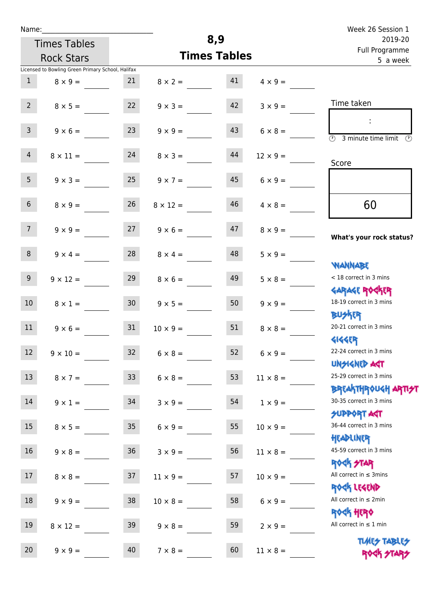| Week 26 Session 1                                                  |                     | 8,9 |                     |                                                   |                 | Name:           |  |  |  |  |  |  |
|--------------------------------------------------------------------|---------------------|-----|---------------------|---------------------------------------------------|-----------------|-----------------|--|--|--|--|--|--|
| 2019-20<br>Full Programme                                          |                     |     | <b>Times Tables</b> |                                                   |                 |                 |  |  |  |  |  |  |
| 5 a week                                                           | <b>Times Tables</b> |     | <b>Rock Stars</b>   |                                                   |                 |                 |  |  |  |  |  |  |
|                                                                    |                     |     |                     | Licensed to Bowling Green Primary School, Halifax |                 |                 |  |  |  |  |  |  |
|                                                                    | $4 \times 9 =$      | 41  | $8 \times 2 =$      | 21                                                | $8 \times 9 =$  | $\mathbf{1}$    |  |  |  |  |  |  |
| Time taken                                                         | $3 \times 9 =$      | 42  | $9 \times 3 =$      | 22                                                | $8 \times 5 =$  | $2^{\circ}$     |  |  |  |  |  |  |
| $\overline{(\mathcal{V})}$<br>3 minute time limit<br>$\mathcal{O}$ | $6 \times 8 =$      | 43  | $9 \times 9 =$      | 23                                                | $9 \times 6 =$  | $\overline{3}$  |  |  |  |  |  |  |
| Score                                                              | $12 \times 9 =$     | 44  | $8 \times 3 =$      | 24                                                | $8 \times 11 =$ | $\overline{4}$  |  |  |  |  |  |  |
|                                                                    | $6 \times 9 =$      | 45  | $9 \times 7 =$      | 25                                                | $9 \times 3 =$  | 5 <sub>1</sub>  |  |  |  |  |  |  |
| 60                                                                 | $4 \times 8 =$      | 46  | $8 \times 12 =$     | 26                                                | $8 \times 9 =$  | 6 <sup>1</sup>  |  |  |  |  |  |  |
| What's your rock status?                                           | $8 \times 9 =$      | 47  | $9 \times 6 =$      | 27                                                | $9 \times 9 =$  | 7 <sup>7</sup>  |  |  |  |  |  |  |
|                                                                    | $5 \times 9 =$      | 48  | $8 \times 4 =$      | 28                                                | $9 \times 4 =$  | 8               |  |  |  |  |  |  |
| <b>NANNABE</b><br>< 18 correct in 3 mins                           | $5 \times 8 =$      | 49  | $8 \times 6 =$      | 29                                                | $9 \times 12 =$ | 9 <sub>o</sub>  |  |  |  |  |  |  |
| <b>GARAGE ROCKER</b><br>18-19 correct in 3 mins                    | $9 \times 9 =$      | 50  | $9 \times 5 =$      | 30 <sup>°</sup>                                   | $8 \times 1 =$  | 10 <sup>°</sup> |  |  |  |  |  |  |
| <b>BUSKER</b><br>20-21 correct in 3 mins                           | $8 \times 8 =$      | 51  | $10 \times 9 =$     | 31                                                | $9 \times 6 =$  | 11              |  |  |  |  |  |  |
| <b>4144EP</b><br>22-24 correct in 3 mins                           | $6 \times 9 =$      | 52  | $6 \times 8 =$      | 32                                                | $9 \times 10 =$ | 12              |  |  |  |  |  |  |
| <b>UNSIGNED AGT</b><br>25-29 correct in 3 mins                     | $11 \times 8 =$     | 53  | $6 \times 8 =$      | 33 <sup>°</sup>                                   | $8 \times 7 =$  | 13              |  |  |  |  |  |  |
| BREAKTHRÓUGH ARTI <del>2</del> 1<br>30-35 correct in 3 mins        | $1 \times 9 =$      | 54  | $3 \times 9 =$      | 34                                                | $9 \times 1 =$  | 14              |  |  |  |  |  |  |
| <b>SUPPORT AGT</b><br>36-44 correct in 3 mins                      | $10 \times 9 =$     | 55  | $6 \times 9 =$      | 35                                                | $8 \times 5 =$  | 15              |  |  |  |  |  |  |
| HEADLINER<br>45-59 correct in 3 mins                               | $11 \times 8 =$     | 56  | $3 \times 9 =$      | $36\,$                                            | $9 \times 8 =$  | 16              |  |  |  |  |  |  |
| <b>ROCK STAR</b><br>All correct in $\leq$ 3mins                    | $10 \times 9 =$     | 57  | $11 \times 9 =$     | 37                                                | $8 \times 8 =$  | $17 \,$         |  |  |  |  |  |  |
| ROCK LEGEND<br>All correct in $\leq 2$ min                         | $6 \times 9 =$      | 58  | $10 \times 8 =$     | 38                                                | $9 \times 9 =$  | 18              |  |  |  |  |  |  |
| <b>ROCK HERO</b><br>All correct in $\leq 1$ min                    | $2 \times 9 =$      | 59  | $9 \times 8 =$      | 39                                                | $8 \times 12 =$ | 19              |  |  |  |  |  |  |
| <b>TUARS TABLES</b><br>ROCK STARS                                  | $11 \times 8 =$     | 60  | $7 \times 8 =$      | 40                                                | $9 \times 9 =$  | 20              |  |  |  |  |  |  |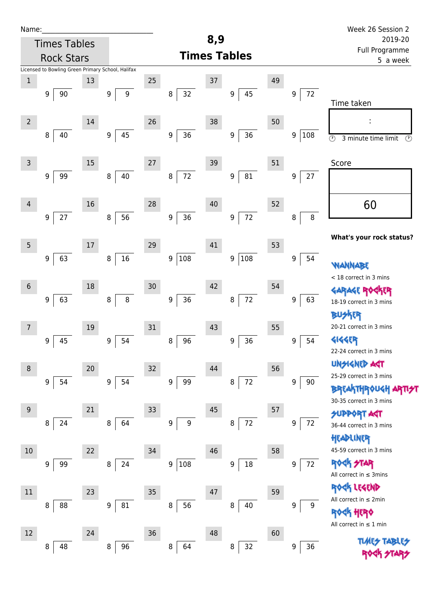| Name:          |                     |    |                                                   |        |                            |        |                            |    |             | Week 26 Session 2                                   |
|----------------|---------------------|----|---------------------------------------------------|--------|----------------------------|--------|----------------------------|----|-------------|-----------------------------------------------------|
|                | <b>Times Tables</b> |    |                                                   |        |                            | 8,9    |                            |    |             | 2019-20                                             |
|                | <b>Rock Stars</b>   |    |                                                   |        |                            |        | <b>Times Tables</b>        |    |             | Full Programme<br>5 a week                          |
|                |                     |    | Licensed to Bowling Green Primary School, Halifax |        |                            |        |                            |    |             |                                                     |
| $\mathbf 1$    |                     | 13 |                                                   | 25     |                            | 37     |                            | 49 |             |                                                     |
|                | 90<br>9             |    | 9<br>9                                            |        | 32<br>8                    |        | 45<br>9                    |    | 72<br>9     | Time taken                                          |
| $\overline{2}$ |                     | 14 |                                                   | 26     |                            | 38     |                            | 50 |             | :                                                   |
|                | 40<br>8             |    | 45<br>9                                           |        | 36<br>$\boldsymbol{9}$     |        | $36\,$<br>$\boldsymbol{9}$ |    | 108<br>9    | $\circledcirc$<br>3 minute time limit<br>$\odot$    |
| $\overline{3}$ |                     | 15 |                                                   | $27\,$ |                            | 39     |                            | 51 |             | Score                                               |
|                | 99<br>9             |    | 40<br>8                                           |        | 72<br>$\bf 8$              |        | $81\,$<br>$\boldsymbol{9}$ |    | $27\,$<br>9 |                                                     |
| $\overline{4}$ |                     | 16 |                                                   | 28     |                            | 40     |                            | 52 |             | 60                                                  |
|                | 27<br>9             |    | 56<br>$\, 8$                                      |        | 36<br>$\boldsymbol{9}$     |        | 72<br>$\boldsymbol{9}$     |    | $\, 8$<br>8 |                                                     |
| 5              |                     | 17 |                                                   | 29     |                            | 41     |                            | 53 |             | What's your rock status?                            |
|                | 63<br>9             |    | $16\,$<br>8                                       |        | 108<br>9                   |        | 108<br>9                   |    | 9<br>54     | <b>WANNABE</b>                                      |
| $6\phantom{1}$ |                     | 18 |                                                   | 30     |                            | 42     |                            | 54 |             | < 18 correct in 3 mins                              |
|                | 63<br>9             |    | $\bf 8$<br>8                                      |        | $36\,$<br>$\boldsymbol{9}$ |        | 72<br>8                    |    | 9<br>63     | <b>GARAGE ROC</b><br>KER<br>18-19 correct in 3 mins |
| 7              |                     | 19 |                                                   | 31     |                            | 43     |                            | 55 |             | BUSKER<br>20-21 correct in 3 mins                   |
|                | 45<br>9             |    | 54<br>9                                           |        | 96<br>8                    |        | 36<br>$\boldsymbol{9}$     |    | 54<br>9     | <b>4144EP</b><br>22-24 correct in 3 mins            |
| 8              |                     | 20 |                                                   | 32     |                            | 44     |                            | 56 |             | <b>UNGIGNED AST</b>                                 |
|                | 54<br>9             |    | 9<br>54                                           |        | 99<br>9                    |        | 72<br>8                    |    | 9<br>90     | 25-29 correct in 3 mins<br><b>BREAKTHROUGH</b>      |
| 9              |                     | 21 |                                                   | 33     |                            | $45\,$ |                            | 57 |             | 30-35 correct in 3 mins<br><b>SUPPORT AGT</b>       |
|                | 24<br>8             |    | 64<br>8                                           |        | $\overline{9}$<br>9        |        | $72\,$<br>8                |    | 9<br>72     | 36-44 correct in 3 mins<br>HEADLINER                |
| $10\,$         |                     | 22 |                                                   | 34     |                            | 46     |                            | 58 |             | 45-59 correct in 3 mins                             |
|                | 99<br>9             |    | 24<br>8                                           |        | 108<br>9                   |        | 18<br>9                    |    | $72\,$<br>9 | ROCK STAR<br>All correct in $\leq$ 3mins            |
| 11             |                     | 23 |                                                   | 35     |                            | 47     |                            | 59 |             | ROCK LEGEND                                         |
|                | 88<br>8             |    | 81<br>9                                           |        | 56<br>8                    |        | 8<br>40                    |    | 9<br>9      | All correct in ≤ 2min<br><b>《内 HEPY</b>             |
| 12             |                     | 24 |                                                   | 36     |                            | 48     |                            | 60 |             | All correct in $\leq 1$ min                         |
|                | 48<br>8             |    | 96<br>8                                           |        | 64<br>8                    |        | 32<br>8                    |    | 36<br>9     | <b>TLARS</b>                                        |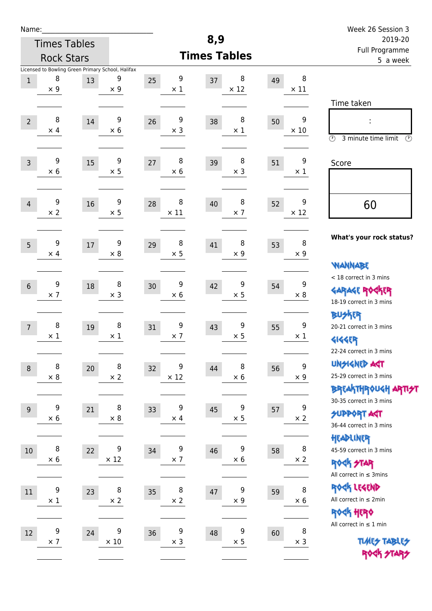| Name:            |                     |        |                                                   |                     |                  | 8,9     |                  |    |                  | Week 26 Session 3                                                |  |  |
|------------------|---------------------|--------|---------------------------------------------------|---------------------|------------------|---------|------------------|----|------------------|------------------------------------------------------------------|--|--|
|                  | <b>Times Tables</b> |        |                                                   |                     |                  | 2019-20 |                  |    |                  |                                                                  |  |  |
|                  | <b>Rock Stars</b>   |        |                                                   | <b>Times Tables</b> |                  |         |                  |    |                  | Full Programme<br>5 a week                                       |  |  |
|                  |                     |        | Licensed to Bowling Green Primary School, Halifax |                     |                  |         |                  |    |                  |                                                                  |  |  |
| $\,1\,$          | 8<br>$\times$ 9     | 13     | 9<br>$\times$ 9                                   | 25                  | 9<br>$\times$ 1  | 37      | 8<br>$\times$ 12 | 49 | 8<br>$\times$ 11 |                                                                  |  |  |
|                  |                     |        |                                                   |                     |                  |         |                  |    |                  | Time taken                                                       |  |  |
|                  | 8                   |        | 9                                                 |                     | $\boldsymbol{9}$ |         | 8                |    | 9                |                                                                  |  |  |
| $\overline{2}$   | $\times$ 4          | 14     | $\times$ 6                                        | 26                  | $\times$ 3       | 38      | $\times$ 1       | 50 | $\times$ 10      |                                                                  |  |  |
|                  |                     |        |                                                   |                     |                  |         |                  |    |                  | $\circled{r}$<br>3 minute time limit<br>$(\mathcal{F})$          |  |  |
| $\overline{3}$   | 9                   | 15     | 9                                                 | 27                  | 8                | 39      | 8                | 51 | 9                | Score                                                            |  |  |
|                  | $\times$ 6          |        | $\times$ 5                                        |                     | $\times$ 6       |         | $\times$ 3       |    | $\times$ 1       |                                                                  |  |  |
|                  |                     |        |                                                   |                     |                  |         |                  |    |                  |                                                                  |  |  |
| $\overline{4}$   | 9                   | 16     | 9                                                 | 28                  | 8                | 40      | 8                | 52 | 9                | 60                                                               |  |  |
|                  | $\times 2$          |        | $\times$ 5                                        |                     | $\times$ 11      |         | $\times$ 7       |    | $\times$ 12      |                                                                  |  |  |
|                  |                     |        |                                                   |                     |                  |         |                  |    |                  |                                                                  |  |  |
| 5                | 9                   | 17     | 9                                                 | 29                  | 8                | 41      | 8                | 53 | 8                | What's your rock status?                                         |  |  |
|                  | $\times$ 4          |        | $\times$ 8                                        |                     | $\times$ 5       |         | $\times$ 9       |    | $\times$ 9       |                                                                  |  |  |
|                  |                     |        |                                                   |                     |                  |         |                  |    |                  | <b>NANNABE</b>                                                   |  |  |
| $6\,$            | 9                   | 18     | 8                                                 | 30                  | 9                | 42      | 9                | 54 | 9                | < 18 correct in 3 mins                                           |  |  |
|                  | $\times$ 7          |        | $\times$ 3                                        |                     | $\times 6$       |         | $\times$ 5       |    | $\times 8$       | <b>GARAGE ROCKER</b><br>18-19 correct in 3 mins                  |  |  |
|                  |                     |        |                                                   |                     |                  |         |                  |    |                  | <b>BUSKER</b>                                                    |  |  |
| $\overline{7}$   | 8                   | 19     | 8                                                 | 31                  | 9                | 43      | 9                | 55 | 9                | 20-21 correct in 3 mins                                          |  |  |
|                  | $\times$ 1          |        | $\times$ 1                                        |                     | $\times$ 7       |         | $\times$ 5       |    | $\times$ 1       | <b>4144EP</b>                                                    |  |  |
|                  |                     |        |                                                   |                     |                  |         |                  |    |                  | 22-24 correct in 3 mins                                          |  |  |
| $\,8\,$          | 8                   | $20\,$ | 8                                                 | 32                  | 9                | 44      | 8                | 56 | 9                | UNSIGNED AGT                                                     |  |  |
|                  | $\times$ 8          |        | $\times$ 2                                        |                     | $\times$ 12      |         | $\times$ 6       |    | $\times$ 9       | 25-29 correct in 3 mins                                          |  |  |
|                  |                     |        |                                                   |                     |                  |         |                  |    |                  | <b>BREAKTHROUGH ARTI<del>S</del>T</b><br>30-35 correct in 3 mins |  |  |
| $\boldsymbol{9}$ | 9                   | 21     | 8                                                 | 33                  | 9                | 45      | 9                | 57 | 9                | <b>SUPPORT ART</b>                                               |  |  |
|                  | $\times$ 6          |        | $\times$ 8                                        |                     | $\times$ 4       |         | $\times$ 5       |    | $\times$ 2       | 36-44 correct in 3 mins                                          |  |  |
|                  |                     |        |                                                   |                     |                  |         |                  |    |                  | HEADLINER                                                        |  |  |
| 10               | 8                   | 22     | 9                                                 | 34                  | 9                | 46      | 9                | 58 | 8                | 45-59 correct in 3 mins                                          |  |  |
|                  | $\times$ 6          |        | $\times$ 12                                       |                     | $\times$ 7       |         | $\times 6$       |    | $\times$ 2       | ROCK STAR                                                        |  |  |
|                  |                     |        |                                                   |                     |                  |         |                  |    |                  | All correct in $\leq$ 3mins                                      |  |  |
| 11               | 9<br>$\times$ 1     | 23     | 8<br>$\times 2$                                   | 35                  | 8<br>$\times 2$  | 47      | 9<br>$\times$ 9  | 59 | 8<br>$\times$ 6  | ROCK LEGEND<br>All correct in $\leq 2$ min                       |  |  |
|                  |                     |        |                                                   |                     |                  |         |                  |    |                  | ROCK HERO                                                        |  |  |
|                  |                     |        |                                                   |                     |                  |         |                  |    |                  | All correct in $\leq 1$ min                                      |  |  |
| 12               | 9<br>$\times$ 7     | 24     | 9<br>$\times$ 10                                  | 36                  | 9<br>$\times$ 3  | 48      | 9<br>$\times$ 5  | 60 | 8<br>$\times$ 3  | <b>TUARS TABLES</b>                                              |  |  |
|                  |                     |        |                                                   |                     |                  |         |                  |    |                  | ROCK STARS                                                       |  |  |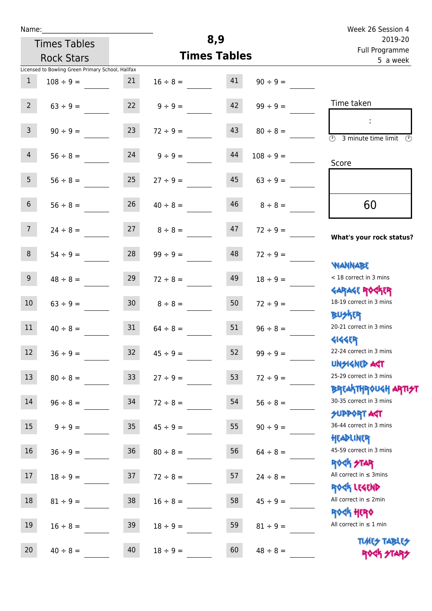| Name:          |                                                   |                 |                     | 8,9                        |                | Week 26 Session 4                                           |  |
|----------------|---------------------------------------------------|-----------------|---------------------|----------------------------|----------------|-------------------------------------------------------------|--|
|                | <b>Times Tables</b>                               |                 |                     | 2019-20                    |                |                                                             |  |
|                | <b>Rock Stars</b>                                 |                 | <b>Times Tables</b> | Full Programme<br>5 a week |                |                                                             |  |
|                | Licensed to Bowling Green Primary School, Halifax |                 |                     |                            |                |                                                             |  |
| $\mathbf{1}$   | $108 \div 9 =$                                    | 21              | $16 \div 8 =$       | 41                         | $90 \div 9 =$  |                                                             |  |
| $2^{\circ}$    | $63 ÷ 9 =$                                        | 22              | $9 ÷ 9 =$           | 42                         | $99 \div 9 =$  | Time taken                                                  |  |
| $\overline{3}$ | $90 \div 9 =$                                     | 23              | $72 \div 9 =$       | 43                         | $80 \div 8 =$  | $\overline{\mathcal{O}}$<br>3 minute time limit<br>⊙        |  |
| $\overline{4}$ | $56 \div 8 =$                                     | 24              | $9 \div 9 =$        | 44                         | $108 \div 9 =$ | Score                                                       |  |
| 5 <sub>1</sub> | $56 \div 8 =$                                     | 25              | $27 \div 9 =$       | 45                         | $63 \div 9 =$  |                                                             |  |
| 6 <sup>1</sup> | $56 \div 8 =$                                     | 26              | $40 \div 8 =$       | 46                         | $8 \div 8 =$   | 60                                                          |  |
| 7 <sup>7</sup> | $24 \div 8 =$                                     | 27              | $8 \div 8 =$        | 47                         | $72 \div 9 =$  | What's your rock status?                                    |  |
| 8              | $54 \div 9 =$                                     | 28              | $99 \div 9 =$       | 48                         | $72 \div 9 =$  | <b>NANNABE</b>                                              |  |
| 9 <sup>°</sup> | $48 \div 8 =$                                     | 29              | $72 \div 8 =$       | 49                         | $18 \div 9 =$  | < 18 correct in 3 mins<br><b>GARAGE ROCKER</b>              |  |
| 10             | $63 \div 9 =$                                     | 30 <sub>o</sub> | $8 \div 8 =$        | 50                         | $72 \div 9 =$  | 18-19 correct in 3 mins<br><b>BUSKER</b>                    |  |
| 11             | $40 \div 8 =$                                     | 31              | $64 \div 8 =$       | 51                         | $96 \div 8 =$  | 20-21 correct in 3 mins<br><b>4144EP</b>                    |  |
| 12             | $36 ÷ 9 =$                                        | 32              | $45 \div 9 =$       | 52                         | $99 ÷ 9 =$     | 22-24 correct in 3 mins<br><b>UNSIGNED AST</b>              |  |
| 13             | $80 \div 8 =$                                     | 33 <sup>°</sup> | $27 \div 9 =$       | 53                         | $72 \div 9 =$  | 25-29 correct in 3 mins<br>BREAKTHRÓUGH ARTI <del>2</del> 1 |  |
| 14             | $96 \div 8 =$                                     | 34              | $72 \div 8 =$       | 54                         | $56 \div 8 =$  | 30-35 correct in 3 mins<br><b>SUPPORT AGT</b>               |  |
| 15             | $9 ÷ 9 =$                                         | 35              | $45 \div 9 =$       | 55                         | $90 \div 9 =$  | 36-44 correct in 3 mins<br>HEADLINER                        |  |
| 16             | $36 \div 9 =$                                     | $36\,$          | $80 \div 8 =$       | 56                         | $64 \div 8 =$  | 45-59 correct in 3 mins<br><b>ROCK STAR</b>                 |  |
| $17 \,$        | $18 \div 9 =$                                     | 37              | $72 \div 8 =$       | 57                         | $24 \div 8 =$  | All correct in $\leq$ 3mins<br>ROCK LEGEND                  |  |
| 18             | $81 \div 9 =$                                     | 38              | $16 \div 8 =$       | 58                         | $45 \div 9 =$  | All correct in $\leq 2$ min<br>ROCK HERO                    |  |
| 19             | $16 \div 8 =$                                     | 39              | $18 \div 9 =$       | 59                         | $81 \div 9 =$  | All correct in $\leq 1$ min                                 |  |
| 20             | $40 \div 8 =$                                     | 40              | $18 \div 9 =$       | 60                         | $48 \div 8 =$  | <b>TUARS TABLES</b><br>ROCK STARS                           |  |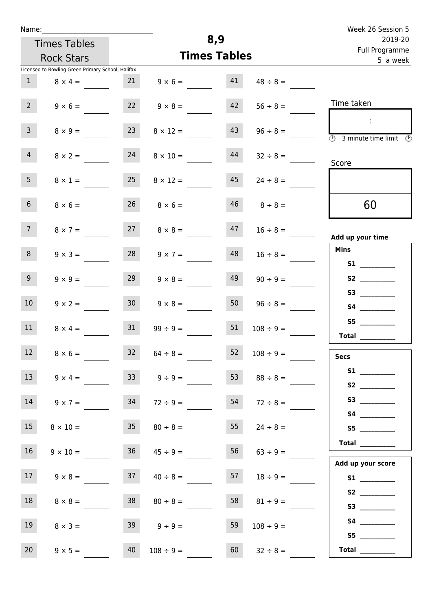|  | Name: |  |
|--|-------|--|
|  |       |  |

| Name:           |                                                                     |                 |                     |                           |                    | Week 26 Session 5                                          |
|-----------------|---------------------------------------------------------------------|-----------------|---------------------|---------------------------|--------------------|------------------------------------------------------------|
|                 | <b>Times Tables</b>                                                 |                 | 8,9                 | 2019-20<br>Full Programme |                    |                                                            |
|                 | <b>Rock Stars</b>                                                   |                 | <b>Times Tables</b> | 5 a week                  |                    |                                                            |
| $\mathbf{1}$    | Licensed to Bowling Green Primary School, Halifax<br>$8 \times 4 =$ | 21              | $9 \times 6 =$      | 41                        | $48 \div 8 =$      |                                                            |
| $2^{\circ}$     | $9 \times 6 =$                                                      | 22              | $9 \times 8 =$      | 42                        | $56 \div 8 =$      | Time taken                                                 |
| $\overline{3}$  | $8 \times 9 =$                                                      | 23              | $8 \times 12 =$     | 43                        | $96 \div 8 =$      | ÷<br>$\overline{(\mathcal{V})}$<br>3 minute time limit     |
| $\overline{4}$  | $8 \times 2 =$                                                      | 24              | $8 \times 10 =$     | 44                        | $32 \div 8 =$      | Score                                                      |
| 5 <sup>5</sup>  | $8 \times 1 =$                                                      | 25              | $8 \times 12 =$     | 45                        | $24 \div 8 =$      |                                                            |
| $6\phantom{.}6$ | $8 \times 6 =$                                                      | 26              | $8 \times 6 =$      | 46                        | $8 \div 8 =$       | 60                                                         |
| $7\overline{ }$ | $8 \times 7 =$                                                      | 27              | $8 \times 8 =$      | 47                        | $16 \div 8 =$      | Add up your time                                           |
| 8               | $9 \times 3 =$                                                      | 28              | $9 \times 7 =$      | 48                        | $16 \div 8 =$      | <b>Mins</b>                                                |
| 9 <sub>o</sub>  | $9 \times 9 =$                                                      | 29              | $9 \times 8 =$      | 49                        | $90 \div 9 =$      | S2                                                         |
| 10              | $9 \times 2 =$                                                      | 30 <sub>o</sub> | $9 \times 8 =$      | 50                        | $96 \div 8 =$      | S3<br>S4                                                   |
| 11              | $8 \times 4 =$                                                      | 31              | $99 \div 9 =$       | 51                        | $108 \div 9 =$     | S <sub>5</sub><br>$\begin{tabular}{c} Total \end{tabular}$ |
| 12              | $8 \times 6 =$                                                      |                 | $32 \t 64 \div 8 =$ | 52                        | $108 \div 9 =$     | <b>Secs</b>                                                |
| 13              | $9 \times 4 =$                                                      |                 | $9 \div 9 =$        | 53                        | $88 \div 8 =$      |                                                            |
| 14              | $9 \times 7 =$                                                      | 34              | $72 \div 9 =$       | 54                        | $72 \div 8 =$      |                                                            |
| 15              | $8 \times 10 =$                                                     |                 | $35 \t 80 \div 8 =$ |                           | 55 $24 \div 8 =$   |                                                            |
| 16              | $9 \times 10 =$                                                     |                 | $36 \t 45 \div 9 =$ |                           | $56$ $63 \div 9 =$ |                                                            |

17  $9 \times 8 =$  37  $40 \div 8 =$  57  $18 \div 9 =$ 

18  $8 \times 8 =$  38  $80 \div 8 =$  58  $81 \div 9 =$ 

19  $8 \times 3 =$  39  $9 \div 9 =$  59  $108 \div 9 =$ 

20  $9 \times 5 =$  40  $108 \div 9 =$  60  $32 \div 8 =$ 

| Add up your score |  |
|-------------------|--|
| S1                |  |
| S2                |  |

 **S3 \_\_\_\_\_\_\_\_\_\_\_\_ S4 \_\_\_\_\_\_\_\_\_\_\_\_**

 **S5 \_\_\_\_\_\_\_\_\_\_\_\_**

 **Total \_\_\_\_\_\_\_\_\_\_\_\_**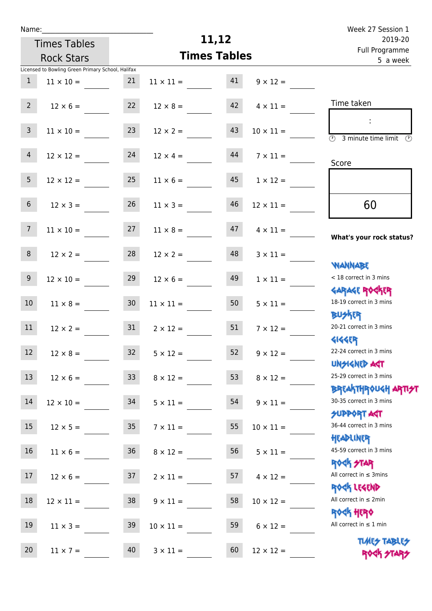| Name:           |                                                   |                 |                     |    |                                       | Week 27 Session 1                                                |  |
|-----------------|---------------------------------------------------|-----------------|---------------------|----|---------------------------------------|------------------------------------------------------------------|--|
|                 | <b>Times Tables</b>                               |                 | 11,12               |    | 2019-20<br>Full Programme<br>5 a week |                                                                  |  |
|                 | <b>Rock Stars</b>                                 |                 | <b>Times Tables</b> |    |                                       |                                                                  |  |
|                 | Licensed to Bowling Green Primary School, Halifax |                 |                     |    |                                       |                                                                  |  |
| $\mathbf{1}$    | $11 \times 10 =$                                  | 21              | $11 \times 11 =$    | 41 | $9 \times 12 =$                       |                                                                  |  |
| $2^{\circ}$     | $12 \times 6 =$                                   | 22              | $12 \times 8 =$     | 42 | $4 \times 11 =$                       | Time taken                                                       |  |
| $\overline{3}$  | $11 \times 10 = 23$                               |                 | $12 \times 2 =$     | 43 | $10 \times 11 =$                      | $\overline{\textcircled{1}}$ 3 minute time limit                 |  |
| $\overline{4}$  | $12 \times 12 =$                                  | 24              | $12 \times 4 =$     | 44 | $7 \times 11 =$                       | Score                                                            |  |
| 5 <sub>5</sub>  | $12 \times 12 =$                                  | 25              | $11 \times 6 =$     | 45 | $1 \times 12 =$                       |                                                                  |  |
| 6 <sup>1</sup>  | $12 \times 3 =$                                   | 26              | $11 \times 3 =$     | 46 | $12 \times 11 =$                      | 60                                                               |  |
| $7\overline{ }$ | $11 \times 10 =$                                  | 27              | $11 \times 8 =$     | 47 | $4 \times 11 =$                       | What's your rock status?                                         |  |
| 8               | $12 \times 2 =$                                   | 28              | $12 \times 2 =$     | 48 | $3 \times 11 =$                       | <b>NANNABE</b>                                                   |  |
| 9               | $12 \times 10 =$                                  | 29              | $12 \times 6 =$     | 49 | $1 \times 11 =$                       | < 18 correct in 3 mins<br><b>GARAGE ROGKER</b>                   |  |
| 10 <sup>°</sup> | $11 \times 8 =$                                   | 30 <sup>°</sup> | $11 \times 11 =$    | 50 | $5 \times 11 =$                       | 18-19 correct in 3 mins<br><b>BUSKER</b>                         |  |
| 11              | $12 \times 2 =$                                   | 31              | $2 \times 12 =$     | 51 | $7 \times 12 =$                       | 20-21 correct in 3 mins<br><b>4144EP</b>                         |  |
| 12              | $12 \times 8 =$                                   | 32              | $5 \times 12 =$     | 52 | $9 \times 12 =$                       | 22-24 correct in 3 mins<br><b>UNSIGNED AST</b>                   |  |
| 13              | $12 \times 6 =$                                   | 33              | $8 \times 12 =$     | 53 | $8 \times 12 =$                       | 25-29 correct in 3 mins<br><b>BREAKTHROUGH ARTI<del>S</del>T</b> |  |
| 14              | $12 \times 10 =$                                  | 34              | $5 \times 11 =$     | 54 | $9 \times 11 =$                       | 30-35 correct in 3 mins<br><b>SUPPORT ART</b>                    |  |
| 15 <sub>1</sub> | $12 \times 5 = 35$                                |                 | $7 \times 11 =$     | 55 | $10 \times 11 =$                      | 36-44 correct in 3 mins<br>HEADLINER                             |  |
| 16 <sup>1</sup> | $11 \times 6 =$                                   | 36              | $8 \times 12 =$     | 56 | $5 \times 11 =$                       | 45-59 correct in 3 mins<br>ROCK STAR                             |  |
| 17              | $12 \times 6 =$                                   | 37              | $2 \times 11 =$     | 57 | $4 \times 12 =$                       | All correct in $\leq$ 3mins<br>ROCK LEGEND                       |  |
| 18              | $12 \times 11 =$                                  | 38              | $9 \times 11 =$     | 58 | $10 \times 12 =$                      | All correct in $\leq 2$ min<br>ROCK HERO                         |  |
| 19              | $11 \times 3 =$                                   | 39              | $10 \times 11 =$    | 59 | $6 \times 12 =$                       | All correct in $\leq 1$ min                                      |  |
| 20              | $11 \times 7 =$                                   | 40              | $3 \times 11 =$     | 60 | $12 \times 12 =$                      | <b>TUARS TABLES</b><br>ROCK STARS                                |  |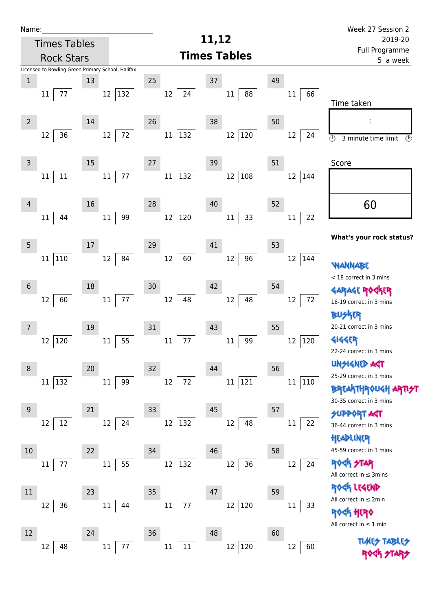| Name:          |                                                   |        |                |                                    | 11,12                      |        |        | Week 27 Session 2                                                       |
|----------------|---------------------------------------------------|--------|----------------|------------------------------------|----------------------------|--------|--------|-------------------------------------------------------------------------|
|                | <b>Times Tables</b>                               |        |                |                                    | 2019-20                    |        |        |                                                                         |
|                | <b>Rock Stars</b>                                 |        |                | <b>Times Tables</b>                | Full Programme<br>5 a week |        |        |                                                                         |
|                | Licensed to Bowling Green Primary School, Halifax |        |                |                                    |                            |        |        |                                                                         |
| $\mathbf 1$    |                                                   | 13     |                | 25                                 | 37                         | 49     |        |                                                                         |
|                | 77<br>11                                          |        | 132<br>12      | 24<br>$12 \overline{ }$            | $11\,$<br>88               | $11\,$ | 66     | Time taken                                                              |
|                |                                                   |        |                |                                    |                            |        |        |                                                                         |
| $\overline{2}$ |                                                   | 14     |                | 26                                 | 38                         | 50     |        |                                                                         |
|                | 36<br>12                                          |        | 72<br>12       | 11 132                             | $ 120\rangle$<br>12        | 12     | 24     | $\overline{\odot}$<br>3 minute time limit<br>$\circled{r}$              |
| $\mathsf{3}$   |                                                   | 15     |                | 27                                 | 39                         | 51     |        | Score                                                                   |
|                | $11\,$<br>11                                      |        | $77$<br>$11\,$ | 132<br>$11\,$                      | 108<br>$12\,$              | 12     | 144    |                                                                         |
|                |                                                   |        |                |                                    |                            |        |        |                                                                         |
| 4              |                                                   | 16     |                | 28                                 | 40                         | 52     |        | 60                                                                      |
|                | 44<br>11                                          |        | 99<br>$11\,$   | $ 120\rangle$<br>$12 \overline{ }$ | 33<br>$11\,$               | $11\,$ | 22     |                                                                         |
|                |                                                   |        |                |                                    |                            |        |        | What's your rock status?                                                |
| 5              |                                                   | $17\,$ |                | 29                                 | 41                         | 53     |        |                                                                         |
|                | 110<br>11                                         |        | 84<br>12       | 60<br>12                           | 96<br>$12\,$               | 12     | 144    | WANNABE                                                                 |
|                |                                                   |        |                |                                    |                            |        |        | < 18 correct in 3 mins                                                  |
| $6\,$          |                                                   | 18     |                | 30                                 | 42                         | 54     |        | <b>GARAGE RO</b>                                                        |
|                | 60<br>12                                          |        | 77<br>11       | 48<br>12                           | 48<br>12                   | 12     | 72     | 18-19 correct in 3 mins                                                 |
|                |                                                   |        |                |                                    |                            |        |        | <b>BUSKER</b>                                                           |
| 7              |                                                   | 19     |                | 31                                 | 43                         | 55     |        | 20-21 correct in 3 mins                                                 |
|                | 120<br>12                                         |        | $11\,$<br>55   | 77<br>$11\,$                       | 99<br>$11\,$               | 12     | 120    | <b>4144EP</b>                                                           |
|                |                                                   |        |                |                                    |                            |        |        | 22-24 correct in 3 mins                                                 |
| 8              |                                                   | 20     |                | 32                                 | 44                         | 56     |        | <b>UNGIGNED AST</b>                                                     |
|                | 11 132                                            |        | $11\,$<br>99   | $12 \,$<br>72                      | 11 121                     |        | 11 110 | 25-29 correct in 3 mins                                                 |
|                |                                                   |        |                |                                    |                            |        |        | <b>BREAKTHROUGH</b><br>30-35 correct in 3 mins                          |
| 9              |                                                   | 21     |                | 33                                 | 45                         | 57     |        | <b>SUPPORT AGT</b>                                                      |
|                | 12<br>12                                          |        | 24<br>12       | $12 \overline{ }$<br>132           | 48<br>12                   | 11     | 22     | 36-44 correct in 3 mins                                                 |
|                |                                                   |        |                |                                    |                            |        |        | HEADLINER                                                               |
| $10\,$         |                                                   | 22     |                | 34                                 | 46                         | 58     |        | 45-59 correct in 3 mins                                                 |
|                | 77<br>11                                          |        | 55<br>$11\,$   | $12 \overline{ }$<br> 132          | 36<br>12                   | 12     | 24     | <b>ROCK STAR</b>                                                        |
|                |                                                   |        |                |                                    |                            |        |        | All correct in $\leq$ 3mins                                             |
| 11             |                                                   | 23     |                | 35                                 | 47                         | 59     |        | ROCK LEGEND                                                             |
|                | 36<br>12                                          |        | $11\,$<br>44   | 77<br>11                           | 120<br>12                  | $11\,$ | 33     | All correct in $\leq 2$ min                                             |
|                |                                                   |        |                |                                    |                            |        |        | <b><k b="" her0<=""><br/>All correct in <math>\leq 1</math> min</k></b> |
| 12             |                                                   | 24     |                | 36                                 | 48                         | 60     |        |                                                                         |
|                | 48<br>12                                          |        | 77<br>$11\,$   | $11\,$<br>$11\,$                   | $ 120\rangle$<br>12        | 12     | 60     | <b>TUARS TABLES</b>                                                     |
|                |                                                   |        |                |                                    |                            |        |        |                                                                         |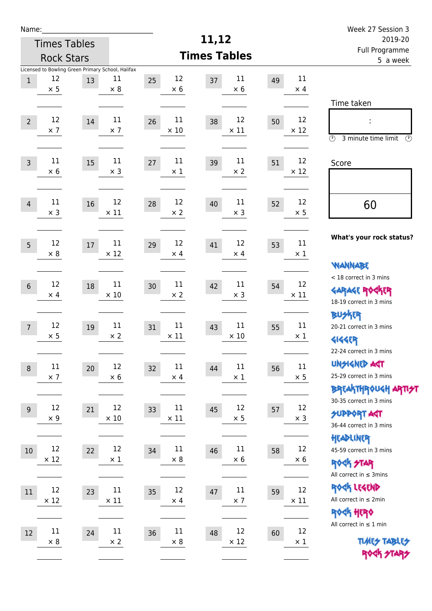| Name:          |                      |                     |                                                                       |                            |                            |                            | Week 27 Session 3                                                                           |  |  |
|----------------|----------------------|---------------------|-----------------------------------------------------------------------|----------------------------|----------------------------|----------------------------|---------------------------------------------------------------------------------------------|--|--|
|                |                      | <b>Times Tables</b> |                                                                       |                            | 11,12                      | 2019-20                    |                                                                                             |  |  |
|                | <b>Rock Stars</b>    |                     |                                                                       |                            | <b>Times Tables</b>        |                            | Full Programme<br>5 a week                                                                  |  |  |
| $\,1$          | 12<br>$\times$ 5     | 13                  | Licensed to Bowling Green Primary School, Halifax<br>11<br>$\times 8$ | 12<br>25<br>$\times$ 6     | 11<br>37<br>$\times 6$     | 11<br>49<br>$\times$ 4     |                                                                                             |  |  |
| $\overline{2}$ | 12<br>$\times$ 7     | 14                  | 11<br>$\times$ 7                                                      | 11<br>26<br>$\times$ 10    | 12<br>38<br>$\times$ 11    | 12<br>50<br>$\times$ 12    | Time taken<br>t<br>$\circled{r}$<br>3 minute time limit<br>⊕                                |  |  |
| $\overline{3}$ | 11<br>$\times$ 6     | 15                  | 11<br>$\times$ 3                                                      | 11<br>27<br>$\times$ 1     | 11<br>39<br>$\times$ 2     | 12<br>51<br>$\times$ 12    | Score                                                                                       |  |  |
| $\overline{4}$ | 11<br>$\times$ 3     | 16                  | 12<br>$\times$ 11                                                     | 12<br>28<br>$\times$ 2     | 11<br>40<br>$\times$ 3     | 12<br>52<br>$\times$ 5     | 60                                                                                          |  |  |
| 5              | 12<br>$\times 8$     | 17                  | 11<br>$\times$ 12                                                     | 12<br>29<br>$\times$ 4     | 12<br>41<br>$\times$ 4     | 11<br>53<br>$\times 1$     | What's your rock status?                                                                    |  |  |
| $6\,$          | 12<br>$\times$ 4     | 18                  | 11<br>$\times$ 10                                                     | 11<br>30<br>$\times 2$     | 11<br>42<br>$\times$ 3     | 12<br>54<br>$\times$ 11    | <b>NANNABE</b><br>< 18 correct in 3 mins<br><b>GARAGE ROCKER</b><br>18-19 correct in 3 mins |  |  |
| $\overline{7}$ | 12<br>$\times$ 5     | 19                  | 11<br>$\times$ 2                                                      | 11<br>31<br>$\times$ 11    | 11<br>43<br>$\times$ 10    | 11<br>55<br>$\times$ 1     | BU外界<br>20-21 correct in 3 mins<br><b>4144EP</b><br>22-24 correct in 3 mins                 |  |  |
| $\,8\,$        | $11\,$<br>$\times$ 7 | 20                  | 12<br>$\times$ 6                                                      | 11<br>32<br>$\times$ 4     | $11\,$<br>44<br>$\times$ 1 | $11\,$<br>56<br>$\times$ 5 | <b>UNSIGNED AGT</b><br>25-29 correct in 3 mins<br><b>BREAKTHROUGH ARTI<del>S</del>T</b>     |  |  |
| 9              | 12<br>$\times$ 9     | 21                  | 12<br>$\times$ 10                                                     | 11<br>33<br>$\times$ 11    | 12<br>45<br>$\times$ 5     | 12<br>57<br>$\times$ 3     | 30-35 correct in 3 mins<br><b>SUPPORT AGT</b><br>36-44 correct in 3 mins                    |  |  |
| 10             | 12<br>$\times$ 12    | 22                  | 12<br>$\times$ 1                                                      | $11\,$<br>34<br>$\times$ 8 | $11\,$<br>46<br>$\times$ 6 | 12<br>58<br>$\times$ 6     | HEADLINER<br>45-59 correct in 3 mins<br><b>ROCK STAR</b><br>All correct in $\leq$ 3mins     |  |  |
| 11             | 12<br>$\times$ 12    | 23                  | $11\,$<br>$\times$ 11                                                 | 12<br>35<br>$\times$ 4     | $11\,$<br>47<br>$\times$ 7 | 12<br>59<br>$\times$ 11    | ROCK LEGEND<br>All correct in $\leq 2$ min<br><b>ROCK HERO</b>                              |  |  |
| 12             | $11\,$<br>$\times 8$ | 24                  | $11\,$<br>$\times$ 2                                                  | 11<br>36<br>$\times$ 8     | 12<br>48<br>$\times$ 12    | 12<br>60<br>$\times$ 1     | All correct in $\leq 1$ min<br><b>TUARS TABLES</b><br>ROCK STARS                            |  |  |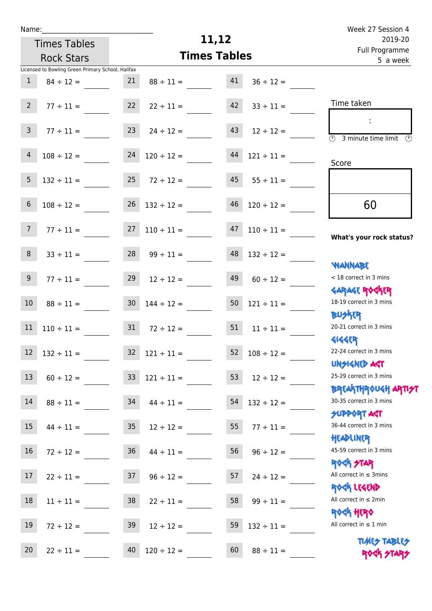| u | am |  |  |
|---|----|--|--|
|   |    |  |  |

Times Tables

## **11,12**

|                 | <b>Rock Stars</b>                                 |                 | <b>Times Tables</b>      | <u>Lan Llogrammic</u><br>5 a week |                 |                                                         |
|-----------------|---------------------------------------------------|-----------------|--------------------------|-----------------------------------|-----------------|---------------------------------------------------------|
|                 | Licensed to Bowling Green Primary School, Halifax |                 |                          |                                   |                 |                                                         |
| $\mathbf{1}$    | $84 \div 12 =$                                    | 21              | $88 \div 11 =$           | 41                                | $36 \div 12 =$  |                                                         |
| 2 <sup>7</sup>  | $77 \div 11 =$                                    | 22              | $22 \div 11 =$           | 42                                | $33 \div 11 =$  | Time taken                                              |
|                 |                                                   |                 |                          |                                   |                 |                                                         |
| $\mathsf{3}$    | $77 \div 11 =$                                    | 23              | $24 \div 12 =$           | 43                                | $12 \div 12 =$  | $\overline{\circ}$<br>3 minute time limit $\circled{1}$ |
| 4               | $108 \div 12 =$                                   | 24              | $120 \div 12 =$          | 44                                | $121 \div 11 =$ |                                                         |
|                 |                                                   |                 |                          |                                   |                 | Score                                                   |
| 5               | $132 \div 11 =$                                   | 25              | $72 \div 12 =$           | 45                                | $55 \div 11 =$  |                                                         |
| 6               | $108 \div 12 =$                                   | 26              | $132 \div 12 =$          | 46                                | $120 \div 12 =$ | 60                                                      |
|                 |                                                   |                 |                          |                                   |                 |                                                         |
| $7\overline{ }$ | $77 \div 11 =$                                    | 27              | $110 \div 11 =$          | 47                                | $110 \div 11 =$ |                                                         |
|                 |                                                   |                 |                          |                                   |                 | What's your rock status?                                |
| 8               | $33 \div 11 =$                                    | 28              | $99 \div 11 =$           | 48                                | $132 \div 12 =$ |                                                         |
| 9 <sub>o</sub>  |                                                   | 29              |                          | 49                                |                 | <b>NANNABE</b><br>< 18 correct in 3 mins                |
|                 | $77 \div 11 =$                                    |                 | $12 \div 12 =$           |                                   | $60 \div 12 =$  | <b>GARAGE ROCKER</b>                                    |
| $10\,$          | $88 \div 11 =$                                    | 30 <sub>o</sub> | $144 \div 12 =$          | 50                                | $121 \div 11 =$ | 18-19 correct in 3 mins                                 |
|                 |                                                   |                 |                          |                                   |                 | <b>BUSKRR</b>                                           |
| 11              | $110 \div 11 =$                                   | 31              | $72 \div 12 =$           | 51                                | $11 \div 11 =$  | 20-21 correct in 3 mins                                 |
|                 |                                                   |                 |                          |                                   |                 | <b>4144EP</b>                                           |
| $12\,$          | $132 \div 11 =$                                   | 32              | $121 \div 11 =$          | 52                                | $108 \div 12 =$ | 22-24 correct in 3 mins                                 |
|                 |                                                   |                 |                          |                                   |                 | <b>UNSIGNED AST</b>                                     |
|                 | $13 \t 60 \div 12 =$                              |                 | $33 \quad 121 \div 11 =$ | 53                                | $12 \div 12 =$  | 25-29 correct in 3 mins                                 |
|                 |                                                   |                 |                          |                                   |                 | <b>BREAKTHR0UGH ARTI<del>S</del>T</b>                   |
| 14              | $88 \div 11 =$                                    | 34              | $44 \div 11 =$           | 54                                | $132 \div 12 =$ | 30-35 correct in 3 mins                                 |
| 15              |                                                   |                 |                          |                                   |                 | <b>SUPPORT AGT</b><br>36-44 correct in 3 mins           |
|                 | $44 \div 11 =$                                    | 35              | $12 \div 12 =$           | 55                                | $77 \div 11 =$  | HEADLINER                                               |
| 16              | $72 \div 12 =$                                    | 36              | $44 \div 11 =$           | 56                                | $96 \div 12 =$  | 45-59 correct in 3 mins                                 |
|                 |                                                   |                 |                          |                                   |                 | <b>ROCK STAR</b>                                        |
| 17              | $22 \div 11 =$                                    | 37              | $96 \div 12 =$           | 57                                | $24 \div 12 =$  | All correct in $\leq$ 3mins                             |
|                 |                                                   |                 |                          |                                   |                 | ROCK LEGEND                                             |
| 18              | $11 \div 11 =$                                    | 38              | $22 \div 11 =$           | 58                                | $99 \div 11 =$  | All correct in $\leq 2$ min                             |
|                 |                                                   |                 |                          |                                   |                 | <b>ROCK HERO</b>                                        |
| 19              | $72 \div 12 =$                                    | 39              | $12 \div 12 =$           | 59                                | $132 \div 11 =$ | All correct in $\leq 1$ min                             |
|                 |                                                   |                 |                          |                                   |                 | <b>TUARS TABLES</b>                                     |
| 20              | $22 \div 11 =$                                    | 40              | $120 \div 12 =$          | 60                                | $88 \div 11 =$  | ROCK STARS                                              |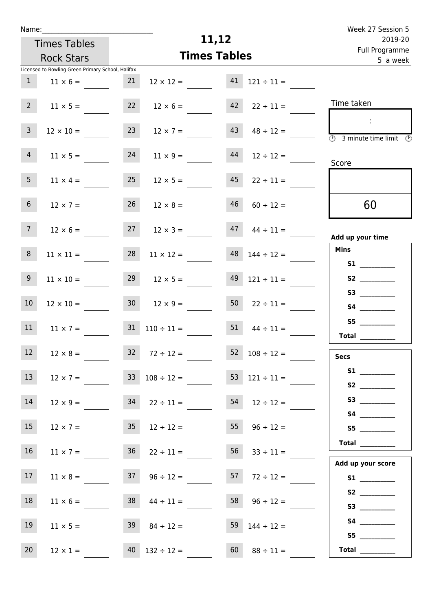| Week 27 Session 5                   |                          |                     |                          |                 |                                                   | Name:          |
|-------------------------------------|--------------------------|---------------------|--------------------------|-----------------|---------------------------------------------------|----------------|
| 2019-20                             |                          | 11,12               |                          |                 | <b>Times Tables</b>                               |                |
| Full Programme<br>5 a week          |                          | <b>Times Tables</b> |                          |                 | <b>Rock Stars</b>                                 |                |
|                                     |                          |                     |                          |                 | Licensed to Bowling Green Primary School, Halifax |                |
|                                     | $121 \div 11 =$          | 41                  | $12 \times 12 =$         | 21              | $11 \times 6 =$                                   | $\mathbf{1}$   |
| Time taken                          | $22 \div 11 =$           | 42                  | $12 \times 6 =$          | 22              | $11 \times 5 =$                                   | $2^{\circ}$    |
| <b>3</b> minute time limit <b>3</b> | $48 \div 12 =$           | 43                  | $12 \times 7 =$          | 23              | $12 \times 10 =$                                  | $\mathsf{3}$   |
| Score                               | $12 \div 12 =$           | 44                  | $11 \times 9 =$          | 24              | $11 \times 5 =$                                   | $\overline{4}$ |
|                                     | $22 \div 11 =$           | 45                  | $12 \times 5 =$          | 25              | $11 \times 4 =$                                   | 5 <sub>1</sub> |
| 60                                  | $60 \div 12 =$           | 46                  | $12 \times 8 =$          | 26              | $12 \times 7 =$                                   | 6 <sup>1</sup> |
| Add up your time                    | $44 \div 11 =$           | 47                  | $12 \times 3 =$          | 27              | $12 \times 6 =$                                   | 7 <sup>7</sup> |
| <b>Mins</b>                         | $144 \div 12 =$          | 48                  | $11 \times 12 =$         | 28              | $11 \times 11 =$                                  | 8              |
|                                     | $121 \div 11 =$          | 49                  | $12 \times 5 =$          | 29              | $11 \times 10 =$                                  | 9              |
|                                     | $22 \div 11 =$           | 50                  | $12 \times 9 =$          | 30 <sup>1</sup> | $12 \times 10 =$                                  | 10             |
| S5<br><b>Total</b>                  | $44 \div 11 =$           | 51                  | $110 \div 11 =$          | 31              | $11 \times 7 =$                                   | 11             |
| <b>Secs</b>                         | $52 \t108 \div 12 =$     |                     | $32 \t 72 \div 12 =$     |                 | $12 \times 8 =$                                   | 12             |
| S1<br>S2                            | $53 \quad 121 \div 11 =$ |                     | $33 \t108 \div 12 =$     |                 | $12 \times 7 =$                                   | 13             |
|                                     | $54$ $12 \div 12 =$      |                     |                          |                 | $12 \times 9 = 34$ $22 \div 11 =$                 | 14             |
| S5                                  | $55 \t 96 \div 12 =$     |                     | $35 \t 12 \div 12 =$     |                 | $12 \times 7 =$                                   | 15             |
|                                     | $56 \t 33 \div 11 =$     |                     | $36 \t 22 \div 11 =$     |                 | $11 \times 7 =$                                   | 16             |
| Add up your score                   | $57$ $72 \div 12 =$      |                     | $37 \t 96 \div 12 =$     |                 | $11 \times 8 =$                                   | 17             |
|                                     | $58 \t 96 \div 12 =$     |                     | $38 \t 44 \div 11 =$     |                 | $11 \times 6 =$                                   | 18             |
|                                     | 59 $144 \div 12 =$       |                     | $39 \t 84 \div 12 =$     |                 | $11 \times 5 =$                                   | 19             |
| Total $\frac{1}{1}$                 | $60 \t 88 \div 11 =$     |                     | $40 \quad 132 \div 12 =$ |                 | $12 \times 1 =$                                   | 20             |

 $\sim$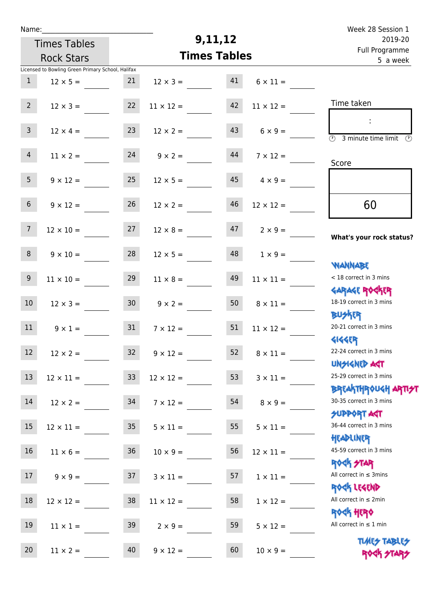| Week 28 Session 1                                                                 |                       |                     |                       |                     |                                                   | Name:           |
|-----------------------------------------------------------------------------------|-----------------------|---------------------|-----------------------|---------------------|---------------------------------------------------|-----------------|
| 2019-20                                                                           |                       | 9,11,12             |                       | <b>Times Tables</b> |                                                   |                 |
| Full Programme<br>5 a week                                                        |                       | <b>Times Tables</b> |                       | <b>Rock Stars</b>   |                                                   |                 |
|                                                                                   |                       |                     |                       |                     | Licensed to Bowling Green Primary School, Halifax |                 |
|                                                                                   | $6 \times 11 =$       | 41                  | $12 \times 3 =$       | 21                  | $12 \times 5 =$                                   | $\mathbf{1}$    |
| Time taken                                                                        | $11 \times 12 =$      | 42                  | $11 \times 12 =$      | 22                  | $12 \times 3 =$                                   | 2 <sup>7</sup>  |
| $\overline{(\mathcal{V})}$<br>3 minute time limit $\circled{0}$                   | $6 \times 9 =$        | 43                  | $12 \times 2 =$       | 23                  | $12 \times 4 =$                                   | 3 <sup>7</sup>  |
| Score                                                                             | $7 \times 12 =$       | 44                  | $9 \times 2 =$        | 24                  | $11 \times 2 =$                                   | $\overline{4}$  |
|                                                                                   | $4 \times 9 =$        | 45                  | $12 \times 5 =$       | 25                  | $9 \times 12 =$                                   | 5 <sub>1</sub>  |
| 60                                                                                | $12 \times 12 =$      | 46                  | $12 \times 2 =$       | 26                  | $9 \times 12 =$                                   | 6 <sup>1</sup>  |
| What's your rock status?                                                          | $2 \times 9 =$        | 47                  | $12 \times 8 =$       | 27                  | $12 \times 10 =$                                  | $7\overline{ }$ |
| <b>NANNABE</b>                                                                    | $1 \times 9 =$        | 48                  | $12 \times 5 =$       | 28                  | $9 \times 10 =$                                   | 8               |
| < 18 correct in 3 mins<br><b>GARAGE ROCKER</b>                                    | $11 \times 11 =$      | 49                  | $11 \times 8 =$       | 29                  | $11 \times 10 =$                                  | 9               |
| 18-19 correct in 3 mins<br><b>BUSKER</b>                                          | $8 \times 11 =$       | 50                  | $9 \times 2 =$        | 30 <sub>o</sub>     | $12 \times 3 =$                                   | 10 <sup>°</sup> |
| 20-21 correct in 3 mins<br><b>414469</b>                                          | $11 \times 12 =$      | 51                  | $7 \times 12 =$       | 31                  | $9 \times 1 =$                                    | 11              |
| 22-24 correct in 3 mins<br><b>UNSIGNED AGT</b>                                    | $52 \t 8 \times 11 =$ |                     | $32 \t 9 \times 12 =$ |                     | $12 \times 2 =$                                   | 12 <sup>7</sup> |
| 25-29 correct in 3 mins                                                           | $3 \times 11 =$       | 53                  | $12 \times 12 =$      | 33                  | $12 \times 11 =$                                  | 13              |
| ΒΡΓΑΚΤΗΡΟUGH ΑΡΤΙ <del>2</del> Τ<br>30-35 correct in 3 mins<br><b>SUPPORT AGT</b> | $8 \times 9 =$        | 54                  | $7 \times 12 =$       |                     | $12 \times 2 = 34$                                | 14              |
| 36-44 correct in 3 mins<br>HEADLINER                                              | $5 \times 11 =$       | 55                  | $5 \times 11 =$       | 35                  | $12 \times 11 =$                                  | 15              |
| 45-59 correct in 3 mins<br><b>ROCK STAR</b>                                       | $12 \times 11 =$      | 56                  | $10 \times 9 =$       | 36                  | $11 \times 6 =$                                   | 16              |
| All correct in $\leq$ 3mins<br>ROCK LEGEND                                        | $1 \times 11 =$       | 57                  | $3 \times 11 =$       |                     | $9 \times 9 = 37$                                 | 17              |
| All correct in $\leq 2$ min<br><b>ROCK HERO</b>                                   | $1 \times 12 =$       | 58                  | $11 \times 12 =$      | 38                  | $12 \times 12 =$                                  | 18              |
| All correct in $\leq 1$ min                                                       | $5 \times 12 =$       | 59                  | $2 \times 9 =$        | 39                  | $11 \times 1 =$                                   | 19              |
| <b>TUARS TABLES</b>                                                               | $10 \times 9 =$       | 60                  | $9 \times 12 =$       | 40                  | $11 \times 2 =$                                   | 20              |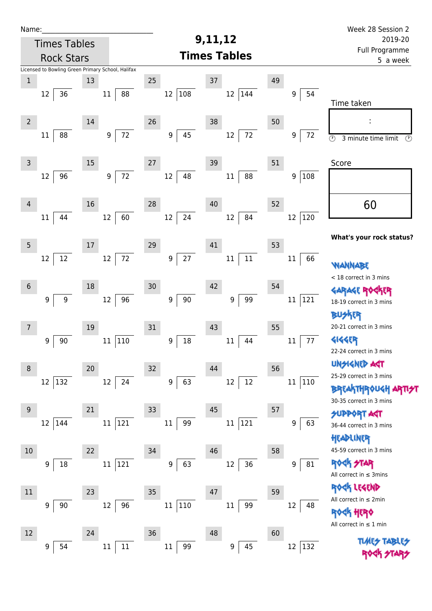| Name:               |                                                   |    |                        |                            |                        |    |                | Week 28 Session 2                                                      |
|---------------------|---------------------------------------------------|----|------------------------|----------------------------|------------------------|----|----------------|------------------------------------------------------------------------|
| <b>Times Tables</b> |                                                   |    |                        | 9,11,12                    | 2019-20                |    |                |                                                                        |
|                     | <b>Rock Stars</b>                                 |    |                        |                            | <b>Times Tables</b>    |    |                | Full Programme<br>5 a week                                             |
|                     | Licensed to Bowling Green Primary School, Halifax |    |                        |                            |                        |    |                |                                                                        |
| $\mathbf 1$         |                                                   | 13 |                        | 25                         | 37                     | 49 |                |                                                                        |
|                     | 36<br>12                                          |    | 88<br>11               | 108<br>12                  | $12\,$<br>144          |    | 54<br>9        | Time taken                                                             |
| $\overline{2}$      |                                                   | 14 |                        | 26                         | 38                     | 50 |                |                                                                        |
|                     | 88<br>11                                          |    | 72<br>9                | 45<br>9                    | 72<br>12               |    | 9<br>72        | $\overline{\circ}$<br>3 minute time limit<br>$\odot$                   |
| $\mathsf{3}$        |                                                   | 15 |                        | 27                         | 39                     | 51 |                | Score                                                                  |
|                     | 12<br>96                                          |    | 72<br>$\boldsymbol{9}$ | 12<br>48                   | $11\,$<br>88           |    | 108<br>9       |                                                                        |
| 4                   |                                                   | 16 |                        | 28                         | 40                     | 52 |                | 60                                                                     |
|                     | 44<br>11                                          |    | 60<br>12               | 24<br>12                   | 84<br>12               |    | 120<br>12      |                                                                        |
| 5                   |                                                   | 17 |                        | 29                         | 41                     | 53 |                | What's your rock status?                                               |
|                     | 12<br>12                                          |    | 72<br>12               | 27<br>9                    | $11\,$<br>$11\,$       |    | 66<br>11       | <b>WANNABE</b>                                                         |
| $\sqrt{6}$          |                                                   | 18 |                        | 30                         | 42                     | 54 |                | < 18 correct in 3 mins                                                 |
|                     | $\boldsymbol{9}$<br>$\boldsymbol{9}$              |    | 96<br>12               | $90\,$<br>9                | 99<br>9                |    | 121<br>11      | <b>GARAGE ROGKER</b><br>18-19 correct in 3 mins                        |
| 7                   |                                                   | 19 |                        | 31                         | 43                     | 55 |                | ktr<br>20-21 correct in 3 mins                                         |
|                     | 90<br>9                                           |    | 110<br>11              | $18\,$<br>$\boldsymbol{9}$ | 44<br>11               |    | 77<br>$11\,$   | 4144ER                                                                 |
|                     |                                                   |    |                        |                            |                        |    |                | 22-24 correct in 3 mins                                                |
| 8                   |                                                   | 20 |                        | 32                         | 44                     | 56 |                | <b>UNSIGNED AGT</b>                                                    |
|                     | 132<br>12                                         |    | 12<br>24               | 9<br>63                    | 12<br>12               |    | $11\,$<br> 110 | 25-29 correct in 3 mins                                                |
|                     |                                                   |    |                        |                            |                        |    |                | <b>BREAKTHROUGH ARTI<del>S</del>T</b><br>30-35 correct in 3 mins       |
| 9                   |                                                   | 21 |                        | 33                         | 45                     | 57 |                | <b>SUPPORT AGT</b>                                                     |
|                     | 12<br>144                                         |    | 121<br>11              | 99<br>$11\,$               | 121<br>$11\,$          |    | 63<br>9        | 36-44 correct in 3 mins                                                |
|                     |                                                   |    |                        |                            |                        |    |                | HEADLINER                                                              |
| $10$                |                                                   | 22 |                        | 34                         | 46                     | 58 |                | 45-59 correct in 3 mins                                                |
|                     | 9<br>18                                           |    | 121<br>11              | 63<br>$\boldsymbol{9}$     | 36<br>12               |    | 81<br>9        | <b>ROCK STAR</b><br>All correct in $\leq$ 3mins                        |
| $11\,$              |                                                   | 23 |                        | 35                         | 47                     | 59 |                | ROCK LEGEND                                                            |
|                     | $90\,$<br>9                                       |    | 96<br>12               | 110<br>11                  | 99<br>$11\,$           |    | 12<br>48       | All correct in $\leq 2$ min                                            |
|                     |                                                   |    |                        |                            |                        |    |                | <b><br +10pm<="" b=""/><br/>All correct in <math>\leq 1</math> min</b> |
| $12\,$              |                                                   | 24 |                        | 36                         | 48                     | 60 |                |                                                                        |
|                     | 54<br>9                                           |    | $11\,$<br>$11\,$       | 99<br>$11\,$               | 45<br>$\boldsymbol{9}$ |    | 132<br>12      | <b>TUARS TABLES</b>                                                    |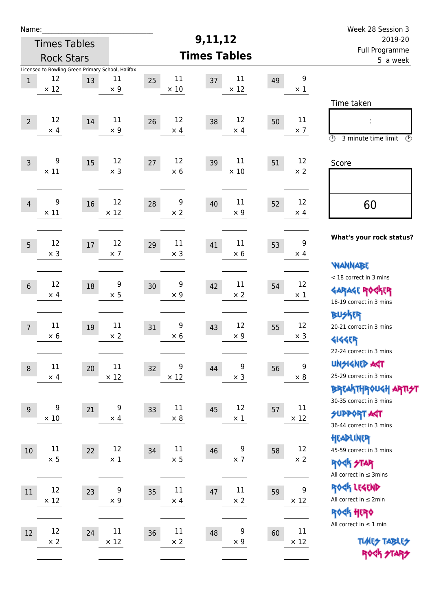| Week 28 Session 3                                                                                                  |                                 |    |                      |    |                     |    |                       |                                                         |                      | Name:          |
|--------------------------------------------------------------------------------------------------------------------|---------------------------------|----|----------------------|----|---------------------|----|-----------------------|---------------------------------------------------------|----------------------|----------------|
| 2019-20                                                                                                            |                                 |    | 9,11,12              |    | <b>Times Tables</b> |    |                       |                                                         |                      |                |
| Full Programme<br>5 a week                                                                                         | <b>Times Tables</b>             |    |                      |    |                     |    | <b>Rock Stars</b>     |                                                         |                      |                |
|                                                                                                                    | $\boldsymbol{9}$<br>$\times$ 1  | 49 | 11<br>$\times$ 12    | 37 | 11<br>$\times$ 10   | 25 | 11<br>$\times 9$      | Licensed to Bowling Green Primary School, Halifax<br>13 | 12<br>$\times$ 12    | $\,1$          |
| Time taken                                                                                                         |                                 |    |                      |    |                     |    |                       |                                                         |                      |                |
| İ,<br>$\circled{r}$<br>3 minute time limit<br>⊕                                                                    | 11<br>$\times$ 7                | 50 | 12<br>$\times$ 4     | 38 | 12<br>$\times$ 4    | 26 | 11<br>$\times$ 9      | 14                                                      | 12<br>$\times$ 4     | $\overline{2}$ |
| Score                                                                                                              | 12<br>$\times 2$                | 51 | 11<br>$\times$ 10    | 39 | 12<br>$\times 6$    | 27 | 12<br>$\times$ 3      | 15                                                      | 9<br>$\times$ 11     | $\overline{3}$ |
| 60                                                                                                                 | 12                              | 52 | 11                   | 40 | 9                   | 28 | 12                    | 16                                                      | 9                    | $\overline{4}$ |
|                                                                                                                    | $\times$ 4                      |    | $\times$ 9           |    | $\times 2$          |    | $\times$ 12           |                                                         | $\times$ 11          |                |
| What's your rock status?                                                                                           | 9<br>$\times$ 4                 | 53 | 11<br>$\times 6$     | 41 | 11<br>$\times$ 3    | 29 | 12<br>$\times$ 7      | 17                                                      | 12<br>$\times$ 3     | 5              |
| <b>NANNABE</b><br>< 18 correct in 3 mins                                                                           |                                 |    |                      |    |                     |    |                       |                                                         |                      |                |
| <b>GARAGE ROCKER</b><br>18-19 correct in 3 mins                                                                    | 12<br>$\times$ 1                | 54 | 11<br>$\times 2$     | 42 | 9<br>$\times$ 9     | 30 | 9<br>$\times$ 5       | 18                                                      | 12<br>$\times$ 4     | $6\,$          |
| BU外界<br>20-21 correct in 3 mins<br><b>4144EP</b>                                                                   | 12<br>$\times$ 3                | 55 | 12<br>$\times$ 9     | 43 | 9<br>$\times 6$     | 31 | $11\,$<br>$\times 2$  | 19                                                      | $11\,$<br>$\times 6$ | $\overline{7}$ |
| 22-24 correct in 3 mins<br><b>UNSIGNED AGT</b><br>25-29 correct in 3 mins<br><b>BREAKTHROUGH ARTI<del>S</del>T</b> | $\boldsymbol{9}$<br>$\times$ 8  | 56 | 9<br>$\times$ 3      | 44 | 9<br>$\times$ 12    | 32 | 11<br>$\times$ 12     | 20                                                      | 11<br>$\times$ 4     | $\,8\,$        |
| 30-35 correct in 3 mins<br><b>SUPPORT AGT</b><br>36-44 correct in 3 mins                                           | 11<br>$\times$ 12               | 57 | 12<br>$\times$ 1     | 45 | 11<br>$\times$ 8    | 33 | 9<br>$\times$ 4       | 21                                                      | 9<br>$\times$ 10     | $\overline{9}$ |
| HEADLINER<br>45-59 correct in 3 mins<br><b>ROCK STAR</b>                                                           | 12<br>$\times$ 2                | 58 | 9<br>$\times$ 7      | 46 | 11<br>$\times$ 5    | 34 | 12<br>$\times$ 1      | 22                                                      | $11\,$<br>$\times$ 5 | 10             |
| All correct in $\leq$ 3mins<br>ROCK LEGEND<br>All correct in $\leq 2$ min<br>ROCK HERO                             | $\boldsymbol{9}$<br>$\times$ 12 | 59 | $11\,$<br>$\times$ 2 | 47 | 11<br>$\times$ 4    | 35 | 9<br>$\times$ 9       | 23                                                      | 12<br>$\times$ 12    | 11             |
| All correct in $\leq 1$ min<br><b>TUARS TABLES</b><br>ROCK STARS                                                   | 11<br>$\times$ 12               | 60 | 9<br>$\times$ 9      | 48 | 11<br>$\times$ 2    | 36 | $11\,$<br>$\times$ 12 | 24                                                      | 12<br>$\times$ 2     | 12             |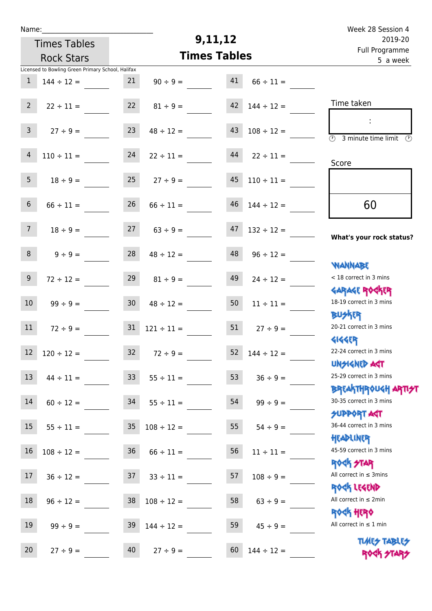| Name:           |                                                   |                 |                     | 9,11,12                   |                 | Week 28 Session 4                                                |
|-----------------|---------------------------------------------------|-----------------|---------------------|---------------------------|-----------------|------------------------------------------------------------------|
|                 | <b>Times Tables</b>                               |                 |                     | 2019-20<br>Full Programme |                 |                                                                  |
|                 | <b>Rock Stars</b>                                 |                 | <b>Times Tables</b> | 5 a week                  |                 |                                                                  |
|                 | Licensed to Bowling Green Primary School, Halifax |                 |                     |                           |                 |                                                                  |
| $\mathbf{1}$    | $144 \div 12 =$                                   | 21              | $90 \div 9 =$       | 41                        | $66 \div 11 =$  |                                                                  |
| $2^{\circ}$     | $22 \div 11 =$                                    | 22              | $81 \div 9 =$       | 42                        | $144 \div 12 =$ | Time taken                                                       |
| 3 <sup>7</sup>  | $27 \div 9 =$                                     | 23              | $48 \div 12 =$      | 43                        | $108 \div 12 =$ | $\overline{\mathcal{O}}$<br>3 minute time limit<br>O)            |
| $\overline{4}$  | $110 \div 11 =$                                   | 24              | $22 \div 11 =$      | 44                        | $22 \div 11 =$  | Score                                                            |
| 5 <sub>1</sub>  | $18 \div 9 =$                                     | 25              | $27 \div 9 =$       | 45                        | $110 \div 11 =$ |                                                                  |
| 6 <sup>1</sup>  | $66 \div 11 =$                                    | 26              | $66 \div 11 =$      | 46                        | $144 \div 12 =$ | 60                                                               |
| 7 <sup>7</sup>  | $18 \div 9 =$                                     | 27              | $63 \div 9 =$       | 47                        | $132 \div 12 =$ | What's your rock status?                                         |
| 8               | $9 \div 9 =$                                      | 28              | $48 \div 12 =$      | 48                        | $96 \div 12 =$  | <b>NANNABE</b>                                                   |
| 9 <sup>1</sup>  | $72 \div 12 =$                                    | 29              | $81 \div 9 =$       | 49                        | $24 \div 12 =$  | < 18 correct in 3 mins<br><b>GARAGE ROCKER</b>                   |
| 10 <sup>°</sup> | $99 \div 9 =$                                     | 30 <sub>o</sub> | $48 \div 12 =$      | 50                        | $11 \div 11 =$  | 18-19 correct in 3 mins<br><b>BUSKER</b>                         |
| 11              | $72 \div 9 =$                                     | 31              | $121 \div 11 =$     | 51                        | $27 \div 9 =$   | 20-21 correct in 3 mins<br><b>4144ER</b>                         |
| 12              | $120 \div 12 =$                                   | 32              | $72 \div 9 =$       | 52                        | $144 \div 12 =$ | 22-24 correct in 3 mins<br><b>UNSIGNED AGT</b>                   |
| 13              | $44 \div 11 =$                                    | 33 <sup>°</sup> | $55 \div 11 =$      | 53                        | $36 \div 9 =$   | 25-29 correct in 3 mins<br><b>BREAKTHROUGH ARTI<del>S</del>T</b> |
| 14              | $60 \div 12 =$                                    | 34              | $55 \div 11 =$      | 54                        | $99 \div 9 =$   | 30-35 correct in 3 mins<br><b>SUPPORT AGT</b>                    |
| 15              | $55 \div 11 =$                                    | 35              | $108 \div 12 =$     | 55                        | $54 \div 9 =$   | 36-44 correct in 3 mins<br>HEADLINER                             |
| 16              | $108 \div 12 =$                                   | 36              | $66 \div 11 =$      | 56                        | $11 \div 11 =$  | 45-59 correct in 3 mins<br><b>ROCK STAR</b>                      |
| 17              | $36 \div 12 =$                                    | 37              | $33 \div 11 =$      | 57                        | $108 \div 9 =$  | All correct in $\leq$ 3mins<br>ROCK LEGEND                       |
| 18              | $96 \div 12 =$                                    | 38              | $108 \div 12 =$     | 58                        | $63 ÷ 9 =$      | All correct in $\leq 2$ min<br><b>ROCK HERO</b>                  |
| 19              | $99 \div 9 =$                                     | 39              | $144 \div 12 =$     | 59                        | $45 \div 9 =$   | All correct in $\leq 1$ min                                      |
| 20              | $27 \div 9 =$                                     | 40              | $27 \div 9 =$       | 60                        | $144 \div 12 =$ | <b>TUARS TABLES</b><br>ROCK STARS                                |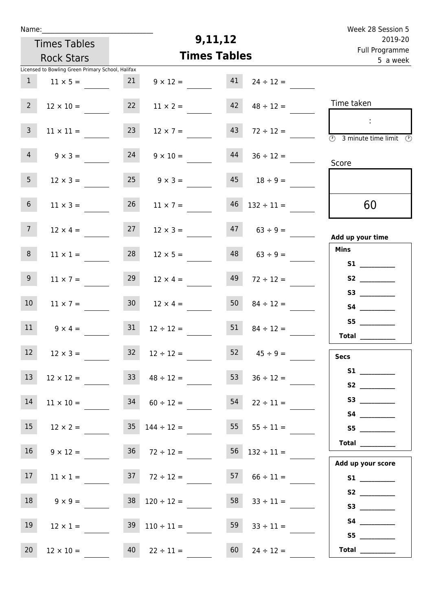| Week 28 Session 5                                                                                            |                          |                     |                                    |                                          |                                                   | Name:           |  |  |  |
|--------------------------------------------------------------------------------------------------------------|--------------------------|---------------------|------------------------------------|------------------------------------------|---------------------------------------------------|-----------------|--|--|--|
| 2019-20                                                                                                      |                          | 9,11,12             |                                    | <b>Times Tables</b><br><b>Rock Stars</b> |                                                   |                 |  |  |  |
| Full Programme<br>5 a week                                                                                   |                          | <b>Times Tables</b> |                                    |                                          |                                                   |                 |  |  |  |
|                                                                                                              |                          |                     |                                    |                                          | Licensed to Bowling Green Primary School, Halifax |                 |  |  |  |
|                                                                                                              | $24 \div 12 =$           | 41                  | $9 \times 12 =$                    | 21                                       | $11 \times 5 =$                                   | 1               |  |  |  |
| Time taken                                                                                                   | $48 \div 12 =$           | 42                  | $11 \times 2 =$                    | 22                                       | $12 \times 10 =$                                  | $2^{\circ}$     |  |  |  |
| $\mathcal{L}_{\mathcal{C}}$<br>$\overline{\textcircled{2}}$ 3 minute time limit $\overline{\textcircled{2}}$ | $72 \div 12 =$           | 43                  | $12 \times 7 =$                    | 23                                       | $11 \times 11 =$                                  | $\overline{3}$  |  |  |  |
| Score                                                                                                        | $36 \div 12 =$           | 44                  | $9 \times 10 =$                    | 24                                       | $9 \times 3 =$                                    | $\overline{4}$  |  |  |  |
|                                                                                                              | $18 \div 9 =$            | 45                  | $9 \times 3 =$                     | 25                                       | $12 \times 3 =$                                   | 5 <sub>1</sub>  |  |  |  |
| 60                                                                                                           | $46$ $132 \div 11 =$     |                     | $11 \times 7 =$                    | 26                                       | $11 \times 3 =$                                   | $6\overline{6}$ |  |  |  |
| Add up your time                                                                                             | $63 \div 9 =$            | 47                  | $12 \times 3 =$                    | 27                                       | $12 \times 4 =$                                   | 7 <sup>7</sup>  |  |  |  |
| <b>Mins</b><br>S1                                                                                            | $63 \div 9 =$            | 48                  | $12 \times 5 =$                    | 28                                       | $11 \times 1 =$                                   | 8               |  |  |  |
| S2                                                                                                           | $72 \div 12 =$           | 49                  | $12 \times 4 =$                    | 29                                       | $11 \times 7 =$                                   | 9 <sub>o</sub>  |  |  |  |
|                                                                                                              | $84 \div 12 =$           | 50                  | $12 \times 4 =$                    | 30 <sub>o</sub>                          | $11 \times 7 =$                                   | 10 <sup>°</sup> |  |  |  |
| S5<br>Total $\frac{1}{2}$                                                                                    | $84 \div 12 =$           | 51                  | $12 \div 12 =$                     | 31                                       | $9 \times 4 =$                                    | 11              |  |  |  |
| <b>Secs</b>                                                                                                  | 52 $45 \div 9 =$         |                     | $32 \t 12 \div 12 =$               |                                          | $12 \times 3 =$                                   | 12              |  |  |  |
| S2                                                                                                           | $36 \div 12 =$           | 53                  | $33 \t 48 \div 12 =$               |                                          | $12 \times 12 =$                                  | 13              |  |  |  |
|                                                                                                              | $54 \t22 \div 11 =$      |                     | $34$ $60 \div 12 =$                |                                          | $11 \times 10 =$                                  | 14              |  |  |  |
| S5                                                                                                           | $55 \t 55 \div 11 =$     |                     | $12 \times 2 = 35$ $144 \div 12 =$ |                                          |                                                   | 15              |  |  |  |
| Total<br>Add up your score                                                                                   | $56 \quad 132 \div 11 =$ |                     | $9 \times 12 = 36$ $72 \div 12 =$  |                                          |                                                   | 16 <sup>1</sup> |  |  |  |
|                                                                                                              | $57 \t 66 \div 11 =$     |                     | $37 \t 72 \div 12 =$               |                                          | $11 \times 1 =$                                   | 17 <sub>1</sub> |  |  |  |
| S3                                                                                                           | $58$ $33 \div 11 =$      |                     | $38 \quad 120 \div 12 =$           |                                          | $9 \times 9 =$                                    | 18              |  |  |  |
| S5                                                                                                           | $33 \div 11 =$           | 59                  | $39 \quad 110 \div 11 =$           |                                          | $12 \times 1 =$                                   | 19              |  |  |  |
| Total $\frac{1}{1}$                                                                                          | $24 \div 12 =$           | 60                  | $40 \t 22 \div 11 =$               |                                          | $12 \times 10 =$                                  | 20              |  |  |  |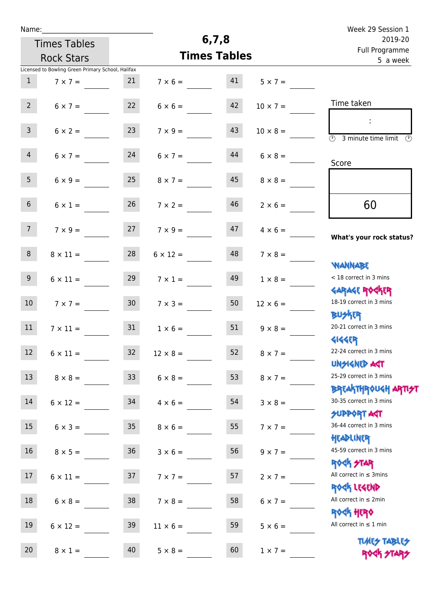|    |                                                                                                                                                                                                            |                                            |                                                                                                                                                                                                                                                                                                                                                                                                                                    | Week 29 Session 1                                                                                                                                                                                                                                                                        |
|----|------------------------------------------------------------------------------------------------------------------------------------------------------------------------------------------------------------|--------------------------------------------|------------------------------------------------------------------------------------------------------------------------------------------------------------------------------------------------------------------------------------------------------------------------------------------------------------------------------------------------------------------------------------------------------------------------------------|------------------------------------------------------------------------------------------------------------------------------------------------------------------------------------------------------------------------------------------------------------------------------------------|
|    |                                                                                                                                                                                                            | 2019-20                                    |                                                                                                                                                                                                                                                                                                                                                                                                                                    |                                                                                                                                                                                                                                                                                          |
|    |                                                                                                                                                                                                            | Full Programme<br>5 a week                 |                                                                                                                                                                                                                                                                                                                                                                                                                                    |                                                                                                                                                                                                                                                                                          |
|    |                                                                                                                                                                                                            |                                            |                                                                                                                                                                                                                                                                                                                                                                                                                                    |                                                                                                                                                                                                                                                                                          |
| 21 |                                                                                                                                                                                                            | 41                                         | $5 \times 7 =$                                                                                                                                                                                                                                                                                                                                                                                                                     |                                                                                                                                                                                                                                                                                          |
|    |                                                                                                                                                                                                            |                                            |                                                                                                                                                                                                                                                                                                                                                                                                                                    |                                                                                                                                                                                                                                                                                          |
|    |                                                                                                                                                                                                            |                                            |                                                                                                                                                                                                                                                                                                                                                                                                                                    | Time taken                                                                                                                                                                                                                                                                               |
|    |                                                                                                                                                                                                            |                                            |                                                                                                                                                                                                                                                                                                                                                                                                                                    |                                                                                                                                                                                                                                                                                          |
|    |                                                                                                                                                                                                            |                                            |                                                                                                                                                                                                                                                                                                                                                                                                                                    | $\overline{(\mathcal{V})}$<br>3 minute time limit<br>$\mathcal{O}$                                                                                                                                                                                                                       |
|    |                                                                                                                                                                                                            |                                            |                                                                                                                                                                                                                                                                                                                                                                                                                                    |                                                                                                                                                                                                                                                                                          |
|    |                                                                                                                                                                                                            |                                            |                                                                                                                                                                                                                                                                                                                                                                                                                                    | Score                                                                                                                                                                                                                                                                                    |
|    |                                                                                                                                                                                                            |                                            |                                                                                                                                                                                                                                                                                                                                                                                                                                    |                                                                                                                                                                                                                                                                                          |
|    |                                                                                                                                                                                                            |                                            |                                                                                                                                                                                                                                                                                                                                                                                                                                    |                                                                                                                                                                                                                                                                                          |
| 26 |                                                                                                                                                                                                            | 46                                         |                                                                                                                                                                                                                                                                                                                                                                                                                                    | 60                                                                                                                                                                                                                                                                                       |
|    |                                                                                                                                                                                                            |                                            |                                                                                                                                                                                                                                                                                                                                                                                                                                    |                                                                                                                                                                                                                                                                                          |
| 27 |                                                                                                                                                                                                            | 47                                         | $4 \times 6 =$                                                                                                                                                                                                                                                                                                                                                                                                                     |                                                                                                                                                                                                                                                                                          |
|    |                                                                                                                                                                                                            |                                            |                                                                                                                                                                                                                                                                                                                                                                                                                                    | What's your rock status?                                                                                                                                                                                                                                                                 |
| 28 |                                                                                                                                                                                                            | 48                                         | $7 \times 8 =$                                                                                                                                                                                                                                                                                                                                                                                                                     |                                                                                                                                                                                                                                                                                          |
|    |                                                                                                                                                                                                            |                                            |                                                                                                                                                                                                                                                                                                                                                                                                                                    | <b>WANNABE</b>                                                                                                                                                                                                                                                                           |
|    |                                                                                                                                                                                                            |                                            |                                                                                                                                                                                                                                                                                                                                                                                                                                    | < 18 correct in 3 mins                                                                                                                                                                                                                                                                   |
|    |                                                                                                                                                                                                            |                                            |                                                                                                                                                                                                                                                                                                                                                                                                                                    | <b>GARAGE ROCKER</b><br>18-19 correct in 3 mins                                                                                                                                                                                                                                          |
|    |                                                                                                                                                                                                            |                                            |                                                                                                                                                                                                                                                                                                                                                                                                                                    | <b>BUSKER</b>                                                                                                                                                                                                                                                                            |
|    |                                                                                                                                                                                                            |                                            |                                                                                                                                                                                                                                                                                                                                                                                                                                    | 20-21 correct in 3 mins                                                                                                                                                                                                                                                                  |
|    |                                                                                                                                                                                                            |                                            |                                                                                                                                                                                                                                                                                                                                                                                                                                    | <b>4144EP</b>                                                                                                                                                                                                                                                                            |
|    |                                                                                                                                                                                                            |                                            |                                                                                                                                                                                                                                                                                                                                                                                                                                    | 22-24 correct in 3 mins                                                                                                                                                                                                                                                                  |
|    |                                                                                                                                                                                                            |                                            |                                                                                                                                                                                                                                                                                                                                                                                                                                    | <b>UNSIGNED AGT</b>                                                                                                                                                                                                                                                                      |
|    |                                                                                                                                                                                                            | 53                                         |                                                                                                                                                                                                                                                                                                                                                                                                                                    | 25-29 correct in 3 mins                                                                                                                                                                                                                                                                  |
|    |                                                                                                                                                                                                            |                                            |                                                                                                                                                                                                                                                                                                                                                                                                                                    | ΒΡ[AhTHP0U <h apti<del="">21</h>                                                                                                                                                                                                                                                         |
|    |                                                                                                                                                                                                            | 54                                         | $3 \times 8 =$                                                                                                                                                                                                                                                                                                                                                                                                                     | 30-35 correct in 3 mins                                                                                                                                                                                                                                                                  |
|    |                                                                                                                                                                                                            |                                            |                                                                                                                                                                                                                                                                                                                                                                                                                                    | SUPPORT ART                                                                                                                                                                                                                                                                              |
| 35 |                                                                                                                                                                                                            | 55                                         | $7 \times 7 =$                                                                                                                                                                                                                                                                                                                                                                                                                     | 36-44 correct in 3 mins                                                                                                                                                                                                                                                                  |
|    |                                                                                                                                                                                                            |                                            |                                                                                                                                                                                                                                                                                                                                                                                                                                    | HEADLINER                                                                                                                                                                                                                                                                                |
|    |                                                                                                                                                                                                            |                                            |                                                                                                                                                                                                                                                                                                                                                                                                                                    | 45-59 correct in 3 mins                                                                                                                                                                                                                                                                  |
|    |                                                                                                                                                                                                            |                                            |                                                                                                                                                                                                                                                                                                                                                                                                                                    | <b>ROCK STAR</b><br>All correct in $\leq$ 3mins                                                                                                                                                                                                                                          |
|    |                                                                                                                                                                                                            |                                            |                                                                                                                                                                                                                                                                                                                                                                                                                                    | ROCK LEGEND                                                                                                                                                                                                                                                                              |
|    |                                                                                                                                                                                                            |                                            |                                                                                                                                                                                                                                                                                                                                                                                                                                    | All correct in $\leq 2$ min                                                                                                                                                                                                                                                              |
|    |                                                                                                                                                                                                            |                                            |                                                                                                                                                                                                                                                                                                                                                                                                                                    | <b>ROCK HERO</b>                                                                                                                                                                                                                                                                         |
|    |                                                                                                                                                                                                            |                                            |                                                                                                                                                                                                                                                                                                                                                                                                                                    | All correct in $\leq 1$ min                                                                                                                                                                                                                                                              |
|    |                                                                                                                                                                                                            |                                            |                                                                                                                                                                                                                                                                                                                                                                                                                                    | <b>TUARS TABLES</b>                                                                                                                                                                                                                                                                      |
| 40 |                                                                                                                                                                                                            | 60                                         | $1 \times 7 =$                                                                                                                                                                                                                                                                                                                                                                                                                     | ROCK STARS                                                                                                                                                                                                                                                                               |
|    | Licensed to Bowling Green Primary School, Halifax<br>22<br>23<br>24<br>25<br>29<br>30 <sub>o</sub><br>31<br>$6 \times 11 =$<br>33 <sup>°</sup><br>$8 \times 8 =$<br>36<br>37<br>38<br>39<br>$8 \times 1 =$ | $7 \times 1 =$<br>32<br>$6 \times 12 = 34$ | 6, 7, 8<br>$7 \times 6 =$<br>42<br>$6 \times 6 =$<br>43<br>$7 \times 9 =$<br>44<br>$6 \times 7 =$<br>45<br>$8 \times 7 =$<br>$7 \times 2 =$<br>$7 \times 9 =$<br>$6 \times 12 =$<br>49<br>50<br>$7 \times 3 =$<br>51<br>$1 \times 6 =$<br>$12 \times 8 =$<br>$6 \times 8 =$<br>$4 \times 6 =$<br>$8 \times 6 =$<br>56<br>$3 \times 6 =$<br>57<br>$7 \times 7 =$<br>58<br>$7 \times 8 =$<br>59<br>$11 \times 6 =$<br>$5 \times 8 =$ | <b>Times Tables</b><br>$10 \times 7 =$<br>$10 \times 8 =$<br>$6 \times 8 =$<br>$8 \times 8 =$<br>$2 \times 6 =$<br>$1 \times 8 =$<br>$12 \times 6 =$<br>$9 \times 8 =$<br>52<br>$8 \times 7 =$<br>$8 \times 7 =$<br>$9 \times 7 =$<br>$2 \times 7 =$<br>$6 \times 7 =$<br>$5 \times 6 =$ |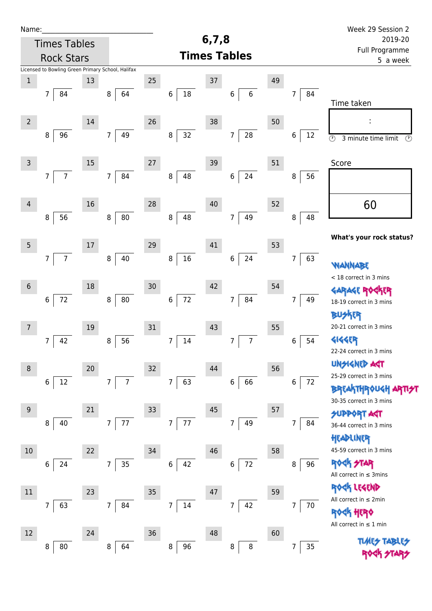| Name:          |                                                   |    |                                   |    |                          | 6,7,8                      |                              |    |                      | Week 29 Session 2                                       |
|----------------|---------------------------------------------------|----|-----------------------------------|----|--------------------------|----------------------------|------------------------------|----|----------------------|---------------------------------------------------------|
|                | <b>Times Tables</b>                               |    |                                   |    | 2019-20                  |                            |                              |    |                      |                                                         |
|                | <b>Rock Stars</b>                                 |    |                                   |    | <b>Times Tables</b>      | Full Programme<br>5 a week |                              |    |                      |                                                         |
|                | Licensed to Bowling Green Primary School, Halifax |    |                                   |    |                          |                            |                              |    |                      |                                                         |
| $\mathbf 1$    |                                                   | 13 |                                   | 25 |                          | 37                         |                              | 49 |                      |                                                         |
|                | 7<br>84                                           |    | 64<br>8                           |    | $18\,$<br>$\,6$          |                            | $\,6\,$<br>6                 |    | 84<br>$\overline{7}$ | Time taken                                              |
|                |                                                   |    |                                   |    |                          |                            |                              |    |                      |                                                         |
| $\overline{2}$ |                                                   | 14 |                                   | 26 |                          | 38                         |                              | 50 |                      |                                                         |
|                | 96<br>8                                           |    | 49<br>7 <sup>1</sup>              |    | 32<br>8                  |                            | ${\bf 28}$<br>$\overline{7}$ |    | 6<br>12              | $\overline{\odot}$<br>3 minute time limit<br>$\bigcirc$ |
|                |                                                   |    |                                   |    |                          |                            |                              |    |                      |                                                         |
| $\mathsf 3$    |                                                   | 15 |                                   | 27 |                          | 39                         |                              | 51 |                      | Score                                                   |
|                | $\overline{7}$<br>$\overline{7}$                  |    | 84<br>$\overline{7}$              |    | 48<br>8                  |                            | 6<br>24                      |    | 8<br>56              |                                                         |
|                |                                                   |    |                                   |    |                          |                            |                              |    |                      |                                                         |
| $\overline{4}$ |                                                   | 16 |                                   | 28 |                          | 40                         |                              | 52 |                      | 60                                                      |
|                | 56<br>8                                           |    | $80\,$<br>8                       |    | 48<br>8                  |                            | 49<br>$\overline{7}$         |    | 48<br>8              |                                                         |
|                |                                                   |    |                                   |    |                          |                            |                              |    |                      | What's your rock status?                                |
| $\overline{5}$ |                                                   | 17 |                                   | 29 |                          | 41                         |                              | 53 |                      |                                                         |
|                | $\overline{7}$<br>7                               |    | 40<br>$\,8\,$                     |    | $16\,$<br>$\bf 8$        |                            | 24<br>6                      |    | 63<br>7              | <b>WANNABE</b>                                          |
|                |                                                   |    |                                   |    |                          |                            |                              |    |                      | < 18 correct in 3 mins                                  |
| $\sqrt{6}$     |                                                   | 18 |                                   | 30 |                          | 42                         |                              | 54 |                      | <b>GARAGE RO</b><br><b>FR</b>                           |
|                | $72\,$<br>$\,$ 6 $\,$                             |    | 80<br>8                           |    | $72\,$<br>$\,$ 6 $\,$    |                            | 84<br>7                      |    | 7<br>49              | 18-19 correct in 3 mins                                 |
|                |                                                   |    |                                   |    |                          |                            |                              |    |                      | <b>BUSKER</b>                                           |
| $\overline{7}$ |                                                   | 19 |                                   | 31 |                          | 43                         |                              | 55 |                      | 20-21 correct in 3 mins                                 |
|                | 42<br>7                                           |    | 56<br>$\, 8$                      |    | 14<br>7                  |                            | $\overline{7}$<br>7          |    | 54<br>6              | <b>4144EP</b>                                           |
|                |                                                   |    |                                   |    |                          |                            |                              |    |                      | 22-24 correct in 3 mins                                 |
| $\,8\,$        |                                                   | 20 |                                   | 32 |                          | 44                         |                              | 56 |                      | UNSIGNED AGT<br>25-29 correct in 3 mins                 |
|                | $\,6\,$<br>12                                     |    | $7\overline{ }$<br>$\overline{7}$ |    | $\overline{7}$<br>63     |                            | 66<br>6                      |    | $\,$ 6 $\,$<br>72    | <b>BREAKTHROUGH</b>                                     |
|                |                                                   |    |                                   |    |                          |                            |                              |    |                      | 30-35 correct in 3 mins                                 |
| 9              |                                                   | 21 |                                   | 33 |                          | 45                         |                              | 57 |                      | <b>SUPPORT AGT</b>                                      |
|                | 40<br>8                                           |    | 77<br>$\overline{7}$              |    | $77\,$<br>$\overline{7}$ |                            | 49<br>7                      |    | 84<br>7              | 36-44 correct in 3 mins                                 |
|                |                                                   |    |                                   |    |                          |                            |                              |    |                      | HEADLINER                                               |
| $10$           |                                                   | 22 |                                   | 34 |                          | 46                         |                              | 58 |                      | 45-59 correct in 3 mins                                 |
|                | 24<br>6                                           |    | 35<br>$\overline{7}$              |    | 42<br>6                  |                            | $72\,$<br>6                  |    | 96<br>8              | <b>ROCK STAR</b>                                        |
|                |                                                   |    |                                   |    |                          |                            |                              |    |                      | All correct in $\leq$ 3mins                             |
| $11\,$         |                                                   | 23 |                                   | 35 |                          | 47                         |                              | 59 |                      | ROCK LEGEND<br>All correct in $\leq 2$ min              |
|                | 63<br>7                                           |    | 84<br>$\overline{7}$              |    | $\overline{7}$<br>$14\,$ |                            | 42<br>$\overline{7}$         |    | 70<br>7              | <b><htps: <="" b=""></htps:></b>                        |
|                |                                                   |    |                                   |    |                          |                            |                              |    |                      | All correct in $\leq 1$ min                             |
| 12             |                                                   | 24 |                                   | 36 |                          | 48                         |                              | 60 |                      |                                                         |
|                | 80<br>8                                           |    | $\,8\,$<br>64                     |    | 96<br>8                  |                            | $\, 8$<br>8                  |    | 35<br>7              | <b>TUARS TABLES</b>                                     |
|                |                                                   |    |                                   |    |                          |                            |                              |    |                      |                                                         |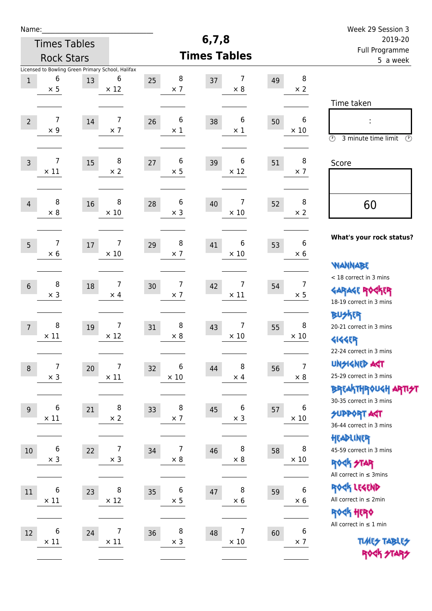| Name:            |                                                                      |        |                              |                           |                        |    |                                | Week 29 Session 3                                                                               |
|------------------|----------------------------------------------------------------------|--------|------------------------------|---------------------------|------------------------|----|--------------------------------|-------------------------------------------------------------------------------------------------|
|                  | <b>Times Tables</b>                                                  |        |                              |                           | 6, 7, 8                |    |                                | 2019-20                                                                                         |
|                  | <b>Rock Stars</b>                                                    |        |                              |                           | <b>Times Tables</b>    |    |                                | Full Programme<br>5 a week                                                                      |
| $1\,$            | Licensed to Bowling Green Primary School, Halifax<br>6<br>$\times$ 5 | 13     | 6<br>$\times$ 12             | 8<br>25<br>$\times$ 7     | 7<br>37<br>$\times$ 8  | 49 | 8<br>$\times 2$                |                                                                                                 |
| $\overline{2}$   | 7<br>$\times$ 9                                                      | 14     | 7<br>$\times$ 7              | 6<br>26<br>$\times$ 1     | 6<br>38<br>$\times$ 1  | 50 | $6\,$<br>$\times$ 10           | Time taken<br>Ì,<br>$\circled{r}$<br>3 minute time limit<br>⊕                                   |
| $\overline{3}$   | 7<br>$\times$ 11                                                     | 15     | $\, 8$<br>$\times 2$         | 6<br>$27\,$<br>$\times$ 5 | 6<br>39<br>$\times$ 12 | 51 | 8<br>$\times$ 7                | Score                                                                                           |
| $\overline{4}$   | 8<br>$\times 8$                                                      | 16     | 8<br>$\times$ 10             | 6<br>28<br>$\times$ 3     | 7<br>40<br>$\times$ 10 | 52 | 8<br>$\times 2$                | 60                                                                                              |
| 5                | 7<br>$\times 6$                                                      | $17\,$ | 7<br>$\times$ 10             | 8<br>29<br>$\times$ 7     | 6<br>41<br>$\times$ 10 | 53 | 6<br>$\times 6$                | What's your rock status?<br><b>WANNABE</b>                                                      |
| $6\phantom{1}6$  | 8<br>$\times$ 3                                                      | 18     | 7<br>$\times$ 4              | 7<br>30<br>$\times$ 7     | 7<br>42<br>$\times$ 11 | 54 | $\overline{7}$<br>$\times$ 5   | < 18 correct in 3 mins<br><b>GARAGE ROGKER</b><br>18-19 correct in 3 mins                       |
| $\overline{7}$   | 8<br>$\times$ 11                                                     | 19     | 7<br>$\times$ 12             | 8<br>31<br>$\times 8$     | 7<br>43<br>$\times$ 10 | 55 | 8<br>$\times$ 10               | BU外界<br>20-21 correct in 3 mins<br><b>4144EP</b><br>22-24 correct in 3 mins                     |
| $\boldsymbol{8}$ | 7<br>$\times$ 3                                                      | 20     | 7<br>$\times$ 11             | 6<br>32<br>$\times$ 10    | 8<br>44<br>$\times$ 4  | 56 | $\overline{7}$<br>$\times$ 8   | <b>UNGIGNED AGT</b><br>25-29 correct in 3 mins<br>ΒΡΓΑ <sup>Κ</sup> ΤΗΡΟυΚΗ ΑΡΤΙ <del>2</del> Τ |
| 9                | 6<br>$\times$ 11                                                     | 21     | 8<br>$\times$ 2              | 8<br>33<br>$\times$ 7     | 6<br>45<br>$\times$ 3  | 57 | 6<br>$\times$ 10               | 30-35 correct in 3 mins<br><b>SUPPORT AGT</b><br>36-44 correct in 3 mins<br>HEADLINER           |
| $10\,$           | $\,6$<br>$\times$ 3                                                  | 22     | $\overline{7}$<br>$\times$ 3 | 7<br>34<br>$\times 8$     | 8<br>46<br>$\times$ 8  | 58 | 8<br>$\times$ 10               | 45-59 correct in 3 mins<br><b>ROCK STAR</b><br>All correct in $\leq$ 3mins                      |
| 11               | $\,6$<br>$\times$ 11                                                 | 23     | 8<br>$\times$ 12             | 6<br>35<br>$\times$ 5     | 8<br>47<br>$\times$ 6  | 59 | $\boldsymbol{6}$<br>$\times$ 6 | ROCK LEGEND<br>All correct in $\leq 2$ min<br>ROCK HERO                                         |
| 12               | 6<br>$\times$ 11                                                     | 24     | 7<br>$\times$ 11             | 8<br>36<br>$\times$ 3     | 7<br>48<br>$\times$ 10 | 60 | $\boldsymbol{6}$<br>$\times$ 7 | All correct in $\leq 1$ min<br><b>TUARS TABLES</b><br>ROCK STARS                                |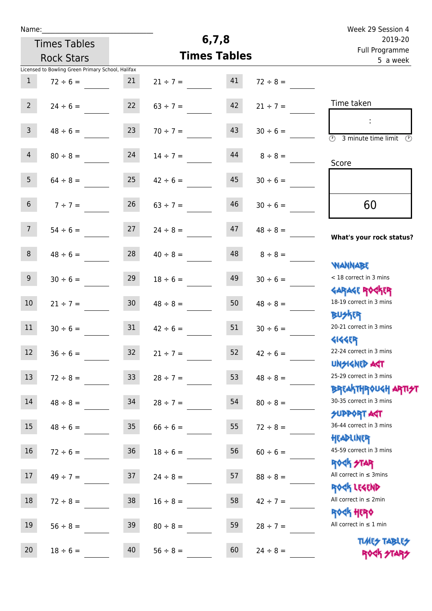| Name: |  |  |  |
|-------|--|--|--|
|       |  |  |  |

Times Tables

## **6,7,8**

|                  | <b>Rock Stars</b>                                 |                 |               | <b>Times Tables</b> |               | <u>i un i logiumme</u><br>5 a week                         |
|------------------|---------------------------------------------------|-----------------|---------------|---------------------|---------------|------------------------------------------------------------|
|                  | Licensed to Bowling Green Primary School, Halifax |                 |               |                     |               |                                                            |
| $\mathbf{1}$     | $72 \div 6 =$                                     | 21              | $21 \div 7 =$ | 41                  | $72 \div 8 =$ |                                                            |
| 2 <sup>7</sup>   | $24 \div 6 =$                                     | 22              | $63 \div 7 =$ | 42                  | $21 \div 7 =$ | Time taken                                                 |
|                  |                                                   |                 |               |                     |               | $\ddot{\phantom{a}}$                                       |
| 3 <sup>7</sup>   | $48 \div 6 =$                                     | 23              | $70 \div 7 =$ | 43                  | $30 \div 6 =$ | $\overline{(\Omega)}$<br>3 minute time limit $\circled{0}$ |
| 4                | $80 \div 8 =$                                     | 24              | $14 \div 7 =$ | 44                  | $8 \div 8 =$  |                                                            |
|                  |                                                   |                 |               |                     |               | Score                                                      |
| 5 <sub>1</sub>   | $64 \div 8 =$                                     | 25              | $42 \div 6 =$ | 45                  | $30 \div 6 =$ |                                                            |
| 6 <sup>1</sup>   | $7 ÷ 7 =$                                         | 26              | $63 \div 7 =$ | 46                  | $30 \div 6 =$ | 60                                                         |
| 7 <sup>7</sup>   | $54 \div 6 =$                                     | 27              | $24 \div 8 =$ | 47                  | $48 \div 8 =$ | What's your rock status?                                   |
|                  |                                                   |                 |               |                     |               |                                                            |
| 8                | $48 \div 6 =$                                     | 28              | $40 \div 8 =$ | 48                  | $8 \div 8 =$  | <b>NANNABE</b>                                             |
| 9 <sub>o</sub>   | $30 \div 6 =$                                     | 29              | $18 \div 6 =$ | 49                  | $30 \div 6 =$ | < 18 correct in 3 mins                                     |
|                  |                                                   |                 |               |                     |               | <b>GARAGE ROCKER</b>                                       |
| 10 <sub>1</sub>  | $21 \div 7 =$                                     | 30 <sub>2</sub> | $48 \div 8 =$ | 50                  | $48 \div 8 =$ | 18-19 correct in 3 mins                                    |
|                  |                                                   |                 |               |                     |               | <b>BUSKRR</b>                                              |
| 11               | $30 \div 6 =$                                     | 31              | $42 \div 6 =$ | 51                  | $30 \div 6 =$ | 20-21 correct in 3 mins                                    |
| 12               | $36 \div 6 =$                                     | 32              | $21 \div 7 =$ | 52                  | $42 \div 6 =$ | <b>4144ER</b><br>22-24 correct in 3 mins                   |
|                  |                                                   |                 |               |                     |               | <b>UNSIGNED AGT</b>                                        |
| 13               | $72 \div 8 =$                                     | 33 <sup>°</sup> | $28 \div 7 =$ | 53                  | $48 \div 8 =$ | 25-29 correct in 3 mins                                    |
|                  |                                                   |                 |               |                     |               | <b>BREAKTHROUGH ARTI<del>S</del>T</b>                      |
| 14               | $48 \div 8 =$                                     | 34              | $28 \div 7 =$ | 54                  | $80 \div 8 =$ | 30-35 correct in 3 mins                                    |
|                  |                                                   |                 |               |                     |               | <b>SUPPORT AGT</b><br>36-44 correct in 3 mins              |
| 15 <sup>15</sup> | $48 \div 6 =$                                     | 35              | $66 \div 6 =$ | 55                  | $72 \div 8 =$ | HEADLINER                                                  |
| 16               | $72 \div 6 =$                                     | 36              | $18 \div 6 =$ | 56                  | $60 \div 6 =$ | 45-59 correct in 3 mins                                    |
|                  |                                                   |                 |               |                     |               | <b>ROCK STAR</b>                                           |
| 17 <sub>2</sub>  | $49 \div 7 =$                                     | 37              | $24 \div 8 =$ | 57                  | $88 \div 8 =$ | All correct in $\leq$ 3mins                                |
|                  |                                                   |                 |               |                     |               | ROCK LEGEND                                                |
| 18               | $72 \div 8 =$                                     | 38              | $16 \div 8 =$ | 58                  | $42 \div 7 =$ | All correct in $\leq 2$ min                                |
|                  |                                                   |                 |               |                     |               | <b>ROCK HERO</b><br>All correct in $\leq 1$ min            |
| 19               | $56 \div 8 =$                                     | 39              | $80 \div 8 =$ | 59                  | $28 \div 7 =$ |                                                            |
| 20               | $18 \div 6 =$                                     | 40              | $56 \div 8 =$ | 60                  | $24 \div 8 =$ | <b>TUARS TABLES</b><br>ROCK STARS                          |
|                  |                                                   |                 |               |                     |               |                                                            |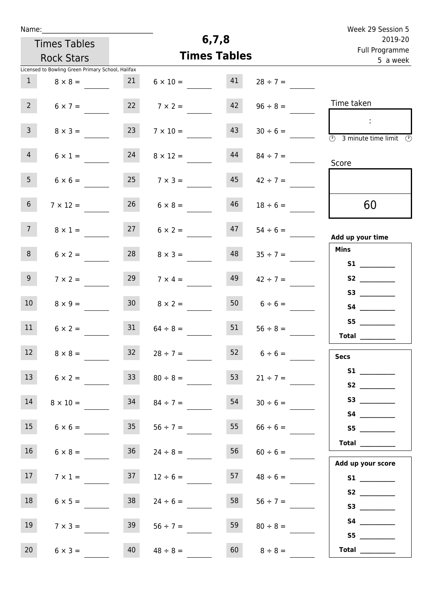| Week 29 Session 5                              |                    |         |                     |                 |                                                   | Name:           |
|------------------------------------------------|--------------------|---------|---------------------|-----------------|---------------------------------------------------|-----------------|
| 2019-20                                        |                    | 6, 7, 8 |                     |                 | <b>Times Tables</b>                               |                 |
| Full Programme<br>5 a week                     |                    |         | <b>Times Tables</b> |                 | <b>Rock Stars</b>                                 |                 |
|                                                |                    |         |                     |                 | Licensed to Bowling Green Primary School, Halifax |                 |
|                                                | $28 \div 7 =$      | 41      | $6 \times 10 =$     | 21              | $8 \times 8 =$                                    | $\mathbf{1}$    |
| Time taken                                     | $96 \div 8 =$      | 42      | $7 \times 2 =$      | 22              | $6 \times 7 =$                                    | $2^{\circ}$     |
| ÷<br><b>3</b> minute time limit <b>3</b>       | $30 \div 6 =$      | 43      | $7 \times 10 =$     | 23              | $8 \times 3 =$                                    | 3 <sup>7</sup>  |
| Score                                          | $84 \div 7 =$      | 44      | $8 \times 12 =$     | 24              | $6 \times 1 =$                                    | $\overline{4}$  |
|                                                | $42 \div 7 =$      | 45      | $7 \times 3 =$      | 25              | $6 \times 6 =$                                    | 5 <sub>1</sub>  |
| 60                                             | $18 \div 6 =$      | 46      | $6 \times 8 =$      | 26              | $7 \times 12 =$                                   | 6 <sup>1</sup>  |
| Add up your time                               | $54 \div 6 =$      | 47      | $6 \times 2 =$      | 27              | $8 \times 1 =$                                    | $7\overline{ }$ |
| <b>Mins</b>                                    | $35 \div 7 =$      | 48      | $8 \times 3 =$      | 28              | $6 \times 2 =$                                    | 8               |
|                                                | $42 \div 7 =$      | 49      | $7 \times 4 =$      | 29              | $7 \times 2 =$                                    | 9 <sub>o</sub>  |
| S4 __________                                  | $6 \div 6 =$       | 50      | $8 \times 2 =$      | 30 <sub>o</sub> | $8 \times 9 =$                                    | 10 <sup>°</sup> |
| S5<br>$\begin{tabular}{c} Total \end{tabular}$ | $56 \div 8 =$      | 51      | $64 \div 8 =$       | 31              | $6 \times 2 =$                                    | 11              |
| Secs                                           | $52 \t 6 \div 6 =$ |         | $28 \div 7 =$       | 32 <sub>2</sub> | $8 \times 8 =$                                    | 12 <sub>1</sub> |
| S1<br>S2                                       | $21 \div 7 =$      | 53      | $80 \div 8 =$       | 33              | $6 \times 2 =$                                    | 13              |
|                                                | $30 \div 6 =$      | 54      | $84 \div 7 =$       | 34              | $8 \times 10 =$                                   | 14              |
| S5                                             | $66 \div 6 =$      | 55      | $56 \div 7 =$       | 35              | $6 \times 6 =$                                    | 15              |
| Total $\_\_$                                   | $60 \div 6 =$      | 56      | $24 \div 8 =$       | 36              | $6 \times 8 =$                                    | 16              |
| Add up your score                              | $48 \div 6 =$      | 57      | $12 \div 6 =$       | 37              | $7 \times 1 =$                                    | 17              |
| S3                                             | $56 \div 7 =$      | 58      | $24 \div 6 =$       | 38              | $6 \times 5 =$                                    | 18              |
|                                                | $80 \div 8 =$      | 59      | $56 \div 7 =$       | 39              | $7 \times 3 =$                                    | 19              |
| S5<br>Total $\qquad$                           | $8 \div 8 =$       | 60      | $48 \div 8 =$       | 40              | $6 \times 3 =$                                    | 20              |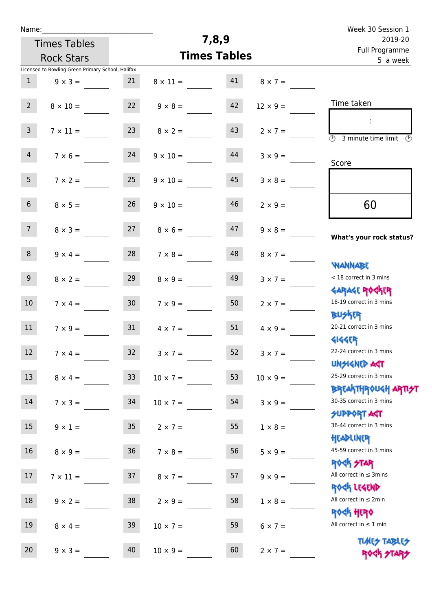| Week 30 Session 1                                                     |                 |                     |                 | Name:           |                                                   |                 |
|-----------------------------------------------------------------------|-----------------|---------------------|-----------------|-----------------|---------------------------------------------------|-----------------|
| 2019-20                                                               |                 | 7,8,9               |                 |                 | <b>Times Tables</b>                               |                 |
| Full Programme<br>5 a week                                            |                 | <b>Times Tables</b> |                 |                 | <b>Rock Stars</b>                                 |                 |
|                                                                       |                 |                     |                 |                 | Licensed to Bowling Green Primary School, Halifax |                 |
|                                                                       | $8 \times 7 =$  | 41                  | $8 \times 11 =$ | 21              | $9 \times 3 =$                                    | $\mathbf{1}$    |
| Time taken                                                            | $12 \times 9 =$ | 42                  | $9 \times 8 =$  | 22              | $8 \times 10 =$                                   | $2^{\circ}$     |
| ÷<br>$\overline{\mathcal{O}}$<br>3 minute time limit<br>$\mathcal{O}$ | $2 \times 7 =$  | 43                  | $8 \times 2 =$  | 23              | $7 \times 11 =$                                   | $\mathbf{3}$    |
| Score                                                                 | $3 \times 9 =$  | 44                  | $9 \times 10 =$ | 24              | $7 \times 6 =$                                    | $\overline{4}$  |
|                                                                       | $3 \times 8 =$  | 45                  | $9 \times 10 =$ | 25              | $7 \times 2 =$                                    | 5 <sup>1</sup>  |
| 60                                                                    | $2 \times 9 =$  | 46                  | $9 \times 10 =$ | 26              | $8 \times 5 =$                                    | 6 <sup>1</sup>  |
| What's your rock status?                                              | $9 \times 8 =$  | 47                  | $8 \times 6 =$  | 27              | $8 \times 3 =$                                    | 7 <sup>1</sup>  |
|                                                                       | $8 \times 7 =$  | 48                  | $7 \times 8 =$  | 28              | $9 \times 4 =$                                    | 8               |
| WANNABE<br>< 18 correct in 3 mins                                     | $3 \times 7 =$  | 49                  | $8 \times 9 =$  | 29              | $8 \times 2 =$                                    | 9               |
| <b>GARAGE ROGKER</b><br>18-19 correct in 3 mins                       | $2 \times 7 =$  | 50                  | $7 \times 9 =$  | 30 <sub>o</sub> | $7 \times 4 =$                                    | 10 <sup>°</sup> |
| <b>BUSKER</b><br>20-21 correct in 3 mins                              | $4 \times 9 =$  | 51                  | $4 \times 7 =$  | 31              | $7 \times 9 =$                                    | 11              |
| <b>4144EPT</b><br>22-24 correct in 3 mins                             | $3 \times 7 =$  | 52                  | $3 \times 7 =$  | 32              | $7 \times 4 =$                                    | 12 <sub>2</sub> |
| <b>UNSIGNED AGT</b><br>25-29 correct in 3 mins                        | $10 \times 9 =$ | 53                  | $10 \times 7 =$ | 33 <sup>°</sup> | $8 \times 4 =$                                    | 13              |
| ΒΡΓΑΚΤΗΡΟUGH ΑΡΤΙ <del>2</del> Τ<br>30-35 correct in 3 mins           | $3 \times 9 =$  | 54                  | $10 \times 7 =$ | 34              | $7 \times 3 =$                                    | 14              |
| <b>SUPPORT AGT</b><br>36-44 correct in 3 mins                         | $1 \times 8 =$  | 55                  | $2 \times 7 =$  | 35              | $9 \times 1 =$                                    | 15              |
| HEADLINER<br>45-59 correct in 3 mins                                  | $5 \times 9 =$  | 56                  | $7 \times 8 =$  | 36 <sup>°</sup> | $8 \times 9 =$                                    | 16              |
| <b>ROCK STAR</b><br>All correct in $\leq$ 3mins                       | $9 \times 9 =$  | 57                  | $8 \times 7 =$  | 37              | $7 \times 11 =$                                   | 17              |
| ROCK LEGEND<br>All correct in $\leq 2$ min                            | $1 \times 8 =$  | 58                  | $2 \times 9 =$  | 38              | $9 \times 2 =$                                    | 18              |
| <b>ROCK HERO</b><br>All correct in $\leq 1$ min                       | $6 \times 7 =$  | 59                  | $10 \times 7 =$ | 39              | $8 \times 4 =$                                    | 19              |
| <b>TUARS TABLES</b><br>ROCK STARS                                     | $2 \times 7 =$  | 60                  | $10 \times 9 =$ | 40              | $9 \times 3 =$                                    | 20              |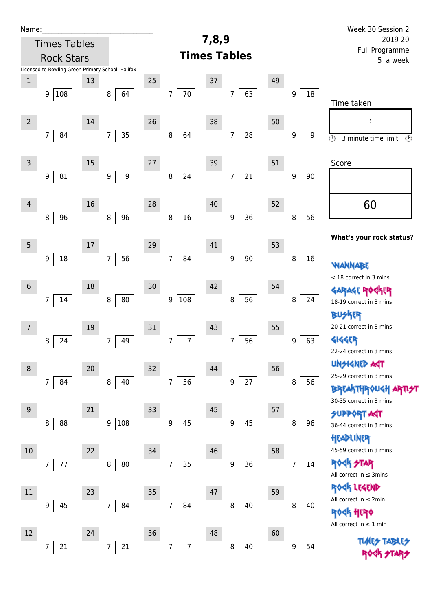| Name:            |                                                   |        |                       |    |                                  |       |                              |    |         | Week 30 Session 2                                          |
|------------------|---------------------------------------------------|--------|-----------------------|----|----------------------------------|-------|------------------------------|----|---------|------------------------------------------------------------|
|                  | <b>Times Tables</b>                               |        |                       |    |                                  | 7,8,9 |                              |    |         | 2019-20                                                    |
|                  | <b>Rock Stars</b>                                 |        |                       |    | Full Programme<br>5 a week       |       |                              |    |         |                                                            |
|                  | Licensed to Bowling Green Primary School, Halifax |        |                       |    |                                  |       |                              |    |         |                                                            |
| $\mathbf 1$      |                                                   | 13     |                       | 25 |                                  | 37    |                              | 49 |         |                                                            |
|                  | 9 108                                             |        | 64<br>8               |    | $70\,$<br>7                      |       | 63<br>7                      |    | 9<br>18 | Time taken                                                 |
|                  |                                                   |        |                       |    |                                  |       |                              |    |         |                                                            |
| $\overline{2}$   |                                                   | 14     |                       | 26 |                                  | 38    |                              | 50 |         |                                                            |
|                  | 84<br>$7\overline{ }$                             |        | 35<br>$\overline{7}$  |    | 64<br>8                          |       | ${\bf 28}$<br>$\overline{7}$ |    | 9<br>9  | $\overline{\circ}$<br>$\circled{r}$<br>3 minute time limit |
|                  |                                                   |        |                       |    |                                  |       |                              |    |         |                                                            |
| $\mathsf{3}$     |                                                   | 15     |                       | 27 |                                  | 39    |                              | 51 |         | Score                                                      |
|                  | 81<br>9                                           |        | $\boldsymbol{9}$<br>9 |    | 24<br>8                          |       | 21<br>7                      |    | 9<br>90 |                                                            |
|                  |                                                   |        |                       |    |                                  |       |                              |    |         |                                                            |
| $\overline{4}$   |                                                   | 16     |                       | 28 |                                  | 40    |                              | 52 |         | 60                                                         |
|                  | 96<br>8                                           |        | 96<br>8               |    | 16<br>$\, 8$                     |       | 36<br>$\boldsymbol{9}$       |    | 56<br>8 |                                                            |
|                  |                                                   |        |                       |    |                                  |       |                              |    |         | What's your rock status?                                   |
| $5\phantom{.0}$  |                                                   | $17\,$ |                       | 29 |                                  | 41    |                              | 53 |         |                                                            |
|                  | 18<br>9                                           |        | 56<br>$\overline{7}$  |    | 84<br>$\overline{7}$             |       | $90\,$<br>$\boldsymbol{9}$   |    | 16<br>8 | WANNABE                                                    |
|                  |                                                   |        |                       |    |                                  |       |                              |    |         | < 18 correct in 3 mins                                     |
| $6\,$            |                                                   | 18     |                       | 30 |                                  | 42    |                              | 54 |         | <b>GARAGE RO</b><br><b>下下</b>                              |
|                  | $\overline{7}$<br>14                              |        | ${\bf 80}$<br>$\bf 8$ |    | 108<br>9                         |       | 56<br>8                      |    | 8<br>24 | 18-19 correct in 3 mins                                    |
|                  |                                                   |        |                       |    |                                  |       |                              |    |         | <b>BUSKER</b>                                              |
| 7                |                                                   | 19     |                       | 31 |                                  | 43    |                              | 55 |         | 20-21 correct in 3 mins                                    |
|                  | 24<br>8                                           |        | 49<br>7               |    | $\overline{7}$<br>$\overline{7}$ |       | 56<br>7                      |    | 63<br>9 | <b>4144EP</b>                                              |
|                  |                                                   |        |                       |    |                                  |       |                              |    |         | 22-24 correct in 3 mins                                    |
| 8                |                                                   | 20     |                       | 32 |                                  | 44    |                              | 56 |         | <b>UNSIGNED AGT</b><br>25-29 correct in 3 mins             |
|                  | 7 <sup>1</sup><br>84                              |        | $\,8\,$<br>40         |    | 56<br>$\overline{7}$             |       | 27<br>$\boldsymbol{9}$       |    | 8<br>56 | <b>BREAKTHROUGH</b>                                        |
|                  |                                                   |        |                       |    |                                  |       |                              |    |         | 30-35 correct in 3 mins                                    |
| $\boldsymbol{9}$ |                                                   | 21     |                       | 33 |                                  | 45    |                              | 57 |         | <b>SUPPORT AGT</b>                                         |
|                  | 88<br>8                                           |        | 108<br>9              |    | 45<br>$\boldsymbol{9}$           |       | 45<br>9                      |    | 96<br>8 | 36-44 correct in 3 mins                                    |
|                  |                                                   |        |                       |    |                                  |       |                              |    |         | HEADLINER                                                  |
| 10               |                                                   | 22     |                       | 34 |                                  | 46    |                              | 58 |         | 45-59 correct in 3 mins                                    |
|                  | 77<br>$\overline{7}$                              |        | 80<br>8               |    | 35<br>$\overline{7}$             |       | 36<br>9                      |    | 14<br>7 | <b>ROCK STAR</b>                                           |
|                  |                                                   |        |                       |    |                                  |       |                              |    |         | All correct in $\leq$ 3mins                                |
| 11               |                                                   | 23     |                       | 35 |                                  | 47    |                              | 59 |         | ROCK LEGEND<br>All correct in $\leq 2$ min                 |
|                  | 45<br>9                                           |        | 84<br>$\overline{7}$  |    | $\overline{7}$<br>84             |       | 40<br>8                      |    | 8<br>40 | <b>ROGH HERO</b>                                           |
|                  |                                                   |        |                       |    |                                  |       |                              |    |         | All correct in $\leq 1$ min                                |
| 12               |                                                   | 24     |                       | 36 |                                  | 48    |                              | 60 |         | <b>TLARS</b>                                               |
|                  | 21<br>7                                           |        | 21<br>7               |    | $\overline{7}$<br>$\overline{7}$ |       | 40<br>8                      |    | 9<br>54 |                                                            |
|                  |                                                   |        |                       |    |                                  |       |                              |    |         |                                                            |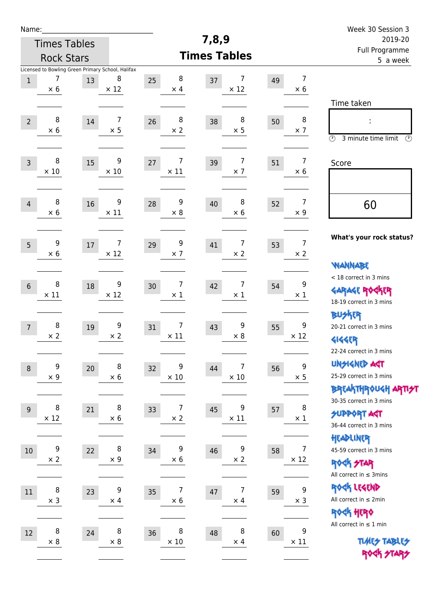| Name:          |                     |    |                                                                       |                                    |                        |    |                               | Week 30 Session 3                                                                               |
|----------------|---------------------|----|-----------------------------------------------------------------------|------------------------------------|------------------------|----|-------------------------------|-------------------------------------------------------------------------------------------------|
|                | <b>Times Tables</b> |    |                                                                       |                                    | 7,8,9                  |    |                               | 2019-20                                                                                         |
|                | <b>Rock Stars</b>   |    |                                                                       |                                    | <b>Times Tables</b>    |    |                               | Full Programme<br>5 a week                                                                      |
| $\mathbf 1$    | 7<br>$\times$ 6     | 13 | Licensed to Bowling Green Primary School, Halifax<br>8<br>$\times$ 12 | 8<br>25<br>$\times$ 4              | 7<br>37<br>$\times$ 12 | 49 | $\overline{7}$<br>$\times 6$  |                                                                                                 |
| $\overline{2}$ | 8<br>$\times$ 6     | 14 | $\overline{7}$<br>$\times$ 5                                          | 8<br>26<br>$\times 2$              | 8<br>38<br>$\times$ 5  | 50 | 8<br>$\times$ 7               | Time taken<br>İ,<br>$\circled{r}$<br>3 minute time limit<br>⊕                                   |
| $\overline{3}$ | 8<br>$\times 10$    | 15 | 9<br>$\times$ 10                                                      | 7<br>27<br>$\times$ 11             | 7<br>39<br>$\times$ 7  | 51 | $\overline{7}$<br>$\times 6$  | Score                                                                                           |
| $\overline{4}$ | 8<br>$\times$ 6     | 16 | 9<br>$\times$ 11                                                      | 9<br>28<br>$\times 8$              | 8<br>40<br>$\times 6$  | 52 | $\overline{7}$<br>$\times$ 9  | 60                                                                                              |
| 5              | 9<br>$\times$ 6     | 17 | 7<br>$\times$ 12                                                      | 9<br>29<br>$\times$ 7              | 7<br>41<br>$\times 2$  | 53 | $\overline{7}$<br>$\times 2$  | What's your rock status?<br><b>WANNABE</b>                                                      |
| $6\phantom{1}$ | 8<br>$\times$ 11    | 18 | 9<br>$\times$ 12                                                      | 7<br>30<br>$\times$ 1              | 7<br>42<br>$\times$ 1  | 54 | 9<br>$\times$ 1               | < 18 correct in 3 mins<br><b>GARAGE ROGKER</b><br>18-19 correct in 3 mins                       |
| $\overline{7}$ | 8<br>$\times 2$     | 19 | 9<br>$\times$ 2                                                       | 7<br>31<br>$\times$ 11             | 9<br>43<br>$\times 8$  | 55 | 9<br>$\times$ 12              | <b>BU外界</b><br>20-21 correct in 3 mins<br><b>4144EP</b><br>22-24 correct in 3 mins              |
| $\,8\,$        | 9<br>$\times$ 9     | 20 | 8<br>$\times$ 6                                                       | 9<br>32<br>$\times$ 10             | 7<br>44<br>$\times$ 10 | 56 | $\mathsf 9$<br>$\times$ 5     | <b>UNSIGNED AGT</b><br>25-29 correct in 3 mins<br>ΒΡΓΑ <sup>Κ</sup> ΤΗΡΟυΚΗ ΑΡΤΙ <del>2</del> Τ |
| 9              | 8<br>$\times$ 12    | 21 | 8<br>$\times$ 6                                                       | 7<br>33<br>$\times$ 2              | 9<br>45<br>$\times$ 11 | 57 | 8<br>$\times$ 1               | 30-35 correct in 3 mins<br><b>SUPPORT AGT</b><br>36-44 correct in 3 mins<br>HEADLINER           |
| $10\,$         | 9<br>$\times 2$     | 22 | 8<br>$\times$ 9                                                       | 9<br>34<br>$\times$ 6              | 9<br>46<br>$\times$ 2  | 58 | $\overline{7}$<br>$\times$ 12 | 45-59 correct in 3 mins<br><b>ROCK STAR</b><br>All correct in $\leq$ 3mins                      |
| 11             | 8<br>$\times$ 3     | 23 | 9<br>$\times$ 4                                                       | $\overline{7}$<br>35<br>$\times$ 6 | 7<br>47<br>$\times$ 4  | 59 | 9<br>$\times$ 3               | ROCK LEGEND<br>All correct in $\leq 2$ min<br>ROCK HERO                                         |
| 12             | 8<br>$\times$ 8     | 24 | 8<br>$\times$ 8                                                       | 8<br>36<br>$\times$ 10             | 8<br>48<br>$\times$ 4  | 60 | 9<br>$\times$ 11              | All correct in $\leq 1$ min<br><b>TUARS TABLES</b><br>ROCK STARS                                |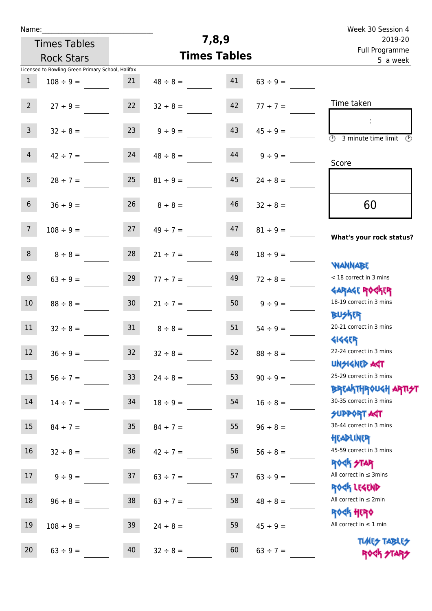| Name: |  |  |  |
|-------|--|--|--|
|       |  |  |  |

Times Tables

# **7,8,9**

|                 | <b>Rock Stars</b>                                                   |                 | <b>Times Tables</b> | Full Flogramme<br>5 a week |               |                                                                  |
|-----------------|---------------------------------------------------------------------|-----------------|---------------------|----------------------------|---------------|------------------------------------------------------------------|
| $\mathbf{1}$    | Licensed to Bowling Green Primary School, Halifax<br>$108 \div 9 =$ | 21              | $48 \div 8 =$       | 41                         | $63 \div 9 =$ |                                                                  |
|                 |                                                                     |                 |                     |                            |               |                                                                  |
| $2^{\circ}$     | $27 ÷ 9 =$                                                          | 22              | $32 \div 8 =$       | 42                         | $77 ÷ 7 =$    | Time taken                                                       |
|                 |                                                                     |                 |                     |                            |               |                                                                  |
| $\mathbf{3}$    | $32 \div 8 =$                                                       | 23              | $9 ÷ 9 =$           | 43                         | $45 \div 9 =$ | $\overline{\mathcal{O}}$<br>3 minute time limit<br>$\circled{r}$ |
| $\overline{4}$  |                                                                     | 24              |                     | 44                         |               |                                                                  |
|                 | $42 \div 7 =$                                                       |                 | $48 \div 8 =$       |                            | $9 ÷ 9 =$     | Score                                                            |
| 5 <sub>1</sub>  | $28 \div 7 =$                                                       | 25              | $81 \div 9 =$       | 45                         | $24 \div 8 =$ |                                                                  |
|                 |                                                                     |                 |                     |                            |               |                                                                  |
| $6\overline{6}$ | $36 \div 9 =$                                                       | 26              | $8 \div 8 =$        | 46                         | $32 \div 8 =$ | 60                                                               |
|                 |                                                                     |                 |                     |                            |               |                                                                  |
| $7\overline{ }$ | $108 \div 9 =$                                                      | 27              | $49 \div 7 =$       | 47                         | $81 \div 9 =$ | What's your rock status?                                         |
| 8               | $8 \div 8 =$                                                        | 28              | $21 \div 7 =$       | 48                         | $18 \div 9 =$ |                                                                  |
|                 |                                                                     |                 |                     |                            |               | <b>NANNABE</b>                                                   |
| 9 <sup>°</sup>  | $63 ÷ 9 =$                                                          | 29              | $77 ÷ 7 =$          | 49                         | $72 \div 8 =$ | < 18 correct in 3 mins                                           |
|                 |                                                                     |                 |                     |                            |               | <b>GARAGE ROGKER</b>                                             |
| 10 <sup>°</sup> | $88 \div 8 =$                                                       | 30 <sub>o</sub> | $21 \div 7 =$       | 50                         | $9 ÷ 9 =$     | 18-19 correct in 3 mins                                          |
| 11              | $32 \div 8 =$                                                       | 31              | $8 \div 8 =$        | 51                         | $54 \div 9 =$ | <b>BUSKER</b><br>20-21 correct in 3 mins                         |
|                 |                                                                     |                 |                     |                            |               | <b>4144EP</b>                                                    |
| 12              | $36 ÷ 9 =$                                                          | 32              | $32 \div 8 =$       | 52                         | $88 \div 8 =$ | 22-24 correct in 3 mins                                          |
|                 |                                                                     |                 |                     |                            |               | <b>UNSIGNED AGT</b>                                              |
| 13 <sup>7</sup> | $56 ÷ 7 =$                                                          | 33 <sup>°</sup> | $24 \div 8 =$       | 53                         | $90 \div 9 =$ | 25-29 correct in 3 mins                                          |
| 14              |                                                                     |                 |                     |                            |               | <b>BREAKTHROUGH ARTI<del>S</del>T</b><br>30-35 correct in 3 mins |
|                 | $14 \div 7 =$                                                       | 34              | $18 \div 9 =$       | 54                         | $16 \div 8 =$ | <b>SUPPORT AGT</b>                                               |
| 15              | $84 \div 7 =$                                                       | 35 <sub>o</sub> | $84 \div 7 =$       | 55                         | $96 \div 8 =$ | 36-44 correct in 3 mins                                          |
|                 |                                                                     |                 |                     |                            |               | HEADLINER                                                        |
| 16              | $32 \div 8 =$                                                       | $36\,$          | $42 \div 7 =$       | 56                         | $56 \div 8 =$ | 45-59 correct in 3 mins                                          |
|                 |                                                                     |                 |                     |                            |               | <b>ROCK STAR</b>                                                 |
| 17              | $9 ÷ 9 =$                                                           | 37              | $63 \div 7 =$       | 57                         | $63 ÷ 9 =$    | All correct in $\leq$ 3mins<br>ROCK LEGEND                       |
| 18              | $96 \div 8 =$                                                       | 38              | $63 \div 7 =$       | 58                         | $48 \div 8 =$ | All correct in $\leq 2$ min                                      |
|                 |                                                                     |                 |                     |                            |               | <b>ROCK HERO</b>                                                 |
| 19              | $108 \div 9 =$                                                      | 39              | $24 \div 8 =$       | 59                         | $45 \div 9 =$ | All correct in $\leq 1$ min                                      |
|                 |                                                                     |                 |                     |                            |               | <b>TUARS TABLES</b>                                              |
| $20\,$          | $63 ÷ 9 =$                                                          | 40              | $32 \div 8 =$       | 60                         | $63 ÷ 7 =$    | ROCK STARS                                                       |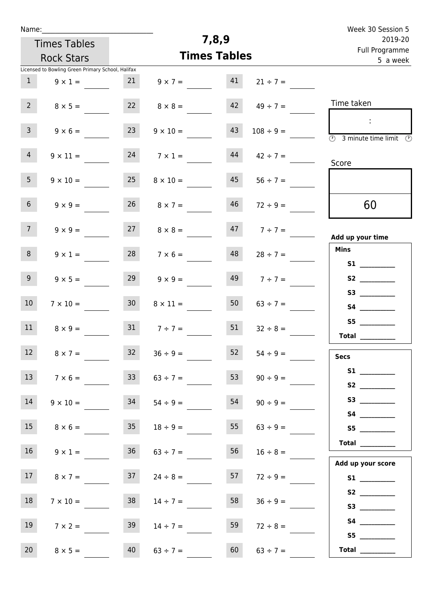| Name:                                                                    |                     |                           | Week 30 Session 5   |                                                                                                                                                                                                                                         |  |  |  |  |
|--------------------------------------------------------------------------|---------------------|---------------------------|---------------------|-----------------------------------------------------------------------------------------------------------------------------------------------------------------------------------------------------------------------------------------|--|--|--|--|
| <b>Times Tables</b>                                                      |                     | 7,8,9                     |                     | 2019-20<br>Full Programme                                                                                                                                                                                                               |  |  |  |  |
| <b>Rock Stars</b>                                                        |                     | <b>Times Tables</b>       |                     | 5 a week                                                                                                                                                                                                                                |  |  |  |  |
| Licensed to Bowling Green Primary School, Halifax<br>1<br>$9 \times 1 =$ | 21                  | 41<br>$9 \times 7 =$      | $21 \div 7 =$       |                                                                                                                                                                                                                                         |  |  |  |  |
| 2<br>$8 \times 5 =$                                                      |                     | $8 \times 8 =$            | $42 \t 49 \div 7 =$ | Time taken                                                                                                                                                                                                                              |  |  |  |  |
| 3 <sup>7</sup><br>$9 \times 6 =$                                         | 23                  | 43<br>$9 \times 10 =$     | $108 \div 9 =$      | $\overline{\textcircled{1}}$ 3 minute time limit $\textcircled{2}$                                                                                                                                                                      |  |  |  |  |
| 4<br>$9 \times 11 =$                                                     | 24                  | 44<br>$7 \times 1 =$      | $42 \div 7 =$       | Score                                                                                                                                                                                                                                   |  |  |  |  |
| 5 <sub>1</sub><br>$9 \times 10 =$                                        | 25                  | 45<br>$8 \times 10 =$     | $56 \div 7 =$       |                                                                                                                                                                                                                                         |  |  |  |  |
| 6 <sup>1</sup><br>$9 \times 9 =$                                         | 26                  | 46<br>$8 \times 7 =$      | $72 \div 9 =$       | 60                                                                                                                                                                                                                                      |  |  |  |  |
| 7 <sup>7</sup><br>$9 \times 9 =$                                         | 27                  | $8 \times 8 =$            | $47 \t7 \div 7 =$   | Add up your time                                                                                                                                                                                                                        |  |  |  |  |
| 8<br>$9 \times 1 =$                                                      |                     | $28$ $7 \times 6 =$<br>48 | $28 \div 7 =$       | <b>Mins</b>                                                                                                                                                                                                                             |  |  |  |  |
| 9 <sub>o</sub><br>$9 \times 5 =$                                         | 29                  | $9 \times 9 =$            | $149$ $7 \div 7 =$  | S <sub>2</sub> and the set of the set of the set of the set of the set of the set of the set of the set of the set of the set of the set of the set of the set of the set of the set of the set of the set of the set of the set of the |  |  |  |  |
| 10 <sup>°</sup><br>$7 \times 10 =$                                       | 30 <sup>1</sup>     | 50<br>$8 \times 11 =$     | $63 \div 7 =$       | S3                                                                                                                                                                                                                                      |  |  |  |  |
| 11<br>$8 \times 9 =$                                                     | 31                  | 51<br>$7 ÷ 7 =$           | $32 \div 8 =$       | S5<br>Total                                                                                                                                                                                                                             |  |  |  |  |
| $12 \overline{ }$<br>$8 \times 7 =$                                      | 32 <sub>1</sub>     | $36 \div 9 =$<br>52       | $54 \div 9 =$       | <b>Secs</b>                                                                                                                                                                                                                             |  |  |  |  |
| 13<br>$7 \times 6 =$                                                     | 33                  | 53<br>$63 \div 7 =$       | $90 \div 9 =$       |                                                                                                                                                                                                                                         |  |  |  |  |
| 14<br>$9 \times 10 =$                                                    | 34                  | 54<br>$54 \div 9 =$       | $90 \div 9 =$       | S4                                                                                                                                                                                                                                      |  |  |  |  |
| 15<br>$8 \times 6 =$                                                     | 35 <sub>1</sub>     | 55<br>$18 \div 9 =$       | $63 \div 9 =$       |                                                                                                                                                                                                                                         |  |  |  |  |
| 16<br>$9 \times 1 =$                                                     | 36                  | 56<br>$63 \div 7 =$       | $16 \div 8 =$       | Total                                                                                                                                                                                                                                   |  |  |  |  |
| 17<br>$8 \times 7 =$                                                     | 37                  | 57<br>$24 \div 8 =$       | $72 \div 9 =$       | Add up your score                                                                                                                                                                                                                       |  |  |  |  |
| 18<br>$7 \times 10 =$                                                    | 38                  | 58<br>$14 \div 7 =$       | $36 \div 9 =$       | S2<br>S3                                                                                                                                                                                                                                |  |  |  |  |
| 19<br>$7 \times 2 =$                                                     | 39                  | 59<br>$14 \div 7 =$       | $72 \div 8 =$       | S4                                                                                                                                                                                                                                      |  |  |  |  |
| 20<br>$8 \times 5 =$                                                     | 40<br>$63 \div 7 =$ | 60                        | $63 \div 7 =$       | S5<br><b>Total</b> __________                                                                                                                                                                                                           |  |  |  |  |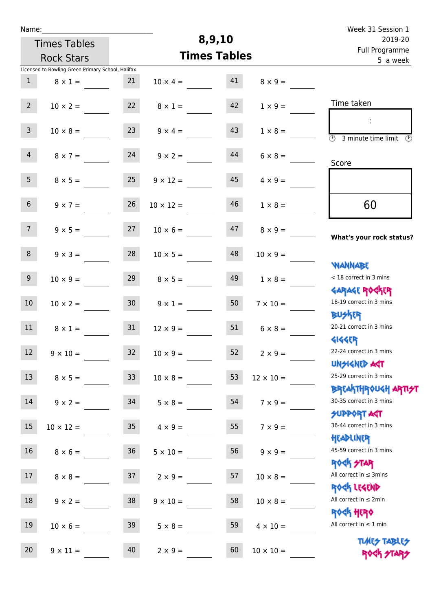| Week 31 Session 1                                                              |                  |                     |                  |                     |                                                   | Name:           |
|--------------------------------------------------------------------------------|------------------|---------------------|------------------|---------------------|---------------------------------------------------|-----------------|
| 2019-20                                                                        |                  | 8,9,10              |                  | <b>Times Tables</b> |                                                   |                 |
| Full Programme<br>5 a week                                                     |                  | <b>Times Tables</b> |                  | <b>Rock Stars</b>   |                                                   |                 |
|                                                                                |                  |                     |                  |                     | Licensed to Bowling Green Primary School, Halifax |                 |
|                                                                                | $8 \times 9 =$   | 41                  | $10 \times 4 =$  | 21                  | $8 \times 1 =$                                    | $\mathbf{1}$    |
| Time taken                                                                     | $1 \times 9 =$   | 42                  | $8 \times 1 =$   | 22                  | $10 \times 2 =$                                   | 2 <sup>7</sup>  |
| $\ddot{\phantom{a}}$<br>$\overline{\mathcal{O}}$<br>3 minute time limit<br>- O | $1 \times 8 =$   | 43                  | $9 \times 4 =$   | 23                  | $10 \times 8 =$                                   | 3 <sup>7</sup>  |
| Score                                                                          | $6 \times 8 =$   | 44                  | $9 \times 2 =$   | 24                  | $8 \times 7 =$                                    | $\overline{4}$  |
|                                                                                | $4 \times 9 =$   | 45                  | $9 \times 12 =$  | 25                  | $8 \times 5 =$                                    | 5 <sub>1</sub>  |
| 60                                                                             | $1 \times 8 =$   | 46                  | $10 \times 12 =$ | 26                  | $9 \times 7 =$                                    | 6 <sup>1</sup>  |
| What's your rock status?                                                       | $8 \times 9 =$   | 47                  | $10 \times 6 =$  | 27                  | $9 \times 5 =$                                    | 7 <sup>7</sup>  |
| <b>NANNABE</b>                                                                 | $10 \times 9 =$  | 48                  | $10 \times 5 =$  | 28                  | $9 \times 3 =$                                    | 8               |
| < 18 correct in 3 mins<br><b>GARAGE ROGKER</b>                                 | $1 \times 8 =$   | 49                  | $8 \times 5 =$   | 29                  | $10 \times 9 =$                                   | 9 <sub>o</sub>  |
| 18-19 correct in 3 mins<br><b>BUSKRR</b>                                       | $7 \times 10 =$  | 50                  | $9 \times 1 =$   | 30 <sub>2</sub>     | $10 \times 2 =$                                   | 10 <sup>°</sup> |
| 20-21 correct in 3 mins<br><b>4144ER</b>                                       | $6 \times 8 =$   | 51                  | $12 \times 9 =$  | 31                  | $8 \times 1 =$                                    | 11              |
| 22-24 correct in 3 mins<br><b>UNSIGNED AGT</b>                                 | $2 \times 9 =$   | 52                  | $10 \times 9 =$  | 32                  | $9 \times 10 =$                                   | 12 <sup>7</sup> |
| 25-29 correct in 3 mins                                                        | $12 \times 10 =$ | 53                  | $10 \times 8 =$  | 33 <sup>°</sup>     | $8 \times 5 =$                                    | 13              |
| <b>BREAKTHROUGH ARTI<del>S</del>T</b><br>30-35 correct in 3 mins               | $7 \times 9 =$   | 54                  | $5 \times 8 =$   | 34                  | $9 \times 2 =$                                    | 14              |
| <b>SUPPORT AGT</b><br>36-44 correct in 3 mins<br>HEADLINER                     | $7 \times 9 =$   | 55                  | $4 \times 9 =$   | 35 <sub>1</sub>     | $10 \times 12 =$                                  | 15              |
| 45-59 correct in 3 mins<br><b>ROCK STAR</b>                                    | $9 \times 9 =$   | 56                  | $5 \times 10 =$  | 36 <sub>2</sub>     | $8 \times 6 =$                                    | 16              |
| All correct in $\leq$ 3mins<br>ROCK LEGEND                                     | $10 \times 8 =$  | 57                  | $2 \times 9 =$   | 37                  | $8 \times 8 =$                                    | 17              |
| All correct in $\leq 2$ min<br><b>ROCK HERO</b>                                | $10 \times 8 =$  | 58                  | $9 \times 10 =$  | 38                  | $9 \times 2 =$                                    | 18              |
| All correct in $\leq 1$ min                                                    | $4 \times 10 =$  | 59                  | $5 \times 8 =$   | 39                  | $10 \times 6 =$                                   | 19              |
| <b>TUARS TABLES</b><br>ROCK STARS                                              | $10 \times 10 =$ | 60                  | $2 \times 9 =$   | 40                  | $9 \times 11 =$                                   | 20              |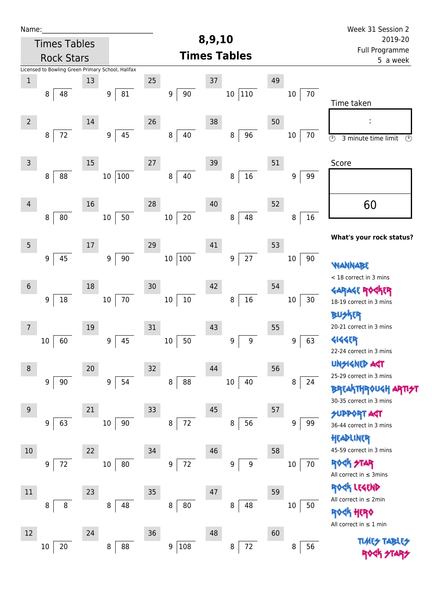| Name:           |                                                   |        |                        |                   |                         |                  | Week 31 Session 2                                           |
|-----------------|---------------------------------------------------|--------|------------------------|-------------------|-------------------------|------------------|-------------------------------------------------------------|
|                 | <b>Times Tables</b>                               |        |                        |                   | 8,9,10                  |                  | 2019-20                                                     |
|                 | <b>Rock Stars</b>                                 |        |                        |                   | <b>Times Tables</b>     |                  | Full Programme<br>5 a week                                  |
|                 | Licensed to Bowling Green Primary School, Halifax |        |                        |                   |                         |                  |                                                             |
| $\mathbf 1$     |                                                   | 13     |                        | 25                | 37                      | 49               |                                                             |
|                 | 8<br>48                                           |        | 81<br>9                | $90\,$<br>9       | $ 110\rangle$<br>$10\,$ | 70<br>10         | Time taken                                                  |
| $\overline{2}$  |                                                   | 14     |                        | 26                | 38                      | 50               |                                                             |
|                 | $72\,$<br>8                                       |        | 45<br>9                | 8<br>40           | 96<br>$\, 8$            | $10\,$<br>70     | $\overline{\circ}$<br>3 minute time limit<br>$\circledcirc$ |
| $\mathsf{3}$    |                                                   | 15     |                        | 27                | 39                      | 51               | Score                                                       |
|                 | 88<br>8                                           |        | $100\,$<br>$10\,$      | $40\,$<br>$\bf 8$ | $16\,$<br>8             | 9<br>99          |                                                             |
| $\overline{4}$  |                                                   | 16     |                        | 28                | 40                      | 52               | 60                                                          |
|                 | 80<br>8                                           |        | 50<br>$10\,$           | $20\,$<br>$10\,$  | 48<br>$\bf 8$           | 16<br>8          |                                                             |
| $5\phantom{.0}$ |                                                   | $17\,$ |                        | 29                | 41                      | 53               | What's your rock status?                                    |
|                 | 45<br>9                                           |        | 90<br>9                | 100<br>$10\,$     | 27<br>9                 | $10\,$<br>90     | WANNABE                                                     |
| $6\,$           |                                                   | 18     |                        | 30                | 42                      | 54               | < 18 correct in 3 mins                                      |
|                 | $18\,$<br>9                                       |        | $70\,$<br>$10\,$       | $10\,$<br>$10\,$  | $16\,$<br>8             | $30\,$<br>$10\,$ | <b>GARAGE ROC</b><br>18-19 correct in 3 mins                |
| 7               |                                                   | 19     |                        | 31                | 43                      | 55               | <b>BUSKER</b><br>20-21 correct in 3 mins                    |
|                 | 60<br>10                                          |        | 45<br>$\boldsymbol{9}$ | 50<br>$10\,$      | $\boldsymbol{9}$<br>9   | 63<br>9          | <b>4144EP</b>                                               |
|                 |                                                   |        |                        |                   |                         |                  | 22-24 correct in 3 mins                                     |
| 8               |                                                   | 20     |                        | 32                | 44                      | 56               | <b>UNSIGNED AGT</b>                                         |
|                 | 90<br>9                                           |        | 54<br>9                | 88<br>8           | $10\,$<br>40            | 8<br>24          | 25-29 correct in 3 mins                                     |
|                 |                                                   |        |                        |                   |                         |                  | <b>BREAKTHROUGH</b><br>30-35 correct in 3 mins              |
| 9               |                                                   | 21     |                        | 33                | 45                      | 57               | <b>SUPPORT AGT</b>                                          |
|                 | 63<br>9                                           |        | 90<br>$10\,$           | $72\,$<br>8       | $\, 8$<br>56            | 9<br>99          | 36-44 correct in 3 mins                                     |
|                 |                                                   |        |                        |                   |                         |                  | HEADLINER                                                   |
| 10              |                                                   | 22     |                        | 34                | 46                      | 58               | 45-59 correct in 3 mins                                     |
|                 | 72<br>9                                           |        | 80<br>$10\,$           | $72\,$<br>9       | 9<br>9                  | 70<br>$10\,$     | <b>ROCK STAR</b><br>All correct in $\leq$ 3mins             |
| 11              |                                                   | 23     |                        | 35                | 47                      | 59               | ROCK LEGEND                                                 |
|                 | 8<br>8                                            |        | 8<br>48                | 8<br>80           | 8<br>48                 | 10<br>50         | All correct in $\leq 2$ min                                 |
|                 |                                                   |        |                        |                   |                         |                  | <b><k b="" her0<=""></k></b>                                |
| 12              |                                                   | 24     |                        | 36                | 48                      | 60               | All correct in $\leq 1$ min                                 |
|                 | 20<br>10                                          |        | 88<br>8                | 108<br>9          | $72\,$<br>8             | 56<br>8          | <b>TUARS TABLES</b>                                         |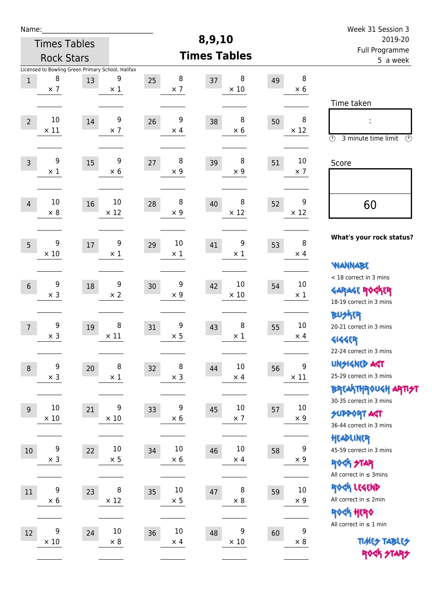| Name:           |                     |    |                                                   |                  |                     |                      |    |                  | Week 31 Session 3                               |  |  |
|-----------------|---------------------|----|---------------------------------------------------|------------------|---------------------|----------------------|----|------------------|-------------------------------------------------|--|--|
|                 | <b>Times Tables</b> |    |                                                   |                  | 8,9,10              |                      |    |                  | 2019-20                                         |  |  |
|                 | <b>Rock Stars</b>   |    |                                                   |                  | <b>Times Tables</b> |                      |    |                  | Full Programme<br>5 a week                      |  |  |
|                 |                     |    | Licensed to Bowling Green Primary School, Halifax |                  |                     |                      |    |                  |                                                 |  |  |
| $\mathbf 1$     | 8<br>$\times$ 7     | 13 | 9<br>$\times$ 1                                   | 25<br>$\times$ 7 | 8<br>37             | 8<br>$\times$ 10     | 49 | 8<br>$\times 6$  |                                                 |  |  |
|                 |                     |    |                                                   |                  |                     |                      |    |                  | Time taken                                      |  |  |
|                 |                     |    |                                                   |                  |                     |                      |    |                  |                                                 |  |  |
| $\overline{2}$  | 10<br>$\times$ 11   | 14 | 9<br>$\times$ 7                                   | 26<br>$\times$ 4 | 9<br>38             | 8<br>$\times 6$      | 50 | 8<br>$\times$ 12 | İ,                                              |  |  |
|                 |                     |    |                                                   |                  |                     |                      |    |                  | $\circled{r}$<br>3 minute time limit<br>⊕       |  |  |
|                 | 9                   |    | 9                                                 |                  | 8                   | 8                    |    | 10               |                                                 |  |  |
| $\mathsf{3}$    | $\times$ 1          | 15 | $\times 6$                                        | 27<br>$\times$ 9 | 39                  | $\times$ 9           | 51 | $\times$ 7       | Score                                           |  |  |
|                 |                     |    |                                                   |                  |                     |                      |    |                  |                                                 |  |  |
| $\overline{4}$  | 10                  | 16 | 10                                                | 28               | 8<br>40             | 8                    | 52 | 9                |                                                 |  |  |
|                 | $\times 8$          |    | $\times$ 12                                       | $\times$ 9       |                     | $\times$ 12          |    | $\times$ 12      | 60                                              |  |  |
|                 |                     |    |                                                   |                  |                     |                      |    |                  |                                                 |  |  |
|                 | 9                   |    | 9                                                 | 10               |                     | 9                    |    | 8                | What's your rock status?                        |  |  |
| $5\overline{)}$ | $\times 10$         | 17 | $\times 1$                                        | 29<br>$\times$ 1 | 41                  | $\times$ 1           | 53 | $\times$ 4       |                                                 |  |  |
|                 |                     |    |                                                   |                  |                     |                      |    |                  | <b>WANNABE</b>                                  |  |  |
|                 | 9                   |    | 9                                                 |                  | 9                   | 10                   |    | 10               | < 18 correct in 3 mins                          |  |  |
| $6\,$           | $\times$ 3          | 18 | $\times 2$                                        | 30<br>$\times 9$ | 42                  | $\times$ 10          | 54 | $\times$ 1       | <b>GARAGE ROGKER</b>                            |  |  |
|                 |                     |    |                                                   |                  |                     |                      |    |                  | 18-19 correct in 3 mins                         |  |  |
|                 |                     |    |                                                   |                  |                     |                      |    |                  | <b>BU外界</b>                                     |  |  |
| $\overline{7}$  | 9<br>$\times$ 3     | 19 | 8<br>$\times$ 11                                  | 31<br>$\times$ 5 | 9<br>43             | 8<br>$\times$ 1      | 55 | 10<br>$\times$ 4 | 20-21 correct in 3 mins                         |  |  |
|                 |                     |    |                                                   |                  |                     |                      |    |                  | <b>4144EP</b>                                   |  |  |
|                 |                     |    |                                                   |                  |                     |                      |    |                  | 22-24 correct in 3 mins<br><b>UNSIGNED AGT</b>  |  |  |
| $\,8\,$         | 9<br>$\times$ 3     | 20 | 8<br>$\times$ 1                                   | 32<br>$\times$ 3 | 8<br>44             | $10\,$<br>$\times$ 4 | 56 | 9<br>$\times$ 11 | 25-29 correct in 3 mins                         |  |  |
|                 |                     |    |                                                   |                  |                     |                      |    |                  | ΒΡΓΑ <sup>Κ</sup> ΤΗΡΟυΚΗ ΑΡΤΙ <del>2</del> Τ   |  |  |
|                 |                     |    |                                                   |                  |                     |                      |    |                  | 30-35 correct in 3 mins                         |  |  |
| 9               | 10                  | 21 | 9                                                 | 33               | 9<br>45             | 10                   | 57 | $10\,$           | <b>SUPPORT AGT</b>                              |  |  |
|                 | $\times$ 10         |    | $\times$ 10                                       | $\times 6$       |                     | $\times$ 7           |    | $\times$ 9       | 36-44 correct in 3 mins                         |  |  |
|                 |                     |    |                                                   |                  |                     |                      |    |                  | HEADLINER                                       |  |  |
| $10\,$          | 9                   | 22 | $10\,$                                            | $10\,$<br>34     | 46                  | $10\,$               | 58 | $\boldsymbol{9}$ | 45-59 correct in 3 mins                         |  |  |
|                 | $\times$ 3          |    | $\times$ 5                                        | $\times$ 6       |                     | $\times$ 4           |    | $\times$ 9       | <b>ROCK STAR</b>                                |  |  |
|                 |                     |    |                                                   |                  |                     |                      |    |                  | All correct in $\leq$ 3mins                     |  |  |
| 11              | 9                   | 23 | 8                                                 | $10\,$<br>35     | 47                  | 8                    | 59 | $10\,$           | ROCK LEGEND                                     |  |  |
|                 | $\times$ 6          |    | $\times$ 12                                       | $\times$ 5       |                     | $\times$ 8           |    | $\times$ 9       | All correct in $\leq 2$ min                     |  |  |
|                 |                     |    |                                                   |                  |                     |                      |    |                  | <b>ROCK HERO</b><br>All correct in $\leq 1$ min |  |  |
| 12              | 9                   | 24 | $10\,$                                            | $10\,$<br>36     | 48                  | 9                    | 60 | 9                |                                                 |  |  |
|                 | $\times$ 10         |    | $\times$ 8                                        | $\times$ 4       |                     | $\times$ 10          |    | $\times$ 8       | <b>TUARS TABLES</b>                             |  |  |
|                 |                     |    |                                                   |                  |                     |                      |    |                  | ROCK STARS                                      |  |  |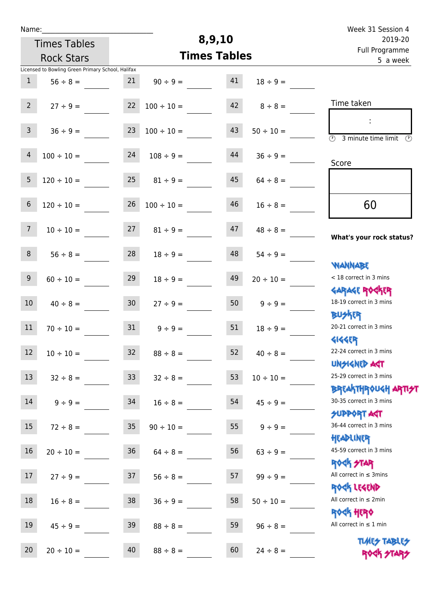| Week 31 Session 4                                                  |                |        |                     |                     |                 |                                                   | Name:           |
|--------------------------------------------------------------------|----------------|--------|---------------------|---------------------|-----------------|---------------------------------------------------|-----------------|
| 2019-20                                                            |                | 8,9,10 |                     | <b>Times Tables</b> |                 |                                                   |                 |
| Full Programme<br>5 a week                                         |                |        | <b>Times Tables</b> |                     |                 | <b>Rock Stars</b>                                 |                 |
|                                                                    |                |        |                     |                     |                 | Licensed to Bowling Green Primary School, Halifax |                 |
|                                                                    | $18 \div 9 =$  | 41     | $90 \div 9 =$       |                     | 21              | $56 \div 8 =$                                     | $\mathbf{1}$    |
| Time taken                                                         | $8 \div 8 =$   | 42     |                     | $100 \div 10 =$     | 22              | $27 \div 9 =$                                     | $2^{\circ}$     |
| $\overline{(\mathcal{V})}$<br>3 minute time limit<br>$\mathcal{O}$ | $50 \div 10 =$ | 43     |                     | $100 \div 10 =$     | 23              | $36 \div 9 =$                                     | $\mathsf{3}$    |
| Score                                                              | $36 \div 9 =$  | 44     |                     | $108 \div 9 =$      | 24              | $100 \div 10 =$                                   | 4               |
|                                                                    | $64 \div 8 =$  | 45     |                     | $81 \div 9 =$       | 25              | $120 \div 10 =$                                   | 5               |
| 60                                                                 | $16 \div 8 =$  | 46     |                     | $100 \div 10 =$     | 26              | $120 \div 10 =$                                   | $6\,$           |
| What's your rock status?                                           | $48 \div 8 =$  | 47     | $81 \div 9 =$       |                     | 27              | $10 \div 10 =$                                    | 7 <sup>7</sup>  |
| <b>WANNABE</b>                                                     | $54 \div 9 =$  | 48     |                     | $18 \div 9 =$       | 28              | $56 \div 8 =$                                     | 8               |
| < 18 correct in 3 mins<br><b>GARAGE ROCKER</b>                     | $20 \div 10 =$ | 49     |                     | $18 \div 9 =$       | 29              | $60 \div 10 =$                                    | 9               |
| 18-19 correct in 3 mins<br><b>BUSKER</b>                           | $9 \div 9 =$   | 50     |                     | $27 \div 9 =$       | 30 <sup>°</sup> | $40 \div 8 =$                                     | 10 <sup>°</sup> |
| 20-21 correct in 3 mins<br><b>4144ER</b>                           | $18 \div 9 =$  | 51     |                     | $9 \div 9 =$        | 31              | $70 \div 10 =$                                    | 11              |
| 22-24 correct in 3 mins<br><b>UNSIGNED AST</b>                     | $40 \div 8 =$  | 52     |                     | $88 \div 8 =$       | 32              | $10 \div 10 =$                                    | $12$            |
| 25-29 correct in 3 mins<br>BREAKTHROUGH ARTI <del>S</del> T        | $10 \div 10 =$ | 53     |                     | $32 \div 8 =$       | 33 <sup>°</sup> | $32 \div 8 =$                                     | 13              |
| 30-35 correct in 3 mins<br><b>SUPPORT AGT</b>                      | $45 \div 9 =$  | 54     |                     | $16 \div 8 =$       | 34              | $9 ÷ 9 =$                                         | 14              |
| 36-44 correct in 3 mins<br>HEADLINER                               | $9 \div 9 =$   | 55     |                     | $90 \div 10 =$      | 35 <sub>o</sub> | $72 \div 8 =$                                     | 15              |
| 45-59 correct in 3 mins<br>ROCK STAR                               | $63 ÷ 9 =$     | 56     | $64 \div 8 =$       |                     | 36              | $20 \div 10 =$                                    | 16              |
| All correct in $\leq$ 3mins<br>ROCK LEGEND                         | $99 ÷ 9 =$     | 57     | $56 \div 8 =$       |                     | 37              | $27 ÷ 9 =$                                        | 17              |
| All correct in $\leq 2$ min<br>ROCK HERO                           | $50 \div 10 =$ | 58     | $36 \div 9 =$       |                     | 38              | $16 \div 8 =$                                     | 18              |
| All correct in $\leq 1$ min                                        | $96 \div 8 =$  | 59     |                     | $88 \div 8 =$       | 39              | $45 \div 9 =$                                     | 19              |
| <b>TUARS TABLES</b><br>ROCK STARS                                  | $24 \div 8 =$  | 60     |                     | $88 \div 8 =$       | 40              | $20 \div 10 =$                                    | 20              |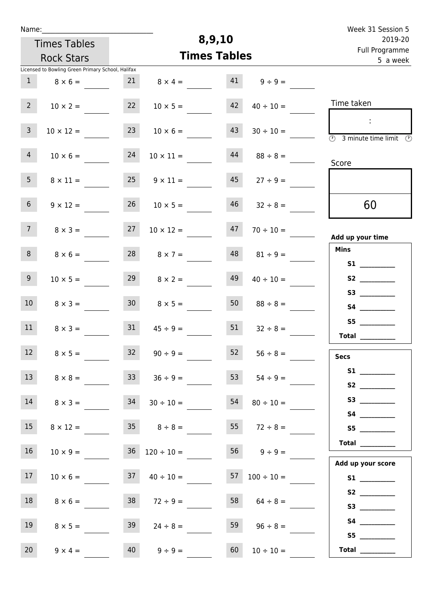| Week 31 Session 5                                                                               |                          |                     |                          |                                                   |                                 | Name:           |
|-------------------------------------------------------------------------------------------------|--------------------------|---------------------|--------------------------|---------------------------------------------------|---------------------------------|-----------------|
| 2019-20                                                                                         |                          | 8,9,10              |                          |                                                   | <b>Times Tables</b>             |                 |
| Full Programme<br>5 a week                                                                      |                          | <b>Times Tables</b> |                          |                                                   | <b>Rock Stars</b>               |                 |
|                                                                                                 |                          |                     |                          | Licensed to Bowling Green Primary School, Halifax |                                 |                 |
|                                                                                                 | $9 \div 9 =$             | 41                  | $8 \times 4 =$           | 21                                                | $8 \times 6 =$                  | 1               |
| Time taken                                                                                      | $40 \div 10 =$           | 42                  | $10 \times 5 =$          | 22                                                | $10 \times 2 =$                 | 2 <sup>7</sup>  |
| $\mathbb{Z}^n$<br>$\overline{\textcircled{2}}$ 3 minute time limit $\overline{\textcircled{2}}$ | $30 \div 10 =$           | 43                  | $10 \times 6 =$          | 23                                                | $10 \times 12 =$                | $\mathbf{3}$    |
| Score                                                                                           | $88 \div 8 =$            | 44                  | $10 \times 11 =$         | 24                                                | $10 \times 6 =$                 | $\overline{4}$  |
|                                                                                                 | $27 \div 9 =$            | 45                  | $9 \times 11 =$          | 25                                                | $8 \times 11 =$                 | 5 <sub>1</sub>  |
| 60                                                                                              | $32 \div 8 =$            | 46                  | $10 \times 5 =$          | 26                                                | $9 \times 12 =$                 | 6 <sup>1</sup>  |
| Add up your time                                                                                | $70 \div 10 =$           | 47                  | $10 \times 12 =$         | 27                                                | $8 \times 3 =$                  | 7 <sup>7</sup>  |
| <b>Mins</b><br>S1                                                                               | $81 \div 9 =$            | 48                  | $8 \times 7 =$           | 28                                                | $8 \times 6 =$                  | 8               |
| S2                                                                                              | $40 \div 10 =$           | 49                  | $8 \times 2 =$           | 29                                                | $10 \times 5 =$                 | 9 <sub>o</sub>  |
|                                                                                                 | $88 \div 8 =$            | 50                  | $8 \times 5 =$           | 30 <sup>1</sup>                                   | $8 \times 3 =$                  | 10 <sup>°</sup> |
| S5<br>Total $\frac{1}{2}$                                                                       | $32 \div 8 =$            | 51                  | $45 \div 9 =$            | 31                                                | $8 \times 3 =$                  | 11              |
| <b>Secs</b>                                                                                     | $56 \div 8 =$            | 52                  | $90 \div 9 =$            | 32                                                | $8 \times 5 =$                  | 12              |
| S2                                                                                              | $54 \div 9 =$            | 53                  | $36 \div 9 =$            | 33                                                | $8 \times 8 =$                  | 13              |
|                                                                                                 | $80 \div 10 =$           | 54                  | $30 \div 10 =$           | 34                                                | $8 \times 3 =$                  | 14              |
| S5                                                                                              | 55 $72 \div 8 =$         |                     |                          |                                                   | $8 \times 12 = 35$ $8 \div 8 =$ | 15              |
| $\begin{tabular}{c} Total \end{tabular}$<br>Add up your score                                   | $56 \t 9 \div 9 =$       |                     | $36 \quad 120 \div 10 =$ |                                                   | $10 \times 9 =$                 | 16              |
| S1                                                                                              | $57 \quad 100 \div 10 =$ |                     | $37 \t 40 \div 10 =$     |                                                   | $10 \times 6 =$                 | 17 <sub>1</sub> |
|                                                                                                 | 58 $64 \div 8 =$         |                     | $72 \div 9 =$            | 38                                                | $8 \times 6 =$                  | 18              |
| S5                                                                                              | $96 \div 8 =$            | 59                  | $24 \div 8 =$            | 39                                                | $8 \times 5 =$                  | 19              |
| Total $\_\_$                                                                                    | $10 \div 10 =$           | 60                  | $9 \div 9 =$             | 40                                                | $9 \times 4 =$                  | 20              |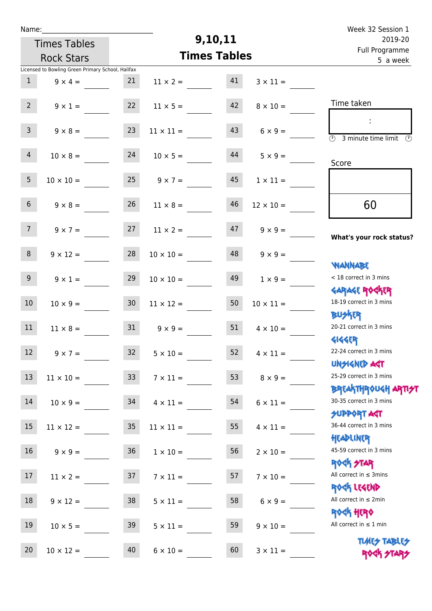| Week 32 Session 1                                                |                       |         |                       |                 |                                                   | Name:           |  |  |
|------------------------------------------------------------------|-----------------------|---------|-----------------------|-----------------|---------------------------------------------------|-----------------|--|--|
| 2019-20                                                          |                       | 9,10,11 |                       |                 | <b>Times Tables</b>                               |                 |  |  |
| Full Programme<br>5 a week                                       |                       |         | <b>Times Tables</b>   |                 | <b>Rock Stars</b>                                 |                 |  |  |
|                                                                  |                       |         |                       |                 | Licensed to Bowling Green Primary School, Halifax |                 |  |  |
|                                                                  | $3 \times 11 =$       | 41      | $11 \times 2 =$       | 21              | $9 \times 4 =$                                    | $\mathbf{1}$    |  |  |
| Time taken                                                       | $8 \times 10 =$       | 42      | $11 \times 5 =$       | 22              | $9 \times 1 =$                                    | $2^{\circ}$     |  |  |
| $\overline{(\mathcal{V})}$<br>3 minute time limit<br>$\odot$     | $6 \times 9 =$        | 43      | $11 \times 11 =$      | 23              | $9 \times 8 =$                                    | 3 <sup>7</sup>  |  |  |
| Score                                                            | $5 \times 9 =$        | 44      | $10 \times 5 =$       | 24              | $10 \times 8 =$                                   | $\overline{4}$  |  |  |
|                                                                  | $1 \times 11 =$       | 45      | $25 \t 9 \times 7 =$  |                 | $10 \times 10 =$                                  | 5 <sub>1</sub>  |  |  |
| 60                                                               | $12 \times 10 =$      | 46      | $11 \times 8 =$       | 26              | $9 \times 8 =$                                    | 6 <sup>1</sup>  |  |  |
| What's your rock status?                                         | $9 \times 9 =$        | 47      | $11 \times 2 =$       | 27              | $9 \times 7 =$                                    | 7 <sup>7</sup>  |  |  |
| <b>NANNABE</b>                                                   | $9 \times 9 =$        | 48      | $10 \times 10 =$      | 28              | $9 \times 12 =$                                   | 8               |  |  |
| < 18 correct in 3 mins<br><b>GARAGE ROGKER</b>                   | $1 \times 9 =$        | 49      | $10 \times 10 =$      | 29              | $9 \times 1 =$                                    | 9 <sub>o</sub>  |  |  |
| 18-19 correct in 3 mins<br><b>BUSKER</b>                         | $10 \times 11 =$      | 50      | $11 \times 12 =$      | 30 <sub>o</sub> | $10 \times 9 =$                                   | 10 <sup>°</sup> |  |  |
| 20-21 correct in 3 mins<br><b>4144EP</b>                         | $4 \times 10 =$       | 51      | $9 \times 9 =$        | 31              | $11 \times 8 =$                                   | 11              |  |  |
| 22-24 correct in 3 mins<br><b>UNSIGNED AST</b>                   | $52 \t 4 \times 11 =$ |         | $32 \t 5 \times 10 =$ |                 | $9 \times 7 =$                                    | 12              |  |  |
| 25-29 correct in 3 mins                                          | $8 \times 9 =$        | 53      | $7 \times 11 =$       | 33 <sup>°</sup> | $11 \times 10 =$                                  | 13              |  |  |
| <b>BREAKTHROUGH ARTI<del>S</del>T</b><br>30-35 correct in 3 mins | $6 \times 11 =$       | 54      | $4 \times 11 =$       | 34              | $10 \times 9 =$                                   | 14              |  |  |
| <b>SUPPORT AGT</b><br>36-44 correct in 3 mins                    | $4 \times 11 =$       | 55      | $11 \times 11 =$      | 35              | $11 \times 12 =$                                  | 15              |  |  |
| HEADLINER<br>45-59 correct in 3 mins<br><b>ROCK STAR</b>         | $2 \times 10 =$       | 56      | $1 \times 10 =$       | 36              | $9 \times 9 =$                                    | 16              |  |  |
| All correct in $\leq$ 3mins<br>ROCK LEGEND                       | $7 \times 10 =$       | 57      | $7 \times 11 =$       | 37              | $11 \times 2 =$                                   | 17              |  |  |
| All correct in $\leq 2$ min<br><b>ROCK HERO</b>                  | $6 \times 9 =$        | 58      | $5 \times 11 =$       | 38              | $9 \times 12 =$                                   | 18              |  |  |
| All correct in $\leq 1$ min                                      | $9 \times 10 =$       | 59      | $5 \times 11 =$       | 39              | $10 \times 5 =$                                   | 19              |  |  |
| <b>TUARS TABLES</b><br>ROCK STARS                                | $3 \times 11 =$       | 60      | $6 \times 10 =$       | 40              | $10 \times 12 =$                                  | 20              |  |  |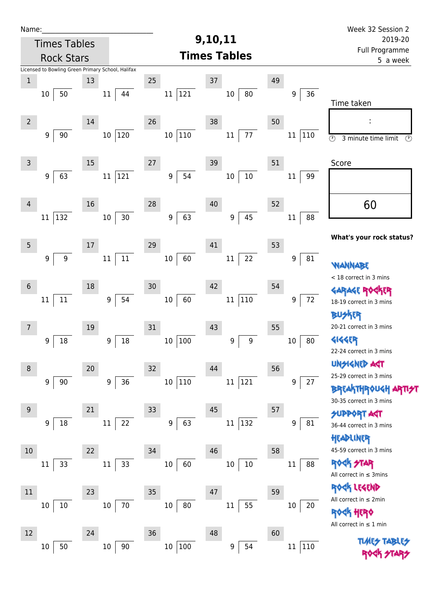| Name:            |                                                   |    |                        |                                  |                             |    |               | Week 32 Session 2                                                       |
|------------------|---------------------------------------------------|----|------------------------|----------------------------------|-----------------------------|----|---------------|-------------------------------------------------------------------------|
|                  | <b>Times Tables</b>                               |    |                        | 9,10,11                          |                             |    |               | 2019-20                                                                 |
|                  | <b>Rock Stars</b>                                 |    |                        |                                  | <b>Times Tables</b>         |    |               | Full Programme<br>5 a week                                              |
|                  | Licensed to Bowling Green Primary School, Halifax |    |                        |                                  |                             |    |               |                                                                         |
| $\mathbf 1$      |                                                   | 13 |                        | 25                               | $37\,$                      | 49 |               |                                                                         |
|                  | 50<br>10                                          |    | $11\,$<br>44           | 121<br>11                        | 80<br>$10\,$                |    | 36<br>9       | Time taken                                                              |
| $\overline{2}$   |                                                   | 14 |                        | 26                               | 38                          | 50 |               |                                                                         |
|                  | $90\,$<br>9                                       |    | 120<br>10 <sup>°</sup> | $ 110\rangle$<br>10 <sup>°</sup> | $77\,$<br>$11\,$            |    | 110<br>11     | $\circledcirc$<br>3 minute time limit<br>$\circled{r}$                  |
| $\mathsf{3}$     |                                                   | 15 |                        | 27                               | 39                          | 51 |               | Score                                                                   |
|                  | 63<br>9                                           |    | 121<br>$11\,$          | 54<br>$\boldsymbol{9}$           | $10\,$<br>$10\,$            |    | 99<br>11      |                                                                         |
| 4                |                                                   | 16 |                        | 28                               | 40                          | 52 |               | 60                                                                      |
|                  | 132<br>11                                         |    | $30\,$<br>$10\,$       | 63<br>9                          | 45<br>9                     |    | 88<br>11      | What's your rock status?                                                |
| $\overline{5}$   |                                                   | 17 |                        | 29                               | 41                          | 53 |               |                                                                         |
|                  | $\boldsymbol{9}$<br>9                             |    | $11\,$<br>$11\,$       | 60<br>$10\,$                     | 22<br>$11\,$                |    | 81<br>9       | WANNABE                                                                 |
| $\boldsymbol{6}$ |                                                   | 18 |                        | 30                               | 42                          | 54 |               | < 18 correct in 3 mins                                                  |
|                  | $11\,$<br>11                                      |    | 54<br>$\boldsymbol{9}$ | 60<br>$10\,$                     | 110<br>$11\,$               |    | 72<br>9       | <b>GARAGE ROC</b><br>18-19 correct in 3 mins                            |
|                  |                                                   |    |                        | 31                               |                             |    |               | BUSKER<br>20-21 correct in 3 mins                                       |
| 7                | 18<br>9                                           | 19 | 18<br>9                | 100<br>10                        | 43<br>$\boldsymbol{9}$<br>9 | 55 | 80<br>$10\,$  | <b>4144EP</b>                                                           |
|                  |                                                   |    |                        |                                  |                             |    |               | 22-24 correct in 3 mins                                                 |
|                  |                                                   |    |                        |                                  |                             |    |               | <b>UNSIGNED AST</b>                                                     |
| 8                |                                                   | 20 |                        | 32                               | 44                          | 56 |               | 25-29 correct in 3 mins                                                 |
|                  | 90<br>9                                           |    | 36<br>$\boldsymbol{9}$ | $10\,$<br>$ 110\rangle$          | 121<br>$11\,$               |    | 27<br>9       | <b>BREAKTHROUGH</b><br>30-35 correct in 3 mins                          |
| $9\,$            |                                                   | 21 |                        | 33                               | 45                          | 57 |               | <b>SUPPORT AGT</b>                                                      |
|                  | 18<br>9                                           |    | 22<br>11               | 63<br>9                          | $ 132\rangle$<br>$11\,$     |    | 81<br>9       | 36-44 correct in 3 mins<br>HEADLINER                                    |
| 10               |                                                   | 22 |                        | 34                               | 46                          | 58 |               | 45-59 correct in 3 mins                                                 |
|                  | 33<br>$11\,$                                      |    | 33<br>$11\,$           | $10\,$<br>60                     | $10\,$<br>$10\,$            |    | $11\,$<br>88  | <b>ROCK STAR</b><br>All correct in $\leq$ 3mins                         |
| 11               |                                                   | 23 |                        | 35                               | 47                          | 59 |               | ROCK LEGEND                                                             |
|                  | 10<br>10                                          |    | 70<br>10               | 80<br>10                         | 55<br>$11\,$                |    | 20<br>10      | All correct in $\leq 2$ min                                             |
|                  |                                                   |    |                        |                                  |                             |    |               | <b><h b="" her0<=""><br/>All correct in <math>\leq 1</math> min</h></b> |
| 12               |                                                   | 24 |                        | 36                               | 48                          | 60 |               | <b>TLME<del>S</del></b>                                                 |
|                  | 50<br>10                                          |    | $10\,$<br>$90\,$       | $10\,$<br> 100                   | 54<br>9                     |    | 110<br>$11\,$ |                                                                         |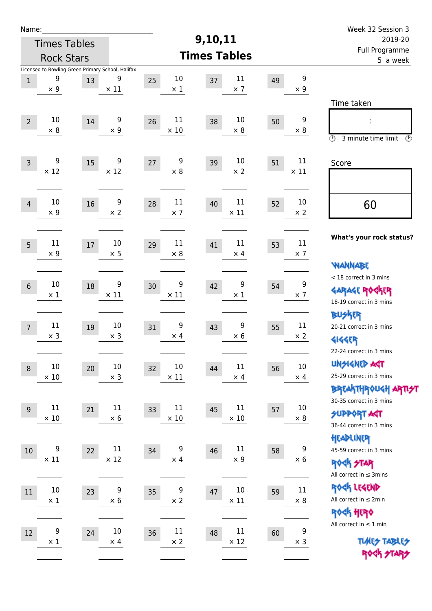| Week 32 Session 3                                                                           |                      |    |                       |                     |                                |    |                                          |                                                         |                       | Name:          |
|---------------------------------------------------------------------------------------------|----------------------|----|-----------------------|---------------------|--------------------------------|----|------------------------------------------|---------------------------------------------------------|-----------------------|----------------|
| 2019-20                                                                                     |                      |    |                       | 9,10,11             |                                |    | <b>Times Tables</b><br><b>Rock Stars</b> |                                                         |                       |                |
| Full Programme<br>5 a week                                                                  |                      |    |                       | <b>Times Tables</b> |                                |    |                                          |                                                         |                       |                |
|                                                                                             | 9<br>$\times$ 9      | 49 | 11<br>$\times$ 7      | 37                  | 10<br>$\times$ 1               | 25 | 9<br>$\times$ 11                         | Licensed to Bowling Green Primary School, Halifax<br>13 | 9<br>$\times$ 9       | $1\,$          |
| Time taken<br>t<br>$\circled{r}$<br>3 minute time limit<br>⊕                                | 9<br>$\times 8$      | 50 | 10<br>$\times 8$      | 38                  | 11<br>$\times$ 10              | 26 | 9<br>$\times 9$                          | 14                                                      | 10<br>$\times$ 8      | $\overline{2}$ |
| Score                                                                                       | 11<br>$\times$ 11    | 51 | 10<br>$\times$ 2      | 39                  | 9<br>$\times 8$                | 27 | 9<br>$\times$ 12                         | 15                                                      | 9<br>$\times$ 12      | $\overline{3}$ |
| 60                                                                                          | 10<br>$\times 2$     | 52 | 11<br>$\times$ 11     | 40                  | 11<br>$\times$ 7               | 28 | 9<br>$\times 2$                          | 16                                                      | 10<br>$\times$ 9      | $\overline{4}$ |
| What's your rock status?                                                                    | 11<br>$\times$ 7     | 53 | 11<br>$\times$ 4      | 41                  | 11<br>$\times 8$               | 29 | 10<br>$\times$ 5                         | 17                                                      | 11<br>$\times$ 9      | 5              |
| <b>NANNABE</b><br>< 18 correct in 3 mins<br><b>GARAGE ROCKER</b><br>18-19 correct in 3 mins | 9<br>$\times$ 7      | 54 | 9<br>$\times$ 1       | 42                  | 9<br>$\times$ 11               | 30 | 9<br>$\times$ 11                         | 18                                                      | 10<br>$\times$ 1      | $6\,$          |
| <b>BU外界</b><br>20-21 correct in 3 mins<br><b>4144EP</b><br>22-24 correct in 3 mins          | 11<br>$\times 2$     | 55 | 9<br>$\times 6$       | 43                  | 9<br>$\times$ 4                | 31 | 10<br>$\times$ 3                         | 19                                                      | 11<br>$\times$ 3      | $\overline{7}$ |
| <b>UNGIGNED AGT</b><br>25-29 correct in 3 mins<br><b>BREAKTHROUGH ARTI<del>S</del>T</b>     | $10\,$<br>$\times$ 4 | 56 | $11\,$<br>$\times$ 4  | 44                  | 10<br>$\times$ 11              | 32 | $10\,$<br>$\times$ 3                     | 20                                                      | $10\,$<br>$\times$ 10 | $\,8\,$        |
| 30-35 correct in 3 mins<br><b>SUPPORT AGT</b><br>36-44 correct in 3 mins                    | $10\,$<br>$\times$ 8 | 57 | $11\,$<br>$\times$ 10 | 45                  | 11<br>$\times$ 10              | 33 | $11\,$<br>$\times 6$                     | 21                                                      | 11<br>$\times$ 10     | 9              |
| HEADLINER<br>45-59 correct in 3 mins<br><b>ROCK STAR</b><br>All correct in $\leq$ 3mins     | 9<br>$\times 6$      | 58 | $11\,$<br>$\times$ 9  | 46                  | $\boldsymbol{9}$<br>$\times$ 4 | 34 | $11\,$<br>$\times$ 12                    | 22                                                      | 9<br>$\times$ 11      | 10             |
| ROCK LEGEND<br>All correct in $\leq 2$ min<br>ROCK HERO                                     | 11<br>$\times$ 8     | 59 | 10<br>$\times$ 11     | 47                  | 9<br>$\times$ 2                | 35 | 9<br>$\times$ 6                          | 23                                                      | $10\,$<br>$\times$ 1  | 11             |
| All correct in $\leq 1$ min<br><b>TUARS TABLES</b><br>ROCK STARS                            | 9<br>$\times$ 3      | 60 | $11\,$<br>$\times$ 12 | 48                  | $11\,$<br>$\times$ 2           | 36 | $10\,$<br>$\times$ 4                     | 24                                                      | 9<br>$\times$ 1       | $12\,$         |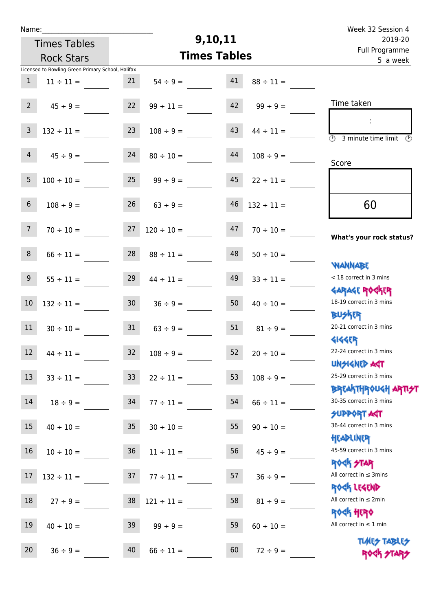| Week 32 Session 4                                           |                                |    |                      |                 |                                                   | Name:            |  |  |  |  |
|-------------------------------------------------------------|--------------------------------|----|----------------------|-----------------|---------------------------------------------------|------------------|--|--|--|--|
| 2019-20                                                     | 9,10,11<br><b>Times Tables</b> |    |                      |                 |                                                   |                  |  |  |  |  |
| Full Programme<br>5 a week                                  |                                |    | <b>Times Tables</b>  |                 | <b>Rock Stars</b>                                 |                  |  |  |  |  |
|                                                             |                                |    |                      |                 | Licensed to Bowling Green Primary School, Halifax |                  |  |  |  |  |
|                                                             | $88 \div 11 =$                 | 41 | $54 \div 9 =$        | 21              | $11 \div 11 =$                                    | $\mathbf{1}$     |  |  |  |  |
| Time taken                                                  | $99 \div 9 =$                  | 42 | $99 \div 11 =$       | 22              | $45 \div 9 =$                                     | $\overline{2}$   |  |  |  |  |
|                                                             |                                |    |                      |                 |                                                   |                  |  |  |  |  |
|                                                             | $44 \div 11 =$                 | 43 | $108 \div 9 =$       | 23              | $132 \div 11 =$                                   | $\overline{3}$   |  |  |  |  |
| $\circled{r}$<br>3 minute time limit<br>$\mathcal{O}$       |                                |    |                      |                 |                                                   |                  |  |  |  |  |
| Score                                                       | $108 \div 9 =$                 | 44 | $80 \div 10 =$       | 24              | $45 \div 9 =$                                     | $\overline{4}$   |  |  |  |  |
|                                                             |                                |    |                      |                 |                                                   |                  |  |  |  |  |
|                                                             | $22 \div 11 =$                 | 45 | $99 \div 9 =$        | 25              | $100 \div 10 =$                                   | 5                |  |  |  |  |
|                                                             |                                |    |                      |                 |                                                   |                  |  |  |  |  |
| 60                                                          | $132 \div 11 =$                | 46 | $63 ÷ 9 =$           | 26              | $108 \div 9 =$                                    | $\,$ 6 $\,$      |  |  |  |  |
|                                                             | $70 \div 10 =$                 | 47 | $120 \div 10 =$      | 27              | $70 \div 10 =$                                    | $7\overline{ }$  |  |  |  |  |
| What's your rock status?                                    |                                |    |                      |                 |                                                   |                  |  |  |  |  |
|                                                             | $50 \div 10 =$                 | 48 | $88 \div 11 =$       | 28              | $66 \div 11 =$                                    | $\,8\,$          |  |  |  |  |
| <b>JARNARY</b>                                              |                                |    |                      |                 |                                                   |                  |  |  |  |  |
| < 18 correct in 3 mins                                      | $33 \div 11 =$                 | 49 | $44 \div 11 =$       | 29              | $55 \div 11 =$                                    | $\boldsymbol{9}$ |  |  |  |  |
| <b>GARAGE ROGKER</b>                                        |                                |    |                      |                 |                                                   |                  |  |  |  |  |
| 18-19 correct in 3 mins                                     | $40 \div 10 =$                 | 50 | $36 \div 9 =$        | 30 <sub>o</sub> | $132 \div 11 =$                                   | $10\,$           |  |  |  |  |
| <b>BUSKER</b>                                               |                                |    |                      |                 |                                                   |                  |  |  |  |  |
| 20-21 correct in 3 mins                                     | $81 \div 9 =$                  | 51 | $63 \div 9 =$        | 31              | $30 \div 10 =$                                    | 11               |  |  |  |  |
| <b>4144EP</b>                                               |                                |    |                      |                 |                                                   |                  |  |  |  |  |
| 22-24 correct in 3 mins                                     | $20 \div 10 =$                 | 52 | $32 \t 108 \div 9 =$ |                 | $44 \div 11 =$                                    | 12               |  |  |  |  |
| <b>UNSIGNED AGT</b><br>25-29 correct in 3 mins              |                                |    |                      |                 |                                                   |                  |  |  |  |  |
|                                                             | $108 \div 9 =$                 | 53 | $22 \div 11 =$       | 33 <sup>°</sup> | $33 \div 11 =$                                    | 13               |  |  |  |  |
| ΒΡΓΑΚΤΗΡΟUGH ΑΡΤΙ <del>2</del> Τ<br>30-35 correct in 3 mins |                                | 54 |                      | 34              |                                                   | 14               |  |  |  |  |
| <b>SUPPORT AGT</b>                                          | $66 \div 11 =$                 |    | $77 \div 11 =$       |                 | $18 \div 9 =$                                     |                  |  |  |  |  |
| 36-44 correct in 3 mins                                     | $90 \div 10 =$                 | 55 | $30 \div 10 =$       | 35              | $40 \div 10 =$                                    | 15               |  |  |  |  |
| HEADLINER                                                   |                                |    |                      |                 |                                                   |                  |  |  |  |  |
| 45-59 correct in 3 mins                                     | $45 \div 9 =$                  | 56 | $11 \div 11 =$       | 36              | $10 \div 10 =$                                    | 16               |  |  |  |  |
| ROCK STAR                                                   |                                |    |                      |                 |                                                   |                  |  |  |  |  |
| All correct in $\leq$ 3mins                                 | $36 ÷ 9 =$                     | 57 | $77 \div 11 =$       | 37              | $132 \div 11 =$                                   | $17\,$           |  |  |  |  |
| ROCK LEGEND                                                 |                                |    |                      |                 |                                                   |                  |  |  |  |  |
| All correct in $\leq 2$ min                                 | $81 \div 9 =$                  | 58 | $121 \div 11 =$      | 38              | $27 \div 9 =$                                     | 18               |  |  |  |  |
| <b>ROCK HERO</b>                                            |                                |    |                      |                 |                                                   |                  |  |  |  |  |
| All correct in $\leq 1$ min                                 | $60 \div 10 =$                 | 59 | $99 \div 9 =$        | 39              | $40 \div 10 =$                                    | 19               |  |  |  |  |
| <b>TUARS TABLES</b>                                         |                                |    |                      |                 |                                                   |                  |  |  |  |  |
| ROCK STARS                                                  | $72 \div 9 =$                  | 60 | $66 \div 11 =$       | 40              | $36 \div 9 =$                                     | 20               |  |  |  |  |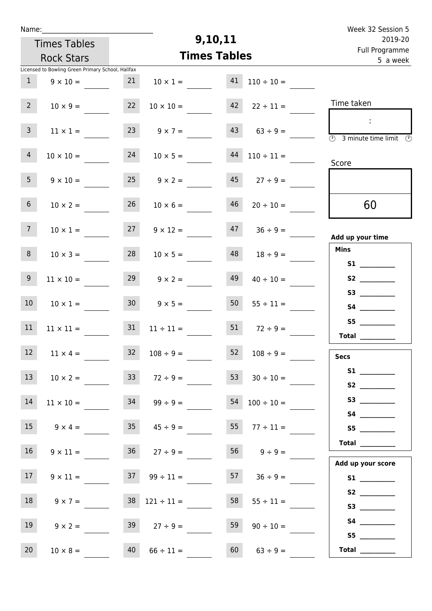| Name:                                             |                          |                        |                            | Week 32 Session 5                                                                       |
|---------------------------------------------------|--------------------------|------------------------|----------------------------|-----------------------------------------------------------------------------------------|
| <b>Times Tables</b>                               |                          | 9,10,11                |                            | 2019-20                                                                                 |
| <b>Rock Stars</b>                                 |                          | <b>Times Tables</b>    | Full Programme<br>5 a week |                                                                                         |
| Licensed to Bowling Green Primary School, Halifax |                          |                        |                            |                                                                                         |
| 1<br>$9 \times 10 =$                              | 21                       | 41<br>$10 \times 1 =$  | $110 \div 10 =$            |                                                                                         |
| 2 <sup>7</sup><br>$10 \times 9 =$                 | 22                       | 42<br>$10 \times 10 =$ | $22 \div 11 =$             | Time taken                                                                              |
| $\mathbf{3}$<br>$11 \times 1 =$                   | 23                       | $9 \times 7 =$         | $43 \t 63 \div 9 =$        | $\sim$<br>$\overline{\textcircled{2}}$ 3 minute time limit $\overline{\textcircled{5}}$ |
| $\overline{4}$<br>$10 \times 10 =$                | 24                       | $10 \times 5 =$        | $44$ $110 \div 11 =$       | Score                                                                                   |
| 5 <sub>1</sub><br>$9 \times 10 =$                 | $25 \t 9 \times 2 =$     |                        | $45 \t 27 \div 9 =$        |                                                                                         |
| 6 <sup>1</sup><br>$10 \times 2 =$                 | 26                       | 46<br>$10 \times 6 =$  | $20 \div 10 =$             | 60                                                                                      |
| 7 <sup>7</sup><br>$10 \times 1 =$                 | 27                       | $9 \times 12 =$        | $47 \t36 \div 9 =$         | Add up your time                                                                        |
| 8 <sup>1</sup><br>$10 \times 3 =$                 | 28                       | 48<br>$10 \times 5 =$  | $18 \div 9 =$              | <b>Mins</b><br>S1                                                                       |
| 9 <sub>o</sub><br>$11 \times 10 =$                | 29                       | 49<br>$9 \times 2 =$   | $40 \div 10 =$             | S2                                                                                      |
| 10 <sup>°</sup><br>$10 \times 1 =$                | 30 <sup>°</sup>          | 50<br>$9 \times 5 =$   | $55 \div 11 =$             |                                                                                         |
| 11<br>$11 \times 11 =$                            | 31                       | 51<br>$11 \div 11 =$   | $72 \div 9 =$              | S5<br>Total $\_\_$                                                                      |
| 12<br>$11 \times 4 =$                             | 32<br>$108 \div 9 =$     | 52                     | $108 \div 9 =$             | <b>Secs</b>                                                                             |
| 13<br>$10 \times 2 =$                             | 33                       | 53<br>$72 \div 9 =$    | $30 \div 10 =$             |                                                                                         |
| 14<br>$11 \times 10 =$                            | 34                       | $99 \div 9 =$          | $54 \quad 100 \div 10 =$   |                                                                                         |
| 15<br>$9 \times 4 =$                              |                          | $35 \t 45 \div 9 =$    | $55 \t 77 \div 11 =$       | S5                                                                                      |
| 16 <sup>1</sup><br>$9 \times 11 =$                | $36 \t 27 \div 9 =$      |                        | $56 \t 9 \div 9 =$         | Total $\qquad$                                                                          |
| 17 <sub>1</sub><br>$9 \times 11 =$                | $37 \t 99 \div 11 =$     |                        | $57 \t 36 \div 9 =$        | Add up your score                                                                       |
| 18<br>$9 \times 7 =$                              | $38 \quad 121 \div 11 =$ | 58                     | $55 \div 11 =$             | S3                                                                                      |
| 19<br>$9 \times 2 =$                              | $39 \t 27 \div 9 =$      | 59                     | $90 \div 10 =$             | S5                                                                                      |
| 20<br>$10 \times 8 =$                             | 40<br>$66 \div 11 =$     | 60                     | $63 \div 9 =$              | Total $\frac{1}{\sqrt{1-\frac{1}{2}}\cdot\frac{1}{2}}$                                  |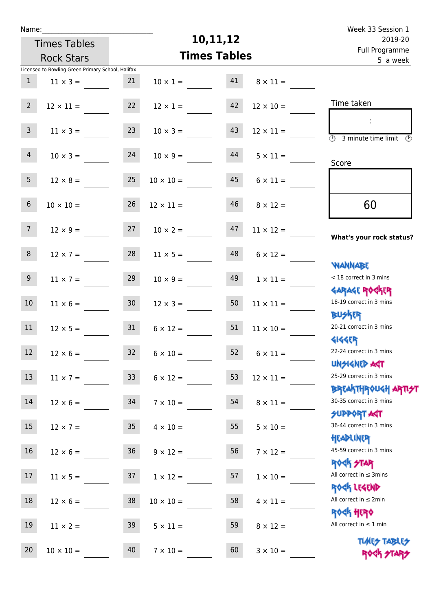| Name:            |                                                   |                 |                     |          |                       | Week 33 Session 1                                                |
|------------------|---------------------------------------------------|-----------------|---------------------|----------|-----------------------|------------------------------------------------------------------|
|                  | <b>Times Tables</b>                               |                 |                     | 10,11,12 |                       | 2019-20                                                          |
|                  | <b>Rock Stars</b>                                 |                 | <b>Times Tables</b> |          |                       | Full Programme<br>5 a week                                       |
|                  | Licensed to Bowling Green Primary School, Halifax |                 |                     |          |                       |                                                                  |
| $\mathbf{1}$     | $11 \times 3 =$                                   | 21              | $10 \times 1 =$     | 41       | $8 \times 11 =$       |                                                                  |
| $2^{\circ}$      | $12 \times 11 =$                                  | 22              | $12 \times 1 =$     | 42       | $12 \times 10 =$      | Time taken                                                       |
| $\mathbf{3}$     | $11 \times 3 =$                                   | 23              | $10 \times 3 =$     | 43       | $12 \times 11 =$      | $\overline{(\mathcal{V})}$<br>3 minute time limit $\circled{b}$  |
| $\overline{4}$   | $10 \times 3 =$                                   | 24              | $10 \times 9 =$     | 44       | $5 \times 11 =$       | Score                                                            |
| 5 <sub>1</sub>   | $12 \times 8 =$                                   | 25              | $10 \times 10 =$    | 45       | $6 \times 11 =$       |                                                                  |
| 6 <sup>1</sup>   | $10 \times 10 =$                                  | 26              | $12 \times 11 =$    | 46       | $8 \times 12 =$       | 60                                                               |
| 7 <sup>7</sup>   | $12 \times 9 =$                                   | 27              | $10 \times 2 =$     | 47       | $11 \times 12 =$      | What's your rock status?                                         |
| 8                | $12 \times 7 =$                                   | 28              | $11 \times 5 =$     | 48       | $6 \times 12 =$       | <b>NANNABE</b>                                                   |
| 9 <sub>o</sub>   | $11 \times 7 =$                                   | 29              | $10 \times 9 =$     | 49       | $1 \times 11 =$       | < 18 correct in 3 mins<br><b>GARAGE ROCKER</b>                   |
| 10 <sup>°</sup>  | $11 \times 6 =$                                   | 30 <sub>o</sub> | $12 \times 3 =$     | 50       | $11 \times 11 =$      | 18-19 correct in 3 mins<br><b>BUSKRR</b>                         |
| 11               | $12 \times 5 =$                                   | 31              | $6 \times 12 =$     | 51       | $11 \times 10 =$      | 20-21 correct in 3 mins<br><b>4144ER</b>                         |
| 12 <sup>12</sup> | $12 \times 6 =$                                   | 32              | $6 \times 10 =$     |          | $52 \t 6 \times 11 =$ | 22-24 correct in 3 mins<br><b>UNSIGNED AST</b>                   |
| 13               | $11 \times 7 =$                                   | 33 <sup>°</sup> | $6 \times 12 =$     | 53       | $12 \times 11 =$      | 25-29 correct in 3 mins                                          |
| 14               | $12 \times 6 =$                                   | 34              | $7 \times 10 =$     | 54       | $8 \times 11 =$       | <b>BREAKTHROUGH ARTI<del>S</del>T</b><br>30-35 correct in 3 mins |
| 15 <sub>1</sub>  | $12 \times 7 =$                                   | 35              | $4 \times 10 =$     | 55       | $5 \times 10 =$       | <b>SUPPORT AGT</b><br>36-44 correct in 3 mins                    |
| 16               | $12 \times 6 =$                                   | 36              | $9 \times 12 =$     | 56       | $7 \times 12 =$       | HEADLINER<br>45-59 correct in 3 mins                             |
| 17               | $11 \times 5 = 37$                                |                 | $1 \times 12 =$     | 57       | $1 \times 10 =$       | <b>ROCK STAR</b><br>All correct in $\leq$ 3mins                  |
| 18               | $12 \times 6 =$                                   | 38              | $10 \times 10 =$    | 58       | $4 \times 11 =$       | ROCK LEGEND<br>All correct in $\leq 2$ min                       |
| 19               | $11 \times 2 =$                                   | 39              | $5 \times 11 =$     | 59       | $8 \times 12 =$       | <b>ROCK HERO</b><br>All correct in $\leq 1$ min                  |
| 20               | $10 \times 10 =$                                  | 40              | $7 \times 10 =$     | 60       | $3 \times 10 =$       | <b>TUARS TABLES</b>                                              |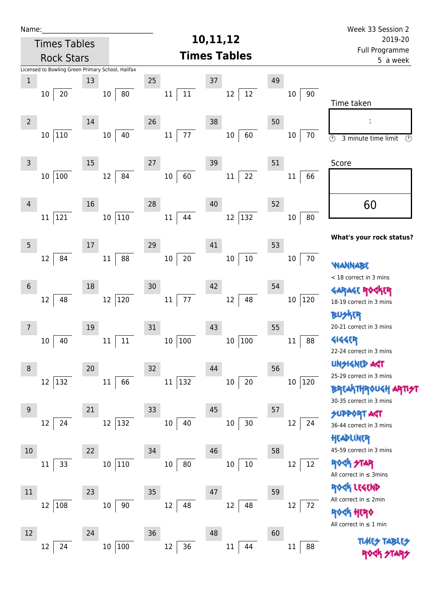| Name:                                             |                                     |                     |                | Week 33 Session 2                                          |  |
|---------------------------------------------------|-------------------------------------|---------------------|----------------|------------------------------------------------------------|--|
| <b>Times Tables</b>                               |                                     | 10,11,12            |                |                                                            |  |
| <b>Rock Stars</b>                                 |                                     | <b>Times Tables</b> |                | Full Programme<br>5 a week                                 |  |
| Licensed to Bowling Green Primary School, Halifax |                                     |                     |                |                                                            |  |
| $\mathbf 1$<br>13                                 | 25                                  | $37\,$              | 49             |                                                            |  |
| 20<br>10                                          | 11<br>80<br>10<br>11                | 12<br>12            | 90<br>10       | Time taken                                                 |  |
| $\overline{2}$<br>14                              | 26                                  | 38                  | 50             |                                                            |  |
| 110<br>10 <sup>1</sup>                            | 77<br>40<br>10<br>11                | 60<br>$10\,$        | $10\,$<br>70   | $\overline{\circ}$<br>3 minute time limit<br>$\circled{r}$ |  |
| $\mathsf 3$<br>15                                 | 27                                  | 39                  | 51             | Score                                                      |  |
| 100<br>10                                         | 84<br>60<br>12<br>$10\,$            | 22<br>$11\,$        | 66<br>11       |                                                            |  |
| 16<br>4                                           | 28                                  | 40                  | 52             | 60                                                         |  |
| 121<br>11                                         | 110<br>44<br>10 <sup>°</sup><br>11  | $ 132\rangle$<br>12 | 80<br>10       |                                                            |  |
| 5<br>17                                           | 29                                  | 41                  | 53             | What's your rock status?                                   |  |
| 84<br>12                                          | $20\,$<br>88<br>$11\,$<br>$10\,$    | $10\,$<br>$10\,$    | 70<br>10       | WANNABE<br>< 18 correct in 3 mins                          |  |
| 18<br>$6\phantom{1}$                              | 30                                  | 42                  | 54             | <b>GARAGE ROG</b>                                          |  |
| 48<br>12                                          | $120\,$<br>$77\,$<br>12<br>$11\,$   | 48<br>$12\,$        | 120<br>10      | 18-19 correct in 3 mins<br>外取                              |  |
| 19<br>7                                           | 31                                  | 43                  | 55             | 20-21 correct in 3 mins                                    |  |
| 40<br>10                                          | 11<br>$10\,$<br>100<br>$11\,$       | 100<br>$10\,$       | 88<br>11       | <b>4144EP</b><br>22-24 correct in 3 mins                   |  |
| 20<br>8                                           | 32                                  | 44                  | 56             | <b>UNGIGNED AST</b>                                        |  |
| 132<br>12                                         | $ 132\rangle$<br>$11\,$<br>66<br>11 | $20\,$<br>$10\,$    | $10\,$<br> 120 | 25-29 correct in 3 mins                                    |  |
|                                                   |                                     |                     |                | <b>BREAKTHROUGH</b><br>30-35 correct in 3 mins             |  |
| $9\,$<br>21                                       | 33                                  | 45                  | 57             | <b>SUPPORT AST</b>                                         |  |
| 24<br>12                                          | 132<br>12<br>10<br>40               | 30<br>$10\,$        | 12<br>24       | 36-44 correct in 3 mins<br>HEADLINER                       |  |
| 22<br>10                                          | 34                                  | 46                  | 58             | 45-59 correct in 3 mins                                    |  |
| 33<br>11                                          | 110<br>$10\,$<br>10<br>80           | $10\,$<br>$10\,$    | 12<br>12       | <b>ROCK STAR</b><br>All correct in $\leq$ 3mins            |  |
| 11<br>23                                          | 35                                  | 47                  | 59             | ROCK LEGEND                                                |  |
| 108<br>12                                         | $10\,$<br>90<br>12<br>48            | 12<br>48            | 12<br>72       | All correct in $\leq 2$ min<br><b>HERQ</b>                 |  |
| 12<br>24                                          | 36                                  | 48                  | 60             | All correct in $\leq 1$ min                                |  |
| 24<br>12                                          | 100<br>36<br>$10\,$<br>12           | $11\,$<br>44        | 88<br>11       | <b>TUARS TABLES</b>                                        |  |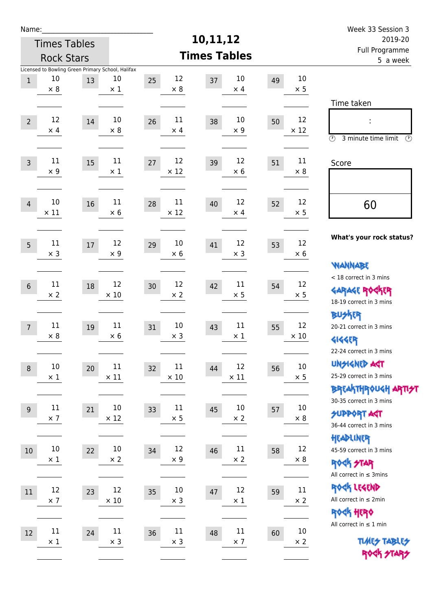| Name:          |                     |        |                                                   |                   |                     |    |             | Week 33 Session 3                         |  |
|----------------|---------------------|--------|---------------------------------------------------|-------------------|---------------------|----|-------------|-------------------------------------------|--|
|                | <b>Times Tables</b> |        |                                                   |                   | 10,11,12            |    |             | 2019-20                                   |  |
|                | <b>Rock Stars</b>   |        |                                                   |                   | <b>Times Tables</b> |    |             | Full Programme<br>5 a week                |  |
|                |                     |        | Licensed to Bowling Green Primary School, Halifax |                   |                     |    |             |                                           |  |
| $\,1$          | 10                  | 13     | 10                                                | 12<br>25          | 10<br>37            | 49 | 10          |                                           |  |
|                | $\times 8$          |        | $\times$ 1                                        | $\times 8$        | $\times$ 4          |    | $\times$ 5  |                                           |  |
|                |                     |        |                                                   |                   |                     |    |             | Time taken                                |  |
| $\overline{2}$ | 12                  | 14     | 10                                                | 11<br>26          | 10<br>38            | 50 | 12          | İ,                                        |  |
|                | $\times$ 4          |        | $\times 8$                                        | $\times$ 4        | $\times 9$          |    | $\times$ 12 |                                           |  |
|                |                     |        |                                                   |                   |                     |    |             | $\circled{r}$<br>3 minute time limit<br>⊕ |  |
|                | 11                  |        | $11\,$                                            | 12                | 12                  |    | 11          |                                           |  |
| $\overline{3}$ | $\times$ 9          | 15     | $\times$ 1                                        | 27<br>$\times$ 12 | 39<br>$\times 6$    | 51 | $\times 8$  | Score                                     |  |
|                |                     |        |                                                   |                   |                     |    |             |                                           |  |
|                |                     |        |                                                   |                   |                     |    |             |                                           |  |
| $\overline{4}$ | 10                  | 16     | 11                                                | 11<br>28          | 12<br>40            | 52 | 12          | 60                                        |  |
|                | $\times$ 11         |        | $\times$ 6                                        | $\times$ 12       | $\times$ 4          |    | $\times$ 5  |                                           |  |
|                |                     |        |                                                   |                   |                     |    |             |                                           |  |
| 5              | 11                  | $17\,$ | 12                                                | 10<br>29          | 12<br>41            | 53 | 12          | What's your rock status?                  |  |
|                | $\times$ 3          |        | $\times$ 9                                        | $\times$ 6        | $\times$ 3          |    | $\times 6$  |                                           |  |
|                |                     |        |                                                   |                   |                     |    |             | <b>NANNABE</b>                            |  |
|                | 11                  |        | 12                                                | 12                | 11                  |    | 12          | < 18 correct in 3 mins                    |  |
| $6\,$          | $\times 2$          | 18     | $\times$ 10                                       | 30<br>$\times 2$  | 42<br>$\times$ 5    | 54 | $\times$ 5  | <b>GARAGE ROCKER</b>                      |  |
|                |                     |        |                                                   |                   |                     |    |             | 18-19 correct in 3 mins                   |  |
|                |                     |        |                                                   |                   |                     |    |             | BU外界                                      |  |
| $\overline{7}$ | $11\,$              | 19     | 11                                                | 10<br>31          | 11<br>43            | 55 | 12          | 20-21 correct in 3 mins                   |  |
|                | $\times 8$          |        | $\times 6$                                        | $\times$ 3        | $\times$ 1          |    | $\times$ 10 | <b>4144EP</b>                             |  |
|                |                     |        |                                                   |                   |                     |    |             | 22-24 correct in 3 mins                   |  |
| $\,8\,$        | $10\,$              | 20     | $11\,$                                            | 11<br>32          | 12<br>44            | 56 | $10\,$      | <b>UNGIGNED AGT</b>                       |  |
|                | $\times$ 1          |        | $\times$ 11                                       | $\times$ 10       | $\times$ 11         |    | $\times$ 5  | 25-29 correct in 3 mins                   |  |
|                |                     |        |                                                   |                   |                     |    |             | <b>BREAKTHROUGH ARTI<del>S</del>T</b>     |  |
|                | $11\,$              |        | 10                                                | 11                | 10                  |    | $10\,$      | 30-35 correct in 3 mins                   |  |
| 9              | $\times$ 7          | 21     | $\times$ 12                                       | 33<br>$\times$ 5  | 45<br>$\times 2$    | 57 | $\times$ 8  | <b>SUPPORT AGT</b>                        |  |
|                |                     |        |                                                   |                   |                     |    |             | 36-44 correct in 3 mins                   |  |
|                |                     |        |                                                   |                   |                     |    |             | HEADLINER                                 |  |
| 10             | $10\,$              | 22     | $10\,$                                            | 12<br>34          | $11\,$<br>46        | 58 | 12          | 45-59 correct in 3 mins                   |  |
|                | $\times$ 1          |        | $\times 2$                                        | $\times$ 9        | $\times$ 2          |    | $\times$ 8  | <b>ROCK STAR</b>                          |  |
|                |                     |        |                                                   |                   |                     |    |             | All correct in $\leq$ 3mins               |  |
| 11             | 12                  | 23     | 12                                                | $10\,$<br>35      | 12<br>47            | 59 | 11          | ROCK LEGEND                               |  |
|                | $\times$ 7          |        | $\times$ 10                                       | $\times$ 3        | $\times$ 1          |    | $\times 2$  | All correct in $\leq 2$ min               |  |
|                |                     |        |                                                   |                   |                     |    |             | <b>ROGK HERO</b>                          |  |
| 12             | $11\,$              | 24     | $11\,$                                            | $11\,$            | $11\,$              |    | $10\,$      | All correct in $\leq 1$ min               |  |
|                | $\times$ 1          |        | $\times$ 3                                        | 36<br>$\times$ 3  | 48<br>$\times$ 7    | 60 | $\times$ 2  | <b>TUARS TABLES</b>                       |  |
|                |                     |        |                                                   |                   |                     |    |             | ROCK STARS                                |  |
|                |                     |        |                                                   |                   |                     |    |             |                                           |  |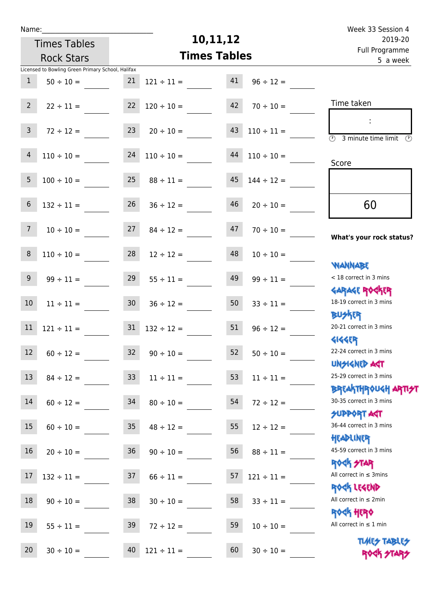| u | am |  |  |
|---|----|--|--|
|   |    |  |  |

Times Tables

## **10,11,12**

|                 | <b>Rock Stars</b>                                                   | run rivyiamme<br>5 a week |                     |          |                     |                                                                   |
|-----------------|---------------------------------------------------------------------|---------------------------|---------------------|----------|---------------------|-------------------------------------------------------------------|
| $\mathbf{1}$    | Licensed to Bowling Green Primary School, Halifax<br>$50 \div 10 =$ | 21                        | $121 \div 11 =$     | 41       | $96 \div 12 =$      |                                                                   |
| $2^{\circ}$     | $22 \div 11 =$                                                      | 22                        | $120 \div 10 =$     | 42       | $70 \div 10 =$      | Time taken                                                        |
| $\mathbf{3}$    | $72 \div 12 =$                                                      | 23                        | $20 \div 10 =$      | 43       | $110 \div 11 =$     | $\overline{(\mathcal{V})}$<br>3 minute time limit<br>⊕            |
| 4               | $110 \div 10 =$                                                     | 24                        | $110 \div 10 =$     | $\bf 44$ | $110 \div 10 =$     | Score                                                             |
| 5               | $100 \div 10 =$                                                     | 25                        | $88 \div 11 =$      | 45       | $144 \div 12 =$     |                                                                   |
| 6               | $132 \div 11 =$                                                     | 26                        | $36 \div 12 =$      | 46       | $20 \div 10 =$      | 60                                                                |
| 7 <sup>7</sup>  | $10 \div 10 =$                                                      | 27                        | $84 \div 12 =$      | 47       | $70 \div 10 =$      | What's your rock status?                                          |
| 8               | $110 \div 10 =$                                                     | 28                        | $12 \div 12 =$      | 48       | $10 \div 10 =$      |                                                                   |
| 9 <sup>°</sup>  | $99 \div 11 =$                                                      | 29                        | $55 \div 11 =$      | 49       | $99 \div 11 =$      | <b>NANNABE</b><br>< 18 correct in 3 mins                          |
| 10 <sup>°</sup> | $11 \div 11 =$                                                      | 30 <sup>°</sup>           | $36 \div 12 =$      | 50       | $33 \div 11 =$      | <b>GARAGE ROCKER</b><br>18-19 correct in 3 mins<br><b>BUSKRR</b>  |
| $11\,$          | $121 \div 11 =$                                                     | 31                        | $132 \div 12 =$     | 51       | $96 \div 12 =$      | 20-21 correct in 3 mins                                           |
| 12              | $60 \div 12 =$                                                      | 32                        | $90 \div 10 =$      | 52       | $50 \div 10 =$      | <b>4144EPT</b><br>22-24 correct in 3 mins<br><b>TPA GJIAPICIU</b> |
|                 | $13 \t 84 \div 12 =$                                                |                           | $33 \t11 \div 11 =$ |          | $53 \t11 \div 11 =$ | 25-29 correct in 3 mins<br><b>BREAKTHROUGH ARTI<del>S</del>T</b>  |
| 14              | $60 \div 12 =$                                                      | 34                        | $80 \div 10 =$      | 54       | $72 \div 12 =$      | 30-35 correct in 3 mins<br><b>SUPPORT AGT</b>                     |
| 15              | $60 \div 10 = 35$                                                   |                           | $48 \div 12 =$      | 55       | $12 \div 12 =$      | 36-44 correct in 3 mins<br>HEADLINER                              |
| 16              | $20 \div 10 =$                                                      | 36                        | $90 \div 10 =$      | 56       | $88 \div 11 =$      | 45-59 correct in 3 mins<br>ROCK STAR                              |
| 17              | $132 \div 11 =$ 37                                                  |                           | $66 \div 11 =$      | 57       | $121 \div 11 =$     | All correct in $\leq$ 3mins<br>ROCK LEGEND                        |
| 18              | $90 \div 10 = 38$                                                   |                           | $30 \div 10 =$      | 58       | $33 \div 11 =$      | All correct in $\leq 2$ min                                       |
| 19              | $55 \div 11 =$                                                      | 39                        | $72 \div 12 =$      | 59       | $10 \div 10 =$      | <b>ROCK HERO</b><br>All correct in $\leq 1$ min                   |
| 20              | $30 \div 10 =$                                                      | 40                        | $121 \div 11 =$     | 60       | $30 \div 10 =$      | <b>TUARS TABLES</b><br>ROCK STARS                                 |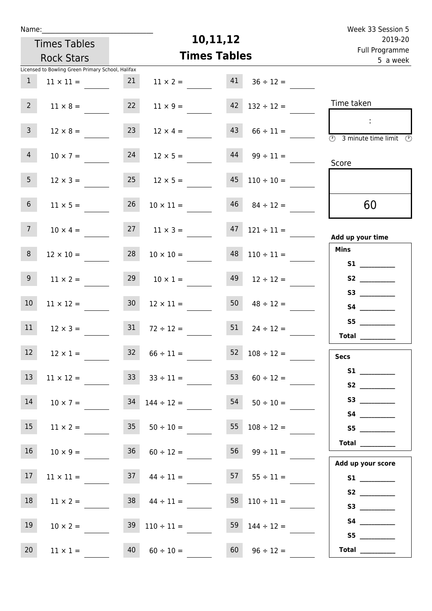| Week 33 Session 5                                                                                                                                                                                                                                                                                                                                                                                                                                                                                                                                                                                                         |                      |                     |                          |                     |                                                   | Name:          |  |  |  |
|---------------------------------------------------------------------------------------------------------------------------------------------------------------------------------------------------------------------------------------------------------------------------------------------------------------------------------------------------------------------------------------------------------------------------------------------------------------------------------------------------------------------------------------------------------------------------------------------------------------------------|----------------------|---------------------|--------------------------|---------------------|---------------------------------------------------|----------------|--|--|--|
| 2019-20                                                                                                                                                                                                                                                                                                                                                                                                                                                                                                                                                                                                                   |                      | 10,11,12            |                          | <b>Times Tables</b> |                                                   |                |  |  |  |
| Full Programme<br>5 a week                                                                                                                                                                                                                                                                                                                                                                                                                                                                                                                                                                                                |                      | <b>Times Tables</b> |                          | <b>Rock Stars</b>   |                                                   |                |  |  |  |
|                                                                                                                                                                                                                                                                                                                                                                                                                                                                                                                                                                                                                           |                      |                     |                          |                     | Licensed to Bowling Green Primary School, Halifax |                |  |  |  |
|                                                                                                                                                                                                                                                                                                                                                                                                                                                                                                                                                                                                                           | $36 \div 12 =$       | 41                  | $11 \times 2 =$          | 21                  | $11 \times 11 =$                                  | $\mathbf{1}$   |  |  |  |
| Time taken                                                                                                                                                                                                                                                                                                                                                                                                                                                                                                                                                                                                                | $132 \div 12 =$      | 42                  | $11 \times 9 =$          | 22                  | $11 \times 8 =$                                   | 2 <sup>7</sup> |  |  |  |
| $\sim 10$<br>$\overline{\textcircled{2}}$ 3 minute time limit $\overline{\textcircled{2}}$                                                                                                                                                                                                                                                                                                                                                                                                                                                                                                                                | $66 \div 11 =$       | 43                  | $12 \times 4 =$          | 23                  | $12 \times 8 =$                                   | 3 <sup>7</sup> |  |  |  |
| Score                                                                                                                                                                                                                                                                                                                                                                                                                                                                                                                                                                                                                     | $99 \div 11 =$       | 44                  | $12 \times 5 =$          | 24                  | $10 \times 7 =$                                   | 4              |  |  |  |
|                                                                                                                                                                                                                                                                                                                                                                                                                                                                                                                                                                                                                           | $45$ $110 \div 10 =$ |                     | $12 \times 5 =$          | 25                  | $12 \times 3 =$                                   | 5 <sub>1</sub> |  |  |  |
| 60                                                                                                                                                                                                                                                                                                                                                                                                                                                                                                                                                                                                                        | $46$ $84 \div 12 =$  |                     | $10 \times 11 =$         | 26                  | $11 \times 5 =$                                   | 6 <sup>1</sup> |  |  |  |
| Add up your time                                                                                                                                                                                                                                                                                                                                                                                                                                                                                                                                                                                                          | $121 \div 11 =$      | 47                  | $11 \times 3 =$          | 27                  | $10 \times 4 =$                                   | 7 <sup>7</sup> |  |  |  |
| <b>Mins</b><br>S1                                                                                                                                                                                                                                                                                                                                                                                                                                                                                                                                                                                                         | $110 \div 11 =$      | 48                  | $10 \times 10 =$         | 28                  | $12 \times 10 =$                                  | 8              |  |  |  |
| S2                                                                                                                                                                                                                                                                                                                                                                                                                                                                                                                                                                                                                        | $12 \div 12 =$       | 49                  | $10 \times 1 =$          | 29                  | $11 \times 2 =$                                   | 9 <sub>o</sub> |  |  |  |
|                                                                                                                                                                                                                                                                                                                                                                                                                                                                                                                                                                                                                           | $48 \div 12 =$       | 50                  | $12 \times 11 =$         | 30 <sub>o</sub>     | $11 \times 12 =$                                  | 10             |  |  |  |
| S5<br>Total $\qquad$                                                                                                                                                                                                                                                                                                                                                                                                                                                                                                                                                                                                      | $24 \div 12 =$       | 51                  | $72 \div 12 =$           |                     | $12 \times 3 = 31$                                | 11             |  |  |  |
| <b>Secs</b>                                                                                                                                                                                                                                                                                                                                                                                                                                                                                                                                                                                                               | $52 \t108 \div 12 =$ |                     | $32 \t 66 \div 11 =$     |                     | $12 \times 1 =$                                   | 12             |  |  |  |
| S1<br>S2                                                                                                                                                                                                                                                                                                                                                                                                                                                                                                                                                                                                                  | $60 \div 12 =$       | 53                  | $33 \div 11 =$           |                     | $11 \times 12 =$                                  | 13             |  |  |  |
|                                                                                                                                                                                                                                                                                                                                                                                                                                                                                                                                                                                                                           | $54$ $50 \div 10 =$  |                     |                          |                     | $10 \times 7 = 34$ $144 \div 12 =$                | 14             |  |  |  |
| S5                                                                                                                                                                                                                                                                                                                                                                                                                                                                                                                                                                                                                        | $55 \t108 \div 12 =$ |                     |                          |                     | $11 \times 2 = 35$ $50 \div 10 =$                 | 15             |  |  |  |
| Total                                                                                                                                                                                                                                                                                                                                                                                                                                                                                                                                                                                                                     | $56 \t 99 \div 11 =$ |                     | $36 \t 60 \div 12 =$     |                     | $10 \times 9 =$                                   | 16             |  |  |  |
| Add up your score<br>S1                                                                                                                                                                                                                                                                                                                                                                                                                                                                                                                                                                                                   | $57 \t 55 \div 11 =$ |                     | $37 \t 44 \div 11 =$     |                     | $11 \times 11 =$                                  | 17             |  |  |  |
| S3                                                                                                                                                                                                                                                                                                                                                                                                                                                                                                                                                                                                                        | 58 $110 \div 11 =$   |                     | $38 \t 44 \div 11 =$     |                     | $11 \times 2 =$                                   | 18             |  |  |  |
|                                                                                                                                                                                                                                                                                                                                                                                                                                                                                                                                                                                                                           | 59 $144 \div 12 =$   |                     | $39 \quad 110 \div 11 =$ |                     | $10 \times 2 =$                                   | 19             |  |  |  |
| S5<br>$\begin{tabular}{c} Total & \underline{\hspace{1cm}} & \underline{\hspace{1cm}} & \underline{\hspace{1cm}} & \underline{\hspace{1cm}} & \underline{\hspace{1cm}} & \underline{\hspace{1cm}} & \underline{\hspace{1cm}} & \underline{\hspace{1cm}} & \underline{\hspace{1cm}} & \underline{\hspace{1cm}} & \underline{\hspace{1cm}} & \underline{\hspace{1cm}} & \underline{\hspace{1cm}} & \underline{\hspace{1cm}} & \underline{\hspace{1cm}} & \underline{\hspace{1cm}} & \underline{\hspace{1cm}} & \underline{\hspace{1cm}} & \underline{\hspace{1cm}} & \underline{\hspace{1cm}} & \underline{\hspace{1cm}} &$ | $96 \div 12 =$       | 60                  | $60 \div 10 =$           | 40                  | $11 \times 1 =$                                   | 20             |  |  |  |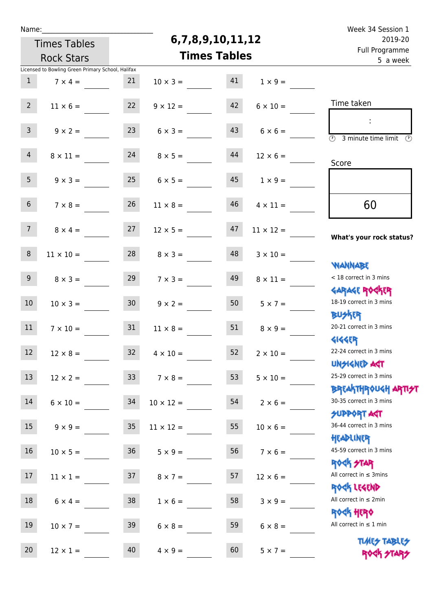| г.<br>. . |  | ۰. |
|-----------|--|----|
|           |  |    |

## **6,7,8,9,10,11,12**

| 2019-20                                                            |                  | 6,7,8,9,10,11,12    |                  | <b>Times Tables</b>  |                 |                                                   |                 |
|--------------------------------------------------------------------|------------------|---------------------|------------------|----------------------|-----------------|---------------------------------------------------|-----------------|
| Full Programme<br>5 a week                                         |                  | <b>Times Tables</b> |                  | <b>Rock Stars</b>    |                 |                                                   |                 |
|                                                                    |                  |                     |                  |                      |                 | Licensed to Bowling Green Primary School, Halifax |                 |
|                                                                    | $1 \times 9 =$   | 41                  | $10 \times 3 =$  |                      | 21              | $7 \times 4 =$                                    | $\mathbf{1}$    |
| Time taken                                                         | $6 \times 10 =$  | 42                  | $9 \times 12 =$  |                      | 22              | $11 \times 6 =$                                   | 2 <sup>7</sup>  |
| $\overline{(\mathcal{V})}$<br>3 minute time limit<br>$\circled{r}$ | $6 \times 6 =$   | 43                  | $6 \times 3 =$   |                      | 23              | $9 \times 2 =$                                    | 3 <sup>7</sup>  |
| Score                                                              | $12 \times 6 =$  | 44                  |                  | $24 \t 8 \times 5 =$ |                 | $8 \times 11 =$                                   | 4               |
|                                                                    | $1 \times 9 =$   | 45                  |                  | $6 \times 5 =$       | 25              | $9 \times 3 =$                                    | 5 <sub>1</sub>  |
| 60                                                                 | $4 \times 11 =$  | 46                  | $11 \times 8 =$  |                      | 26              | $7 \times 8 =$                                    | 6 <sup>1</sup>  |
| What's your rock status?                                           | $11 \times 12 =$ | 47                  | $12 \times 5 =$  |                      | 27              | $8 \times 4 =$                                    | 7 <sup>7</sup>  |
| <b>NANNABE</b>                                                     | $3 \times 10 =$  | 48                  | $8 \times 3 =$   |                      | 28              | $11 \times 10 =$                                  | $\bf 8$         |
| < 18 correct in 3 mins<br><b>GARAGE ROGKER</b>                     | $8 \times 11 =$  | 49                  | $7 \times 3 =$   |                      | 29              | $8 \times 3 =$                                    | 9 <sub>o</sub>  |
| 18-19 correct in 3 mins<br><b>BUSKER</b>                           | $5 \times 7 =$   | 50                  | $9 \times 2 =$   |                      | 30 <sub>o</sub> | $10 \times 3 =$                                   | 10 <sup>°</sup> |
| 20-21 correct in 3 mins<br><b>4144ER</b>                           | $8 \times 9 =$   | 51                  | $11 \times 8 =$  |                      | 31              | $7 \times 10 =$                                   | 11              |
| 22-24 correct in 3 mins<br>UNSIGNED AGT                            | $2 \times 10 =$  | 52                  | $4 \times 10 =$  |                      | 32 <sup>2</sup> | $12 \times 8 =$                                   | 12 <sup>°</sup> |
| 25-29 correct in 3 mins<br><b>BREAKTHROUGH ARTI<del>S</del>T</b>   | $5 \times 10 =$  | 53                  |                  | $7 \times 8 =$       | 33 <sup>2</sup> | $12 \times 2 =$                                   | 13              |
| 30-35 correct in 3 mins<br><b>SUPPORT AGT</b>                      | $2 \times 6 =$   | 54                  | $10 \times 12 =$ |                      | 34              | $6 \times 10 =$                                   | 14              |
| 36-44 correct in 3 mins<br>HEADLINER                               | $10 \times 6 =$  | 55                  | $11 \times 12 =$ |                      | 35              | $9 \times 9 =$                                    | 15              |
| 45-59 correct in 3 mins<br><b>ROCK STAR</b>                        | $7 \times 6 =$   | 56                  | $5 \times 9 =$   |                      | 36              | $10 \times 5 =$                                   | $16\,$          |
| All correct in $\leq$ 3mins<br>ROCK LEGEND                         | $12 \times 6 =$  | 57                  | $8 \times 7 =$   |                      | 37              | $11 \times 1 =$                                   | 17 <sub>2</sub> |
| All correct in $\leq 2$ min<br><b>ROCK HERO</b>                    | $3 \times 9 =$   | 58                  | $1 \times 6 =$   |                      | 38              | $6 \times 4 =$                                    | 18              |
| All correct in $\leq 1$ min<br><b>TUARS TABLES</b>                 | $6 \times 8 =$   | 59                  | $6 \times 8 =$   |                      | 39              | $10 \times 7 =$                                   | 19              |
| ROCK STA                                                           | $5 \times 7 =$   | 60                  | $4 \times 9 =$   |                      | 40              | $12 \times 1 =$                                   | 20              |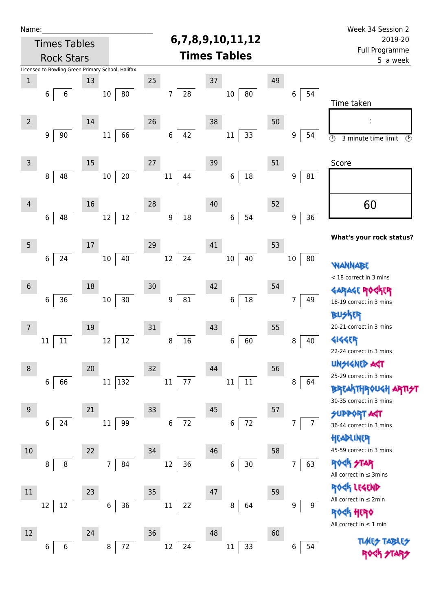| Name:          |                            |    |                                                   |                   |                     |    |                     | Week 34 Session 2                                                |
|----------------|----------------------------|----|---------------------------------------------------|-------------------|---------------------|----|---------------------|------------------------------------------------------------------|
|                | <b>Times Tables</b>        |    |                                                   |                   | 6,7,8,9,10,11,12    |    |                     | 2019-20                                                          |
|                | <b>Rock Stars</b>          |    |                                                   |                   | <b>Times Tables</b> |    |                     | Full Programme<br>5 a week                                       |
|                |                            |    | Licensed to Bowling Green Primary School, Halifax |                   |                     |    |                     |                                                                  |
| $\mathbf 1$    |                            | 13 |                                                   | 25                | $37\,$              | 49 |                     |                                                                  |
|                | 6<br>6                     |    | 80<br>$10\,$                                      | 28<br>7           | $10\,$<br>80        |    | 54<br>6             | Time taken                                                       |
| $\overline{2}$ |                            | 14 |                                                   | 26                | 38                  | 50 |                     |                                                                  |
|                | $\boldsymbol{9}$<br>$90\,$ |    | 66<br>11                                          | 42<br>6           | 33<br>$11\,$        |    | 9<br>54             | $\overline{\circ}$<br>3 minute time limit<br>$\odot$             |
| $\mathsf{3}$   |                            | 15 |                                                   | 27                | 39                  | 51 |                     | Score                                                            |
|                | 48<br>8                    |    | 20<br>$10\,$                                      | 11<br>44          | 18<br>$\,6$         |    | 81<br>9             |                                                                  |
| $\overline{4}$ |                            | 16 |                                                   | 28                | 40                  | 52 |                     | 60                                                               |
|                | 6<br>48                    |    | 12<br>12                                          | $18\,$<br>9       | 54<br>6             |    | 36<br>9             |                                                                  |
| 5              |                            | 17 |                                                   | 29                | 41                  | 53 |                     | What's your rock status?                                         |
|                | 24<br>6                    |    | 40<br>$10\,$                                      | 24<br>$12\,$      | 40<br>$10\,$        |    | 80<br>$10\,$        | WANNABE                                                          |
|                |                            |    |                                                   |                   |                     |    |                     | < 18 correct in 3 mins                                           |
| $\sqrt{6}$     |                            | 18 |                                                   | 30                | 42                  | 54 |                     | GARAGE ROGKER                                                    |
|                | $36\,$<br>$\,6$            |    | $30\,$<br>$10\,$                                  | ${\bf 81}$<br>9   | $18\,$<br>6         |    | 49<br>7             | 18-19 correct in 3 mins                                          |
|                |                            |    |                                                   |                   |                     |    |                     | 冰味                                                               |
| 7              |                            | 19 |                                                   | 31                | 43                  | 55 |                     | 20-21 correct in 3 mins                                          |
|                | 11<br>11                   |    | 12<br>12                                          | 16<br>8           | 60<br>6             |    | 40<br>8             | 4144ER                                                           |
|                |                            |    |                                                   |                   |                     |    |                     | 22-24 correct in 3 mins                                          |
| 8              |                            | 20 |                                                   | 32                | 44                  | 56 |                     | <b>UNGIGNED AST</b>                                              |
|                | 66<br>6                    |    | 132<br>11                                         | 77<br>11          | $11\,$<br>11        |    | 8<br>64             | 25-29 correct in 3 mins                                          |
|                |                            |    |                                                   |                   |                     |    |                     | <b>BREAKTHROUGH ARTI<del>S</del>T</b><br>30-35 correct in 3 mins |
| 9              |                            | 21 |                                                   | 33                | 45                  | 57 |                     | <b>SUPPORT ART</b>                                               |
|                | 24<br>6                    |    | 99<br>11                                          | $\,$ 6 $\,$<br>72 | 72<br>$\,6$         |    | $\overline{7}$<br>7 | 36-44 correct in 3 mins                                          |
|                |                            |    |                                                   |                   |                     |    |                     | HEADLINER                                                        |
| $10$           |                            | 22 |                                                   | 34                | 46                  | 58 |                     | 45-59 correct in 3 mins                                          |
|                | 8<br>8                     |    | 84<br>$\overline{7}$                              | 12<br>36          | 30<br>6             |    | 63<br>7             | <b>ROCK STAR</b>                                                 |
|                |                            |    |                                                   |                   |                     |    |                     | All correct in $\leq$ 3mins                                      |
| $11\,$         |                            | 23 |                                                   | 35                | 47                  | 59 |                     | ROCK LEGEND                                                      |
|                | 12<br>12                   |    | 36<br>$\,6\,$                                     | 22<br>$11\,$      | 8<br>64             |    | 9<br>9              | All correct in $\leq 2$ min                                      |
|                |                            |    |                                                   |                   |                     |    |                     | <b><br +10pm<="" b=""/></b>                                      |
| 12             |                            | 24 |                                                   | 36                | 48                  | 60 |                     | All correct in $\leq 1$ min                                      |
|                | 6                          |    | 72<br>8                                           | 12<br>24          | 33<br>11            |    | 6<br>54             | <b>TUARS TABLES</b>                                              |
|                | 6                          |    |                                                   |                   |                     |    |                     |                                                                  |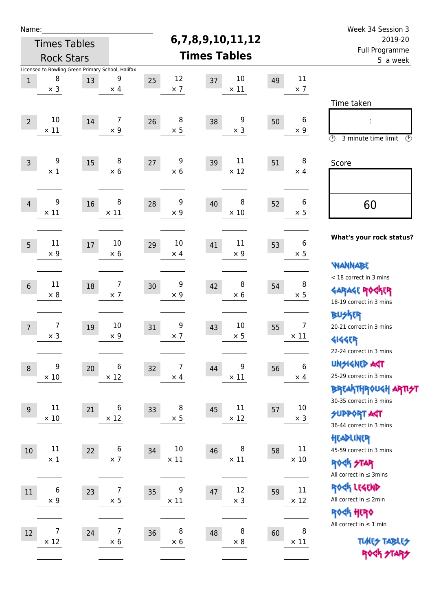| Name:          |                                                   |      |                     |    |                     |                  |                  |    |                       | Week 34 Session 3                                     |  |  |
|----------------|---------------------------------------------------|------|---------------------|----|---------------------|------------------|------------------|----|-----------------------|-------------------------------------------------------|--|--|
|                | <b>Times Tables</b>                               |      |                     |    |                     | 6,7,8,9,10,11,12 |                  |    |                       | 2019-20                                               |  |  |
|                | <b>Rock Stars</b>                                 |      |                     |    | <b>Times Tables</b> |                  |                  |    |                       | Full Programme<br>5 a week                            |  |  |
|                | Licensed to Bowling Green Primary School, Halifax |      |                     |    |                     |                  |                  |    |                       |                                                       |  |  |
| $\mathbf{1}$   | 8                                                 | 13   | 9                   | 25 | 12                  | 37               | 10               | 49 | 11                    |                                                       |  |  |
|                | $\times$ 3                                        |      | $\times$ 4          |    | $\times$ 7          |                  | $\times$ 11      |    | $\times$ 7            |                                                       |  |  |
|                |                                                   |      |                     |    |                     |                  |                  |    |                       | Time taken                                            |  |  |
| $\overline{2}$ | 10                                                | 14   | 7                   | 26 | 8                   | 38               | 9                | 50 | 6                     | İ,                                                    |  |  |
|                | $\times$ 11                                       |      | $\times 9$          |    | $\times$ 5          |                  | $\times$ 3       |    | $\times$ 9            | $\circled{r}$<br>3 minute time limit<br>$\mathcal{O}$ |  |  |
|                |                                                   |      |                     |    |                     |                  |                  |    |                       |                                                       |  |  |
| $\overline{3}$ | 9                                                 | 15   | 8                   | 27 | 9                   | 39               | 11               | 51 | 8                     | Score                                                 |  |  |
|                | $\times$ 1                                        |      | $\times 6$          |    | $\times$ 6          |                  | $\times$ 12      |    | $\times$ 4            |                                                       |  |  |
|                |                                                   |      |                     |    |                     |                  |                  |    |                       |                                                       |  |  |
| $\overline{4}$ | 9                                                 | 16   | 8                   | 28 | 9                   | 40               | 8                | 52 | $\boldsymbol{6}$      |                                                       |  |  |
|                | $\times$ 11                                       |      | $\times$ 11         |    | $\times$ 9          |                  | $\times$ 10      |    | $\times$ 5            | 60                                                    |  |  |
|                |                                                   |      |                     |    |                     |                  |                  |    |                       |                                                       |  |  |
|                |                                                   |      |                     |    |                     |                  |                  |    |                       | What's your rock status?                              |  |  |
| 5              | 11<br>$\times$ 9                                  | $17$ | 10<br>$\times$ 6    | 29 | 10<br>$\times$ 4    | 41               | 11<br>$\times$ 9 | 53 | 6<br>$\times$ 5       |                                                       |  |  |
|                |                                                   |      |                     |    |                     |                  |                  |    |                       | <b>WANNABE</b>                                        |  |  |
|                |                                                   |      |                     |    |                     |                  |                  |    |                       | < 18 correct in 3 mins                                |  |  |
| $6\phantom{1}$ | 11                                                | 18   | 7                   | 30 | 9                   | 42               | 8                | 54 | 8                     | <b>GARAGE ROGKER</b>                                  |  |  |
|                | $\times$ 8                                        |      | $\times$ 7          |    | $\times$ 9          |                  | $\times$ 6       |    | $\times$ 5            | 18-19 correct in 3 mins                               |  |  |
|                |                                                   |      |                     |    |                     |                  |                  |    |                       | <b>BUSKER</b>                                         |  |  |
| $\overline{7}$ | 7                                                 | 19   | 10                  | 31 | 9                   | 43               | 10               | 55 | $\overline{7}$        | 20-21 correct in 3 mins                               |  |  |
|                | $\times$ 3                                        |      | $\times$ 9          |    | $\times$ 7          |                  | $\times$ 5       |    | $\times$ 11           | <b>4144EP</b>                                         |  |  |
|                |                                                   |      |                     |    |                     |                  |                  |    |                       | 22-24 correct in 3 mins                               |  |  |
| 8              | 9                                                 | 20   | 6                   | 32 | $\overline{7}$      | 44               | 9                | 56 | 6                     | <b>UNGIGNED AGT</b>                                   |  |  |
|                | $\times$ 10                                       |      | $\times$ 12         |    | $\times$ 4          |                  | $\times$ 11      |    | $\times$ 4            | 25-29 correct in 3 mins                               |  |  |
|                |                                                   |      |                     |    |                     |                  |                  |    |                       | ΒΡΓΑ <sup>Κ</sup> ΤΗΡΟυΚΗ ΑΡΤΙ <del>2</del> Τ         |  |  |
|                | 11                                                |      | 6                   |    | 8                   |                  | $11\,$           |    | $10\,$                | 30-35 correct in 3 mins                               |  |  |
| $9\,$          | $\times$ 10                                       | 21   | $\times$ 12         | 33 | $\times$ 5          | 45               | $\times$ 12      | 57 | $\times$ 3            | <b>SUPPORT AGT</b>                                    |  |  |
|                |                                                   |      |                     |    |                     |                  |                  |    |                       | 36-44 correct in 3 mins                               |  |  |
|                |                                                   |      |                     |    |                     |                  |                  |    |                       | HEADLINER                                             |  |  |
| $10\,$         | $11\,$<br>$\times$ 1                              | 22   | $\,6$<br>$\times$ 7 | 34 | 10<br>$\times$ 11   | 46               | 8<br>$\times$ 11 | 58 | $11\,$<br>$\times$ 10 | 45-59 correct in 3 mins                               |  |  |
|                |                                                   |      |                     |    |                     |                  |                  |    |                       | <b>ROCK STAR</b>                                      |  |  |
|                |                                                   |      |                     |    |                     |                  |                  |    |                       | All correct in $\leq$ 3mins                           |  |  |
| 11             | $\boldsymbol{6}$                                  | 23   | $\overline{7}$      | 35 | 9                   | 47               | 12               | 59 | $11\,$                | ROCK LEGEND                                           |  |  |
|                | $\times$ 9                                        |      | $\times$ 5          |    | $\times$ 11         |                  | $\times$ 3       |    | $\times$ 12           | All correct in $\leq 2$ min                           |  |  |
|                |                                                   |      |                     |    |                     |                  |                  |    |                       | <b>ROCK HERO</b><br>All correct in $\leq 1$ min       |  |  |
| 12             | $\overline{7}$                                    | 24   | 7                   | 36 | 8                   | 48               | 8                | 60 | 8                     |                                                       |  |  |
|                | $\times$ 12                                       |      | $\times$ 6          |    | $\times$ 6          |                  | $\times$ 8       |    | $\times$ 11           | <b>TUARS TABLES</b>                                   |  |  |
|                |                                                   |      |                     |    |                     |                  |                  |    |                       | ROCK STARS                                            |  |  |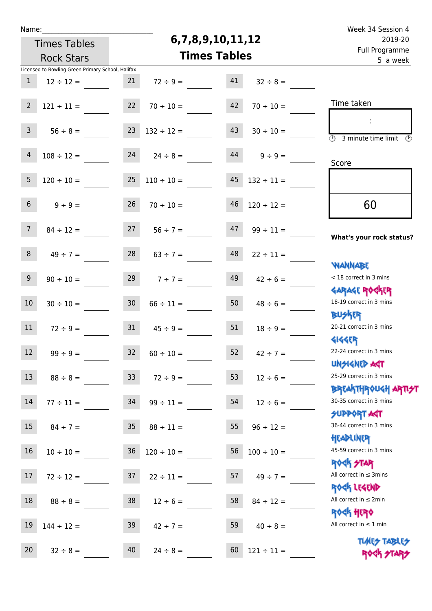| u | am |  |  |
|---|----|--|--|
|   |    |  |  |

## **6,7,8,9,10,11,12**

| 2019-20                                                                    |                 | 6,7,8,9,10,11,12    | <b>Times Tables</b> |                 |                                                   |                 |
|----------------------------------------------------------------------------|-----------------|---------------------|---------------------|-----------------|---------------------------------------------------|-----------------|
| Full Programme<br>5 a week                                                 |                 | <b>Times Tables</b> | <b>Rock Stars</b>   |                 |                                                   |                 |
|                                                                            |                 |                     |                     |                 | Licensed to Bowling Green Primary School, Halifax |                 |
|                                                                            | $32 \div 8 =$   | 41                  | $72 \div 9 =$       | 21              | $12 \div 12 =$                                    | $\mathbf{1}$    |
|                                                                            |                 |                     |                     |                 |                                                   |                 |
| Time taken                                                                 | $70 \div 10 =$  | 42                  | $70 \div 10 =$      | 22              | $121 \div 11 =$                                   | $\overline{2}$  |
| $\overline{(\mathcal{V})}$<br>3 minute time limit<br>$\mathcal{O}$         | $30 \div 10 =$  | 43                  | $132 \div 12 =$     | 23              | $56 \div 8 =$                                     | $\mathbf{3}$    |
| Score                                                                      | $9 \div 9 =$    | 44                  | $24 \div 8 =$       | 24              | $108 \div 12 =$                                   | $\overline{4}$  |
|                                                                            | $132 \div 11 =$ | 45                  | $110 \div 10 =$     | 25              | $120 \div 10 =$                                   | 5               |
| 60                                                                         | $120 \div 12 =$ | 46                  | $70 \div 10 =$      | 26              | $9 \div 9 =$                                      | 6 <sup>1</sup>  |
| What's your rock status?                                                   | $99 \div 11 =$  | 47                  | $56 \div 7 =$       | 27              | $84 \div 12 =$                                    | $7^{\circ}$     |
| <b>YIANNABE</b>                                                            | $22 \div 11 =$  | 48                  | $63 \div 7 =$       | 28              | $49 \div 7 =$                                     | 8               |
| < 18 correct in 3 mins                                                     | $42 \div 6 =$   | 49                  | $7 ÷ 7 =$           | 29              | $90 \div 10 =$                                    | 9               |
| <b>GARAGE ROGKER</b><br>18-19 correct in 3 mins<br><b>BUSKER</b>           | $48 \div 6 =$   | 50                  | $66 \div 11 =$      | 30 <sub>o</sub> | $30 \div 10 =$                                    | 10              |
| 20-21 correct in 3 mins                                                    | $18 \div 9 =$   | 51                  | $45 \div 9 =$       | 31              | $72 \div 9 =$                                     | 11              |
| <b>4144ER</b><br>22-24 correct in 3 mins                                   | $42 \div 7 =$   | 52                  | $60 \div 10 =$      | 32              | $99 \div 9 =$                                     | 12              |
| <b>UNSIGNED ART</b><br>25-29 correct in 3 mins                             | $12 \div 6 =$   | 53                  | $72 \div 9 =$       | 33 <sup>°</sup> | $88 \div 8 =$                                     | 13              |
| ΒΡΓΑΚΤΗΡΟUGH ΑΡΤΙ <del>2</del> Τ<br>30-35 correct in 3 mins<br>SUPPORT ART | $12 \div 6 =$   | 54                  | $99 \div 11 =$      | 34              | $77 \div 11 =$                                    | 14              |
| 36-44 correct in 3 mins                                                    | $96 \div 12 =$  | 55                  | $88 \div 11 =$      | 35              | $84 \div 7 =$                                     | 15              |
| HEADLINER<br>45-59 correct in 3 mins<br><b>ROCK STAR</b>                   | $100 \div 10 =$ | 56                  | $120 \div 10 =$     | 36              | $10 \div 10 =$                                    | 16              |
| All correct in $\leq$ 3mins<br>ROCK LEGEND                                 | $49 \div 7 =$   | 57                  | $22 \div 11 =$      | 37              | $72 \div 12 =$                                    | 17 <sup>2</sup> |
| All correct in $\leq 2$ min                                                | $84 \div 12 =$  | 58                  | $12 \div 6 =$       | 38              | $88 \div 8 =$                                     | 18              |
| <b>ROCK HERO</b><br>All correct in $\leq 1$ min                            | $40 \div 8 =$   | 59                  | $42 \div 7 =$       | 39              | $144 \div 12 =$                                   | 19              |
| <b>TUARS TABLES</b><br>ROCK STARS                                          | $121 \div 11 =$ | 60                  | $24 \div 8 =$       | 40              | $32 \div 8 =$                                     | 20              |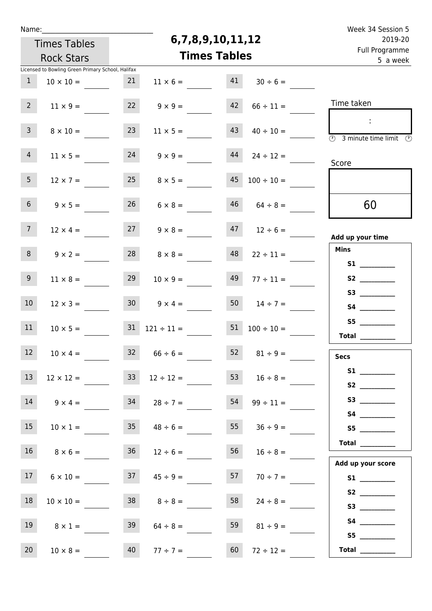| u |     | am |  |  |
|---|-----|----|--|--|
|   | e e |    |  |  |
|   |     |    |  |  |

#### **6,7,8,9,10,11,12**

| 2019-20                                                                       |                     | 6,7,8,9,10,11,12 |                          |                 |                                                   |                 |  |  |  |
|-------------------------------------------------------------------------------|---------------------|------------------|--------------------------|-----------------|---------------------------------------------------|-----------------|--|--|--|
| Full Programme<br>5 a week                                                    | <b>Times Tables</b> |                  | <b>Rock Stars</b>        |                 |                                                   |                 |  |  |  |
|                                                                               |                     |                  |                          |                 | Licensed to Bowling Green Primary School, Halifax |                 |  |  |  |
|                                                                               | $30 \div 6 =$       | 41               | $11 \times 6 =$          | 21              | $10 \times 10 =$                                  | $\mathbf{1}$    |  |  |  |
| Time taken                                                                    | $66 \div 11 =$      | 42               | $9 \times 9 =$           | 22              | $11 \times 9 =$                                   | 2 <sup>7</sup>  |  |  |  |
| $\overline{\textcircled{2}}$ 3 minute time limit $\overline{\textcircled{2}}$ | $40 \div 10 =$      | 43               | $11 \times 5 =$          | 23              | $8 \times 10 =$                                   | 3 <sup>7</sup>  |  |  |  |
| Score                                                                         | $24 \div 12 =$      | 44               | $24 \t 9 \times 9 =$     |                 | $11 \times 5 =$                                   | $4 -$           |  |  |  |
|                                                                               | $100 \div 10 =$     | 45               | $8 \times 5 =$           | 25              | $12 \times 7 =$                                   | 5 <sub>1</sub>  |  |  |  |
| 60                                                                            | $64 \div 8 =$       | 46               | $6 \times 8 =$           | 26              | $9 \times 5 =$                                    | 6 <sup>1</sup>  |  |  |  |
| Add up your time                                                              | $47$ $12 \div 6 =$  |                  | $9 \times 8 =$           | 27              | $12 \times 4 =$                                   | 7 <sup>7</sup>  |  |  |  |
| <b>Mins</b>                                                                   | $22 \div 11 =$      | 48               | $8 \times 8 =$           | 28              | $9 \times 2 =$                                    | 8               |  |  |  |
|                                                                               | $77 \div 11 =$      | 49               | $10 \times 9 =$          | 29              | $11 \times 8 =$                                   | 9 <sub>o</sub>  |  |  |  |
|                                                                               | $50 \t 14 \div 7 =$ |                  | $30 \t 9 \times 4 =$     |                 | $12 \times 3 =$                                   | 10 <sup>°</sup> |  |  |  |
| Total $\qquad$                                                                | $100 \div 10 =$     | 51               | $31 \quad 121 \div 11 =$ |                 | $10 \times 5 =$                                   | 11              |  |  |  |
| <b>Secs</b>                                                                   | $81 \div 9 =$       | 52               | $66 \div 6 =$            | 32 <sup>2</sup> | $10 \times 4 =$                                   | 12              |  |  |  |
| S1<br>S2                                                                      | $53 \t 16 \div 8 =$ |                  | $12 \div 12 =$           | 33              | $12 \times 12 =$                                  | 13              |  |  |  |
| <b>S4 S4</b>                                                                  | $99 \div 11 =$      | 54               | $28 \div 7 =$            | 34              | $9 \times 4 =$                                    | 14              |  |  |  |
| S5                                                                            | $36 \div 9 =$       | 55               | $48 \div 6 =$            | 35 <sub>1</sub> | $10 \times 1 =$                                   | 15              |  |  |  |
| Total __________<br>Add up your score                                         | $16 \div 8 =$       | 56               | $12 \div 6 =$            | 36              | $8 \times 6 =$                                    | 16 <sup>1</sup> |  |  |  |
|                                                                               | $70 \div 7 =$       | 57               | $45 \div 9 =$            | 37              | $6 \times 10 =$                                   | 17 <sup>7</sup> |  |  |  |
| S2<br>S3                                                                      | $24 \div 8 =$       | 58               | $8 \div 8 =$             | 38              | $10 \times 10 =$                                  | 18              |  |  |  |
| S5                                                                            | $81 \div 9 =$       | 59               | $64 \div 8 =$            | 39              | $8 \times 1 =$                                    | 19              |  |  |  |
| Total $\_\_$                                                                  | $72 \div 12 =$      | 60               | $77 \div 7 =$            | 40              | $10 \times 8 =$                                   | 20              |  |  |  |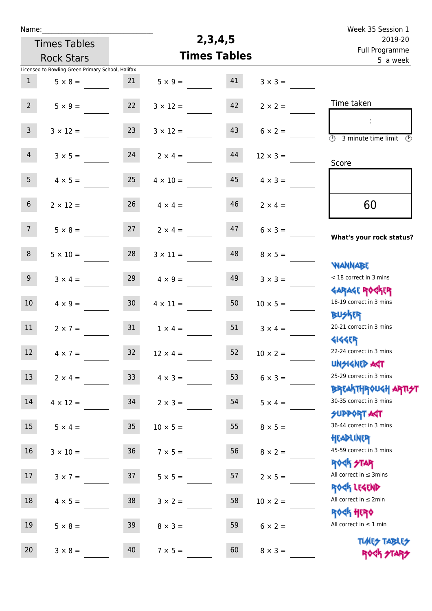| Name:            |                                                   |                 |                     |         |                 | Week 35 Session 1                                                |  |  |  |  |
|------------------|---------------------------------------------------|-----------------|---------------------|---------|-----------------|------------------------------------------------------------------|--|--|--|--|
|                  | <b>Times Tables</b>                               |                 |                     | 2,3,4,5 |                 | 2019-20<br>Full Programme                                        |  |  |  |  |
|                  | <b>Rock Stars</b>                                 |                 | <b>Times Tables</b> |         | 5 a week        |                                                                  |  |  |  |  |
|                  | Licensed to Bowling Green Primary School, Halifax |                 |                     |         |                 |                                                                  |  |  |  |  |
| $\mathbf{1}$     | $5 \times 8 =$                                    | 21              | $5 \times 9 =$      | 41      | $3 \times 3 =$  |                                                                  |  |  |  |  |
| 2 <sup>7</sup>   | $5 \times 9 =$                                    | 22              | $3 \times 12 =$     | 42      | $2 \times 2 =$  | Time taken                                                       |  |  |  |  |
| 3 <sup>7</sup>   | $3 \times 12 =$                                   | 23              | $3 \times 12 =$     | 43      | $6 \times 2 =$  | ÷<br>$\overline{(\mathcal{V})}$<br>3 minute time limit<br>⊕      |  |  |  |  |
| $\overline{4}$   | $3 \times 5 =$                                    | 24              | $2 \times 4 =$      | 44      | $12 \times 3 =$ | Score                                                            |  |  |  |  |
| 5 <sub>1</sub>   | $4 \times 5 =$                                    | 25              | $4 \times 10 =$     | 45      | $4 \times 3 =$  |                                                                  |  |  |  |  |
| 6 <sup>1</sup>   | $2 \times 12 =$                                   | 26              | $4 \times 4 =$      | 46      | $2 \times 4 =$  | 60                                                               |  |  |  |  |
| 7 <sup>7</sup>   | $5 \times 8 =$                                    | 27              | $2 \times 4 =$      | 47      | $6 \times 3 =$  | What's your rock status?                                         |  |  |  |  |
| 8                | $5 \times 10 =$                                   | 28              | $3 \times 11 =$     | 48      | $8 \times 5 =$  | <b>NANNABE</b>                                                   |  |  |  |  |
| 9 <sup>1</sup>   | $3 \times 4 =$                                    | 29              | $4 \times 9 =$      | 49      | $3 \times 3 =$  | < 18 correct in 3 mins<br><b>GARAGE ROCKER</b>                   |  |  |  |  |
| 10 <sup>°</sup>  | $4 \times 9 =$                                    | 30 <sub>2</sub> | $4 \times 11 =$     | 50      | $10 \times 5 =$ | 18-19 correct in 3 mins<br><b>BUSKRR</b>                         |  |  |  |  |
| 11               | $2 \times 7 =$                                    | 31              | $1 \times 4 =$      | 51      | $3 \times 4 =$  | 20-21 correct in 3 mins<br><b>4144EP</b>                         |  |  |  |  |
| 12 <sup>12</sup> | $4 \times 7 =$                                    | 32              | $12 \times 4 =$     | 52      | $10 \times 2 =$ | 22-24 correct in 3 mins<br><b>UNSIGNED AGT</b>                   |  |  |  |  |
| 13               | $2 \times 4 =$                                    | 33 <sup>°</sup> | $4 \times 3 =$      | 53      | $6 \times 3 =$  | 25-29 correct in 3 mins<br><b>BREAKTHROUGH ARTI<del>S</del>T</b> |  |  |  |  |
| 14               | $4 \times 12 =$                                   | 34              | $2 \times 3 =$      | 54      | $5 \times 4 =$  | 30-35 correct in 3 mins<br><b>SUPPORT AGT</b>                    |  |  |  |  |
| 15               | $5 \times 4 =$                                    | 35 <sub>1</sub> | $10 \times 5 =$     | 55      | $8 \times 5 =$  | 36-44 correct in 3 mins<br>HEADLINER                             |  |  |  |  |
| 16               | $3 \times 10 =$                                   | 36              | $7 \times 5 =$      | 56      | $8 \times 2 =$  | 45-59 correct in 3 mins<br>ROCK STAR                             |  |  |  |  |
| 17               | $3 \times 7 =$                                    | 37              | $5 \times 5 =$      | 57      | $2 \times 5 =$  | All correct in $\leq$ 3mins<br>ROCK LEGEND                       |  |  |  |  |
| 18               | $4 \times 5 =$                                    | 38              | $3 \times 2 =$      | 58      | $10 \times 2 =$ | All correct in $\leq 2$ min<br>ROCK HERO                         |  |  |  |  |
| 19               | $5 \times 8 =$                                    | 39              | $8 \times 3 =$      | 59      | $6 \times 2 =$  | All correct in $\leq 1$ min                                      |  |  |  |  |
| 20               | $3 \times 8 =$                                    | 40              | $7 \times 5 =$      | 60      | $8 \times 3 =$  | <b>TUARS TABLES</b><br>ROCK STARS                                |  |  |  |  |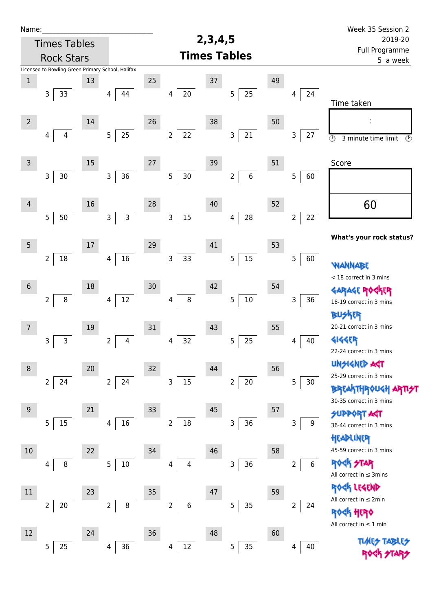| Name:          |                                                   |    |                                |                          |                              |    |                            | Week 35 Session 2                                          |
|----------------|---------------------------------------------------|----|--------------------------------|--------------------------|------------------------------|----|----------------------------|------------------------------------------------------------|
|                | <b>Times Tables</b>                               |    |                                |                          | 2, 3, 4, 5                   |    |                            | 2019-20                                                    |
|                | <b>Rock Stars</b>                                 |    |                                |                          | <b>Times Tables</b>          |    | Full Programme<br>5 a week |                                                            |
|                | Licensed to Bowling Green Primary School, Halifax |    |                                |                          |                              |    |                            |                                                            |
| $\mathbf 1$    |                                                   | 13 |                                | 25                       | $37\,$                       | 49 |                            |                                                            |
|                | $\mathsf{3}$<br>33                                |    | 44<br>4                        | 20<br>4                  | 25<br>$\sqrt{5}$             |    | 24<br>4                    | Time taken                                                 |
| $\overline{2}$ |                                                   | 14 |                                | 26                       | 38                           | 50 |                            |                                                            |
|                | 4<br>4                                            |    | 25<br>5 <sub>5</sub>           | 22<br>$\overline{2}$     | 21<br>3                      |    | 3<br>27                    | $\overline{\circ}$<br>3 minute time limit<br>$\circled{r}$ |
| $\mathsf 3$    |                                                   | 15 |                                | 27                       | 39                           | 51 |                            | Score                                                      |
|                | $\mathsf 3$<br>$30$                               |    | 36<br>$\mathsf{3}$             | $\overline{5}$<br>$30\,$ | $\sqrt{6}$<br>$\overline{c}$ |    | 5<br>60                    |                                                            |
| $\overline{4}$ |                                                   | 16 |                                | 28                       | 40                           | 52 |                            | 60                                                         |
|                | 5<br>$50\,$                                       |    | $\overline{3}$<br>$\mathbf{3}$ | 15<br>3                  | ${\bf 28}$<br>4              |    | 22<br>$\overline{2}$       |                                                            |
| $\overline{5}$ |                                                   | 17 |                                | 29                       | 41                           | 53 |                            | What's your rock status?                                   |
|                | 18<br>$\overline{2}$                              |    | 16<br>4                        | 33<br>3                  | 15<br>5                      |    | 5<br>60                    | NANNABE                                                    |
|                |                                                   |    |                                |                          |                              |    |                            | < 18 correct in 3 mins                                     |
| $\sqrt{6}$     |                                                   | 18 |                                | 30                       | 42                           | 54 |                            | <b>GARAGE RO</b>                                           |
|                | $\overline{2}$<br>$\, 8$                          |    | 12<br>4                        | 8<br>4                   | $10\,$<br>5                  |    | 36<br>3                    | 18-19 correct in 3 mins                                    |
|                |                                                   |    |                                |                          |                              |    |                            | BUSKER                                                     |
| $\overline{7}$ |                                                   | 19 |                                | 31                       | 43                           | 55 |                            | 20-21 correct in 3 mins                                    |
|                | $\mathsf{3}$<br>3                                 |    | 4<br>2                         | 32<br>4                  | 25<br>5                      |    | 40<br>4                    | <b>4144EP</b>                                              |
|                |                                                   |    |                                |                          |                              |    |                            | 22-24 correct in 3 mins                                    |
| $\,8\,$        |                                                   | 20 |                                | 32                       | 44                           | 56 |                            | <b>UNSIGNED AGT</b>                                        |
|                | 24<br>$\overline{2}$                              |    | 24<br>$\overline{2}$           | 3<br>$15\,$              | $20\,$<br>$\overline{2}$     |    | 5<br>$30$                  | 25-29 correct in 3 mins                                    |
|                |                                                   |    |                                |                          |                              |    |                            | <b>BREAKTHROUGH</b><br>30-35 correct in 3 mins             |
| 9              |                                                   | 21 |                                | 33                       | 45                           | 57 |                            | <b>SUPPORT AGT</b>                                         |
|                | 15<br>$\overline{5}$                              |    | 16<br>4                        | $\overline{2}$<br>$18\,$ | 36<br>3                      |    | 3<br>9                     | 36-44 correct in 3 mins                                    |
|                |                                                   |    |                                |                          |                              |    |                            | HEADLINER                                                  |
| 10             |                                                   | 22 |                                | 34                       | 46                           | 58 |                            | 45-59 correct in 3 mins                                    |
|                | 8<br>4                                            |    | 10<br>5                        | 4<br>4                   | 36<br>3                      |    | 6<br>2                     | <b>ROCK STAR</b><br>All correct in $\leq$ 3mins            |
| $11\,$         |                                                   | 23 |                                | 35                       | 47                           | 59 |                            | ROCK LEGEND                                                |
|                | $20\,$<br>$\overline{2}$                          |    | 8<br>$\overline{2}$            | 6<br>$\overline{2}$      | $35\phantom{.0}$<br>5        |    | $\overline{2}$<br>24       | All correct in $\leq 2$ min                                |
|                |                                                   |    |                                |                          |                              |    |                            | HERQ                                                       |
| 12             |                                                   | 24 |                                | 36                       | 48                           | 60 |                            | All correct in $\leq 1$ min                                |
|                | 25<br>5                                           |    | 36<br>4                        | 12<br>4                  | 35<br>5                      |    | 40<br>4                    | <b>TLARS</b>                                               |
|                |                                                   |    |                                |                          |                              |    |                            |                                                            |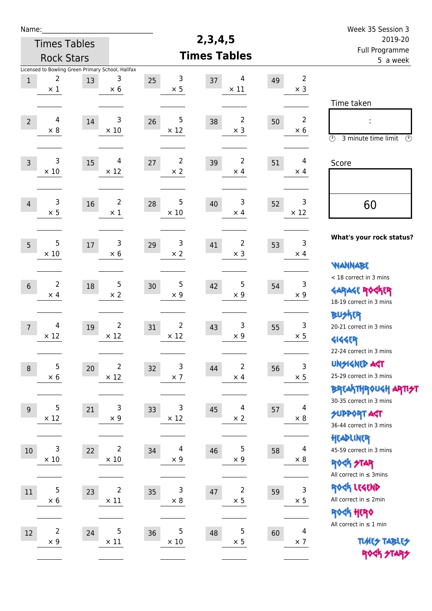| Name:            |                                                                      |    |                                        |    |                               |                     |                                       |    |                              | Week 35 Session 3                                                                               |
|------------------|----------------------------------------------------------------------|----|----------------------------------------|----|-------------------------------|---------------------|---------------------------------------|----|------------------------------|-------------------------------------------------------------------------------------------------|
|                  | <b>Times Tables</b>                                                  |    |                                        |    |                               | 2, 3, 4, 5          |                                       |    |                              | 2019-20                                                                                         |
|                  | <b>Rock Stars</b>                                                    |    |                                        |    |                               | <b>Times Tables</b> | Full Programme<br>5 a week            |    |                              |                                                                                                 |
| $\mathbf{1}$     | Licensed to Bowling Green Primary School, Halifax<br>2<br>$\times$ 1 | 13 | 3<br>$\times$ 6                        | 25 | 3<br>$\times$ 5               | 37                  | 4<br>$\times$ 11                      | 49 | $\overline{2}$<br>$\times$ 3 |                                                                                                 |
| $\overline{2}$   | 4<br>$\times 8$                                                      | 14 | 3<br>$\times$ 10                       | 26 | 5<br>$\times$ 12              | 38                  | 2<br>$\times$ 3                       | 50 | $\overline{2}$<br>$\times$ 6 | Time taken<br>$\circled{r}$<br>3 minute time limit<br>$\circled{r}$                             |
| $\overline{3}$   | 3<br>$\times$ 10                                                     | 15 | $\overline{4}$<br>$\times$ 12          | 27 | $\overline{2}$<br>$\times$ 2  | 39                  | $\overline{2}$<br>$\times$ 4          | 51 | 4<br>$\times$ 4              | Score                                                                                           |
| $\overline{4}$   | 3<br>$\times$ 5                                                      | 16 | $\overline{2}$<br>$\times 1$           | 28 | 5<br>$\times$ 10              | 40                  | 3<br>$\times$ 4                       | 52 | 3<br>$\times$ 12             | 60                                                                                              |
| 5                | 5<br>$\times 10$                                                     | 17 | 3<br>$\times 6$                        | 29 | 3<br>$\times$ 2               | 41                  | 2<br>$\times$ 3                       | 53 | 3<br>$\times$ 4              | What's your rock status?<br><b>WANNABE</b>                                                      |
| $6\,$            | $\overline{2}$<br>$\times$ 4                                         | 18 | 5<br>$\times 2$                        | 30 | 5<br>$\times$ 9               | 42                  | 5<br>$\times$ 9                       | 54 | 3<br>$\times$ 9              | < 18 correct in 3 mins<br><b>GARAGE ROCKER</b><br>18-19 correct in 3 mins                       |
| $\overline{7}$   | 4<br>$\times$ 12                                                     | 19 | $\overline{2}$<br>$\times$ 12          | 31 | $\overline{2}$<br>$\times$ 12 | 43                  | 3<br>$\times$ 9                       | 55 | 3<br>$\times$ 5              | <b>BU外界</b><br>20-21 correct in 3 mins<br><b>4144EP</b><br>22-24 correct in 3 mins              |
| $\boldsymbol{8}$ | 5<br>$\times$ 6                                                      | 20 | $\overline{\mathbf{c}}$<br>$\times$ 12 | 32 | $\mathsf 3$<br>$\times$ 7     | 44                  | $\overline{\mathbf{c}}$<br>$\times$ 4 | 56 | $\mathsf 3$<br>$\times$ 5    | <b>UNSIGNED AST</b><br>25-29 correct in 3 mins<br>ΒΡΓΑ <sup>Κ</sup> ΤΗΡΟυΚΗ ΑΡΤΙ <del>2</del> Τ |
| $9$              | 5<br>$\times$ 12                                                     | 21 | 3<br>$\times$ 9                        | 33 | 3<br>$\times$ 12              | 45                  | 4<br>$\times$ 2                       | 57 | 4<br>$\times 8$              | 30-35 correct in 3 mins<br><b>SUPPORT AGT</b><br>36-44 correct in 3 mins                        |
| 10               | 3<br>$\times$ 10                                                     | 22 | $\overline{\mathbf{c}}$<br>$\times$ 10 | 34 | $\overline{4}$<br>$\times$ 9  | 46                  | 5<br>$\times$ 9                       | 58 | 4<br>$\times 8$              | HEADLINER<br>45-59 correct in 3 mins<br><b>ROCK STAR</b><br>All correct in $\leq$ 3mins         |
| $11\,$           | 5<br>$\times$ 6                                                      | 23 | $\overline{2}$<br>$\times$ 11          | 35 | 3<br>$\times$ 8               | 47                  | 2<br>$\times$ 5                       | 59 | 3<br>$\times$ 5              | ROCK LEGEND<br>All correct in $\leq 2$ min<br><b>ROCK HERO</b>                                  |
| 12               | $\overline{\mathbf{c}}$<br>$\times$ 9                                | 24 | 5<br>$\times$ 11                       | 36 | 5<br>$\times$ 10              | 48                  | 5<br>$\times$ 5                       | 60 | 4<br>$\times$ 7              | All correct in $\leq 1$ min<br><b>TUARS TABLES</b><br>ROCK STARS                                |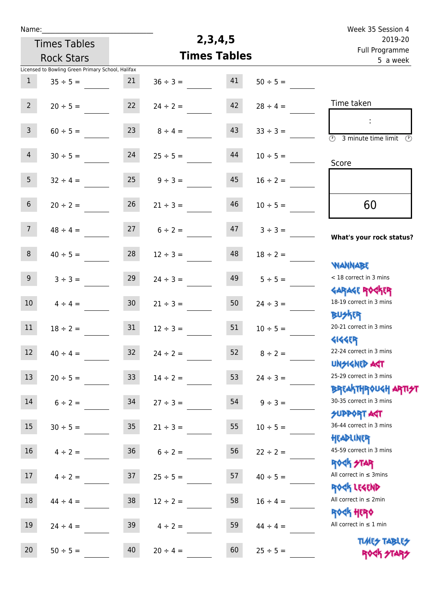| Week 35 Session 4                                                |               |                     |               |                 |                                                   | Name:            |
|------------------------------------------------------------------|---------------|---------------------|---------------|-----------------|---------------------------------------------------|------------------|
| 2019-20                                                          |               | 2, 3, 4, 5          |               |                 | <b>Times Tables</b>                               |                  |
| Full Programme<br>5 a week                                       |               | <b>Times Tables</b> |               |                 | <b>Rock Stars</b>                                 |                  |
|                                                                  |               |                     |               |                 | Licensed to Bowling Green Primary School, Halifax |                  |
|                                                                  | $50 \div 5 =$ | 41                  | $36 \div 3 =$ | 21              | $35 \div 5 =$                                     | $\mathbf{1}$     |
| Time taken                                                       | $28 \div 4 =$ | 42                  | $24 \div 2 =$ | 22              | $20 \div 5 =$                                     | $2^{\circ}$      |
| $\overline{(\mathcal{V})}$<br>3 minute time limit<br>$\odot$     | $33 \div 3 =$ | 43                  | $8 \div 4 =$  | 23              | $60 \div 5 =$                                     | $\mathsf{3}$     |
| Score                                                            | $10 \div 5 =$ | 44                  | $25 \div 5 =$ | 24              | $30 \div 5 =$                                     | $\overline{4}$   |
|                                                                  | $16 \div 2 =$ | 45                  | $9 \div 3 =$  | 25              | $32 \div 4 =$                                     | 5 <sub>1</sub>   |
| 60                                                               | $10 \div 5 =$ | 46                  | $21 \div 3 =$ | 26              | $20 \div 2 =$                                     | 6 <sup>1</sup>   |
| What's your rock status?                                         | $3 ÷ 3 =$     | 47                  | $6 \div 2 =$  | 27              | $48 \div 4 =$                                     | 7 <sup>7</sup>   |
|                                                                  | $18 \div 2 =$ | 48                  | $12 \div 3 =$ | 28              | $40 \div 5 =$                                     | 8                |
| <b>NANNABE</b><br>< 18 correct in 3 mins                         | $5 \div 5 =$  | 49                  | $24 \div 3 =$ | 29              | $3 ÷ 3 =$                                         | 9                |
| <b>GARAGE ROCKER</b><br>18-19 correct in 3 mins<br><b>BUSKRR</b> | $24 \div 3 =$ | 50                  | $21 \div 3 =$ | 30              | $4 \div 4 =$                                      | 10 <sup>°</sup>  |
| 20-21 correct in 3 mins<br><b>4144EP</b>                         | $10 \div 5 =$ | 51                  | $12 \div 3 =$ | 31              | $18 \div 2 =$                                     | 11               |
| 22-24 correct in 3 mins<br><b>UNSIGNED AGT</b>                   | $8 \div 2 =$  | 52                  | $24 \div 2 =$ | 32              | $40 \div 4 =$                                     | 12 <sup>12</sup> |
| 25-29 correct in 3 mins<br><b>BREAKTHROUGH ARTI<del>S</del>T</b> | $24 \div 3 =$ | 53                  | $14 \div 2 =$ | 33 <sup>°</sup> | $20 \div 5 =$                                     | 13               |
| 30-35 correct in 3 mins<br>SUPPORT ART                           | $9 \div 3 =$  | 54                  | $27 \div 3 =$ | 34              | $6 \div 2 =$                                      | 14               |
| 36-44 correct in 3 mins<br>HEADLINER                             | $10 \div 5 =$ | 55                  | $21 \div 3 =$ | 35 <sub>1</sub> | $30 \div 5 =$                                     | 15               |
| 45-59 correct in 3 mins<br><b>ROCK STAR</b>                      | $22 \div 2 =$ | 56                  | $6 \div 2 =$  | 36 <sub>2</sub> | $4 \div 2 =$                                      | 16               |
| All correct in $\leq$ 3mins<br>ROCK LEGEND                       | $40 \div 5 =$ | 57                  | $25 \div 5 =$ | 37              | $4 \div 2 =$                                      | 17               |
| All correct in $\leq 2$ min<br><b>ROCK HERO</b>                  | $16 \div 4 =$ | 58                  | $12 \div 2 =$ | 38              | $44 \div 4 =$                                     | 18               |
| All correct in $\leq 1$ min                                      | $44 \div 4 =$ | 59                  | $4 \div 2 =$  | 39              | $24 \div 4 =$                                     | 19               |
| <b>TUARS TABLES</b><br>ROCK STARS                                | $25 \div 5 =$ | 60                  | $20 \div 4 =$ | 40              | $50 \div 5 =$                                     | 20               |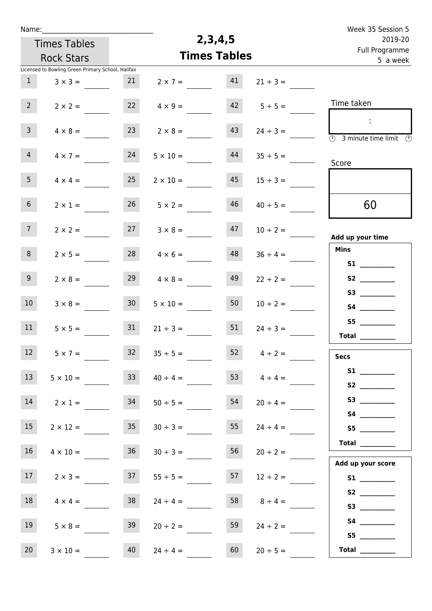| Week 35 Session 5                                                                                            |                    |            |                     | Name:           |                                                   |                 |  |  |  |
|--------------------------------------------------------------------------------------------------------------|--------------------|------------|---------------------|-----------------|---------------------------------------------------|-----------------|--|--|--|
| 2019-20                                                                                                      |                    | 2, 3, 4, 5 |                     |                 | <b>Times Tables</b>                               |                 |  |  |  |
| Full Programme<br>5 a week                                                                                   |                    |            | <b>Times Tables</b> |                 | <b>Rock Stars</b>                                 |                 |  |  |  |
|                                                                                                              |                    |            |                     |                 | Licensed to Bowling Green Primary School, Halifax |                 |  |  |  |
|                                                                                                              | $21 \div 3 =$      | 41         | $2 \times 7 =$      | 21              | $3 \times 3 =$                                    | 1               |  |  |  |
| Time taken                                                                                                   | $5 \div 5 =$       | 42         | $4 \times 9 =$      | 22              | $2 \times 2 =$                                    | $2^{\circ}$     |  |  |  |
| $\mathcal{L}_{\mathcal{C}}$<br>$\overline{\textcircled{2}}$ 3 minute time limit $\overline{\textcircled{2}}$ | $24 \div 3 =$      | 43         | $2 \times 8 =$      | 23              | $4 \times 8 =$                                    | $\overline{3}$  |  |  |  |
| Score                                                                                                        | $35 \div 5 =$      | 44         | $5 \times 10 =$     | 24              | $4 \times 7 =$                                    | 4 <sup>1</sup>  |  |  |  |
|                                                                                                              | $15 \div 3 =$      | 45         | $2 \times 10 =$     | 25              | $4 \times 4 =$                                    | 5 <sub>1</sub>  |  |  |  |
| 60                                                                                                           | $40 \div 5 =$      | 46         | $5 \times 2 =$      | 26              | $2 \times 1 =$                                    | 6 <sup>1</sup>  |  |  |  |
| Add up your time                                                                                             | $10 \div 2 =$      | 47         | $3 \times 8 =$      | 27              | $2 \times 2 =$                                    | 7 <sup>7</sup>  |  |  |  |
| <b>Mins</b><br>S1                                                                                            | $36 \div 4 =$      | 48         | $4 \times 6 =$      | 28              | $2 \times 5 =$                                    | 8               |  |  |  |
| S2                                                                                                           | $22 \div 2 =$      | 49         | $4 \times 8 =$      | 29              | $2 \times 8 =$                                    | 9 <sub>o</sub>  |  |  |  |
| S4                                                                                                           | $10 \div 2 =$      | 50         | $5 \times 10 =$     | 30 <sup>1</sup> | $3 \times 8 =$                                    | 10 <sup>°</sup> |  |  |  |
| S5<br>Total $\frac{1}{2}$                                                                                    | $24 \div 3 =$      | 51         | $21 \div 3 =$       | 31              | $5 \times 5 =$                                    | 11              |  |  |  |
| <b>Secs</b>                                                                                                  | $52 \t 4 \div 2 =$ |            | $35 \div 5 =$       | 32              | $5 \times 7 =$                                    | 12              |  |  |  |
| S2                                                                                                           | 53 $4 \div 4 =$    |            | $40 \div 4 =$       | 33              | $5 \times 10 =$                                   | 13              |  |  |  |
|                                                                                                              | $20 \div 4 =$      | 54         | $50 \div 5 =$       | 34              | $2 \times 1 =$                                    | 14              |  |  |  |
| S5                                                                                                           | $24 \div 4 =$      | 55         | $30 \div 3 =$       | 35              | $2 \times 12 =$                                   | 15              |  |  |  |
| Total $\_\_$<br>Add up your score                                                                            | $20 \div 2 =$      | 56         | $30 \div 3 =$       | 36              | $4 \times 10 =$                                   | 16 <sup>1</sup> |  |  |  |
| S1                                                                                                           | $12 \div 2 =$      | 57         | $55 \div 5 =$       | 37              | $2 \times 3 =$                                    | 17 <sub>1</sub> |  |  |  |
| <b>S3 S3</b>                                                                                                 | $8 \div 4 =$       | 58         | $24 \div 4 =$       | 38              | $4 \times 4 =$                                    | 18              |  |  |  |
| S5                                                                                                           | $24 \div 2 =$      | 59         | $20 \div 2 =$       | 39              | $5 \times 8 =$                                    | 19              |  |  |  |
| Total $\frac{1}{2}$                                                                                          | $20 \div 5 =$      | 60         | $24 \div 4 =$       | 40              | $3 \times 10 =$                                   | 20              |  |  |  |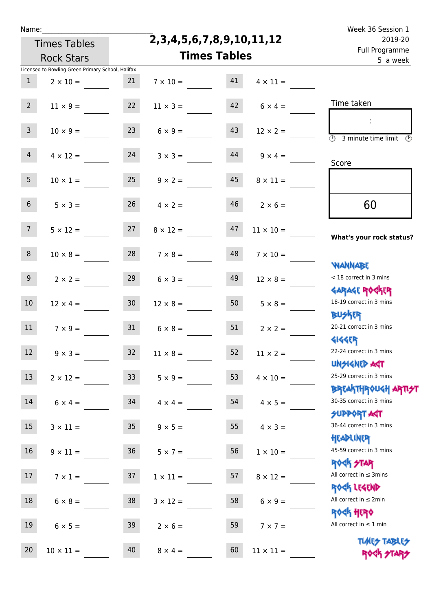|  | Name |  |
|--|------|--|
|  |      |  |
|  |      |  |

#### **2,3,4,5,6,7,8,9,10,11,12**

| 2019-20                                                            | 2, 3, 4, 5, 6, 7, 8, 9, 10, 11, 12 |                     | <b>Times Tables</b> |                   |                                                   |                 |
|--------------------------------------------------------------------|------------------------------------|---------------------|---------------------|-------------------|---------------------------------------------------|-----------------|
| Full Programme<br>5 a week                                         |                                    | <b>Times Tables</b> |                     | <b>Rock Stars</b> |                                                   |                 |
|                                                                    |                                    |                     |                     |                   | Licensed to Bowling Green Primary School, Halifax |                 |
|                                                                    | $4 \times 11 =$                    | 41                  | $7 \times 10 =$     | 21                | $2 \times 10 =$                                   | $\mathbf{1}$    |
| Time taken                                                         | $6 \times 4 =$                     | 42                  | $11 \times 3 =$     | 22                | $11 \times 9 =$                                   | 2 <sup>7</sup>  |
| $\overline{(\mathcal{V})}$<br>3 minute time limit<br>$\mathcal{O}$ | $12 \times 2 =$                    | 43                  | $6 \times 9 =$      | 23                | $10 \times 9 =$                                   | 3 <sup>7</sup>  |
| Score                                                              | $9 \times 4 =$                     | 44                  | $3 \times 3 =$      | 24                | $4 \times 12 =$                                   | 4               |
|                                                                    | $8 \times 11 =$                    | 45                  | $9 \times 2 =$      | 25                | $10 \times 1 =$                                   | 5 <sub>1</sub>  |
| 60                                                                 | $2 \times 6 =$                     | 46                  | $4 \times 2 =$      | 26                | $5 \times 3 =$                                    | 6 <sup>1</sup>  |
| What's your rock status?                                           | $11 \times 10 =$                   | 47                  | $8 \times 12 =$     | 27                | $5 \times 12 =$                                   | 7 <sup>7</sup>  |
| <b>NANNABE</b>                                                     | $7 \times 10 =$                    | 48                  | $7 \times 8 =$      | 28                | $10 \times 8 =$                                   | 8               |
| < 18 correct in 3 mins<br><b>GARAGE ROGKER</b>                     | $12 \times 8 =$                    | 49                  | $6 \times 3 =$      | 29                | $2 \times 2 =$                                    | 9 <sub>o</sub>  |
| 18-19 correct in 3 mins<br><b>BUSKER</b>                           | $5 \times 8 =$                     | 50                  | $12 \times 8 =$     | 30 <sub>o</sub>   | $12 \times 4 =$                                   | 10 <sup>°</sup> |
| 20-21 correct in 3 mins<br><b>4144ER</b>                           | $2 \times 2 =$                     | 51                  | $6 \times 8 =$      | 31                | $7 \times 9 =$                                    | 11              |
| 22-24 correct in 3 mins<br>UNSIGNED ACT                            | $11 \times 2 =$                    | 52                  | $11 \times 8 =$     | 32                | $9 \times 3 =$                                    | 12              |
| 25-29 correct in 3 mins<br><b>BREAKTHROUGH ARTI<del>S</del>T</b>   | $4 \times 10 =$                    | 53                  | $5 \times 9 =$      | 33 <sup>°</sup>   | $2 \times 12 =$                                   | 13              |
| 30-35 correct in 3 mins<br><b>SUPPORT AGT</b>                      | $4 \times 5 =$                     | 54                  | $4 \times 4 =$      | 34                | $6 \times 4 =$                                    | 14              |
| 36-44 correct in 3 mins<br>HEADLINER                               | $4 \times 3 =$                     | 55                  | $9 \times 5 =$      | 35 <sub>1</sub>   | $3 \times 11 =$                                   | 15 <sub>1</sub> |
| 45-59 correct in 3 mins<br><b>ROCK STAR</b>                        | $1 \times 10 =$                    | 56                  | $5 \times 7 =$      | 36                | $9 \times 11 =$                                   | 16              |
| All correct in $\leq$ 3mins<br>ROCK LEGEND                         | $8 \times 12 =$                    | 57                  | $1 \times 11 =$     | 37                | $7 \times 1 =$                                    | 17              |
| All correct in $\leq 2$ min<br><b>ROCK HERO</b>                    | $6 \times 9 =$                     | 58                  | $3 \times 12 =$     | 38                | $6 \times 8 =$                                    | 18              |
| All correct in $\leq 1$ min                                        | $7 \times 7 =$                     | 59                  | $2 \times 6 =$      | 39                | $6 \times 5 =$                                    | 19              |
| <b>TUARS TABLES</b><br>ROCK STARS                                  | $11 \times 11 =$                   | 60                  | $8 \times 4 =$      | 40                | $10 \times 11 =$                                  | 20              |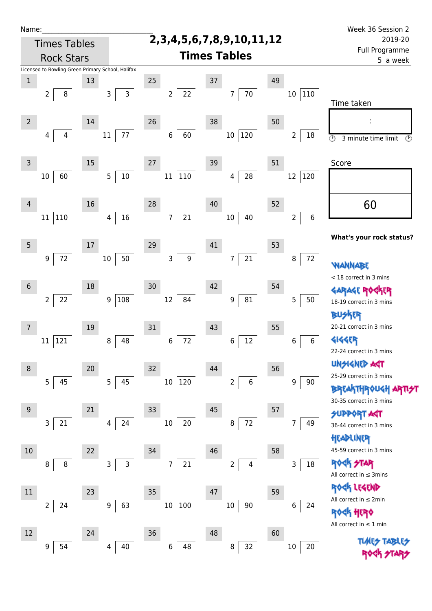| Name:               |                |                                                   |    |        |              |                                    |                      |                     |                 |             |    |                     | Week 36 Session 2                                          |
|---------------------|----------------|---------------------------------------------------|----|--------|--------------|------------------------------------|----------------------|---------------------|-----------------|-------------|----|---------------------|------------------------------------------------------------|
| <b>Times Tables</b> |                |                                                   |    |        |              | 2, 3, 4, 5, 6, 7, 8, 9, 10, 11, 12 |                      |                     |                 |             |    | 2019-20             |                                                            |
|                     |                | <b>Rock Stars</b>                                 |    |        |              |                                    |                      | <b>Times Tables</b> |                 |             |    |                     | Full Programme<br>5 a week                                 |
|                     |                | Licensed to Bowling Green Primary School, Halifax |    |        |              |                                    |                      |                     |                 |             |    |                     |                                                            |
| $\,1$               |                |                                                   | 13 |        |              | 25                                 |                      | 37                  |                 |             | 49 |                     |                                                            |
|                     | 2              | 8                                                 |    | 3      | $\mathsf{3}$ |                                    | 22<br>$\overline{2}$ |                     | $\overline{7}$  | 70          |    | 110<br>10           | Time taken                                                 |
| $\overline{2}$      |                |                                                   | 14 |        |              | 26                                 |                      | 38                  |                 |             | 50 |                     |                                                            |
|                     | 4              | 4                                                 |    | 11     | 77           |                                    | 60<br>$\,6\,$        |                     | 10 <sup>°</sup> | 120         |    | 2<br>18             | $\overline{\odot}$<br>$\circled{r}$<br>3 minute time limit |
| 3                   |                |                                                   | 15 |        |              | 27                                 |                      | 39                  |                 |             | 51 |                     | Score                                                      |
|                     | $10\,$         | 60                                                |    | 5      | $10\,$       |                                    | 110<br>11            |                     | 4               | 28          |    | $12\,$<br>120       |                                                            |
| $\overline{4}$      |                |                                                   | 16 |        |              | 28                                 |                      | 40                  |                 |             | 52 |                     | 60                                                         |
|                     | 11             | 110                                               |    | 4      | 16           |                                    | 21<br>$\overline{7}$ |                     | $10\,$          | 40          |    | 6<br>$\overline{2}$ |                                                            |
| 5                   |                |                                                   | 17 |        |              | 29                                 |                      | 41                  |                 |             | 53 |                     | What's your rock status?                                   |
|                     | 9              | $72\,$                                            |    | $10\,$ | 50           |                                    | $\mathsf 3$          | $\boldsymbol{9}$    | 7               | 21          |    | 72<br>$\bf 8$       | WANNABE                                                    |
| $6\phantom{1}$      |                |                                                   | 18 |        |              | 30                                 |                      | 42                  |                 |             | 54 |                     | < 18 correct in 3 mins                                     |
|                     | $\overline{2}$ | 22                                                |    |        | 9 108        |                                    | 84<br>12             |                     | 9               | ${\bf 81}$  |    | 5<br>$50\,$         | <b>GARAGE RO</b><br>18-19 correct in 3 mins                |
| 7                   |                |                                                   | 19 |        |              | 31                                 |                      | 43                  |                 |             | 55 |                     | <b>BUSKER</b><br>20-21 correct in 3 mins                   |
|                     | $11\,$         | 121                                               |    | 8      | 48           |                                    | 72<br>6              |                     | 6               | $12\,$      |    | 6<br>6              | <b>4144EP</b><br>22-24 correct in 3 mins                   |
| 8                   |                |                                                   | 20 |        |              | 32                                 |                      | 44                  |                 |             | 56 |                     | <b>UNGIGNED ART</b><br>25-29 correct in 3 mins             |
|                     | 5              | 45                                                |    | 5      | 45           |                                    | 10 120               |                     | $\overline{2}$  | $\,$ 6 $\,$ |    | 9<br>90             | <b>BREAKTHROUGH</b><br>30-35 correct in 3 mins             |
| 9                   |                |                                                   | 21 |        |              | 33                                 |                      | 45                  |                 |             | 57 |                     | <b>SUPPORT AGT</b>                                         |
|                     | 3              | 21                                                |    | 4      | 24           |                                    | 20<br>10             |                     | 8               | 72          |    | 7<br>49             | 36-44 correct in 3 mins<br>HEADLINER                       |
| $10$                |                |                                                   | 22 |        |              | 34                                 |                      | 46                  |                 |             | 58 |                     | 45-59 correct in 3 mins                                    |
|                     | 8              | 8                                                 |    | 3      | $\mathsf 3$  |                                    | 21<br>7              |                     | $\overline{2}$  | 4           |    | 18<br>3             | <b>ROCK STAR</b><br>All correct in $\leq$ 3mins            |
| $11\,$              |                |                                                   | 23 |        |              | 35                                 |                      | 47                  |                 |             | 59 |                     | ROCK LEGEND                                                |
|                     | $\overline{2}$ | 24                                                |    | 9      | 63           |                                    | 10 100               |                     | 10              | 90          |    | 6<br>24             | All correct in ≤ 2min<br><b>《下出版》</b>                      |
| 12                  |                |                                                   | 24 |        |              | 36                                 |                      | 48                  |                 |             | 60 |                     | All correct in $\leq 1$ min                                |
|                     | 9              | 54                                                |    | 4      | 40           |                                    | 6<br>48              |                     | 8               | 32          |    | $10\,$<br>20        | <b>TLME<del>S</del></b>                                    |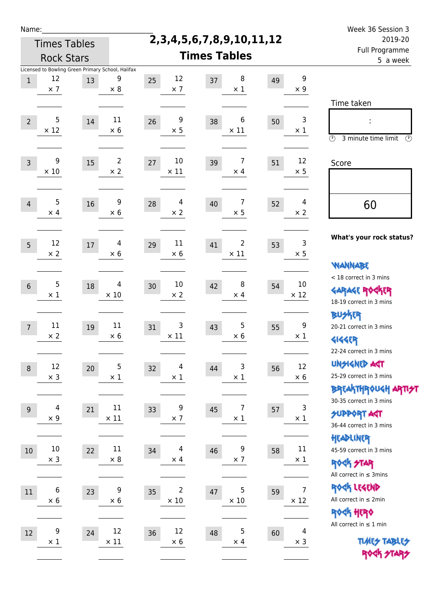| Name:          |                                                                       |    |                              |                                              |                                     |                           |                               | Week 36 Session 3                                                                               |  |
|----------------|-----------------------------------------------------------------------|----|------------------------------|----------------------------------------------|-------------------------------------|---------------------------|-------------------------------|-------------------------------------------------------------------------------------------------|--|
|                | <b>Times Tables</b>                                                   |    |                              |                                              | 2, 3, 4, 5, 6, 7, 8, 9, 10, 11, 12  | 2019-20<br>Full Programme |                               |                                                                                                 |  |
|                | <b>Rock Stars</b>                                                     |    |                              |                                              | <b>Times Tables</b>                 |                           |                               | 5 a week                                                                                        |  |
| $1\,$          | Licensed to Bowling Green Primary School, Halifax<br>12<br>$\times$ 7 | 13 | 9<br>$\times 8$              | 12<br>25<br>$\times$ 7                       | 8<br>37<br>$\times$ 1               | 49                        | 9<br>$\times$ 9               |                                                                                                 |  |
| $\overline{2}$ | 5<br>$\times$ 12                                                      | 14 | 11<br>$\times$ 6             | 9<br>26<br>$\times$ 5                        | 6<br>38<br>$\times$ 11              | 50                        | 3<br>$\times$ 1               | Time taken<br>Ì,<br>$\circledcirc$<br>3 minute time limit<br>$\mathcal{O}$                      |  |
| $\overline{3}$ | 9<br>$\times 10$                                                      | 15 | $\overline{2}$<br>$\times$ 2 | 10<br>27<br>$\times$ 11                      | $\overline{7}$<br>39<br>$\times$ 4  | 51                        | 12<br>$\times$ 5              | Score                                                                                           |  |
| $\overline{4}$ | 5<br>$\times$ 4                                                       | 16 | 9<br>$\times$ 6              | 4<br>28<br>$\times$ 2                        | 7<br>40<br>$\times$ 5               | 52                        | 4<br>$\times 2$               | 60                                                                                              |  |
| 5              | 12<br>$\times 2$                                                      | 17 | 4<br>$\times 6$              | 11<br>29<br>$\times$ 6                       | $\overline{2}$<br>41<br>$\times$ 11 | 53                        | 3<br>$\times$ 5               | What's your rock status?<br><b>WANNABE</b>                                                      |  |
| $6\,$          | 5<br>$\times$ 1                                                       | 18 | 4<br>$\times$ 10             | 10<br>30<br>$\times 2$                       | 8<br>42<br>$\times$ 4               | 54                        | 10<br>$\times$ 12             | < 18 correct in 3 mins<br><b>GARAGE ROGKER</b><br>18-19 correct in 3 mins                       |  |
| $\overline{7}$ | 11<br>$\times$ 2                                                      | 19 | 11<br>$\times 6$             | 3<br>31<br>$\times$ 11                       | $\overline{5}$<br>43<br>$\times 6$  | 55                        | 9<br>$\times$ 1               | <b>BUSKER</b><br>20-21 correct in 3 mins<br><b>4144EP</b><br>22-24 correct in 3 mins            |  |
| $\,8\,$        | 12<br>$\times$ 3                                                      | 20 | 5<br>$\times$ 1              | $\overline{4}$<br>32<br>$\times$ 1           | 3<br>44<br>$\times$ 1               | 56                        | 12<br>$\times$ 6              | <b>UNSIGNED AGT</b><br>25-29 correct in 3 mins<br>ΒΡΓΑ <sup>Κ</sup> ΤΗΡΟυΚΗ ΑΡΤΙ <del>2</del> Τ |  |
| $9\,$          | 4<br>$\times$ 9                                                       | 21 | 11<br>$\times$ 11            | 9<br>33<br>$\times$ 7                        | $\overline{7}$<br>45<br>$\times$ 1  | 57                        | 3<br>$\times$ 1               | 30-35 correct in 3 mins<br><b>SUPPORT AGT</b><br>36-44 correct in 3 mins                        |  |
| 10             | $10\,$<br>$\times$ 3                                                  | 22 | 11<br>$\times$ 8             | $\overline{\mathcal{A}}$<br>34<br>$\times$ 4 | 9<br>46<br>$\times$ 7               | 58                        | 11<br>$\times$ 1              | HEADLINER<br>45-59 correct in 3 mins<br><b>ROCK STAR</b><br>All correct in $\leq$ 3mins         |  |
| 11             | 6<br>$\times$ 6                                                       | 23 | 9<br>$\times$ 6              | 2<br>35<br>$\times$ 10                       | 5<br>47<br>$\times$ 10              | 59                        | $\overline{7}$<br>$\times$ 12 | ROCK LEGEND<br>All correct in $\leq 2$ min<br>ROCK HERO                                         |  |
| 12             | 9<br>$\times$ 1                                                       | 24 | 12<br>$\times$ 11            | 12<br>36<br>$\times$ 6                       | $\mathbf 5$<br>48<br>$\times$ 4     | 60                        | 4<br>$\times$ 3               | All correct in $\leq 1$ min<br><b>TUARS TABLES</b><br>ROCK STARS                                |  |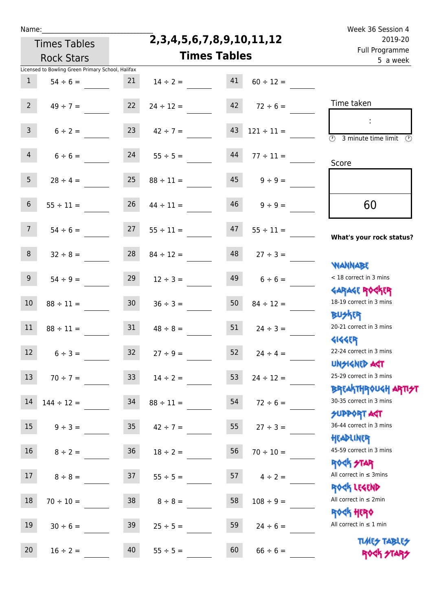## **2,3,4,5,6,7,8,9,10,11,12**

Name: Week 36 Session 4 Full Programme 2019-20

| 2019-20<br>Full Programme                                          | 2,3,4,5,6,7,8,9,10,11,12 |    |                     | <b>Times Tables</b> |                 |                                                   |                  |
|--------------------------------------------------------------------|--------------------------|----|---------------------|---------------------|-----------------|---------------------------------------------------|------------------|
| 5 a week                                                           |                          |    | <b>Times Tables</b> |                     |                 | <b>Rock Stars</b>                                 |                  |
|                                                                    |                          |    |                     |                     |                 | Licensed to Bowling Green Primary School, Halifax |                  |
|                                                                    | $60 \div 12 =$           | 41 |                     | $14 \div 2 =$       | 21              | $54 \div 6 =$                                     | $\mathbf{1}$     |
| Time taken                                                         | $72 \div 6 =$            | 42 |                     | $24 \div 12 =$      | 22              | $49 \div 7 =$                                     | 2 <sup>7</sup>   |
| $\overline{(\mathcal{V})}$<br>3 minute time limit<br>$\mathcal{O}$ | $121 \div 11 =$          | 43 |                     | $42 \div 7 =$       | 23              | $6 \div 2 =$                                      | 3 <sup>7</sup>   |
| Score                                                              | $77 \div 11 =$           | 44 |                     | $55 \div 5 =$       | 24              | $6 \div 6 =$                                      | $\overline{4}$   |
|                                                                    | $9 \div 9 =$             | 45 |                     | $88 \div 11 =$      | 25              | $28 \div 4 =$                                     | 5 <sub>5</sub>   |
| 60                                                                 | $9 ÷ 9 =$                | 46 |                     | $44 \div 11 =$      | 26              | $55 \div 11 =$                                    | $6\phantom{1}$   |
| What's your rock status?                                           | $55 \div 11 =$           | 47 |                     | $55 \div 11 =$      | 27              | $54 \div 6 =$                                     | 7 <sup>7</sup>   |
| <b>NANNABE</b>                                                     | $27 ÷ 3 =$               | 48 |                     | $84 \div 12 =$      | 28              | $32 \div 8 =$                                     | 8                |
| < 18 correct in 3 mins                                             | $6 \div 6 =$             | 49 |                     | $12 \div 3 =$       | 29              | $54 \div 9 =$                                     | 9 <sub>o</sub>   |
| <b>GARAGE ROGKER</b><br>18-19 correct in 3 mins<br><b>BUSKER</b>   | $84 \div 12 =$           | 50 |                     | $36 \div 3 =$       | 30 <sub>o</sub> | $88 \div 11 =$                                    | $10\,$           |
| 20-21 correct in 3 mins<br><b>4144ER</b>                           | $24 \div 3 =$            | 51 |                     | $48 \div 8 =$       | 31              | $88 \div 11 =$                                    | 11               |
| 22-24 correct in 3 mins<br>UNSIGNED AST                            | $24 \div 4 =$            | 52 |                     | $27 \div 9 =$       | 32 <sup>2</sup> | $6 ÷ 3 =$                                         | 12               |
| 25-29 correct in 3 mins<br><b>BREAKTHROUGH ARTI<del>S</del>T</b>   | $24 \div 12 =$           | 53 |                     | $14 \div 2 =$       | 33 <sup>°</sup> | $70 \div 7 =$                                     | 13 <sup>°</sup>  |
| 30-35 correct in 3 mins<br>SUPPORT ART                             | $72 \div 6 =$            | 54 |                     | $88 \div 11 =$      | 34              | $144 \div 12 =$                                   | 14               |
| 36-44 correct in 3 mins<br>HEADLINER                               | $27 \div 3 =$            | 55 |                     | $42 \div 7 =$       | 35 <sub>1</sub> | $9 \div 3 =$                                      | 15 <sub>1</sub>  |
| 45-59 correct in 3 mins<br><b>ROCK STAR</b>                        | $70 \div 10 =$           | 56 |                     | $18 \div 2 =$       | 36 <sup>°</sup> | $8 \div 2 =$                                      | 16               |
| All correct in $\leq$ 3mins<br>ROCK LEGEND                         | $4 \div 2 =$             | 57 |                     | $55 \div 5 =$       | 37              | $8 \div 8 =$                                      | 17 <sup>17</sup> |
| All correct in $\leq 2$ min                                        | $108 \div 9 =$           | 58 |                     | $8 \div 8 =$        | 38              | $70 \div 10 =$                                    | 18               |
| <b>ROCK HERO</b><br>All correct in $\leq 1$ min                    | $24 \div 6 =$            | 59 |                     | $25 \div 5 =$       | 39              | $30 \div 6 =$                                     | 19               |
| <b>TUARS TABLES</b><br>ROCK STARS                                  | $66 \div 6 =$            | 60 |                     | $55 \div 5 =$       | 40              | $16 \div 2 =$                                     | 20               |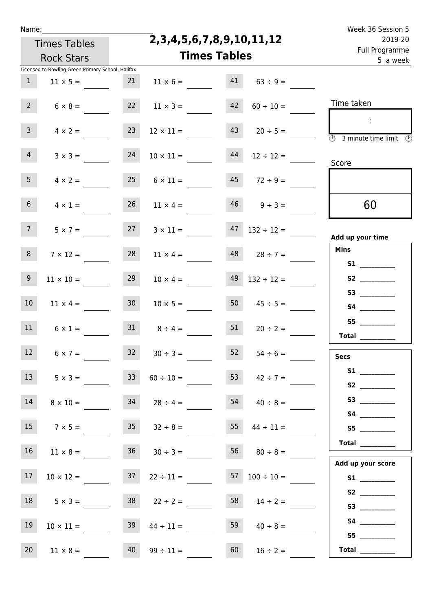|  | vam | L |  |
|--|-----|---|--|
|  |     |   |  |

Times Tables

**2,3,4,5,6,7,8,9,10,11,12**

|                 | <b>Rock Stars</b>                                 |                 |                       | <b>Times Tables</b> |                          | i un rivgiunnic<br>5 a week                                  |
|-----------------|---------------------------------------------------|-----------------|-----------------------|---------------------|--------------------------|--------------------------------------------------------------|
|                 | Licensed to Bowling Green Primary School, Halifax |                 |                       |                     |                          |                                                              |
| $\mathbf{1}$    | $11 \times 5 =$                                   | 21              | $11 \times 6 =$       | 41                  | $63 \div 9 =$            |                                                              |
| $2^{\circ}$     | $6 \times 8 =$                                    | 22              | $11 \times 3 =$       | 42                  | $60 \div 10 =$           | Time taken                                                   |
|                 |                                                   |                 |                       |                     |                          | $\mathcal{L}_{\mathcal{A}}$                                  |
| $\mathbf{3}$    | $4 \times 2 =$                                    | 23              | $12 \times 11 =$      | 43                  | $20 \div 5 =$            | $\overline{\circledcirc}$ 3 minute time limit $\circledcirc$ |
| 4 <sup>1</sup>  | $3 \times 3 =$                                    | 24              | $10 \times 11 =$      | 44                  | $12 \div 12 =$           |                                                              |
|                 |                                                   |                 |                       |                     |                          | Score                                                        |
| 5 <sub>1</sub>  | $4 \times 2 =$                                    |                 | $25 \t 6 \times 11 =$ |                     | $45 \t 72 \div 9 =$      |                                                              |
|                 |                                                   |                 |                       |                     |                          |                                                              |
| 6 <sup>1</sup>  | $4 \times 1 =$                                    | 26              | $11 \times 4 =$       |                     | $46 \t 9 \div 3 =$       | 60                                                           |
| 7 <sup>7</sup>  | $5 \times 7 =$                                    | 27              | $3 \times 11 =$       |                     | $47$ $132 \div 12 =$     |                                                              |
|                 |                                                   |                 |                       |                     |                          | Add up your time                                             |
| 8               | $7 \times 12 =$                                   | 28              | $11 \times 4 =$       | 48                  | $28 \div 7 =$            | <b>Mins</b>                                                  |
|                 |                                                   |                 |                       |                     |                          | S1                                                           |
| 9               | $11 \times 10 =$                                  | 29              | $10 \times 4 =$       | 49                  | $132 \div 12 =$          |                                                              |
| 10 <sup>°</sup> | $11 \times 4 =$                                   | 30 <sup>°</sup> | $10 \times 5 =$       | 50                  | $45 \div 5 =$            |                                                              |
|                 |                                                   |                 |                       |                     |                          |                                                              |
| 11              | $6 \times 1 =$                                    |                 | $31 \t 8 \div 4 =$    | 51                  | $20 \div 2 =$            |                                                              |
|                 |                                                   |                 |                       |                     |                          | Total $\_\_$                                                 |
| 12              | $6 \times 7 =$                                    | 32              | $30 \div 3 =$         | 52                  | $54 \div 6 =$            | <b>Secs</b>                                                  |
|                 |                                                   |                 |                       |                     |                          | S1                                                           |
| 13              | $5 \times 3 =$                                    |                 | $33 \t 60 \div 10 =$  |                     | 53 $42 \div 7 =$         |                                                              |
| 14              | $8 \times 10 =$                                   |                 | $34 \t 28 \div 4 =$   |                     | $54 \t 40 \div 8 =$      |                                                              |
|                 |                                                   |                 |                       |                     |                          |                                                              |
| 15              | $7 \times 5 =$                                    |                 | $35 \t 32 \div 8 =$   |                     | $55 \t 44 \div 11 =$     | S5                                                           |
| 16              |                                                   |                 |                       |                     |                          | Total                                                        |
|                 | $11 \times 8 =$                                   |                 | $36 \t 30 \div 3 =$   |                     | $56 \t 80 \div 8 =$      | Add up your score                                            |
| 17 <sub>2</sub> | $10 \times 12 =$                                  | 37              | $22 \div 11 =$        |                     | $57 \quad 100 \div 10 =$ |                                                              |
|                 |                                                   |                 |                       |                     |                          |                                                              |
| 18              | $5 \times 3 =$                                    |                 | $38$ $22 \div 2 =$    | 58                  | $14 \div 2 =$            |                                                              |
|                 |                                                   |                 |                       |                     |                          |                                                              |
| 19              | $10 \times 11 =$                                  | 39              | $44 \div 11 =$        | 59                  | $40 \div 8 =$            | S5                                                           |
| 20              | $11 \times 8 =$                                   | 40              | $99 \div 11 =$        | 60                  | $16 \div 2 =$            | Total $\qquad$                                               |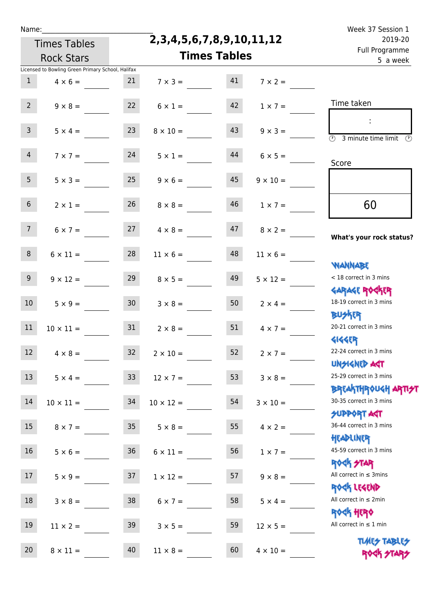|  | Name |  |
|--|------|--|
|  |      |  |
|  |      |  |

Times Tables

**2,3,4,5,6,7,8,9,10,11,12**

Week 37 Session 1 Full Programme 2019-20

|                 | <b>Rock Stars</b>                                 |                 | <b>Times Tables</b>  | <u>i uli i i vyfullillite</u><br>5 a week |                 |                                                          |
|-----------------|---------------------------------------------------|-----------------|----------------------|-------------------------------------------|-----------------|----------------------------------------------------------|
|                 | Licensed to Bowling Green Primary School, Halifax |                 |                      |                                           |                 |                                                          |
| $\mathbf{1}$    | $4 \times 6 =$                                    | 21              | $7 \times 3 =$       | 41                                        | $7 \times 2 =$  |                                                          |
| 2 <sup>7</sup>  | $9 \times 8 =$                                    | 22              | $6 \times 1 =$       | 42                                        | $1 \times 7 =$  | Time taken                                               |
|                 |                                                   |                 |                      |                                           |                 |                                                          |
| 3 <sup>7</sup>  | $5 \times 4 =$                                    | 23              | $8 \times 10 =$      | 43                                        | $9 \times 3 =$  | $\overline{(\mathcal{V})}$<br>3 minute time limit<br>- O |
| 4               | $7 \times 7 =$                                    | 24              | $5 \times 1 =$       | 44                                        | $6 \times 5 =$  | Score                                                    |
| 5 <sub>1</sub>  | $5 \times 3 =$                                    | 25              | $9 \times 6 =$       | 45                                        | $9 \times 10 =$ |                                                          |
| 6 <sup>1</sup>  | $2 \times 1 =$                                    |                 | $26 \t 8 \times 8 =$ | 46                                        | $1 \times 7 =$  | 60                                                       |
|                 |                                                   |                 |                      |                                           |                 |                                                          |
| 7 <sup>7</sup>  | $6 \times 7 =$                                    | 27              | $4 \times 8 =$       | 47                                        | $8 \times 2 =$  | What's your rock status?                                 |
| 8               | $6 \times 11 =$                                   | 28              |                      | 48                                        |                 |                                                          |
|                 |                                                   |                 | $11 \times 6 =$      |                                           | $11 \times 6 =$ | <b>NANNABE</b>                                           |
| 9 <sub>o</sub>  | $9 \times 12 =$                                   | 29              | $8 \times 5 =$       | 49                                        | $5 \times 12 =$ | < 18 correct in 3 mins                                   |
|                 |                                                   |                 |                      |                                           |                 | <b>GARAGE ROCKER</b>                                     |
| 10 <sup>°</sup> | $5 \times 9 =$                                    | 30 <sub>1</sub> | $3 \times 8 =$       | 50                                        | $2 \times 4 =$  | 18-19 correct in 3 mins                                  |
|                 |                                                   |                 |                      |                                           |                 | <b>BU外四</b>                                              |
| 11              | $10 \times 11 =$                                  | 31              | $2 \times 8 =$       | 51                                        | $4 \times 7 =$  | 20-21 correct in 3 mins                                  |
| 12              | $4 \times 8 =$                                    | 32              | $2 \times 10 =$      | 52                                        | $2 \times 7 =$  | <b>4144ER</b><br>22-24 correct in 3 mins                 |
|                 |                                                   |                 |                      |                                           |                 | <b>UNSIGNED AGT</b>                                      |
| 13              | $5 \times 4 =$                                    | 33              | $12 \times 7 =$      | 53                                        | $3 \times 8 =$  | 25-29 correct in 3 mins                                  |
|                 |                                                   |                 |                      |                                           |                 | <b>BREAKTHROUGH ARTI<del>S</del>T</b>                    |
| 14              | $10 \times 11 =$                                  | 34              | $10 \times 12 =$     | 54                                        | $3 \times 10 =$ | 30-35 correct in 3 mins                                  |
|                 |                                                   |                 |                      |                                           |                 | <b>SUPPORT AGT</b><br>36-44 correct in 3 mins            |
| 15              | $8 \times 7 =$                                    | 35              | $5 \times 8 =$       | 55                                        | $4 \times 2 =$  | HEADLINER                                                |
| 16 <sup>1</sup> | $5 \times 6 =$                                    | 36 <sup>°</sup> | $6 \times 11 =$      | 56                                        | $1 \times 7 =$  | 45-59 correct in 3 mins                                  |
|                 |                                                   |                 |                      |                                           |                 | <b>ROCK STAR</b>                                         |
| 17              | $5 \times 9 =$                                    | 37              | $1 \times 12 =$      | 57                                        | $9 \times 8 =$  | All correct in $\leq$ 3mins                              |
|                 |                                                   |                 |                      |                                           |                 | ROCK LEGEND                                              |
| 18              | $3 \times 8 =$                                    | 38              | $6 \times 7 =$       | 58                                        | $5 \times 4 =$  | All correct in $\leq 2$ min                              |
| 19              | $11 \times 2 =$                                   | 39              | $3 \times 5 =$       | 59                                        | $12 \times 5 =$ | <b>ROCK HERO</b><br>All correct in $\leq 1$ min          |
|                 |                                                   |                 |                      |                                           |                 | <b>TIMES TABLES</b>                                      |
| 20              | $8 \times 11 =$                                   | 40              | $11 \times 8 =$      | 60                                        | $4 \times 10 =$ | ROCK STARS                                               |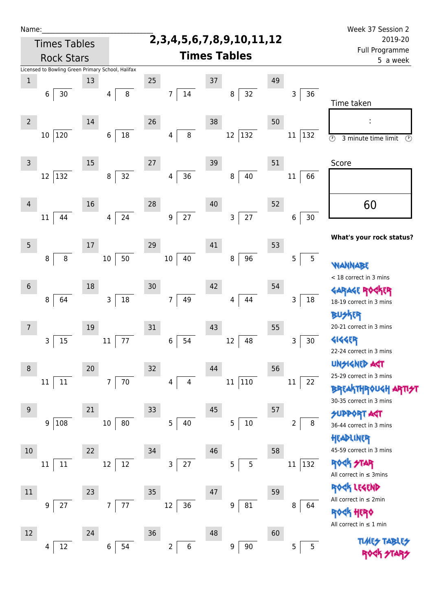| Name:           |                     |                                                   |         |                      |    |                                    |    |                         | Week 37 Session 2                                    |
|-----------------|---------------------|---------------------------------------------------|---------|----------------------|----|------------------------------------|----|-------------------------|------------------------------------------------------|
|                 | <b>Times Tables</b> |                                                   |         |                      |    | 2, 3, 4, 5, 6, 7, 8, 9, 10, 11, 12 |    |                         | 2019-20<br>Full Programme                            |
|                 | <b>Rock Stars</b>   |                                                   |         |                      |    | <b>Times Tables</b>                |    |                         | 5 a week                                             |
|                 |                     | Licensed to Bowling Green Primary School, Halifax |         |                      |    |                                    |    |                         |                                                      |
| $1\,$           |                     | 13                                                | 25      |                      | 37 |                                    | 49 |                         |                                                      |
|                 | 30<br>6             | 4                                                 | $\,8\,$ | 14<br>$\overline{7}$ |    | 32<br>8                            |    | 36<br>$\mathsf{3}$      | Time taken                                           |
|                 |                     |                                                   |         |                      |    |                                    |    |                         |                                                      |
| $\overline{2}$  |                     | 14                                                | 26      |                      | 38 |                                    | 50 |                         |                                                      |
|                 | 120<br>10           | 6                                                 | 18      | $\,8\,$<br>4         |    | 12<br>132                          |    | 132<br>11               | $\overline{\odot}$<br>3 minute time limit<br>$\odot$ |
|                 |                     |                                                   |         |                      |    |                                    |    |                         |                                                      |
| $\overline{3}$  |                     | 15                                                | 27      |                      | 39 |                                    | 51 |                         | Score                                                |
|                 | 132<br>12           | 8                                                 | 32      | 36<br>4              |    | 40<br>8                            |    | $11\,$<br>66            |                                                      |
|                 |                     |                                                   |         |                      |    |                                    |    |                         |                                                      |
| 4               |                     | 16                                                | 28      |                      | 40 |                                    | 52 |                         | 60                                                   |
|                 | 44<br>11            | $\overline{4}$                                    | 24      | 27<br>9              |    | 27<br>3                            |    | $30\,$<br>6             |                                                      |
|                 |                     |                                                   |         |                      |    |                                    |    |                         | What's your rock status?                             |
| 5               |                     | 17                                                | 29      |                      | 41 |                                    | 53 |                         |                                                      |
|                 | 8<br>8              | $10\,$                                            | 50      | 40<br>$10\,$         |    | 96<br>8                            |    | 5<br>5                  | WANNABE                                              |
|                 |                     |                                                   |         |                      |    |                                    |    |                         | < 18 correct in 3 mins                               |
| $6\phantom{1}6$ |                     | 18                                                | 30      |                      | 42 |                                    | 54 |                         |                                                      |
|                 | 64<br>8             | 3                                                 | $18\,$  | $\overline{7}$<br>49 |    | 44<br>4                            |    | 3<br>$18\,$             | 18-19 correct in 3 mins                              |
|                 |                     |                                                   |         |                      |    |                                    |    |                         | <b>BUSKER</b>                                        |
| 7               |                     | 19                                                | 31      |                      | 43 |                                    | 55 |                         | 20-21 correct in 3 mins                              |
|                 | 15<br>3             | 11                                                | 77      | 54<br>6              |    | 48<br>12                           |    | $30\,$<br>3             | <b>4144ER</b>                                        |
|                 |                     |                                                   |         |                      |    |                                    |    |                         | 22-24 correct in 3 mins                              |
| 8               |                     | 20                                                | 32      |                      | 44 |                                    | 56 |                         | <b>UNSIGNED ART</b><br>25-29 correct in 3 mins       |
|                 | $11\,$<br>$11\,$    | $\overline{7}$                                    | $70\,$  | 4<br>4               |    | 110<br>$11\,$                      |    | 22<br>11                | <b>BREAKTHROUGH</b>                                  |
|                 |                     |                                                   |         |                      |    |                                    |    |                         | 30-35 correct in 3 mins                              |
| 9               |                     | 21                                                | 33      |                      | 45 |                                    | 57 |                         | <b>ORT AGT</b>                                       |
|                 | 108<br>9            | $10\,$                                            | 80      | 5<br>40              |    | 5<br>$10\,$                        |    | 8<br>2                  | 36-44 correct in 3 mins                              |
|                 |                     |                                                   |         |                      |    |                                    |    |                         | HEADLINER                                            |
| 10              |                     | 22                                                | 34      |                      | 46 |                                    | 58 |                         | 45-59 correct in 3 mins                              |
|                 | $11\,$<br>11        | 12                                                | $12\,$  | $27\,$<br>3          |    | 5<br>5                             |    | $ 132\rangle$<br>$11\,$ | <b>ROCK STAR</b>                                     |
|                 |                     |                                                   |         |                      |    |                                    |    |                         | All correct in $\leq$ 3mins                          |
| $11\,$          |                     | 23                                                | 35      |                      | 47 |                                    | 59 |                         | ROCK LEGEND                                          |
|                 | $27\,$<br>9         | 7                                                 | $77\,$  | 36<br>12             |    | 81<br>9                            |    | 8<br>64                 | All correct in $\leq 2$ min                          |
|                 |                     |                                                   |         |                      |    |                                    |    |                         | ROCK HERO<br>All correct in $\leq 1$ min             |
| 12              |                     | 24                                                | 36      |                      | 48 |                                    | 60 |                         |                                                      |
|                 | $12\,$<br>4         | $\boldsymbol{6}$                                  | 54      | 6<br>$\overline{2}$  |    | 90<br>$\boldsymbol{9}$             |    | 5<br>5                  |                                                      |
|                 |                     |                                                   |         |                      |    |                                    |    |                         |                                                      |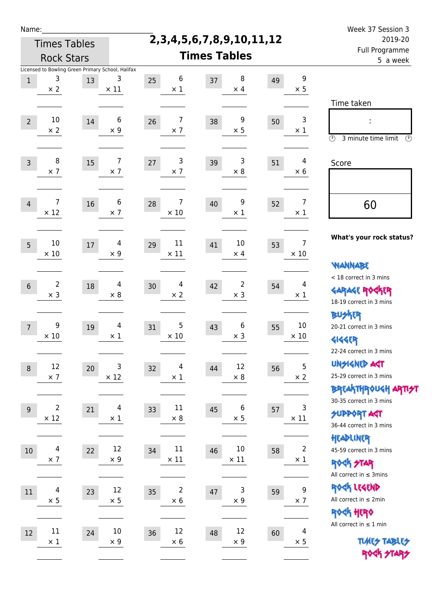| Name:          |                                                                      |    |                  |                                    |                                    |                            |                               | Week 37 Session 3                                                                               |  |  |
|----------------|----------------------------------------------------------------------|----|------------------|------------------------------------|------------------------------------|----------------------------|-------------------------------|-------------------------------------------------------------------------------------------------|--|--|
|                | <b>Times Tables</b>                                                  |    |                  |                                    | 2, 3, 4, 5, 6, 7, 8, 9, 10, 11, 12 | 2019-20                    |                               |                                                                                                 |  |  |
|                | <b>Rock Stars</b>                                                    |    |                  | <b>Times Tables</b>                |                                    | Full Programme<br>5 a week |                               |                                                                                                 |  |  |
| $1\,$          | Licensed to Bowling Green Primary School, Halifax<br>3<br>$\times 2$ | 13 | 3<br>$\times$ 11 | 6<br>25<br>$\times$ 1              | 8<br>37<br>$\times$ 4              | 49                         | 9<br>$\times$ 5               | Time taken                                                                                      |  |  |
| $\overline{2}$ | 10<br>$\times 2$                                                     | 14 | 6<br>$\times$ 9  | 7<br>26<br>$\times$ 7              | 9<br>38<br>$\times$ 5              | 50                         | 3<br>$\times 1$               | t,<br>$\circledcirc$<br>3 minute time limit<br>$\mathcal{O}$                                    |  |  |
| $\overline{3}$ | 8<br>$\times$ 7                                                      | 15 | 7<br>$\times$ 7  | 3<br>27<br>$\times$ 7              | 3<br>39<br>$\times$ 8              | 51                         | 4<br>$\times 6$               | Score                                                                                           |  |  |
| $\overline{4}$ | 7<br>$\times$ 12                                                     | 16 | 6<br>$\times$ 7  | 7<br>28<br>$\times$ 10             | 9<br>40<br>$\times$ 1              | 52                         | 7<br>$\times 1$               | 60                                                                                              |  |  |
| 5              | 10<br>$\times$ 10                                                    | 17 | 4<br>$\times$ 9  | 11<br>29<br>$\times$ 11            | 10<br>41<br>$\times$ 4             | 53                         | $\overline{7}$<br>$\times$ 10 | What's your rock status?<br><b>WANNABE</b>                                                      |  |  |
| $6\,$          | $\overline{2}$<br>$\times$ 3                                         | 18 | 4<br>$\times 8$  | 4<br>30<br>$\times 2$              | $\overline{2}$<br>42<br>$\times$ 3 | 54                         | 4<br>$\times 1$               | < 18 correct in 3 mins<br><b>GARAGE ROGKER</b><br>18-19 correct in 3 mins<br><b>BUSKER</b>      |  |  |
| $\overline{7}$ | 9<br>$\times 10$                                                     | 19 | 4<br>$\times$ 1  | 5<br>31<br>$\times$ 10             | 6<br>43<br>$\times$ 3              | 55                         | 10<br>$\times$ 10             | 20-21 correct in 3 mins<br><b>4144EP</b><br>22-24 correct in 3 mins                             |  |  |
| $\,8\,$        | 12<br>$\times$ 7                                                     | 20 | 3<br>$\times$ 12 | $\overline{4}$<br>32<br>$\times$ 1 | 12<br>44<br>$\times$ 8             | 56                         | 5<br>$\times$ 2               | <b>UNSIGNED AGT</b><br>25-29 correct in 3 mins<br>ΒΡΓΑ <sup>Κ</sup> ΤΗΡΟυΚΗ ΑΡΤΙ <del>2</del> Τ |  |  |
| $9\,$          | $\overline{2}$<br>$\times$ 12                                        | 21 | 4<br>$\times$ 1  | 11<br>33<br>$\times$ 8             | 6<br>45<br>$\times$ 5              | 57                         | 3<br>$\times$ 11              | 30-35 correct in 3 mins<br><b>SUPPORT AST</b><br>36-44 correct in 3 mins<br>HEADLINER           |  |  |
| 10             | $\overline{4}$<br>$\times$ 7                                         | 22 | 12<br>$\times$ 9 | 11<br>34<br>$\times$ 11            | $10\,$<br>46<br>$\times$ 11        | 58                         | $\overline{2}$<br>$\times$ 1  | 45-59 correct in 3 mins<br><b>ROCK STAR</b><br>All correct in $\leq$ 3mins                      |  |  |
| 11             | 4<br>$\times$ 5                                                      | 23 | 12<br>$\times$ 5 | 2<br>35<br>$\times$ 6              | 3<br>47<br>$\times$ 9              | 59                         | 9<br>$\times$ 7               | ROCK LEGEND<br>All correct in $\leq 2$ min<br>ROCK HERO                                         |  |  |
| 12             | $11\,$<br>$\times$ 1                                                 | 24 | 10<br>$\times 9$ | 12<br>36<br>$\times$ 6             | 12<br>48<br>$\times$ 9             | 60                         | 4<br>$\times$ 5               | All correct in $\leq 1$ min<br><b>TUARS TABLES</b><br>ROCK STARS                                |  |  |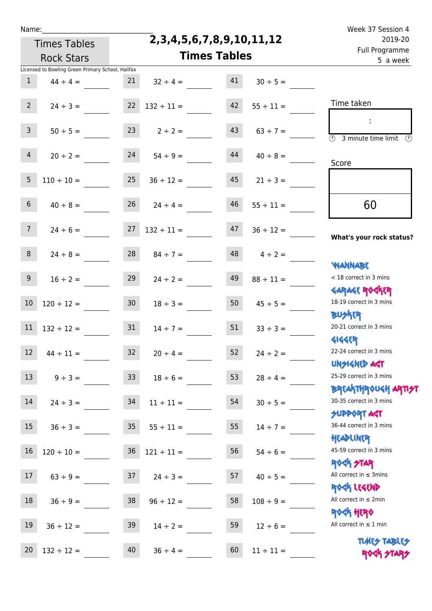Times Tables

## **2,3,4,5,6,7,8,9,10,11,12**

Name: Week 37 Session 4 Full Programme 2019-20

|                 | <b>Rock Stars</b>                                 |                 |                 |    | <b>Times Tables</b> |                                                        |  |  |  | <u>Lan Llogrannic</u><br>5 a week |
|-----------------|---------------------------------------------------|-----------------|-----------------|----|---------------------|--------------------------------------------------------|--|--|--|-----------------------------------|
|                 | Licensed to Bowling Green Primary School, Halifax |                 |                 |    |                     |                                                        |  |  |  |                                   |
| $\mathbf{1}$    | $44 \div 4 =$                                     | 21              | $32 \div 4 =$   | 41 | $30 \div 5 =$       |                                                        |  |  |  |                                   |
| 2 <sup>7</sup>  | $24 \div 3 =$                                     | 22              | $132 \div 11 =$ | 42 | $55 \div 11 =$      | Time taken                                             |  |  |  |                                   |
|                 |                                                   |                 |                 |    |                     |                                                        |  |  |  |                                   |
| 3 <sup>7</sup>  | $50 \div 5 =$                                     | 23              | $2 \div 2 =$    | 43 | $63 \div 7 =$       | $\overline{\mathcal{O}}$<br>3 minute time limit<br>- O |  |  |  |                                   |
| 4               | $20 \div 2 =$                                     | 24              | $54 \div 9 =$   | 44 | $40 \div 8 =$       |                                                        |  |  |  |                                   |
|                 |                                                   |                 |                 |    |                     | Score                                                  |  |  |  |                                   |
| 5 <sub>5</sub>  | $110 \div 10 =$                                   | 25              | $36 \div 12 =$  | 45 | $21 \div 3 =$       |                                                        |  |  |  |                                   |
| 6 <sup>1</sup>  | $40 \div 8 =$                                     | 26              | $24 \div 4 =$   | 46 | $55 \div 11 =$      | 60                                                     |  |  |  |                                   |
|                 |                                                   |                 |                 |    |                     |                                                        |  |  |  |                                   |
| 7 <sup>7</sup>  | $24 \div 6 =$                                     | 27              | $132 \div 11 =$ | 47 | $36 \div 12 =$      | What's your rock status?                               |  |  |  |                                   |
|                 |                                                   |                 |                 |    |                     |                                                        |  |  |  |                                   |
| 8 <sub>1</sub>  | $24 \div 8 =$                                     | 28              | $84 \div 7 =$   | 48 | $4 \div 2 =$        | <b>NANNABE</b>                                         |  |  |  |                                   |
| 9 <sub>o</sub>  | $16 \div 2 =$                                     | 29              | $24 \div 2 =$   | 49 | $88 \div 11 =$      | < 18 correct in 3 mins                                 |  |  |  |                                   |
|                 |                                                   |                 |                 |    |                     | <b>GARAGE ROCKER</b>                                   |  |  |  |                                   |
| 10              | $120 \div 12 =$                                   | 30 <sub>o</sub> | $18 \div 3 =$   | 50 | $45 \div 5 =$       | 18-19 correct in 3 mins                                |  |  |  |                                   |
|                 |                                                   |                 |                 |    |                     | <b>BUSKER</b>                                          |  |  |  |                                   |
| $11\,$          | $132 \div 12 =$                                   | 31              | $14 \div 7 =$   | 51 | $33 \div 3 =$       | 20-21 correct in 3 mins                                |  |  |  |                                   |
|                 |                                                   |                 |                 |    |                     | <b>4144EP</b>                                          |  |  |  |                                   |
| 12              | $44 \div 11 =$                                    | 32              | $20 \div 4 =$   | 52 | $24 \div 2 =$       | 22-24 correct in 3 mins                                |  |  |  |                                   |
|                 |                                                   |                 |                 |    |                     | <b>UNSIGNED AGT</b>                                    |  |  |  |                                   |
| 13              | $9 \div 3 =$                                      | 33 <sup>°</sup> | $18 \div 6 =$   | 53 | $28 \div 4 =$       | 25-29 correct in 3 mins                                |  |  |  |                                   |
| 14              |                                                   |                 |                 | 54 |                     | <b>BREAKTHROUGH ARTIST</b><br>30-35 correct in 3 mins  |  |  |  |                                   |
|                 | $24 \div 3 =$                                     | 34              | $11 \div 11 =$  |    | $30 \div 5 =$       | <b>SUPPORT AGT</b>                                     |  |  |  |                                   |
| 15 <sub>1</sub> | $36 \div 3 =$                                     | 35 <sub>1</sub> | $55 \div 11 =$  | 55 | $14 \div 7 =$       | 36-44 correct in 3 mins                                |  |  |  |                                   |
|                 |                                                   |                 |                 |    |                     | HEADLINER                                              |  |  |  |                                   |
| 16              | $120 \div 10 =$                                   | 36              | $121 \div 11 =$ | 56 | $54 \div 6 =$       | 45-59 correct in 3 mins                                |  |  |  |                                   |
|                 |                                                   |                 |                 |    |                     | <b>ROCK STAR</b>                                       |  |  |  |                                   |
| 17              | $63 \div 9 =$                                     | 37              | $24 \div 3 =$   | 57 | $40 \div 5 =$       | All correct in $\leq$ 3mins                            |  |  |  |                                   |
|                 |                                                   |                 |                 |    |                     | ROCK LEGEND                                            |  |  |  |                                   |
| 18              | $36 \div 9 =$                                     | 38              | $96 \div 12 =$  | 58 | $108 \div 9 =$      | All correct in $\leq 2$ min                            |  |  |  |                                   |
|                 |                                                   |                 |                 |    |                     | <b>ROCK HERO</b>                                       |  |  |  |                                   |
| 19              | $36 \div 12 =$                                    | 39              | $14 \div 2 =$   | 59 | $12 \div 6 =$       | All correct in $\leq 1$ min                            |  |  |  |                                   |
|                 |                                                   |                 |                 |    |                     | <b>TUARS TABLES</b>                                    |  |  |  |                                   |
| $20\,$          | $132 \div 12 =$                                   | 40              | $36 \div 4 =$   | 60 | $11 \div 11 =$      | ROCK STARS                                             |  |  |  |                                   |